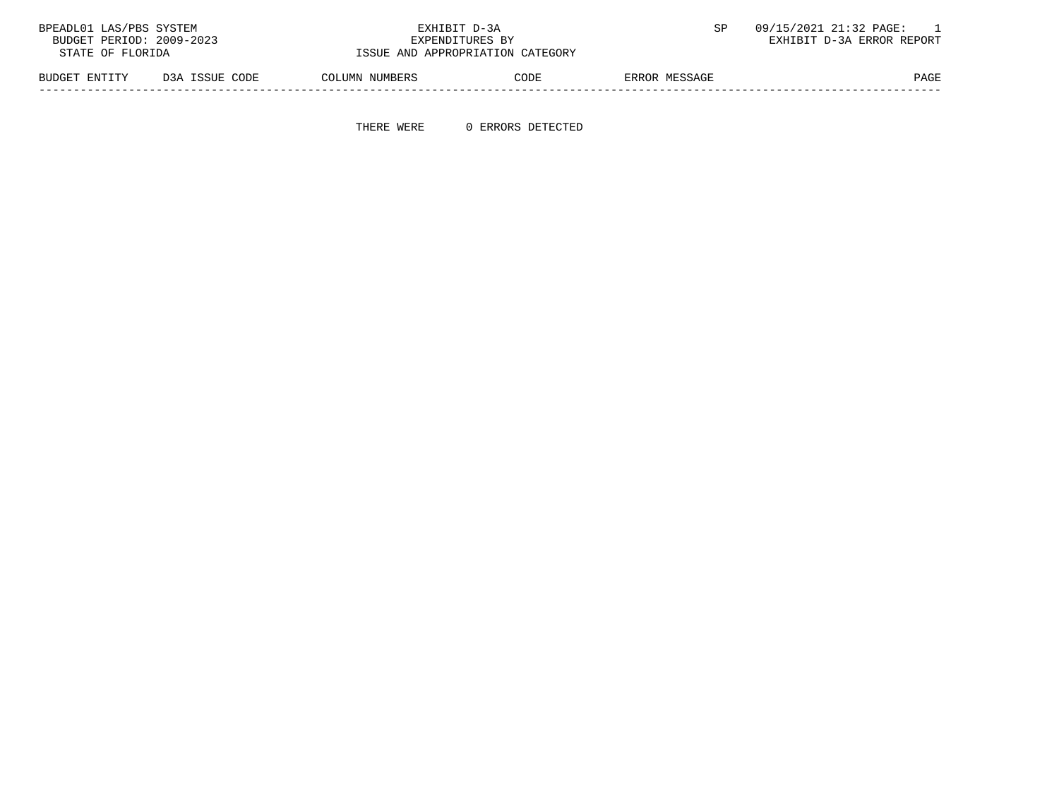| BPEADL01 LAS/PBS SYSTEM  |                | EXHIBIT D-3A                     |      |               | 09/15/2021 21:32 PAGE:    |
|--------------------------|----------------|----------------------------------|------|---------------|---------------------------|
| BUDGET PERIOD: 2009-2023 |                | EXPENDITURES BY                  |      |               | EXHIBIT D-3A ERROR REPORT |
| STATE OF FLORIDA         |                | ISSUE AND APPROPRIATION CATEGORY |      |               |                           |
| BUDGET ENTITY            | D3A ISSUE CODE | COLUMN NUMBERS                   | CODE | ERROR MESSAGE | PAGE                      |

-----------------------------------------------------------------------------------------------------------------------------------

THERE WERE 0 ERRORS DETECTED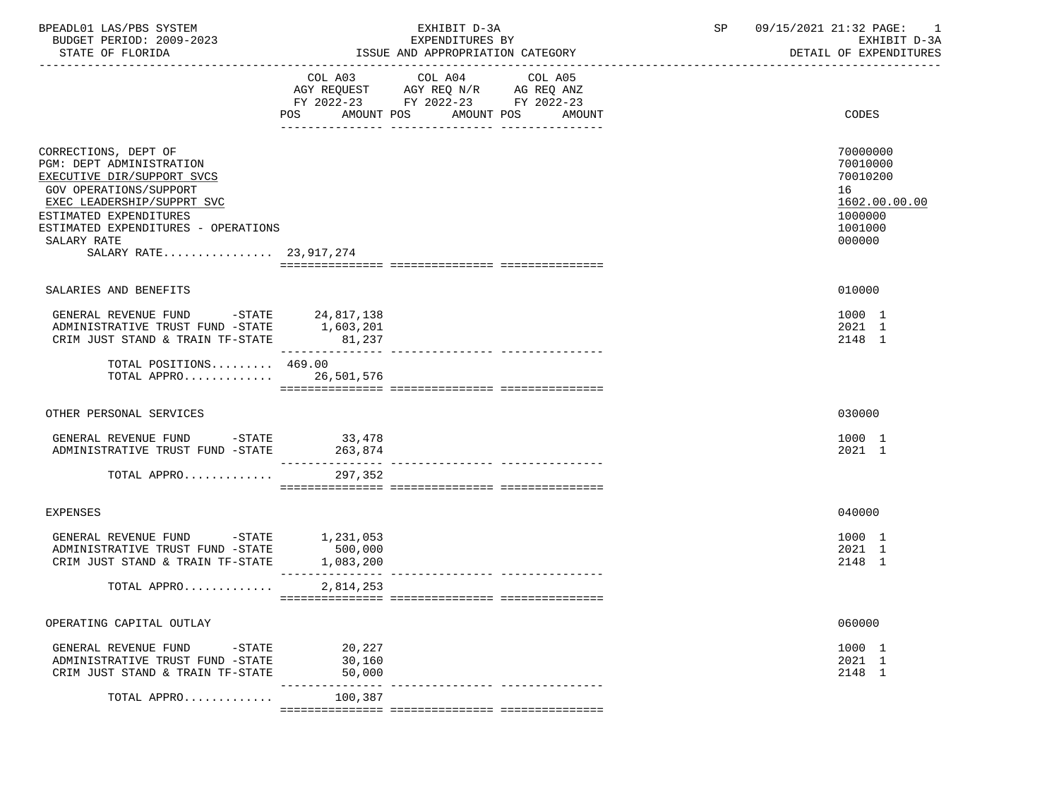| BPEADL01 LAS/PBS SYSTEM<br>BUDGET PERIOD: 2009-2023<br>STATE OF FLORIDA                                                                                                                                                                                        |                                   | EXHIBIT D-3A<br>EXPENDITURES BY<br>ISSUE AND APPROPRIATION CATEGORY                                                       | SP | 09/15/2021 21:32 PAGE: 1<br>EXHIBIT D-3A<br>DETAIL OF EXPENDITURES                      |  |
|----------------------------------------------------------------------------------------------------------------------------------------------------------------------------------------------------------------------------------------------------------------|-----------------------------------|---------------------------------------------------------------------------------------------------------------------------|----|-----------------------------------------------------------------------------------------|--|
|                                                                                                                                                                                                                                                                | POS<br>AMOUNT POS                 | COL A03 COL A04 COL A05<br>AGY REQUEST AGY REQ N/R AG REQ ANZ<br>FY 2022-23 FY 2022-23 FY 2022-23<br>AMOUNT POS<br>AMOUNT |    | CODES                                                                                   |  |
| CORRECTIONS, DEPT OF<br><b>PGM: DEPT ADMINISTRATION</b><br>EXECUTIVE DIR/SUPPORT SVCS<br><b>GOV OPERATIONS/SUPPORT</b><br>EXEC LEADERSHIP/SUPPRT SVC<br>ESTIMATED EXPENDITURES<br>ESTIMATED EXPENDITURES - OPERATIONS<br>SALARY RATE<br>SALARY RATE 23,917,274 |                                   |                                                                                                                           |    | 70000000<br>70010000<br>70010200<br>16<br>1602.00.00.00<br>1000000<br>1001000<br>000000 |  |
| SALARIES AND BENEFITS                                                                                                                                                                                                                                          |                                   |                                                                                                                           |    | 010000                                                                                  |  |
| GENERAL REVENUE FUND -STATE 24,817,138<br>ADMINISTRATIVE TRUST FUND -STATE 1,603,201<br>CRIM JUST STAND & TRAIN TF-STATE 81,237                                                                                                                                |                                   |                                                                                                                           |    | 1000 1<br>2021 1<br>2148 1                                                              |  |
| TOTAL POSITIONS 469.00<br>TOTAL APPRO 26,501,576                                                                                                                                                                                                               |                                   |                                                                                                                           |    |                                                                                         |  |
| OTHER PERSONAL SERVICES                                                                                                                                                                                                                                        |                                   |                                                                                                                           |    | 030000                                                                                  |  |
| GENERAL REVENUE FUND -STATE 33,478<br>ADMINISTRATIVE TRUST FUND -STATE                                                                                                                                                                                         | 263,874                           |                                                                                                                           |    | 1000 1<br>2021 1                                                                        |  |
| TOTAL APPRO                                                                                                                                                                                                                                                    | 297,352                           |                                                                                                                           |    |                                                                                         |  |
| <b>EXPENSES</b>                                                                                                                                                                                                                                                |                                   |                                                                                                                           |    | 040000                                                                                  |  |
| GENERAL REVENUE FUND -STATE<br>ADMINISTRATIVE TRUST FUND -STATE<br>CRIM JUST STAND & TRAIN TF-STATE                                                                                                                                                            | 1,231,053<br>500,000<br>1,083,200 |                                                                                                                           |    | 1000 1<br>2021 1<br>2148 1                                                              |  |
| TOTAL APPRO                                                                                                                                                                                                                                                    | 2,814,253                         |                                                                                                                           |    |                                                                                         |  |
| OPERATING CAPITAL OUTLAY                                                                                                                                                                                                                                       |                                   |                                                                                                                           |    | 060000                                                                                  |  |
| GENERAL REVENUE FUND<br>-STATE<br>ADMINISTRATIVE TRUST FUND -STATE<br>CRIM JUST STAND & TRAIN TF-STATE                                                                                                                                                         | 20,227<br>30,160<br>50,000        |                                                                                                                           |    | 1000 1<br>2021 1<br>2148 1                                                              |  |
| TOTAL APPRO                                                                                                                                                                                                                                                    | 100,387                           |                                                                                                                           |    |                                                                                         |  |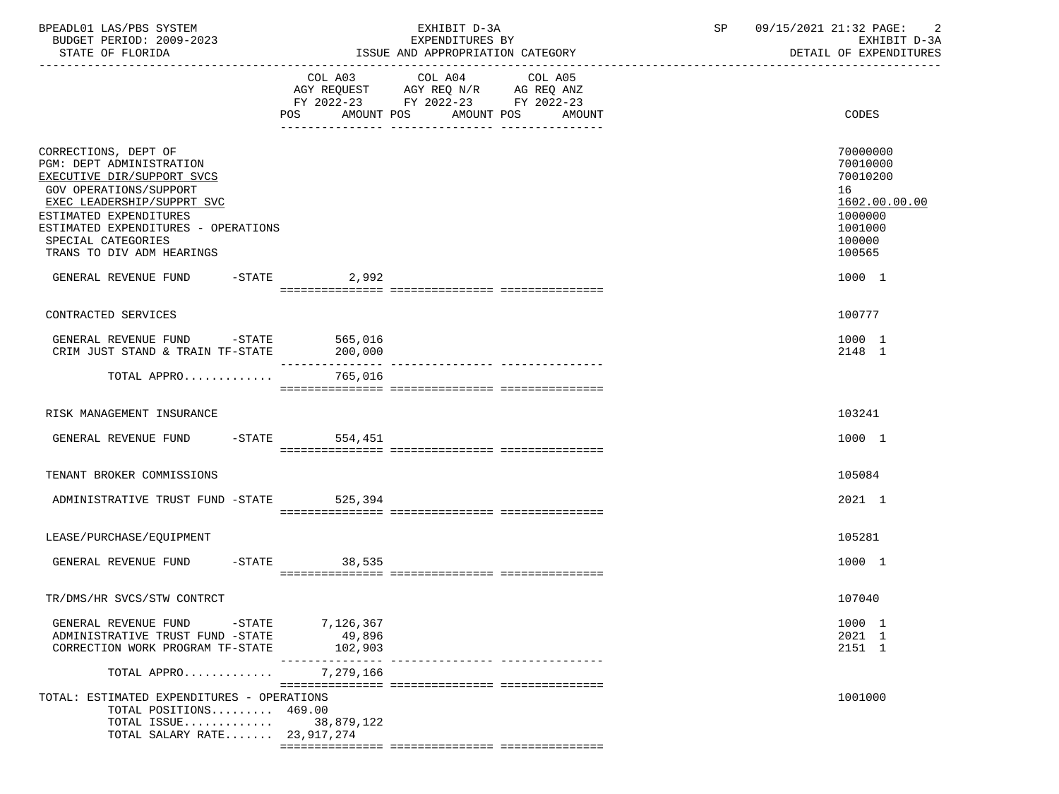| BPEADL01 LAS/PBS SYSTEM<br>BUDGET PERIOD: 2009-2023                                                                                                                                                                                                               |                                | EXHIBIT D-3A<br>EXPENDITURES BY                                                           | SP                                          | 09/15/2021 21:32 PAGE: 2<br>EXHIBIT D-3A |                                                                                                   |
|-------------------------------------------------------------------------------------------------------------------------------------------------------------------------------------------------------------------------------------------------------------------|--------------------------------|-------------------------------------------------------------------------------------------|---------------------------------------------|------------------------------------------|---------------------------------------------------------------------------------------------------|
| STATE OF FLORIDA                                                                                                                                                                                                                                                  |                                | ISSUE AND APPROPRIATION CATEGORY                                                          |                                             |                                          | DETAIL OF EXPENDITURES                                                                            |
|                                                                                                                                                                                                                                                                   |                                | COL A03 COL A04<br>AGY REQUEST AGY REQ N/R AG REQ ANZ<br>FY 2022-23 FY 2022-23 FY 2022-23 | COL A05<br>POS AMOUNT POS AMOUNT POS AMOUNT |                                          | CODES                                                                                             |
| CORRECTIONS, DEPT OF<br><b>PGM: DEPT ADMINISTRATION</b><br>EXECUTIVE DIR/SUPPORT SVCS<br>GOV OPERATIONS/SUPPORT<br>EXEC LEADERSHIP/SUPPRT SVC<br>ESTIMATED EXPENDITURES<br>ESTIMATED EXPENDITURES - OPERATIONS<br>SPECIAL CATEGORIES<br>TRANS TO DIV ADM HEARINGS |                                |                                                                                           |                                             |                                          | 70000000<br>70010000<br>70010200<br>16<br>1602.00.00.00<br>1000000<br>1001000<br>100000<br>100565 |
| GENERAL REVENUE FUND -STATE 2.992                                                                                                                                                                                                                                 |                                |                                                                                           |                                             |                                          | 1000 1                                                                                            |
| CONTRACTED SERVICES                                                                                                                                                                                                                                               |                                |                                                                                           |                                             |                                          | 100777                                                                                            |
| GENERAL REVENUE FUND -STATE 565,016<br>CRIM JUST STAND & TRAIN TF-STATE                                                                                                                                                                                           | 200,000                        |                                                                                           |                                             |                                          | 1000 1<br>2148 1                                                                                  |
| TOTAL APPRO 765,016                                                                                                                                                                                                                                               |                                |                                                                                           |                                             |                                          |                                                                                                   |
| RISK MANAGEMENT INSURANCE                                                                                                                                                                                                                                         |                                |                                                                                           |                                             |                                          | 103241                                                                                            |
| GENERAL REVENUE FUND -STATE 554,451                                                                                                                                                                                                                               |                                |                                                                                           |                                             |                                          | 1000 1                                                                                            |
| TENANT BROKER COMMISSIONS                                                                                                                                                                                                                                         |                                |                                                                                           |                                             |                                          | 105084                                                                                            |
| ADMINISTRATIVE TRUST FUND -STATE 525,394                                                                                                                                                                                                                          |                                |                                                                                           |                                             |                                          | 2021 1                                                                                            |
| LEASE/PURCHASE/EQUIPMENT                                                                                                                                                                                                                                          |                                |                                                                                           |                                             |                                          | 105281                                                                                            |
| GENERAL REVENUE FUND -STATE 38,535                                                                                                                                                                                                                                |                                |                                                                                           |                                             |                                          | 1000 1                                                                                            |
| TR/DMS/HR SVCS/STW CONTRCT                                                                                                                                                                                                                                        |                                |                                                                                           |                                             |                                          | 107040                                                                                            |
| GENERAL REVENUE FUND -STATE<br>ADMINISTRATIVE TRUST FUND -STATE<br>CORRECTION WORK PROGRAM TF-STATE                                                                                                                                                               | 7,126,367<br>49,896<br>102,903 |                                                                                           |                                             |                                          | 1000 1<br>2021 1<br>2151 1                                                                        |
| TOTAL APPRO                                                                                                                                                                                                                                                       | 7,279,166                      |                                                                                           |                                             |                                          |                                                                                                   |
| TOTAL: ESTIMATED EXPENDITURES - OPERATIONS<br>TOTAL POSITIONS 469.00<br>TOTAL ISSUE<br>TOTAL SALARY RATE 23,917,274                                                                                                                                               | 38,879,122                     |                                                                                           |                                             |                                          | 1001000                                                                                           |
|                                                                                                                                                                                                                                                                   |                                |                                                                                           |                                             |                                          |                                                                                                   |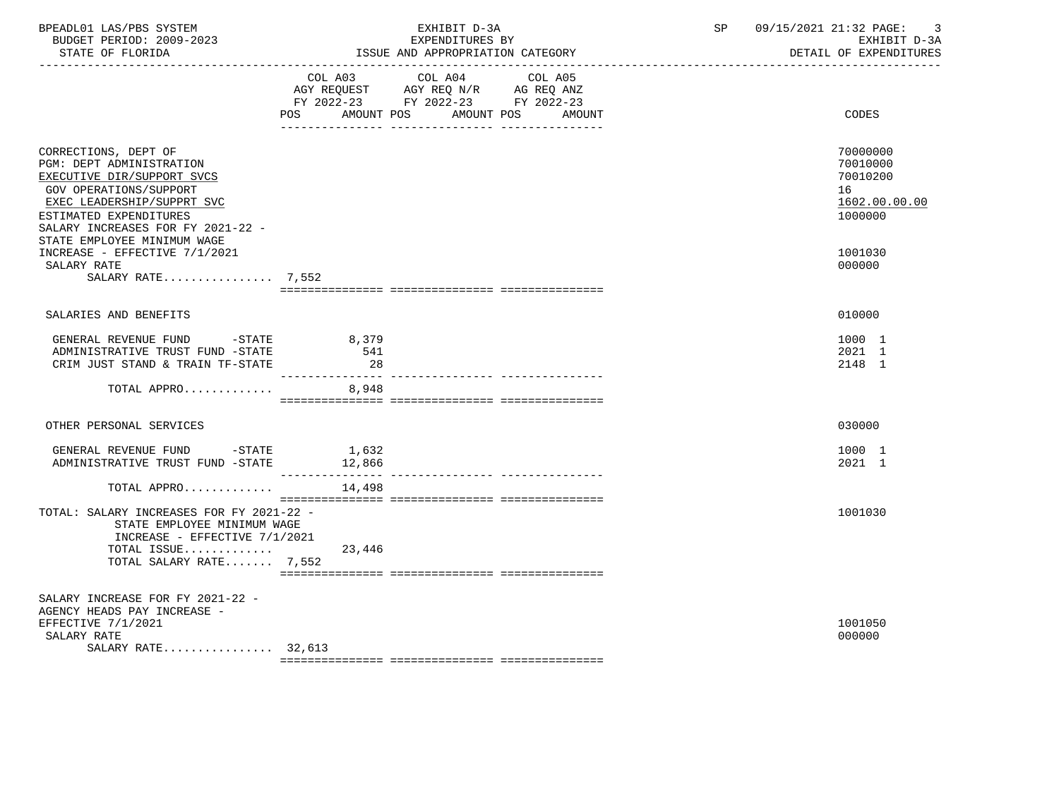| BPEADL01 LAS/PBS SYSTEM<br>BUDGET PERIOD: 2009-2023<br>STATE OF FLORIDA                                                                                                                                                                     | EXHIBIT D-3A<br>EXPENDITURES BY<br>ISSUE AND APPROPRIATION CATEGORY                                                                   | 09/15/2021 21:32 PAGE:<br>3<br>SP<br>EXHIBIT D-3A<br>DETAIL OF EXPENDITURES |
|---------------------------------------------------------------------------------------------------------------------------------------------------------------------------------------------------------------------------------------------|---------------------------------------------------------------------------------------------------------------------------------------|-----------------------------------------------------------------------------|
|                                                                                                                                                                                                                                             | COL A03 COL A04 COL A05<br>AGY REQUEST AGY REQ N/R AG REQ ANZ<br>FY 2022-23 FY 2022-23 FY 2022-23<br>POS AMOUNT POS AMOUNT POS AMOUNT | CODES                                                                       |
| CORRECTIONS, DEPT OF<br>PGM: DEPT ADMINISTRATION<br>EXECUTIVE DIR/SUPPORT SVCS<br><b>GOV OPERATIONS/SUPPORT</b><br>EXEC LEADERSHIP/SUPPRT SVC<br>ESTIMATED EXPENDITURES<br>SALARY INCREASES FOR FY 2021-22 -<br>STATE EMPLOYEE MINIMUM WAGE |                                                                                                                                       | 70000000<br>70010000<br>70010200<br>16<br>1602.00.00.00<br>1000000          |
| INCREASE - EFFECTIVE 7/1/2021<br>SALARY RATE<br>SALARY RATE $7,552$                                                                                                                                                                         |                                                                                                                                       | 1001030<br>000000                                                           |
| SALARIES AND BENEFITS                                                                                                                                                                                                                       |                                                                                                                                       | 010000                                                                      |
| GENERAL REVENUE FUND -STATE<br>ADMINISTRATIVE TRUST FUND -STATE<br>CRIM JUST STAND & TRAIN TF-STATE                                                                                                                                         | 8,379<br>541<br>28                                                                                                                    | 1000 1<br>2021 1<br>2148 1                                                  |
| TOTAL APPRO                                                                                                                                                                                                                                 | ---------------<br>8,948                                                                                                              |                                                                             |
| OTHER PERSONAL SERVICES                                                                                                                                                                                                                     |                                                                                                                                       | 030000                                                                      |
| GENERAL REVENUE FUND -STATE<br>ADMINISTRATIVE TRUST FUND -STATE 12,866                                                                                                                                                                      | 1,632                                                                                                                                 | 1000 1<br>2021 1                                                            |
| TOTAL APPRO                                                                                                                                                                                                                                 | 14,498                                                                                                                                |                                                                             |
| TOTAL: SALARY INCREASES FOR FY 2021-22 -<br>STATE EMPLOYEE MINIMUM WAGE<br>INCREASE - EFFECTIVE 7/1/2021<br>TOTAL ISSUE<br>TOTAL SALARY RATE 7,552                                                                                          | 23,446                                                                                                                                | 1001030                                                                     |
|                                                                                                                                                                                                                                             |                                                                                                                                       |                                                                             |
| SALARY INCREASE FOR FY 2021-22 -<br>AGENCY HEADS PAY INCREASE -<br>EFFECTIVE 7/1/2021<br>SALARY RATE<br>SALARY RATE 32,613                                                                                                                  |                                                                                                                                       | 1001050<br>000000                                                           |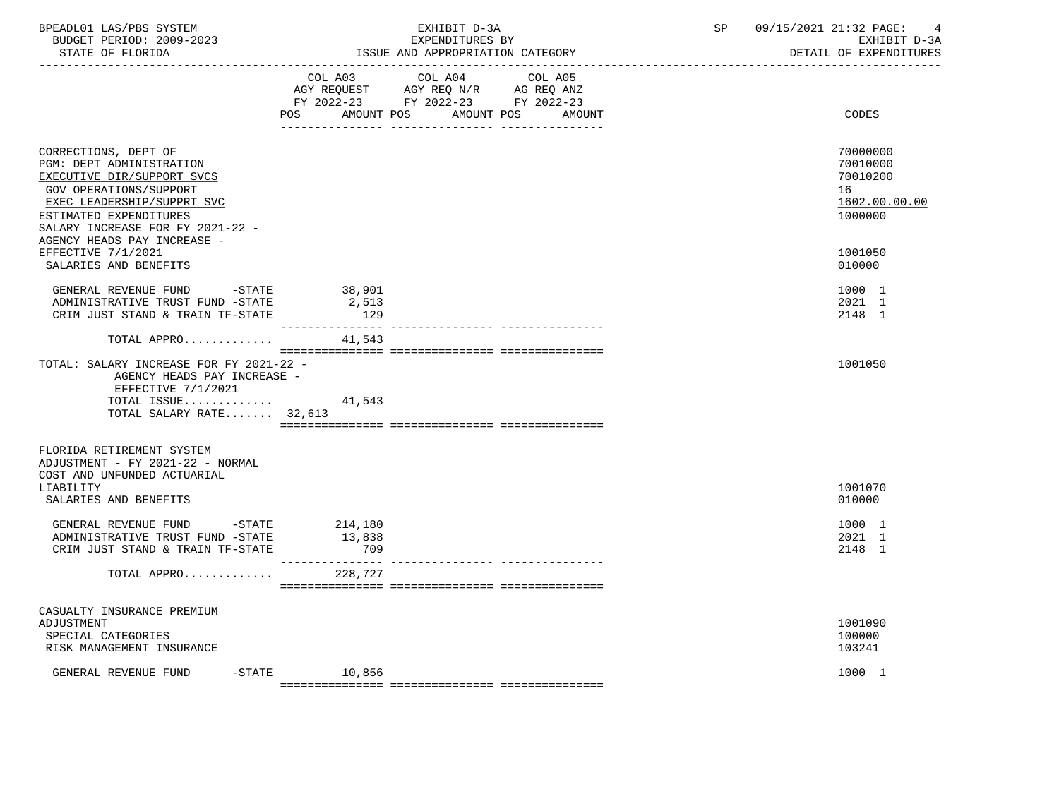| BPEADL01 LAS/PBS SYSTEM<br>BUDGET PERIOD: 2009-2023<br>STATE OF FLORIDA                                            |                        | EXHIBIT D-3A<br>EXPENDITURES BY<br>ISSUE AND APPROPRIATION CATEGORY                                                               | SP | 09/15/2021 21:32 PAGE: 4<br>EXHIBIT D-3A<br>DETAIL OF EXPENDITURES |
|--------------------------------------------------------------------------------------------------------------------|------------------------|-----------------------------------------------------------------------------------------------------------------------------------|----|--------------------------------------------------------------------|
|                                                                                                                    | POS                    | COL A03 COL A04 COL A05<br>AGY REQUEST AGY REQ N/R AG REQ ANZ<br>FY 2022-23 FY 2022-23 FY 2022-23<br>AMOUNT POS AMOUNT POS AMOUNT |    | CODES                                                              |
|                                                                                                                    |                        |                                                                                                                                   |    |                                                                    |
| CORRECTIONS, DEPT OF<br>PGM: DEPT ADMINISTRATION<br>EXECUTIVE DIR/SUPPORT SVCS                                     |                        |                                                                                                                                   |    | 70000000<br>70010000<br>70010200                                   |
| GOV OPERATIONS/SUPPORT<br>EXEC LEADERSHIP/SUPPRT SVC<br>ESTIMATED EXPENDITURES<br>SALARY INCREASE FOR FY 2021-22 - |                        |                                                                                                                                   |    | 16<br>1602.00.00.00<br>1000000                                     |
| AGENCY HEADS PAY INCREASE -<br>EFFECTIVE 7/1/2021<br>SALARIES AND BENEFITS                                         |                        |                                                                                                                                   |    | 1001050<br>010000                                                  |
| GENERAL REVENUE FUND -STATE<br>ADMINISTRATIVE TRUST FUND -STATE<br>CRIM JUST STAND & TRAIN TF-STATE                | 38,901<br>2,513<br>129 |                                                                                                                                   |    | 1000 1<br>2021 1<br>2148 1                                         |
| TOTAL APPRO $41,543$                                                                                               |                        |                                                                                                                                   |    |                                                                    |
| TOTAL: SALARY INCREASE FOR FY 2021-22 -<br>AGENCY HEADS PAY INCREASE -<br>EFFECTIVE 7/1/2021                       |                        |                                                                                                                                   |    | 1001050                                                            |
| TOTAL ISSUE<br>TOTAL SALARY RATE 32,613                                                                            | 41,543                 |                                                                                                                                   |    |                                                                    |
| FLORIDA RETIREMENT SYSTEM<br>ADJUSTMENT - FY 2021-22 - NORMAL<br>COST AND UNFUNDED ACTUARIAL                       |                        |                                                                                                                                   |    |                                                                    |
| LIABILITY<br>SALARIES AND BENEFITS                                                                                 |                        |                                                                                                                                   |    | 1001070<br>010000                                                  |
| GENERAL REVENUE FUND -STATE 214,180<br>ADMINISTRATIVE TRUST FUND -STATE<br>CRIM JUST STAND & TRAIN TF-STATE        | 13,838<br>709          |                                                                                                                                   |    | 1000 1<br>2021 1<br>2148 1                                         |
| TOTAL APPRO 228,727                                                                                                |                        |                                                                                                                                   |    |                                                                    |
| CASUALTY INSURANCE PREMIUM<br>ADJUSTMENT<br>SPECIAL CATEGORIES<br>RISK MANAGEMENT INSURANCE                        |                        |                                                                                                                                   |    | 1001090<br>100000<br>103241                                        |
| GENERAL REVENUE FUND<br>$-$ STATE                                                                                  | 10,856                 |                                                                                                                                   |    | 1000 1                                                             |
|                                                                                                                    |                        |                                                                                                                                   |    |                                                                    |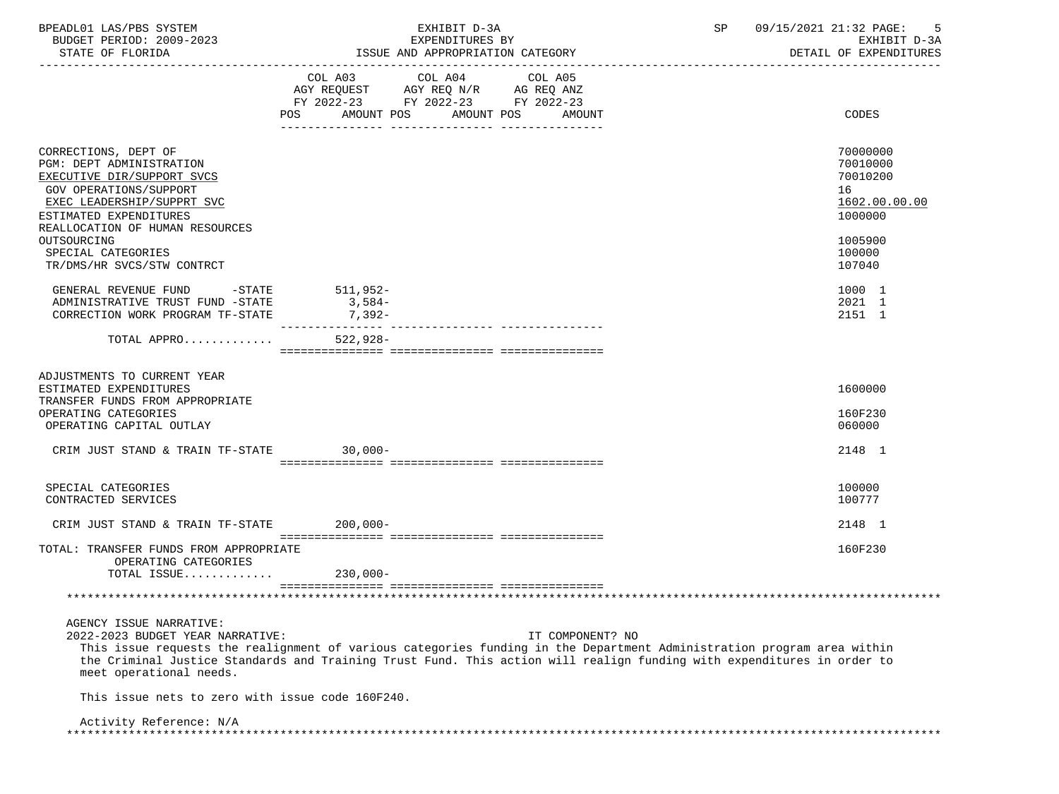| BPEADL01 LAS/PBS SYSTEM                                                                                                                                    |            | EXHIBIT D-3A                                                           |                                  | SP | 09/15/2021 21:32 PAGE:<br>-5           |
|------------------------------------------------------------------------------------------------------------------------------------------------------------|------------|------------------------------------------------------------------------|----------------------------------|----|----------------------------------------|
| BUDGET PERIOD: 2009-2023<br>STATE OF FLORIDA                                                                                                               |            | EXPENDITURES BY<br>ISSUE AND APPROPRIATION CATEGORY                    |                                  |    | EXHIBIT D-3A<br>DETAIL OF EXPENDITURES |
|                                                                                                                                                            |            |                                                                        |                                  |    |                                        |
|                                                                                                                                                            |            | COL A03 COL A04                                                        | COL A05                          |    |                                        |
|                                                                                                                                                            |            | AGY REQUEST AGY REQ N/R AG REQ ANZ<br>FY 2022-23 FY 2022-23 FY 2022-23 |                                  |    |                                        |
|                                                                                                                                                            |            |                                                                        | POS AMOUNT POS AMOUNT POS AMOUNT |    | <b>CODES</b>                           |
|                                                                                                                                                            |            |                                                                        |                                  |    |                                        |
| CORRECTIONS, DEPT OF                                                                                                                                       |            |                                                                        |                                  |    | 70000000                               |
| PGM: DEPT ADMINISTRATION                                                                                                                                   |            |                                                                        |                                  |    | 70010000                               |
| EXECUTIVE DIR/SUPPORT SVCS                                                                                                                                 |            |                                                                        |                                  |    | 70010200                               |
| GOV OPERATIONS/SUPPORT                                                                                                                                     |            |                                                                        |                                  |    | 16                                     |
| EXEC LEADERSHIP/SUPPRT SVC                                                                                                                                 |            |                                                                        |                                  |    | 1602.00.00.00                          |
| ESTIMATED EXPENDITURES                                                                                                                                     |            |                                                                        |                                  |    | 1000000                                |
| REALLOCATION OF HUMAN RESOURCES                                                                                                                            |            |                                                                        |                                  |    |                                        |
| OUTSOURCING                                                                                                                                                |            |                                                                        |                                  |    | 1005900                                |
| SPECIAL CATEGORIES                                                                                                                                         |            |                                                                        |                                  |    | 100000                                 |
| TR/DMS/HR SVCS/STW CONTRCT                                                                                                                                 |            |                                                                        |                                  |    | 107040                                 |
| GENERAL REVENUE FUND -STATE 511,952-                                                                                                                       |            |                                                                        |                                  |    | 1000 1                                 |
| ADMINISTRATIVE TRUST FUND -STATE                                                                                                                           | $3,584-$   |                                                                        |                                  |    | 2021 1                                 |
| CORRECTION WORK PROGRAM TF-STATE                                                                                                                           | 7,392-     |                                                                        |                                  |    | 2151 1                                 |
| TOTAL APPRO                                                                                                                                                | $522,928-$ |                                                                        |                                  |    |                                        |
|                                                                                                                                                            |            |                                                                        |                                  |    |                                        |
| ADJUSTMENTS TO CURRENT YEAR                                                                                                                                |            |                                                                        |                                  |    |                                        |
| ESTIMATED EXPENDITURES                                                                                                                                     |            |                                                                        |                                  |    | 1600000                                |
| TRANSFER FUNDS FROM APPROPRIATE                                                                                                                            |            |                                                                        |                                  |    |                                        |
| OPERATING CATEGORIES                                                                                                                                       |            |                                                                        |                                  |    | 160F230                                |
| OPERATING CAPITAL OUTLAY                                                                                                                                   |            |                                                                        |                                  |    | 060000                                 |
| CRIM JUST STAND & TRAIN TF-STATE 30,000-                                                                                                                   |            |                                                                        |                                  |    | 2148 1                                 |
|                                                                                                                                                            |            |                                                                        |                                  |    |                                        |
| SPECIAL CATEGORIES                                                                                                                                         |            |                                                                        |                                  |    | 100000                                 |
| CONTRACTED SERVICES                                                                                                                                        |            |                                                                        |                                  |    | 100777                                 |
|                                                                                                                                                            |            |                                                                        |                                  |    |                                        |
| CRIM JUST STAND & TRAIN TF-STATE 200,000-                                                                                                                  |            |                                                                        |                                  |    | 2148 1                                 |
| TOTAL: TRANSFER FUNDS FROM APPROPRIATE                                                                                                                     |            |                                                                        |                                  |    | 160F230                                |
| OPERATING CATEGORIES                                                                                                                                       |            |                                                                        |                                  |    |                                        |
| TOTAL ISSUE $230,000-$                                                                                                                                     |            |                                                                        |                                  |    |                                        |
|                                                                                                                                                            |            |                                                                        |                                  |    |                                        |
|                                                                                                                                                            |            |                                                                        |                                  |    |                                        |
| AGENCY ISSUE NARRATIVE:                                                                                                                                    |            |                                                                        |                                  |    |                                        |
| 2022-2023 BUDGET YEAR NARRATIVE:<br>This issue requests the realignment of various categories funding in the Department Administration program area within |            |                                                                        | IT COMPONENT? NO                 |    |                                        |
| the Criminal Justice Standards and Training Trust Fund. This action will realign funding with expenditures in order to                                     |            |                                                                        |                                  |    |                                        |
| meet operational needs.                                                                                                                                    |            |                                                                        |                                  |    |                                        |
| This issue nets to zero with issue code 160F240.                                                                                                           |            |                                                                        |                                  |    |                                        |
| Activity Reference: N/A                                                                                                                                    |            |                                                                        |                                  |    |                                        |
|                                                                                                                                                            |            |                                                                        |                                  |    |                                        |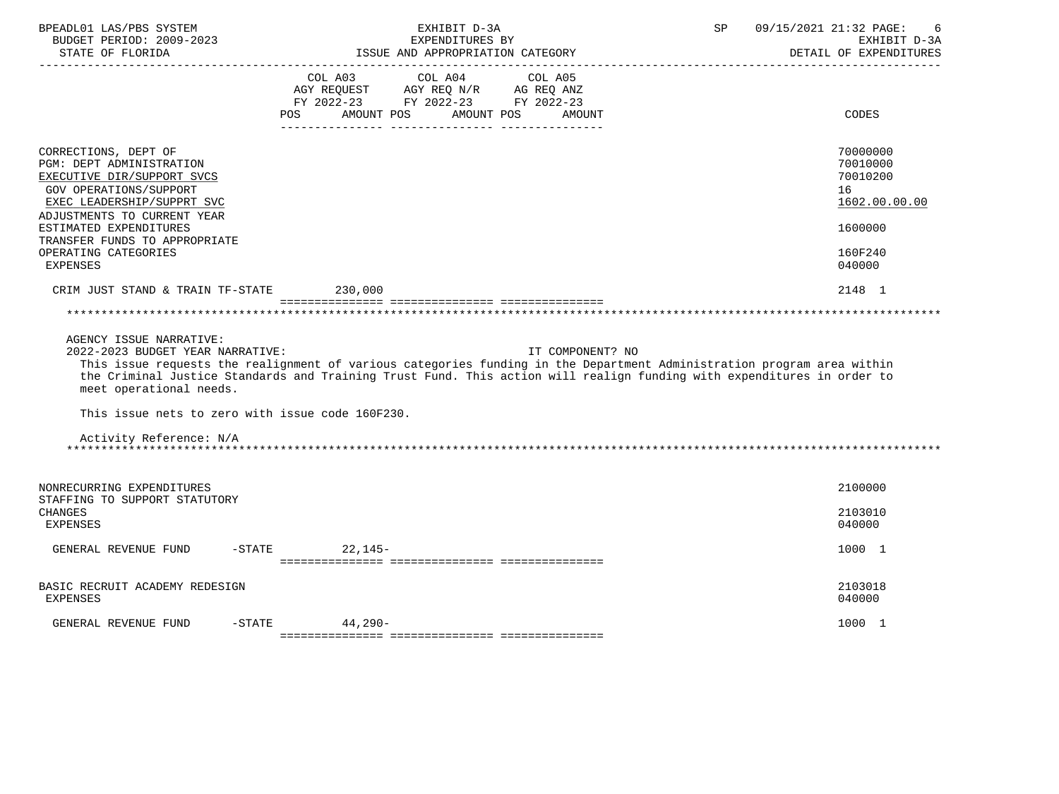| BUDGET PERIOD: 2009-2023<br>STATE OF FLORIDA<br>---------------------                                                                                                 | EXHIBIT D-3A<br>EXPENDITURES BY<br>ISSUE AND APPROPRIATION CATEGORY                                                                                                                                                                              | 09/15/2021 21:32 PAGE:<br>SP<br>6<br>EXHIBIT D-3A<br>DETAIL OF EXPENDITURES |
|-----------------------------------------------------------------------------------------------------------------------------------------------------------------------|--------------------------------------------------------------------------------------------------------------------------------------------------------------------------------------------------------------------------------------------------|-----------------------------------------------------------------------------|
|                                                                                                                                                                       | COL A03 COL A04 COL A05<br>AGY REQUEST AGY REQ N/R AG REQ ANZ<br>FY 2022-23 FY 2022-23 FY 2022-23<br><b>POS</b><br>AMOUNT POS<br>AMOUNT POS<br>AMOUNT                                                                                            | CODES                                                                       |
| CORRECTIONS, DEPT OF<br>PGM: DEPT ADMINISTRATION<br>EXECUTIVE DIR/SUPPORT SVCS<br>GOV OPERATIONS/SUPPORT<br>EXEC LEADERSHIP/SUPPRT SVC<br>ADJUSTMENTS TO CURRENT YEAR |                                                                                                                                                                                                                                                  | 70000000<br>70010000<br>70010200<br>16<br>1602.00.00.00                     |
| ESTIMATED EXPENDITURES<br>TRANSFER FUNDS TO APPROPRIATE<br>OPERATING CATEGORIES<br><b>EXPENSES</b>                                                                    |                                                                                                                                                                                                                                                  | 1600000<br>160F240<br>040000                                                |
| CRIM JUST STAND & TRAIN TF-STATE                                                                                                                                      | 230,000                                                                                                                                                                                                                                          | 2148 1                                                                      |
| meet operational needs.<br>This issue nets to zero with issue code 160F230.                                                                                           | This issue requests the realignment of various categories funding in the Department Administration program area within<br>the Criminal Justice Standards and Training Trust Fund. This action will realign funding with expenditures in order to |                                                                             |
| Activity Reference: N/A                                                                                                                                               |                                                                                                                                                                                                                                                  |                                                                             |
|                                                                                                                                                                       |                                                                                                                                                                                                                                                  |                                                                             |
| NONRECURRING EXPENDITURES<br>STAFFING TO SUPPORT STATUTORY                                                                                                            |                                                                                                                                                                                                                                                  | 2100000                                                                     |
| CHANGES<br>EXPENSES                                                                                                                                                   |                                                                                                                                                                                                                                                  | 2103010<br>040000                                                           |
| GENERAL REVENUE FUND                                                                                                                                                  | $-STATE$<br>$22.145-$                                                                                                                                                                                                                            | 1000 1                                                                      |
| BASIC RECRUIT ACADEMY REDESIGN<br><b>EXPENSES</b>                                                                                                                     |                                                                                                                                                                                                                                                  | 2103018<br>040000                                                           |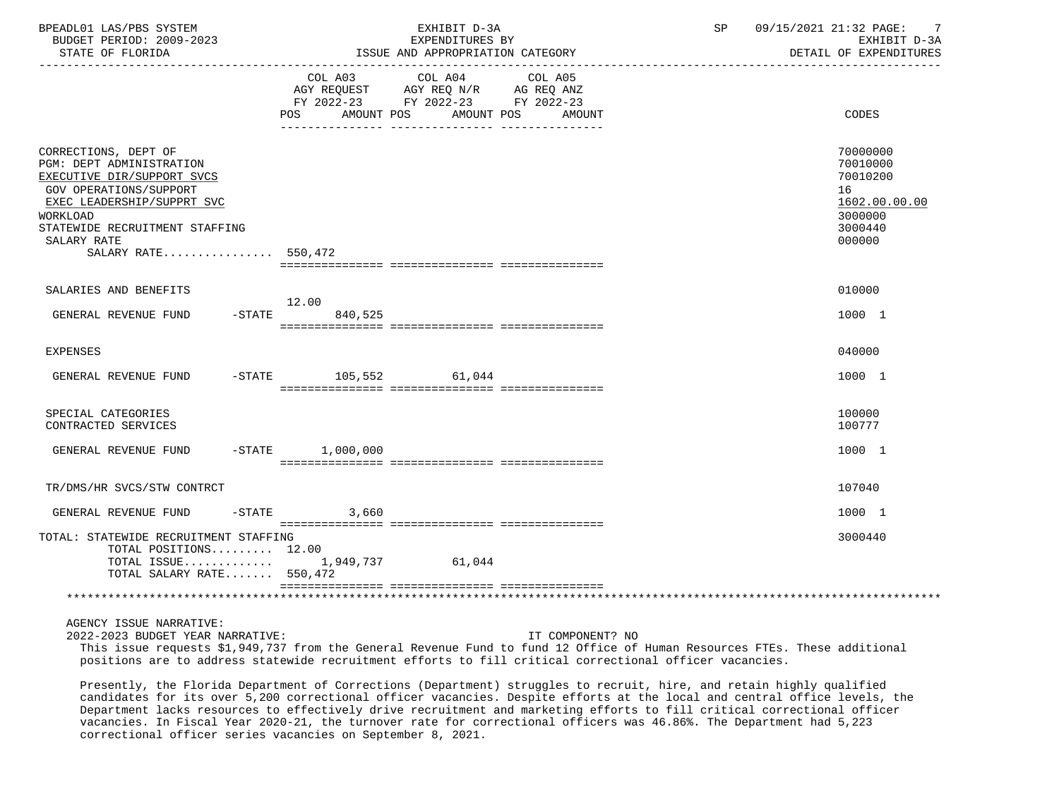| BPEADL01 LAS/PBS SYSTEM<br>BUDGET PERIOD: 2009-2023<br>STATE OF FLORIDA                                                                                                                                                           |                          | EXHIBIT D-3A<br>EXPENDITURES BY<br>ISSUE AND APPROPRIATION CATEGORY                                                                                           | 09/15/2021 21:32 PAGE:<br>SP<br>$\overline{7}$<br>EXHIBIT D-3A<br>DETAIL OF EXPENDITURES |
|-----------------------------------------------------------------------------------------------------------------------------------------------------------------------------------------------------------------------------------|--------------------------|---------------------------------------------------------------------------------------------------------------------------------------------------------------|------------------------------------------------------------------------------------------|
|                                                                                                                                                                                                                                   | <b>POS</b><br>AMOUNT POS | COL A03 COL A04 COL A05<br>AGY REQUEST AGY REQ N/R AG REQ ANZ<br>FY 2022-23 FY 2022-23 FY 2022-23<br>AMOUNT POS<br>AMOUNT<br>____ _______________ ___________ | CODES                                                                                    |
| CORRECTIONS, DEPT OF<br>PGM: DEPT ADMINISTRATION<br>EXECUTIVE DIR/SUPPORT SVCS<br>GOV OPERATIONS/SUPPORT<br>EXEC LEADERSHIP/SUPPRT SVC<br><b>WORKLOAD</b><br>STATEWIDE RECRUITMENT STAFFING<br>SALARY RATE<br>SALARY RATE 550,472 |                          |                                                                                                                                                               | 70000000<br>70010000<br>70010200<br>16<br>1602.00.00.00<br>3000000<br>3000440<br>000000  |
| SALARIES AND BENEFITS                                                                                                                                                                                                             | 12.00                    |                                                                                                                                                               | 010000                                                                                   |
| $-$ STATE<br>GENERAL REVENUE FUND                                                                                                                                                                                                 | 840,525                  |                                                                                                                                                               | 1000 1                                                                                   |
| <b>EXPENSES</b>                                                                                                                                                                                                                   |                          |                                                                                                                                                               | 040000                                                                                   |
| GENERAL REVENUE FUND                                                                                                                                                                                                              | -STATE 105,552 61,044    |                                                                                                                                                               | 1000 1                                                                                   |
| SPECIAL CATEGORIES<br>CONTRACTED SERVICES                                                                                                                                                                                         |                          |                                                                                                                                                               | 100000<br>100777                                                                         |
| $-$ STATE<br>GENERAL REVENUE FUND                                                                                                                                                                                                 | 1,000,000                |                                                                                                                                                               | 1000 1                                                                                   |
| TR/DMS/HR SVCS/STW CONTRCT                                                                                                                                                                                                        |                          |                                                                                                                                                               | 107040                                                                                   |
| $-$ STATE<br>GENERAL REVENUE FUND                                                                                                                                                                                                 | 3,660                    |                                                                                                                                                               | 1000 1                                                                                   |
| TOTAL: STATEWIDE RECRUITMENT STAFFING<br>TOTAL POSITIONS 12.00<br>TOTAL ISSUE $1,949,737$<br>TOTAL SALARY RATE 550,472                                                                                                            |                          | 61,044                                                                                                                                                        | 3000440                                                                                  |
|                                                                                                                                                                                                                                   |                          |                                                                                                                                                               |                                                                                          |
| AGENCY ISSUE NARRATIVE:<br>2022-2023 BUDGET YEAR NARRATIVE:                                                                                                                                                                       |                          | IT COMPONENT? NO                                                                                                                                              |                                                                                          |

 This issue requests \$1,949,737 from the General Revenue Fund to fund 12 Office of Human Resources FTEs. These additional positions are to address statewide recruitment efforts to fill critical correctional officer vacancies.

 Presently, the Florida Department of Corrections (Department) struggles to recruit, hire, and retain highly qualified candidates for its over 5,200 correctional officer vacancies. Despite efforts at the local and central office levels, the Department lacks resources to effectively drive recruitment and marketing efforts to fill critical correctional officer vacancies. In Fiscal Year 2020-21, the turnover rate for correctional officers was 46.86%. The Department had 5,223 correctional officer series vacancies on September 8, 2021.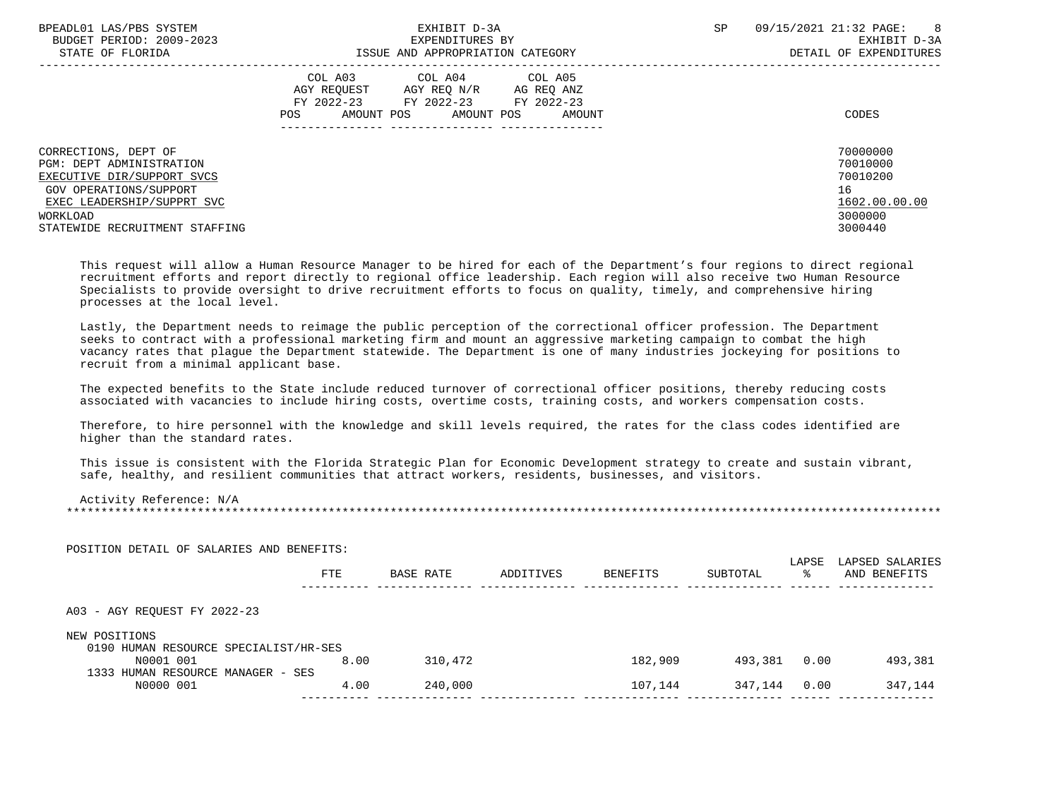| BPEADL01 LAS/PBS SYSTEM<br>BUDGET PERIOD: 2009-2023<br>STATE OF FLORIDA                                                                                                              | EXHIBIT D-3A<br>EXPENDITURES BY<br>ISSUE AND APPROPRIATION CATEGORY                                                                                | 09/15/2021 21:32 PAGE:<br>8 <sup>8</sup><br>SP.<br>EXHIBIT D-3A<br>DETAIL OF EXPENDITURES |
|--------------------------------------------------------------------------------------------------------------------------------------------------------------------------------------|----------------------------------------------------------------------------------------------------------------------------------------------------|-------------------------------------------------------------------------------------------|
|                                                                                                                                                                                      | COL A03 COL A04 COL A05<br>AGY REOUEST<br>AGY REO N/R<br>AG REQ ANZ<br>FY 2022-23 FY 2022-23 FY 2022-23<br>AMOUNT POS AMOUNT POS<br>POS.<br>AMOUNT | CODES                                                                                     |
| CORRECTIONS, DEPT OF<br>PGM: DEPT ADMINISTRATION<br>EXECUTIVE DIR/SUPPORT SVCS<br>GOV OPERATIONS/SUPPORT<br>EXEC LEADERSHIP/SUPPRT SVC<br>WORKLOAD<br>STATEWIDE RECRUITMENT STAFFING |                                                                                                                                                    | 70000000<br>70010000<br>70010200<br>16<br>1602.00.00.00<br>3000000<br>3000440             |

 This request will allow a Human Resource Manager to be hired for each of the Department's four regions to direct regional recruitment efforts and report directly to regional office leadership. Each region will also receive two Human Resource Specialists to provide oversight to drive recruitment efforts to focus on quality, timely, and comprehensive hiring processes at the local level.

 Lastly, the Department needs to reimage the public perception of the correctional officer profession. The Department seeks to contract with a professional marketing firm and mount an aggressive marketing campaign to combat the high vacancy rates that plague the Department statewide. The Department is one of many industries jockeying for positions to recruit from a minimal applicant base.

 The expected benefits to the State include reduced turnover of correctional officer positions, thereby reducing costs associated with vacancies to include hiring costs, overtime costs, training costs, and workers compensation costs.

 Therefore, to hire personnel with the knowledge and skill levels required, the rates for the class codes identified are higher than the standard rates.

 This issue is consistent with the Florida Strategic Plan for Economic Development strategy to create and sustain vibrant, safe, healthy, and resilient communities that attract workers, residents, businesses, and visitors.

POSITION DETAIL OF SALARIES AND BENEFITS:

| Activity Reference: N/A |  |
|-------------------------|--|
|                         |  |

| POSITION DETAIL OF SALARIES AND BENEFITS: |      |           |           |                 |          | LAPSE | LAPSED SALARIES |
|-------------------------------------------|------|-----------|-----------|-----------------|----------|-------|-----------------|
|                                           | FTE  | BASE RATE | ADDITIVES | <b>BENEFITS</b> | SUBTOTAL | °≈    | AND BENEFITS    |
|                                           |      |           |           |                 |          |       |                 |
| A03 - AGY REOUEST FY 2022-23              |      |           |           |                 |          |       |                 |
| NEW POSITIONS                             |      |           |           |                 |          |       |                 |
| 0190 HUMAN RESOURCE SPECIALIST/HR-SES     |      |           |           |                 |          |       |                 |
| N0001 001                                 | 8.00 | 310,472   |           | 182,909         | 493,381  | 0.00  | 493,381         |
| 1333 HUMAN RESOURCE MANAGER - SES         |      |           |           |                 |          |       |                 |
| N0000 001                                 | 4.00 | 240,000   |           | 107,144         | 347,144  | 0.00  | 347,144         |
|                                           |      |           |           |                 |          |       |                 |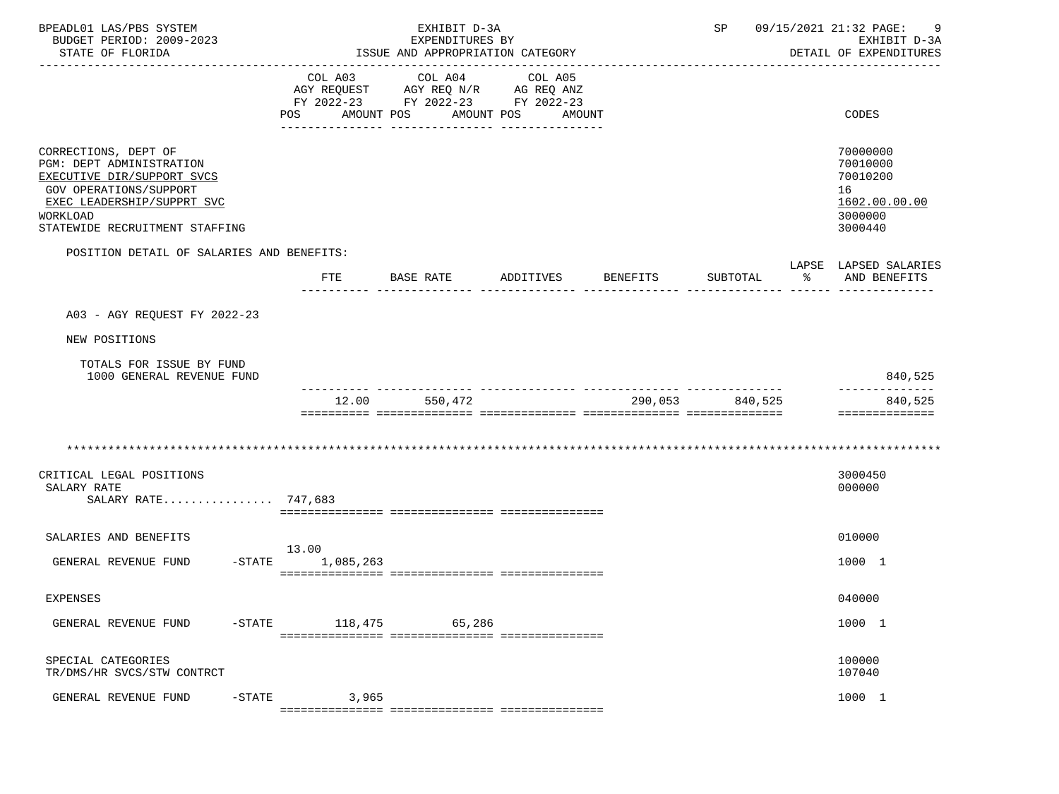| BPEADL01 LAS/PBS SYSTEM<br>BUDGET PERIOD: 2009-2023<br>STATE OF FLORIDA                                                                                                              |                                 | EXHIBIT D-3A<br>EXPENDITURES BY<br>ISSUE AND APPROPRIATION CATEGORY                                           |                   | 09/15/2021 21:32 PAGE:<br>SP<br>EXHIBIT D-3A<br>DETAIL OF EXPENDITURES |  |                                                                               |
|--------------------------------------------------------------------------------------------------------------------------------------------------------------------------------------|---------------------------------|---------------------------------------------------------------------------------------------------------------|-------------------|------------------------------------------------------------------------|--|-------------------------------------------------------------------------------|
|                                                                                                                                                                                      | COL A03<br>POS                  | COL A04<br>AGY REQUEST AGY REQ N/R AG REQ ANZ<br>FY 2022-23 FY 2022-23 FY 2022-23<br>AMOUNT POS<br>AMOUNT POS | COL A05<br>AMOUNT |                                                                        |  | CODES                                                                         |
| CORRECTIONS, DEPT OF<br>PGM: DEPT ADMINISTRATION<br>EXECUTIVE DIR/SUPPORT SVCS<br>GOV OPERATIONS/SUPPORT<br>EXEC LEADERSHIP/SUPPRT SVC<br>WORKLOAD<br>STATEWIDE RECRUITMENT STAFFING |                                 |                                                                                                               |                   |                                                                        |  | 70000000<br>70010000<br>70010200<br>16<br>1602.00.00.00<br>3000000<br>3000440 |
| POSITION DETAIL OF SALARIES AND BENEFITS:                                                                                                                                            | FTE                             |                                                                                                               |                   | SUBTOTAL %                                                             |  | LAPSE LAPSED SALARIES<br>AND BENEFITS                                         |
| A03 - AGY REOUEST FY 2022-23                                                                                                                                                         |                                 |                                                                                                               |                   |                                                                        |  |                                                                               |
| NEW POSITIONS                                                                                                                                                                        |                                 |                                                                                                               |                   |                                                                        |  |                                                                               |
| TOTALS FOR ISSUE BY FUND<br>1000 GENERAL REVENUE FUND                                                                                                                                |                                 |                                                                                                               |                   |                                                                        |  | 840,525                                                                       |
|                                                                                                                                                                                      | 12.00                           | 550,472                                                                                                       |                   | 290,053 840,525                                                        |  | 840,525<br>==============                                                     |
|                                                                                                                                                                                      |                                 |                                                                                                               |                   |                                                                        |  |                                                                               |
| CRITICAL LEGAL POSITIONS<br>SALARY RATE<br>SALARY RATE 747,683                                                                                                                       |                                 |                                                                                                               |                   |                                                                        |  | 3000450<br>000000                                                             |
| SALARIES AND BENEFITS                                                                                                                                                                |                                 |                                                                                                               |                   |                                                                        |  | 010000                                                                        |
| GENERAL REVENUE FUND                                                                                                                                                                 | 13.00<br>$-$ STATE<br>1,085,263 |                                                                                                               |                   |                                                                        |  | 1000 1                                                                        |
| EXPENSES                                                                                                                                                                             |                                 |                                                                                                               |                   |                                                                        |  | 040000                                                                        |
| GENERAL REVENUE FUND<br>$-$ STATE                                                                                                                                                    | 118,475                         | 65,286                                                                                                        |                   |                                                                        |  | 1000 1                                                                        |
| SPECIAL CATEGORIES<br>TR/DMS/HR SVCS/STW CONTRCT                                                                                                                                     |                                 |                                                                                                               |                   |                                                                        |  | 100000<br>107040                                                              |
| $-STATE$<br>GENERAL REVENUE FUND                                                                                                                                                     | 3,965                           |                                                                                                               |                   |                                                                        |  | 1000 1                                                                        |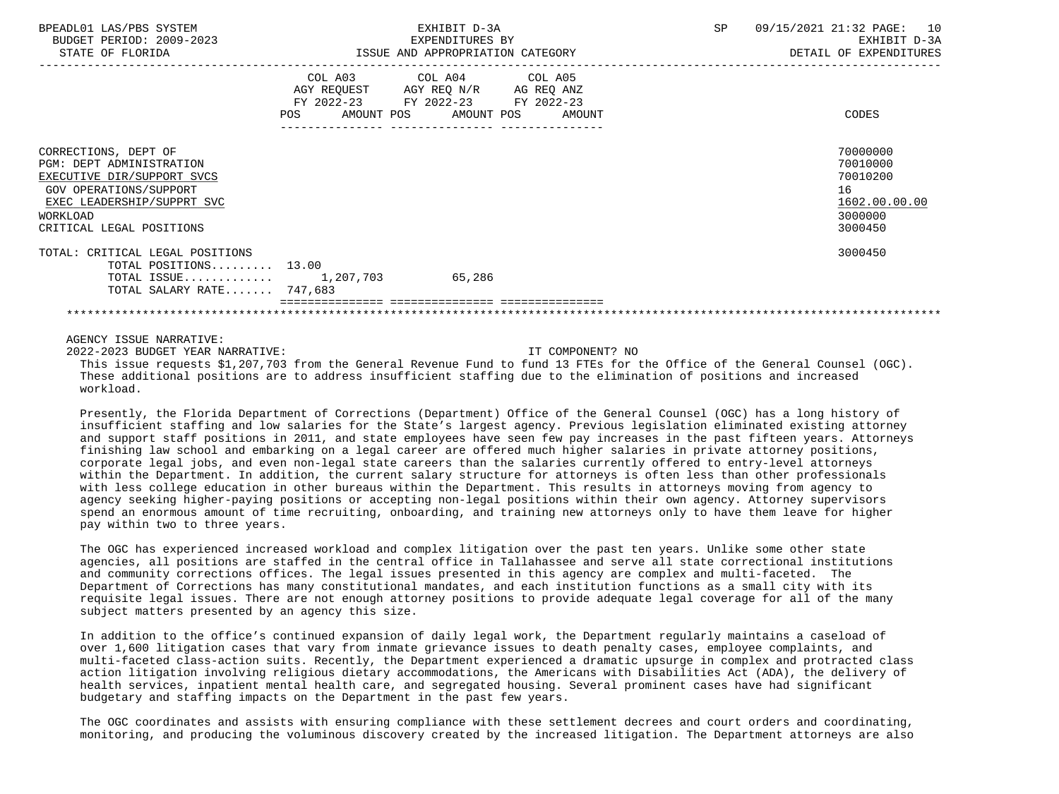| BPEADL01 LAS/PBS SYSTEM<br>BUDGET PERIOD: 2009-2023<br>STATE OF FLORIDA                                                                                                               | EXHIBIT D-3A<br>EXPENDITURES BY<br>ISSUE AND APPROPRIATION CATEGORY |                                                                                                             | SP 09/15/2021 21:32 PAGE: 10<br>EXHIBIT D-3A<br>DETAIL OF EXPENDITURES        |
|---------------------------------------------------------------------------------------------------------------------------------------------------------------------------------------|---------------------------------------------------------------------|-------------------------------------------------------------------------------------------------------------|-------------------------------------------------------------------------------|
|                                                                                                                                                                                       | POS AMOUNT POS AMOUNT POS                                           | COL A03 COL A04 COL A05<br>AGY REQUEST AGY REQ N/R AG REQ ANZ<br>FY 2022-23 FY 2022-23 FY 2022-23<br>AMOUNT | CODES                                                                         |
| CORRECTIONS, DEPT OF<br><b>PGM: DEPT ADMINISTRATION</b><br>EXECUTIVE DIR/SUPPORT SVCS<br>GOV OPERATIONS/SUPPORT<br>EXEC LEADERSHIP/SUPPRT SVC<br>WORKLOAD<br>CRITICAL LEGAL POSITIONS |                                                                     |                                                                                                             | 70000000<br>70010000<br>70010200<br>16<br>1602.00.00.00<br>3000000<br>3000450 |
| TOTAL: CRITICAL LEGAL POSITIONS<br>TOTAL POSITIONS 13.00<br>TOTAL ISSUE $1,207,703$<br>TOTAL SALARY RATE 747,683                                                                      |                                                                     | 65,286                                                                                                      | 3000450                                                                       |
|                                                                                                                                                                                       |                                                                     |                                                                                                             |                                                                               |

2022-2023 BUDGET YEAR NARRATIVE: IT COMPONENT? NO

## This issue requests \$1,207,703 from the General Revenue Fund to fund 13 FTEs for the Office of the General Counsel (OGC). These additional positions are to address insufficient staffing due to the elimination of positions and increased workload.

 Presently, the Florida Department of Corrections (Department) Office of the General Counsel (OGC) has a long history of insufficient staffing and low salaries for the State's largest agency. Previous legislation eliminated existing attorney and support staff positions in 2011, and state employees have seen few pay increases in the past fifteen years. Attorneys finishing law school and embarking on a legal career are offered much higher salaries in private attorney positions, corporate legal jobs, and even non-legal state careers than the salaries currently offered to entry-level attorneys within the Department. In addition, the current salary structure for attorneys is often less than other professionals with less college education in other bureaus within the Department. This results in attorneys moving from agency to agency seeking higher-paying positions or accepting non-legal positions within their own agency. Attorney supervisors spend an enormous amount of time recruiting, onboarding, and training new attorneys only to have them leave for higher pay within two to three years.

 The OGC has experienced increased workload and complex litigation over the past ten years. Unlike some other state agencies, all positions are staffed in the central office in Tallahassee and serve all state correctional institutions and community corrections offices. The legal issues presented in this agency are complex and multi-faceted. The Department of Corrections has many constitutional mandates, and each institution functions as a small city with its requisite legal issues. There are not enough attorney positions to provide adequate legal coverage for all of the many subject matters presented by an agency this size.

 In addition to the office's continued expansion of daily legal work, the Department regularly maintains a caseload of over 1,600 litigation cases that vary from inmate grievance issues to death penalty cases, employee complaints, and multi-faceted class-action suits. Recently, the Department experienced a dramatic upsurge in complex and protracted class action litigation involving religious dietary accommodations, the Americans with Disabilities Act (ADA), the delivery of health services, inpatient mental health care, and segregated housing. Several prominent cases have had significant budgetary and staffing impacts on the Department in the past few years.

 The OGC coordinates and assists with ensuring compliance with these settlement decrees and court orders and coordinating, monitoring, and producing the voluminous discovery created by the increased litigation. The Department attorneys are also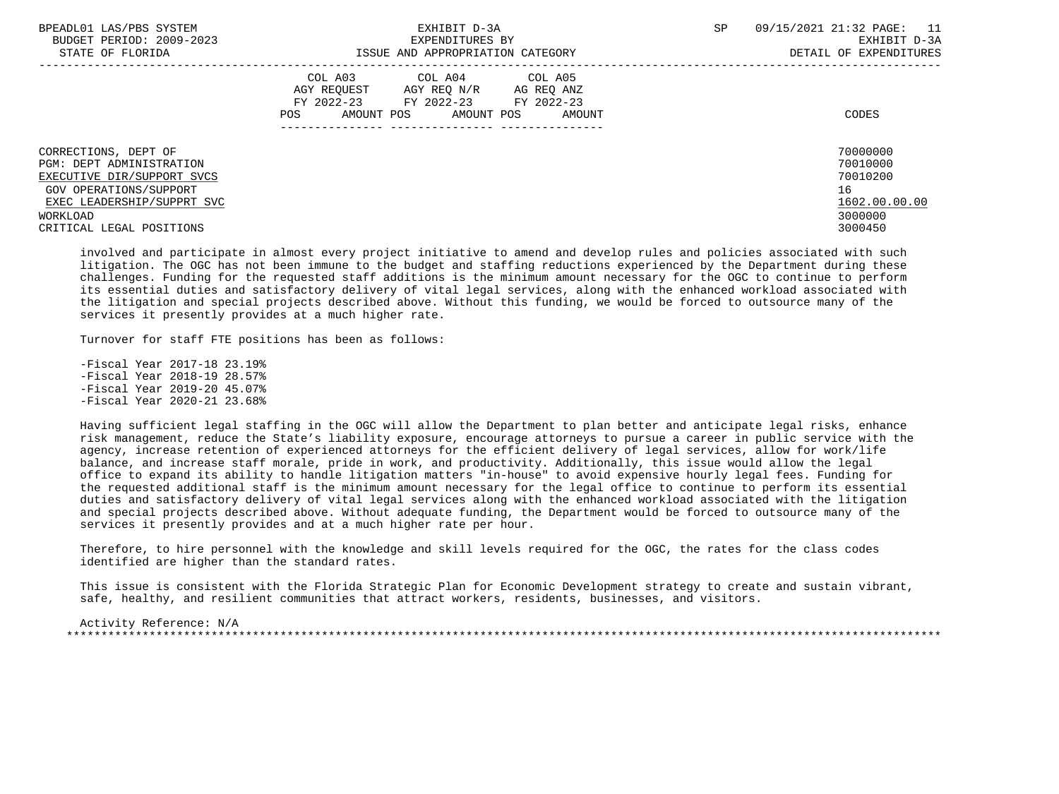| BPEADL01 LAS/PBS SYSTEM<br>BUDGET PERIOD: 2009-2023<br>STATE OF FLORIDA            | EXHIBIT D-3A<br>EXPENDITURES BY<br>ISSUE AND APPROPRIATION CATEGORY                                                                               | 09/15/2021 21:32 PAGE:<br>11<br><b>SP</b><br>EXHIBIT D-3A<br>DETAIL OF EXPENDITURES |
|------------------------------------------------------------------------------------|---------------------------------------------------------------------------------------------------------------------------------------------------|-------------------------------------------------------------------------------------|
|                                                                                    | COL A03 COL A04 COL A05<br>AGY REOUEST<br>AGY REO N/R<br>AG REO ANZ<br>FY 2022-23 FY 2022-23 FY 2022-23<br>POS<br>AMOUNT POS AMOUNT POS<br>AMOUNT | CODES                                                                               |
| CORRECTIONS, DEPT OF<br><b>PGM: DEPT ADMINISTRATION</b>                            |                                                                                                                                                   | 70000000<br>70010000                                                                |
| EXECUTIVE DIR/SUPPORT SVCS<br>GOV OPERATIONS/SUPPORT<br>EXEC LEADERSHIP/SUPPRT SVC |                                                                                                                                                   | 70010200<br>16<br>1602.00.00.00                                                     |
| WORKLOAD<br>CRITICAL LEGAL POSITIONS                                               |                                                                                                                                                   | 3000000<br>3000450                                                                  |

 involved and participate in almost every project initiative to amend and develop rules and policies associated with such litigation. The OGC has not been immune to the budget and staffing reductions experienced by the Department during these challenges. Funding for the requested staff additions is the minimum amount necessary for the OGC to continue to perform its essential duties and satisfactory delivery of vital legal services, along with the enhanced workload associated with the litigation and special projects described above. Without this funding, we would be forced to outsource many of the services it presently provides at a much higher rate.

Turnover for staff FTE positions has been as follows:

 -Fiscal Year 2017-18 23.19% -Fiscal Year 2018-19 28.57% -Fiscal Year 2019-20 45.07% -Fiscal Year 2020-21 23.68%

 Having sufficient legal staffing in the OGC will allow the Department to plan better and anticipate legal risks, enhance risk management, reduce the State's liability exposure, encourage attorneys to pursue a career in public service with the agency, increase retention of experienced attorneys for the efficient delivery of legal services, allow for work/life balance, and increase staff morale, pride in work, and productivity. Additionally, this issue would allow the legal office to expand its ability to handle litigation matters "in-house" to avoid expensive hourly legal fees. Funding for the requested additional staff is the minimum amount necessary for the legal office to continue to perform its essential duties and satisfactory delivery of vital legal services along with the enhanced workload associated with the litigation and special projects described above. Without adequate funding, the Department would be forced to outsource many of the services it presently provides and at a much higher rate per hour.

 Therefore, to hire personnel with the knowledge and skill levels required for the OGC, the rates for the class codes identified are higher than the standard rates.

 This issue is consistent with the Florida Strategic Plan for Economic Development strategy to create and sustain vibrant, safe, healthy, and resilient communities that attract workers, residents, businesses, and visitors.

 Activity Reference: N/A \*\*\*\*\*\*\*\*\*\*\*\*\*\*\*\*\*\*\*\*\*\*\*\*\*\*\*\*\*\*\*\*\*\*\*\*\*\*\*\*\*\*\*\*\*\*\*\*\*\*\*\*\*\*\*\*\*\*\*\*\*\*\*\*\*\*\*\*\*\*\*\*\*\*\*\*\*\*\*\*\*\*\*\*\*\*\*\*\*\*\*\*\*\*\*\*\*\*\*\*\*\*\*\*\*\*\*\*\*\*\*\*\*\*\*\*\*\*\*\*\*\*\*\*\*\*\*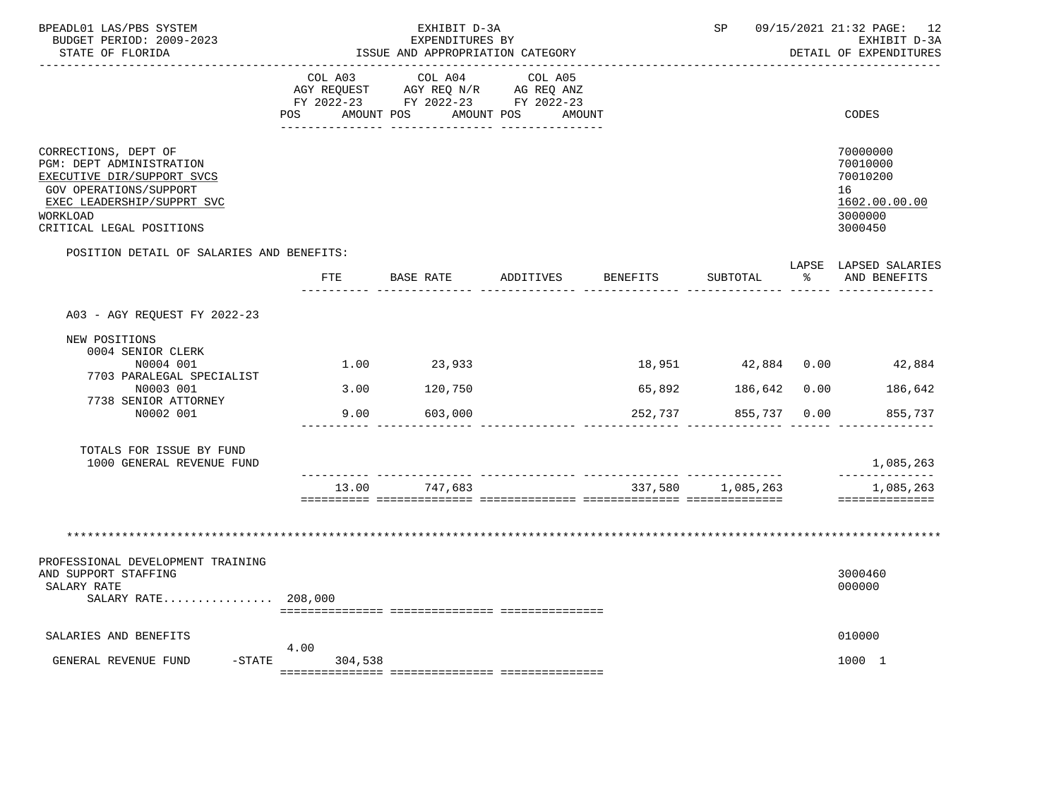| BPEADL01 LAS/PBS SYSTEM<br>BUDGET PERIOD: 2009-2023<br>STATE OF FLORIDA                                                                                                               |                                     | EXHIBIT D-3A<br>EXPENDITURES BY<br>ISSUE AND APPROPRIATION CATEGORY               |                                 |          | SP                |           | 09/15/2021 21:32 PAGE: 12<br>EXHIBIT D-3A<br>DETAIL OF EXPENDITURES           |
|---------------------------------------------------------------------------------------------------------------------------------------------------------------------------------------|-------------------------------------|-----------------------------------------------------------------------------------|---------------------------------|----------|-------------------|-----------|-------------------------------------------------------------------------------|
|                                                                                                                                                                                       | COL A03<br><b>POS</b><br>AMOUNT POS | COL A04<br>AGY REQUEST AGY REQ N/R AG REQ ANZ<br>FY 2022-23 FY 2022-23 FY 2022-23 | COL A05<br>AMOUNT POS<br>AMOUNT |          |                   |           | CODES                                                                         |
| CORRECTIONS, DEPT OF<br>PGM: DEPT ADMINISTRATION<br>EXECUTIVE DIR/SUPPORT SVCS<br><b>GOV OPERATIONS/SUPPORT</b><br>EXEC LEADERSHIP/SUPPRT SVC<br>WORKLOAD<br>CRITICAL LEGAL POSITIONS |                                     |                                                                                   |                                 |          |                   |           | 70000000<br>70010000<br>70010200<br>16<br>1602.00.00.00<br>3000000<br>3000450 |
| POSITION DETAIL OF SALARIES AND BENEFITS:                                                                                                                                             |                                     |                                                                                   |                                 |          |                   |           | LAPSE LAPSED SALARIES                                                         |
|                                                                                                                                                                                       | FTE                                 | BASE RATE                                                                         | ADDITIVES                       | BENEFITS | SUBTOTAL          | $\approx$ | AND BENEFITS                                                                  |
| A03 - AGY REQUEST FY 2022-23                                                                                                                                                          |                                     |                                                                                   |                                 |          |                   |           |                                                                               |
| NEW POSITIONS<br>0004 SENIOR CLERK<br>N0004 001                                                                                                                                       |                                     | $1.00$ 23,933                                                                     |                                 |          |                   |           | 18,951 42,884 0.00 42,884                                                     |
| 7703 PARALEGAL SPECIALIST<br>N0003 001                                                                                                                                                | 3.00                                | 120,750                                                                           |                                 | 65,892   | 186,642 0.00      |           | 186,642                                                                       |
| 7738 SENIOR ATTORNEY<br>N0002 001                                                                                                                                                     | 9.00                                | 603,000                                                                           |                                 | 252,737  | 855,737 0.00      |           | 855,737                                                                       |
| TOTALS FOR ISSUE BY FUND<br>1000 GENERAL REVENUE FUND                                                                                                                                 |                                     |                                                                                   |                                 |          |                   |           | 1,085,263<br>--------------                                                   |
|                                                                                                                                                                                       | 13.00                               | 747,683                                                                           |                                 |          | 337,580 1,085,263 |           | 1,085,263<br>==============                                                   |
| PROFESSIONAL DEVELOPMENT TRAINING<br>AND SUPPORT STAFFING                                                                                                                             |                                     |                                                                                   |                                 |          |                   |           | **************************<br>3000460                                         |
| SALARY RATE<br>SALARY RATE 208,000                                                                                                                                                    |                                     |                                                                                   |                                 |          |                   |           | 000000                                                                        |
|                                                                                                                                                                                       |                                     |                                                                                   |                                 |          |                   |           |                                                                               |
| SALARIES AND BENEFITS                                                                                                                                                                 | 4.00                                |                                                                                   |                                 |          |                   |           | 010000                                                                        |
| GENERAL REVENUE FUND<br>$-$ STATE                                                                                                                                                     | 304,538                             |                                                                                   |                                 |          |                   |           | 1000 1                                                                        |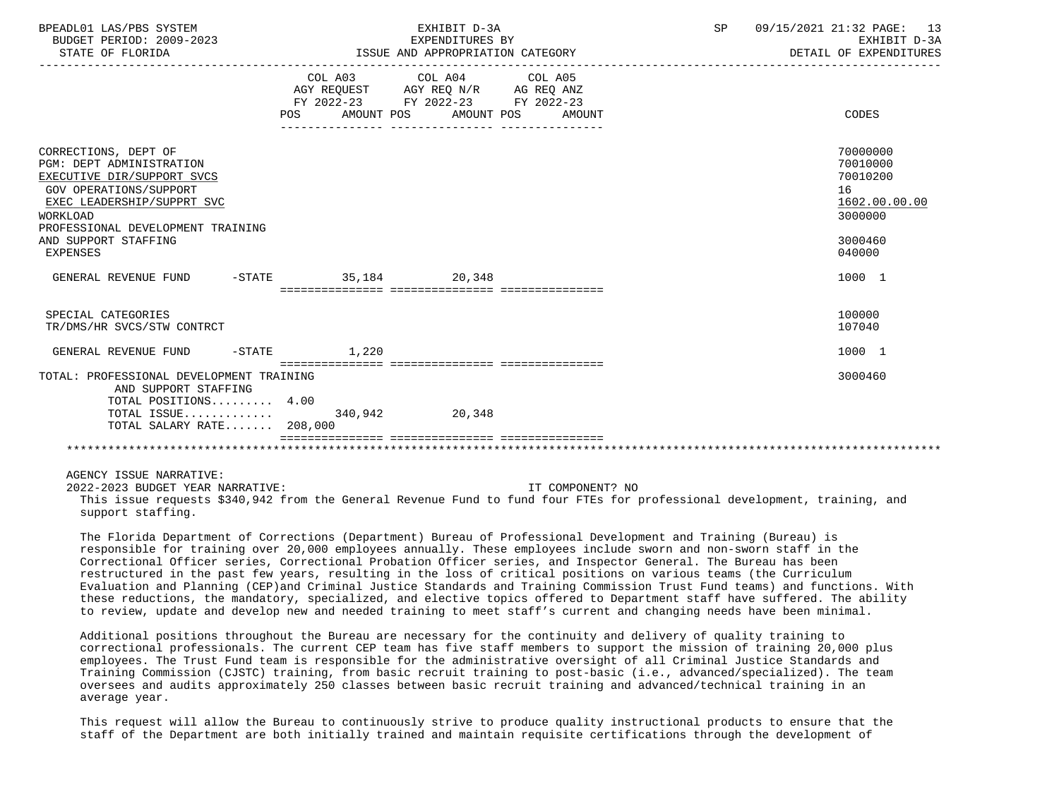| BPEADL01 LAS/PBS SYSTEM<br>BUDGET PERIOD: 2009-2023<br>STATE OF FLORIDA                                                                                                                                                                          |                   | EXHIBIT D-3A<br>EXPENDITURES BY<br>ISSUE AND APPROPRIATION CATEGORY                                                                           | SP | 09/15/2021 21:32 PAGE: 13<br>EXHIBIT D-3A<br>DETAIL OF EXPENDITURES                     |
|--------------------------------------------------------------------------------------------------------------------------------------------------------------------------------------------------------------------------------------------------|-------------------|-----------------------------------------------------------------------------------------------------------------------------------------------|----|-----------------------------------------------------------------------------------------|
|                                                                                                                                                                                                                                                  |                   | COL A03 COL A04 COL A05<br>AGY REQUEST AGY REQ N/R AG REQ ANZ<br>FY 2022-23 FY 2022-23 FY 2022-23<br>POS AMOUNT POS AMOUNT POS AMOUNT         |    | CODES                                                                                   |
| CORRECTIONS, DEPT OF<br><b>PGM: DEPT ADMINISTRATION</b><br>EXECUTIVE DIR/SUPPORT SVCS<br>GOV OPERATIONS/SUPPORT<br>EXEC LEADERSHIP/SUPPRT SVC<br><b>WORKLOAD</b><br>PROFESSIONAL DEVELOPMENT TRAINING<br>AND SUPPORT STAFFING<br><b>EXPENSES</b> |                   |                                                                                                                                               |    | 70000000<br>70010000<br>70010200<br>16<br>1602.00.00.00<br>3000000<br>3000460<br>040000 |
| GENERAL REVENUE FUND -STATE 35,184 20,348                                                                                                                                                                                                        |                   |                                                                                                                                               |    | 1000 1                                                                                  |
| SPECIAL CATEGORIES<br>TR/DMS/HR SVCS/STW CONTRCT                                                                                                                                                                                                 |                   |                                                                                                                                               |    | 100000<br>107040                                                                        |
| GENERAL REVENUE FUND                                                                                                                                                                                                                             | $-$ STATE $1,220$ |                                                                                                                                               |    | 1000 1                                                                                  |
| TOTAL: PROFESSIONAL DEVELOPMENT TRAINING<br>AND SUPPORT STAFFING<br>TOTAL POSITIONS 4.00<br>TOTAL ISSUE 340,942 20,348<br>TOTAL SALARY RATE 208,000                                                                                              |                   |                                                                                                                                               |    | 3000460                                                                                 |
|                                                                                                                                                                                                                                                  |                   |                                                                                                                                               |    |                                                                                         |
| AGENCY ISSUE NARRATIVE:<br>2022-2023 BUDGET YEAR NARRATIVE:<br>support staffing.                                                                                                                                                                 |                   | IT COMPONENT? NO<br>This issue requests \$340,942 from the General Revenue Fund to fund four FTEs for professional development, training, and |    |                                                                                         |

 The Florida Department of Corrections (Department) Bureau of Professional Development and Training (Bureau) is responsible for training over 20,000 employees annually. These employees include sworn and non-sworn staff in the Correctional Officer series, Correctional Probation Officer series, and Inspector General. The Bureau has been restructured in the past few years, resulting in the loss of critical positions on various teams (the Curriculum Evaluation and Planning (CEP)and Criminal Justice Standards and Training Commission Trust Fund teams) and functions. With these reductions, the mandatory, specialized, and elective topics offered to Department staff have suffered. The ability to review, update and develop new and needed training to meet staff's current and changing needs have been minimal.

 Additional positions throughout the Bureau are necessary for the continuity and delivery of quality training to correctional professionals. The current CEP team has five staff members to support the mission of training 20,000 plus employees. The Trust Fund team is responsible for the administrative oversight of all Criminal Justice Standards and Training Commission (CJSTC) training, from basic recruit training to post-basic (i.e., advanced/specialized). The team oversees and audits approximately 250 classes between basic recruit training and advanced/technical training in an average year.

 This request will allow the Bureau to continuously strive to produce quality instructional products to ensure that the staff of the Department are both initially trained and maintain requisite certifications through the development of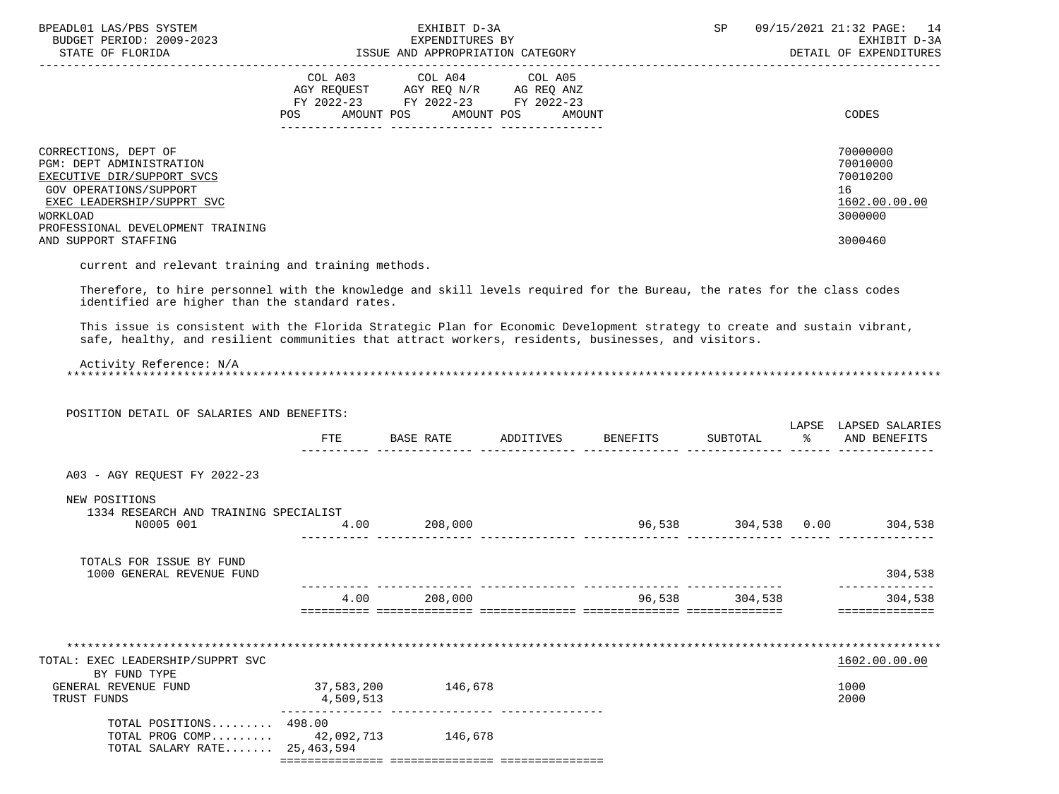| BPEADL01 LAS/PBS SYSTEM<br>BUDGET PERIOD: 2009-2023<br>STATE OF FLORIDA                                                                                                                                                                                                |                         | EXHIBIT D-3A<br>EXPENDITURES BY<br>ISSUE AND APPROPRIATION CATEGORY                                                |                   |                             | SP      | 09/15/2021 21:32 PAGE: 14<br>EXHIBIT D-3A<br>DETAIL OF EXPENDITURES           |
|------------------------------------------------------------------------------------------------------------------------------------------------------------------------------------------------------------------------------------------------------------------------|-------------------------|--------------------------------------------------------------------------------------------------------------------|-------------------|-----------------------------|---------|-------------------------------------------------------------------------------|
|                                                                                                                                                                                                                                                                        | <b>POS</b>              | COL A03 COL A04<br>AGY REQUEST AGY REQ N/R AG REQ ANZ<br>FY 2022-23 FY 2022-23 FY 2022-23<br>AMOUNT POS AMOUNT POS | COL A05<br>AMOUNT |                             |         | CODES                                                                         |
| CORRECTIONS, DEPT OF<br>PGM: DEPT ADMINISTRATION<br>EXECUTIVE DIR/SUPPORT SVCS<br>GOV OPERATIONS/SUPPORT<br>EXEC LEADERSHIP/SUPPRT SVC<br>WORKLOAD<br>PROFESSIONAL DEVELOPMENT TRAINING<br>AND SUPPORT STAFFING<br>current and relevant training and training methods. |                         |                                                                                                                    |                   |                             |         | 70000000<br>70010000<br>70010200<br>16<br>1602.00.00.00<br>3000000<br>3000460 |
| Therefore, to hire personnel with the knowledge and skill levels required for the Bureau, the rates for the class codes                                                                                                                                                |                         |                                                                                                                    |                   |                             |         |                                                                               |
| identified are higher than the standard rates.                                                                                                                                                                                                                         |                         |                                                                                                                    |                   |                             |         |                                                                               |
| This issue is consistent with the Florida Strategic Plan for Economic Development strategy to create and sustain vibrant,<br>safe, healthy, and resilient communities that attract workers, residents, businesses, and visitors.                                       |                         |                                                                                                                    |                   |                             |         |                                                                               |
| Activity Reference: N/A                                                                                                                                                                                                                                                |                         |                                                                                                                    |                   |                             |         |                                                                               |
| POSITION DETAIL OF SALARIES AND BENEFITS:                                                                                                                                                                                                                              |                         |                                                                                                                    |                   |                             |         |                                                                               |
|                                                                                                                                                                                                                                                                        | FTE                     | BASE RATE                                                                                                          |                   | ADDITIVES BENEFITS SUBTOTAL |         | LAPSE LAPSED SALARIES<br>% AND BENEFITS                                       |
| A03 - AGY REQUEST FY 2022-23                                                                                                                                                                                                                                           |                         |                                                                                                                    |                   |                             |         |                                                                               |
| NEW POSITIONS<br>1334 RESEARCH AND TRAINING SPECIALIST                                                                                                                                                                                                                 |                         |                                                                                                                    |                   |                             |         |                                                                               |
| N0005 001                                                                                                                                                                                                                                                              |                         | $4.00$ 208,000                                                                                                     |                   |                             |         | 96,538 304,538 0.00 304,538                                                   |
| TOTALS FOR ISSUE BY FUND<br>1000 GENERAL REVENUE FUND                                                                                                                                                                                                                  |                         |                                                                                                                    |                   |                             |         | 304,538                                                                       |
|                                                                                                                                                                                                                                                                        | 4.00                    | 208,000                                                                                                            |                   | 96,538                      | 304,538 | --------------<br>304,538                                                     |
|                                                                                                                                                                                                                                                                        |                         |                                                                                                                    |                   |                             |         | ==============                                                                |
|                                                                                                                                                                                                                                                                        |                         |                                                                                                                    |                   |                             |         | 1602.00.00.00                                                                 |
| TOTAL: EXEC LEADERSHIP/SUPPRT SVC<br>BY FUND TYPE<br>GENERAL REVENUE FUND<br>TRUST FUNDS                                                                                                                                                                               | 37,583,200<br>4,509,513 | 146,678                                                                                                            |                   |                             |         | 1000<br>2000                                                                  |
| TOTAL POSITIONS 498.00<br>TOTAL PROG COMP<br>TOTAL SALARY RATE 25,463,594                                                                                                                                                                                              | 42,092,713              | 146,678                                                                                                            |                   |                             |         |                                                                               |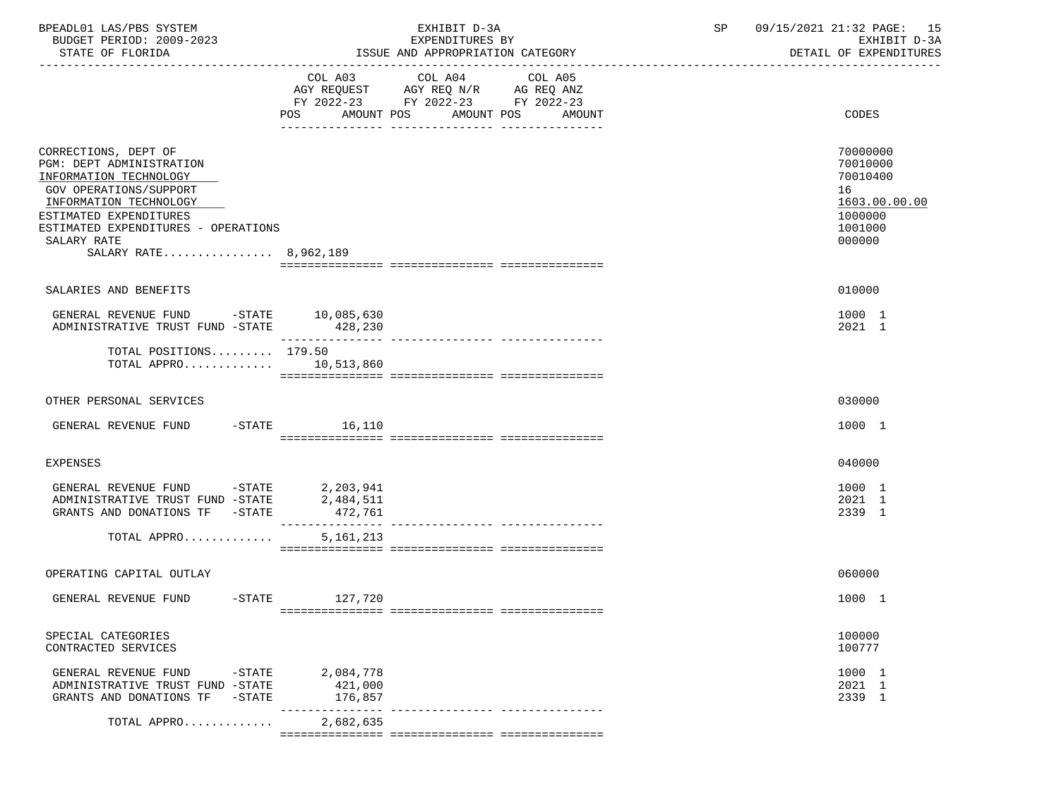| BPEADL01 LAS/PBS SYSTEM<br>BUDGET PERIOD: 2009-2023<br>STATE OF FLORIDA                                                                                                                                                                               | EXHIBIT D-3A<br>EXPENDITURES BY<br>ISSUE AND APPROPRIATION CATEGORY                                                                         | 09/15/2021 21:32 PAGE: 15<br>SP<br>DETAIL OF EXPENDITURES |                                                                                         |  |
|-------------------------------------------------------------------------------------------------------------------------------------------------------------------------------------------------------------------------------------------------------|---------------------------------------------------------------------------------------------------------------------------------------------|-----------------------------------------------------------|-----------------------------------------------------------------------------------------|--|
|                                                                                                                                                                                                                                                       | COL A03<br>COL A04<br>COL A05<br>AGY REQUEST AGY REQ N/R AG REQ ANZ<br>FY 2022-23 FY 2022-23 FY 2022-23<br>POS AMOUNT POS AMOUNT POS AMOUNT |                                                           | CODES                                                                                   |  |
| CORRECTIONS, DEPT OF<br><b>PGM: DEPT ADMINISTRATION</b><br>INFORMATION TECHNOLOGY<br><b>GOV OPERATIONS/SUPPORT</b><br>INFORMATION TECHNOLOGY<br>ESTIMATED EXPENDITURES<br>ESTIMATED EXPENDITURES - OPERATIONS<br>SALARY RATE<br>SALARY RATE 8,962,189 |                                                                                                                                             |                                                           | 70000000<br>70010000<br>70010400<br>16<br>1603.00.00.00<br>1000000<br>1001000<br>000000 |  |
| SALARIES AND BENEFITS                                                                                                                                                                                                                                 |                                                                                                                                             |                                                           | 010000                                                                                  |  |
| GENERAL REVENUE FUND -STATE 10,085,630<br>ADMINISTRATIVE TRUST FUND -STATE 428,230                                                                                                                                                                    |                                                                                                                                             |                                                           | 1000 1<br>2021 1                                                                        |  |
| TOTAL POSITIONS $179.50$<br>TOTAL APPRO $10,513,860$                                                                                                                                                                                                  |                                                                                                                                             |                                                           |                                                                                         |  |
| OTHER PERSONAL SERVICES                                                                                                                                                                                                                               |                                                                                                                                             |                                                           | 030000                                                                                  |  |
| GENERAL REVENUE FUND -STATE 16,110                                                                                                                                                                                                                    |                                                                                                                                             |                                                           | 1000 1                                                                                  |  |
| EXPENSES                                                                                                                                                                                                                                              |                                                                                                                                             |                                                           | 040000                                                                                  |  |
| GENERAL REVENUE FUND -STATE 2,203,941<br>ADMINISTRATIVE TRUST FUND -STATE<br>GRANTS AND DONATIONS TF -STATE                                                                                                                                           | 2,484,511<br>472,761                                                                                                                        |                                                           | 1000 1<br>2021 1<br>2339 1                                                              |  |
| TOTAL APPRO                                                                                                                                                                                                                                           | 5, 161, 213                                                                                                                                 |                                                           |                                                                                         |  |
| OPERATING CAPITAL OUTLAY                                                                                                                                                                                                                              |                                                                                                                                             |                                                           | 060000                                                                                  |  |
| GENERAL REVENUE FUND<br>$-$ STATE                                                                                                                                                                                                                     | 127,720                                                                                                                                     |                                                           | 1000 1                                                                                  |  |
| SPECIAL CATEGORIES<br>CONTRACTED SERVICES                                                                                                                                                                                                             |                                                                                                                                             |                                                           | 100000<br>100777                                                                        |  |
| GENERAL REVENUE FUND<br>$-$ STATE<br>ADMINISTRATIVE TRUST FUND -STATE<br>GRANTS AND DONATIONS TF<br>$-$ STATE                                                                                                                                         | 2,084,778<br>421,000<br>176,857                                                                                                             |                                                           | 1000 1<br>2021 1<br>2339 1                                                              |  |
| TOTAL APPRO                                                                                                                                                                                                                                           | 2,682,635                                                                                                                                   |                                                           |                                                                                         |  |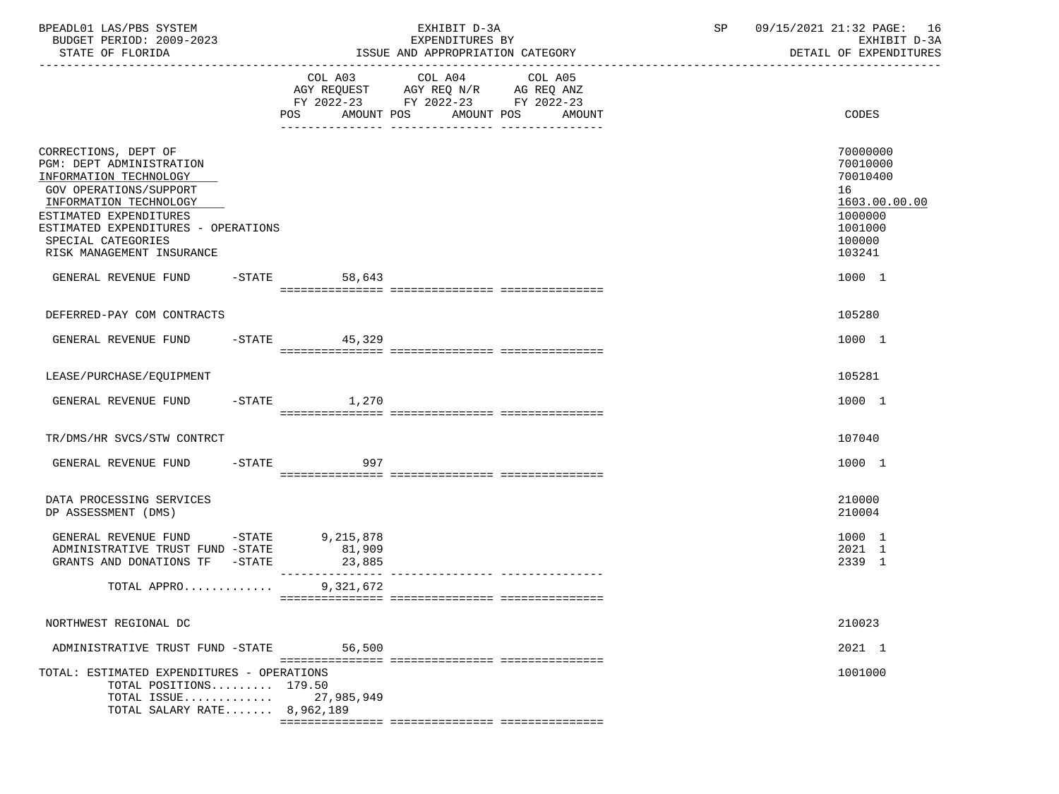| BPEADL01 LAS/PBS SYSTEM<br>BUDGET PERIOD: 2009-2023<br>STATE OF FLORIDA                                                                                                                                                                                                    |                  | EXHIBIT D-3A<br>EXPENDITURES BY<br>ISSUE AND APPROPRIATION CATEGORY                                                                     | SP | 09/15/2021 21:32 PAGE: 16<br>EXHIBIT D-3A<br>DETAIL OF EXPENDITURES                                         |
|----------------------------------------------------------------------------------------------------------------------------------------------------------------------------------------------------------------------------------------------------------------------------|------------------|-----------------------------------------------------------------------------------------------------------------------------------------|----|-------------------------------------------------------------------------------------------------------------|
|                                                                                                                                                                                                                                                                            | <b>POS</b>       | COL A03 COL A04 COL A05<br>AGY REQUEST AGY REQ N/R AG REQ ANZ<br>FY 2022-23 FY 2022-23 FY 2022-23<br>AMOUNT POS<br>AMOUNT POS<br>AMOUNT |    | CODES                                                                                                       |
| CORRECTIONS, DEPT OF<br>PGM: DEPT ADMINISTRATION<br>INFORMATION TECHNOLOGY<br>GOV OPERATIONS/SUPPORT<br>INFORMATION TECHNOLOGY<br>ESTIMATED EXPENDITURES<br>ESTIMATED EXPENDITURES - OPERATIONS<br>SPECIAL CATEGORIES<br>RISK MANAGEMENT INSURANCE<br>GENERAL REVENUE FUND | $-STATE$ 58,643  |                                                                                                                                         |    | 70000000<br>70010000<br>70010400<br>16<br>1603.00.00.00<br>1000000<br>1001000<br>100000<br>103241<br>1000 1 |
|                                                                                                                                                                                                                                                                            |                  |                                                                                                                                         |    |                                                                                                             |
| DEFERRED-PAY COM CONTRACTS                                                                                                                                                                                                                                                 |                  |                                                                                                                                         |    | 105280                                                                                                      |
| GENERAL REVENUE FUND                                                                                                                                                                                                                                                       | $-STATE$ 45,329  |                                                                                                                                         |    | 1000 1                                                                                                      |
| LEASE/PURCHASE/EQUIPMENT                                                                                                                                                                                                                                                   |                  |                                                                                                                                         |    | 105281                                                                                                      |
| GENERAL REVENUE FUND                                                                                                                                                                                                                                                       | $-STATE$ 1,270   |                                                                                                                                         |    | 1000 1                                                                                                      |
| TR/DMS/HR SVCS/STW CONTRCT                                                                                                                                                                                                                                                 |                  |                                                                                                                                         |    | 107040                                                                                                      |
| GENERAL REVENUE FUND                                                                                                                                                                                                                                                       | $-STATE$<br>997  |                                                                                                                                         |    | 1000 1                                                                                                      |
| DATA PROCESSING SERVICES<br>DP ASSESSMENT (DMS)                                                                                                                                                                                                                            |                  |                                                                                                                                         |    | 210000<br>210004                                                                                            |
| GENERAL REVENUE FUND -STATE 9,215,878<br>ADMINISTRATIVE TRUST FUND -STATE<br>GRANTS AND DONATIONS TF -STATE                                                                                                                                                                | 81,909<br>23,885 |                                                                                                                                         |    | 1000 1<br>2021 1<br>2339 1                                                                                  |
| TOTAL APPRO 9,321,672                                                                                                                                                                                                                                                      |                  |                                                                                                                                         |    |                                                                                                             |
| NORTHWEST REGIONAL DC                                                                                                                                                                                                                                                      |                  |                                                                                                                                         |    | 210023                                                                                                      |
| ADMINISTRATIVE TRUST FUND -STATE                                                                                                                                                                                                                                           | 56,500           |                                                                                                                                         |    | 2021 1                                                                                                      |
| TOTAL: ESTIMATED EXPENDITURES - OPERATIONS<br>TOTAL POSITIONS 179.50<br>TOTAL ISSUE<br>TOTAL SALARY RATE 8,962,189                                                                                                                                                         | 27,985,949       |                                                                                                                                         |    | 1001000                                                                                                     |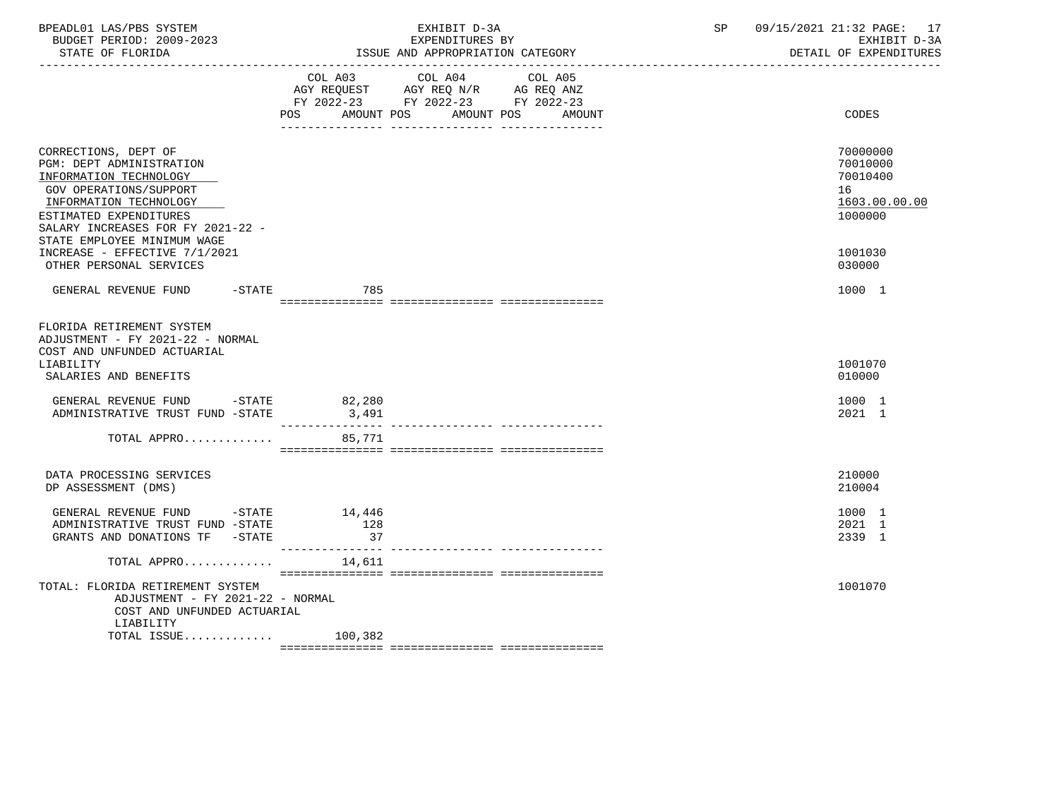| BPEADL01 LAS/PBS SYSTEM<br>BUDGET PERIOD: 2009-2023<br>STATE OF FLORIDA<br>----------------------                                                                                                                            |            | EXHIBIT D-3A<br>EXPENDITURES BY<br>ISSUE AND APPROPRIATION CATEGORY                                                                  | SP and the set of the set of the set of the set of the set of the set of the set of the set of the set of the set of the set of the set of the set of the set of the set of the set of the set of the set of the set of the se | 09/15/2021 21:32 PAGE: 17<br>EXHIBIT D-3A<br>DETAIL OF EXPENDITURES |
|------------------------------------------------------------------------------------------------------------------------------------------------------------------------------------------------------------------------------|------------|--------------------------------------------------------------------------------------------------------------------------------------|--------------------------------------------------------------------------------------------------------------------------------------------------------------------------------------------------------------------------------|---------------------------------------------------------------------|
|                                                                                                                                                                                                                              | <b>POS</b> | COL A03 COL A04 COL A05<br>AGY REQUEST AGY REQ N/R AG REQ ANZ<br>FY 2022-23 FY 2022-23 FY 2022-23<br>AMOUNT POS AMOUNT POS<br>AMOUNT |                                                                                                                                                                                                                                | CODES                                                               |
| CORRECTIONS, DEPT OF<br>PGM: DEPT ADMINISTRATION<br>INFORMATION TECHNOLOGY<br>GOV OPERATIONS/SUPPORT<br>INFORMATION TECHNOLOGY<br>ESTIMATED EXPENDITURES<br>SALARY INCREASES FOR FY 2021-22 -<br>STATE EMPLOYEE MINIMUM WAGE |            |                                                                                                                                      |                                                                                                                                                                                                                                | 70000000<br>70010000<br>70010400<br>16<br>1603.00.00.00<br>1000000  |
| INCREASE - EFFECTIVE 7/1/2021<br>OTHER PERSONAL SERVICES                                                                                                                                                                     |            |                                                                                                                                      |                                                                                                                                                                                                                                | 1001030<br>030000                                                   |
| GENERAL REVENUE FUND                                                                                                                                                                                                         | -STATE 785 |                                                                                                                                      |                                                                                                                                                                                                                                | 1000 1                                                              |
| FLORIDA RETIREMENT SYSTEM<br>ADJUSTMENT - FY 2021-22 - NORMAL<br>COST AND UNFUNDED ACTUARIAL<br>LIABILITY<br>SALARIES AND BENEFITS                                                                                           |            |                                                                                                                                      |                                                                                                                                                                                                                                | 1001070<br>010000                                                   |
| GENERAL REVENUE FUND -STATE 62,280<br>ADMINISTRATIVE TRUST FUND -STATE                                                                                                                                                       | 3,491      |                                                                                                                                      |                                                                                                                                                                                                                                | 1000 1<br>2021 1                                                    |
| TOTAL APPRO 85,771                                                                                                                                                                                                           |            |                                                                                                                                      |                                                                                                                                                                                                                                |                                                                     |
| DATA PROCESSING SERVICES<br>DP ASSESSMENT (DMS)                                                                                                                                                                              |            |                                                                                                                                      |                                                                                                                                                                                                                                | 210000<br>210004                                                    |
| GENERAL REVENUE FUND -STATE 14,446<br>ADMINISTRATIVE TRUST FUND -STATE<br>GRANTS AND DONATIONS TF -STATE                                                                                                                     | 128<br>37  |                                                                                                                                      |                                                                                                                                                                                                                                | 1000 1<br>2021 1<br>2339 1                                          |
| TOTAL APPRO $\ldots \ldots \ldots$                                                                                                                                                                                           |            |                                                                                                                                      |                                                                                                                                                                                                                                |                                                                     |
| TOTAL: FLORIDA RETIREMENT SYSTEM<br>ADJUSTMENT - FY 2021-22 - NORMAL<br>COST AND UNFUNDED ACTUARIAL<br>LIABILITY                                                                                                             |            |                                                                                                                                      |                                                                                                                                                                                                                                | 1001070                                                             |
| TOTAL ISSUE $100,382$                                                                                                                                                                                                        |            |                                                                                                                                      |                                                                                                                                                                                                                                |                                                                     |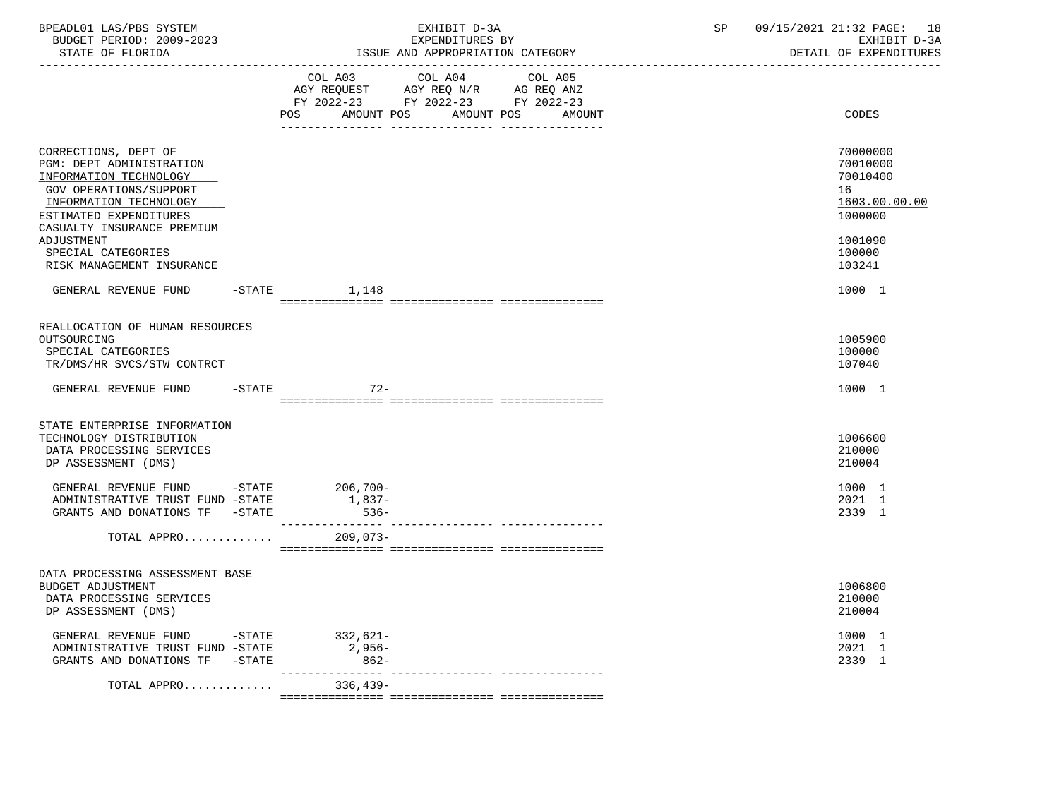| BPEADL01 LAS/PBS SYSTEM<br>BUDGET PERIOD: 2009-2023                                                                                                      | EXHIBIT D-3A<br>EXPENDITURES BY                                                                                                                | 09/15/2021 21:32 PAGE: 18<br>SP<br>EXHIBIT D-3A<br>DETAIL OF EXPENDITURES |
|----------------------------------------------------------------------------------------------------------------------------------------------------------|------------------------------------------------------------------------------------------------------------------------------------------------|---------------------------------------------------------------------------|
|                                                                                                                                                          | COL A03 COL A04 COL A05<br>AGY REQUEST AGY REQ N/R AG REQ ANZ<br>FY 2022-23 FY 2022-23 FY 2022-23<br>AMOUNT POS<br>POS<br>AMOUNT POS<br>AMOUNT | CODES                                                                     |
|                                                                                                                                                          |                                                                                                                                                |                                                                           |
| CORRECTIONS, DEPT OF<br>PGM: DEPT ADMINISTRATION<br>INFORMATION TECHNOLOGY<br>GOV OPERATIONS/SUPPORT<br>INFORMATION TECHNOLOGY<br>ESTIMATED EXPENDITURES |                                                                                                                                                | 70000000<br>70010000<br>70010400<br>16<br>1603.00.00.00<br>1000000        |
| CASUALTY INSURANCE PREMIUM<br>ADJUSTMENT<br>SPECIAL CATEGORIES<br>RISK MANAGEMENT INSURANCE                                                              |                                                                                                                                                | 1001090<br>100000<br>103241                                               |
| GENERAL REVENUE FUND -STATE 1,148                                                                                                                        |                                                                                                                                                | 1000 1                                                                    |
| REALLOCATION OF HUMAN RESOURCES<br>OUTSOURCING<br>SPECIAL CATEGORIES<br>TR/DMS/HR SVCS/STW CONTRCT                                                       |                                                                                                                                                | 1005900<br>100000<br>107040                                               |
| GENERAL REVENUE FUND                                                                                                                                     | $-STATE$<br>-72                                                                                                                                | 1000 1                                                                    |
| STATE ENTERPRISE INFORMATION<br>TECHNOLOGY DISTRIBUTION<br>DATA PROCESSING SERVICES<br>DP ASSESSMENT (DMS)                                               |                                                                                                                                                | 1006600<br>210000<br>210004                                               |
| GENERAL REVENUE FUND -STATE 206,700-<br>ADMINISTRATIVE TRUST FUND -STATE<br>GRANTS AND DONATIONS TF -STATE                                               | $1,837-$<br>$536 -$                                                                                                                            | 1000 1<br>2021 1<br>2339 1                                                |
| TOTAL APPRO                                                                                                                                              | $209,073-$                                                                                                                                     |                                                                           |
| DATA PROCESSING ASSESSMENT BASE<br><b>BUDGET ADJUSTMENT</b><br>DATA PROCESSING SERVICES<br>DP ASSESSMENT (DMS)                                           |                                                                                                                                                | 1006800<br>210000<br>210004                                               |
| GENERAL REVENUE FUND<br>$-$ STATE<br>ADMINISTRATIVE TRUST FUND -STATE<br>GRANTS AND DONATIONS TF<br>$-$ STATE                                            | $332,621-$<br>$2,956-$<br>$862 -$                                                                                                              | 1000 1<br>2021 1<br>2339 1                                                |
| TOTAL APPRO                                                                                                                                              | $336,439-$                                                                                                                                     |                                                                           |
|                                                                                                                                                          |                                                                                                                                                |                                                                           |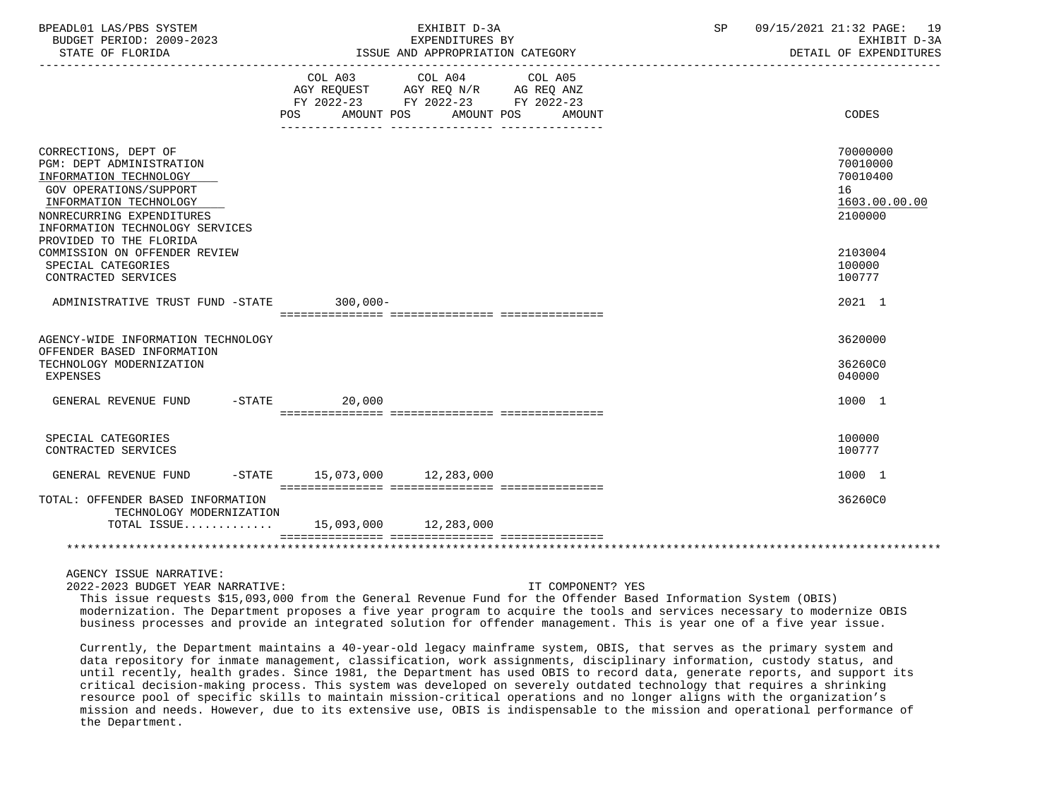| BPEADL01 LAS/PBS SYSTEM<br>BUDGET PERIOD: 2009-2023<br>STATE OF FLORIDA                                                                                                                               |         | EXHIBIT D-3A<br>EXPENDITURES BY<br>ISSUE AND APPROPRIATION CATEGORY                                                               | 09/15/2021 21:32 PAGE: 19<br>SP <sub>2</sub><br>EXHIBIT D-3A<br>DETAIL OF EXPENDITURES |
|-------------------------------------------------------------------------------------------------------------------------------------------------------------------------------------------------------|---------|-----------------------------------------------------------------------------------------------------------------------------------|----------------------------------------------------------------------------------------|
|                                                                                                                                                                                                       | POS FOR | COL A03 COL A04 COL A05<br>AGY REQUEST AGY REQ N/R AG REQ ANZ<br>FY 2022-23 FY 2022-23 FY 2022-23<br>AMOUNT POS AMOUNT POS AMOUNT | CODES                                                                                  |
| CORRECTIONS, DEPT OF<br>PGM: DEPT ADMINISTRATION<br>INFORMATION TECHNOLOGY<br><b>GOV OPERATIONS/SUPPORT</b><br>INFORMATION TECHNOLOGY<br>NONRECURRING EXPENDITURES<br>INFORMATION TECHNOLOGY SERVICES |         |                                                                                                                                   | 70000000<br>70010000<br>70010400<br>16<br>1603.00.00.00<br>2100000                     |
| PROVIDED TO THE FLORIDA<br>COMMISSION ON OFFENDER REVIEW<br>SPECIAL CATEGORIES<br>CONTRACTED SERVICES                                                                                                 |         |                                                                                                                                   | 2103004<br>100000<br>100777                                                            |
| ADMINISTRATIVE TRUST FUND -STATE 300,000-                                                                                                                                                             |         |                                                                                                                                   | 2021 1                                                                                 |
| AGENCY-WIDE INFORMATION TECHNOLOGY<br>OFFENDER BASED INFORMATION<br>TECHNOLOGY MODERNIZATION<br><b>EXPENSES</b>                                                                                       |         |                                                                                                                                   | 3620000<br>36260C0<br>040000                                                           |
| GENERAL REVENUE FUND -STATE                                                                                                                                                                           | 20,000  |                                                                                                                                   | 1000 1                                                                                 |
| SPECIAL CATEGORIES<br>CONTRACTED SERVICES                                                                                                                                                             |         |                                                                                                                                   | 100000<br>100777                                                                       |
| GENERAL REVENUE FUND -STATE 15,073,000 12,283,000                                                                                                                                                     |         |                                                                                                                                   | 1000 1                                                                                 |
| TOTAL: OFFENDER BASED INFORMATION<br>TECHNOLOGY MODERNIZATION<br>TOTAL ISSUE 15,093,000 12,283,000                                                                                                    |         |                                                                                                                                   | 36260C0                                                                                |
|                                                                                                                                                                                                       |         |                                                                                                                                   |                                                                                        |

2022-2023 BUDGET YEAR NARRATIVE: IT COMPONENT? YES

 This issue requests \$15,093,000 from the General Revenue Fund for the Offender Based Information System (OBIS) modernization. The Department proposes a five year program to acquire the tools and services necessary to modernize OBIS business processes and provide an integrated solution for offender management. This is year one of a five year issue.

 Currently, the Department maintains a 40-year-old legacy mainframe system, OBIS, that serves as the primary system and data repository for inmate management, classification, work assignments, disciplinary information, custody status, and until recently, health grades. Since 1981, the Department has used OBIS to record data, generate reports, and support its critical decision-making process. This system was developed on severely outdated technology that requires a shrinking resource pool of specific skills to maintain mission-critical operations and no longer aligns with the organization's mission and needs. However, due to its extensive use, OBIS is indispensable to the mission and operational performance of the Department.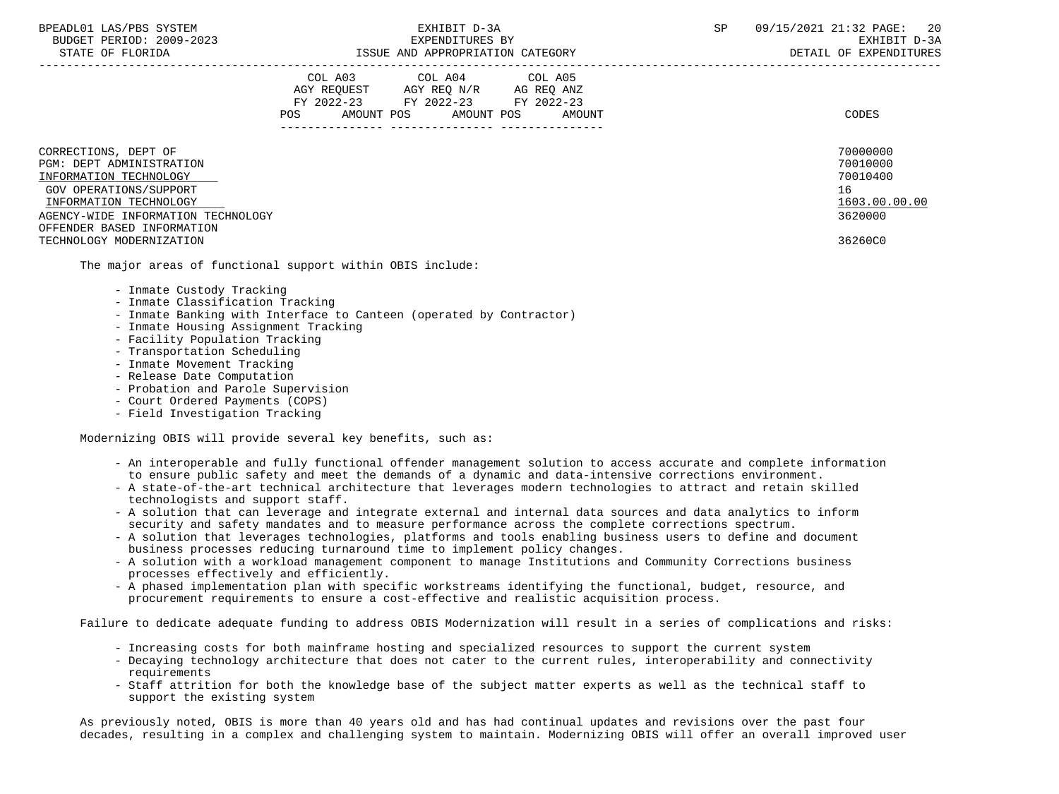STATE OF FLORIDA GALL SOLUTION ISSUE AND APPROPRIATION CATEGORY CONTROL CONTROLLER STATE OF EXPENDITURES

|                                                                                                                                | COL A03<br>AGY REOUEST<br>FY 2022-23<br>AMOUNT POS<br>POS. | COL A04<br>AGY REO N/R<br>FY 2022-23<br>AMOUNT POS | COL A05<br>AG REQ ANZ<br>FY 2022-23<br>AMOUNT | CODES                                                   |
|--------------------------------------------------------------------------------------------------------------------------------|------------------------------------------------------------|----------------------------------------------------|-----------------------------------------------|---------------------------------------------------------|
| CORRECTIONS, DEPT OF<br>PGM: DEPT ADMINISTRATION<br>INFORMATION TECHNOLOGY<br>GOV OPERATIONS/SUPPORT<br>INFORMATION TECHNOLOGY |                                                            |                                                    |                                               | 70000000<br>70010000<br>70010400<br>16<br>1603.00.00.00 |
| AGENCY-WIDE INFORMATION TECHNOLOGY                                                                                             |                                                            |                                                    |                                               | 3620000                                                 |
| OFFENDER BASED INFORMATION                                                                                                     |                                                            |                                                    |                                               |                                                         |
| TECHNOLOGY MODERNIZATION                                                                                                       |                                                            |                                                    |                                               | 36260C0                                                 |

The major areas of functional support within OBIS include:

- Inmate Custody Tracking
- Inmate Classification Tracking
- Inmate Banking with Interface to Canteen (operated by Contractor)
- Inmate Housing Assignment Tracking
- Facility Population Tracking
- Transportation Scheduling
- Inmate Movement Tracking
- Release Date Computation
- Probation and Parole Supervision
- Court Ordered Payments (COPS)
- Field Investigation Tracking

Modernizing OBIS will provide several key benefits, such as:

- An interoperable and fully functional offender management solution to access accurate and complete information to ensure public safety and meet the demands of a dynamic and data-intensive corrections environment.
- A state-of-the-art technical architecture that leverages modern technologies to attract and retain skilled technologists and support staff.
- A solution that can leverage and integrate external and internal data sources and data analytics to inform security and safety mandates and to measure performance across the complete corrections spectrum.
- A solution that leverages technologies, platforms and tools enabling business users to define and document business processes reducing turnaround time to implement policy changes.
- A solution with a workload management component to manage Institutions and Community Corrections business processes effectively and efficiently.
- A phased implementation plan with specific workstreams identifying the functional, budget, resource, and procurement requirements to ensure a cost-effective and realistic acquisition process.

Failure to dedicate adequate funding to address OBIS Modernization will result in a series of complications and risks:

- Increasing costs for both mainframe hosting and specialized resources to support the current system
- Decaying technology architecture that does not cater to the current rules, interoperability and connectivity requirements
- Staff attrition for both the knowledge base of the subject matter experts as well as the technical staff to support the existing system

 As previously noted, OBIS is more than 40 years old and has had continual updates and revisions over the past four decades, resulting in a complex and challenging system to maintain. Modernizing OBIS will offer an overall improved user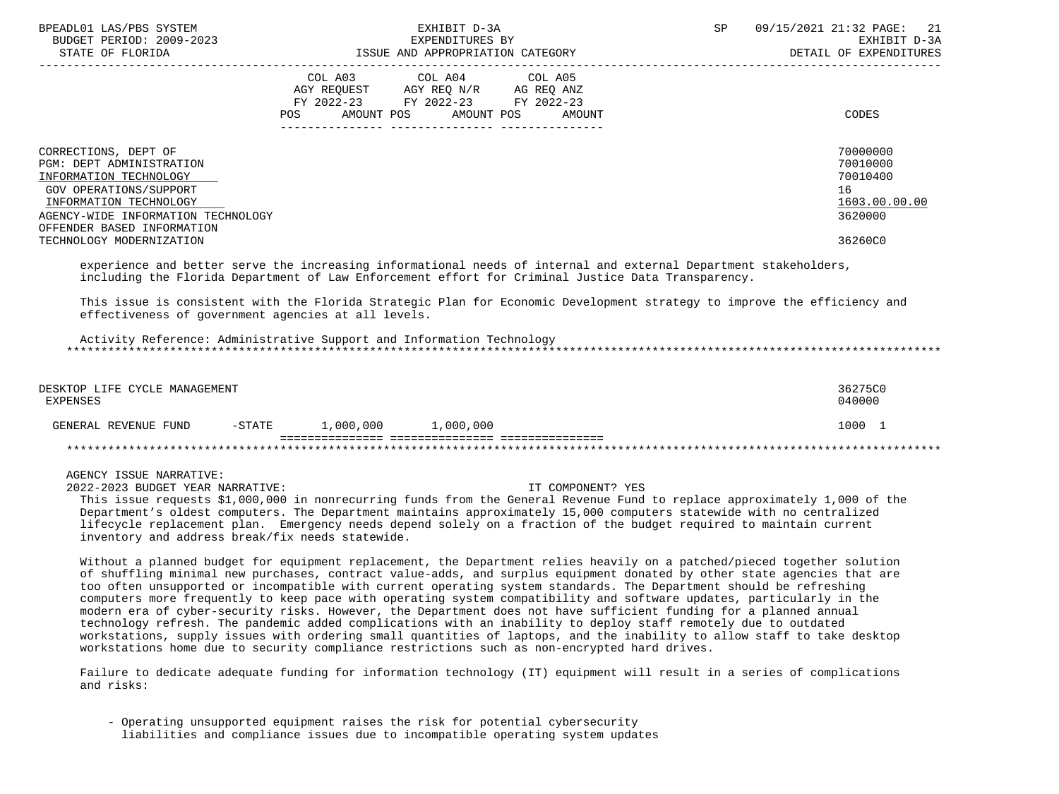| BPEADL01 LAS/PBS SYSTEM<br>BUDGET PERIOD: 2009-2023<br>STATE OF FLORIDA                                                                                                                                   | EXHIBIT D-3A<br>EXPENDITURES BY<br>ISSUE AND APPROPRIATION CATEGORY                                       |                                               | SP | 09/15/2021 21:32 PAGE: 21<br>EXHIBIT D-3A<br>DETAIL OF EXPENDITURES |
|-----------------------------------------------------------------------------------------------------------------------------------------------------------------------------------------------------------|-----------------------------------------------------------------------------------------------------------|-----------------------------------------------|----|---------------------------------------------------------------------|
|                                                                                                                                                                                                           | COL A03<br>COL A04<br>AGY REOUEST AGY REO N/R<br>FY 2022-23 FY 2022-23<br>AMOUNT POS<br>AMOUNT POS<br>POS | COL A05<br>AG REO ANZ<br>FY 2022-23<br>AMOUNT |    | CODES                                                               |
| CORRECTIONS, DEPT OF<br><b>PGM: DEPT ADMINISTRATION</b><br>INFORMATION TECHNOLOGY<br>GOV OPERATIONS/SUPPORT<br>INFORMATION TECHNOLOGY<br>AGENCY-WIDE INFORMATION TECHNOLOGY<br>OFFENDER BASED INFORMATION |                                                                                                           |                                               |    | 70000000<br>70010000<br>70010400<br>16<br>1603.00.00.00<br>3620000  |
| TECHNOLOGY MODERNIZATION                                                                                                                                                                                  |                                                                                                           |                                               |    | 36260C0                                                             |

 experience and better serve the increasing informational needs of internal and external Department stakeholders, including the Florida Department of Law Enforcement effort for Criminal Justice Data Transparency.

 This issue is consistent with the Florida Strategic Plan for Economic Development strategy to improve the efficiency and effectiveness of government agencies at all levels.

 Activity Reference: Administrative Support and Information Technology \*\*\*\*\*\*\*\*\*\*\*\*\*\*\*\*\*\*\*\*\*\*\*\*\*\*\*\*\*\*\*\*\*\*\*\*\*\*\*\*\*\*\*\*\*\*\*\*\*\*\*\*\*\*\*\*\*\*\*\*\*\*\*\*\*\*\*\*\*\*\*\*\*\*\*\*\*\*\*\*\*\*\*\*\*\*\*\*\*\*\*\*\*\*\*\*\*\*\*\*\*\*\*\*\*\*\*\*\*\*\*\*\*\*\*\*\*\*\*\*\*\*\*\*\*\*\*

| DESKTOP LIFE CYCLE MANAGEMENT<br>EXPENSES |           |           |           | 36275C0<br>040000 |
|-------------------------------------------|-----------|-----------|-----------|-------------------|
| GENERAL REVENUE FUND                      | $-$ STATE | 1,000,000 | 1,000,000 | 1000              |
|                                           |           |           |           |                   |

AGENCY ISSUE NARRATIVE:

2022-2023 BUDGET YEAR NARRATIVE: IT COMPONENT? YES

 This issue requests \$1,000,000 in nonrecurring funds from the General Revenue Fund to replace approximately 1,000 of the Department's oldest computers. The Department maintains approximately 15,000 computers statewide with no centralized lifecycle replacement plan. Emergency needs depend solely on a fraction of the budget required to maintain current inventory and address break/fix needs statewide.

 Without a planned budget for equipment replacement, the Department relies heavily on a patched/pieced together solution of shuffling minimal new purchases, contract value-adds, and surplus equipment donated by other state agencies that are too often unsupported or incompatible with current operating system standards. The Department should be refreshing computers more frequently to keep pace with operating system compatibility and software updates, particularly in the modern era of cyber-security risks. However, the Department does not have sufficient funding for a planned annual technology refresh. The pandemic added complications with an inability to deploy staff remotely due to outdated workstations, supply issues with ordering small quantities of laptops, and the inability to allow staff to take desktop workstations home due to security compliance restrictions such as non-encrypted hard drives.

 Failure to dedicate adequate funding for information technology (IT) equipment will result in a series of complications and risks:

 - Operating unsupported equipment raises the risk for potential cybersecurity liabilities and compliance issues due to incompatible operating system updates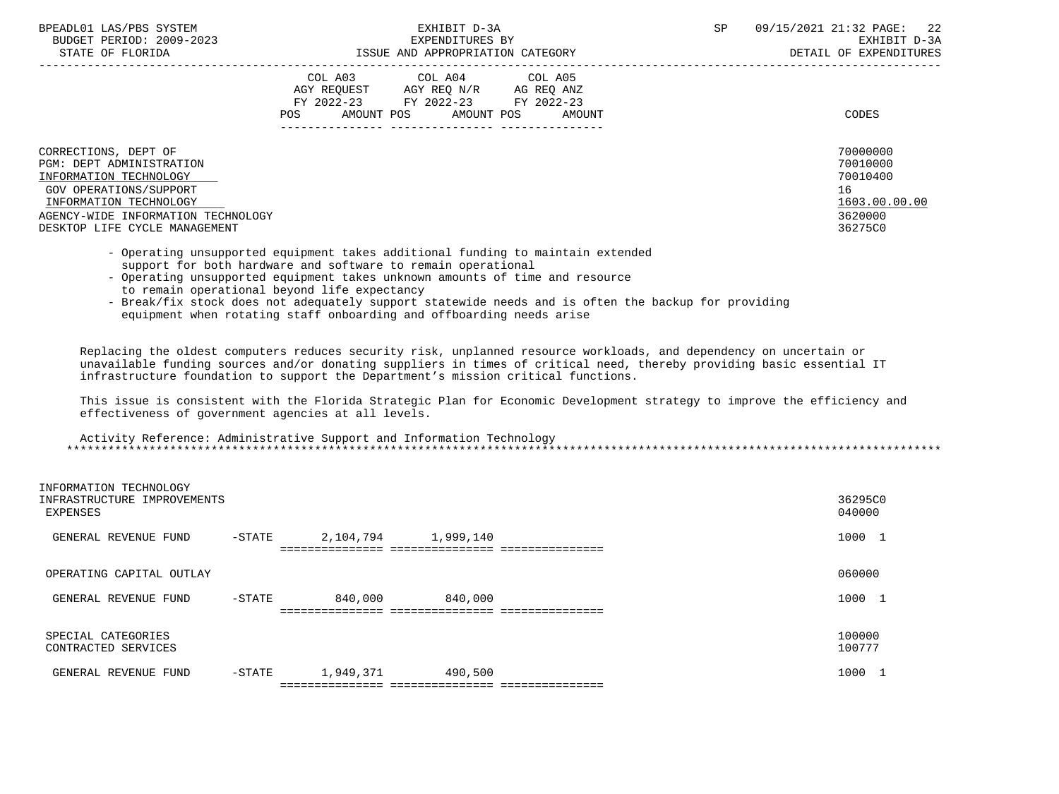| BPEADL01 LAS/PBS SYSTEM |     |                          |
|-------------------------|-----|--------------------------|
|                         |     | BUDGET PERIOD: 2009-2023 |
|                         | CDR |                          |

|                                                                                                                                                                                                       | COL A03<br>AGY REQUEST<br>$FY$ 2022-23<br><b>POS</b><br>AMOUNT POS | COL A04<br>AGY REO N/R<br>FY 2022-23<br>AMOUNT POS | COL A05<br>AG REQ ANZ<br>FY 2022-23<br>AMOUNT | CODES                                                                         |
|-------------------------------------------------------------------------------------------------------------------------------------------------------------------------------------------------------|--------------------------------------------------------------------|----------------------------------------------------|-----------------------------------------------|-------------------------------------------------------------------------------|
| CORRECTIONS, DEPT OF<br>PGM: DEPT ADMINISTRATION<br>INFORMATION TECHNOLOGY<br>GOV OPERATIONS/SUPPORT<br>INFORMATION TECHNOLOGY<br>AGENCY-WIDE INFORMATION TECHNOLOGY<br>DESKTOP LIFE CYCLE MANAGEMENT |                                                                    |                                                    |                                               | 70000000<br>70010000<br>70010400<br>16<br>1603.00.00.00<br>3620000<br>36275C0 |

- Operating unsupported equipment takes additional funding to maintain extended support for both hardware and software to remain operational
- Operating unsupported equipment takes unknown amounts of time and resource to remain operational beyond life expectancy
- Break/fix stock does not adequately support statewide needs and is often the backup for providing equipment when rotating staff onboarding and offboarding needs arise

 Replacing the oldest computers reduces security risk, unplanned resource workloads, and dependency on uncertain or unavailable funding sources and/or donating suppliers in times of critical need, thereby providing basic essential IT infrastructure foundation to support the Department's mission critical functions.

 This issue is consistent with the Florida Strategic Plan for Economic Development strategy to improve the efficiency and effectiveness of government agencies at all levels.

 Activity Reference: Administrative Support and Information Technology \*\*\*\*\*\*\*\*\*\*\*\*\*\*\*\*\*\*\*\*\*\*\*\*\*\*\*\*\*\*\*\*\*\*\*\*\*\*\*\*\*\*\*\*\*\*\*\*\*\*\*\*\*\*\*\*\*\*\*\*\*\*\*\*\*\*\*\*\*\*\*\*\*\*\*\*\*\*\*\*\*\*\*\*\*\*\*\*\*\*\*\*\*\*\*\*\*\*\*\*\*\*\*\*\*\*\*\*\*\*\*\*\*\*\*\*\*\*\*\*\*\*\*\*\*\*\*

| INFORMATION TECHNOLOGY<br>INFRASTRUCTURE IMPROVEMENTS<br>EXPENSES |          |                                   |           | 36295C0<br>040000 |  |
|-------------------------------------------------------------------|----------|-----------------------------------|-----------|-------------------|--|
| GENERAL REVENUE FUND                                              | $-STATE$ | 2,104,794                         | 1,999,140 | 1000 1            |  |
|                                                                   |          |                                   |           |                   |  |
| OPERATING CAPITAL OUTLAY                                          |          |                                   |           | 060000            |  |
| GENERAL REVENUE FUND                                              | $-STATE$ | 840,000                           | 840,000   | 1000 1            |  |
|                                                                   |          |                                   |           |                   |  |
| SPECIAL CATEGORIES<br>CONTRACTED SERVICES                         |          |                                   |           | 100000<br>100777  |  |
| GENERAL REVENUE FUND                                              | $-STATE$ | 1,949,371                         | 490,500   | 1000 1            |  |
|                                                                   |          | ================================= |           |                   |  |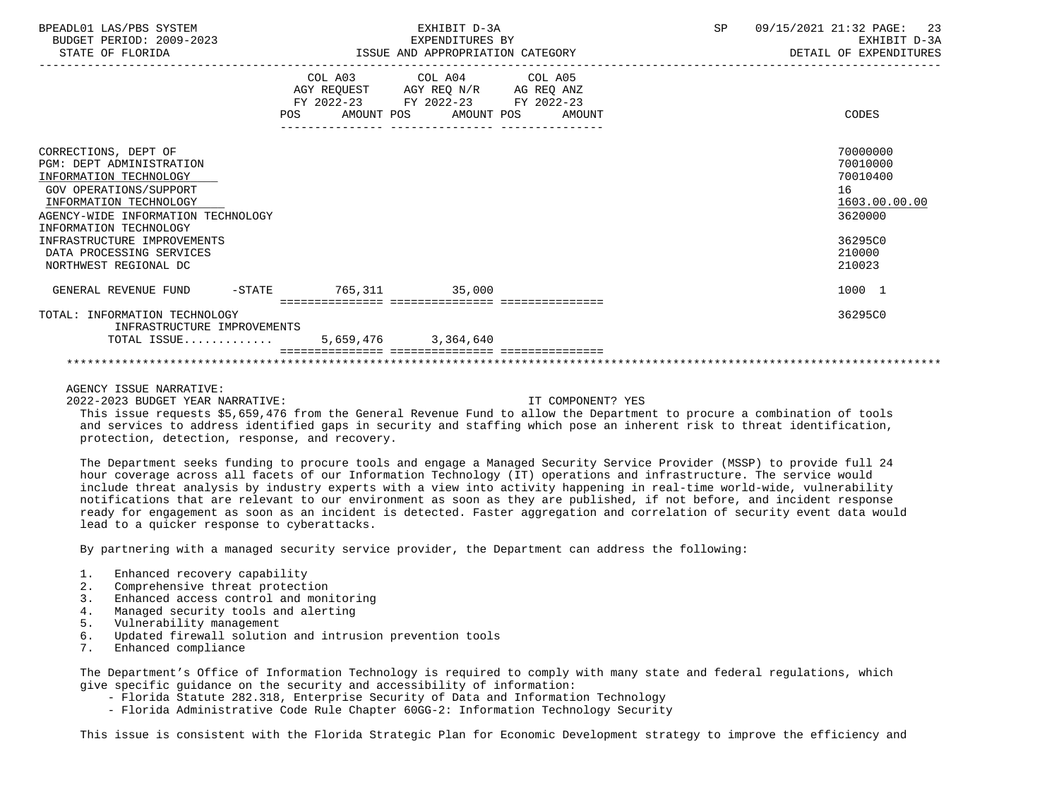| BPEADL01 LAS/PBS SYSTEM<br>BUDGET PERIOD: 2009-2023<br>STATE OF FLORIDA | EXHIBIT D-3A<br>EXPENDITURES BY<br>ISSUE AND APPROPRIATION CATEGORY                                                                      | 09/15/2021 21:32 PAGE: 23<br>SP<br>EXHIBIT D-3A<br>DETAIL OF EXPENDITURES |
|-------------------------------------------------------------------------|------------------------------------------------------------------------------------------------------------------------------------------|---------------------------------------------------------------------------|
|                                                                         | COL A03 COL A04 COL A05<br>AGY REQUEST AGY REQ N/R AG REQ ANZ<br>FY 2022-23 FY 2022-23 FY 2022-23<br>POS AMOUNT POS AMOUNT POS<br>AMOUNT | CODES                                                                     |
|                                                                         |                                                                                                                                          |                                                                           |
| CORRECTIONS, DEPT OF                                                    |                                                                                                                                          | 70000000                                                                  |
| PGM: DEPT ADMINISTRATION                                                |                                                                                                                                          | 70010000                                                                  |
| INFORMATION TECHNOLOGY                                                  |                                                                                                                                          | 70010400                                                                  |
| GOV OPERATIONS/SUPPORT                                                  |                                                                                                                                          | 16                                                                        |
| INFORMATION TECHNOLOGY                                                  |                                                                                                                                          | 1603.00.00.00                                                             |
| AGENCY-WIDE INFORMATION TECHNOLOGY                                      |                                                                                                                                          | 3620000                                                                   |
| INFORMATION TECHNOLOGY                                                  |                                                                                                                                          |                                                                           |
| INFRASTRUCTURE IMPROVEMENTS                                             |                                                                                                                                          | 36295C0                                                                   |
| DATA PROCESSING SERVICES                                                |                                                                                                                                          | 210000                                                                    |
| NORTHWEST REGIONAL DC                                                   |                                                                                                                                          | 210023                                                                    |
| GENERAL REVENUE FUND -STATE 765,311 35,000                              |                                                                                                                                          | 1000 1                                                                    |
|                                                                         |                                                                                                                                          |                                                                           |
| TOTAL: INFORMATION TECHNOLOGY<br>INFRASTRUCTURE IMPROVEMENTS            |                                                                                                                                          | 36295C0                                                                   |
| TOTAL ISSUE 5,659,476 3,364,640                                         |                                                                                                                                          |                                                                           |
|                                                                         |                                                                                                                                          |                                                                           |

2022-2023 BUDGET YEAR NARRATIVE: IT COMPONENT? YES

 This issue requests \$5,659,476 from the General Revenue Fund to allow the Department to procure a combination of tools and services to address identified gaps in security and staffing which pose an inherent risk to threat identification, protection, detection, response, and recovery.

 The Department seeks funding to procure tools and engage a Managed Security Service Provider (MSSP) to provide full 24 hour coverage across all facets of our Information Technology (IT) operations and infrastructure. The service would include threat analysis by industry experts with a view into activity happening in real-time world-wide, vulnerability notifications that are relevant to our environment as soon as they are published, if not before, and incident response ready for engagement as soon as an incident is detected. Faster aggregation and correlation of security event data would lead to a quicker response to cyberattacks.

By partnering with a managed security service provider, the Department can address the following:

- 1. Enhanced recovery capability<br>2. Comprehensive threat protecti
- 2. Comprehensive threat protection<br>3. Enhanced access control and mon.
- Enhanced access control and monitoring
- 4. Managed security tools and alerting
- 5. Vulnerability management
- 6. Updated firewall solution and intrusion prevention tools
- 7. Enhanced compliance

 The Department's Office of Information Technology is required to comply with many state and federal regulations, which give specific guidance on the security and accessibility of information:

- Florida Statute 282.318, Enterprise Security of Data and Information Technology
- Florida Administrative Code Rule Chapter 60GG-2: Information Technology Security

This issue is consistent with the Florida Strategic Plan for Economic Development strategy to improve the efficiency and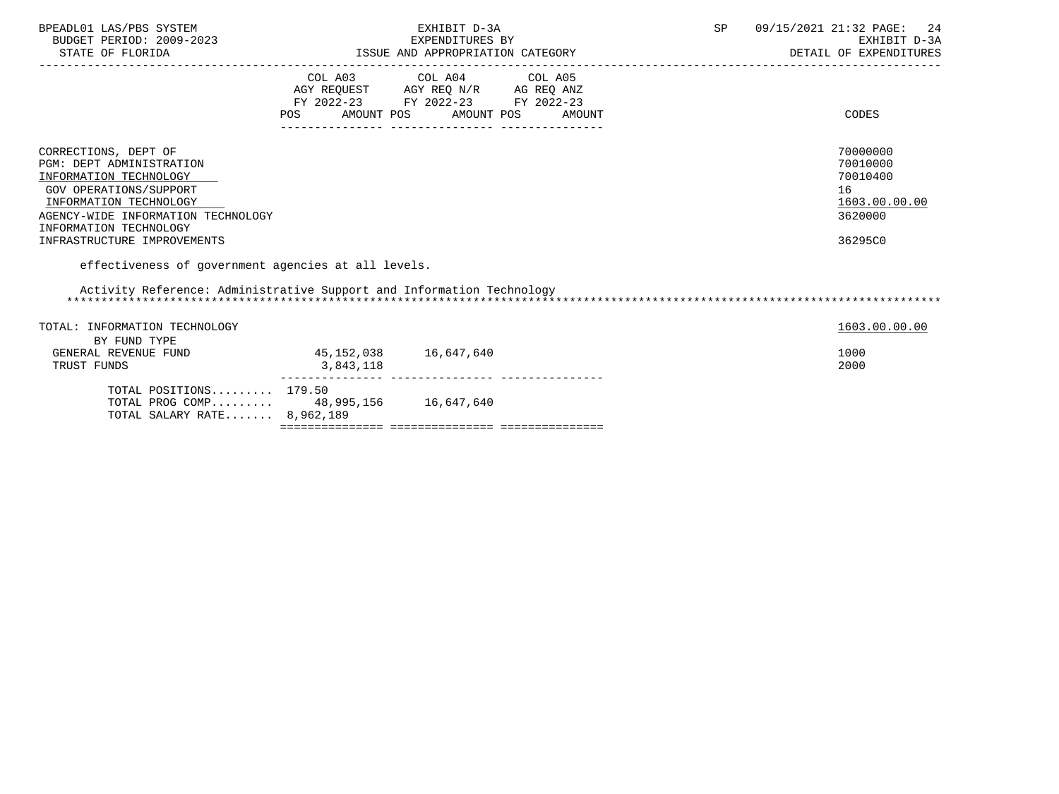| BPEADL01 LAS/PBS SYSTEM<br>BUDGET PERIOD: 2009-2023<br>STATE OF FLORIDA                                                                                                                                                              |                                                                                                                | EXHIBIT D-3A<br>EXPENDITURES BY<br>ISSUE AND APPROPRIATION CATEGORY                                                                  | SP | 09/15/2021 21:32 PAGE:<br>24<br>EXHIBIT D-3A<br>DETAIL OF EXPENDITURES        |
|--------------------------------------------------------------------------------------------------------------------------------------------------------------------------------------------------------------------------------------|----------------------------------------------------------------------------------------------------------------|--------------------------------------------------------------------------------------------------------------------------------------|----|-------------------------------------------------------------------------------|
|                                                                                                                                                                                                                                      | POS FOR THE POST OF THE STATE STATE STATE STATE STATE STATE STATE STATE STATE STATE STATE STATE STATE STATE ST | COL A03 COL A04 COL A05<br>AGY REQUEST AGY REQ N/R AG REQ ANZ<br>FY 2022-23 FY 2022-23 FY 2022-23<br>AMOUNT POS AMOUNT POS<br>AMOUNT |    | CODES                                                                         |
| CORRECTIONS, DEPT OF<br><b>PGM: DEPT ADMINISTRATION</b><br>INFORMATION TECHNOLOGY<br>GOV OPERATIONS/SUPPORT<br>INFORMATION TECHNOLOGY<br>AGENCY-WIDE INFORMATION TECHNOLOGY<br>INFORMATION TECHNOLOGY<br>INFRASTRUCTURE IMPROVEMENTS |                                                                                                                |                                                                                                                                      |    | 70000000<br>70010000<br>70010400<br>16<br>1603.00.00.00<br>3620000<br>36295C0 |
| effectiveness of government agencies at all levels.<br>Activity Reference: Administrative Support and Information Technology                                                                                                         |                                                                                                                |                                                                                                                                      |    |                                                                               |
| TOTAL: INFORMATION TECHNOLOGY<br>BY FUND TYPE<br>GENERAL REVENUE FUND<br>TRUST FUNDS                                                                                                                                                 | 45, 152, 038 16, 647, 640<br>3,843,118                                                                         |                                                                                                                                      |    | 1603.00.00.00<br>1000<br>2000                                                 |
| TOTAL POSITIONS $179.50$<br>TOTAL PROG COMP 48,995,156 16,647,640<br>TOTAL SALARY RATE 8,962,189                                                                                                                                     |                                                                                                                |                                                                                                                                      |    |                                                                               |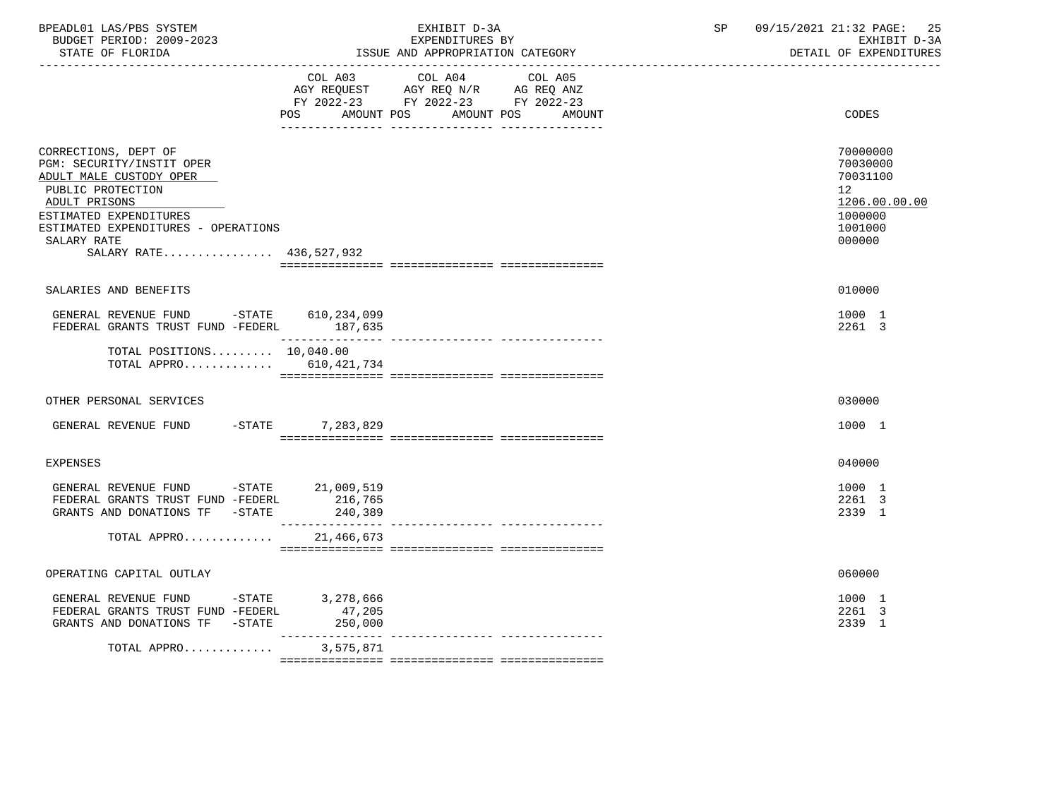| BPEADL01 LAS/PBS SYSTEM<br>BUDGET PERIOD: 2009-2023<br>STATE OF FLORIDA                                                                                                                                                       | EXHIBIT D-3A<br>EXPENDITURES BY<br>ISSUE AND APPROPRIATION CATEGORY                                                                                                                                                                                                                                                                                                                                                                                                                                 | 09/15/2021 21:32 PAGE:<br>SP<br>25<br>EXHIBIT D-3A<br>DETAIL OF EXPENDITURES                         |
|-------------------------------------------------------------------------------------------------------------------------------------------------------------------------------------------------------------------------------|-----------------------------------------------------------------------------------------------------------------------------------------------------------------------------------------------------------------------------------------------------------------------------------------------------------------------------------------------------------------------------------------------------------------------------------------------------------------------------------------------------|------------------------------------------------------------------------------------------------------|
|                                                                                                                                                                                                                               | COL A03 COL A04<br>COL A05<br>AGY REQUEST AGY REQ N/R AG REQ ANZ<br>FY 2022-23 FY 2022-23 FY 2022-23<br>POS AMOUNT POS AMOUNT POS                                                                                                                                                                                                                                                                                                                                                                   | CODES<br>AMOUNT                                                                                      |
| CORRECTIONS, DEPT OF<br>PGM: SECURITY/INSTIT OPER<br>ADULT MALE CUSTODY OPER<br>PUBLIC PROTECTION<br>ADULT PRISONS<br>ESTIMATED EXPENDITURES<br>ESTIMATED EXPENDITURES - OPERATIONS<br>SALARY RATE<br>SALARY RATE 436,527,932 |                                                                                                                                                                                                                                                                                                                                                                                                                                                                                                     | 70000000<br>70030000<br>70031100<br>12 <sub>1</sub><br>1206.00.00.00<br>1000000<br>1001000<br>000000 |
| SALARIES AND BENEFITS                                                                                                                                                                                                         |                                                                                                                                                                                                                                                                                                                                                                                                                                                                                                     | 010000                                                                                               |
| GENERAL REVENUE FUND -STATE 610,234,099<br>FEDERAL GRANTS TRUST FUND -FEDERL 187,635                                                                                                                                          |                                                                                                                                                                                                                                                                                                                                                                                                                                                                                                     | 1000 1<br>2261 3                                                                                     |
| TOTAL POSITIONS 10,040.00<br>TOTAL APPRO $610, 421, 734$                                                                                                                                                                      |                                                                                                                                                                                                                                                                                                                                                                                                                                                                                                     |                                                                                                      |
| OTHER PERSONAL SERVICES                                                                                                                                                                                                       |                                                                                                                                                                                                                                                                                                                                                                                                                                                                                                     | 030000                                                                                               |
| GENERAL REVENUE FUND -STATE 7,283,829                                                                                                                                                                                         |                                                                                                                                                                                                                                                                                                                                                                                                                                                                                                     | 1000 1                                                                                               |
| <b>EXPENSES</b>                                                                                                                                                                                                               |                                                                                                                                                                                                                                                                                                                                                                                                                                                                                                     | 040000                                                                                               |
| GENERAL REVENUE FUND -STATE 21,009,519<br>FEDERAL GRANTS TRUST FUND -FEDERL<br>GRANTS AND DONATIONS TF -STATE                                                                                                                 | 216,765<br>240,389                                                                                                                                                                                                                                                                                                                                                                                                                                                                                  | 1000 1<br>2261 3<br>2339 1                                                                           |
| TOTAL APPRO 21,466,673                                                                                                                                                                                                        |                                                                                                                                                                                                                                                                                                                                                                                                                                                                                                     |                                                                                                      |
| OPERATING CAPITAL OUTLAY                                                                                                                                                                                                      |                                                                                                                                                                                                                                                                                                                                                                                                                                                                                                     | 060000                                                                                               |
| GENERAL REVENUE FUND -STATE<br>FEDERAL GRANTS TRUST FUND -FEDERL<br>GRANTS AND DONATIONS TF -STATE                                                                                                                            | 3,278,666<br>47,205<br>250,000                                                                                                                                                                                                                                                                                                                                                                                                                                                                      | 1000 1<br>2261 3<br>2339 1                                                                           |
| TOTAL APPRO                                                                                                                                                                                                                   | $\begin{array}{cccccccccc} \multicolumn{2}{c}{} & \multicolumn{2}{c}{} & \multicolumn{2}{c}{} & \multicolumn{2}{c}{} & \multicolumn{2}{c}{} & \multicolumn{2}{c}{} & \multicolumn{2}{c}{} & \multicolumn{2}{c}{} & \multicolumn{2}{c}{} & \multicolumn{2}{c}{} & \multicolumn{2}{c}{} & \multicolumn{2}{c}{} & \multicolumn{2}{c}{} & \multicolumn{2}{c}{} & \multicolumn{2}{c}{} & \multicolumn{2}{c}{} & \multicolumn{2}{c}{} & \multicolumn{2}{c}{} & \multicolumn{2}{c}{} & \mult$<br>3,575,871 |                                                                                                      |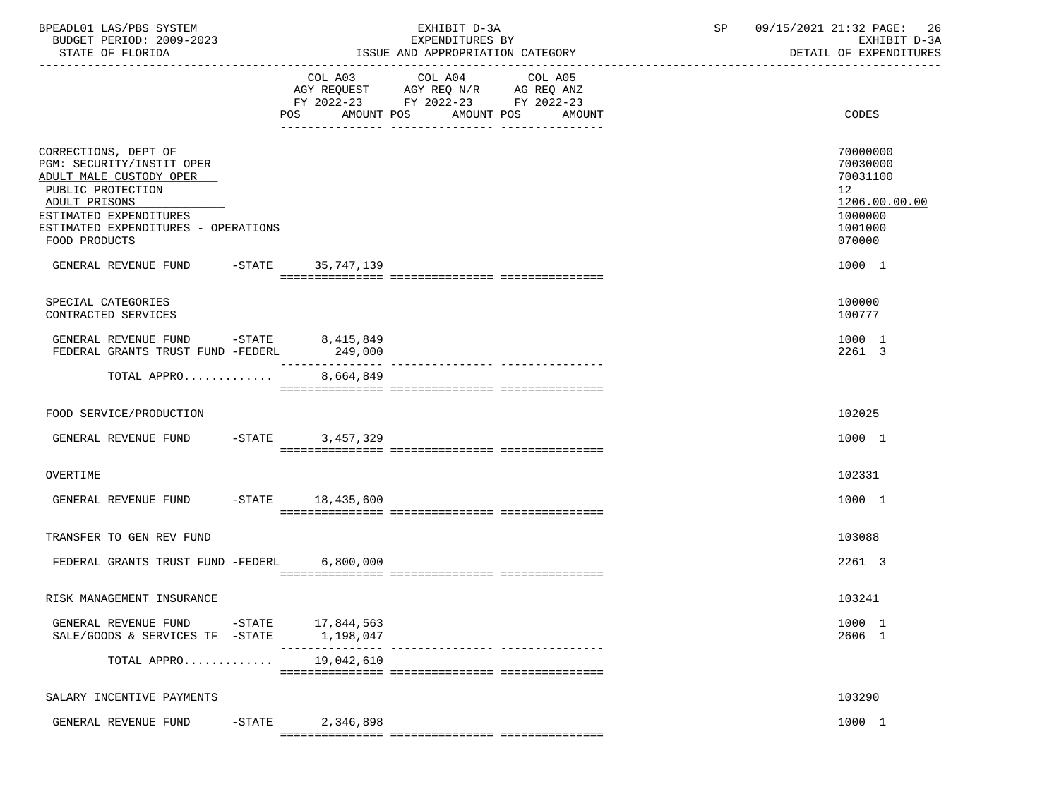| BPEADL01 LAS/PBS SYSTEM<br>BUDGET PERIOD: 2009-2023<br>STATE OF FLORIDA                                                                                                                              | EXHIBIT D-3A<br>EXPENDITURES BY<br>ISSUE AND APPROPRIATION CATEGORY |                                             |  |                                                                                                                                       |  | 09/15/2021 21:32 PAGE: 26<br>SP<br>DETAIL OF EXPENDITURES |  | EXHIBIT D-3A |                                                                                                      |
|------------------------------------------------------------------------------------------------------------------------------------------------------------------------------------------------------|---------------------------------------------------------------------|---------------------------------------------|--|---------------------------------------------------------------------------------------------------------------------------------------|--|-----------------------------------------------------------|--|--------------|------------------------------------------------------------------------------------------------------|
|                                                                                                                                                                                                      |                                                                     |                                             |  | COL A03 COL A04 COL A05<br>AGY REQUEST AGY REQ N/R AG REQ ANZ<br>FY 2022-23 FY 2022-23 FY 2022-23<br>POS AMOUNT POS AMOUNT POS AMOUNT |  |                                                           |  |              | CODES                                                                                                |
| CORRECTIONS, DEPT OF<br>PGM: SECURITY/INSTIT OPER<br>ADULT MALE CUSTODY OPER<br>PUBLIC PROTECTION<br>ADULT PRISONS<br>ESTIMATED EXPENDITURES<br>ESTIMATED EXPENDITURES - OPERATIONS<br>FOOD PRODUCTS |                                                                     |                                             |  |                                                                                                                                       |  |                                                           |  |              | 70000000<br>70030000<br>70031100<br>12 <sup>1</sup><br>1206.00.00.00<br>1000000<br>1001000<br>070000 |
| GENERAL REVENUE FUND -STATE 35,747,139                                                                                                                                                               |                                                                     |                                             |  |                                                                                                                                       |  |                                                           |  |              | 1000 1                                                                                               |
| SPECIAL CATEGORIES<br>CONTRACTED SERVICES                                                                                                                                                            |                                                                     |                                             |  |                                                                                                                                       |  |                                                           |  |              | 100000<br>100777                                                                                     |
| GENERAL REVENUE FUND $-$ STATE $8,415,849$<br>FEDERAL GRANTS TRUST FUND -FEDERL                                                                                                                      |                                                                     | 249,000                                     |  |                                                                                                                                       |  |                                                           |  |              | 1000 1<br>2261 3                                                                                     |
| TOTAL APPRO                                                                                                                                                                                          |                                                                     | 8,664,849                                   |  |                                                                                                                                       |  |                                                           |  |              |                                                                                                      |
| FOOD SERVICE/PRODUCTION                                                                                                                                                                              |                                                                     |                                             |  |                                                                                                                                       |  |                                                           |  |              | 102025                                                                                               |
| GENERAL REVENUE FUND -STATE 3,457,329                                                                                                                                                                |                                                                     |                                             |  |                                                                                                                                       |  |                                                           |  |              | 1000 1                                                                                               |
| OVERTIME                                                                                                                                                                                             |                                                                     |                                             |  |                                                                                                                                       |  |                                                           |  |              | 102331                                                                                               |
| GENERAL REVENUE FUND -STATE 18,435,600                                                                                                                                                               |                                                                     |                                             |  |                                                                                                                                       |  |                                                           |  |              | 1000 1                                                                                               |
| TRANSFER TO GEN REV FUND                                                                                                                                                                             |                                                                     |                                             |  |                                                                                                                                       |  |                                                           |  |              | 103088                                                                                               |
| FEDERAL GRANTS TRUST FUND -FEDERL 6,800,000                                                                                                                                                          |                                                                     |                                             |  |                                                                                                                                       |  |                                                           |  |              | 2261 3                                                                                               |
| RISK MANAGEMENT INSURANCE                                                                                                                                                                            |                                                                     |                                             |  |                                                                                                                                       |  |                                                           |  |              | 103241                                                                                               |
| GENERAL REVENUE FUND<br>SALE/GOODS & SERVICES TF -STATE                                                                                                                                              |                                                                     | -STATE 17,844,563<br>1,198,047<br>--------- |  |                                                                                                                                       |  |                                                           |  |              | 1000 1<br>2606 1                                                                                     |
| TOTAL APPRO                                                                                                                                                                                          |                                                                     | 19,042,610                                  |  |                                                                                                                                       |  |                                                           |  |              |                                                                                                      |
| SALARY INCENTIVE PAYMENTS                                                                                                                                                                            |                                                                     |                                             |  |                                                                                                                                       |  |                                                           |  |              | 103290                                                                                               |
| GENERAL REVENUE FUND                                                                                                                                                                                 | $-$ STATE                                                           | 2,346,898                                   |  |                                                                                                                                       |  |                                                           |  |              | 1000 1                                                                                               |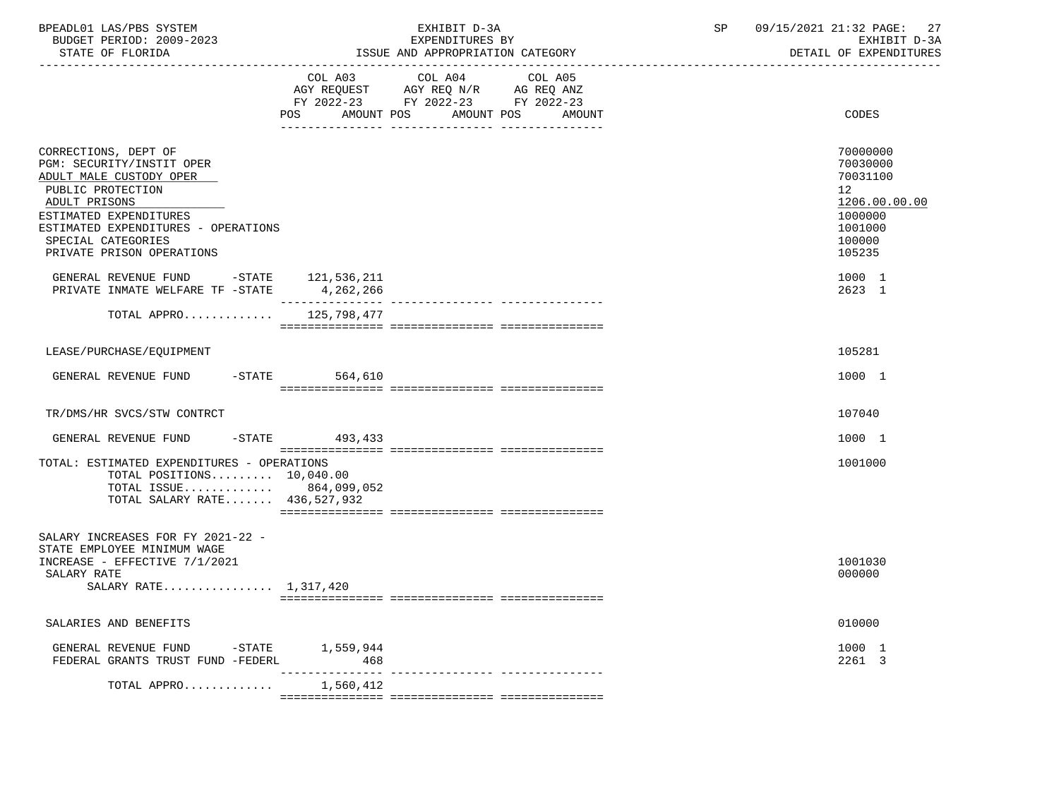| BPEADL01 LAS/PBS SYSTEM<br>BUDGET PERIOD: 2009-2023<br>STATE OF FLORIDA                                                                                                                                                                                                                                   |                          | EXHIBIT D-3A<br>EXPENDITURES BY<br>ISSUE AND APPROPRIATION CATEGORY                                                             | SP<br>09/15/2021 21:32 PAGE:<br>27<br>EXHIBIT D-3A<br>DETAIL OF EXPENDITURES                                                       |
|-----------------------------------------------------------------------------------------------------------------------------------------------------------------------------------------------------------------------------------------------------------------------------------------------------------|--------------------------|---------------------------------------------------------------------------------------------------------------------------------|------------------------------------------------------------------------------------------------------------------------------------|
|                                                                                                                                                                                                                                                                                                           | COL A03<br>POS           | COL A04<br>COL A05<br>AGY REQUEST AGY REQ N/R AG REQ ANZ<br>FY 2022-23 FY 2022-23 FY 2022-23<br>AMOUNT POS AMOUNT POS<br>AMOUNT | CODES                                                                                                                              |
| CORRECTIONS, DEPT OF<br>PGM: SECURITY/INSTIT OPER<br>ADULT MALE CUSTODY OPER<br>PUBLIC PROTECTION<br>ADULT PRISONS<br>ESTIMATED EXPENDITURES<br>ESTIMATED EXPENDITURES - OPERATIONS<br>SPECIAL CATEGORIES<br>PRIVATE PRISON OPERATIONS<br>GENERAL REVENUE FUND -STATE<br>PRIVATE INMATE WELFARE TF -STATE | 121,536,211<br>4,262,266 |                                                                                                                                 | 70000000<br>70030000<br>70031100<br>12 <sub>1</sub><br>1206.00.00.00<br>1000000<br>1001000<br>100000<br>105235<br>1000 1<br>2623 1 |
| TOTAL APPRO $125,798,477$                                                                                                                                                                                                                                                                                 |                          |                                                                                                                                 |                                                                                                                                    |
| LEASE/PURCHASE/EQUIPMENT                                                                                                                                                                                                                                                                                  |                          |                                                                                                                                 | 105281                                                                                                                             |
| GENERAL REVENUE FUND -STATE 564,610                                                                                                                                                                                                                                                                       |                          |                                                                                                                                 | 1000 1                                                                                                                             |
| TR/DMS/HR SVCS/STW CONTRCT                                                                                                                                                                                                                                                                                |                          |                                                                                                                                 | 107040                                                                                                                             |
| GENERAL REVENUE FUND -STATE 493,433                                                                                                                                                                                                                                                                       |                          |                                                                                                                                 | 1000 1                                                                                                                             |
| TOTAL: ESTIMATED EXPENDITURES - OPERATIONS<br>TOTAL POSITIONS 10,040.00<br>TOTAL ISSUE 864,099,052<br>TOTAL SALARY RATE 436,527,932                                                                                                                                                                       |                          |                                                                                                                                 | 1001000                                                                                                                            |
| SALARY INCREASES FOR FY 2021-22 -<br>STATE EMPLOYEE MINIMUM WAGE<br>INCREASE - EFFECTIVE 7/1/2021<br>SALARY RATE<br>SALARY RATE 1,317,420                                                                                                                                                                 |                          |                                                                                                                                 | 1001030<br>000000                                                                                                                  |
| SALARIES AND BENEFITS                                                                                                                                                                                                                                                                                     |                          |                                                                                                                                 | 010000                                                                                                                             |
| GENERAL REVENUE FUND<br>FEDERAL GRANTS TRUST FUND -FEDERL                                                                                                                                                                                                                                                 | -STATE 1,559,944<br>468  |                                                                                                                                 | 1000 1<br>2261 3                                                                                                                   |
| TOTAL APPRO                                                                                                                                                                                                                                                                                               | 1,560,412                |                                                                                                                                 |                                                                                                                                    |
|                                                                                                                                                                                                                                                                                                           |                          |                                                                                                                                 |                                                                                                                                    |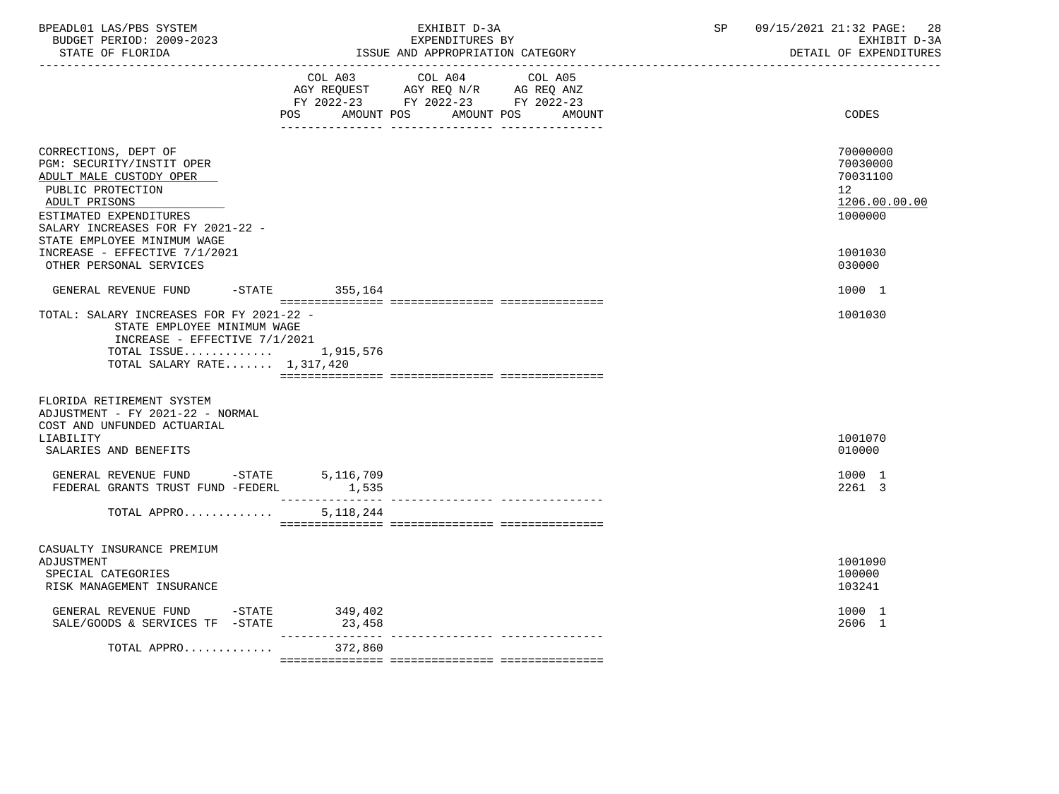| BPEADL01 LAS/PBS SYSTEM<br>BUDGET PERIOD: 2009-2023<br>STATE OF FLORIDA                                                                                                                                                             | EXHIBIT D-3A<br>EXPENDITURES BY<br>ISSUE AND APPROPRIATION CATEGORY                                                                   | 09/15/2021 21:32 PAGE:<br>SP<br>28<br>EXHIBIT D-3A<br>DETAIL OF EXPENDITURES    |
|-------------------------------------------------------------------------------------------------------------------------------------------------------------------------------------------------------------------------------------|---------------------------------------------------------------------------------------------------------------------------------------|---------------------------------------------------------------------------------|
|                                                                                                                                                                                                                                     | COL A03 COL A04 COL A05<br>AGY REQUEST AGY REQ N/R AG REQ ANZ<br>FY 2022-23 FY 2022-23 FY 2022-23<br>POS AMOUNT POS AMOUNT POS AMOUNT | CODES                                                                           |
| CORRECTIONS, DEPT OF<br>PGM: SECURITY/INSTIT OPER<br>ADULT MALE CUSTODY OPER<br>PUBLIC PROTECTION<br>ADULT PRISONS<br>ESTIMATED EXPENDITURES<br>SALARY INCREASES FOR FY 2021-22 -<br>STATE EMPLOYEE MINIMUM WAGE                    |                                                                                                                                       | 70000000<br>70030000<br>70031100<br>12 <sub>2</sub><br>1206.00.00.00<br>1000000 |
| INCREASE - EFFECTIVE 7/1/2021<br>OTHER PERSONAL SERVICES                                                                                                                                                                            |                                                                                                                                       | 1001030<br>030000                                                               |
| GENERAL REVENUE FUND                                                                                                                                                                                                                | $-$ STATE 355,164                                                                                                                     | 1000 1                                                                          |
| TOTAL: SALARY INCREASES FOR FY 2021-22 -<br>STATE EMPLOYEE MINIMUM WAGE<br>INCREASE - EFFECTIVE 7/1/2021<br>TOTAL ISSUE $1,915,576$<br>TOTAL SALARY RATE 1,317,420<br>FLORIDA RETIREMENT SYSTEM<br>ADJUSTMENT - FY 2021-22 - NORMAL |                                                                                                                                       | 1001030                                                                         |
| COST AND UNFUNDED ACTUARIAL<br>LIABILITY<br>SALARIES AND BENEFITS                                                                                                                                                                   |                                                                                                                                       | 1001070<br>010000                                                               |
| GENERAL REVENUE FUND -STATE 5,116,709<br>FEDERAL GRANTS TRUST FUND -FEDERL                                                                                                                                                          | 1,535                                                                                                                                 | 1000 1<br>2261 3                                                                |
| TOTAL APPRO                                                                                                                                                                                                                         | 5,118,244                                                                                                                             |                                                                                 |
| CASUALTY INSURANCE PREMIUM<br>ADJUSTMENT<br>SPECIAL CATEGORIES<br>RISK MANAGEMENT INSURANCE                                                                                                                                         |                                                                                                                                       | 1001090<br>100000<br>103241                                                     |
| GENERAL REVENUE FUND -STATE 349,402<br>SALE/GOODS & SERVICES TF -STATE                                                                                                                                                              | 23,458<br>____________                                                                                                                | 1000 1<br>2606 1                                                                |
| TOTAL APPRO                                                                                                                                                                                                                         | 372,860                                                                                                                               |                                                                                 |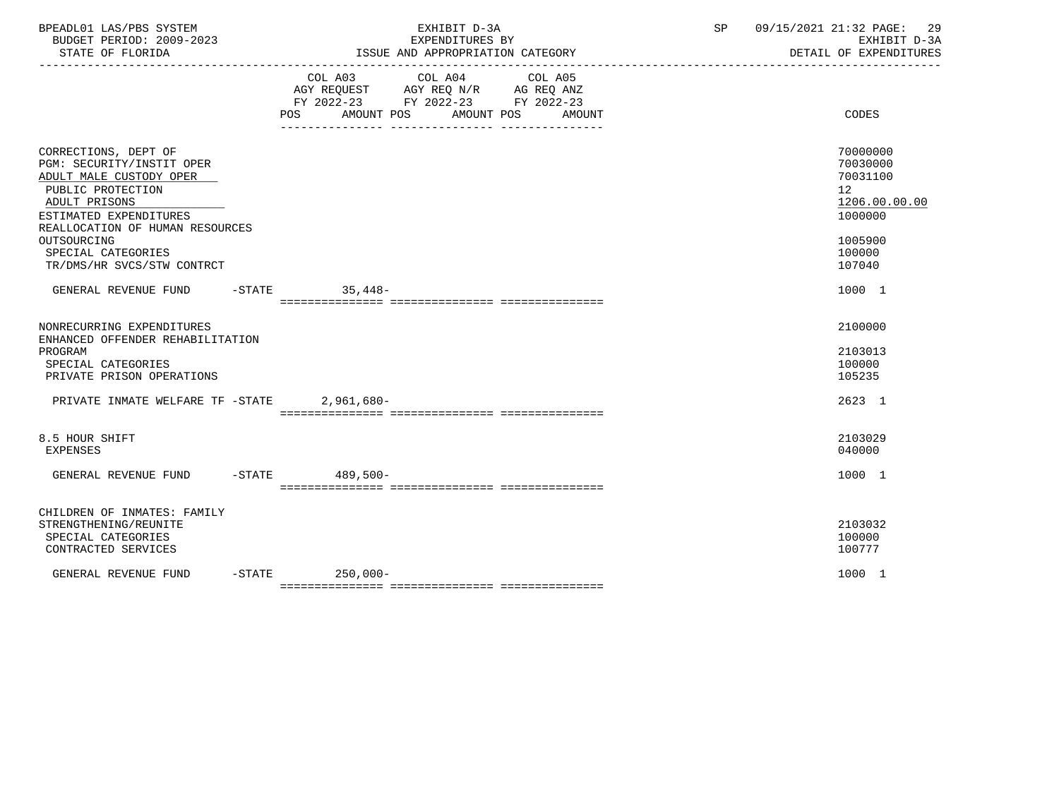| BPEADL01 LAS/PBS SYSTEM<br>BUDGET PERIOD: 2009-2023<br>STATE OF FLORIDA                                                                                                                                                                            | EXHIBIT D-3A<br>EXPENDITURES BY<br>ISSUE AND APPROPRIATION CATEGORY                                                                                  | SP<br>09/15/2021 21:32 PAGE:<br>DETAIL OF EXPENDITURES                                                         | 29<br>EXHIBIT D-3A |
|----------------------------------------------------------------------------------------------------------------------------------------------------------------------------------------------------------------------------------------------------|------------------------------------------------------------------------------------------------------------------------------------------------------|----------------------------------------------------------------------------------------------------------------|--------------------|
|                                                                                                                                                                                                                                                    | COL A03<br>COL A04<br>COL A05<br>AGY REQUEST AGY REQ N/R AG REQ ANZ<br>FY 2022-23 FY 2022-23 FY 2022-23<br>AMOUNT POS<br>POS<br>AMOUNT POS<br>AMOUNT | CODES                                                                                                          |                    |
| CORRECTIONS, DEPT OF<br>PGM: SECURITY/INSTIT OPER<br>ADULT MALE CUSTODY OPER<br>PUBLIC PROTECTION<br>ADULT PRISONS<br>ESTIMATED EXPENDITURES<br>REALLOCATION OF HUMAN RESOURCES<br>OUTSOURCING<br>SPECIAL CATEGORIES<br>TR/DMS/HR SVCS/STW CONTRCT |                                                                                                                                                      | 70000000<br>70030000<br>70031100<br>12 <sup>°</sup><br>1206.00.00.00<br>1000000<br>1005900<br>100000<br>107040 |                    |
| GENERAL REVENUE FUND -STATE 35,448-                                                                                                                                                                                                                |                                                                                                                                                      | 1000 1                                                                                                         |                    |
| NONRECURRING EXPENDITURES<br>ENHANCED OFFENDER REHABILITATION<br>PROGRAM<br>SPECIAL CATEGORIES<br>PRIVATE PRISON OPERATIONS<br>PRIVATE INMATE WELFARE TF -STATE                                                                                    | $2,961,680-$                                                                                                                                         | 2100000<br>2103013<br>100000<br>105235<br>2623 1                                                               |                    |
| 8.5 HOUR SHIFT<br><b>EXPENSES</b>                                                                                                                                                                                                                  |                                                                                                                                                      | 2103029<br>040000                                                                                              |                    |
| GENERAL REVENUE FUND                                                                                                                                                                                                                               | -STATE 489,500-                                                                                                                                      | 1000 1                                                                                                         |                    |
| CHILDREN OF INMATES: FAMILY<br>STRENGTHENING/REUNITE<br>SPECIAL CATEGORIES<br>CONTRACTED SERVICES                                                                                                                                                  |                                                                                                                                                      | 2103032<br>100000<br>100777                                                                                    |                    |
| GENERAL REVENUE FUND                                                                                                                                                                                                                               | $-STATE$ 250,000-                                                                                                                                    | 1000 1                                                                                                         |                    |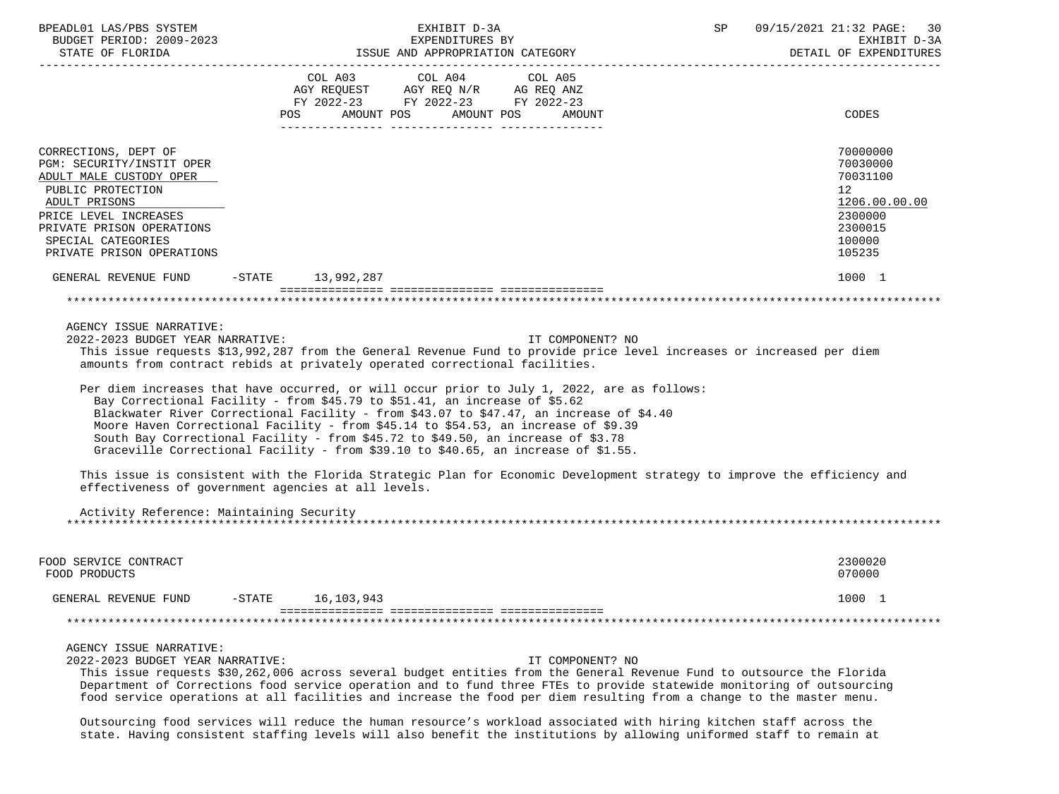| BPEADL01 LAS/PBS SYSTEM<br>BUDGET PERIOD: 2009-2023<br>STATE OF FLORIDA                                                                                                                                                     | EXHIBIT D-3A<br>EXPENDITURES BY<br>ISSUE AND APPROPRIATION CATEGORY                                                                                                                                                                                                                                                                                                                                                                                                                                                                                                                                                                                                                                                                                                                                                                                                                                                                                 | 09/15/2021 21:32 PAGE: 30<br>SP<br>EXHIBIT D-3A<br>DETAIL OF EXPENDITURES                                      |
|-----------------------------------------------------------------------------------------------------------------------------------------------------------------------------------------------------------------------------|-----------------------------------------------------------------------------------------------------------------------------------------------------------------------------------------------------------------------------------------------------------------------------------------------------------------------------------------------------------------------------------------------------------------------------------------------------------------------------------------------------------------------------------------------------------------------------------------------------------------------------------------------------------------------------------------------------------------------------------------------------------------------------------------------------------------------------------------------------------------------------------------------------------------------------------------------------|----------------------------------------------------------------------------------------------------------------|
|                                                                                                                                                                                                                             | COL A03<br>COL A04 COL A05<br>AGY REQUEST AGY REQ N/R AG REQ ANZ<br>FY 2022-23 FY 2022-23 FY 2022-23<br>AMOUNT POS<br>AMOUNT POS<br>POS<br>AMOUNT                                                                                                                                                                                                                                                                                                                                                                                                                                                                                                                                                                                                                                                                                                                                                                                                   | CODES                                                                                                          |
| CORRECTIONS, DEPT OF<br>PGM: SECURITY/INSTIT OPER<br>ADULT MALE CUSTODY OPER<br>PUBLIC PROTECTION<br>ADULT PRISONS<br>PRICE LEVEL INCREASES<br>PRIVATE PRISON OPERATIONS<br>SPECIAL CATEGORIES<br>PRIVATE PRISON OPERATIONS |                                                                                                                                                                                                                                                                                                                                                                                                                                                                                                                                                                                                                                                                                                                                                                                                                                                                                                                                                     | 70000000<br>70030000<br>70031100<br>12 <sub>2</sub><br>1206.00.00.00<br>2300000<br>2300015<br>100000<br>105235 |
| GENERAL REVENUE FUND                                                                                                                                                                                                        | -STATE 13,992,287                                                                                                                                                                                                                                                                                                                                                                                                                                                                                                                                                                                                                                                                                                                                                                                                                                                                                                                                   | 1000 1                                                                                                         |
|                                                                                                                                                                                                                             |                                                                                                                                                                                                                                                                                                                                                                                                                                                                                                                                                                                                                                                                                                                                                                                                                                                                                                                                                     |                                                                                                                |
| AGENCY ISSUE NARRATIVE:<br>2022-2023 BUDGET YEAR NARRATIVE:<br>Activity Reference: Maintaining Security                                                                                                                     | IT COMPONENT? NO<br>This issue requests \$13,992,287 from the General Revenue Fund to provide price level increases or increased per diem<br>amounts from contract rebids at privately operated correctional facilities.<br>Per diem increases that have occurred, or will occur prior to July 1, 2022, are as follows:<br>Bay Correctional Facility - from \$45.79 to \$51.41, an increase of \$5.62<br>Blackwater River Correctional Facility - from \$43.07 to \$47.47, an increase of \$4.40<br>Moore Haven Correctional Facility - from \$45.14 to \$54.53, an increase of \$9.39<br>South Bay Correctional Facility - from \$45.72 to \$49.50, an increase of \$3.78<br>Graceville Correctional Facility - from \$39.10 to \$40.65, an increase of \$1.55.<br>This issue is consistent with the Florida Strategic Plan for Economic Development strategy to improve the efficiency and<br>effectiveness of government agencies at all levels. |                                                                                                                |
| FOOD SERVICE CONTRACT<br>FOOD PRODUCTS                                                                                                                                                                                      |                                                                                                                                                                                                                                                                                                                                                                                                                                                                                                                                                                                                                                                                                                                                                                                                                                                                                                                                                     | 2300020<br>070000                                                                                              |
| GENERAL REVENUE FUND                                                                                                                                                                                                        | 16, 103, 943<br>$-STATE$                                                                                                                                                                                                                                                                                                                                                                                                                                                                                                                                                                                                                                                                                                                                                                                                                                                                                                                            | 1000 1                                                                                                         |
|                                                                                                                                                                                                                             |                                                                                                                                                                                                                                                                                                                                                                                                                                                                                                                                                                                                                                                                                                                                                                                                                                                                                                                                                     |                                                                                                                |
| AGENCY ISSUE NARRATIVE:<br>2022-2023 BUDGET YEAR NARRATIVE:                                                                                                                                                                 | IT COMPONENT? NO<br>This issue requests \$30,262,006 across several budget entities from the General Revenue Fund to outsource the Florida<br>Department of Corrections food service operation and to fund three FTEs to provide statewide monitoring of outsourcing<br>food service operations at all facilities and increase the food per diem resulting from a change to the master menu.<br>Outsourcing food services will reduce the human resource's workload associated with hiring kitchen staff across the                                                                                                                                                                                                                                                                                                                                                                                                                                 |                                                                                                                |

state. Having consistent staffing levels will also benefit the institutions by allowing uniformed staff to remain at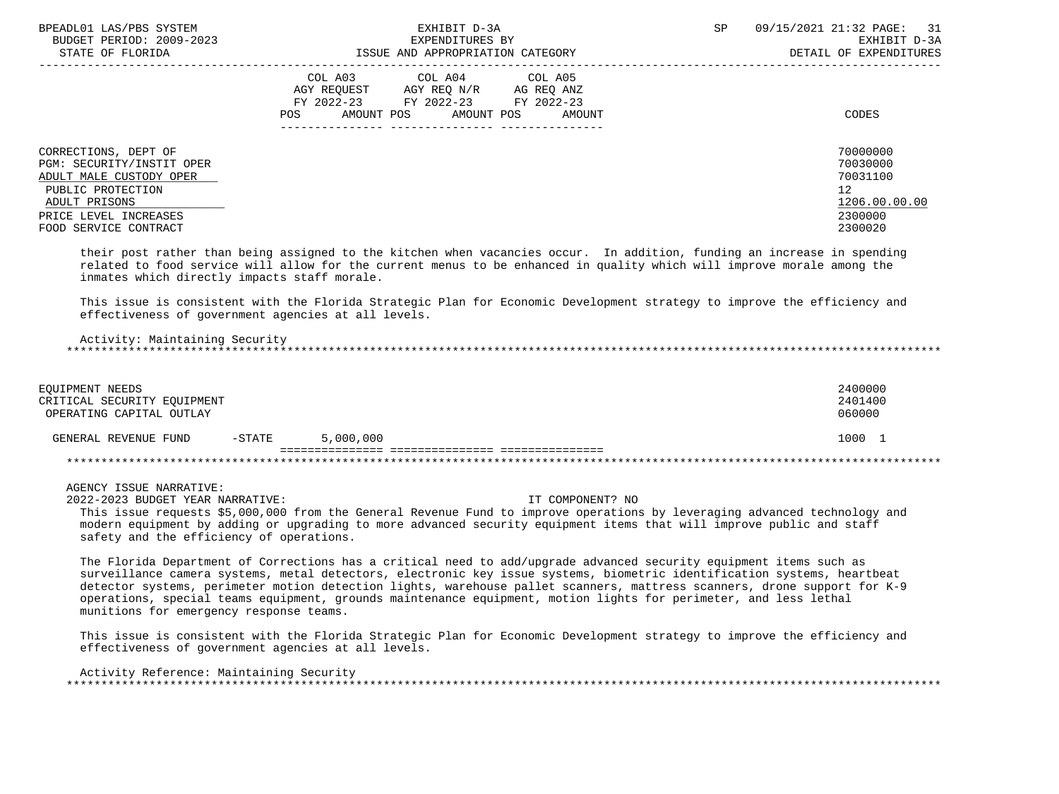| BPEADL01 LAS/PBS SYSTEM<br>BUDGET PERIOD: 2009-2023                                                                                                                  | EXHIBIT D-3A<br>EXPENDITURES BY                                                                                                                      | SP<br>09/15/2021 21:32 PAGE:<br>31<br>EXHIBIT D-3A                            |
|----------------------------------------------------------------------------------------------------------------------------------------------------------------------|------------------------------------------------------------------------------------------------------------------------------------------------------|-------------------------------------------------------------------------------|
| STATE OF FLORIDA                                                                                                                                                     | ISSUE AND APPROPRIATION CATEGORY                                                                                                                     | DETAIL OF EXPENDITURES                                                        |
|                                                                                                                                                                      | COL A03 COL A04 COL A05<br>AGY REOUEST<br>AGY REO N/R<br>AG REQ ANZ<br>FY 2022-23 FY 2022-23 FY 2022-23<br>AMOUNT POS<br>AMOUNT POS<br>POS<br>AMOUNT | CODES                                                                         |
| CORRECTIONS, DEPT OF<br>PGM: SECURITY/INSTIT OPER<br>ADULT MALE CUSTODY OPER<br>PUBLIC PROTECTION<br>ADULT PRISONS<br>PRICE LEVEL INCREASES<br>FOOD SERVICE CONTRACT |                                                                                                                                                      | 70000000<br>70030000<br>70031100<br>12<br>1206.00.00.00<br>2300000<br>2300020 |

 their post rather than being assigned to the kitchen when vacancies occur. In addition, funding an increase in spending related to food service will allow for the current menus to be enhanced in quality which will improve morale among the inmates which directly impacts staff morale.

 This issue is consistent with the Florida Strategic Plan for Economic Development strategy to improve the efficiency and effectiveness of government agencies at all levels.

 Activity: Maintaining Security \*\*\*\*\*\*\*\*\*\*\*\*\*\*\*\*\*\*\*\*\*\*\*\*\*\*\*\*\*\*\*\*\*\*\*\*\*\*\*\*\*\*\*\*\*\*\*\*\*\*\*\*\*\*\*\*\*\*\*\*\*\*\*\*\*\*\*\*\*\*\*\*\*\*\*\*\*\*\*\*\*\*\*\*\*\*\*\*\*\*\*\*\*\*\*\*\*\*\*\*\*\*\*\*\*\*\*\*\*\*\*\*\*\*\*\*\*\*\*\*\*\*\*\*\*\*\*

| EQUIPMENT NEEDS<br>CRITICAL SECURITY EOUIPMENT<br>OPERATING CAPITAL OUTLAY |          |           |  | 2400000<br>2401400<br>060000 |
|----------------------------------------------------------------------------|----------|-----------|--|------------------------------|
| GENERAL REVENUE FUND                                                       | $-STATE$ | 5,000,000 |  | 1000                         |
|                                                                            |          |           |  |                              |

AGENCY ISSUE NARRATIVE:

2022-2023 BUDGET YEAR NARRATIVE: IT COMPONENT? NO

 This issue requests \$5,000,000 from the General Revenue Fund to improve operations by leveraging advanced technology and modern equipment by adding or upgrading to more advanced security equipment items that will improve public and staff safety and the efficiency of operations.

 The Florida Department of Corrections has a critical need to add/upgrade advanced security equipment items such as surveillance camera systems, metal detectors, electronic key issue systems, biometric identification systems, heartbeat detector systems, perimeter motion detection lights, warehouse pallet scanners, mattress scanners, drone support for K-9 operations, special teams equipment, grounds maintenance equipment, motion lights for perimeter, and less lethal munitions for emergency response teams.

 This issue is consistent with the Florida Strategic Plan for Economic Development strategy to improve the efficiency and effectiveness of government agencies at all levels.

 Activity Reference: Maintaining Security \*\*\*\*\*\*\*\*\*\*\*\*\*\*\*\*\*\*\*\*\*\*\*\*\*\*\*\*\*\*\*\*\*\*\*\*\*\*\*\*\*\*\*\*\*\*\*\*\*\*\*\*\*\*\*\*\*\*\*\*\*\*\*\*\*\*\*\*\*\*\*\*\*\*\*\*\*\*\*\*\*\*\*\*\*\*\*\*\*\*\*\*\*\*\*\*\*\*\*\*\*\*\*\*\*\*\*\*\*\*\*\*\*\*\*\*\*\*\*\*\*\*\*\*\*\*\*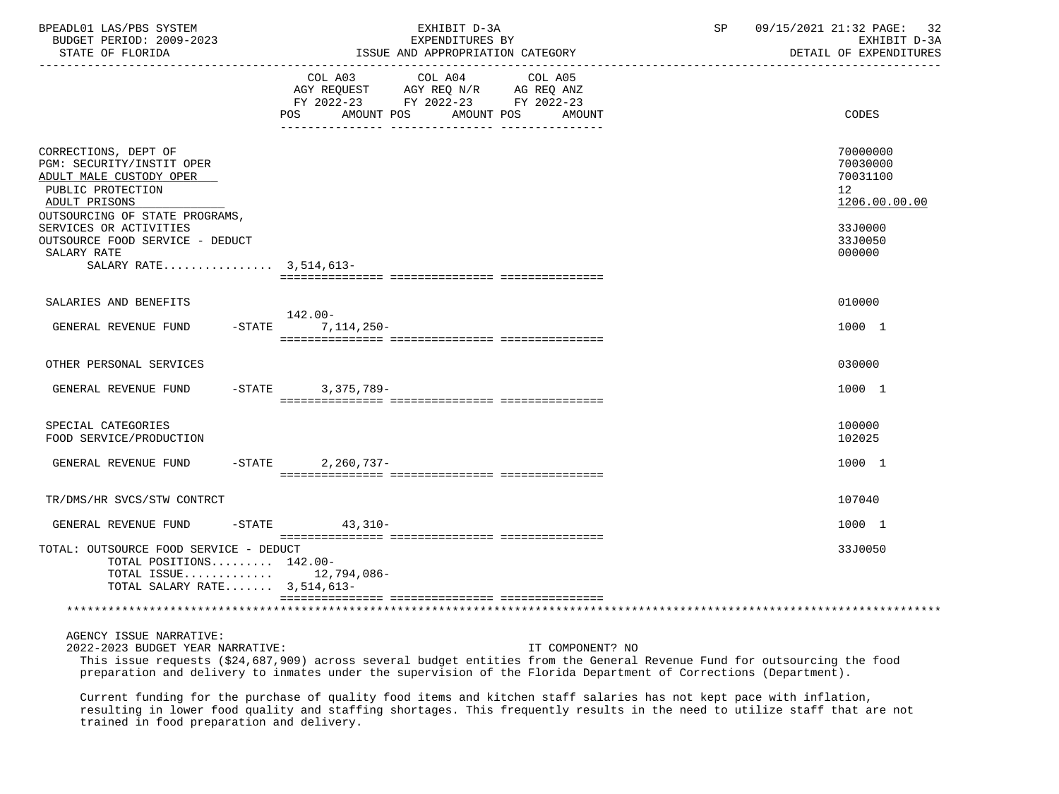| BPEADL01 LAS/PBS SYSTEM<br>BUDGET PERIOD: 2009-2023<br>STATE OF FLORIDA                                                                                                        | EXHIBIT D-3A<br>EXPENDITURES BY<br>ISSUE AND APPROPRIATION CATEGORY                                                                              | 09/15/2021 21:32 PAGE: 32<br>SP<br>EXHIBIT D-3A<br>DETAIL OF EXPENDITURES       |
|--------------------------------------------------------------------------------------------------------------------------------------------------------------------------------|--------------------------------------------------------------------------------------------------------------------------------------------------|---------------------------------------------------------------------------------|
|                                                                                                                                                                                | COL A03 COL A04 COL A05<br>AGY REQUEST AGY REQ $N/R$ AG REQ ANZ<br>FY 2022-23 FY 2022-23 FY 2022-23<br>AMOUNT POS<br>AMOUNT POS<br>POS<br>AMOUNT | CODES                                                                           |
| CORRECTIONS, DEPT OF<br>PGM: SECURITY/INSTIT OPER<br>ADULT MALE CUSTODY OPER<br>PUBLIC PROTECTION<br>ADULT PRISONS<br>OUTSOURCING OF STATE PROGRAMS,<br>SERVICES OR ACTIVITIES |                                                                                                                                                  | 70000000<br>70030000<br>70031100<br>12 <sup>°</sup><br>1206.00.00.00<br>33J0000 |
| OUTSOURCE FOOD SERVICE - DEDUCT<br>SALARY RATE<br>SALARY RATE 3,514,613-                                                                                                       |                                                                                                                                                  | 33J0050<br>000000                                                               |
|                                                                                                                                                                                |                                                                                                                                                  |                                                                                 |
| SALARIES AND BENEFITS                                                                                                                                                          |                                                                                                                                                  | 010000                                                                          |
| GENERAL REVENUE FUND<br>$-$ STATE                                                                                                                                              | 142.00-<br>7,114,250-                                                                                                                            | 1000 1                                                                          |
| OTHER PERSONAL SERVICES                                                                                                                                                        |                                                                                                                                                  | 030000                                                                          |
| GENERAL REVENUE FUND                                                                                                                                                           | -STATE 3,375,789-                                                                                                                                | 1000 1                                                                          |
| SPECIAL CATEGORIES<br>FOOD SERVICE/PRODUCTION                                                                                                                                  |                                                                                                                                                  | 100000<br>102025                                                                |
| GENERAL REVENUE FUND                                                                                                                                                           | -STATE 2, 260, 737-                                                                                                                              | 1000 1                                                                          |
| TR/DMS/HR SVCS/STW CONTRCT                                                                                                                                                     |                                                                                                                                                  | 107040                                                                          |
| GENERAL REVENUE FUND<br>$-$ STATE                                                                                                                                              | $43,310-$                                                                                                                                        | 1000 1                                                                          |
| TOTAL: OUTSOURCE FOOD SERVICE - DEDUCT<br>TOTAL POSITIONS 142.00-<br>TOTAL ISSUE $12,794,086-$<br>TOTAL SALARY RATE 3,514,613-                                                 |                                                                                                                                                  | 33J0050                                                                         |
|                                                                                                                                                                                |                                                                                                                                                  |                                                                                 |

2022-2023 BUDGET YEAR NARRATIVE: IT COMPONENT? NO

 This issue requests (\$24,687,909) across several budget entities from the General Revenue Fund for outsourcing the food preparation and delivery to inmates under the supervision of the Florida Department of Corrections (Department).

 Current funding for the purchase of quality food items and kitchen staff salaries has not kept pace with inflation, resulting in lower food quality and staffing shortages. This frequently results in the need to utilize staff that are not trained in food preparation and delivery.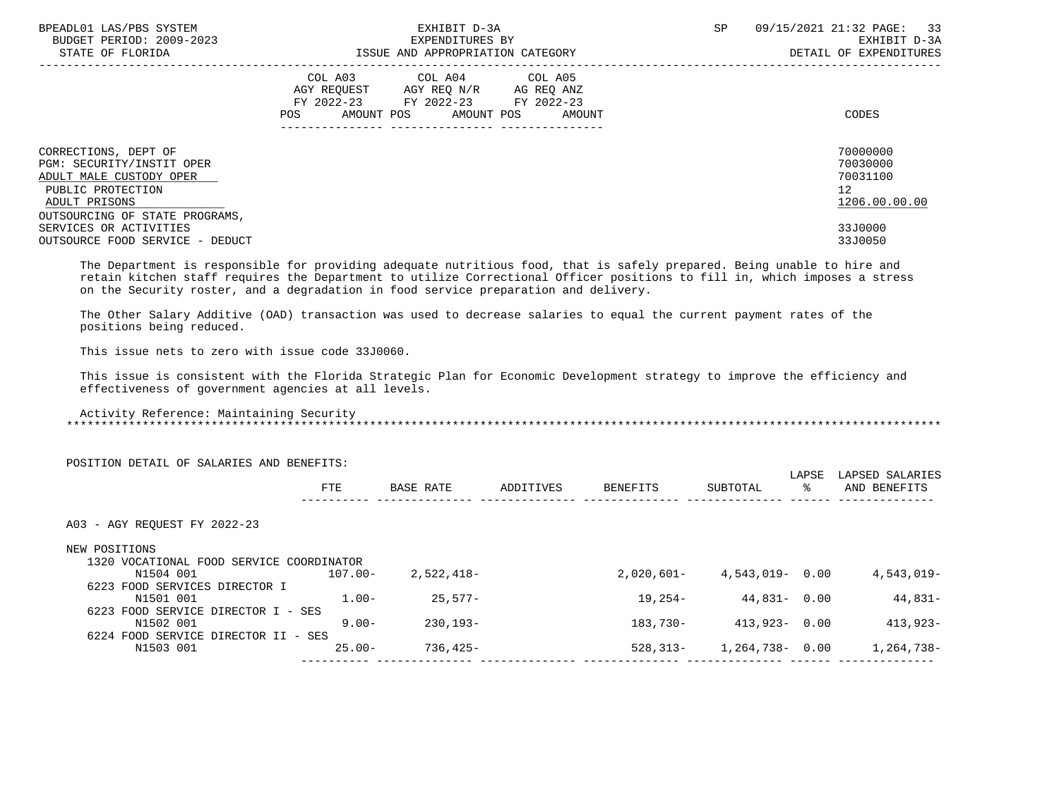| BPEADL01 LAS/PBS SYSTEM<br>BUDGET PERIOD: 2009-2023<br>STATE OF FLORIDA                                                                              | EXHIBIT D-3A<br>EXPENDITURES BY<br>ISSUE AND APPROPRIATION CATEGORY                                                                             | 09/15/2021 21:32 PAGE: 33<br><b>SP</b><br>EXHIBIT D-3A<br>DETAIL OF EXPENDITURES |
|------------------------------------------------------------------------------------------------------------------------------------------------------|-------------------------------------------------------------------------------------------------------------------------------------------------|----------------------------------------------------------------------------------|
|                                                                                                                                                      | COL A03 COL A04 COL A05<br>AGY REQUEST AGY REQ N/R AG REQ ANZ<br>FY 2022-23 FY 2022-23 FY 2022-23<br>AMOUNT POS AMOUNT POS<br>POS FOR<br>AMOUNT | CODES                                                                            |
| CORRECTIONS, DEPT OF<br>PGM: SECURITY/INSTIT OPER<br>ADULT MALE CUSTODY OPER<br>PUBLIC PROTECTION<br>ADULT PRISONS<br>OUTSOURCING OF STATE PROGRAMS, |                                                                                                                                                 | 70000000<br>70030000<br>70031100<br>12 <sup>7</sup><br>1206.00.00.00             |
| SERVICES OR ACTIVITIES<br>OUTSOURCE FOOD SERVICE - DEDUCT                                                                                            |                                                                                                                                                 | 33J0000<br>33J0050                                                               |

 The Department is responsible for providing adequate nutritious food, that is safely prepared. Being unable to hire and retain kitchen staff requires the Department to utilize Correctional Officer positions to fill in, which imposes a stress on the Security roster, and a degradation in food service preparation and delivery.

 The Other Salary Additive (OAD) transaction was used to decrease salaries to equal the current payment rates of the positions being reduced.

This issue nets to zero with issue code 33J0060.

 This issue is consistent with the Florida Strategic Plan for Economic Development strategy to improve the efficiency and effectiveness of government agencies at all levels.

 Activity Reference: Maintaining Security \*\*\*\*\*\*\*\*\*\*\*\*\*\*\*\*\*\*\*\*\*\*\*\*\*\*\*\*\*\*\*\*\*\*\*\*\*\*\*\*\*\*\*\*\*\*\*\*\*\*\*\*\*\*\*\*\*\*\*\*\*\*\*\*\*\*\*\*\*\*\*\*\*\*\*\*\*\*\*\*\*\*\*\*\*\*\*\*\*\*\*\*\*\*\*\*\*\*\*\*\*\*\*\*\*\*\*\*\*\*\*\*\*\*\*\*\*\*\*\*\*\*\*\*\*\*\*

| POSITION DETAIL OF SALARIES AND BENEFITS: |             |           |              |          |   |                                                                                       |
|-------------------------------------------|-------------|-----------|--------------|----------|---|---------------------------------------------------------------------------------------|
| <b>FTE</b>                                | BASE RATE   | ADDITIVES | BENEFITS     | SUBTOTAL | ႜ | LAPSED SALARIES<br>AND BENEFITS                                                       |
|                                           |             |           |              |          |   |                                                                                       |
|                                           |             |           |              |          |   |                                                                                       |
| 1320 VOCATIONAL FOOD SERVICE COORDINATOR  |             |           |              |          |   |                                                                                       |
| $107.00 -$                                | 2,522,418-  |           | $2,020,601-$ |          |   | 4,543,019-                                                                            |
|                                           |             |           |              |          |   |                                                                                       |
| $1.00 -$                                  | $25.577-$   |           | 19,254-      |          |   | 44,831-                                                                               |
| 6223 FOOD SERVICE DIRECTOR I - SES        |             |           |              |          |   |                                                                                       |
| $9.00 -$                                  | $230.193 -$ |           | 183,730-     |          |   | $413,923-$                                                                            |
| 6224 FOOD SERVICE DIRECTOR II - SES       |             |           |              |          |   |                                                                                       |
| $25.00 -$                                 | 736,425-    |           | $528, 313 -$ |          |   | 1,264,738-                                                                            |
|                                           |             |           |              |          |   | LAPSE<br>$4,543,019 - 0.00$<br>$44,831 - 0.00$<br>$413,923 - 0.00$<br>1,264,738- 0.00 |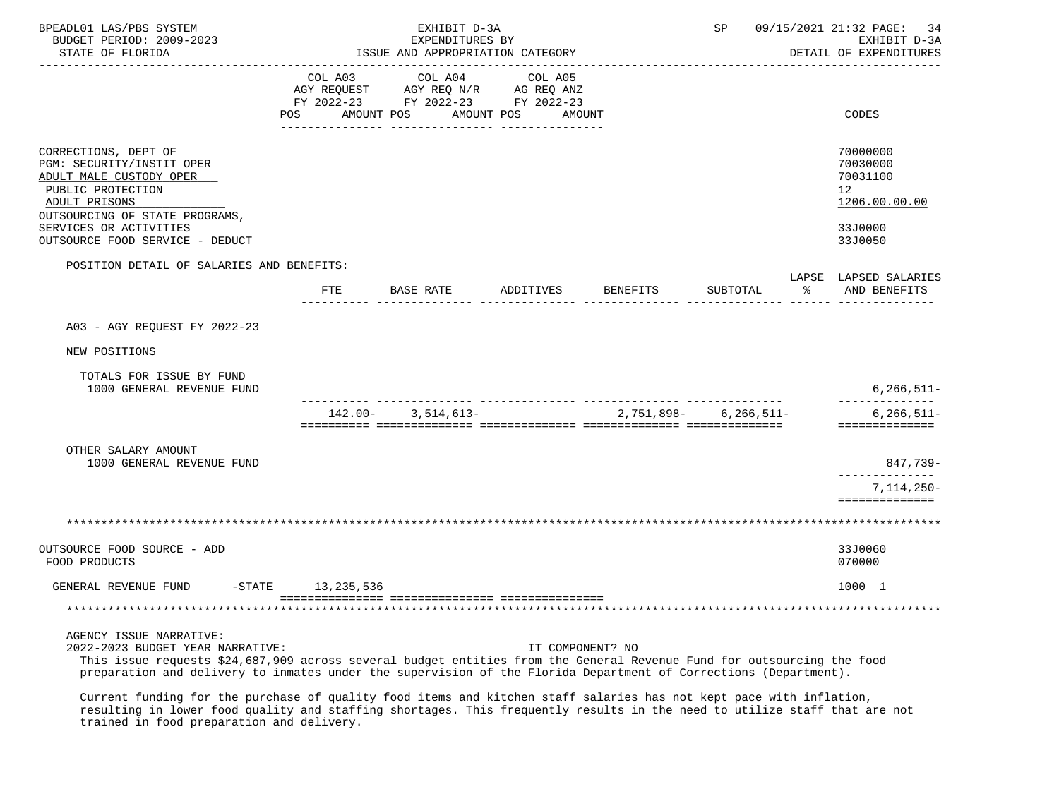| BPEADL01 LAS/PBS SYSTEM<br>BUDGET PERIOD: 2009-2023<br>STATE OF FLORIDA                                                                                                                                                                                                                                   |                 | EXHIBIT D-3A<br>EXPENDITURES BY<br>ISSUE AND APPROPRIATION CATEGORY |                                                                                             |          | SP                        |   | 09/15/2021 21:32 PAGE: 34<br>EXHIBIT D-3A<br>DETAIL OF EXPENDITURES                        |
|-----------------------------------------------------------------------------------------------------------------------------------------------------------------------------------------------------------------------------------------------------------------------------------------------------------|-----------------|---------------------------------------------------------------------|---------------------------------------------------------------------------------------------|----------|---------------------------|---|--------------------------------------------------------------------------------------------|
|                                                                                                                                                                                                                                                                                                           | COL A03<br>POS. | COL A04<br>AMOUNT POS AMOUNT POS                                    | COL A05<br>AGY REQUEST AGY REQ N/R AG REQ ANZ<br>FY 2022-23 FY 2022-23 FY 2022-23<br>AMOUNT |          |                           |   | CODES                                                                                      |
| CORRECTIONS, DEPT OF<br>PGM: SECURITY/INSTIT OPER<br>ADULT MALE CUSTODY OPER<br>PUBLIC PROTECTION<br>ADULT PRISONS<br>OUTSOURCING OF STATE PROGRAMS,<br>SERVICES OR ACTIVITIES<br>OUTSOURCE FOOD SERVICE - DEDUCT                                                                                         |                 |                                                                     |                                                                                             |          |                           |   | 70000000<br>70030000<br>70031100<br>12 <sup>°</sup><br>1206.00.00.00<br>33J0000<br>33J0050 |
| POSITION DETAIL OF SALARIES AND BENEFITS:                                                                                                                                                                                                                                                                 |                 |                                                                     |                                                                                             |          |                           |   |                                                                                            |
|                                                                                                                                                                                                                                                                                                           |                 | FTE BASE RATE                                                       | ADDITIVES                                                                                   | BENEFITS | SUBTOTAL                  | ႜ | LAPSE LAPSED SALARIES<br>AND BENEFITS                                                      |
| A03 - AGY REQUEST FY 2022-23<br>NEW POSITIONS                                                                                                                                                                                                                                                             |                 |                                                                     |                                                                                             |          |                           |   |                                                                                            |
| TOTALS FOR ISSUE BY FUND<br>1000 GENERAL REVENUE FUND                                                                                                                                                                                                                                                     |                 |                                                                     |                                                                                             |          |                           |   | $6, 266, 511 -$                                                                            |
|                                                                                                                                                                                                                                                                                                           |                 | $142.00 - 3.514.613 -$                                              |                                                                                             |          | $2,751,898 - 6,266,511 -$ |   | --------------<br>$6, 266, 511 -$<br>==============                                        |
| OTHER SALARY AMOUNT<br>1000 GENERAL REVENUE FUND                                                                                                                                                                                                                                                          |                 |                                                                     |                                                                                             |          |                           |   | 847,739-                                                                                   |
|                                                                                                                                                                                                                                                                                                           |                 |                                                                     |                                                                                             |          |                           |   | .<br>$7,114,250-$<br>==============                                                        |
|                                                                                                                                                                                                                                                                                                           |                 |                                                                     |                                                                                             |          |                           |   |                                                                                            |
| OUTSOURCE FOOD SOURCE - ADD<br>FOOD PRODUCTS                                                                                                                                                                                                                                                              |                 |                                                                     |                                                                                             |          |                           |   | 33J0060<br>070000                                                                          |
| GENERAL REVENUE FUND -STATE 13,235,536                                                                                                                                                                                                                                                                    |                 |                                                                     |                                                                                             |          |                           |   | 1000 1                                                                                     |
|                                                                                                                                                                                                                                                                                                           |                 |                                                                     |                                                                                             |          |                           |   |                                                                                            |
| AGENCY ISSUE NARRATIVE:<br>2022-2023 BUDGET YEAR NARRATIVE:<br>This issue requests \$24,687,909 across several budget entities from the General Revenue Fund for outsourcing the food<br>preparation and delivery to inmates under the supervision of the Florida Department of Corrections (Department). |                 |                                                                     | IT COMPONENT? NO                                                                            |          |                           |   |                                                                                            |

 Current funding for the purchase of quality food items and kitchen staff salaries has not kept pace with inflation, resulting in lower food quality and staffing shortages. This frequently results in the need to utilize staff that are not trained in food preparation and delivery.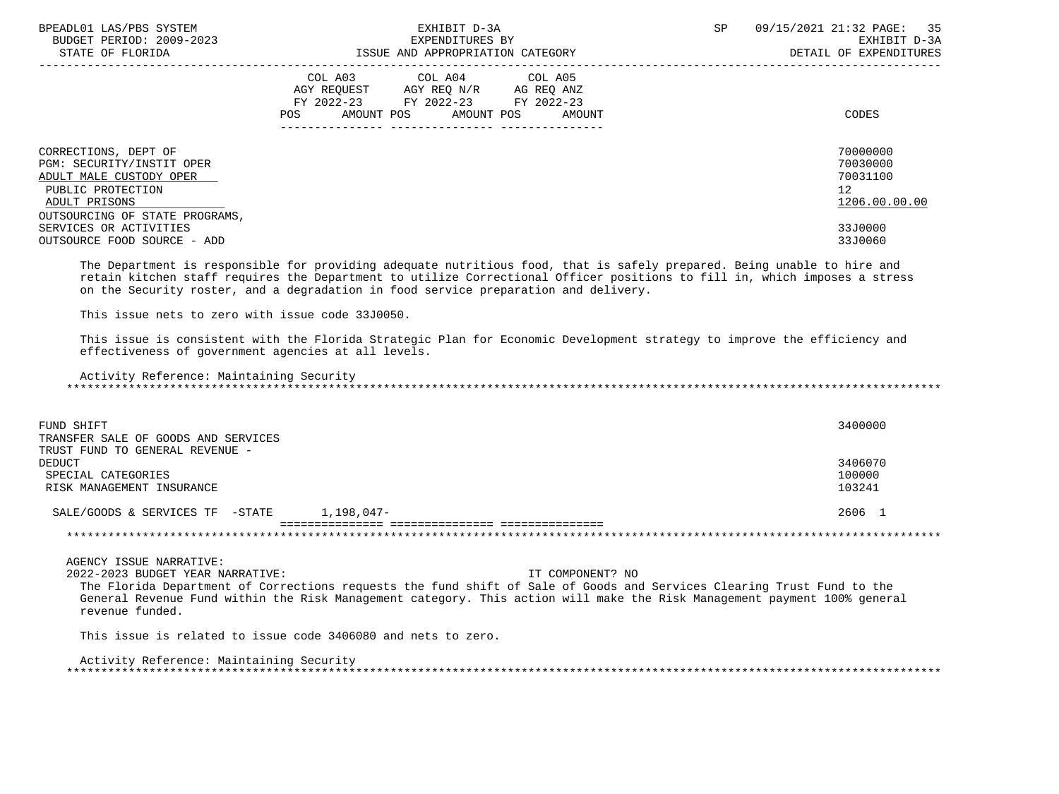| BPEADL01 LAS/PBS SYSTEM<br>BUDGET PERIOD: 2009-2023<br>STATE OF FLORIDA                                                                              | EXHIBIT D-3A<br>EXPENDITURES BY<br>ISSUE AND APPROPRIATION CATEGORY                                                                            | 09/15/2021 21:32 PAGE: 35<br><b>SP</b><br>EXHIBIT D-3A<br>DETAIL OF EXPENDITURES |
|------------------------------------------------------------------------------------------------------------------------------------------------------|------------------------------------------------------------------------------------------------------------------------------------------------|----------------------------------------------------------------------------------|
|                                                                                                                                                      | COL A03 COL A04 COL A05<br>AGY REQUEST AGY REQ N/R AG REQ ANZ<br>FY 2022-23 FY 2022-23<br>FY 2022-23<br>AMOUNT POS AMOUNT POS<br>POS<br>AMOUNT | CODES                                                                            |
| CORRECTIONS, DEPT OF<br>PGM: SECURITY/INSTIT OPER<br>ADULT MALE CUSTODY OPER<br>PUBLIC PROTECTION<br>ADULT PRISONS<br>OUTSOURCING OF STATE PROGRAMS, |                                                                                                                                                | 70000000<br>70030000<br>70031100<br>12 <sup>°</sup><br>1206.00.00.00             |
| SERVICES OR ACTIVITIES<br>OUTSOURCE FOOD SOURCE - ADD                                                                                                |                                                                                                                                                | 33J0000<br>33J0060                                                               |

 The Department is responsible for providing adequate nutritious food, that is safely prepared. Being unable to hire and retain kitchen staff requires the Department to utilize Correctional Officer positions to fill in, which imposes a stress on the Security roster, and a degradation in food service preparation and delivery.

This issue nets to zero with issue code 33J0050.

 This issue is consistent with the Florida Strategic Plan for Economic Development strategy to improve the efficiency and effectiveness of government agencies at all levels.

 Activity Reference: Maintaining Security \*\*\*\*\*\*\*\*\*\*\*\*\*\*\*\*\*\*\*\*\*\*\*\*\*\*\*\*\*\*\*\*\*\*\*\*\*\*\*\*\*\*\*\*\*\*\*\*\*\*\*\*\*\*\*\*\*\*\*\*\*\*\*\*\*\*\*\*\*\*\*\*\*\*\*\*\*\*\*\*\*\*\*\*\*\*\*\*\*\*\*\*\*\*\*\*\*\*\*\*\*\*\*\*\*\*\*\*\*\*\*\*\*\*\*\*\*\*\*\*\*\*\*\*\*\*\*

| FUND SHIFT<br>TRANSFER SALE OF GOODS AND SERVICES | 3400000 |
|---------------------------------------------------|---------|
| TRUST FUND TO GENERAL REVENUE -                   |         |
| DEDUCT                                            | 3406070 |
| SPECIAL CATEGORIES                                | 100000  |
| RISK MANAGEMENT INSURANCE                         | 103241  |
| 1,198,047-<br>SALE/GOODS & SERVICES TF -STATE     | 2606 1  |
|                                                   |         |

AGENCY ISSUE NARRATIVE:

2022-2023 BUDGET YEAR NARRATIVE: IT COMPONENT? NO

 The Florida Department of Corrections requests the fund shift of Sale of Goods and Services Clearing Trust Fund to the General Revenue Fund within the Risk Management category. This action will make the Risk Management payment 100% general revenue funded.

This issue is related to issue code 3406080 and nets to zero.

 Activity Reference: Maintaining Security \*\*\*\*\*\*\*\*\*\*\*\*\*\*\*\*\*\*\*\*\*\*\*\*\*\*\*\*\*\*\*\*\*\*\*\*\*\*\*\*\*\*\*\*\*\*\*\*\*\*\*\*\*\*\*\*\*\*\*\*\*\*\*\*\*\*\*\*\*\*\*\*\*\*\*\*\*\*\*\*\*\*\*\*\*\*\*\*\*\*\*\*\*\*\*\*\*\*\*\*\*\*\*\*\*\*\*\*\*\*\*\*\*\*\*\*\*\*\*\*\*\*\*\*\*\*\*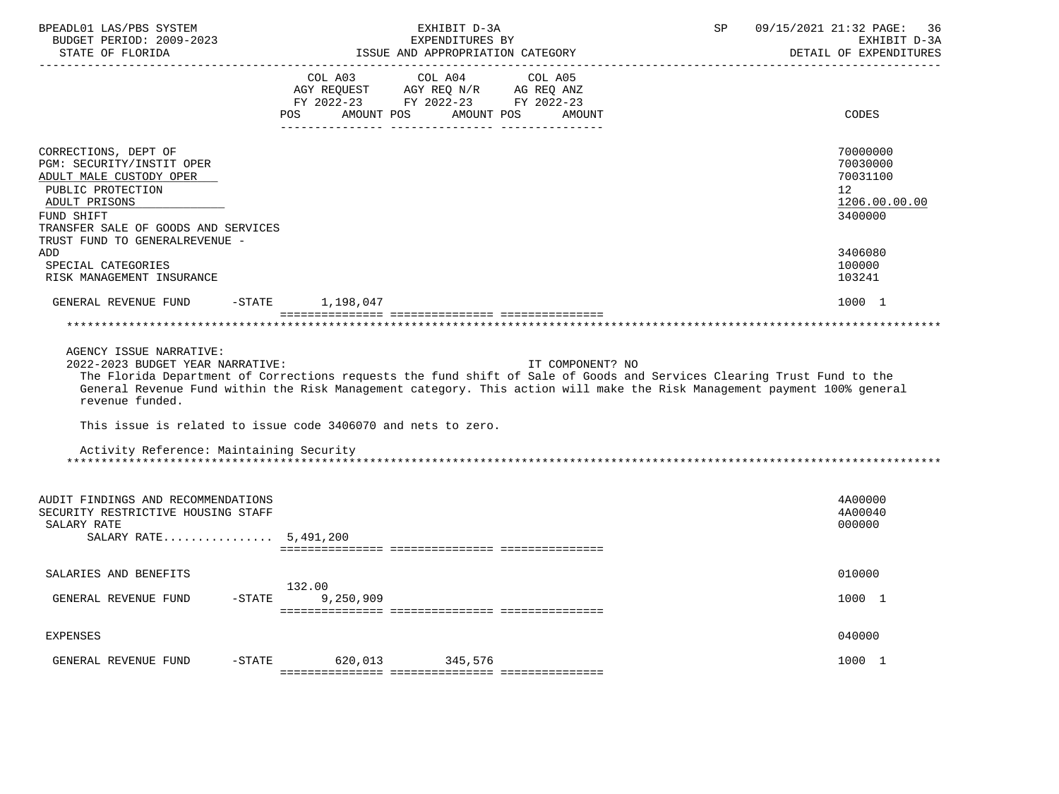| BPEADL01 LAS/PBS SYSTEM<br>BUDGET PERIOD: 2009-2023                                                                                                                     | EXHIBIT D-3A<br>EXPENDITURES BY                                                                                                                                                                                                                                        | 09/15/2021 21:32 PAGE:<br>SP<br>36<br>EXHIBIT D-3A                 |
|-------------------------------------------------------------------------------------------------------------------------------------------------------------------------|------------------------------------------------------------------------------------------------------------------------------------------------------------------------------------------------------------------------------------------------------------------------|--------------------------------------------------------------------|
| STATE OF FLORIDA                                                                                                                                                        | ISSUE AND APPROPRIATION CATEGORY                                                                                                                                                                                                                                       | DETAIL OF EXPENDITURES                                             |
|                                                                                                                                                                         | COL A03<br>COL A04<br>COL A05<br>AGY REQUEST AGY REQ N/R AG REQ ANZ<br>FY 2022-23 FY 2022-23 FY 2022-23<br>AMOUNT POS<br>AMOUNT POS<br>POS<br>AMOUNT                                                                                                                   | CODES                                                              |
| CORRECTIONS, DEPT OF<br>PGM: SECURITY/INSTIT OPER<br>ADULT MALE CUSTODY OPER<br>PUBLIC PROTECTION<br>ADULT PRISONS<br>FUND SHIFT<br>TRANSFER SALE OF GOODS AND SERVICES |                                                                                                                                                                                                                                                                        | 70000000<br>70030000<br>70031100<br>12<br>1206.00.00.00<br>3400000 |
| TRUST FUND TO GENERALREVENUE -<br>ADD                                                                                                                                   |                                                                                                                                                                                                                                                                        | 3406080                                                            |
| SPECIAL CATEGORIES<br>RISK MANAGEMENT INSURANCE                                                                                                                         |                                                                                                                                                                                                                                                                        | 100000<br>103241                                                   |
| GENERAL REVENUE FUND                                                                                                                                                    | 1,198,047<br>$-$ STATE                                                                                                                                                                                                                                                 | 1000 1                                                             |
| AGENCY ISSUE NARRATIVE:<br>2022-2023 BUDGET YEAR NARRATIVE:<br>revenue funded.                                                                                          | IT COMPONENT? NO<br>The Florida Department of Corrections requests the fund shift of Sale of Goods and Services Clearing Trust Fund to the<br>General Revenue Fund within the Risk Management category. This action will make the Risk Management payment 100% general |                                                                    |
|                                                                                                                                                                         | This issue is related to issue code 3406070 and nets to zero.                                                                                                                                                                                                          |                                                                    |
| Activity Reference: Maintaining Security                                                                                                                                |                                                                                                                                                                                                                                                                        |                                                                    |
| AUDIT FINDINGS AND RECOMMENDATIONS<br>SECURITY RESTRICTIVE HOUSING STAFF<br>SALARY RATE<br>SALARY RATE 5,491,200                                                        |                                                                                                                                                                                                                                                                        | 4A00000<br>4A00040<br>000000                                       |
| SALARIES AND BENEFITS                                                                                                                                                   |                                                                                                                                                                                                                                                                        | 010000                                                             |
| GENERAL REVENUE FUND                                                                                                                                                    | 132.00<br>9,250,909<br>$ STATE$                                                                                                                                                                                                                                        | 1000 1                                                             |
| <b>EXPENSES</b>                                                                                                                                                         |                                                                                                                                                                                                                                                                        | 040000                                                             |
| GENERAL REVENUE FUND                                                                                                                                                    | $-STATE$<br>620,013 345,576                                                                                                                                                                                                                                            | 1000 1                                                             |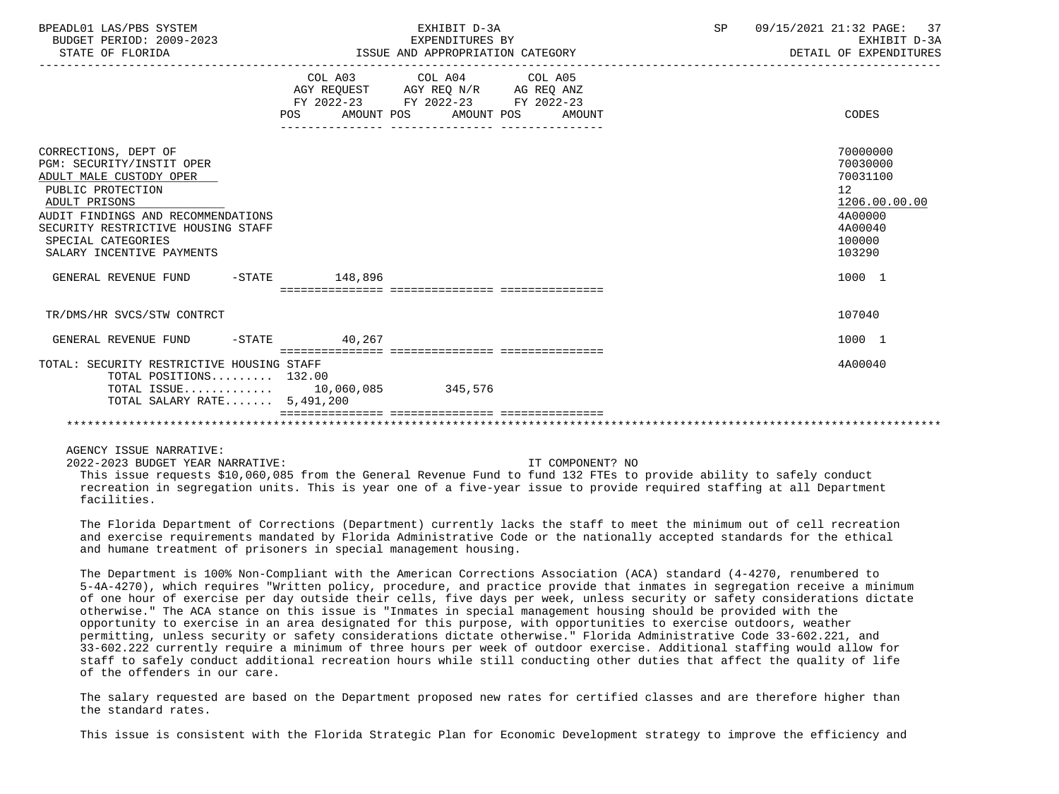| BPEADL01 LAS/PBS SYSTEM<br>BUDGET PERIOD: 2009-2023<br>STATE OF FLORIDA                                                                                                                                                                           | EXHIBIT D-3A<br>EXPENDITURES BY<br>ISSUE AND APPROPRIATION CATEGORY                                                                   | SP | 09/15/2021 21:32 PAGE: 37<br>EXHIBIT D-3A<br>DETAIL OF EXPENDITURES                               |  |
|---------------------------------------------------------------------------------------------------------------------------------------------------------------------------------------------------------------------------------------------------|---------------------------------------------------------------------------------------------------------------------------------------|----|---------------------------------------------------------------------------------------------------|--|
|                                                                                                                                                                                                                                                   | COL A03 COL A04 COL A05<br>AGY REQUEST AGY REQ N/R AG REQ ANZ<br>FY 2022-23 FY 2022-23 FY 2022-23<br>POS AMOUNT POS AMOUNT POS AMOUNT |    | CODES                                                                                             |  |
| CORRECTIONS, DEPT OF<br>PGM: SECURITY/INSTIT OPER<br>ADULT MALE CUSTODY OPER<br>PUBLIC PROTECTION<br>ADULT PRISONS<br>AUDIT FINDINGS AND RECOMMENDATIONS<br>SECURITY RESTRICTIVE HOUSING STAFF<br>SPECIAL CATEGORIES<br>SALARY INCENTIVE PAYMENTS |                                                                                                                                       |    | 70000000<br>70030000<br>70031100<br>12<br>1206.00.00.00<br>4A00000<br>4A00040<br>100000<br>103290 |  |
| GENERAL REVENUE FUND -STATE 148,896                                                                                                                                                                                                               |                                                                                                                                       |    | 1000 1                                                                                            |  |
| TR/DMS/HR SVCS/STW CONTRCT                                                                                                                                                                                                                        |                                                                                                                                       |    | 107040                                                                                            |  |
| GENERAL REVENUE FUND -STATE 40,267                                                                                                                                                                                                                |                                                                                                                                       |    | 1000 1                                                                                            |  |
| TOTAL: SECURITY RESTRICTIVE HOUSING STAFF<br>TOTAL POSITIONS $132.00$<br>TOTAL ISSUE 10,060,085 345,576<br>TOTAL SALARY RATE 5,491,200                                                                                                            |                                                                                                                                       |    | 4A00040                                                                                           |  |
|                                                                                                                                                                                                                                                   |                                                                                                                                       |    |                                                                                                   |  |

AGENCY ISSUE NARRATIVE:

2022-2023 BUDGET YEAR NARRATIVE: IT COMPONENT? NO

 This issue requests \$10,060,085 from the General Revenue Fund to fund 132 FTEs to provide ability to safely conduct recreation in segregation units. This is year one of a five-year issue to provide required staffing at all Department facilities.

 The Florida Department of Corrections (Department) currently lacks the staff to meet the minimum out of cell recreation and exercise requirements mandated by Florida Administrative Code or the nationally accepted standards for the ethical and humane treatment of prisoners in special management housing.

 The Department is 100% Non-Compliant with the American Corrections Association (ACA) standard (4-4270, renumbered to 5-4A-4270), which requires "Written policy, procedure, and practice provide that inmates in segregation receive a minimum of one hour of exercise per day outside their cells, five days per week, unless security or safety considerations dictate otherwise." The ACA stance on this issue is "Inmates in special management housing should be provided with the opportunity to exercise in an area designated for this purpose, with opportunities to exercise outdoors, weather permitting, unless security or safety considerations dictate otherwise." Florida Administrative Code 33-602.221, and 33-602.222 currently require a minimum of three hours per week of outdoor exercise. Additional staffing would allow for staff to safely conduct additional recreation hours while still conducting other duties that affect the quality of life of the offenders in our care.

 The salary requested are based on the Department proposed new rates for certified classes and are therefore higher than the standard rates.

This issue is consistent with the Florida Strategic Plan for Economic Development strategy to improve the efficiency and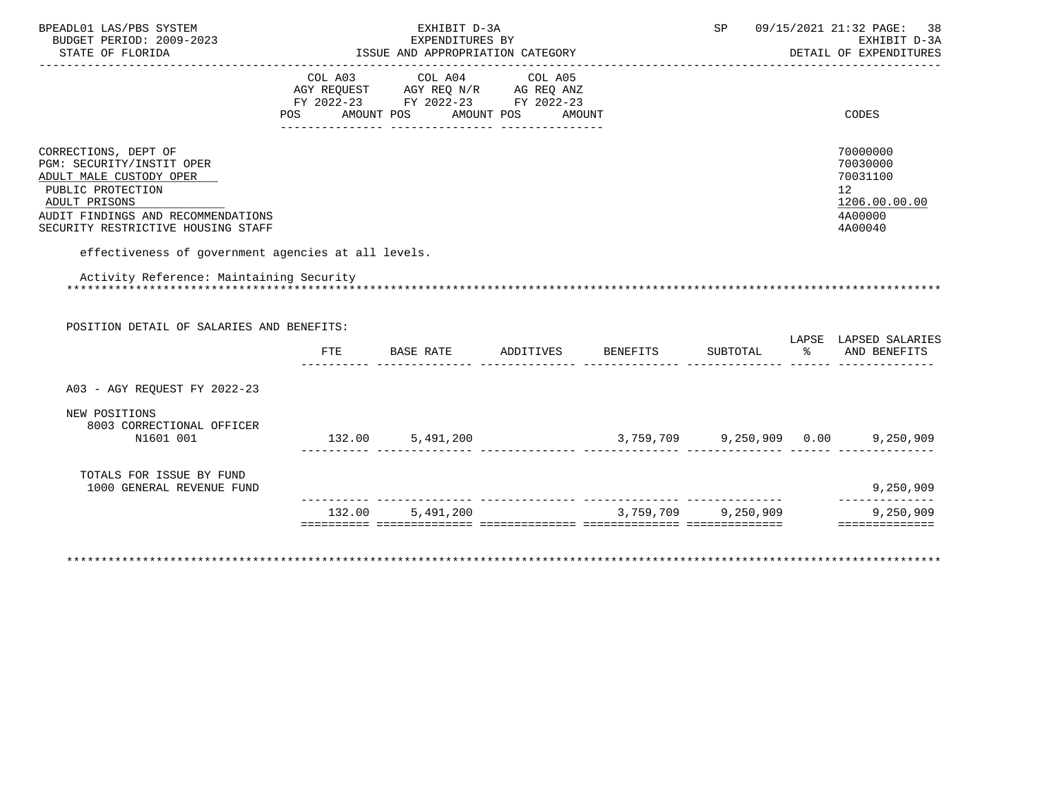| BPEADL01 LAS/PBS SYSTEM<br>BUDGET PERIOD: 2009-2023<br>STATE OF FLORIDA                                                                                                                        |                       | EXHIBIT D-3A<br>EXPENDITURES BY<br>ISSUE AND APPROPRIATION CATEGORY                                        |                                       | SP                  |                     | 09/15/2021 21:32 PAGE:<br>38<br>EXHIBIT D-3A<br>DETAIL OF EXPENDITURES        |
|------------------------------------------------------------------------------------------------------------------------------------------------------------------------------------------------|-----------------------|------------------------------------------------------------------------------------------------------------|---------------------------------------|---------------------|---------------------|-------------------------------------------------------------------------------|
|                                                                                                                                                                                                | COL A03<br><b>POS</b> | COL A04<br>AGY REQUEST AGY REQ N/R AG REQ ANZ<br>FY 2022-23 FY 2022-23 FY 2022-23<br>AMOUNT POS AMOUNT POS | COL A05<br>AMOUNT                     |                     |                     | CODES                                                                         |
| CORRECTIONS, DEPT OF<br>PGM: SECURITY/INSTIT OPER<br>ADULT MALE CUSTODY OPER<br>PUBLIC PROTECTION<br>ADULT PRISONS<br>AUDIT FINDINGS AND RECOMMENDATIONS<br>SECURITY RESTRICTIVE HOUSING STAFF |                       |                                                                                                            |                                       |                     |                     | 70000000<br>70030000<br>70031100<br>12<br>1206.00.00.00<br>4A00000<br>4A00040 |
| effectiveness of government agencies at all levels.<br>Activity Reference: Maintaining Security<br>POSITION DETAIL OF SALARIES AND BENEFITS:                                                   | FTE                   | BASE RATE                                                                                                  | ADDITIVES BENEFITS                    | SUBTOTAL            | ిన                  | LAPSE LAPSED SALARIES<br>AND BENEFITS                                         |
| A03 - AGY REQUEST FY 2022-23<br>NEW POSITIONS<br>8003 CORRECTIONAL OFFICER<br>N1601 001                                                                                                        |                       | 132.00 5,491,200                                                                                           |                                       |                     | deede adalekte adal | 3,759,709 9,250,909 0.00 9,250,909                                            |
| TOTALS FOR ISSUE BY FUND<br>1000 GENERAL REVENUE FUND                                                                                                                                          |                       |                                                                                                            | . _ _ _ _ _ _ _ _ _ _ _ _ _ _ _ _ _ _ |                     |                     | 9,250,909                                                                     |
|                                                                                                                                                                                                |                       | 132.00 5,491,200                                                                                           |                                       | 3,759,709 9,250,909 |                     | 9,250,909<br>==============                                                   |
|                                                                                                                                                                                                |                       |                                                                                                            |                                       |                     |                     |                                                                               |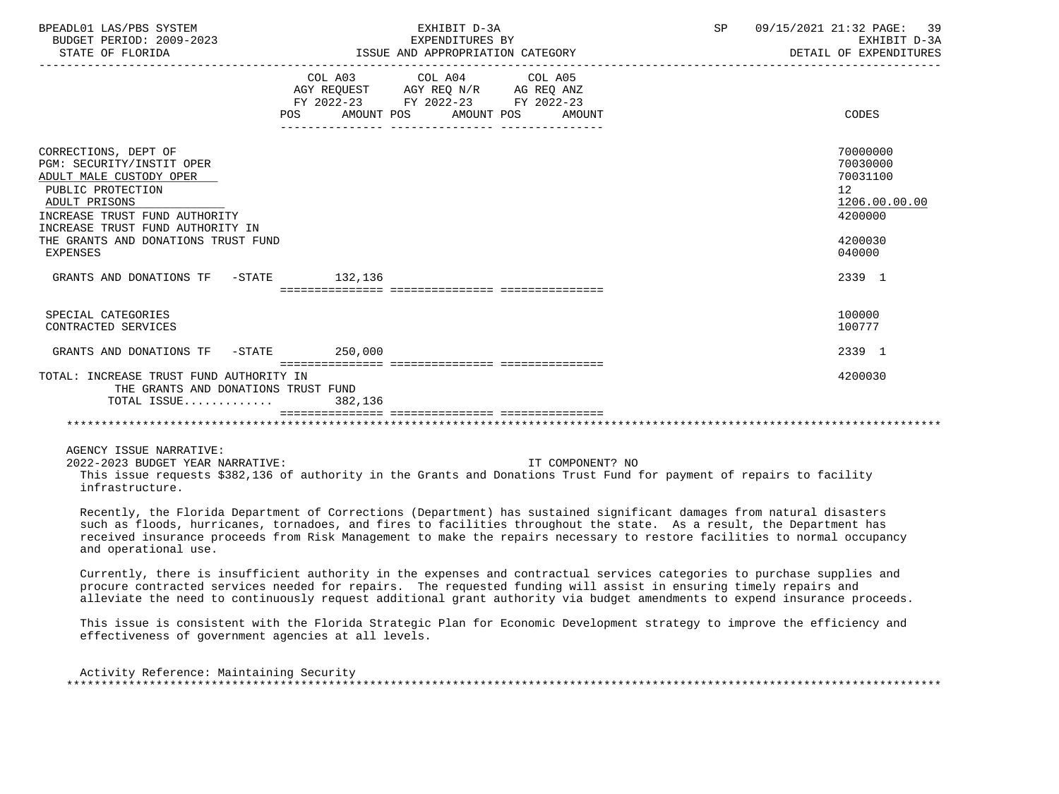| BPEADL01 LAS/PBS SYSTEM<br>BUDGET PERIOD: 2009-2023<br>STATE OF FLORIDA                                                                                                                                                                    |         | EXHIBIT D-3A<br>EXPENDITURES BY<br>ISSUE AND APPROPRIATION CATEGORY                                                                   | SP | 09/15/2021 21:32 PAGE: 39<br>EXHIBIT D-3A<br>DETAIL OF EXPENDITURES                                  |
|--------------------------------------------------------------------------------------------------------------------------------------------------------------------------------------------------------------------------------------------|---------|---------------------------------------------------------------------------------------------------------------------------------------|----|------------------------------------------------------------------------------------------------------|
|                                                                                                                                                                                                                                            |         | COL A03 COL A04 COL A05<br>AGY REQUEST AGY REQ N/R AG REQ ANZ<br>FY 2022-23 FY 2022-23 FY 2022-23<br>POS AMOUNT POS AMOUNT POS AMOUNT |    | CODES                                                                                                |
| CORRECTIONS, DEPT OF<br>PGM: SECURITY/INSTIT OPER<br>ADULT MALE CUSTODY OPER<br>PUBLIC PROTECTION<br>ADULT PRISONS<br>INCREASE TRUST FUND AUTHORITY<br>INCREASE TRUST FUND AUTHORITY IN<br>THE GRANTS AND DONATIONS TRUST FUND<br>EXPENSES |         |                                                                                                                                       |    | 70000000<br>70030000<br>70031100<br>12 <sup>1</sup><br>1206.00.00.00<br>4200000<br>4200030<br>040000 |
| GRANTS AND DONATIONS TF -STATE 132,136                                                                                                                                                                                                     |         |                                                                                                                                       |    | 2339 1                                                                                               |
| SPECIAL CATEGORIES<br>CONTRACTED SERVICES                                                                                                                                                                                                  |         |                                                                                                                                       |    | 100000<br>100777                                                                                     |
| GRANTS AND DONATIONS TF -STATE 250,000                                                                                                                                                                                                     |         |                                                                                                                                       |    | 2339 1                                                                                               |
| TOTAL: INCREASE TRUST FUND AUTHORITY IN<br>THE GRANTS AND DONATIONS TRUST FUND<br>TOTAL ISSUE                                                                                                                                              | 382,136 |                                                                                                                                       |    | 4200030                                                                                              |
|                                                                                                                                                                                                                                            |         |                                                                                                                                       |    |                                                                                                      |

AGENCY ISSUE NARRATIVE:

2022-2023 BUDGET YEAR NARRATIVE: IT COMPONENT? NO

 This issue requests \$382,136 of authority in the Grants and Donations Trust Fund for payment of repairs to facility infrastructure.

 Recently, the Florida Department of Corrections (Department) has sustained significant damages from natural disasters such as floods, hurricanes, tornadoes, and fires to facilities throughout the state. As a result, the Department has received insurance proceeds from Risk Management to make the repairs necessary to restore facilities to normal occupancy and operational use.

 Currently, there is insufficient authority in the expenses and contractual services categories to purchase supplies and procure contracted services needed for repairs. The requested funding will assist in ensuring timely repairs and alleviate the need to continuously request additional grant authority via budget amendments to expend insurance proceeds.

 This issue is consistent with the Florida Strategic Plan for Economic Development strategy to improve the efficiency and effectiveness of government agencies at all levels.

| Activity Reference: Maintaining Security |  |
|------------------------------------------|--|
|                                          |  |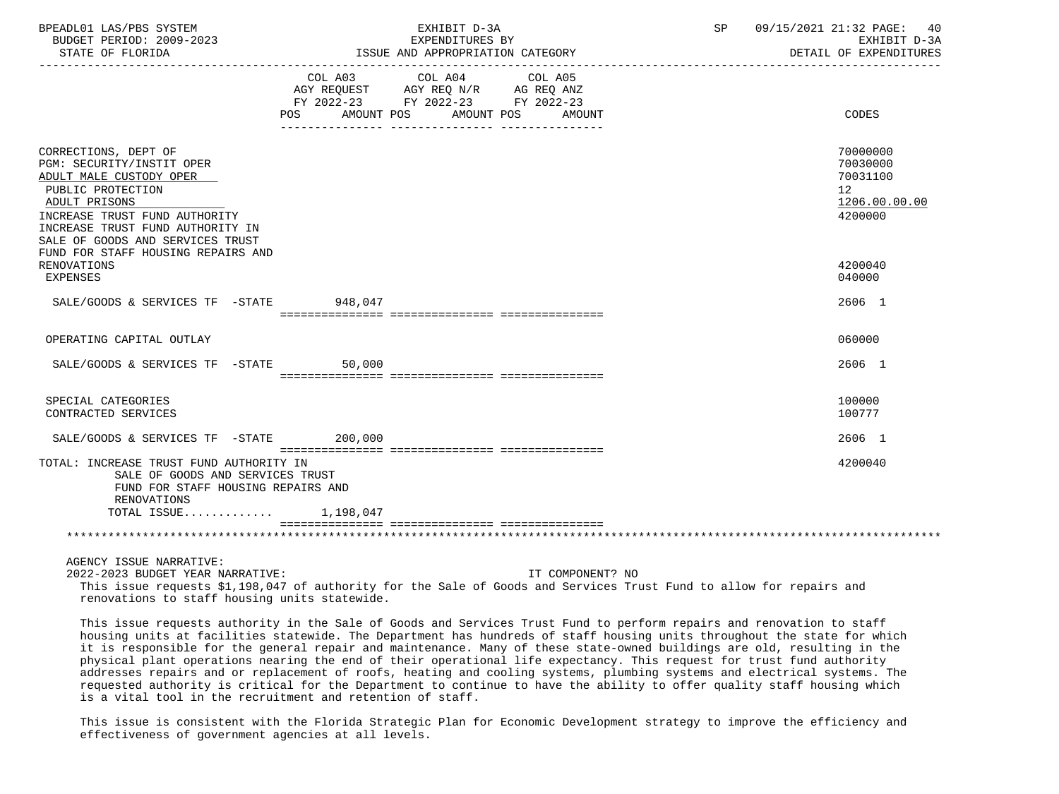| BPEADL01 LAS/PBS SYSTEM<br>BUDGET PERIOD: 2009-2023<br>STATE OF FLORIDA                                                                                                                                                     | EXHIBIT D-3A<br>EXPENDITURES BY<br>ISSUE AND APPROPRIATION CATEGORY                                                                                                                                                                                             | SP 09/15/2021 21:32 PAGE: 40<br>EXHIBIT D-3A<br>DETAIL OF EXPENDITURES           |
|-----------------------------------------------------------------------------------------------------------------------------------------------------------------------------------------------------------------------------|-----------------------------------------------------------------------------------------------------------------------------------------------------------------------------------------------------------------------------------------------------------------|----------------------------------------------------------------------------------|
|                                                                                                                                                                                                                             | COL A03 COL A04<br>COL A05<br>AGY REQUEST AGY REQ N/R AG REQ ANZ<br>FY 2022-23 FY 2022-23 FY 2022-23<br>POS AMOUNT POS AMOUNT POS AMOUNT                                                                                                                        | CODES                                                                            |
| CORRECTIONS, DEPT OF<br>PGM: SECURITY/INSTIT OPER<br>ADULT MALE CUSTODY OPER<br>PUBLIC PROTECTION<br>ADULT PRISONS<br>INCREASE TRUST FUND AUTHORITY<br>INCREASE TRUST FUND AUTHORITY IN<br>SALE OF GOODS AND SERVICES TRUST |                                                                                                                                                                                                                                                                 | 70000000<br>70030000<br>70031100<br>12 <sup>12</sup><br>1206.00.00.00<br>4200000 |
| FUND FOR STAFF HOUSING REPAIRS AND<br>RENOVATIONS<br><b>EXPENSES</b>                                                                                                                                                        |                                                                                                                                                                                                                                                                 | 4200040<br>040000                                                                |
| SALE/GOODS & SERVICES TF -STATE 948,047                                                                                                                                                                                     |                                                                                                                                                                                                                                                                 | 2606 1                                                                           |
| OPERATING CAPITAL OUTLAY                                                                                                                                                                                                    |                                                                                                                                                                                                                                                                 | 060000                                                                           |
| SALE/GOODS & SERVICES TF -STATE 50,000                                                                                                                                                                                      |                                                                                                                                                                                                                                                                 | 2606 1                                                                           |
| SPECIAL CATEGORIES<br>CONTRACTED SERVICES                                                                                                                                                                                   |                                                                                                                                                                                                                                                                 | 100000<br>100777                                                                 |
| SALE/GOODS & SERVICES TF -STATE 200,000                                                                                                                                                                                     |                                                                                                                                                                                                                                                                 | 2606 1                                                                           |
| TOTAL: INCREASE TRUST FUND AUTHORITY IN<br>SALE OF GOODS AND SERVICES TRUST<br>FUND FOR STAFF HOUSING REPAIRS AND<br>RENOVATIONS<br>TOTAL ISSUE 1,198,047                                                                   |                                                                                                                                                                                                                                                                 | 4200040                                                                          |
|                                                                                                                                                                                                                             |                                                                                                                                                                                                                                                                 |                                                                                  |
| AGENCY ISSUE NARRATIVE:<br>2022-2023 BUDGET YEAR NARRATIVE:<br>renovations to staff housing units statewide.                                                                                                                | IT COMPONENT? NO<br>This issue requests \$1,198,047 of authority for the Sale of Goods and Services Trust Fund to allow for repairs and<br>This issue requests outberity in the Cole of Coods and Cervises Trust Fund to perform repairs and repeation to staff |                                                                                  |

 This issue requests authority in the Sale of Goods and Services Trust Fund to perform repairs and renovation to staff housing units at facilities statewide. The Department has hundreds of staff housing units throughout the state for which it is responsible for the general repair and maintenance. Many of these state-owned buildings are old, resulting in the physical plant operations nearing the end of their operational life expectancy. This request for trust fund authority addresses repairs and or replacement of roofs, heating and cooling systems, plumbing systems and electrical systems. The requested authority is critical for the Department to continue to have the ability to offer quality staff housing which is a vital tool in the recruitment and retention of staff.

 This issue is consistent with the Florida Strategic Plan for Economic Development strategy to improve the efficiency and effectiveness of government agencies at all levels.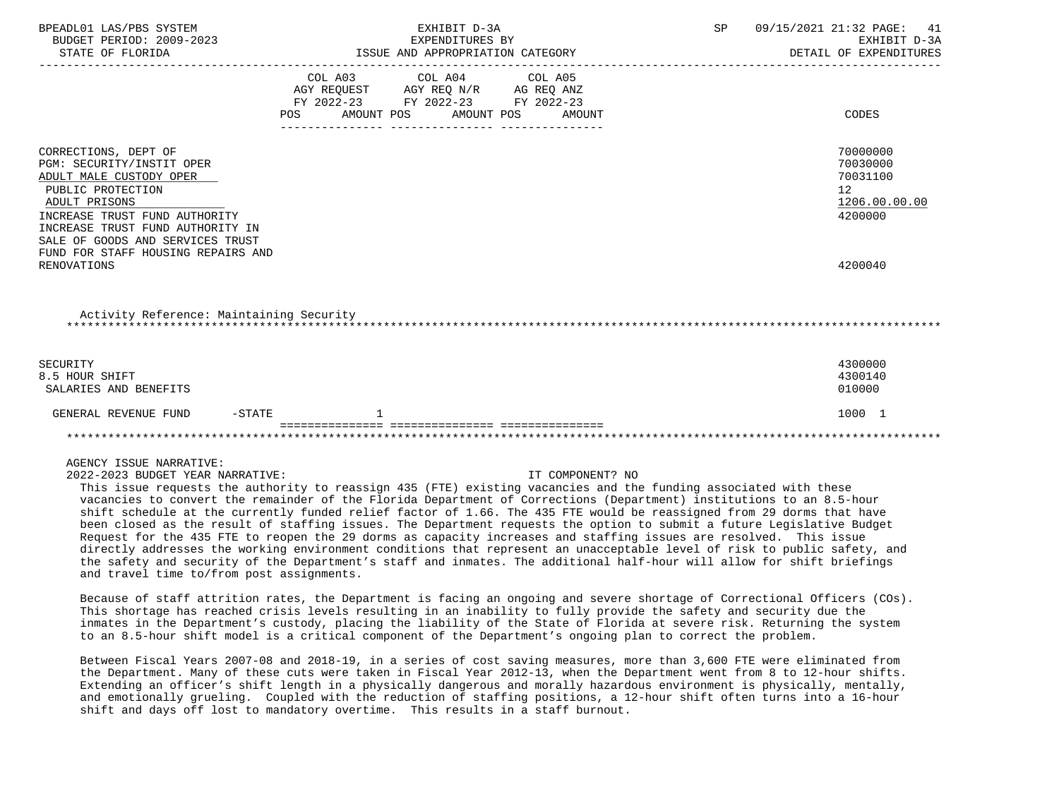| BPEADL01 LAS/PBS SYSTEM<br>BUDGET PERIOD: 2009-2023<br>STATE OF FLORIDA                                                                                                                                                                                           |           | EXHIBIT D-3A<br>EXPENDITURES BY<br>ISSUE AND APPROPRIATION CATEGORY |                                                                                                                                                                                                                         |  | SP                                                                 |  | 09/15/2021 21:32 PAGE: 41<br>EXHIBIT D-3A<br>DETAIL OF EXPENDITURES |                              |
|-------------------------------------------------------------------------------------------------------------------------------------------------------------------------------------------------------------------------------------------------------------------|-----------|---------------------------------------------------------------------|-------------------------------------------------------------------------------------------------------------------------------------------------------------------------------------------------------------------------|--|--------------------------------------------------------------------|--|---------------------------------------------------------------------|------------------------------|
|                                                                                                                                                                                                                                                                   | POS       | AMOUNT POS                                                          | COL A03 COL A04 COL A05<br>$\begin{tabular}{lllllll} AGY & \texttt{REQUEST} & \texttt{AGY} & \texttt{REG} & \texttt{N/R} & \texttt{AG} & \texttt{REQ} & \texttt{ANZ} \end{tabular}$<br>FY 2022-23 FY 2022-23 FY 2022-23 |  | AMOUNT POS AMOUNT                                                  |  |                                                                     | CODES                        |
| CORRECTIONS, DEPT OF<br>PGM: SECURITY/INSTIT OPER<br>ADULT MALE CUSTODY OPER<br>PUBLIC PROTECTION<br>ADULT PRISONS<br>INCREASE TRUST FUND AUTHORITY<br>INCREASE TRUST FUND AUTHORITY IN<br>SALE OF GOODS AND SERVICES TRUST<br>FUND FOR STAFF HOUSING REPAIRS AND |           |                                                                     |                                                                                                                                                                                                                         |  | 70000000<br>70030000<br>70031100<br>12<br>1206.00.00.00<br>4200000 |  |                                                                     |                              |
| RENOVATIONS                                                                                                                                                                                                                                                       |           |                                                                     |                                                                                                                                                                                                                         |  |                                                                    |  |                                                                     | 4200040                      |
| Activity Reference: Maintaining Security                                                                                                                                                                                                                          |           |                                                                     |                                                                                                                                                                                                                         |  |                                                                    |  |                                                                     |                              |
| SECURITY<br>8.5 HOUR SHIFT<br>SALARIES AND BENEFITS                                                                                                                                                                                                               |           |                                                                     |                                                                                                                                                                                                                         |  |                                                                    |  |                                                                     | 4300000<br>4300140<br>010000 |
| GENERAL REVENUE FUND                                                                                                                                                                                                                                              | $-$ STATE |                                                                     |                                                                                                                                                                                                                         |  |                                                                    |  |                                                                     | 1000 1                       |
|                                                                                                                                                                                                                                                                   |           |                                                                     |                                                                                                                                                                                                                         |  |                                                                    |  |                                                                     |                              |
| AGENCY ISSUE NARRATIVE:                                                                                                                                                                                                                                           |           |                                                                     |                                                                                                                                                                                                                         |  |                                                                    |  |                                                                     |                              |

2022-2023 BUDGET YEAR NARRATIVE: IT COMPONENT? NO

 This issue requests the authority to reassign 435 (FTE) existing vacancies and the funding associated with these vacancies to convert the remainder of the Florida Department of Corrections (Department) institutions to an 8.5-hour shift schedule at the currently funded relief factor of 1.66. The 435 FTE would be reassigned from 29 dorms that have been closed as the result of staffing issues. The Department requests the option to submit a future Legislative Budget Request for the 435 FTE to reopen the 29 dorms as capacity increases and staffing issues are resolved. This issue directly addresses the working environment conditions that represent an unacceptable level of risk to public safety, and the safety and security of the Department's staff and inmates. The additional half-hour will allow for shift briefings and travel time to/from post assignments.

 Because of staff attrition rates, the Department is facing an ongoing and severe shortage of Correctional Officers (COs). This shortage has reached crisis levels resulting in an inability to fully provide the safety and security due the inmates in the Department's custody, placing the liability of the State of Florida at severe risk. Returning the system to an 8.5-hour shift model is a critical component of the Department's ongoing plan to correct the problem.

 Between Fiscal Years 2007-08 and 2018-19, in a series of cost saving measures, more than 3,600 FTE were eliminated from the Department. Many of these cuts were taken in Fiscal Year 2012-13, when the Department went from 8 to 12-hour shifts. Extending an officer's shift length in a physically dangerous and morally hazardous environment is physically, mentally, and emotionally grueling. Coupled with the reduction of staffing positions, a 12-hour shift often turns into a 16-hour shift and days off lost to mandatory overtime. This results in a staff burnout.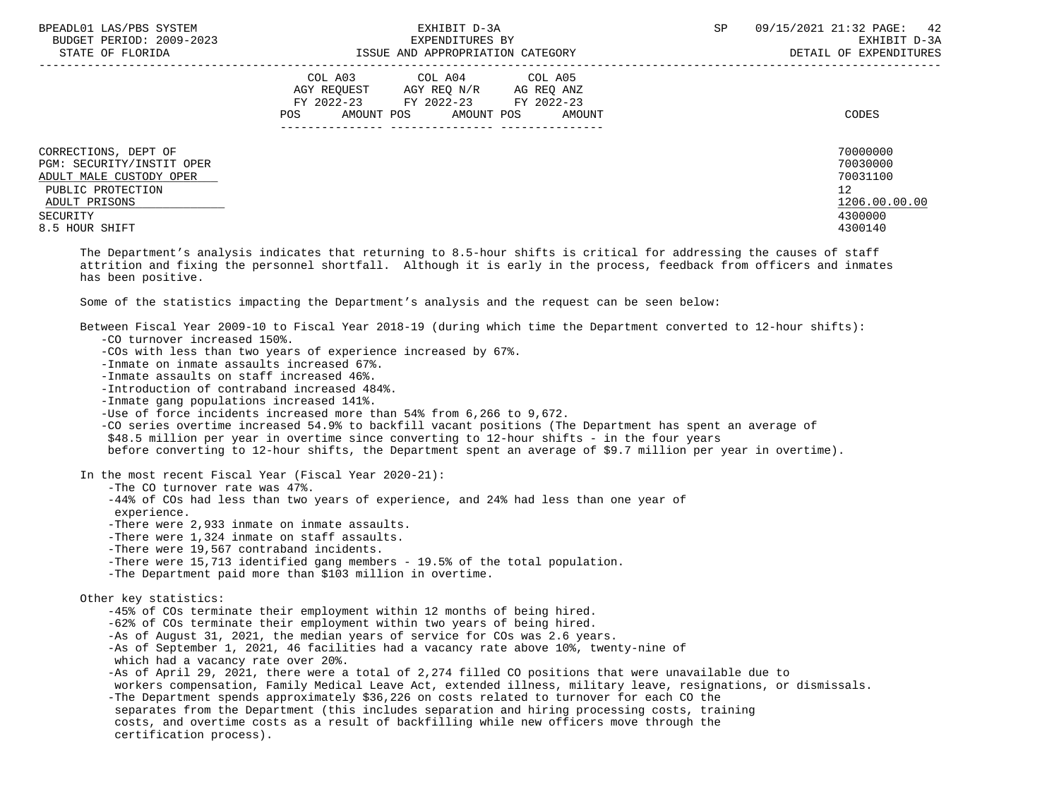| BPEADL01 LAS/PBS SYSTEM<br>BUDGET PERIOD: 2009-2023<br>STATE OF FLORIDA                                                                          | EXHIBIT D-3A<br>EXPENDITURES BY<br>ISSUE AND APPROPRIATION CATEGORY                                                                      | SP<br>09/15/2021 21:32 PAGE: 42<br>EXHIBIT D-3A<br>DETAIL OF EXPENDITURES              |
|--------------------------------------------------------------------------------------------------------------------------------------------------|------------------------------------------------------------------------------------------------------------------------------------------|----------------------------------------------------------------------------------------|
| CORRECTIONS, DEPT OF<br>PGM: SECURITY/INSTIT OPER<br>ADULT MALE CUSTODY OPER<br>PUBLIC PROTECTION<br>ADULT PRISONS<br>SECURITY<br>8.5 HOUR SHIFT | COL A03 COL A04 COL A05<br>AGY REQUEST AGY REQ N/R AG REQ ANZ<br>FY 2022-23 FY 2022-23 FY 2022-23<br>AMOUNT POS AMOUNT POS AMOUNT<br>POS | CODES<br>70000000<br>70030000<br>70031100<br>12<br>1206.00.00.00<br>4300000<br>4300140 |
|                                                                                                                                                  |                                                                                                                                          |                                                                                        |

 The Department's analysis indicates that returning to 8.5-hour shifts is critical for addressing the causes of staff attrition and fixing the personnel shortfall. Although it is early in the process, feedback from officers and inmates has been positive.

Some of the statistics impacting the Department's analysis and the request can be seen below:

| Between Fiscal Year 2009-10 to Fiscal Year 2018-19 (during which time the Department converted to 12-hour shifts):         |
|----------------------------------------------------------------------------------------------------------------------------|
| -CO turnover increased 150%.                                                                                               |
| -COs with less than two years of experience increased by 67%.                                                              |
| -Inmate on inmate assaults increased 67%.                                                                                  |
| -Inmate assaults on staff increased 46%.                                                                                   |
| -Introduction of contraband increased 484%.                                                                                |
| -Inmate gang populations increased 141%.                                                                                   |
| -Use of force incidents increased more than 54% from 6,266 to 9,672.                                                       |
| -CO series overtime increased 54.9% to backfill vacant positions (The Department has spent an average of                   |
| \$48.5 million per year in overtime since converting to 12-hour shifts - in the four years                                 |
| before converting to 12-hour shifts, the Department spent an average of \$9.7 million per year in overtime).               |
| In the most recent Fiscal Year (Fiscal Year 2020-21):                                                                      |
| -The CO turnover rate was 47%.                                                                                             |
| -44% of COs had less than two years of experience, and 24% had less than one year of<br>experience.                        |
| -There were 2,933 inmate on inmate assaults.                                                                               |
| -There were 1,324 inmate on staff assaults.                                                                                |
| -There were 19,567 contraband incidents.                                                                                   |
| -There were 15,713 identified gang members - 19.5% of the total population.                                                |
| -The Department paid more than \$103 million in overtime.                                                                  |
|                                                                                                                            |
| Other key statistics:<br>-45% of COs terminate their employment within 12 months of being hired.                           |
| -62% of COs terminate their employment within two years of being hired.                                                    |
| -As of August 31, 2021, the median years of service for COs was 2.6 years.                                                 |
|                                                                                                                            |
| -As of September 1, 2021, 46 facilities had a vacancy rate above 10%, twenty-nine of<br>which had a vacancy rate over 20%. |
| -As of April 29, 2021, there were a total of 2,274 filled CO positions that were unavailable due to                        |
| workers compensation, Family Medical Leave Act, extended illness, military leave, resignations, or dismissals.             |
| -The Department spends approximately \$36,226 on costs related to turnover for each CO the                                 |
| separates from the Department (this includes separation and hiring processing costs, training                              |
| costs, and overtime costs as a result of backfilling while new officers move through the                                   |
| certification process).                                                                                                    |
|                                                                                                                            |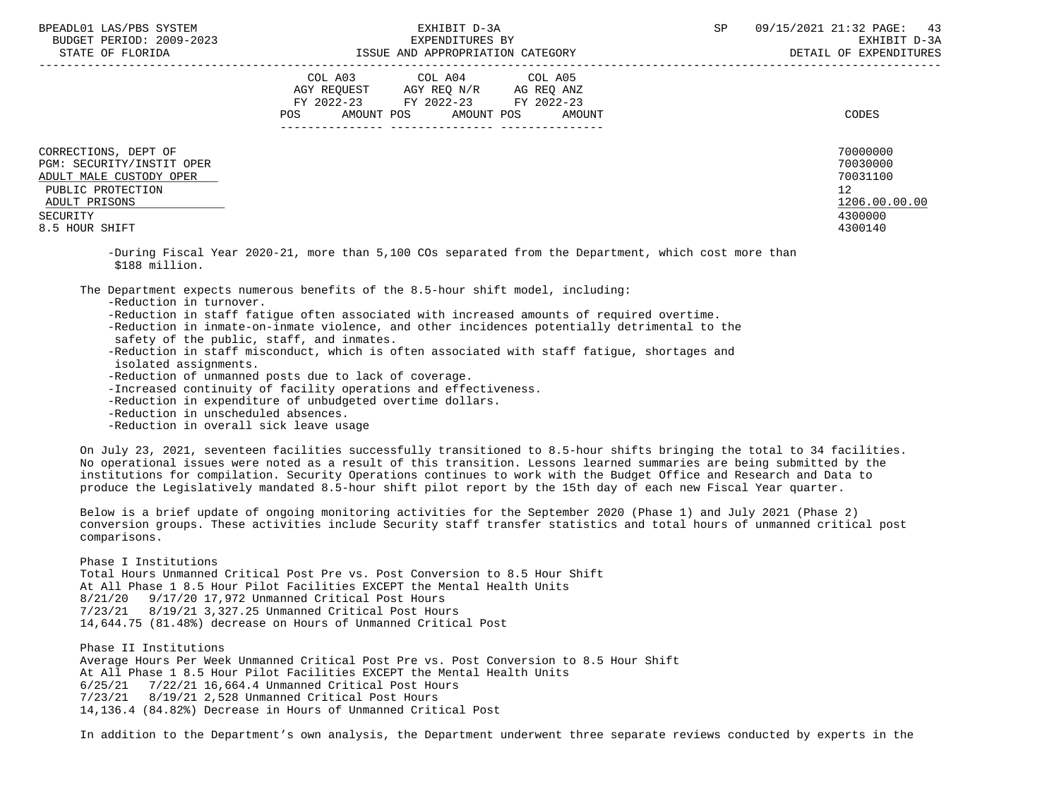|                                                                                                                                                  | COL A04<br>COL A05<br>COL A03<br>AGY REQ N/R<br>AG REQ ANZ<br>AGY REQUEST<br>FY 2022-23<br>FY 2022-23<br>FY 2022-23<br>AMOUNT POS<br>AMOUNT POS<br>AMOUNT<br>POS | CODES                                                                         |
|--------------------------------------------------------------------------------------------------------------------------------------------------|------------------------------------------------------------------------------------------------------------------------------------------------------------------|-------------------------------------------------------------------------------|
| CORRECTIONS, DEPT OF<br>PGM: SECURITY/INSTIT OPER<br>ADULT MALE CUSTODY OPER<br>PUBLIC PROTECTION<br>ADULT PRISONS<br>SECURITY<br>8.5 HOUR SHIFT |                                                                                                                                                                  | 70000000<br>70030000<br>70031100<br>12<br>1206.00.00.00<br>4300000<br>4300140 |

 -During Fiscal Year 2020-21, more than 5,100 COs separated from the Department, which cost more than \$188 million.

The Department expects numerous benefits of the 8.5-hour shift model, including:

-Reduction in turnover.

- -Reduction in staff fatigue often associated with increased amounts of required overtime.
- -Reduction in inmate-on-inmate violence, and other incidences potentially detrimental to the
- safety of the public, staff, and inmates.
- -Reduction in staff misconduct, which is often associated with staff fatigue, shortages and isolated assignments.
- -Reduction of unmanned posts due to lack of coverage.
- -Increased continuity of facility operations and effectiveness.
- -Reduction in expenditure of unbudgeted overtime dollars.
- -Reduction in unscheduled absences.
- -Reduction in overall sick leave usage

 On July 23, 2021, seventeen facilities successfully transitioned to 8.5-hour shifts bringing the total to 34 facilities. No operational issues were noted as a result of this transition. Lessons learned summaries are being submitted by the institutions for compilation. Security Operations continues to work with the Budget Office and Research and Data to produce the Legislatively mandated 8.5-hour shift pilot report by the 15th day of each new Fiscal Year quarter.

 Below is a brief update of ongoing monitoring activities for the September 2020 (Phase 1) and July 2021 (Phase 2) conversion groups. These activities include Security staff transfer statistics and total hours of unmanned critical post comparisons.

 Phase I Institutions Total Hours Unmanned Critical Post Pre vs. Post Conversion to 8.5 Hour Shift At All Phase 1 8.5 Hour Pilot Facilities EXCEPT the Mental Health Units 8/21/20 9/17/20 17,972 Unmanned Critical Post Hours 7/23/21 8/19/21 3,327.25 Unmanned Critical Post Hours 14,644.75 (81.48%) decrease on Hours of Unmanned Critical Post

 Phase II Institutions Average Hours Per Week Unmanned Critical Post Pre vs. Post Conversion to 8.5 Hour Shift At All Phase 1 8.5 Hour Pilot Facilities EXCEPT the Mental Health Units 6/25/21 7/22/21 16,664.4 Unmanned Critical Post Hours 7/23/21 8/19/21 2,528 Unmanned Critical Post Hours 14,136.4 (84.82%) Decrease in Hours of Unmanned Critical Post

In addition to the Department's own analysis, the Department underwent three separate reviews conducted by experts in the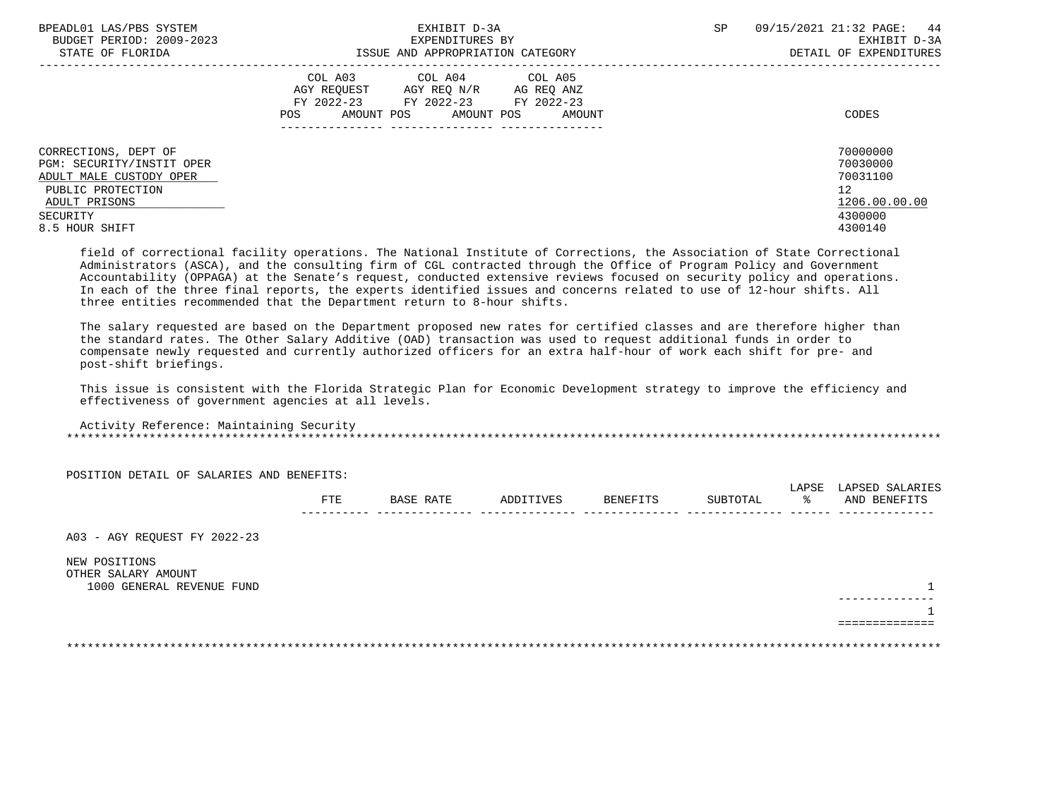| BPEADL01 LAS/PBS SYSTEM   | EXHIBIT D-3A                             | 09/15/2021 21:32 PAGE: 44<br><b>SP</b> |
|---------------------------|------------------------------------------|----------------------------------------|
| BUDGET PERIOD: 2009-2023  | EXPENDITURES BY                          | EXHIBIT D-3A                           |
| STATE OF FLORIDA          | ISSUE AND APPROPRIATION CATEGORY         | DETAIL OF EXPENDITURES                 |
|                           | COL A03 COL A04 COL A05                  |                                        |
|                           | AGY REOUEST<br>AGY REO N/R<br>AG REQ ANZ |                                        |
|                           | FY 2022-23<br>FY 2022-23 FY 2022-23      |                                        |
|                           | AMOUNT POS AMOUNT POS<br>AMOUNT<br>POS   | CODES                                  |
|                           |                                          |                                        |
| CORRECTIONS, DEPT OF      |                                          | 70000000                               |
| PGM: SECURITY/INSTIT OPER |                                          | 70030000                               |
| ADULT MALE CUSTODY OPER   |                                          | 70031100                               |
| PUBLIC PROTECTION         |                                          | 12                                     |
| ADULT PRISONS             |                                          | 1206.00.00.00                          |
| SECURITY                  |                                          | 4300000                                |
| 8.5 HOUR SHIFT            |                                          | 4300140                                |
|                           |                                          |                                        |

 field of correctional facility operations. The National Institute of Corrections, the Association of State Correctional Administrators (ASCA), and the consulting firm of CGL contracted through the Office of Program Policy and Government Accountability (OPPAGA) at the Senate's request, conducted extensive reviews focused on security policy and operations. In each of the three final reports, the experts identified issues and concerns related to use of 12-hour shifts. All three entities recommended that the Department return to 8-hour shifts.

 The salary requested are based on the Department proposed new rates for certified classes and are therefore higher than the standard rates. The Other Salary Additive (OAD) transaction was used to request additional funds in order to compensate newly requested and currently authorized officers for an extra half-hour of work each shift for pre- and post-shift briefings.

 This issue is consistent with the Florida Strategic Plan for Economic Development strategy to improve the efficiency and effectiveness of government agencies at all levels.

 Activity Reference: Maintaining Security \*\*\*\*\*\*\*\*\*\*\*\*\*\*\*\*\*\*\*\*\*\*\*\*\*\*\*\*\*\*\*\*\*\*\*\*\*\*\*\*\*\*\*\*\*\*\*\*\*\*\*\*\*\*\*\*\*\*\*\*\*\*\*\*\*\*\*\*\*\*\*\*\*\*\*\*\*\*\*\*\*\*\*\*\*\*\*\*\*\*\*\*\*\*\*\*\*\*\*\*\*\*\*\*\*\*\*\*\*\*\*\*\*\*\*\*\*\*\*\*\*\*\*\*\*\*\*

 POSITION DETAIL OF SALARIES AND BENEFITS: LAPSE LAPSED SALARIES FTE BASE RATE ADDITIVES BENEFITS SUBTOTAL % AND BENEFITS ---------- -------------- -------------- -------------- -------------- ------ -------------- A03 - AGY REQUEST FY 2022-23 NEW POSITIONS OTHER SALARY AMOUNT 1000 GENERAL REVENUE FUND 1 -------------- 1 ==============

\*\*\*\*\*\*\*\*\*\*\*\*\*\*\*\*\*\*\*\*\*\*\*\*\*\*\*\*\*\*\*\*\*\*\*\*\*\*\*\*\*\*\*\*\*\*\*\*\*\*\*\*\*\*\*\*\*\*\*\*\*\*\*\*\*\*\*\*\*\*\*\*\*\*\*\*\*\*\*\*\*\*\*\*\*\*\*\*\*\*\*\*\*\*\*\*\*\*\*\*\*\*\*\*\*\*\*\*\*\*\*\*\*\*\*\*\*\*\*\*\*\*\*\*\*\*\*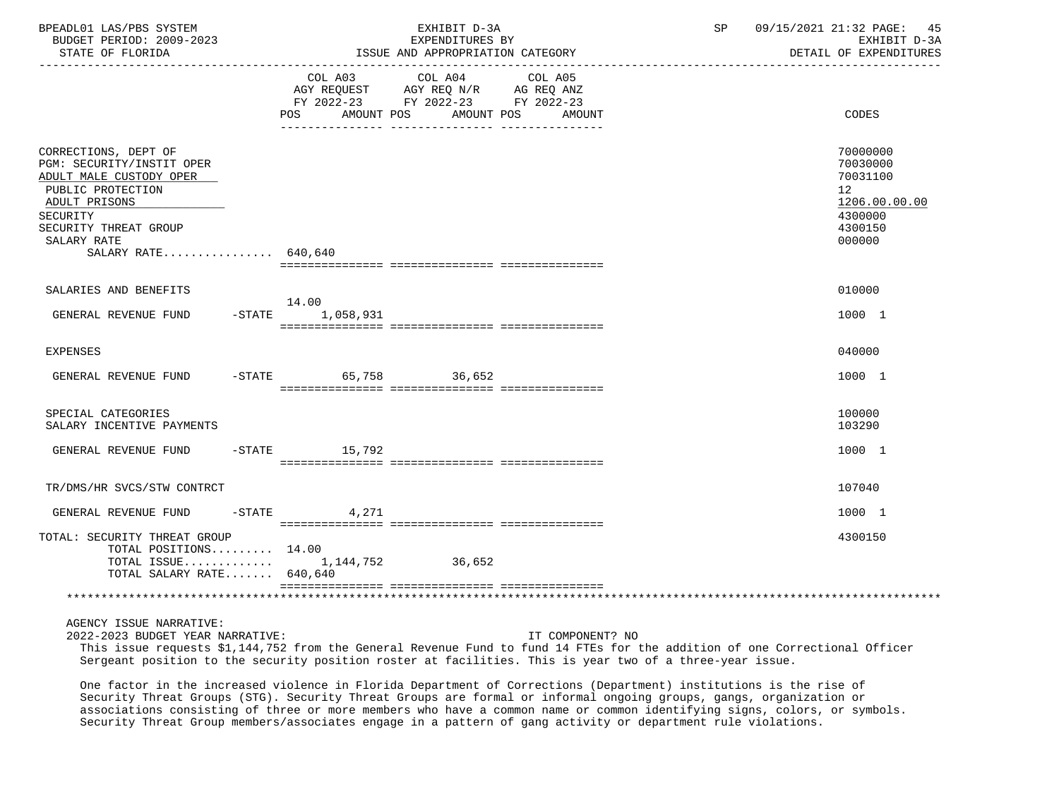| BPEADL01 LAS/PBS SYSTEM<br>BUDGET PERIOD: 2009-2023<br>STATE OF FLORIDA                                                                                                                       |                 | EXHIBIT D-3A<br>EXPENDITURES BY<br>ISSUE AND APPROPRIATION CATEGORY                                                    | 09/15/2021 21:32 PAGE: 45<br>SP and the set of the set of the set of the set of the set of the set of the set of the set of the set of the s<br>EXHIBIT D-3A<br>DETAIL OF EXPENDITURES |
|-----------------------------------------------------------------------------------------------------------------------------------------------------------------------------------------------|-----------------|------------------------------------------------------------------------------------------------------------------------|----------------------------------------------------------------------------------------------------------------------------------------------------------------------------------------|
|                                                                                                                                                                                               | POS AMOUNT POS  | COL A03 COL A04 COL A05<br>AGY REQUEST AGY REQ N/R AG REQ ANZ<br>FY 2022-23 FY 2022-23 FY 2022-23<br>AMOUNT POS AMOUNT | CODES                                                                                                                                                                                  |
| CORRECTIONS, DEPT OF<br>PGM: SECURITY/INSTIT OPER<br>ADULT MALE CUSTODY OPER<br>PUBLIC PROTECTION<br>ADULT PRISONS<br>SECURITY<br>SECURITY THREAT GROUP<br>SALARY RATE<br>SALARY RATE 640,640 |                 |                                                                                                                        | 70000000<br>70030000<br>70031100<br>12<br>1206.00.00.00<br>4300000<br>4300150<br>000000                                                                                                |
| SALARIES AND BENEFITS                                                                                                                                                                         |                 |                                                                                                                        | 010000                                                                                                                                                                                 |
| GENERAL REVENUE FUND -STATE 1,058,931                                                                                                                                                         | 14.00           |                                                                                                                        | 1000 1                                                                                                                                                                                 |
| <b>EXPENSES</b>                                                                                                                                                                               |                 |                                                                                                                        | 040000                                                                                                                                                                                 |
| GENERAL REVENUE FUND -STATE 65,758 36,652                                                                                                                                                     |                 |                                                                                                                        | 1000 1                                                                                                                                                                                 |
| SPECIAL CATEGORIES<br>SALARY INCENTIVE PAYMENTS                                                                                                                                               |                 |                                                                                                                        | 100000<br>103290                                                                                                                                                                       |
| GENERAL REVENUE FUND                                                                                                                                                                          | $-STATE$ 15,792 |                                                                                                                        | 1000 1                                                                                                                                                                                 |
| TR/DMS/HR SVCS/STW CONTRCT                                                                                                                                                                    |                 |                                                                                                                        | 107040                                                                                                                                                                                 |
| GENERAL REVENUE FUND -STATE 4,271                                                                                                                                                             |                 |                                                                                                                        | 1000 1                                                                                                                                                                                 |
| TOTAL: SECURITY THREAT GROUP<br>TOTAL POSITIONS 14.00<br>TOTAL ISSUE 1,144,752 36,652<br>TOTAL SALARY RATE 640,640                                                                            |                 |                                                                                                                        | 4300150                                                                                                                                                                                |
|                                                                                                                                                                                               |                 |                                                                                                                        |                                                                                                                                                                                        |

AGENCY ISSUE NARRATIVE:

2022-2023 BUDGET YEAR NARRATIVE: IT COMPONENT? NO

 This issue requests \$1,144,752 from the General Revenue Fund to fund 14 FTEs for the addition of one Correctional Officer Sergeant position to the security position roster at facilities. This is year two of a three-year issue.

 One factor in the increased violence in Florida Department of Corrections (Department) institutions is the rise of Security Threat Groups (STG). Security Threat Groups are formal or informal ongoing groups, gangs, organization or associations consisting of three or more members who have a common name or common identifying signs, colors, or symbols. Security Threat Group members/associates engage in a pattern of gang activity or department rule violations.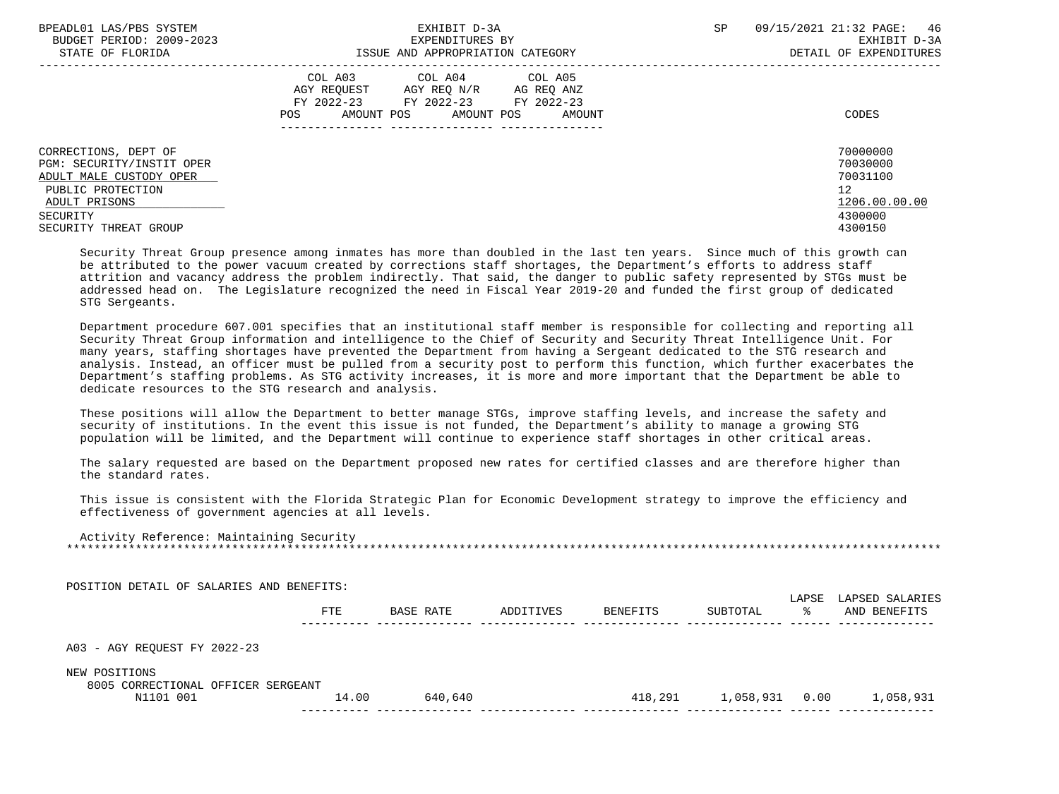| BPEADL01 LAS/PBS SYSTEM                                                      | EXHIBIT D-3A                                                                                                                                      | 09/15/2021 21:32 PAGE: 46<br>SP  |
|------------------------------------------------------------------------------|---------------------------------------------------------------------------------------------------------------------------------------------------|----------------------------------|
| BUDGET PERIOD: 2009-2023                                                     | EXPENDITURES BY                                                                                                                                   | EXHIBIT D-3A                     |
| STATE OF FLORIDA                                                             | ISSUE AND APPROPRIATION CATEGORY                                                                                                                  | DETAIL OF EXPENDITURES           |
|                                                                              | COL A03 COL A04 COL A05<br>AGY REOUEST AGY REO N/R<br>AG REQ ANZ<br>FY 2022-23 FY 2022-23<br>FY 2022-23<br>AMOUNT POS AMOUNT POS<br>POS<br>AMOUNT | CODES                            |
| CORRECTIONS, DEPT OF<br>PGM: SECURITY/INSTIT OPER<br>ADULT MALE CUSTODY OPER |                                                                                                                                                   | 70000000<br>70030000<br>70031100 |
| PUBLIC PROTECTION                                                            |                                                                                                                                                   | 12                               |
|                                                                              |                                                                                                                                                   |                                  |
| ADULT PRISONS                                                                |                                                                                                                                                   | 1206.00.00.00                    |
| SECURITY                                                                     |                                                                                                                                                   | 4300000                          |
| SECURITY THREAT GROUP                                                        |                                                                                                                                                   | 4300150                          |

 Security Threat Group presence among inmates has more than doubled in the last ten years. Since much of this growth can be attributed to the power vacuum created by corrections staff shortages, the Department's efforts to address staff attrition and vacancy address the problem indirectly. That said, the danger to public safety represented by STGs must be addressed head on. The Legislature recognized the need in Fiscal Year 2019-20 and funded the first group of dedicated STG Sergeants.

 Department procedure 607.001 specifies that an institutional staff member is responsible for collecting and reporting all Security Threat Group information and intelligence to the Chief of Security and Security Threat Intelligence Unit. For many years, staffing shortages have prevented the Department from having a Sergeant dedicated to the STG research and analysis. Instead, an officer must be pulled from a security post to perform this function, which further exacerbates the Department's staffing problems. As STG activity increases, it is more and more important that the Department be able to dedicate resources to the STG research and analysis.

 These positions will allow the Department to better manage STGs, improve staffing levels, and increase the safety and security of institutions. In the event this issue is not funded, the Department's ability to manage a growing STG population will be limited, and the Department will continue to experience staff shortages in other critical areas.

 The salary requested are based on the Department proposed new rates for certified classes and are therefore higher than the standard rates.

 This issue is consistent with the Florida Strategic Plan for Economic Development strategy to improve the efficiency and effectiveness of government agencies at all levels.

 Activity Reference: Maintaining Security \*\*\*\*\*\*\*\*\*\*\*\*\*\*\*\*\*\*\*\*\*\*\*\*\*\*\*\*\*\*\*\*\*\*\*\*\*\*\*\*\*\*\*\*\*\*\*\*\*\*\*\*\*\*\*\*\*\*\*\*\*\*\*\*\*\*\*\*\*\*\*\*\*\*\*\*\*\*\*\*\*\*\*\*\*\*\*\*\*\*\*\*\*\*\*\*\*\*\*\*\*\*\*\*\*\*\*\*\*\*\*\*\*\*\*\*\*\*\*\*\*\*\*\*\*\*\*

POSITION DETAIL OF SALARIES AND BENEFITS:

|                                                     | FTE   | BASE RATE | ADDITIVES | BENEFITS | SUBTOTAL       | LAPSE<br>°≈ | LAPSED SALARIES<br>AND BENEFITS |
|-----------------------------------------------------|-------|-----------|-----------|----------|----------------|-------------|---------------------------------|
| A03 - AGY REQUEST FY 2022-23                        |       |           |           |          |                |             |                                 |
| NEW POSITIONS<br>8005 CORRECTIONAL OFFICER SERGEANT |       |           |           |          |                |             |                                 |
| N1101 001                                           | 14.00 | 640,640   |           | 418,291  | 1,058,931 0.00 |             | 1,058,931                       |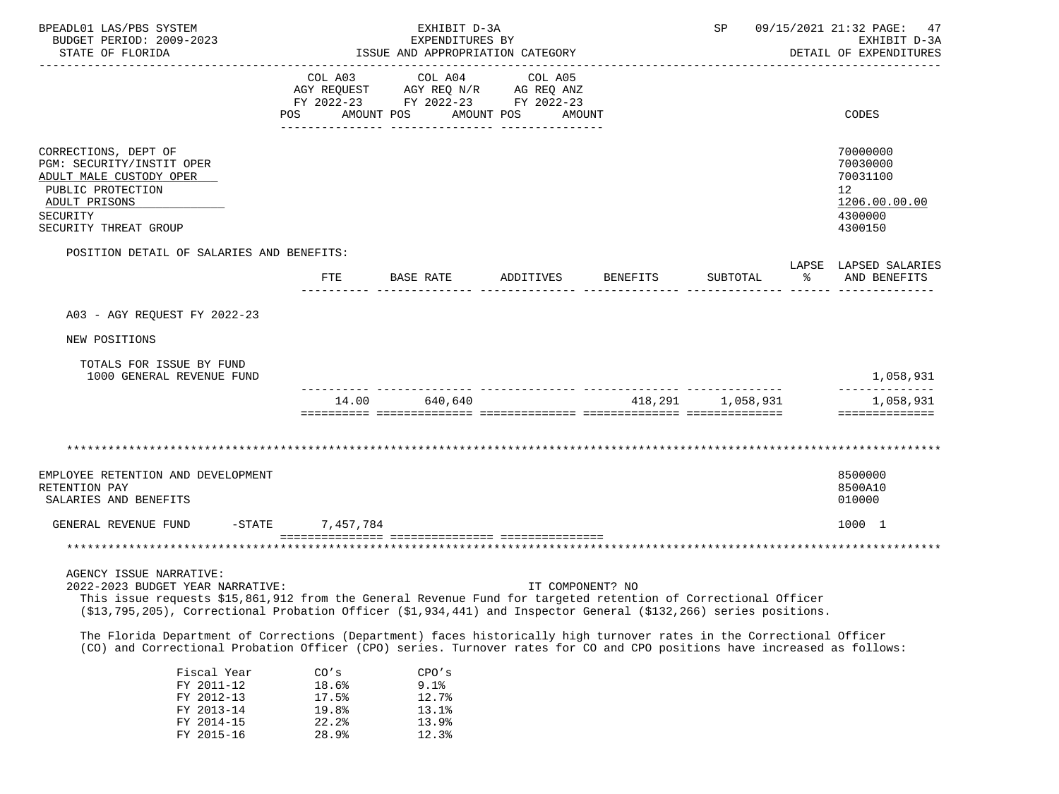| BPEADL01 LAS/PBS SYSTEM<br>BUDGET PERIOD: 2009-2023<br>STATE OF FLORIDA                                                                                                                                                                                                                                                                                                                                                                                                                                                                                              |                                  | EXHIBIT D-3A<br>EXPENDITURES BY<br>ISSUE AND APPROPRIATION CATEGORY                                             |                      |                   |                      | SP 09/15/2021 21:32 PAGE: 47<br>EXHIBIT D-3A<br>DETAIL OF EXPENDITURES        |
|----------------------------------------------------------------------------------------------------------------------------------------------------------------------------------------------------------------------------------------------------------------------------------------------------------------------------------------------------------------------------------------------------------------------------------------------------------------------------------------------------------------------------------------------------------------------|----------------------------------|-----------------------------------------------------------------------------------------------------------------|----------------------|-------------------|----------------------|-------------------------------------------------------------------------------|
|                                                                                                                                                                                                                                                                                                                                                                                                                                                                                                                                                                      | POS                              | COL A03 COL A04 COL A05<br>AGY REQUEST AGY REQ N/R AG REQ ANZ<br>FY 2022-23 FY 2022-23 FY 2022-23<br>AMOUNT POS | AMOUNT POS<br>AMOUNT |                   |                      | CODES                                                                         |
| CORRECTIONS, DEPT OF<br>PGM: SECURITY/INSTIT OPER<br>ADULT MALE CUSTODY OPER<br>PUBLIC PROTECTION<br>ADULT PRISONS<br>SECURITY<br>SECURITY THREAT GROUP                                                                                                                                                                                                                                                                                                                                                                                                              |                                  |                                                                                                                 |                      |                   |                      | 70000000<br>70030000<br>70031100<br>12<br>1206.00.00.00<br>4300000<br>4300150 |
| POSITION DETAIL OF SALARIES AND BENEFITS:                                                                                                                                                                                                                                                                                                                                                                                                                                                                                                                            | <b>FTE</b>                       | BASE RATE                                                                                                       | ADDITIVES BENEFITS   | SUBTOTAL          | $\sim$ $\sim$ $\sim$ | LAPSE LAPSED SALARIES<br>AND BENEFITS                                         |
| A03 - AGY REOUEST FY 2022-23                                                                                                                                                                                                                                                                                                                                                                                                                                                                                                                                         |                                  |                                                                                                                 |                      |                   |                      |                                                                               |
| NEW POSITIONS                                                                                                                                                                                                                                                                                                                                                                                                                                                                                                                                                        |                                  |                                                                                                                 |                      |                   |                      |                                                                               |
| TOTALS FOR ISSUE BY FUND<br>1000 GENERAL REVENUE FUND                                                                                                                                                                                                                                                                                                                                                                                                                                                                                                                |                                  |                                                                                                                 |                      |                   |                      | 1,058,931                                                                     |
|                                                                                                                                                                                                                                                                                                                                                                                                                                                                                                                                                                      | 14.00                            | 640,640                                                                                                         |                      | 418,291 1,058,931 |                      | 1,058,931<br>==============                                                   |
|                                                                                                                                                                                                                                                                                                                                                                                                                                                                                                                                                                      |                                  |                                                                                                                 |                      |                   |                      |                                                                               |
| EMPLOYEE RETENTION AND DEVELOPMENT<br>RETENTION PAY<br>SALARIES AND BENEFITS                                                                                                                                                                                                                                                                                                                                                                                                                                                                                         |                                  |                                                                                                                 |                      |                   |                      | 8500000<br>8500A10<br>010000                                                  |
| GENERAL REVENUE FUND                                                                                                                                                                                                                                                                                                                                                                                                                                                                                                                                                 | $-STATE$ 7,457,784               |                                                                                                                 |                      |                   |                      | 1000 1                                                                        |
|                                                                                                                                                                                                                                                                                                                                                                                                                                                                                                                                                                      |                                  |                                                                                                                 |                      |                   |                      |                                                                               |
| AGENCY ISSUE NARRATIVE:<br>2022-2023 BUDGET YEAR NARRATIVE:<br>This issue requests \$15,861,912 from the General Revenue Fund for targeted retention of Correctional Officer<br>(\$13,795,205), Correctional Probation Officer (\$1,934,441) and Inspector General (\$132,266) series positions.<br>The Florida Department of Corrections (Department) faces historically high turnover rates in the Correctional Officer<br>(CO) and Correctional Probation Officer (CPO) series. Turnover rates for CO and CPO positions have increased as follows:<br>Fiscal Year | CO's                             | CPO's                                                                                                           | IT COMPONENT? NO     |                   |                      |                                                                               |
| FY 2011-12<br>FY 2012-13<br>FY 2013-14<br>FY 2014-15                                                                                                                                                                                                                                                                                                                                                                                                                                                                                                                 | 18.6%<br>17.5%<br>19.8%<br>22.2% | 9.1%<br>12.7%<br>13.1%<br>13.9%                                                                                 |                      |                   |                      |                                                                               |

FY 2015-16 28.9% 12.3%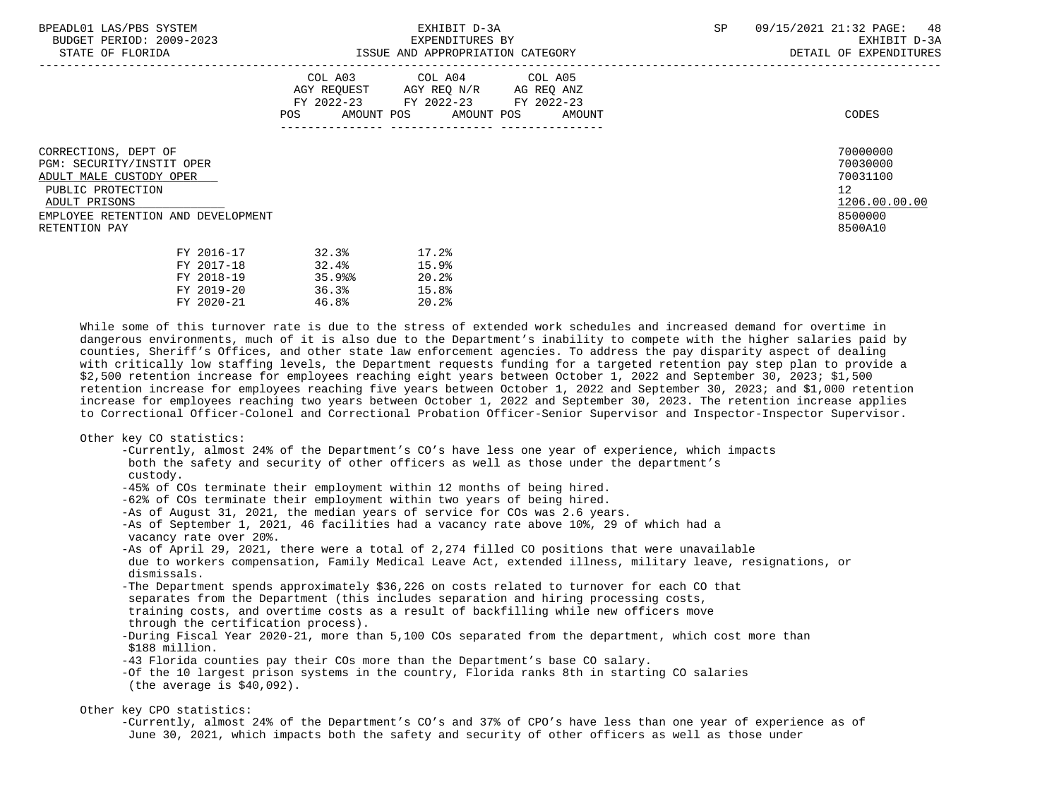-----------------------------------------------------------------------------------------------------------------------------------

STATE OF FLORIDA GALL SOLUTION ISSUE AND APPROPRIATION CATEGORY CONTROL CONTROLLER STATE OF EXPENDITURES

|                                                                                                                                                                           | COL A03<br>AGY REQUEST<br>FY 2022-23<br>AMOUNT POS<br>POS. | COL A04<br>AGY REQ N/R<br>FY 2022-23<br>AMOUNT POS | COL A05<br>AG REQ ANZ<br>FY 2022-23<br>AMOUNT | CODES                                                                         |
|---------------------------------------------------------------------------------------------------------------------------------------------------------------------------|------------------------------------------------------------|----------------------------------------------------|-----------------------------------------------|-------------------------------------------------------------------------------|
| CORRECTIONS, DEPT OF<br>PGM: SECURITY/INSTIT OPER<br>ADULT MALE CUSTODY OPER<br>PUBLIC PROTECTION<br>ADULT PRISONS<br>EMPLOYEE RETENTION AND DEVELOPMENT<br>RETENTION PAY |                                                            |                                                    |                                               | 70000000<br>70030000<br>70031100<br>12<br>1206.00.00.00<br>8500000<br>8500A10 |
| FY 2016-17<br>FY 2017-18                                                                                                                                                  | 32.3%<br>32.4%                                             | 17.2%<br>159                                       |                                               |                                                                               |

| FY 2017-18   | 32.4% | 15.9% |
|--------------|-------|-------|
| FY 2018-19   | 35.9% | 20.2% |
| FY 2019-20   | 36.3% | 15.8% |
| $FY$ 2020-21 | 46.8% | 20.2% |

 While some of this turnover rate is due to the stress of extended work schedules and increased demand for overtime in dangerous environments, much of it is also due to the Department's inability to compete with the higher salaries paid by counties, Sheriff's Offices, and other state law enforcement agencies. To address the pay disparity aspect of dealing with critically low staffing levels, the Department requests funding for a targeted retention pay step plan to provide a \$2,500 retention increase for employees reaching eight years between October 1, 2022 and September 30, 2023; \$1,500 retention increase for employees reaching five years between October 1, 2022 and September 30, 2023; and \$1,000 retention increase for employees reaching two years between October 1, 2022 and September 30, 2023. The retention increase applies to Correctional Officer-Colonel and Correctional Probation Officer-Senior Supervisor and Inspector-Inspector Supervisor.

# Other key CO statistics:

 -Currently, almost 24% of the Department's CO's have less one year of experience, which impacts both the safety and security of other officers as well as those under the department's custody. -45% of COs terminate their employment within 12 months of being hired. -62% of COs terminate their employment within two years of being hired. -As of August 31, 2021, the median years of service for COs was 2.6 years. -As of September 1, 2021, 46 facilities had a vacancy rate above 10%, 29 of which had a vacancy rate over 20%. -As of April 29, 2021, there were a total of 2,274 filled CO positions that were unavailable due to workers compensation, Family Medical Leave Act, extended illness, military leave, resignations, or dismissals. -The Department spends approximately \$36,226 on costs related to turnover for each CO that separates from the Department (this includes separation and hiring processing costs, training costs, and overtime costs as a result of backfilling while new officers move through the certification process). -During Fiscal Year 2020-21, more than 5,100 COs separated from the department, which cost more than \$188 million. -43 Florida counties pay their COs more than the Department's base CO salary. -Of the 10 largest prison systems in the country, Florida ranks 8th in starting CO salaries (the average is \$40,092).

# Other key CPO statistics:

 -Currently, almost 24% of the Department's CO's and 37% of CPO's have less than one year of experience as of June 30, 2021, which impacts both the safety and security of other officers as well as those under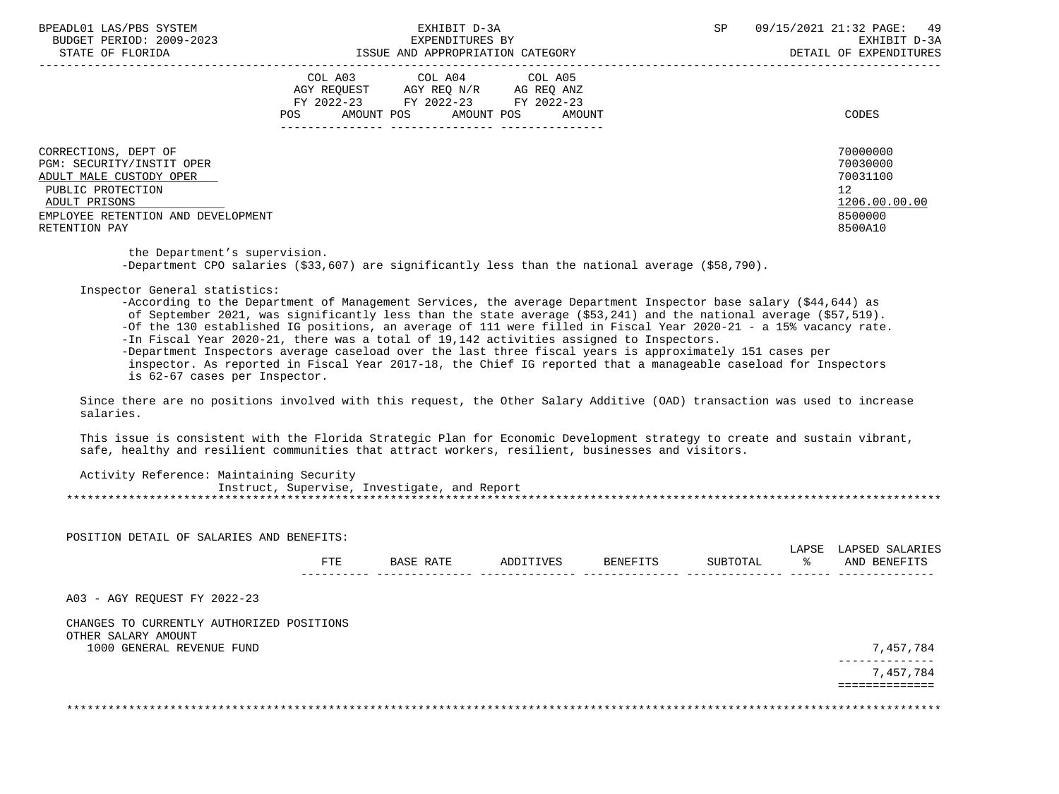BPEADL01 LAS/PBS SYSTEM  $\blacksquare$  EXHIBIT D-3A  $\blacksquare$  SP 09/15/2021 21:32 PAGE: 49  $\blacksquare$  BIIDGET PERTOD: 2009-2023 BUDGET PERIOD: 2009-2023 EXPENDITURES BY EXHIBIT D-3A STATE OF FLORIDA ISSUE AND APPROPRIATION CATEGORY DETAIL OF EXPENDITURES

|                                                                                                                                                                           | COL A03<br>AGY REQUEST<br>FY 2022-23<br>AMOUNT POS<br>POS | COL A04<br>AGY REQ N/R<br>FY 2022-23<br>AMOUNT POS | COL A05<br>AG REQ ANZ<br>FY 2022-23<br>AMOUNT | CODES                                                                         |
|---------------------------------------------------------------------------------------------------------------------------------------------------------------------------|-----------------------------------------------------------|----------------------------------------------------|-----------------------------------------------|-------------------------------------------------------------------------------|
| CORRECTIONS, DEPT OF<br>PGM: SECURITY/INSTIT OPER<br>ADULT MALE CUSTODY OPER<br>PUBLIC PROTECTION<br>ADULT PRISONS<br>EMPLOYEE RETENTION AND DEVELOPMENT<br>RETENTION PAY |                                                           |                                                    |                                               | 70000000<br>70030000<br>70031100<br>12<br>1206.00.00.00<br>8500000<br>8500A10 |

 the Department's supervision. -Department CPO salaries (\$33,607) are significantly less than the national average (\$58,790).

Inspector General statistics:

 -According to the Department of Management Services, the average Department Inspector base salary (\$44,644) as of September 2021, was significantly less than the state average (\$53,241) and the national average (\$57,519). -Of the 130 established IG positions, an average of 111 were filled in Fiscal Year 2020-21 - a 15% vacancy rate. -In Fiscal Year 2020-21, there was a total of 19,142 activities assigned to Inspectors. -Department Inspectors average caseload over the last three fiscal years is approximately 151 cases per inspector. As reported in Fiscal Year 2017-18, the Chief IG reported that a manageable caseload for Inspectors is 62-67 cases per Inspector.

 Since there are no positions involved with this request, the Other Salary Additive (OAD) transaction was used to increase salaries.

 This issue is consistent with the Florida Strategic Plan for Economic Development strategy to create and sustain vibrant, safe, healthy and resilient communities that attract workers, resilient, businesses and visitors.

| Activity Reference: Maintaining Security |  |                                              |  |
|------------------------------------------|--|----------------------------------------------|--|
|                                          |  | Instruct, Supervise, Investigate, and Report |  |
|                                          |  |                                              |  |

| POSITION DETAIL OF SALARIES AND BENEFITS:        |            |           |           |          |          | LAPSE | LAPSED SALARIES |
|--------------------------------------------------|------------|-----------|-----------|----------|----------|-------|-----------------|
|                                                  | <b>FTE</b> | BASE RATE | ADDITIVES | BENEFITS | SUBTOTAL | ႜ     | AND BENEFITS    |
| A03 - AGY REOUEST FY 2022-23                     |            |           |           |          |          |       |                 |
|                                                  |            |           |           |          |          |       |                 |
| CHANGES TO CURRENTLY AUTHORIZED POSITIONS        |            |           |           |          |          |       |                 |
| OTHER SALARY AMOUNT<br>1000 GENERAL REVENUE FUND |            |           |           |          |          |       | 7,457,784       |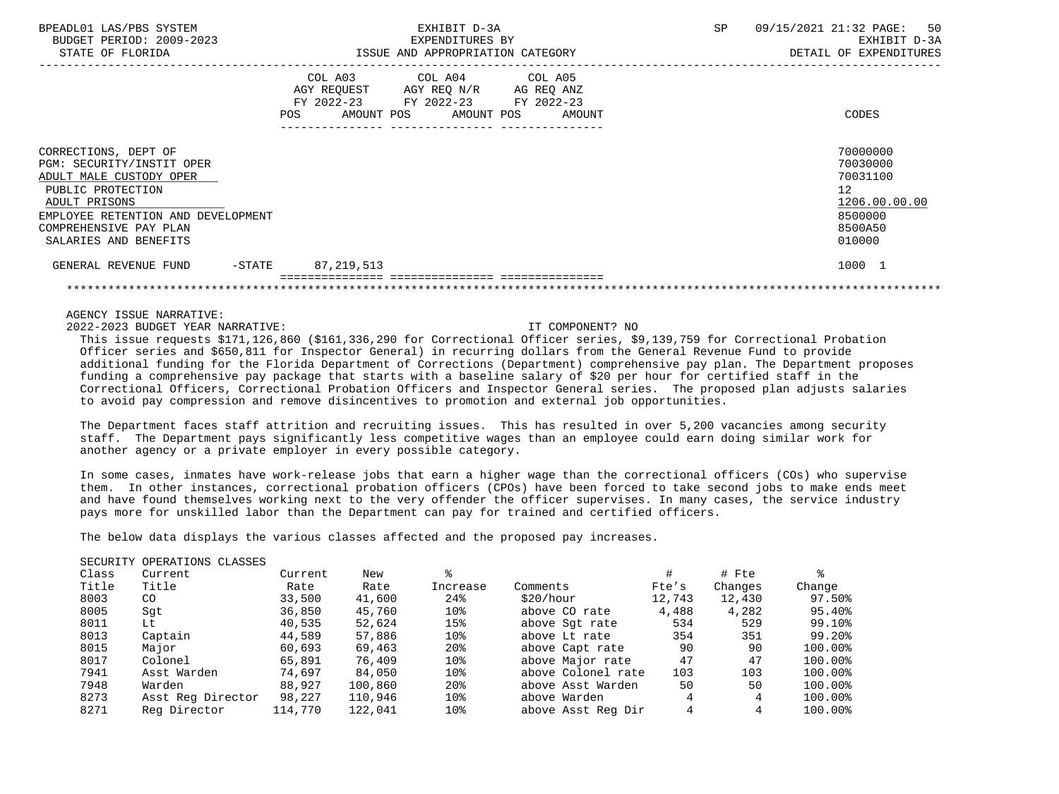| BPEADL01 LAS/PBS SYSTEM<br>BUDGET PERIOD: 2009-2023<br>STATE OF FLORIDA                                                                                                                                     | EXHIBIT D-3A<br>EXPENDITURES BY<br>ISSUE AND APPROPRIATION CATEGORY                                                                      | 50<br>09/15/2021 21:32 PAGE:<br>SP<br>EXHIBIT D-3A<br>DETAIL OF EXPENDITURES            |
|-------------------------------------------------------------------------------------------------------------------------------------------------------------------------------------------------------------|------------------------------------------------------------------------------------------------------------------------------------------|-----------------------------------------------------------------------------------------|
|                                                                                                                                                                                                             | COL A03 COL A04 COL A05<br>AGY REQUEST AGY REQ N/R AG REQ ANZ<br>FY 2022-23 FY 2022-23 FY 2022-23<br>POS<br>AMOUNT POS AMOUNT POS AMOUNT | CODES                                                                                   |
| CORRECTIONS, DEPT OF<br>PGM: SECURITY/INSTIT OPER<br>ADULT MALE CUSTODY OPER<br>PUBLIC PROTECTION<br>ADULT PRISONS<br>EMPLOYEE RETENTION AND DEVELOPMENT<br>COMPREHENSIVE PAY PLAN<br>SALARIES AND BENEFITS |                                                                                                                                          | 70000000<br>70030000<br>70031100<br>12<br>1206.00.00.00<br>8500000<br>8500A50<br>010000 |
| GENERAL REVENUE FUND<br>$-$ STATE                                                                                                                                                                           | 87,219,513                                                                                                                               | 1000 1                                                                                  |
|                                                                                                                                                                                                             |                                                                                                                                          |                                                                                         |

AGENCY ISSUE NARRATIVE:

2022-2023 BUDGET YEAR NARRATIVE: IT COMPONENT? NO

 This issue requests \$171,126,860 (\$161,336,290 for Correctional Officer series, \$9,139,759 for Correctional Probation Officer series and \$650,811 for Inspector General) in recurring dollars from the General Revenue Fund to provide additional funding for the Florida Department of Corrections (Department) comprehensive pay plan. The Department proposes funding a comprehensive pay package that starts with a baseline salary of \$20 per hour for certified staff in the Correctional Officers, Correctional Probation Officers and Inspector General series. The proposed plan adjusts salaries to avoid pay compression and remove disincentives to promotion and external job opportunities.

 The Department faces staff attrition and recruiting issues. This has resulted in over 5,200 vacancies among security staff. The Department pays significantly less competitive wages than an employee could earn doing similar work for another agency or a private employer in every possible category.

 In some cases, inmates have work-release jobs that earn a higher wage than the correctional officers (COs) who supervise them. In other instances, correctional probation officers (CPOs) have been forced to take second jobs to make ends meet and have found themselves working next to the very offender the officer supervises. In many cases, the service industry pays more for unskilled labor than the Department can pay for trained and certified officers.

The below data displays the various classes affected and the proposed pay increases.

### SECURITY OPERATIONS CLASSES

| Class | Current           | Current | New     |                 |                    |        | # Fte   |         |
|-------|-------------------|---------|---------|-----------------|--------------------|--------|---------|---------|
| Title | Title             | Rate    | Rate    | Increase        | Comments           | Fte's  | Changes | Change  |
| 8003  | CO <sub>.</sub>   | 33,500  | 41,600  | 24%             | \$20/hour          | 12,743 | 12,430  | 97.50%  |
| 8005  | Sqt               | 36,850  | 45,760  | 10%             | above CO rate      | 4,488  | 4,282   | 95.40%  |
| 8011  | Lt                | 40,535  | 52,624  | 15%             | above Sqt rate     | 534    | 529     | 99.10%  |
| 8013  | Captain           | 44,589  | 57,886  | 10%             | above Lt rate      | 354    | 351     | 99.20%  |
| 8015  | Major             | 60,693  | 69,463  | 20 <sup>8</sup> | above Capt rate    | 90     | 90      | 100.00% |
| 8017  | Colonel           | 65,891  | 76,409  | 10%             | above Major rate   | 47     | 47      | 100.00% |
| 7941  | Asst Warden       | 74,697  | 84,050  | 10%             | above Colonel rate | 103    | 103     | 100.00% |
| 7948  | Warden            | 88,927  | 100,860 | 20 <sup>8</sup> | above Asst Warden  | 50     | 50      | 100.00% |
| 8273  | Asst Req Director | 98,227  | 110,946 | 10%             | above Warden       |        |         | 100.00% |
| 8271  | Reg Director      | 114,770 | 122,041 | 10%             | above Asst Reg Dir | 4      |         | 100.00% |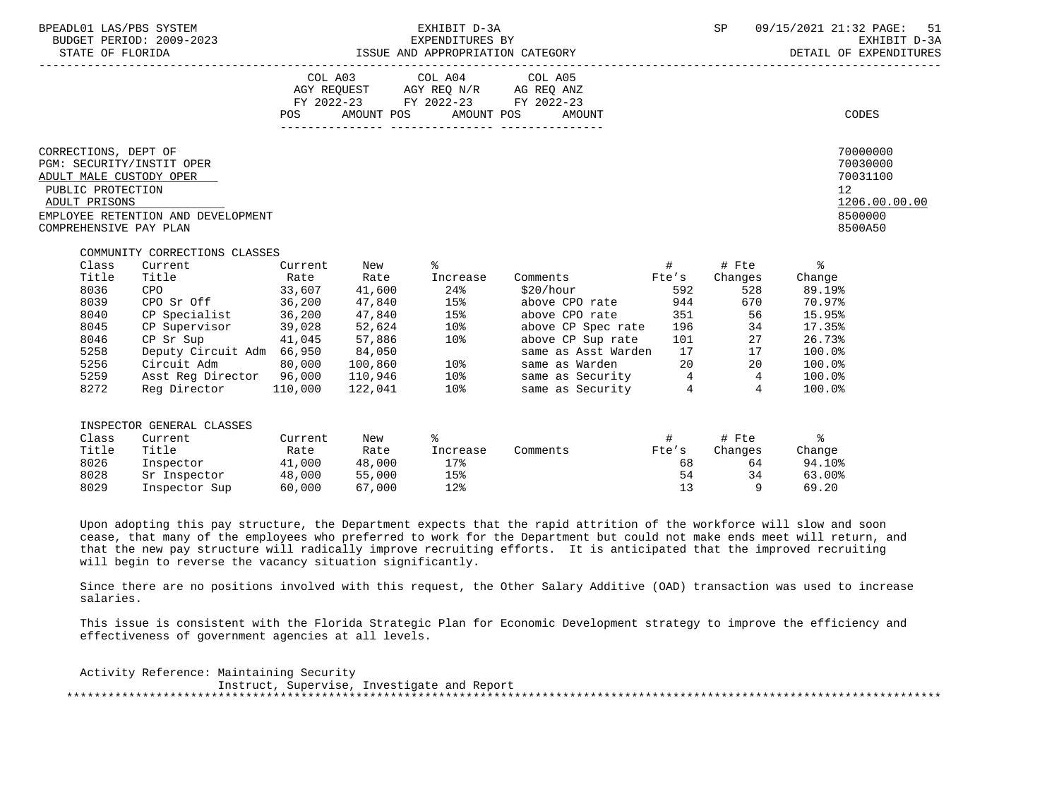| BPEADL01 LAS/PBS SYSTEM<br>BUDGET PERIOD: 2009-2023                                                                                          | EXHIBIT D-3A                                                                                                                                                                                                         |  |  |                                                                                                   |                                                                                                                                                                                                                                                                                                                                                                                                                                                                                                                    | SP       | 09/15/2021 21:32 PAGE: 51 | EXHIBIT D-3A<br>DETAIL OF EXPENDITURES                                                    |                                                                         |
|----------------------------------------------------------------------------------------------------------------------------------------------|----------------------------------------------------------------------------------------------------------------------------------------------------------------------------------------------------------------------|--|--|---------------------------------------------------------------------------------------------------|--------------------------------------------------------------------------------------------------------------------------------------------------------------------------------------------------------------------------------------------------------------------------------------------------------------------------------------------------------------------------------------------------------------------------------------------------------------------------------------------------------------------|----------|---------------------------|-------------------------------------------------------------------------------------------|-------------------------------------------------------------------------|
|                                                                                                                                              |                                                                                                                                                                                                                      |  |  | COL A03 COL A04 COL A05<br>AGY REQUEST AGY REQ N/R AG REQ ANZ<br>FY 2022-23 FY 2022-23 FY 2022-23 | POS AMOUNT POS AMOUNT POS AMOUNT                                                                                                                                                                                                                                                                                                                                                                                                                                                                                   |          |                           |                                                                                           | CODES                                                                   |
| CORRECTIONS, DEPT OF<br>PGM: SECURITY/INSTIT OPER<br>ADULT MALE CUSTODY OPER<br>PUBLIC PROTECTION<br>ADULT PRISONS<br>COMPREHENSIVE PAY PLAN | EMPLOYEE RETENTION AND DEVELOPMENT                                                                                                                                                                                   |  |  |                                                                                                   |                                                                                                                                                                                                                                                                                                                                                                                                                                                                                                                    |          |                           | 12                                                                                        | 70000000<br>70030000<br>70031100<br>1206.00.00.00<br>8500000<br>8500A50 |
| Class<br>Title<br>8036<br>8039<br>8040<br>8045<br>8046<br>5258<br>5256<br>5259<br>8272                                                       | COMMUNITY CORRECTIONS CLASSES<br>Current Current New $\frac{1}{6}$<br>Title <b>The Rate</b> Rate Increase<br>CPO 33,607 41,600 24%<br>CPO Sr Off 36,200 47,840 15%<br>CP Specialist 36,200<br>$CP$ Supervisor 39,028 |  |  | 47,840 15%<br>52,624 10%                                                                          | $\qquad \qquad \  \  \, \texttt{\#} \qquad \qquad \  \  \, \texttt{\#} \qquad \qquad \  \  \, \texttt{\#} \qquad \qquad \  \  \, \texttt{\#}$<br>Comments Fte's<br>$$20/hour$ 592<br>above CPO rate 944 670 70.97%<br>above CPO rate 351 56<br>above CP Spec rate 196 34<br>CP Sr Sup<br>Deputy Circuit Adm 66,950 84,050<br>Circuit Adm 80,000 100,860 10% same as Asst Warden 17 17<br>Asst Reg Director 96,000 110,946 10% same as Security 4 4<br>Reg Director 110,000 122,041 10% same as Security 4 4<br>4 4 |          | Changes<br>528            | Change<br>89.19%<br>15.95%<br>17.35%<br>26.73%<br>100.0%<br>100.0%<br>$100.0$ %<br>100.0% |                                                                         |
| Class<br>Title<br>8026<br>8028<br>8029                                                                                                       | INSPECTOR GENERAL CLASSES<br>Current Current New<br>Title<br>Inspector 41,000 48,000 17%<br>Sr Inspector 48,000 55,000<br>Inspector Sup 60,000 67,000 12%                                                            |  |  | ိ<br>Rate Rate Increase<br>15%                                                                    | Comments Fte's                                                                                                                                                                                                                                                                                                                                                                                                                                                                                                     | 68<br>54 | 13 9                      | Changes Change<br>64 94.10%<br>$34$ 63.00%<br>69.20                                       |                                                                         |

 Upon adopting this pay structure, the Department expects that the rapid attrition of the workforce will slow and soon cease, that many of the employees who preferred to work for the Department but could not make ends meet will return, and that the new pay structure will radically improve recruiting efforts. It is anticipated that the improved recruiting will begin to reverse the vacancy situation significantly.

 Since there are no positions involved with this request, the Other Salary Additive (OAD) transaction was used to increase salaries.

 This issue is consistent with the Florida Strategic Plan for Economic Development strategy to improve the efficiency and effectiveness of government agencies at all levels.

 Activity Reference: Maintaining Security Instruct, Supervise, Investigate and Report \*\*\*\*\*\*\*\*\*\*\*\*\*\*\*\*\*\*\*\*\*\*\*\*\*\*\*\*\*\*\*\*\*\*\*\*\*\*\*\*\*\*\*\*\*\*\*\*\*\*\*\*\*\*\*\*\*\*\*\*\*\*\*\*\*\*\*\*\*\*\*\*\*\*\*\*\*\*\*\*\*\*\*\*\*\*\*\*\*\*\*\*\*\*\*\*\*\*\*\*\*\*\*\*\*\*\*\*\*\*\*\*\*\*\*\*\*\*\*\*\*\*\*\*\*\*\*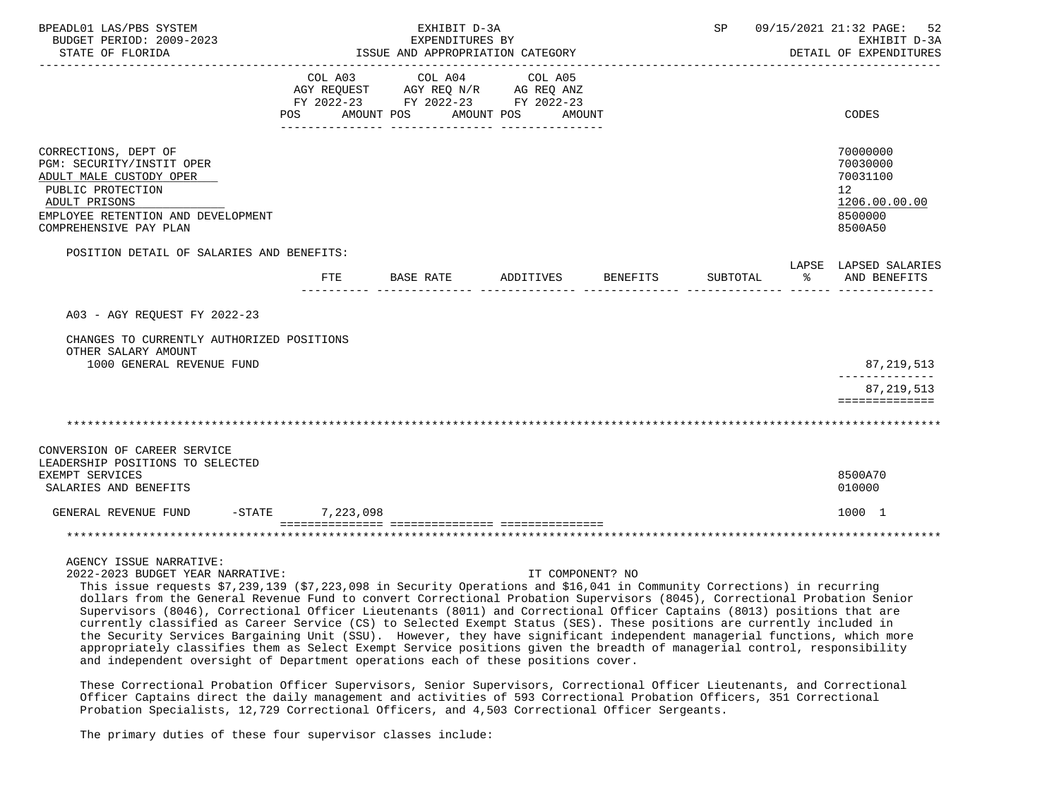| BPEADL01 LAS/PBS SYSTEM<br>BUDGET PERIOD: 2009-2023<br>STATE OF FLORIDA                                                                                                                                                                                                                                                                                                                                                                                                                                                                                                                                                                                                                                                                                                                                                                                                                                               |                  | EXHIBIT D-3A<br>EXPENDITURES BY                                                                   | ISSUE AND APPROPRIATION CATEGORY | SP       | 09/15/2021 21:32 PAGE:<br>52<br>EXHIBIT D-3A<br>DETAIL OF EXPENDITURES                     |
|-----------------------------------------------------------------------------------------------------------------------------------------------------------------------------------------------------------------------------------------------------------------------------------------------------------------------------------------------------------------------------------------------------------------------------------------------------------------------------------------------------------------------------------------------------------------------------------------------------------------------------------------------------------------------------------------------------------------------------------------------------------------------------------------------------------------------------------------------------------------------------------------------------------------------|------------------|---------------------------------------------------------------------------------------------------|----------------------------------|----------|--------------------------------------------------------------------------------------------|
|                                                                                                                                                                                                                                                                                                                                                                                                                                                                                                                                                                                                                                                                                                                                                                                                                                                                                                                       | POS AMOUNT POS   | COL A03 COL A04 COL A05<br>AGY REQUEST AGY REQ N/R AG REQ ANZ<br>FY 2022-23 FY 2022-23 FY 2022-23 | AMOUNT POS<br>AMOUNT             |          | CODES                                                                                      |
| CORRECTIONS, DEPT OF<br>PGM: SECURITY/INSTIT OPER<br>ADULT MALE CUSTODY OPER<br>PUBLIC PROTECTION<br>ADULT PRISONS<br>EMPLOYEE RETENTION AND DEVELOPMENT<br>COMPREHENSIVE PAY PLAN                                                                                                                                                                                                                                                                                                                                                                                                                                                                                                                                                                                                                                                                                                                                    |                  |                                                                                                   |                                  |          | 70000000<br>70030000<br>70031100<br>12 <sup>°</sup><br>1206.00.00.00<br>8500000<br>8500A50 |
| POSITION DETAIL OF SALARIES AND BENEFITS:                                                                                                                                                                                                                                                                                                                                                                                                                                                                                                                                                                                                                                                                                                                                                                                                                                                                             | desessares audio |                                                                                                   | FTE BASE RATE ADDITIVES BENEFITS | SUBTOTAL | LAPSE LAPSED SALARIES<br>% AND BENEFITS                                                    |
| A03 - AGY REQUEST FY 2022-23<br>CHANGES TO CURRENTLY AUTHORIZED POSITIONS<br>OTHER SALARY AMOUNT<br>1000 GENERAL REVENUE FUND                                                                                                                                                                                                                                                                                                                                                                                                                                                                                                                                                                                                                                                                                                                                                                                         |                  |                                                                                                   |                                  |          | 87,219,513<br>---------------<br>87, 219, 513<br>==============                            |
|                                                                                                                                                                                                                                                                                                                                                                                                                                                                                                                                                                                                                                                                                                                                                                                                                                                                                                                       |                  |                                                                                                   |                                  |          |                                                                                            |
| CONVERSION OF CAREER SERVICE<br>LEADERSHIP POSITIONS TO SELECTED<br>EXEMPT SERVICES<br>SALARIES AND BENEFITS                                                                                                                                                                                                                                                                                                                                                                                                                                                                                                                                                                                                                                                                                                                                                                                                          |                  |                                                                                                   |                                  |          | 8500A70<br>010000                                                                          |
| GENERAL REVENUE FUND -STATE 7,223,098                                                                                                                                                                                                                                                                                                                                                                                                                                                                                                                                                                                                                                                                                                                                                                                                                                                                                 |                  |                                                                                                   |                                  |          | 1000 1                                                                                     |
|                                                                                                                                                                                                                                                                                                                                                                                                                                                                                                                                                                                                                                                                                                                                                                                                                                                                                                                       |                  |                                                                                                   |                                  |          |                                                                                            |
| AGENCY ISSUE NARRATIVE:<br>2022-2023 BUDGET YEAR NARRATIVE:<br>This issue requests \$7,239,139 (\$7,223,098 in Security Operations and \$16,041 in Community Corrections) in recurring<br>dollars from the General Revenue Fund to convert Correctional Probation Supervisors (8045), Correctional Probation Senior<br>Supervisors (8046), Correctional Officer Lieutenants (8011) and Correctional Officer Captains (8013) positions that are<br>currently classified as Career Service (CS) to Selected Exempt Status (SES). These positions are currently included in<br>the Security Services Bargaining Unit (SSU). However, they have significant independent managerial functions, which more<br>appropriately classifies them as Select Exempt Service positions given the breadth of managerial control, responsibility<br>and independent oversight of Department operations each of these positions cover. |                  |                                                                                                   | IT COMPONENT? NO                 |          |                                                                                            |

 These Correctional Probation Officer Supervisors, Senior Supervisors, Correctional Officer Lieutenants, and Correctional Officer Captains direct the daily management and activities of 593 Correctional Probation Officers, 351 Correctional Probation Specialists, 12,729 Correctional Officers, and 4,503 Correctional Officer Sergeants.

The primary duties of these four supervisor classes include: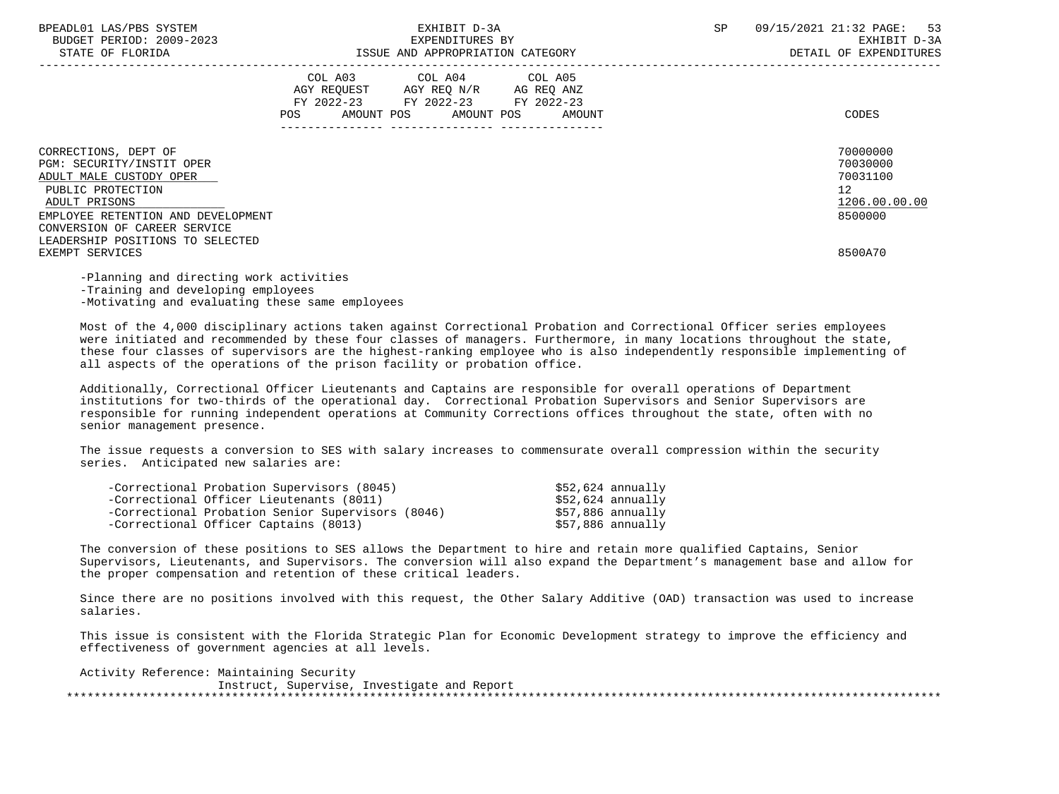| BPEADL01 LAS/PBS SYSTEM |                  |                          |
|-------------------------|------------------|--------------------------|
|                         |                  | BUDGET PERIOD: 2009-2023 |
|                         | CEARE OR RIODIDA |                          |

|                                                                                                                                                          | COL A03<br>AGY REQUEST<br>FY 2022-23<br>AMOUNT POS<br>POS | COL A04<br>AGY REQ N/R<br>FY 2022-23 FY 2022-23<br>AMOUNT POS | COL A05<br>AG REQ ANZ<br>AMOUNT<br>--------------- | CODES                                                                             |
|----------------------------------------------------------------------------------------------------------------------------------------------------------|-----------------------------------------------------------|---------------------------------------------------------------|----------------------------------------------------|-----------------------------------------------------------------------------------|
| CORRECTIONS, DEPT OF<br>PGM: SECURITY/INSTIT OPER<br>ADULT MALE CUSTODY OPER<br>PUBLIC PROTECTION<br>ADULT PRISONS<br>EMPLOYEE RETENTION AND DEVELOPMENT |                                                           |                                                               |                                                    | 70000000<br>70030000<br>70031100<br>$12 \overline{ }$<br>1206.00.00.00<br>8500000 |
| CONVERSION OF CAREER SERVICE<br>LEADERSHIP POSITIONS TO SELECTED<br>EXEMPT SERVICES                                                                      |                                                           |                                                               |                                                    | 8500A70                                                                           |

 -Planning and directing work activities -Training and developing employees -Motivating and evaluating these same employees

 Most of the 4,000 disciplinary actions taken against Correctional Probation and Correctional Officer series employees were initiated and recommended by these four classes of managers. Furthermore, in many locations throughout the state, these four classes of supervisors are the highest-ranking employee who is also independently responsible implementing of all aspects of the operations of the prison facility or probation office.

 Additionally, Correctional Officer Lieutenants and Captains are responsible for overall operations of Department institutions for two-thirds of the operational day. Correctional Probation Supervisors and Senior Supervisors are responsible for running independent operations at Community Corrections offices throughout the state, often with no senior management presence.

 The issue requests a conversion to SES with salary increases to commensurate overall compression within the security series. Anticipated new salaries are:

| -Correctional Probation Supervisors (8045)        | \$52,624 annually |
|---------------------------------------------------|-------------------|
| -Correctional Officer Lieutenants (8011)          | \$52,624 annually |
| -Correctional Probation Senior Supervisors (8046) | \$57,886 annually |
| -Correctional Officer Captains (8013)             | \$57,886 annually |

 The conversion of these positions to SES allows the Department to hire and retain more qualified Captains, Senior Supervisors, Lieutenants, and Supervisors. The conversion will also expand the Department's management base and allow for the proper compensation and retention of these critical leaders.

 Since there are no positions involved with this request, the Other Salary Additive (OAD) transaction was used to increase salaries.

 This issue is consistent with the Florida Strategic Plan for Economic Development strategy to improve the efficiency and effectiveness of government agencies at all levels.

 Activity Reference: Maintaining Security Instruct, Supervise, Investigate and Report \*\*\*\*\*\*\*\*\*\*\*\*\*\*\*\*\*\*\*\*\*\*\*\*\*\*\*\*\*\*\*\*\*\*\*\*\*\*\*\*\*\*\*\*\*\*\*\*\*\*\*\*\*\*\*\*\*\*\*\*\*\*\*\*\*\*\*\*\*\*\*\*\*\*\*\*\*\*\*\*\*\*\*\*\*\*\*\*\*\*\*\*\*\*\*\*\*\*\*\*\*\*\*\*\*\*\*\*\*\*\*\*\*\*\*\*\*\*\*\*\*\*\*\*\*\*\*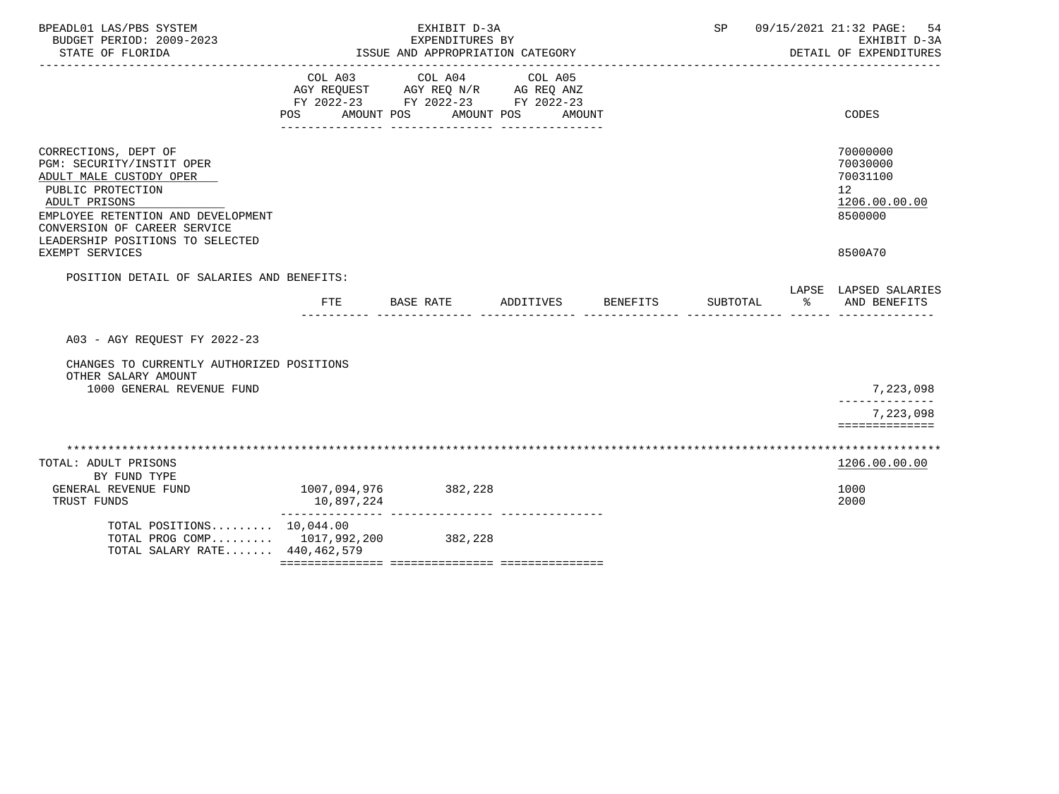| BPEADL01 LAS/PBS SYSTEM<br>BUDGET PERIOD: 2009-2023<br>STATE OF FLORIDA                                                                                                                                                                         |                            | EXHIBIT D-3A<br>EXPENDITURES BY<br>ISSUE AND APPROPRIATION CATEGORY<br>______________________________________ |                   |                 | SP       |    | 09/15/2021 21:32 PAGE:<br>54<br>EXHIBIT D-3A<br>DETAIL OF EXPENDITURES        |
|-------------------------------------------------------------------------------------------------------------------------------------------------------------------------------------------------------------------------------------------------|----------------------------|---------------------------------------------------------------------------------------------------------------|-------------------|-----------------|----------|----|-------------------------------------------------------------------------------|
|                                                                                                                                                                                                                                                 | COL A03<br><b>POS</b>      | COL A04<br>AGY REQUEST AGY REQ N/R AG REQ ANZ<br>FY 2022-23 FY 2022-23 FY 2022-23<br>AMOUNT POS<br>AMOUNT POS | COL A05<br>AMOUNT |                 |          |    | CODES                                                                         |
| CORRECTIONS, DEPT OF<br>PGM: SECURITY/INSTIT OPER<br>ADULT MALE CUSTODY OPER<br>PUBLIC PROTECTION<br>ADULT PRISONS<br>EMPLOYEE RETENTION AND DEVELOPMENT<br>CONVERSION OF CAREER SERVICE<br>LEADERSHIP POSITIONS TO SELECTED<br>EXEMPT SERVICES |                            |                                                                                                               |                   |                 |          |    | 70000000<br>70030000<br>70031100<br>12<br>1206.00.00.00<br>8500000<br>8500A70 |
| POSITION DETAIL OF SALARIES AND BENEFITS:                                                                                                                                                                                                       | <b>FTE</b>                 | BASE RATE                                                                                                     | ADDITIVES         | <b>BENEFITS</b> | SUBTOTAL | ిన | LAPSE LAPSED SALARIES<br>AND BENEFITS                                         |
| A03 - AGY REOUEST FY 2022-23                                                                                                                                                                                                                    |                            |                                                                                                               |                   |                 |          |    |                                                                               |
| CHANGES TO CURRENTLY AUTHORIZED POSITIONS<br>OTHER SALARY AMOUNT<br>1000 GENERAL REVENUE FUND                                                                                                                                                   |                            |                                                                                                               |                   |                 |          |    | 7,223,098                                                                     |
|                                                                                                                                                                                                                                                 |                            |                                                                                                               |                   |                 |          |    | ______________<br>7,223,098<br>==============                                 |
| TOTAL: ADULT PRISONS                                                                                                                                                                                                                            |                            |                                                                                                               |                   |                 |          |    | 1206.00.00.00                                                                 |
| BY FUND TYPE<br>GENERAL REVENUE FUND<br>TRUST FUNDS                                                                                                                                                                                             | 1007,094,976<br>10,897,224 | 382,228                                                                                                       |                   |                 |          |    | 1000<br>2000                                                                  |
| TOTAL POSITIONS 10,044.00<br>TOTAL PROG COMP 1017,992,200<br>TOTAL SALARY RATE 440,462,579                                                                                                                                                      |                            | 382,228                                                                                                       |                   |                 |          |    |                                                                               |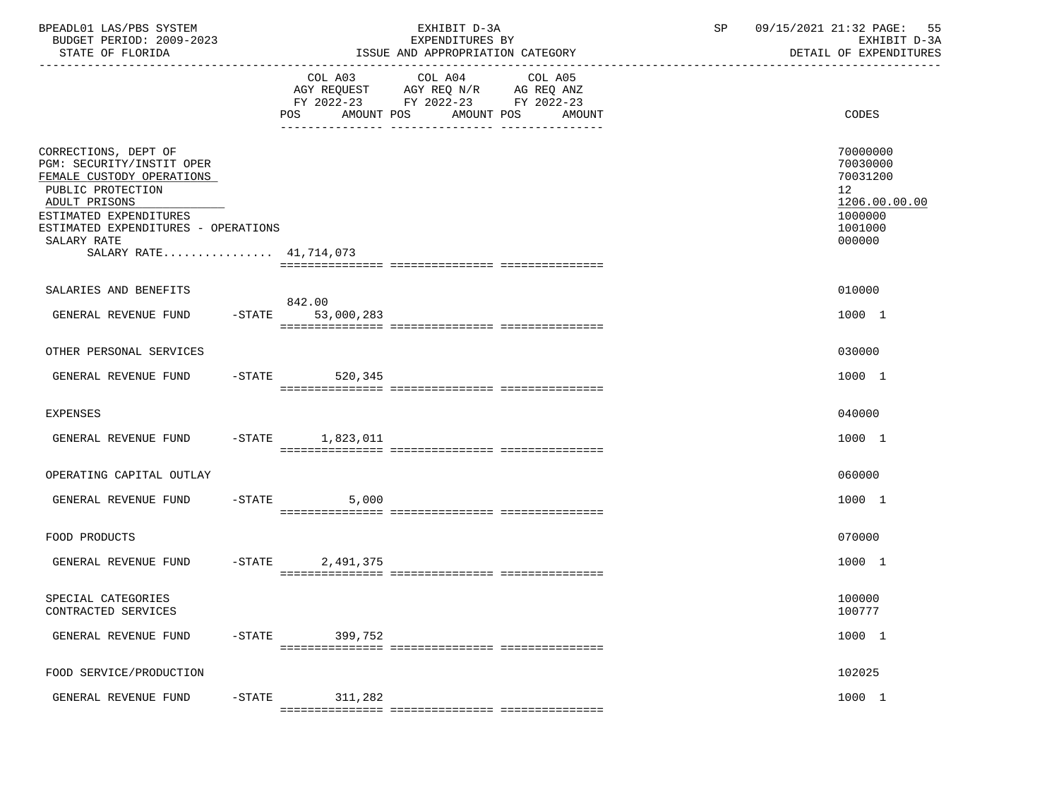| BPEADL01 LAS/PBS SYSTEM<br>BUDGET PERIOD: 2009-2023<br>STATE OF FLORIDA                                                                                                                                                        |           |                                                                                                                                          | EXHIBIT D-3A<br>EXPENDITURES BY<br>ISSUE AND APPROPRIATION CATEGORY | SP    | 09/15/2021 21:32 PAGE: 55<br>EXHIBIT D-3A<br>DETAIL OF EXPENDITURES                                  |
|--------------------------------------------------------------------------------------------------------------------------------------------------------------------------------------------------------------------------------|-----------|------------------------------------------------------------------------------------------------------------------------------------------|---------------------------------------------------------------------|-------|------------------------------------------------------------------------------------------------------|
|                                                                                                                                                                                                                                |           | COL A03 COL A04<br>COL A05<br>AGY REQUEST AGY REQ N/R AG REQ ANZ<br>FY 2022-23 FY 2022-23 FY 2022-23<br>POS AMOUNT POS AMOUNT POS AMOUNT |                                                                     | CODES |                                                                                                      |
| CORRECTIONS, DEPT OF<br>PGM: SECURITY/INSTIT OPER<br>FEMALE CUSTODY OPERATIONS<br>PUBLIC PROTECTION<br>ADULT PRISONS<br>ESTIMATED EXPENDITURES<br>ESTIMATED EXPENDITURES - OPERATIONS<br>SALARY RATE<br>SALARY RATE 41,714,073 |           |                                                                                                                                          |                                                                     |       | 70000000<br>70030000<br>70031200<br>12 <sup>1</sup><br>1206.00.00.00<br>1000000<br>1001000<br>000000 |
| SALARIES AND BENEFITS                                                                                                                                                                                                          |           |                                                                                                                                          |                                                                     |       | 010000                                                                                               |
| GENERAL REVENUE FUND                                                                                                                                                                                                           |           | 842.00<br>-STATE 53,000,283                                                                                                              |                                                                     |       | 1000 1                                                                                               |
| OTHER PERSONAL SERVICES                                                                                                                                                                                                        |           |                                                                                                                                          |                                                                     |       | 030000                                                                                               |
| GENERAL REVENUE FUND                                                                                                                                                                                                           |           | -STATE 520,345                                                                                                                           |                                                                     |       | 1000 1                                                                                               |
| <b>EXPENSES</b>                                                                                                                                                                                                                |           |                                                                                                                                          |                                                                     |       | 040000                                                                                               |
| GENERAL REVENUE FUND                                                                                                                                                                                                           |           | -STATE 1,823,011                                                                                                                         |                                                                     |       | 1000 1                                                                                               |
| OPERATING CAPITAL OUTLAY                                                                                                                                                                                                       |           |                                                                                                                                          |                                                                     |       | 060000                                                                                               |
| GENERAL REVENUE FUND                                                                                                                                                                                                           |           | $-STATE$ 5,000                                                                                                                           |                                                                     |       | 1000 1                                                                                               |
| FOOD PRODUCTS                                                                                                                                                                                                                  |           |                                                                                                                                          |                                                                     |       | 070000                                                                                               |
| GENERAL REVENUE FUND -STATE 2,491,375                                                                                                                                                                                          |           |                                                                                                                                          |                                                                     |       | 1000 1                                                                                               |
| SPECIAL CATEGORIES<br>CONTRACTED SERVICES                                                                                                                                                                                      |           |                                                                                                                                          |                                                                     |       | 100000<br>100777                                                                                     |
| GENERAL REVENUE FUND                                                                                                                                                                                                           | $-$ STATE | 399,752                                                                                                                                  |                                                                     |       | 1000 1                                                                                               |
| FOOD SERVICE/PRODUCTION                                                                                                                                                                                                        |           |                                                                                                                                          |                                                                     |       | 102025                                                                                               |
| GENERAL REVENUE FUND                                                                                                                                                                                                           | $-$ STATE | 311,282                                                                                                                                  |                                                                     |       | 1000 1                                                                                               |
|                                                                                                                                                                                                                                |           |                                                                                                                                          |                                                                     |       |                                                                                                      |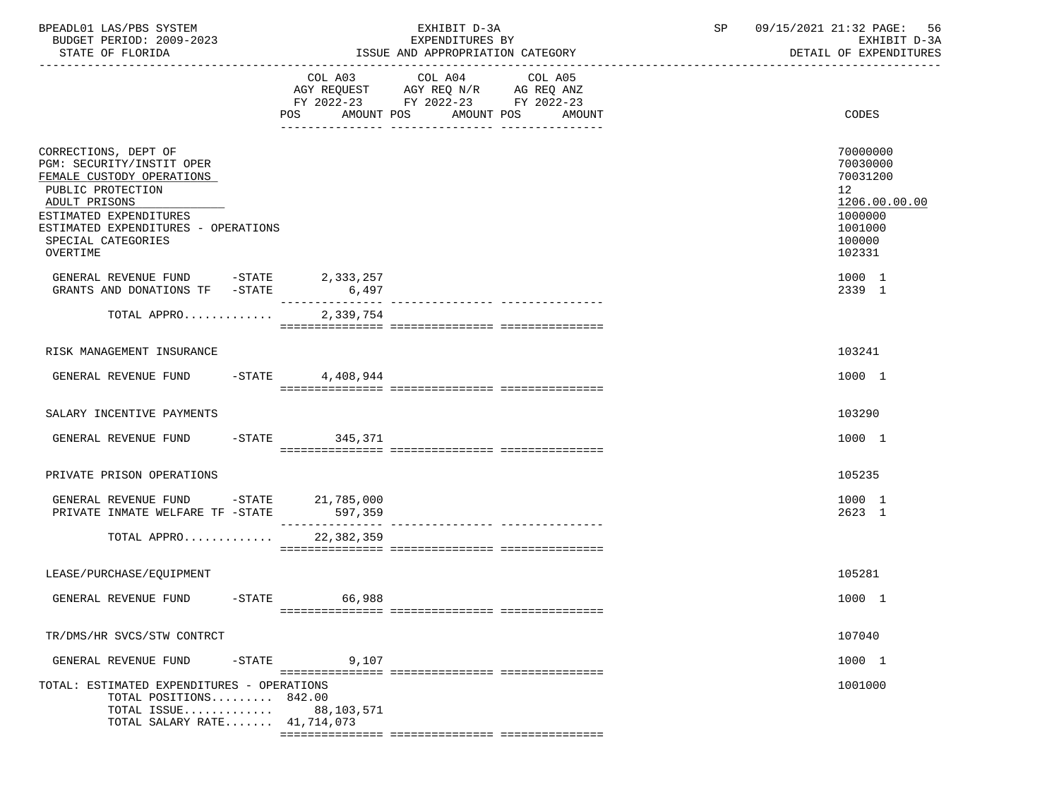| BPEADL01 LAS/PBS SYSTEM<br>BUDGET PERIOD: 2009-2023<br>STATE OF FLORIDA                                                                                                                                                 |                                | EXHIBIT D-3A<br>EXPENDITURES BY<br>ISSUE AND APPROPRIATION CATEGORY                                  | 09/15/2021 21:32 PAGE: 56<br>SP<br>EXHIBIT D-3A<br>DETAIL OF EXPENDITURES                                       |
|-------------------------------------------------------------------------------------------------------------------------------------------------------------------------------------------------------------------------|--------------------------------|------------------------------------------------------------------------------------------------------|-----------------------------------------------------------------------------------------------------------------|
|                                                                                                                                                                                                                         |                                |                                                                                                      |                                                                                                                 |
|                                                                                                                                                                                                                         |                                | COL A03 COL A04<br>COL A05<br>AGY REQUEST AGY REQ N/R AG REQ ANZ<br>FY 2022-23 FY 2022-23 FY 2022-23 |                                                                                                                 |
|                                                                                                                                                                                                                         |                                | POS AMOUNT POS AMOUNT POS AMOUNT                                                                     | CODES                                                                                                           |
| CORRECTIONS, DEPT OF<br>PGM: SECURITY/INSTIT OPER<br>FEMALE CUSTODY OPERATIONS<br>PUBLIC PROTECTION<br>ADULT PRISONS<br>ESTIMATED EXPENDITURES<br>ESTIMATED EXPENDITURES - OPERATIONS<br>SPECIAL CATEGORIES<br>OVERTIME |                                |                                                                                                      | 70000000<br>70030000<br>70031200<br>12 <sup>12</sup><br>1206.00.00.00<br>1000000<br>1001000<br>100000<br>102331 |
| GENERAL REVENUE FUND $-$ STATE 2,333,257<br>GRANTS AND DONATIONS TF -STATE                                                                                                                                              | 6,497                          |                                                                                                      | 1000 1<br>2339 1                                                                                                |
| TOTAL APPRO                                                                                                                                                                                                             | 2,339,754                      |                                                                                                      |                                                                                                                 |
| RISK MANAGEMENT INSURANCE                                                                                                                                                                                               |                                |                                                                                                      | 103241                                                                                                          |
| GENERAL REVENUE FUND -STATE 4,408,944                                                                                                                                                                                   |                                |                                                                                                      | 1000 1                                                                                                          |
|                                                                                                                                                                                                                         |                                |                                                                                                      |                                                                                                                 |
| SALARY INCENTIVE PAYMENTS                                                                                                                                                                                               |                                |                                                                                                      | 103290                                                                                                          |
| GENERAL REVENUE FUND                                                                                                                                                                                                    | -STATE 345,371                 |                                                                                                      | 1000 1                                                                                                          |
| PRIVATE PRISON OPERATIONS                                                                                                                                                                                               |                                |                                                                                                      | 105235                                                                                                          |
| GENERAL REVENUE FUND $-$ STATE 21,785,000<br>PRIVATE INMATE WELFARE TF -STATE                                                                                                                                           | 597,359                        |                                                                                                      | 1000 1<br>2623 1                                                                                                |
| TOTAL APPRO                                                                                                                                                                                                             | ________________<br>22,382,359 |                                                                                                      |                                                                                                                 |
|                                                                                                                                                                                                                         |                                |                                                                                                      |                                                                                                                 |
| LEASE/PURCHASE/EOUIPMENT                                                                                                                                                                                                |                                |                                                                                                      | 105281                                                                                                          |
| $-STATE$<br>GENERAL REVENUE FUND                                                                                                                                                                                        | 66,988                         |                                                                                                      | 1000 1                                                                                                          |
| TR/DMS/HR SVCS/STW CONTRCT                                                                                                                                                                                              |                                |                                                                                                      | 107040                                                                                                          |
| GENERAL REVENUE FUND<br>$-STATE$                                                                                                                                                                                        | 9,107                          |                                                                                                      | 1000 1                                                                                                          |
| TOTAL: ESTIMATED EXPENDITURES - OPERATIONS<br>TOTAL POSITIONS 842.00<br>TOTAL ISSUE<br>TOTAL SALARY RATE 41,714,073                                                                                                     | 88,103,571                     |                                                                                                      | 1001000                                                                                                         |
|                                                                                                                                                                                                                         |                                |                                                                                                      |                                                                                                                 |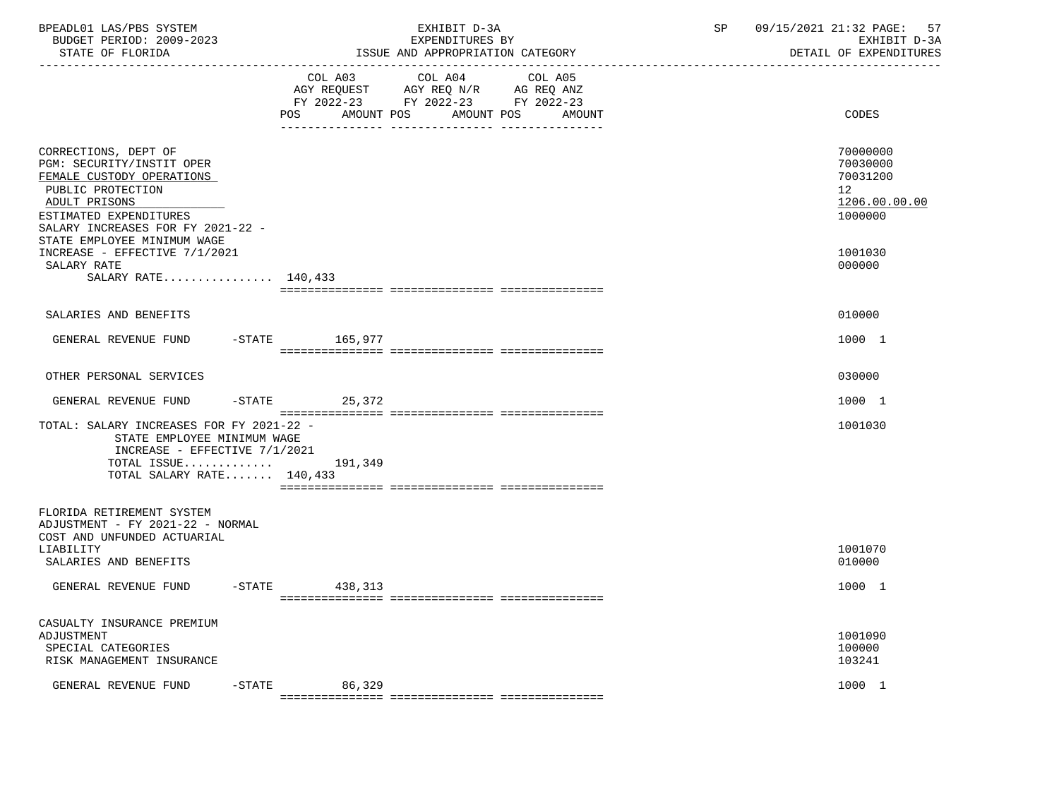| BPEADL01 LAS/PBS SYSTEM<br>BUDGET PERIOD: 2009-2023<br>STATE OF FLORIDA                                                                                                                                            |                     | EXHIBIT D-3A<br>EXPENDITURES BY<br>ISSUE AND APPROPRIATION CATEGORY                                                          | 09/15/2021 21:32 PAGE:<br>SP<br>57<br>EXHIBIT D-3A<br>DETAIL OF EXPENDITURES |
|--------------------------------------------------------------------------------------------------------------------------------------------------------------------------------------------------------------------|---------------------|------------------------------------------------------------------------------------------------------------------------------|------------------------------------------------------------------------------|
|                                                                                                                                                                                                                    | POS<br>AMOUNT POS   | COL A03 COL A04<br>COL A05<br>AGY REQUEST AGY REQ N/R AG REQ ANZ<br>FY 2022-23 FY 2022-23 FY 2022-23<br>AMOUNT POS<br>AMOUNT | CODES                                                                        |
| CORRECTIONS, DEPT OF<br>PGM: SECURITY/INSTIT OPER<br>FEMALE CUSTODY OPERATIONS<br>PUBLIC PROTECTION<br>ADULT PRISONS<br>ESTIMATED EXPENDITURES<br>SALARY INCREASES FOR FY 2021-22 -<br>STATE EMPLOYEE MINIMUM WAGE |                     |                                                                                                                              | 70000000<br>70030000<br>70031200<br>12<br>1206.00.00.00<br>1000000           |
| INCREASE - EFFECTIVE 7/1/2021<br>SALARY RATE<br>SALARY RATE 140,433                                                                                                                                                |                     |                                                                                                                              | 1001030<br>000000                                                            |
| SALARIES AND BENEFITS                                                                                                                                                                                              |                     |                                                                                                                              | 010000                                                                       |
| GENERAL REVENUE FUND                                                                                                                                                                                               | -STATE 165,977      |                                                                                                                              | 1000 1                                                                       |
| OTHER PERSONAL SERVICES                                                                                                                                                                                            |                     |                                                                                                                              | 030000                                                                       |
| GENERAL REVENUE FUND                                                                                                                                                                                               | $-$ STATE<br>25,372 |                                                                                                                              | 1000 1                                                                       |
| TOTAL: SALARY INCREASES FOR FY 2021-22 -<br>STATE EMPLOYEE MINIMUM WAGE<br>INCREASE - EFFECTIVE 7/1/2021<br>TOTAL ISSUE $191,349$<br>TOTAL SALARY RATE 140,433                                                     |                     |                                                                                                                              | 1001030                                                                      |
| FLORIDA RETIREMENT SYSTEM<br>ADJUSTMENT - FY 2021-22 - NORMAL<br>COST AND UNFUNDED ACTUARIAL<br>LIABILITY<br>SALARIES AND BENEFITS                                                                                 |                     |                                                                                                                              | 1001070<br>010000                                                            |
| GENERAL REVENUE FUND -STATE 438,313                                                                                                                                                                                |                     |                                                                                                                              | 1000 1                                                                       |
| CASUALTY INSURANCE PREMIUM<br>ADJUSTMENT<br>SPECIAL CATEGORIES<br>RISK MANAGEMENT INSURANCE<br>GENERAL REVENUE FUND<br>$-STATE$                                                                                    | 86,329              |                                                                                                                              | 1001090<br>100000<br>103241<br>1000 1                                        |
|                                                                                                                                                                                                                    |                     |                                                                                                                              |                                                                              |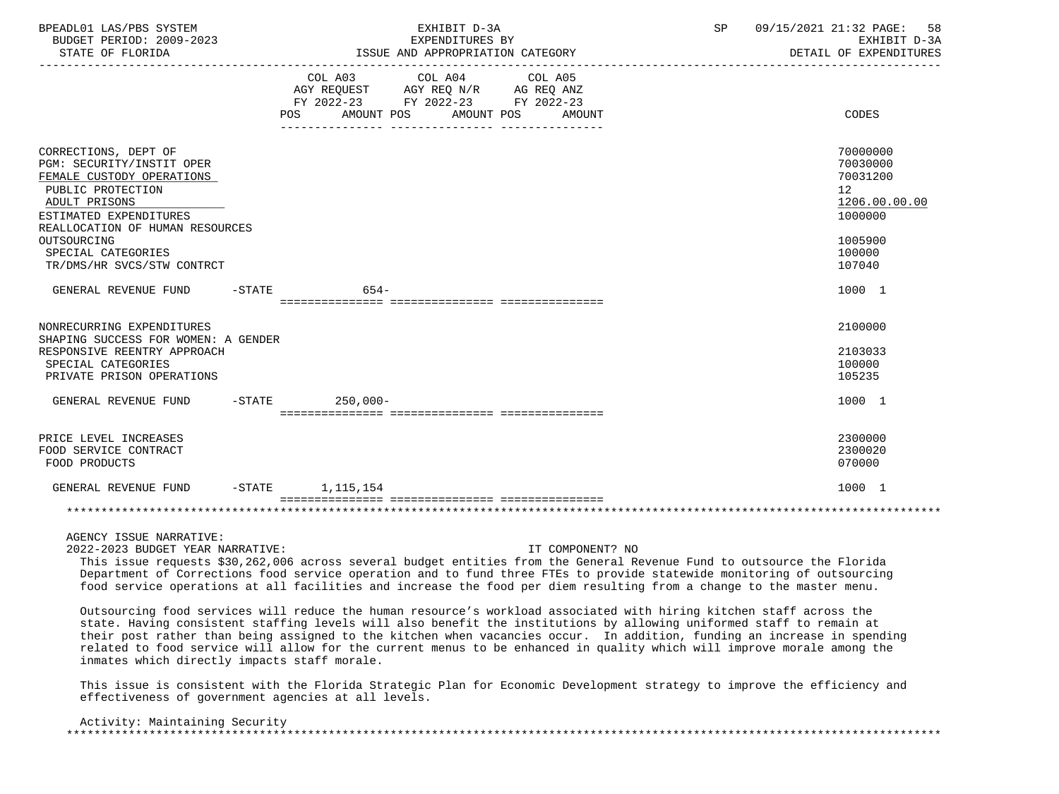| BPEADL01 LAS/PBS SYSTEM<br>BUDGET PERIOD: 2009-2023<br>STATE OF FLORIDA                                                                                                                                                                              | EXHIBIT D-3A<br>EXPENDITURES BY<br>ISSUE AND APPROPRIATION CATEGORY                                                                                                                                                                                    | SP<br>09/15/2021 21:32 PAGE:<br>58<br>EXHIBIT D-3A<br>DETAIL OF EXPENDITURES                                   |
|------------------------------------------------------------------------------------------------------------------------------------------------------------------------------------------------------------------------------------------------------|--------------------------------------------------------------------------------------------------------------------------------------------------------------------------------------------------------------------------------------------------------|----------------------------------------------------------------------------------------------------------------|
|                                                                                                                                                                                                                                                      | COL A03 COL A04 COL A05<br>AGY REQUEST AGY REQ N/R AG REQ ANZ<br>FY 2022-23 FY 2022-23 FY 2022-23<br>AMOUNT POS AMOUNT POS<br>POS FOR THE POST OF THE STATE STATE STATE STATE STATE STATE STATE STATE STATE STATE STATE STATE STATE STATE ST<br>AMOUNT | CODES                                                                                                          |
| CORRECTIONS, DEPT OF<br>PGM: SECURITY/INSTIT OPER<br>FEMALE CUSTODY OPERATIONS<br>PUBLIC PROTECTION<br>ADULT PRISONS<br>ESTIMATED EXPENDITURES<br>REALLOCATION OF HUMAN RESOURCES<br>OUTSOURCING<br>SPECIAL CATEGORIES<br>TR/DMS/HR SVCS/STW CONTRCT |                                                                                                                                                                                                                                                        | 70000000<br>70030000<br>70031200<br>12 <sup>°</sup><br>1206.00.00.00<br>1000000<br>1005900<br>100000<br>107040 |
| GENERAL REVENUE FUND                                                                                                                                                                                                                                 | $-STATE$<br>$654-$                                                                                                                                                                                                                                     | 1000 1                                                                                                         |
| NONRECURRING EXPENDITURES<br>SHAPING SUCCESS FOR WOMEN: A GENDER<br>RESPONSIVE REENTRY APPROACH<br>SPECIAL CATEGORIES<br>PRIVATE PRISON OPERATIONS                                                                                                   |                                                                                                                                                                                                                                                        | 2100000<br>2103033<br>100000<br>105235                                                                         |
| GENERAL REVENUE FUND                                                                                                                                                                                                                                 | $-STATE$ 250,000-                                                                                                                                                                                                                                      | 1000 1                                                                                                         |
| PRICE LEVEL INCREASES<br>FOOD SERVICE CONTRACT<br>FOOD PRODUCTS                                                                                                                                                                                      |                                                                                                                                                                                                                                                        | 2300000<br>2300020<br>070000                                                                                   |
| GENERAL REVENUE FUND                                                                                                                                                                                                                                 | $-$ STATE $1, 115, 154$                                                                                                                                                                                                                                | 1000 1                                                                                                         |
|                                                                                                                                                                                                                                                      |                                                                                                                                                                                                                                                        |                                                                                                                |
| AGENCY ISSUE NARRATIVE:                                                                                                                                                                                                                              |                                                                                                                                                                                                                                                        |                                                                                                                |

2022-2023 BUDGET YEAR NARRATIVE: IT COMPONENT? NO

 This issue requests \$30,262,006 across several budget entities from the General Revenue Fund to outsource the Florida Department of Corrections food service operation and to fund three FTEs to provide statewide monitoring of outsourcing food service operations at all facilities and increase the food per diem resulting from a change to the master menu.

 Outsourcing food services will reduce the human resource's workload associated with hiring kitchen staff across the state. Having consistent staffing levels will also benefit the institutions by allowing uniformed staff to remain at their post rather than being assigned to the kitchen when vacancies occur. In addition, funding an increase in spending related to food service will allow for the current menus to be enhanced in quality which will improve morale among the inmates which directly impacts staff morale.

 This issue is consistent with the Florida Strategic Plan for Economic Development strategy to improve the efficiency and effectiveness of government agencies at all levels.

| Activity: Maintaining Security |  |  |
|--------------------------------|--|--|
|                                |  |  |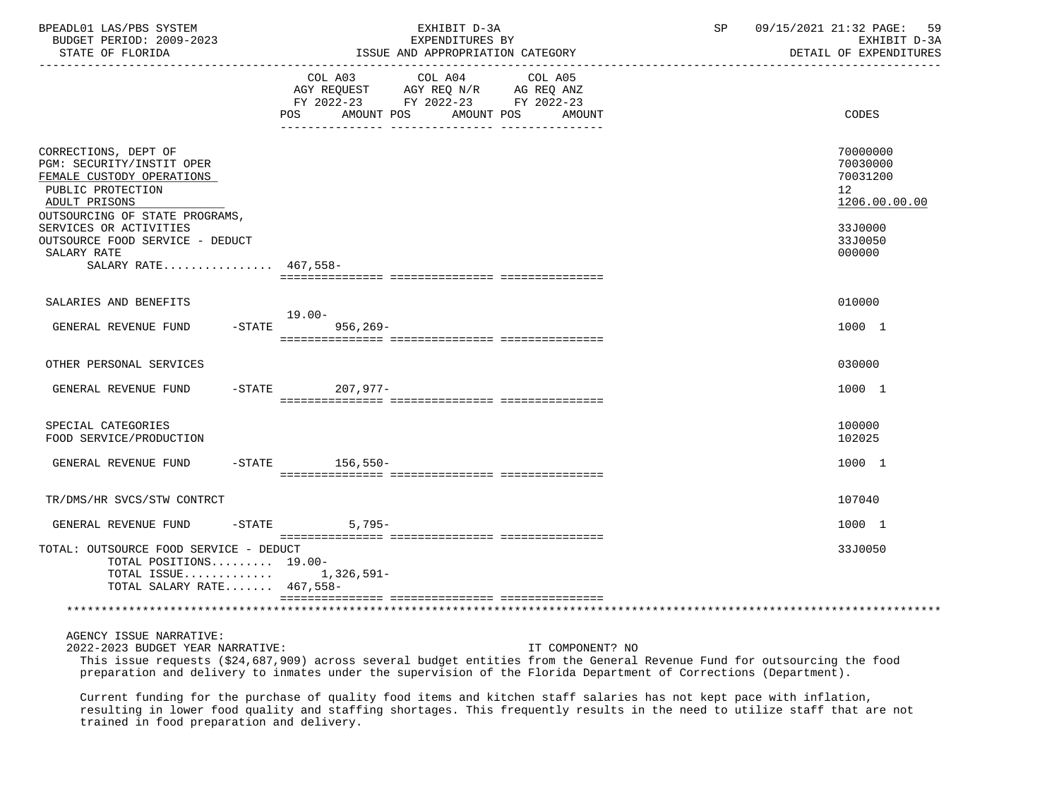| BPEADL01 LAS/PBS SYSTEM<br>BUDGET PERIOD: 2009-2023<br>STATE OF FLORIDA                                                                                                                                             | EXHIBIT D-3A<br>EXPENDITURES BY<br>ISSUE AND APPROPRIATION CATEGORY                                                                                                                          | 09/15/2021 21:32 PAGE: 59<br>SP<br>EXHIBIT D-3A<br>DETAIL OF EXPENDITURES     |
|---------------------------------------------------------------------------------------------------------------------------------------------------------------------------------------------------------------------|----------------------------------------------------------------------------------------------------------------------------------------------------------------------------------------------|-------------------------------------------------------------------------------|
|                                                                                                                                                                                                                     | COL A03<br>COL A04<br>COL A05<br>AGY REQUEST AGY REQ N/R AG REQ ANZ<br>FY 2022-23 FY 2022-23 FY 2022-23<br>POS AMOUNT POS<br>AMOUNT POS<br>AMOUNT<br>-- -------------<br>-- ---------------- | CODES                                                                         |
| CORRECTIONS, DEPT OF<br>PGM: SECURITY/INSTIT OPER<br>FEMALE CUSTODY OPERATIONS<br>PUBLIC PROTECTION<br>ADULT PRISONS<br>OUTSOURCING OF STATE PROGRAMS,<br>SERVICES OR ACTIVITIES<br>OUTSOURCE FOOD SERVICE - DEDUCT |                                                                                                                                                                                              | 70000000<br>70030000<br>70031200<br>12<br>1206.00.00.00<br>33J0000<br>33J0050 |
| SALARY RATE<br>SALARY RATE 467,558-                                                                                                                                                                                 |                                                                                                                                                                                              | 000000                                                                        |
| SALARIES AND BENEFITS                                                                                                                                                                                               | 19.00-                                                                                                                                                                                       | 010000                                                                        |
| $-$ STATE<br>GENERAL REVENUE FUND                                                                                                                                                                                   | $956, 269 -$                                                                                                                                                                                 | 1000 1                                                                        |
| OTHER PERSONAL SERVICES                                                                                                                                                                                             |                                                                                                                                                                                              | 030000                                                                        |
| GENERAL REVENUE FUND                                                                                                                                                                                                | $-$ STATE<br>207,977-                                                                                                                                                                        | 1000 1                                                                        |
| SPECIAL CATEGORIES<br>FOOD SERVICE/PRODUCTION                                                                                                                                                                       |                                                                                                                                                                                              | 100000<br>102025                                                              |
| GENERAL REVENUE FUND                                                                                                                                                                                                | -STATE 156,550-                                                                                                                                                                              | 1000 1                                                                        |
| TR/DMS/HR SVCS/STW CONTRCT                                                                                                                                                                                          |                                                                                                                                                                                              | 107040                                                                        |
| GENERAL REVENUE FUND<br>$-$ STATE                                                                                                                                                                                   | $5,795-$                                                                                                                                                                                     | 1000 1                                                                        |
| TOTAL: OUTSOURCE FOOD SERVICE - DEDUCT<br>TOTAL POSITIONS 19.00-<br>TOTAL ISSUE 1,326,591-<br>TOTAL SALARY RATE 467,558-                                                                                            |                                                                                                                                                                                              | 33J0050                                                                       |
|                                                                                                                                                                                                                     |                                                                                                                                                                                              |                                                                               |
|                                                                                                                                                                                                                     |                                                                                                                                                                                              |                                                                               |

AGENCY ISSUE NARRATIVE:

 2022-2023 BUDGET YEAR NARRATIVE: IT COMPONENT? NO This issue requests (\$24,687,909) across several budget entities from the General Revenue Fund for outsourcing the food preparation and delivery to inmates under the supervision of the Florida Department of Corrections (Department).

 Current funding for the purchase of quality food items and kitchen staff salaries has not kept pace with inflation, resulting in lower food quality and staffing shortages. This frequently results in the need to utilize staff that are not trained in food preparation and delivery.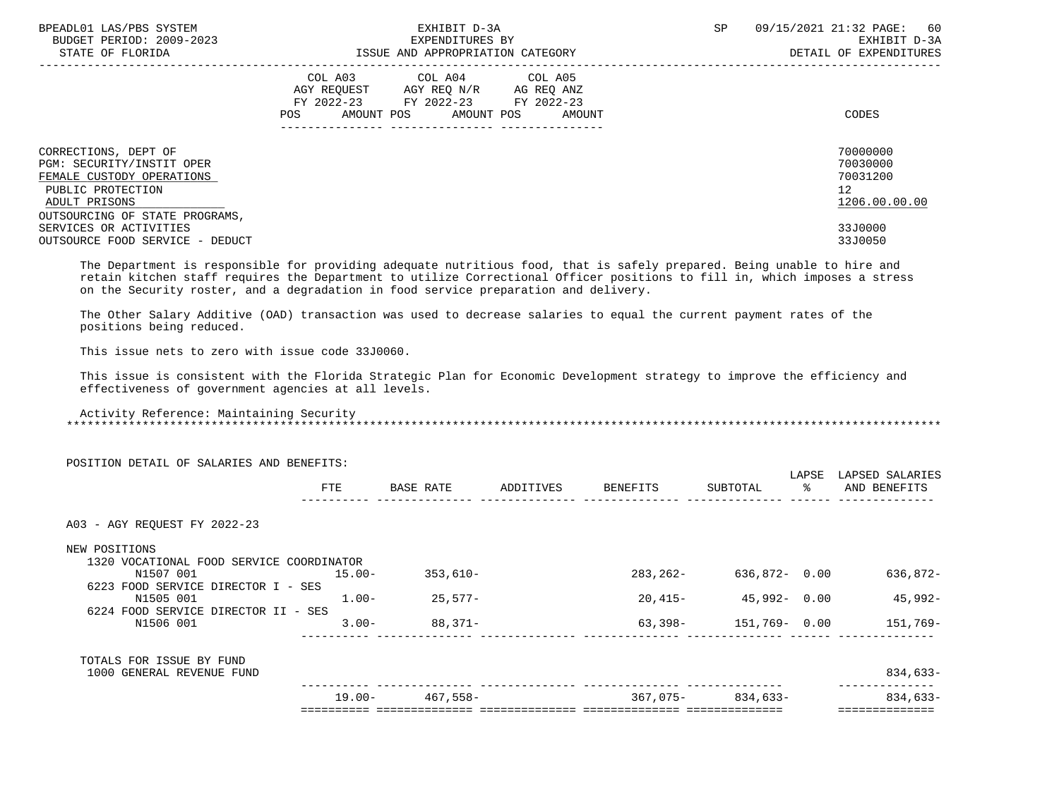| BPEADL01 LAS/PBS SYSTEM<br>BUDGET PERIOD: 2009-2023<br>STATE OF FLORIDA                                              | EXHIBIT D-3A<br>EXPENDITURES BY<br>ISSUE AND APPROPRIATION CATEGORY                                                                         | 09/15/2021 21:32 PAGE: 60<br><b>SP</b><br>EXHIBIT D-3A<br>DETAIL OF EXPENDITURES |
|----------------------------------------------------------------------------------------------------------------------|---------------------------------------------------------------------------------------------------------------------------------------------|----------------------------------------------------------------------------------|
|                                                                                                                      | COL A03 COL A04 COL A05<br>AGY REQUEST AGY REQ N/R AG REQ ANZ<br>FY 2022-23 FY 2022-23 FY 2022-23<br>AMOUNT POS AMOUNT POS<br>POS<br>AMOUNT | CODES                                                                            |
| CORRECTIONS, DEPT OF<br>PGM: SECURITY/INSTIT OPER<br>FEMALE CUSTODY OPERATIONS<br>PUBLIC PROTECTION<br>ADULT PRISONS |                                                                                                                                             | 70000000<br>70030000<br>70031200<br>12<br>1206.00.00.00                          |
| OUTSOURCING OF STATE PROGRAMS,<br>SERVICES OR ACTIVITIES<br>OUTSOURCE FOOD SERVICE - DEDUCT                          |                                                                                                                                             | 33J0000<br>33J0050                                                               |

 The Department is responsible for providing adequate nutritious food, that is safely prepared. Being unable to hire and retain kitchen staff requires the Department to utilize Correctional Officer positions to fill in, which imposes a stress on the Security roster, and a degradation in food service preparation and delivery.

 The Other Salary Additive (OAD) transaction was used to decrease salaries to equal the current payment rates of the positions being reduced.

This issue nets to zero with issue code 33J0060.

 This issue is consistent with the Florida Strategic Plan for Economic Development strategy to improve the efficiency and effectiveness of government agencies at all levels.

 Activity Reference: Maintaining Security \*\*\*\*\*\*\*\*\*\*\*\*\*\*\*\*\*\*\*\*\*\*\*\*\*\*\*\*\*\*\*\*\*\*\*\*\*\*\*\*\*\*\*\*\*\*\*\*\*\*\*\*\*\*\*\*\*\*\*\*\*\*\*\*\*\*\*\*\*\*\*\*\*\*\*\*\*\*\*\*\*\*\*\*\*\*\*\*\*\*\*\*\*\*\*\*\*\*\*\*\*\*\*\*\*\*\*\*\*\*\*\*\*\*\*\*\*\*\*\*\*\*\*\*\*\*\*

| POSITION DETAIL OF SALARIES AND BENEFITS:                                              |           |            |           |           |                       |                        |                                 |
|----------------------------------------------------------------------------------------|-----------|------------|-----------|-----------|-----------------------|------------------------|---------------------------------|
|                                                                                        | FTE       | BASE RATE  | ADDITIVES | BENEFITS  | SUBTOTAL              | LAPSE<br>$rac{8}{100}$ | LAPSED SALARIES<br>AND BENEFITS |
| A03 - AGY REOUEST FY 2022-23                                                           |           |            |           |           |                       |                        |                                 |
| NEW POSITIONS                                                                          |           |            |           |           |                       |                        |                                 |
| 1320 VOCATIONAL FOOD SERVICE COORDINATOR<br>N1507 001                                  | $15.00 -$ | $353,610-$ |           | 283,262-  | 636,872- 0.00         |                        | 636,872-                        |
| 6223 FOOD SERVICE DIRECTOR I - SES<br>N1505 001<br>6224 FOOD SERVICE DIRECTOR II - SES | $1.00 -$  | $25,577-$  |           | $20,415-$ | 45,992- 0.00          |                        | 45,992-                         |
| N1506 001                                                                              | $3.00 -$  | 88,371-    |           |           | $63,398-151,769-0.00$ |                        | 151,769–                        |
| TOTALS FOR ISSUE BY FUND                                                               |           |            |           |           |                       |                        |                                 |
| 1000 GENERAL REVENUE FUND                                                              |           |            |           |           |                       |                        | 834,633-                        |
|                                                                                        | $19.00 -$ | 467,558-   |           | 367,075-  | 834,633-              |                        | 834,633-                        |
|                                                                                        |           |            |           |           |                       |                        |                                 |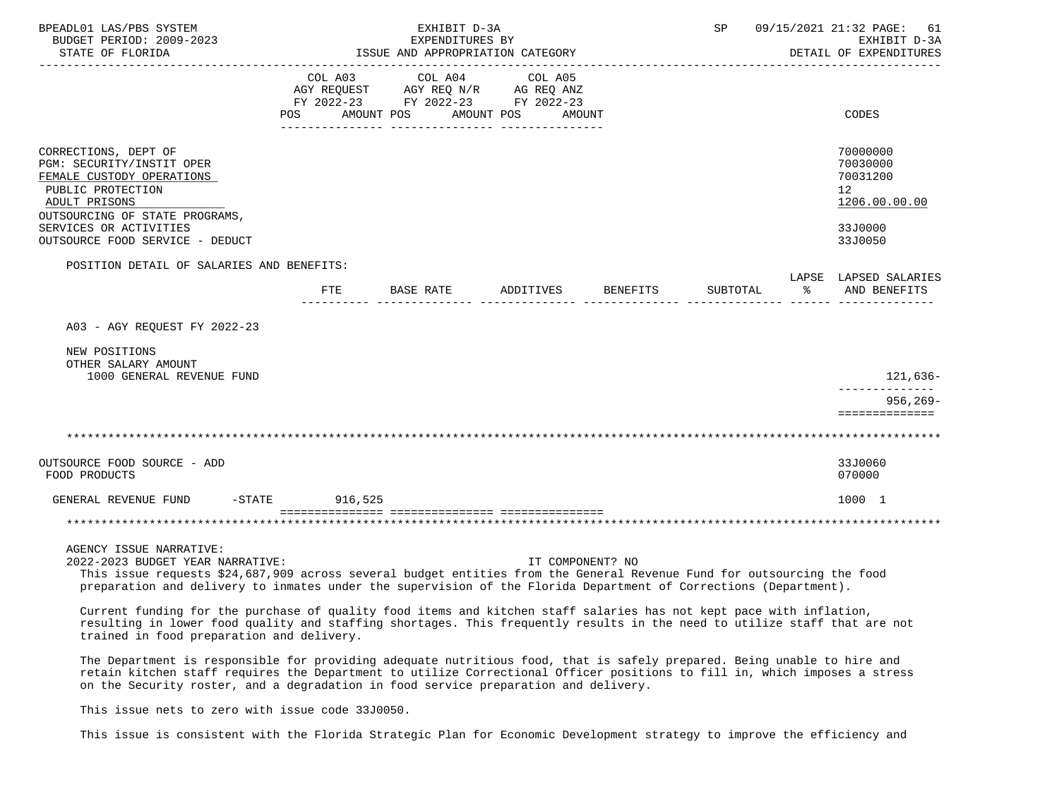| BPEADL01 LAS/PBS SYSTEM<br>BUDGET PERIOD: 2009-2023                                                                                                                                                                                                                                                       |                | EXHIBIT D-3A<br>EXPENDITURES BY                                                                 |                       |                    | SP       |          | 09/15/2021 21:32 PAGE:<br>61<br>EXHIBIT D-3A                                               |
|-----------------------------------------------------------------------------------------------------------------------------------------------------------------------------------------------------------------------------------------------------------------------------------------------------------|----------------|-------------------------------------------------------------------------------------------------|-----------------------|--------------------|----------|----------|--------------------------------------------------------------------------------------------|
| STATE OF FLORIDA                                                                                                                                                                                                                                                                                          |                | ISSUE AND APPROPRIATION CATEGORY                                                                |                       |                    |          |          | DETAIL OF EXPENDITURES                                                                     |
|                                                                                                                                                                                                                                                                                                           | COL A03<br>POS | COL A04<br>AGY REQUEST AGY REQ N/R AG REQ ANZ<br>FY 2022-23 FY 2022-23 FY 2022-23<br>AMOUNT POS | COL A05<br>AMOUNT POS | AMOUNT             |          |          | CODES                                                                                      |
| CORRECTIONS, DEPT OF<br>PGM: SECURITY/INSTIT OPER<br>FEMALE CUSTODY OPERATIONS<br>PUBLIC PROTECTION<br>ADULT PRISONS<br>OUTSOURCING OF STATE PROGRAMS,<br>SERVICES OR ACTIVITIES<br>OUTSOURCE FOOD SERVICE - DEDUCT                                                                                       |                |                                                                                                 |                       |                    |          |          | 70000000<br>70030000<br>70031200<br>12 <sup>°</sup><br>1206.00.00.00<br>33J0000<br>33J0050 |
|                                                                                                                                                                                                                                                                                                           |                |                                                                                                 |                       |                    |          |          |                                                                                            |
| POSITION DETAIL OF SALARIES AND BENEFITS:                                                                                                                                                                                                                                                                 | FTE            | BASE RATE                                                                                       |                       | ADDITIVES BENEFITS | SUBTOTAL | $\sim$ 8 | LAPSE LAPSED SALARIES<br>AND BENEFITS                                                      |
| A03 - AGY REOUEST FY 2022-23                                                                                                                                                                                                                                                                              |                |                                                                                                 |                       |                    |          |          |                                                                                            |
| NEW POSITIONS<br>OTHER SALARY AMOUNT<br>1000 GENERAL REVENUE FUND                                                                                                                                                                                                                                         |                |                                                                                                 |                       |                    |          |          | 121,636-<br>--------------                                                                 |
|                                                                                                                                                                                                                                                                                                           |                |                                                                                                 |                       |                    |          |          | $956, 269 -$<br>==============                                                             |
|                                                                                                                                                                                                                                                                                                           |                |                                                                                                 |                       |                    |          |          |                                                                                            |
| OUTSOURCE FOOD SOURCE - ADD<br>FOOD PRODUCTS                                                                                                                                                                                                                                                              |                |                                                                                                 |                       |                    |          |          | 33J0060<br>070000                                                                          |
| GENERAL REVENUE FUND -STATE 916,525                                                                                                                                                                                                                                                                       |                |                                                                                                 |                       |                    |          |          | 1000 1                                                                                     |
|                                                                                                                                                                                                                                                                                                           |                |                                                                                                 |                       |                    |          |          |                                                                                            |
| AGENCY ISSUE NARRATIVE:<br>2022-2023 BUDGET YEAR NARRATIVE:<br>This issue requests \$24,687,909 across several budget entities from the General Revenue Fund for outsourcing the food<br>preparation and delivery to inmates under the supervision of the Florida Department of Corrections (Department). |                |                                                                                                 |                       | IT COMPONENT? NO   |          |          |                                                                                            |

 Current funding for the purchase of quality food items and kitchen staff salaries has not kept pace with inflation, resulting in lower food quality and staffing shortages. This frequently results in the need to utilize staff that are not trained in food preparation and delivery.

 The Department is responsible for providing adequate nutritious food, that is safely prepared. Being unable to hire and retain kitchen staff requires the Department to utilize Correctional Officer positions to fill in, which imposes a stress on the Security roster, and a degradation in food service preparation and delivery.

This issue nets to zero with issue code 33J0050.

This issue is consistent with the Florida Strategic Plan for Economic Development strategy to improve the efficiency and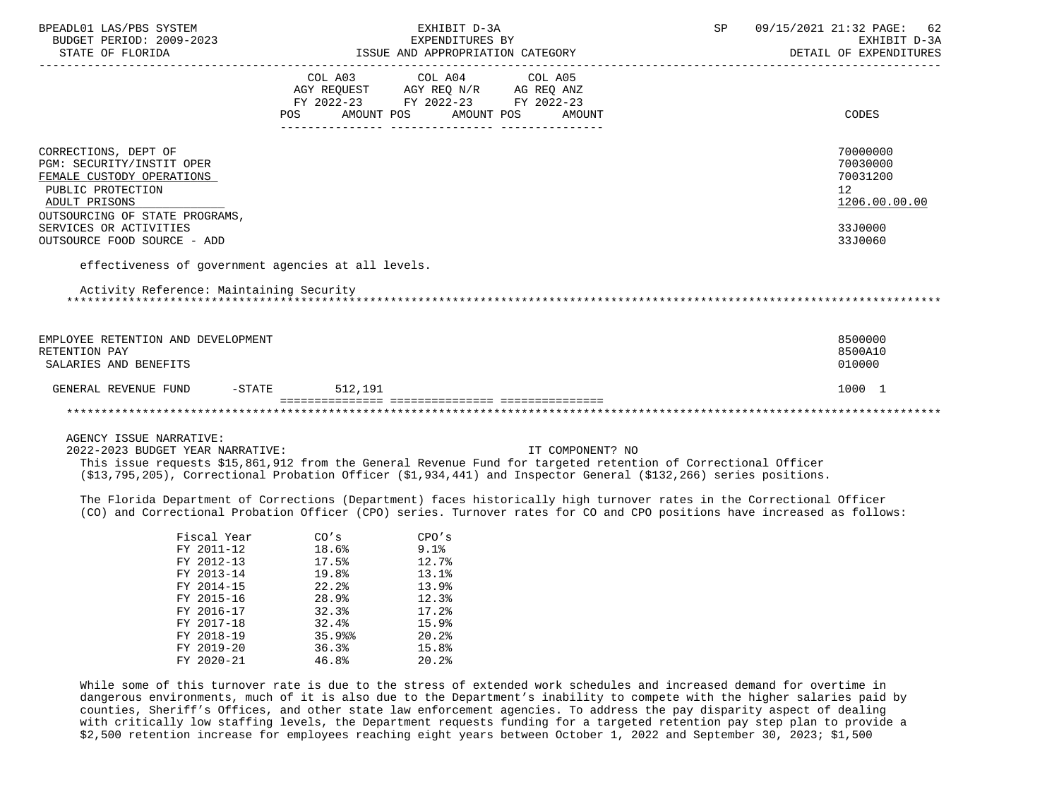| BPEADL01 LAS/PBS SYSTEM<br>BUDGET PERIOD: 2009-2023 |                    | EXHIBIT D-3A<br>EXPENDITURES BY                                                                                                         | 09/15/2021 21:32 PAGE:<br>SP<br>62<br>EXHIBIT D-3A                                                                                                                                                                                                |
|-----------------------------------------------------|--------------------|-----------------------------------------------------------------------------------------------------------------------------------------|---------------------------------------------------------------------------------------------------------------------------------------------------------------------------------------------------------------------------------------------------|
| STATE OF FLORIDA                                    |                    | ISSUE AND APPROPRIATION CATEGORY                                                                                                        | DETAIL OF EXPENDITURES                                                                                                                                                                                                                            |
|                                                     | POS                | COL A03 COL A04 COL A05<br>AGY REQUEST AGY REQ N/R AG REQ ANZ<br>FY 2022-23 FY 2022-23 FY 2022-23<br>AMOUNT POS<br>AMOUNT POS<br>AMOUNT | CODES                                                                                                                                                                                                                                             |
| CORRECTIONS, DEPT OF                                |                    |                                                                                                                                         | 70000000                                                                                                                                                                                                                                          |
| PGM: SECURITY/INSTIT OPER                           |                    |                                                                                                                                         | 70030000                                                                                                                                                                                                                                          |
| FEMALE CUSTODY OPERATIONS<br>PUBLIC PROTECTION      |                    |                                                                                                                                         | 70031200<br>12                                                                                                                                                                                                                                    |
| ADULT PRISONS                                       |                    |                                                                                                                                         | 1206.00.00.00                                                                                                                                                                                                                                     |
| OUTSOURCING OF STATE PROGRAMS,                      |                    |                                                                                                                                         |                                                                                                                                                                                                                                                   |
| SERVICES OR ACTIVITIES                              |                    |                                                                                                                                         | 33J0000                                                                                                                                                                                                                                           |
| OUTSOURCE FOOD SOURCE - ADD                         |                    |                                                                                                                                         | 33J0060                                                                                                                                                                                                                                           |
| effectiveness of government agencies at all levels. |                    |                                                                                                                                         |                                                                                                                                                                                                                                                   |
|                                                     |                    |                                                                                                                                         |                                                                                                                                                                                                                                                   |
| Activity Reference: Maintaining Security            |                    |                                                                                                                                         |                                                                                                                                                                                                                                                   |
|                                                     |                    |                                                                                                                                         |                                                                                                                                                                                                                                                   |
|                                                     |                    |                                                                                                                                         |                                                                                                                                                                                                                                                   |
| EMPLOYEE RETENTION AND DEVELOPMENT                  |                    |                                                                                                                                         | 8500000                                                                                                                                                                                                                                           |
| RETENTION PAY                                       |                    |                                                                                                                                         | 8500A10                                                                                                                                                                                                                                           |
| SALARIES AND BENEFITS                               |                    |                                                                                                                                         | 010000                                                                                                                                                                                                                                            |
| GENERAL REVENUE FUND                                | -STATE 512,191     |                                                                                                                                         | 1000 1                                                                                                                                                                                                                                            |
|                                                     |                    |                                                                                                                                         |                                                                                                                                                                                                                                                   |
|                                                     |                    |                                                                                                                                         |                                                                                                                                                                                                                                                   |
| AGENCY ISSUE NARRATIVE:                             |                    |                                                                                                                                         |                                                                                                                                                                                                                                                   |
| 2022-2023 BUDGET YEAR NARRATIVE:                    |                    | IT COMPONENT? NO                                                                                                                        |                                                                                                                                                                                                                                                   |
|                                                     |                    | This issue requests \$15,861,912 from the General Revenue Fund for targeted retention of Correctional Officer                           |                                                                                                                                                                                                                                                   |
|                                                     |                    | (\$13,795,205), Correctional Probation Officer (\$1,934,441) and Inspector General (\$132,266) series positions.                        |                                                                                                                                                                                                                                                   |
|                                                     |                    |                                                                                                                                         | The Florida Department of Corrections (Department) faces historically high turnover rates in the Correctional Officer<br>(CO) and Correctional Probation Officer (CPO) series. Turnover rates for CO and CPO positions have increased as follows: |
| Fiscal Year                                         |                    | CPO's                                                                                                                                   |                                                                                                                                                                                                                                                   |
| FY 2011-12                                          | $CO's$<br>$18.6\%$ | 9.1%                                                                                                                                    |                                                                                                                                                                                                                                                   |
| FY 2012-13                                          | 17.5% 12.7%        |                                                                                                                                         |                                                                                                                                                                                                                                                   |
| FY 2013-14                                          | 19.8%              | 13.1%                                                                                                                                   |                                                                                                                                                                                                                                                   |

| FY 2013-14   | 19.8% | 13.1% |
|--------------|-------|-------|
| FY 2014-15   | 22.2% | 13.9% |
| FY 2015-16   | 28.9% | 12.3% |
| FY 2016-17   | 32.3% | 17.2% |
| FY 2017-18   | 32.4% | 15.9% |
| FY 2018-19   | 35.9% | 20.2% |
| FY 2019-20   | 36.3% | 15.8% |
| $FY$ 2020-21 | 46.8% | 20.2% |

 While some of this turnover rate is due to the stress of extended work schedules and increased demand for overtime in dangerous environments, much of it is also due to the Department's inability to compete with the higher salaries paid by counties, Sheriff's Offices, and other state law enforcement agencies. To address the pay disparity aspect of dealing with critically low staffing levels, the Department requests funding for a targeted retention pay step plan to provide a \$2,500 retention increase for employees reaching eight years between October 1, 2022 and September 30, 2023; \$1,500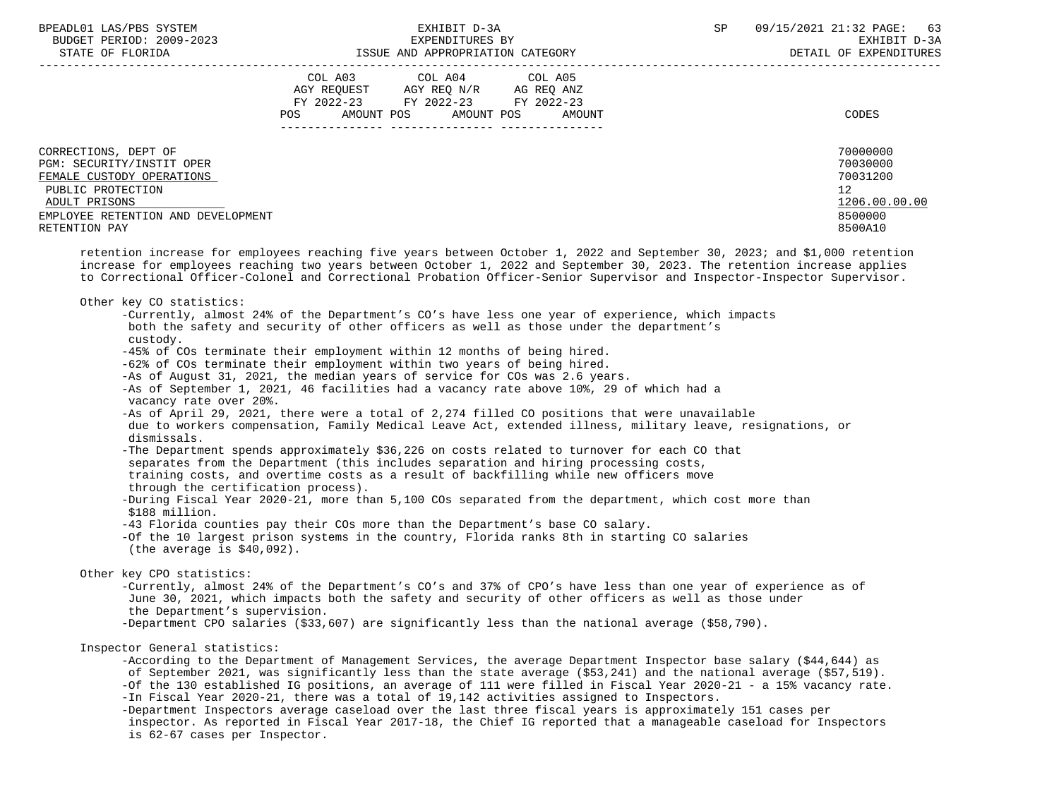| BPEADL01 LAS/PBS SYSTEM  | EXHIBIT D-3A                         | 09/15/2021 21:32 PAGE:<br>63 |
|--------------------------|--------------------------------------|------------------------------|
| BUDGET PERIOD: 2009-2023 | EXPENDITURES BY                      | EXHIBIT D-3A                 |
| גתדם מדם הם החגיחים      | r a atte.<br>VONTROOPTATION CATECOPY | סססטזיידרואסמצים סמ זדגייסמ  |

|                                                                                                                                                                             | COL A03<br>AGY REQUEST<br>FY 2022-23<br>POS<br>AMOUNT POS | COL A04<br>AGY REQ N/R<br>FY 2022-23<br>AMOUNT POS | COL A05<br>AG REQ ANZ<br>FY 2022-23<br>AMOUNT | CODES                                                                         |
|-----------------------------------------------------------------------------------------------------------------------------------------------------------------------------|-----------------------------------------------------------|----------------------------------------------------|-----------------------------------------------|-------------------------------------------------------------------------------|
| CORRECTIONS, DEPT OF<br>PGM: SECURITY/INSTIT OPER<br>FEMALE CUSTODY OPERATIONS<br>PUBLIC PROTECTION<br>ADULT PRISONS<br>EMPLOYEE RETENTION AND DEVELOPMENT<br>RETENTION PAY |                                                           |                                                    |                                               | 70000000<br>70030000<br>70031200<br>12<br>1206.00.00.00<br>8500000<br>8500A10 |

 retention increase for employees reaching five years between October 1, 2022 and September 30, 2023; and \$1,000 retention increase for employees reaching two years between October 1, 2022 and September 30, 2023. The retention increase applies to Correctional Officer-Colonel and Correctional Probation Officer-Senior Supervisor and Inspector-Inspector Supervisor.

Other key CO statistics:

 -Currently, almost 24% of the Department's CO's have less one year of experience, which impacts both the safety and security of other officers as well as those under the department's custody. -45% of COs terminate their employment within 12 months of being hired. -62% of COs terminate their employment within two years of being hired. -As of August 31, 2021, the median years of service for COs was 2.6 years. -As of September 1, 2021, 46 facilities had a vacancy rate above 10%, 29 of which had a vacancy rate over 20%. -As of April 29, 2021, there were a total of 2,274 filled CO positions that were unavailable due to workers compensation, Family Medical Leave Act, extended illness, military leave, resignations, or dismissals. -The Department spends approximately \$36,226 on costs related to turnover for each CO that separates from the Department (this includes separation and hiring processing costs, training costs, and overtime costs as a result of backfilling while new officers move through the certification process). -During Fiscal Year 2020-21, more than 5,100 COs separated from the department, which cost more than \$188 million. -43 Florida counties pay their COs more than the Department's base CO salary. -Of the 10 largest prison systems in the country, Florida ranks 8th in starting CO salaries (the average is \$40,092). Other key CPO statistics: -Currently, almost 24% of the Department's CO's and 37% of CPO's have less than one year of experience as of June 30, 2021, which impacts both the safety and security of other officers as well as those under the Department's supervision. -Department CPO salaries (\$33,607) are significantly less than the national average (\$58,790). Inspector General statistics:

 -According to the Department of Management Services, the average Department Inspector base salary (\$44,644) as of September 2021, was significantly less than the state average (\$53,241) and the national average (\$57,519). -Of the 130 established IG positions, an average of 111 were filled in Fiscal Year 2020-21 - a 15% vacancy rate. -In Fiscal Year 2020-21, there was a total of 19,142 activities assigned to Inspectors.

 -Department Inspectors average caseload over the last three fiscal years is approximately 151 cases per inspector. As reported in Fiscal Year 2017-18, the Chief IG reported that a manageable caseload for Inspectors is 62-67 cases per Inspector.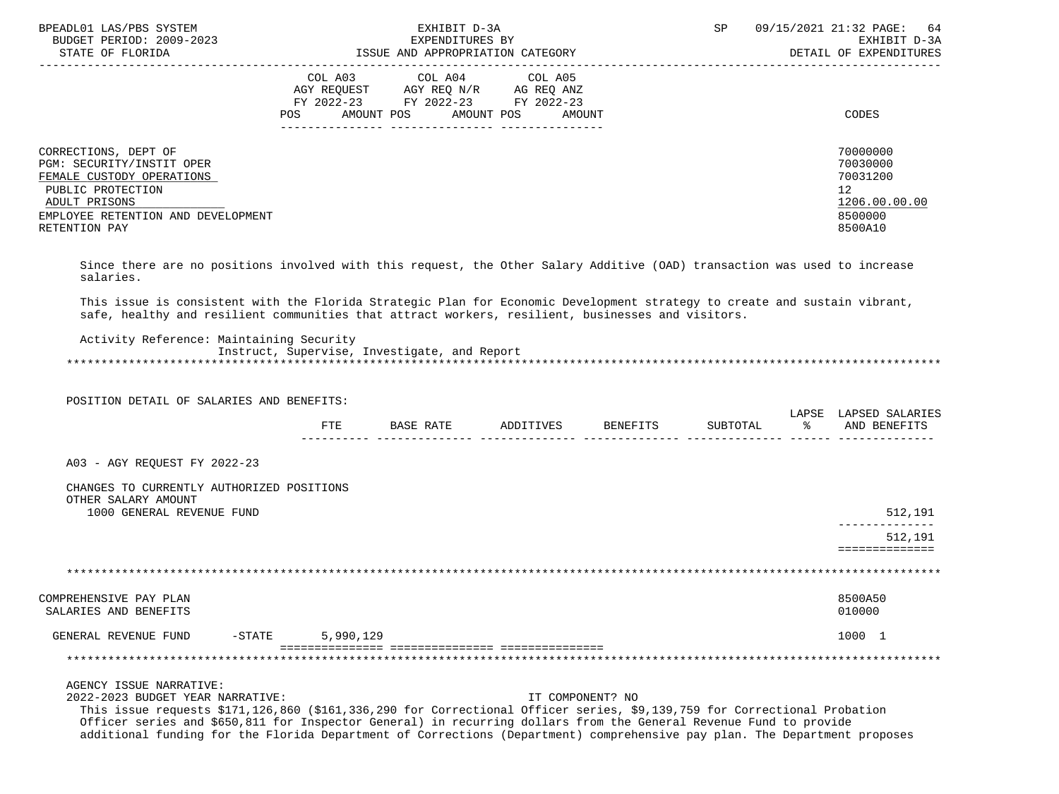| BPEADL01 LAS/PBS SYSTEM<br>BUDGET PERIOD: 2009-2023<br>STATE OF FLORIDA                                                                                                     | EXHIBIT D-3A<br>EXPENDITURES BY<br>ISSUE AND APPROPRIATION CATEGORY                                                                         | 09/15/2021 21:32 PAGE: 64<br><b>SP</b><br>EXHIBIT D-3A<br>DETAIL OF EXPENDITURES |
|-----------------------------------------------------------------------------------------------------------------------------------------------------------------------------|---------------------------------------------------------------------------------------------------------------------------------------------|----------------------------------------------------------------------------------|
|                                                                                                                                                                             | COL A03 COL A04 COL A05<br>AGY REQUEST AGY REQ N/R AG REQ ANZ<br>FY 2022-23 FY 2022-23 FY 2022-23<br>AMOUNT POS AMOUNT POS<br>POS<br>AMOUNT | CODES                                                                            |
| CORRECTIONS, DEPT OF<br>PGM: SECURITY/INSTIT OPER<br>FEMALE CUSTODY OPERATIONS<br>PUBLIC PROTECTION<br>ADULT PRISONS<br>EMPLOYEE RETENTION AND DEVELOPMENT<br>RETENTION PAY |                                                                                                                                             | 70000000<br>70030000<br>70031200<br>12<br>1206.00.00.00<br>8500000<br>8500A10    |

 Since there are no positions involved with this request, the Other Salary Additive (OAD) transaction was used to increase salaries.

 This issue is consistent with the Florida Strategic Plan for Economic Development strategy to create and sustain vibrant, safe, healthy and resilient communities that attract workers, resilient, businesses and visitors.

 Activity Reference: Maintaining Security Instruct, Supervise, Investigate, and Report \*\*\*\*\*\*\*\*\*\*\*\*\*\*\*\*\*\*\*\*\*\*\*\*\*\*\*\*\*\*\*\*\*\*\*\*\*\*\*\*\*\*\*\*\*\*\*\*\*\*\*\*\*\*\*\*\*\*\*\*\*\*\*\*\*\*\*\*\*\*\*\*\*\*\*\*\*\*\*\*\*\*\*\*\*\*\*\*\*\*\*\*\*\*\*\*\*\*\*\*\*\*\*\*\*\*\*\*\*\*\*\*\*\*\*\*\*\*\*\*\*\*\*\*\*\*\*

 POSITION DETAIL OF SALARIES AND BENEFITS: LAPSE LAPSED SALARIES FTE BASE RATE ADDITIVES BENEFITS SUBTOTAL % AND BENEFITS ---------- -------------- -------------- -------------- -------------- ------ -------------- A03 - AGY REQUEST FY 2022-23 CHANGES TO CURRENTLY AUTHORIZED POSITIONS OTHER SALARY AMOUNT 1000 GENERAL REVENUE FUND 512,191 -------------- 512,191 ============== \*\*\*\*\*\*\*\*\*\*\*\*\*\*\*\*\*\*\*\*\*\*\*\*\*\*\*\*\*\*\*\*\*\*\*\*\*\*\*\*\*\*\*\*\*\*\*\*\*\*\*\*\*\*\*\*\*\*\*\*\*\*\*\*\*\*\*\*\*\*\*\*\*\*\*\*\*\*\*\*\*\*\*\*\*\*\*\*\*\*\*\*\*\*\*\*\*\*\*\*\*\*\*\*\*\*\*\*\*\*\*\*\*\*\*\*\*\*\*\*\*\*\*\*\*\*\* COMPREHENSIVE PAY PLAN 8500A50 SALARIES AND BENEFITS ON A SALARIES AND SALARIES AND SALARIES AND SENETITS ON A SALARIES AND SENETITS ON A SALARIES AND SENETITS SALARIES AND SENETITS SALARIES AND SENETITS SALARIES AND SENETITS SALARIES AND SENETITS SALAR GENERAL REVENUE FUND -STATE 5,990,129 1000 1 =============== =============== =============== \*\*\*\*\*\*\*\*\*\*\*\*\*\*\*\*\*\*\*\*\*\*\*\*\*\*\*\*\*\*\*\*\*\*\*\*\*\*\*\*\*\*\*\*\*\*\*\*\*\*\*\*\*\*\*\*\*\*\*\*\*\*\*\*\*\*\*\*\*\*\*\*\*\*\*\*\*\*\*\*\*\*\*\*\*\*\*\*\*\*\*\*\*\*\*\*\*\*\*\*\*\*\*\*\*\*\*\*\*\*\*\*\*\*\*\*\*\*\*\*\*\*\*\*\*\*\* AGENCY ISSUE NARRATIVE: 2022-2023 BUDGET YEAR NARRATIVE: IT COMPONENT? NO This issue requests \$171,126,860 (\$161,336,290 for Correctional Officer series, \$9,139,759 for Correctional Probation Officer series and \$650,811 for Inspector General) in recurring dollars from the General Revenue Fund to provide additional funding for the Florida Department of Corrections (Department) comprehensive pay plan. The Department proposes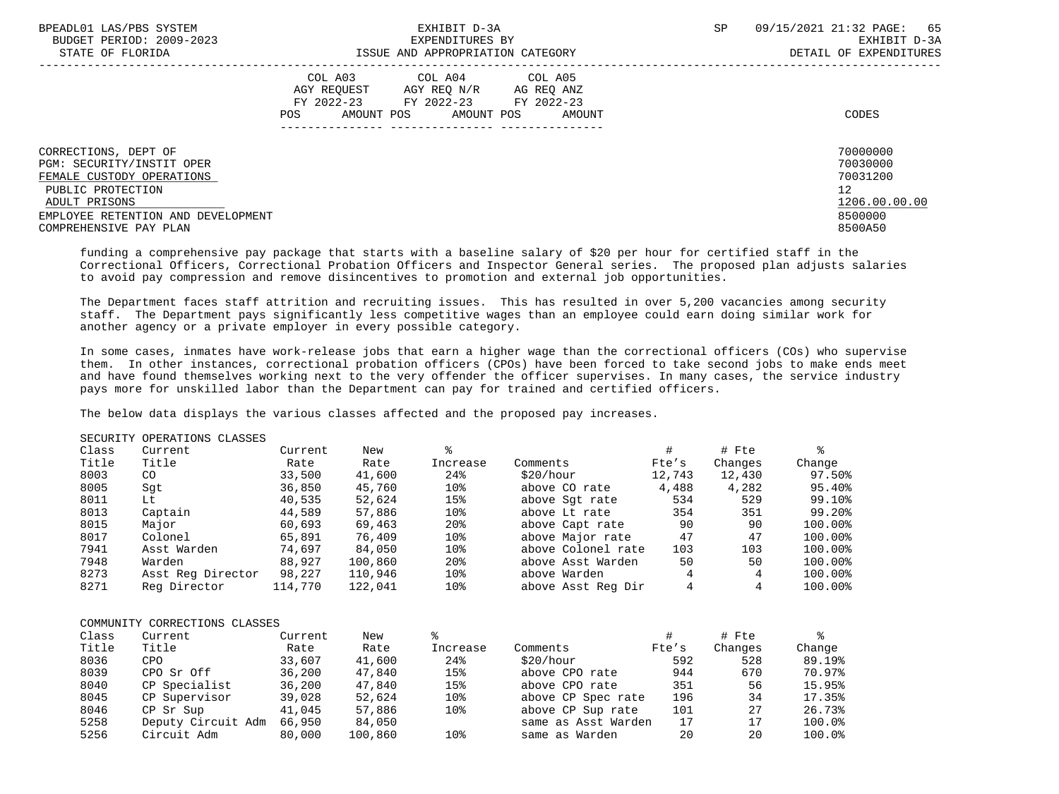| BPEADL01 LAS/PBS SYSTEM            | EXHIBIT D-3A                           | 09/15/2021 21:32 PAGE: 65<br><b>SP</b> |
|------------------------------------|----------------------------------------|----------------------------------------|
| BUDGET PERIOD: 2009-2023           | EXPENDITURES BY                        | EXHIBIT D-3A                           |
| STATE OF FLORIDA                   | ISSUE AND APPROPRIATION CATEGORY       | DETAIL OF EXPENDITURES                 |
|                                    | COL A03 COL A04 COL A05                |                                        |
|                                    | AGY REOUEST AGY REO N/R<br>AG REO ANZ  |                                        |
|                                    | FY 2022-23<br>FY 2022-23 FY 2022-23    |                                        |
|                                    | AMOUNT POS AMOUNT POS<br>POS<br>AMOUNT | CODES                                  |
|                                    |                                        |                                        |
| CORRECTIONS, DEPT OF               |                                        | 70000000                               |
| PGM: SECURITY/INSTIT OPER          |                                        | 70030000                               |
| FEMALE CUSTODY OPERATIONS          |                                        | 70031200                               |
| PUBLIC PROTECTION                  |                                        | $12 \overline{ }$                      |
| ADULT PRISONS                      |                                        | 1206.00.00.00                          |
| EMPLOYEE RETENTION AND DEVELOPMENT |                                        | 8500000                                |
| COMPREHENSIVE PAY PLAN             |                                        | 8500A50                                |
|                                    |                                        |                                        |

 funding a comprehensive pay package that starts with a baseline salary of \$20 per hour for certified staff in the Correctional Officers, Correctional Probation Officers and Inspector General series. The proposed plan adjusts salaries to avoid pay compression and remove disincentives to promotion and external job opportunities.

 The Department faces staff attrition and recruiting issues. This has resulted in over 5,200 vacancies among security staff. The Department pays significantly less competitive wages than an employee could earn doing similar work for another agency or a private employer in every possible category.

 In some cases, inmates have work-release jobs that earn a higher wage than the correctional officers (COs) who supervise them. In other instances, correctional probation officers (CPOs) have been forced to take second jobs to make ends meet and have found themselves working next to the very offender the officer supervises. In many cases, the service industry pays more for unskilled labor than the Department can pay for trained and certified officers.

The below data displays the various classes affected and the proposed pay increases.

|                      | <u>UUCUNII 1. ULUNII CUMUU UU</u> |          |        |               |                |                           |                           |                      |
|----------------------|-----------------------------------|----------|--------|---------------|----------------|---------------------------|---------------------------|----------------------|
| Class                | Current                           | Current  | New    |               |                |                           | # Fte                     |                      |
| Title                | Title                             | Rate     | Rate   | Increase      | Comments       | Fte's                     | Changes                   | Change               |
| 8003                 | CO                                | 33,500   | 41,600 | 24%           | \$20/hour      | 12,743                    | 12,430                    | 97.50%               |
| 8005                 | Sqt                               | 36,850   | 45,760 | 10%           | above CO rate  | 4,488                     | 4,282                     | 95.40%               |
| 8011                 | Lt                                | 40,535   | 52,624 | 15%           | above Sqt rate | 534                       | 529                       | 99.10%               |
| $\sim$ $\sim$ $\sim$ | $\sim$                            | $\cdots$ | $  -$  | $\sim$ $\sim$ | _____          | $\mathbf{a} = \mathbf{b}$ | $\mathbf{A} = \mathbf{A}$ | $\sim$ $\sim$ $\sim$ |

|      |                   |         |         | ---             |                    |     |     |         |
|------|-------------------|---------|---------|-----------------|--------------------|-----|-----|---------|
| 8011 | Lt                | 40,535  | 52,624  | 15%             | above Sqt rate     | 534 | 529 | 99.10%  |
| 8013 | Captain           | 44,589  | 57,886  | 10%             | above Lt rate      | 354 | 351 | 99.20%  |
| 8015 | Major             | 60,693  | 69,463  | 20 <sup>8</sup> | above Capt rate    | 90  | 90  | 100.00% |
| 8017 | Colonel           | 65,891  | 76,409  | 10%             | above Major rate   | 47  | 47  | 100.00% |
| 7941 | Asst Warden       | 74,697  | 84,050  | 10%             | above Colonel rate | 103 | 103 | 100.00% |
| 7948 | Warden            | 88,927  | 100,860 | 20 <sup>8</sup> | above Asst Warden  | 50  | 50  | 100.00% |
| 8273 | Asst Reg Director | 98,227  | 110,946 | 10%             | above Warden       | 4   | 4   | 100.00% |
| 8271 | Reg Director      | 114,770 | 122,041 | 10%             | above Asst Reg Dir | 4   |     | 100.00% |
|      |                   |         |         |                 |                    |     |     |         |

### COMMUNITY CORRECTIONS CLASSES

SECURITY OPERATIONS CLASSES

| Class | Current            | Current | New     |          |                     |       | # Fte   |        |
|-------|--------------------|---------|---------|----------|---------------------|-------|---------|--------|
| Title | Title              | Rate    | Rate    | Increase | Comments            | Fte's | Changes | Change |
| 8036  | <b>CPO</b>         | 33,607  | 41,600  | 24%      | \$20/hour           | 592   | 528     | 89.19% |
| 8039  | CPO Sr Off         | 36,200  | 47,840  | 15%      | above CPO rate      | 944   | 670     | 70.97% |
| 8040  | CP Specialist      | 36,200  | 47,840  | 15%      | above CPO rate      | 351   | 56      | 15.95% |
| 8045  | CP Supervisor      | 39,028  | 52,624  | 10%      | above CP Spec rate  | 196   | 34      | 17.35% |
| 8046  | CP Sr Sup          | 41,045  | 57,886  | 10%      | above CP Sup rate   | 101   | 27      | 26.73% |
| 5258  | Deputy Circuit Adm | 66,950  | 84,050  |          | same as Asst Warden | 17    | 17      | 100.0% |
| 5256  | Circuit Adm        | 80,000  | 100,860 | 10%      | same as Warden      | 20    | 20      | 100.0% |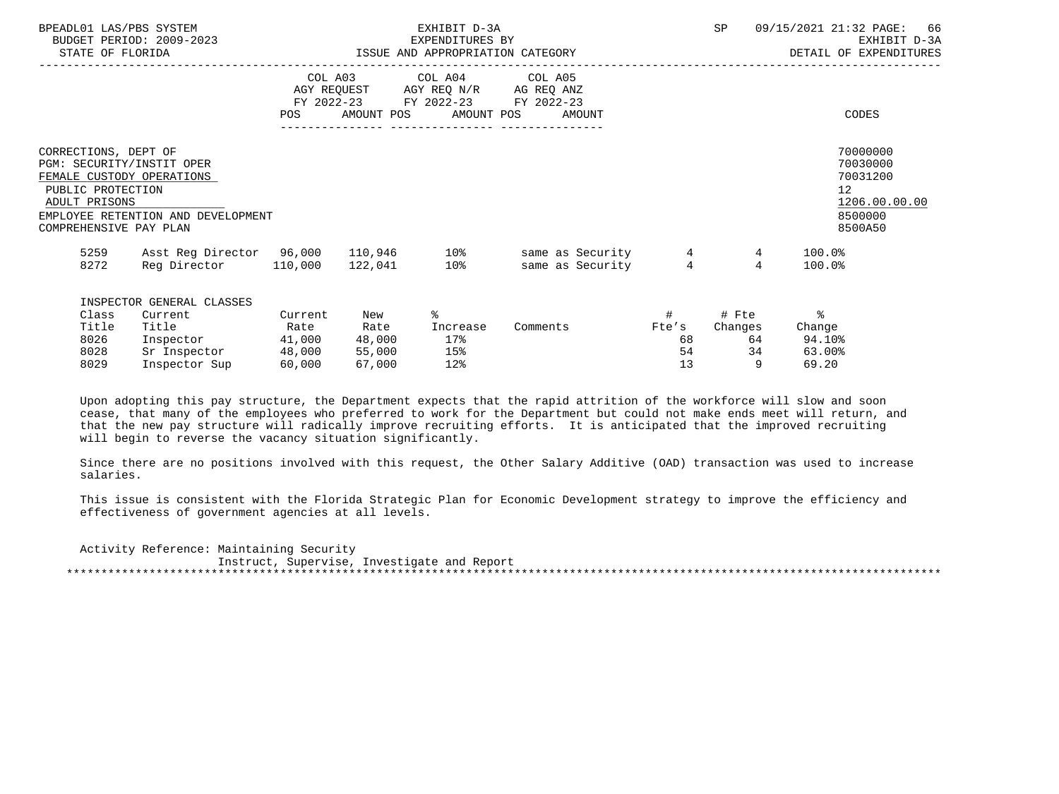| BPEADL01 LAS/PBS SYSTEM<br>STATE OF FLORIDA                                                                                                    | BUDGET PERIOD: 2009-2023                                                                    | EXHIBIT D-3A<br>EXPENDITURES BY<br>ISSUE AND APPROPRIATION CATEGORY |                                           |                                       |                                                                                                             |                                  | SP                                |                                          | 09/15/2021 21:32 PAGE: 66<br>EXHIBIT D-3A<br>DETAIL OF EXPENDITURES     |
|------------------------------------------------------------------------------------------------------------------------------------------------|---------------------------------------------------------------------------------------------|---------------------------------------------------------------------|-------------------------------------------|---------------------------------------|-------------------------------------------------------------------------------------------------------------|----------------------------------|-----------------------------------|------------------------------------------|-------------------------------------------------------------------------|
|                                                                                                                                                |                                                                                             |                                                                     |                                           | POS AMOUNT POS AMOUNT POS             | COL A03 COL A04 COL A05<br>AGY REQUEST AGY REQ N/R AG REQ ANZ<br>FY 2022-23 FY 2022-23 FY 2022-23<br>AMOUNT |                                  |                                   |                                          | CODES                                                                   |
| CORRECTIONS, DEPT OF<br>PGM: SECURITY/INSTIT OPER<br>FEMALE CUSTODY OPERATIONS<br>PUBLIC PROTECTION<br>ADULT PRISONS<br>COMPREHENSIVE PAY PLAN | EMPLOYEE RETENTION AND DEVELOPMENT                                                          |                                                                     |                                           |                                       |                                                                                                             |                                  |                                   | 12                                       | 70000000<br>70030000<br>70031200<br>1206.00.00.00<br>8500000<br>8500A50 |
| 5259<br>8272                                                                                                                                   | Reg Director 110,000 122,041 10%                                                            |                                                                     |                                           |                                       | Asst Reg Director 96,000 110,946 10% same as Security<br>same as Security                                   | $\overline{4}$<br>$\overline{4}$ | 4<br>$\overline{4}$               | $100.0$ %<br>100.0%                      |                                                                         |
| Class<br>Title<br>8026<br>8028<br>8029                                                                                                         | INSPECTOR GENERAL CLASSES<br>Current<br>Title<br>Inspector<br>Sr Inspector<br>Inspector Sup | Current<br>Rate<br>41,000<br>48,000<br>60,000                       | New<br>Rate<br>48,000<br>55,000<br>67,000 | ⊱<br>Increase<br>17%<br>15%<br>$12$ % | Comments                                                                                                    | #<br>Fte's<br>68<br>54<br>13     | # Fte<br>Changes<br>64<br>34<br>9 | ႜ<br>Change<br>94.10%<br>63.00%<br>69.20 |                                                                         |

 Upon adopting this pay structure, the Department expects that the rapid attrition of the workforce will slow and soon cease, that many of the employees who preferred to work for the Department but could not make ends meet will return, and that the new pay structure will radically improve recruiting efforts. It is anticipated that the improved recruiting will begin to reverse the vacancy situation significantly.

 Since there are no positions involved with this request, the Other Salary Additive (OAD) transaction was used to increase salaries.

 This issue is consistent with the Florida Strategic Plan for Economic Development strategy to improve the efficiency and effectiveness of government agencies at all levels.

 Activity Reference: Maintaining Security Instruct, Supervise, Investigate and Report \*\*\*\*\*\*\*\*\*\*\*\*\*\*\*\*\*\*\*\*\*\*\*\*\*\*\*\*\*\*\*\*\*\*\*\*\*\*\*\*\*\*\*\*\*\*\*\*\*\*\*\*\*\*\*\*\*\*\*\*\*\*\*\*\*\*\*\*\*\*\*\*\*\*\*\*\*\*\*\*\*\*\*\*\*\*\*\*\*\*\*\*\*\*\*\*\*\*\*\*\*\*\*\*\*\*\*\*\*\*\*\*\*\*\*\*\*\*\*\*\*\*\*\*\*\*\*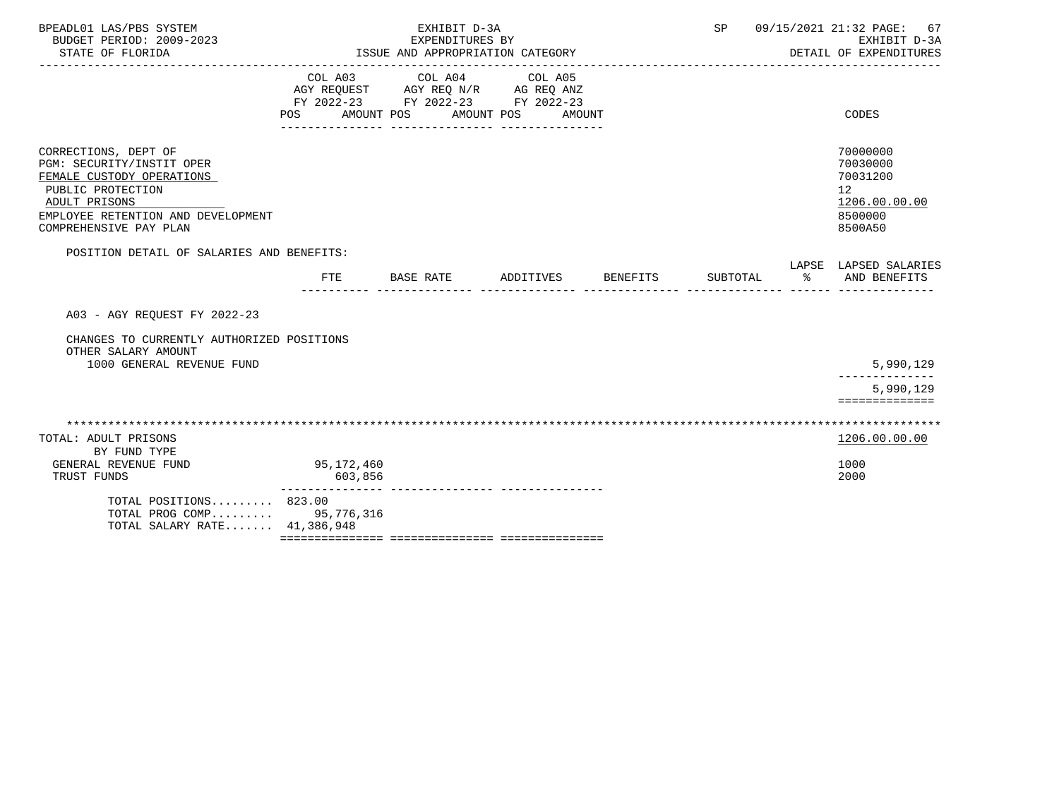| BPEADL01 LAS/PBS SYSTEM<br>BUDGET PERIOD: 2009-2023<br>STATE OF FLORIDA                                                                                                                     |                       | EXHIBIT D-3A<br>EXPENDITURES BY<br>ISSUE AND APPROPRIATION CATEGORY                                          |                                 |                 | SP       |   | 09/15/2021 21:32 PAGE:<br>67<br>EXHIBIT D-3A<br>DETAIL OF EXPENDITURES                     |
|---------------------------------------------------------------------------------------------------------------------------------------------------------------------------------------------|-----------------------|--------------------------------------------------------------------------------------------------------------|---------------------------------|-----------------|----------|---|--------------------------------------------------------------------------------------------|
|                                                                                                                                                                                             | POS AMOUNT POS        | COL A03 COL A04<br>AGY REQUEST AGY REQ N/R AG REQ ANZ<br>FY 2022-23 FY 2022-23 FY 2022-23<br>_______________ | COL A05<br>AMOUNT POS<br>AMOUNT |                 |          |   | CODES                                                                                      |
| CORRECTIONS, DEPT OF<br><b>PGM: SECURITY/INSTIT OPER</b><br>FEMALE CUSTODY OPERATIONS<br>PUBLIC PROTECTION<br>ADULT PRISONS<br>EMPLOYEE RETENTION AND DEVELOPMENT<br>COMPREHENSIVE PAY PLAN |                       |                                                                                                              |                                 |                 |          |   | 70000000<br>70030000<br>70031200<br>12 <sup>°</sup><br>1206.00.00.00<br>8500000<br>8500A50 |
| POSITION DETAIL OF SALARIES AND BENEFITS:                                                                                                                                                   | FTE                   | BASE RATE                                                                                                    | ADDITIVES                       | <b>BENEFITS</b> | SUBTOTAL | ႜ | LAPSE LAPSED SALARIES<br>AND BENEFITS                                                      |
| A03 - AGY REOUEST FY 2022-23                                                                                                                                                                |                       |                                                                                                              |                                 |                 |          |   |                                                                                            |
| CHANGES TO CURRENTLY AUTHORIZED POSITIONS<br>OTHER SALARY AMOUNT<br>1000 GENERAL REVENUE FUND                                                                                               |                       |                                                                                                              |                                 |                 |          |   | 5,990,129                                                                                  |
|                                                                                                                                                                                             |                       |                                                                                                              |                                 |                 |          |   | 5,990,129<br>==============                                                                |
| TOTAL: ADULT PRISONS                                                                                                                                                                        |                       |                                                                                                              |                                 |                 |          |   | 1206.00.00.00                                                                              |
| BY FUND TYPE<br>GENERAL REVENUE FUND<br>TRUST FUNDS                                                                                                                                         | 95,172,460<br>603,856 |                                                                                                              |                                 |                 |          |   | 1000<br>2000                                                                               |
| TOTAL POSITIONS 823.00<br>TOTAL PROG COMP<br>TOTAL SALARY RATE 41,386,948                                                                                                                   | 95,776,316            |                                                                                                              |                                 |                 |          |   |                                                                                            |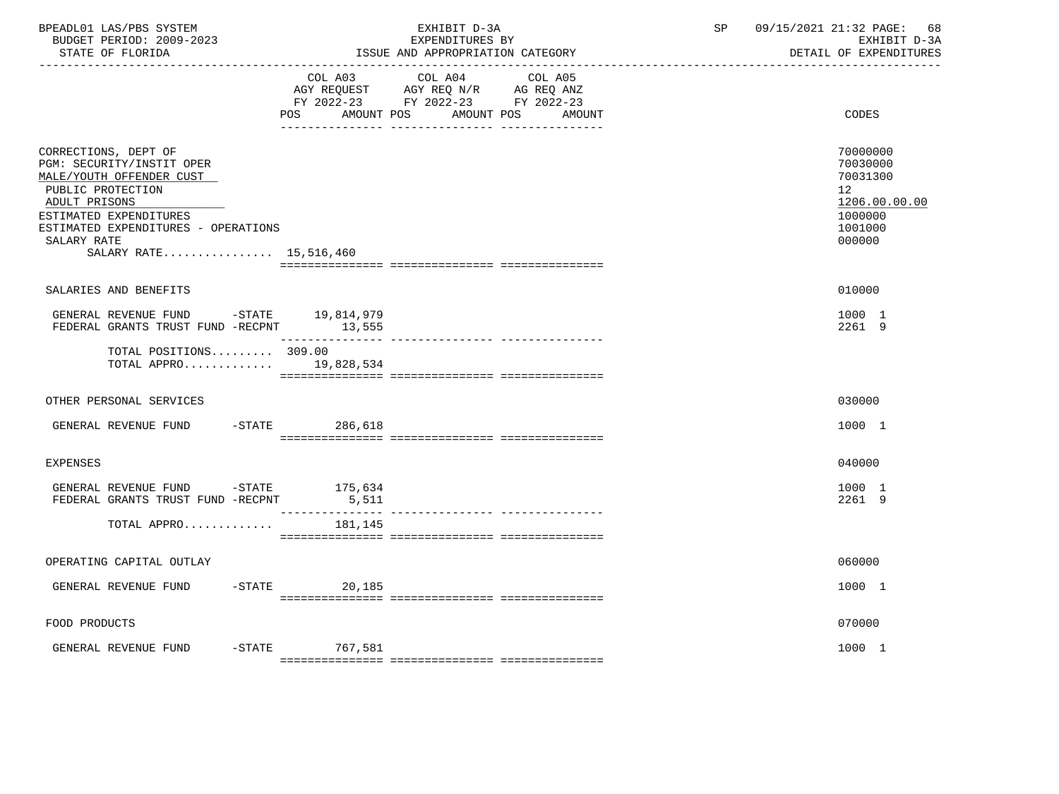| BPEADL01 LAS/PBS SYSTEM<br>BUDGET PERIOD: 2009-2023<br>STATE OF FLORIDA                                                                                                                                                       | EXHIBIT D-3A<br>EXPENDITURES BY<br>ISSUE AND APPROPRIATION CATEGORY                                                                                   | 09/15/2021 21:32 PAGE: 68<br>SP<br>EXHIBIT D-3A<br>DETAIL OF EXPENDITURES                            |
|-------------------------------------------------------------------------------------------------------------------------------------------------------------------------------------------------------------------------------|-------------------------------------------------------------------------------------------------------------------------------------------------------|------------------------------------------------------------------------------------------------------|
|                                                                                                                                                                                                                               | COL A03 COL A04 COL A05<br>AGY REQUEST AGY REQ N/R AG REQ ANZ<br>FY 2022-23 FY 2022-23 FY 2022-23<br><b>POS</b><br>AMOUNT POS<br>AMOUNT POS<br>AMOUNT | CODES                                                                                                |
| CORRECTIONS, DEPT OF<br>PGM: SECURITY/INSTIT OPER<br>MALE/YOUTH OFFENDER CUST<br>PUBLIC PROTECTION<br>ADULT PRISONS<br>ESTIMATED EXPENDITURES<br>ESTIMATED EXPENDITURES - OPERATIONS<br>SALARY RATE<br>SALARY RATE 15,516,460 |                                                                                                                                                       | 70000000<br>70030000<br>70031300<br>12 <sup>°</sup><br>1206.00.00.00<br>1000000<br>1001000<br>000000 |
| SALARIES AND BENEFITS                                                                                                                                                                                                         |                                                                                                                                                       | 010000                                                                                               |
| GENERAL REVENUE FUND -STATE $19,814,979$<br>FEDERAL GRANTS TRUST FUND -RECPNT $13,555$                                                                                                                                        |                                                                                                                                                       | 1000 1<br>2261 9                                                                                     |
| TOTAL POSITIONS 309.00<br>TOTAL APPRO 19,828,534                                                                                                                                                                              |                                                                                                                                                       |                                                                                                      |
| OTHER PERSONAL SERVICES                                                                                                                                                                                                       |                                                                                                                                                       | 030000                                                                                               |
| GENERAL REVENUE FUND                                                                                                                                                                                                          | -STATE 286,618                                                                                                                                        | 1000 1                                                                                               |
| <b>EXPENSES</b>                                                                                                                                                                                                               |                                                                                                                                                       | 040000                                                                                               |
| GENERAL REVENUE FUND $-$ STATE 175,634<br>FEDERAL GRANTS TRUST FUND -RECPNT                                                                                                                                                   | 5,511<br>_______________                                                                                                                              | 1000 1<br>2261 9                                                                                     |
| TOTAL APPRO                                                                                                                                                                                                                   | 181,145                                                                                                                                               |                                                                                                      |
| OPERATING CAPITAL OUTLAY                                                                                                                                                                                                      |                                                                                                                                                       | 060000                                                                                               |
| GENERAL REVENUE FUND                                                                                                                                                                                                          | $-STATE$<br>20,185                                                                                                                                    | 1000 1                                                                                               |
| FOOD PRODUCTS                                                                                                                                                                                                                 |                                                                                                                                                       | 070000                                                                                               |
| GENERAL REVENUE FUND -STATE 767,581                                                                                                                                                                                           |                                                                                                                                                       | 1000 1                                                                                               |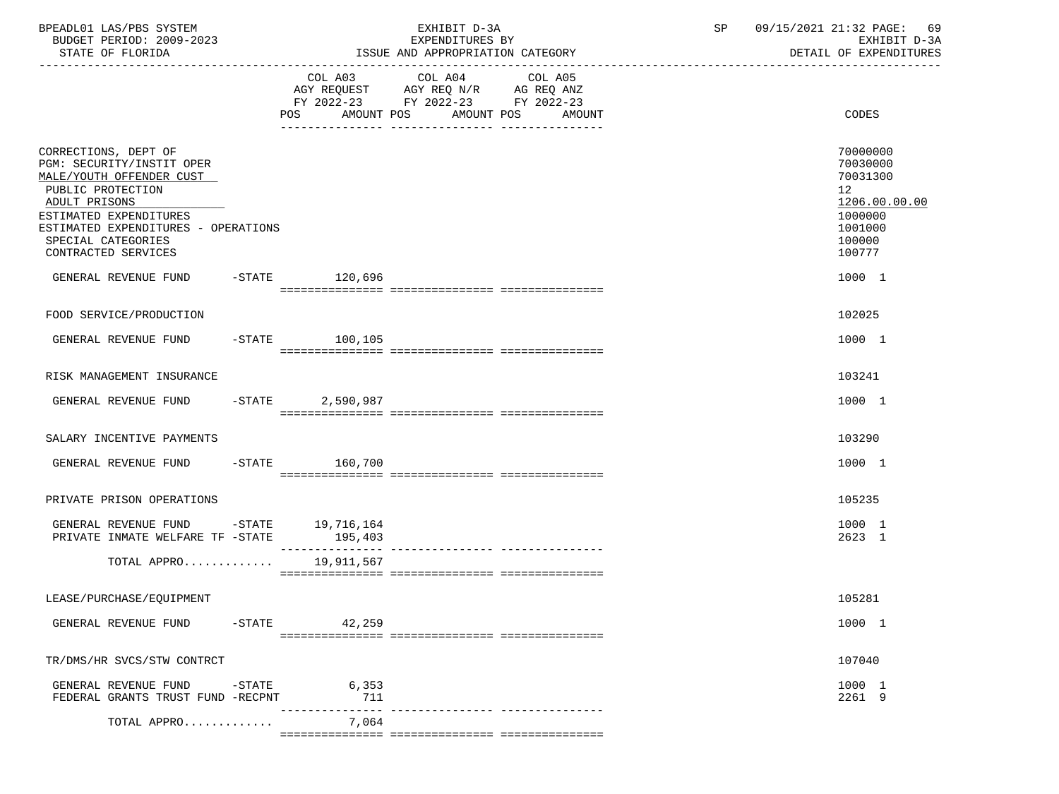| BPEADL01 LAS/PBS SYSTEM<br>BUDGET PERIOD: 2009-2023<br>STATE OF FLORIDA                                                                                                                                                           |           |                             | EXHIBIT D-3A<br>EXPENDITURES BY<br>ISSUE AND APPROPRIATION CATEGORY                                             |        | SP | 09/15/2021 21:32 PAGE:<br>-69<br>EXHIBIT D-3A<br>DETAIL OF EXPENDITURES                                        |
|-----------------------------------------------------------------------------------------------------------------------------------------------------------------------------------------------------------------------------------|-----------|-----------------------------|-----------------------------------------------------------------------------------------------------------------|--------|----|----------------------------------------------------------------------------------------------------------------|
|                                                                                                                                                                                                                                   |           | POS<br>AMOUNT POS           | COL A03 COL A04 COL A05<br>AGY REQUEST AGY REQ N/R AG REQ ANZ<br>FY 2022-23 FY 2022-23 FY 2022-23<br>AMOUNT POS | AMOUNT |    | CODES                                                                                                          |
| CORRECTIONS, DEPT OF<br>PGM: SECURITY/INSTIT OPER<br>MALE/YOUTH OFFENDER CUST<br>PUBLIC PROTECTION<br>ADULT PRISONS<br>ESTIMATED EXPENDITURES<br>ESTIMATED EXPENDITURES - OPERATIONS<br>SPECIAL CATEGORIES<br>CONTRACTED SERVICES |           |                             |                                                                                                                 |        |    | 70000000<br>70030000<br>70031300<br>12 <sup>°</sup><br>1206.00.00.00<br>1000000<br>1001000<br>100000<br>100777 |
| GENERAL REVENUE FUND -STATE 120,696                                                                                                                                                                                               |           |                             |                                                                                                                 |        |    | 1000 1                                                                                                         |
| FOOD SERVICE/PRODUCTION                                                                                                                                                                                                           |           |                             |                                                                                                                 |        |    | 102025                                                                                                         |
| GENERAL REVENUE FUND                                                                                                                                                                                                              |           | $-STATE$ 100,105            |                                                                                                                 |        |    | 1000 1                                                                                                         |
| RISK MANAGEMENT INSURANCE                                                                                                                                                                                                         |           |                             |                                                                                                                 |        |    | 103241                                                                                                         |
| GENERAL REVENUE FUND                                                                                                                                                                                                              |           | -STATE 2,590,987            |                                                                                                                 |        |    | 1000 1                                                                                                         |
| SALARY INCENTIVE PAYMENTS                                                                                                                                                                                                         |           |                             |                                                                                                                 |        |    | 103290                                                                                                         |
| GENERAL REVENUE FUND                                                                                                                                                                                                              |           | -STATE 160,700              |                                                                                                                 |        |    | 1000 1                                                                                                         |
| PRIVATE PRISON OPERATIONS                                                                                                                                                                                                         |           |                             |                                                                                                                 |        |    | 105235                                                                                                         |
| GENERAL REVENUE FUND -STATE 19,716,164<br>PRIVATE INMATE WELFARE TF -STATE                                                                                                                                                        |           | 195,403<br>---------------- |                                                                                                                 |        |    | 1000 1<br>2623 1                                                                                               |
| TOTAL APPRO                                                                                                                                                                                                                       |           | 19,911,567                  |                                                                                                                 |        |    |                                                                                                                |
| LEASE/PURCHASE/EQUIPMENT                                                                                                                                                                                                          |           |                             |                                                                                                                 |        |    | 105281                                                                                                         |
| GENERAL REVENUE FUND                                                                                                                                                                                                              | $-$ STATE | 42,259                      |                                                                                                                 |        |    | 1000 1                                                                                                         |
| TR/DMS/HR SVCS/STW CONTRCT                                                                                                                                                                                                        |           |                             |                                                                                                                 |        |    | 107040                                                                                                         |
| GENERAL REVENUE FUND<br>FEDERAL GRANTS TRUST FUND -RECPNT                                                                                                                                                                         | $-$ STATE | 6,353<br>711                |                                                                                                                 |        |    | 1000 1<br>2261 9                                                                                               |
| TOTAL APPRO                                                                                                                                                                                                                       |           | 7,064                       |                                                                                                                 |        |    |                                                                                                                |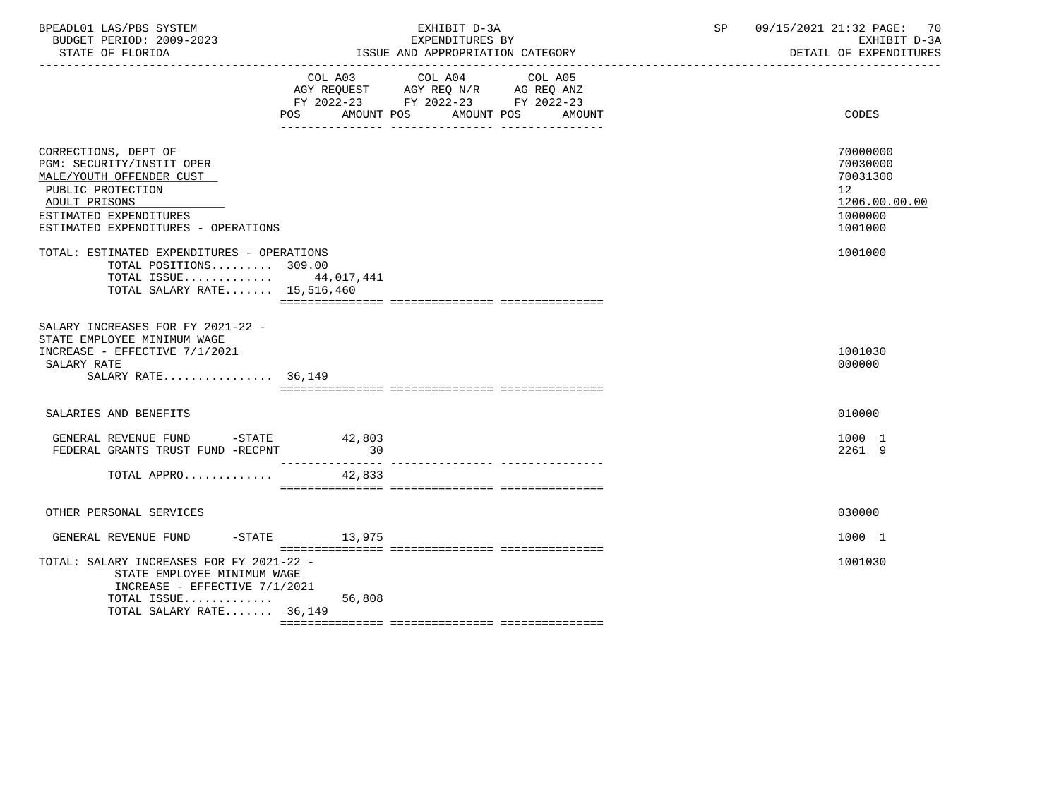| BPEADL01 LAS/PBS SYSTEM<br>BUDGET PERIOD: 2009-2023<br>STATE OF FLORIDA                                                                                                              |                | EXHIBIT D-3A<br>EXPENDITURES BY<br>ISSUE AND APPROPRIATION CATEGORY                                                          | SP | 09/15/2021 21:32 PAGE: 70<br>EXHIBIT D-3A<br>DETAIL OF EXPENDITURES                        |  |
|--------------------------------------------------------------------------------------------------------------------------------------------------------------------------------------|----------------|------------------------------------------------------------------------------------------------------------------------------|----|--------------------------------------------------------------------------------------------|--|
|                                                                                                                                                                                      | POS AMOUNT POS | COL A03 COL A04<br>COL A05<br>AGY REQUEST AGY REQ N/R AG REQ ANZ<br>FY 2022-23 FY 2022-23 FY 2022-23<br>AMOUNT POS<br>AMOUNT |    | CODES                                                                                      |  |
| CORRECTIONS, DEPT OF<br>PGM: SECURITY/INSTIT OPER<br>MALE/YOUTH OFFENDER CUST<br>PUBLIC PROTECTION<br>ADULT PRISONS<br>ESTIMATED EXPENDITURES<br>ESTIMATED EXPENDITURES - OPERATIONS |                |                                                                                                                              |    | 70000000<br>70030000<br>70031300<br>12 <sup>°</sup><br>1206.00.00.00<br>1000000<br>1001000 |  |
| TOTAL: ESTIMATED EXPENDITURES - OPERATIONS<br>TOTAL POSITIONS 309.00<br>TOTAL ISSUE 44,017,441<br>TOTAL SALARY RATE 15,516,460                                                       |                |                                                                                                                              |    | 1001000                                                                                    |  |
| SALARY INCREASES FOR FY 2021-22 -<br>STATE EMPLOYEE MINIMUM WAGE<br>INCREASE - EFFECTIVE 7/1/2021<br>SALARY RATE<br>SALARY RATE 36,149                                               |                |                                                                                                                              |    | 1001030<br>000000                                                                          |  |
| SALARIES AND BENEFITS                                                                                                                                                                |                |                                                                                                                              |    | 010000                                                                                     |  |
| GENERAL REVENUE FUND -STATE<br>FEDERAL GRANTS TRUST FUND -RECPNT                                                                                                                     | 42,803<br>30   |                                                                                                                              |    | 1000 1<br>2261 9                                                                           |  |
| TOTAL APPRO                                                                                                                                                                          | 42,833         |                                                                                                                              |    |                                                                                            |  |
| OTHER PERSONAL SERVICES                                                                                                                                                              |                |                                                                                                                              |    | 030000                                                                                     |  |
| GENERAL REVENUE FUND -STATE 13,975                                                                                                                                                   |                |                                                                                                                              |    | 1000 1                                                                                     |  |
| TOTAL: SALARY INCREASES FOR FY 2021-22 -<br>STATE EMPLOYEE MINIMUM WAGE<br>INCREASE - EFFECTIVE $7/1/2021$                                                                           |                |                                                                                                                              |    | 1001030                                                                                    |  |
| TOTAL ISSUE<br>TOTAL SALARY RATE 36,149                                                                                                                                              | 56,808         |                                                                                                                              |    |                                                                                            |  |
|                                                                                                                                                                                      |                |                                                                                                                              |    |                                                                                            |  |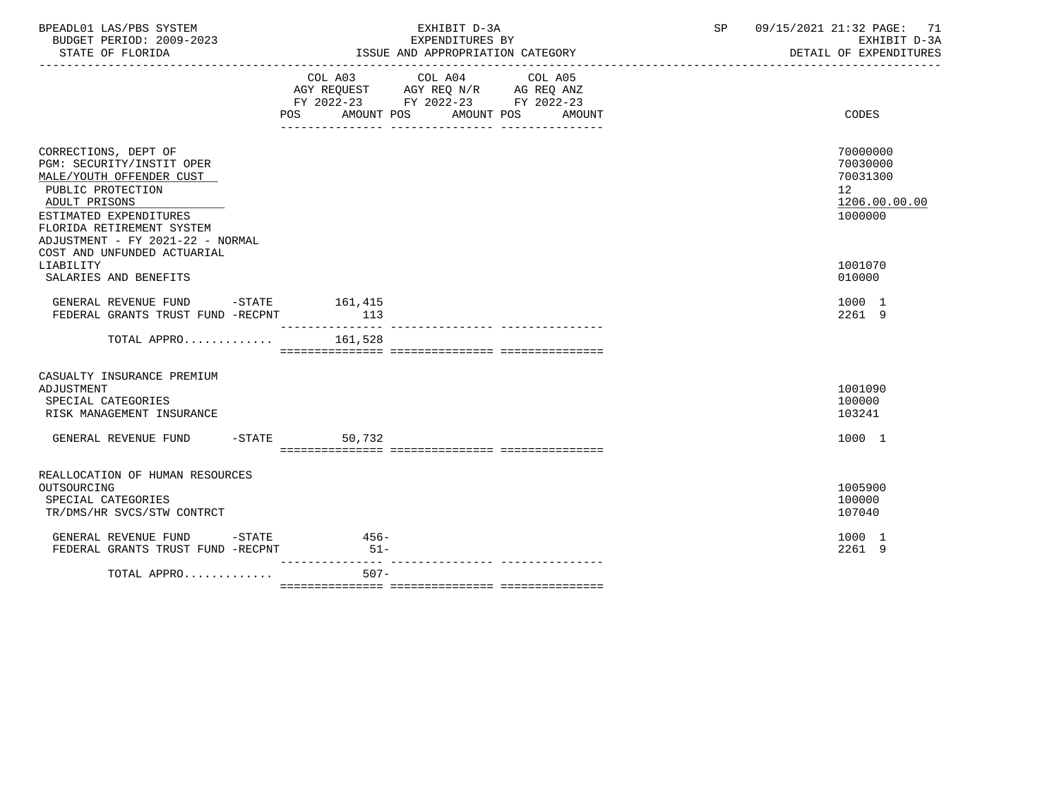| BPEADL01 LAS/PBS SYSTEM<br>BUDGET PERIOD: 2009-2023<br>STATE OF FLORIDA                                                                                                                                                                                    | EXHIBIT D-3A<br>EXPENDITURES BY<br>ISSUE AND APPROPRIATION CATEGORY                                                                                                                                                                          | SP<br>09/15/2021 21:32 PAGE: 71<br>EXHIBIT D-3A<br>DETAIL OF EXPENDITURES     |
|------------------------------------------------------------------------------------------------------------------------------------------------------------------------------------------------------------------------------------------------------------|----------------------------------------------------------------------------------------------------------------------------------------------------------------------------------------------------------------------------------------------|-------------------------------------------------------------------------------|
|                                                                                                                                                                                                                                                            | COL A03 COL A04 COL A05<br>AGY REQUEST AGY REQ N/R AG REQ ANZ<br>FY 2022-23 FY 2022-23 FY 2022-23<br>AMOUNT POS AMOUNT POS<br>POS FOR THE POST OF THE STATE STATE STATE STATE STATE STATE STATE STATE STATE STATE STATE STATE STATE STATE ST | CODES<br>AMOUNT                                                               |
| CORRECTIONS, DEPT OF<br>PGM: SECURITY/INSTIT OPER<br>MALE/YOUTH OFFENDER CUST<br>PUBLIC PROTECTION<br>ADULT PRISONS<br>ESTIMATED EXPENDITURES<br>FLORIDA RETIREMENT SYSTEM<br>ADJUSTMENT - FY 2021-22 - NORMAL<br>COST AND UNFUNDED ACTUARIAL<br>LIABILITY |                                                                                                                                                                                                                                              | 70000000<br>70030000<br>70031300<br>12<br>1206.00.00.00<br>1000000<br>1001070 |
| SALARIES AND BENEFITS                                                                                                                                                                                                                                      |                                                                                                                                                                                                                                              | 010000                                                                        |
| GENERAL REVENUE FUND -STATE 161,415<br>FEDERAL GRANTS TRUST FUND -RECPNT                                                                                                                                                                                   | 113                                                                                                                                                                                                                                          | 1000 1<br>2261 9                                                              |
| TOTAL APPRO $161,528$                                                                                                                                                                                                                                      |                                                                                                                                                                                                                                              |                                                                               |
| CASUALTY INSURANCE PREMIUM<br>ADJUSTMENT<br>SPECIAL CATEGORIES<br>RISK MANAGEMENT INSURANCE                                                                                                                                                                |                                                                                                                                                                                                                                              | 1001090<br>100000<br>103241                                                   |
| GENERAL REVENUE FUND -STATE                                                                                                                                                                                                                                | 50,732                                                                                                                                                                                                                                       | 1000 1                                                                        |
| REALLOCATION OF HUMAN RESOURCES<br>OUTSOURCING<br>SPECIAL CATEGORIES<br>TR/DMS/HR SVCS/STW CONTRCT                                                                                                                                                         |                                                                                                                                                                                                                                              | 1005900<br>100000<br>107040                                                   |
| GENERAL REVENUE FUND -STATE<br>FEDERAL GRANTS TRUST FUND -RECPNT                                                                                                                                                                                           | $456-$<br>$51-$                                                                                                                                                                                                                              | 1000 1<br>2261 9                                                              |
| TOTAL APPRO                                                                                                                                                                                                                                                | $507 -$                                                                                                                                                                                                                                      |                                                                               |

=============== =============== ===============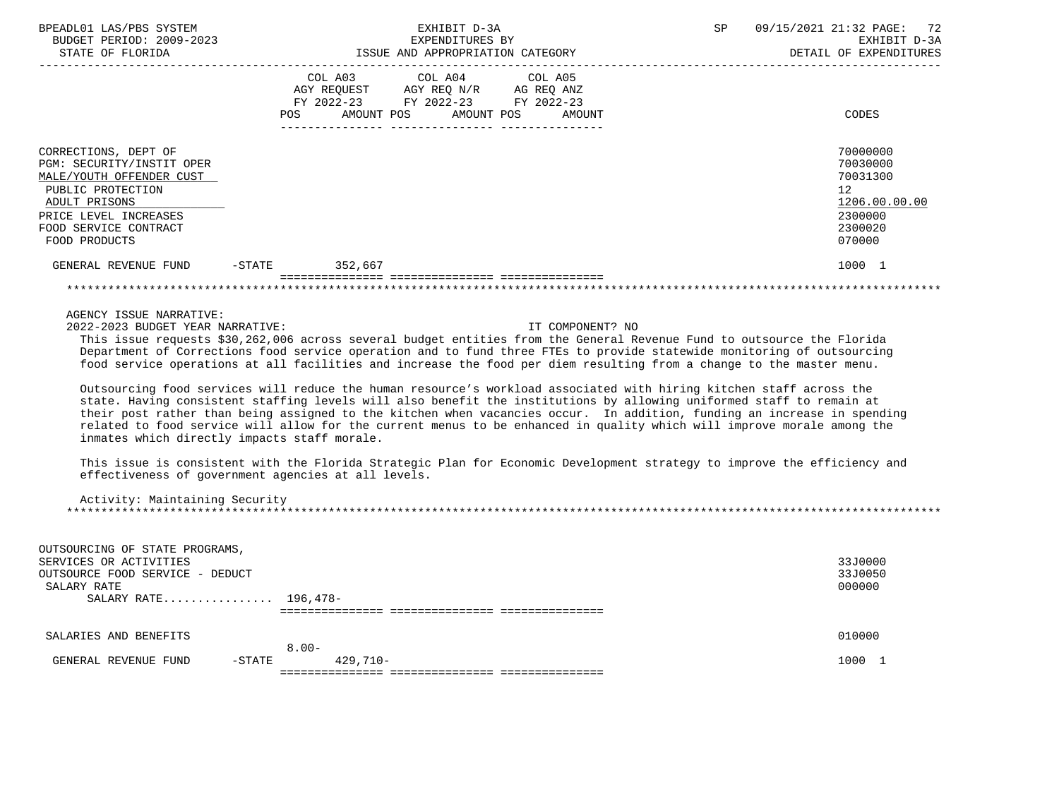| BPEADL01 LAS/PBS SYSTEM<br>BUDGET PERIOD: 2009-2023<br>STATE OF FLORIDA                                                                                                                                        | EXHIBIT D-3A<br>EXPENDITURES BY<br>ISSUE AND APPROPRIATION CATEGORY                                                                                                                                                                                                                                                                                                                                                                                                                                                                                                                                                                                                                                                                                                                                                                                                                                                                                                                                                                                                                                                                 | 09/15/2021 21:32 PAGE: 72<br>SP<br>EXHIBIT D-3A<br>DETAIL OF EXPENDITURES                                      |
|----------------------------------------------------------------------------------------------------------------------------------------------------------------------------------------------------------------|-------------------------------------------------------------------------------------------------------------------------------------------------------------------------------------------------------------------------------------------------------------------------------------------------------------------------------------------------------------------------------------------------------------------------------------------------------------------------------------------------------------------------------------------------------------------------------------------------------------------------------------------------------------------------------------------------------------------------------------------------------------------------------------------------------------------------------------------------------------------------------------------------------------------------------------------------------------------------------------------------------------------------------------------------------------------------------------------------------------------------------------|----------------------------------------------------------------------------------------------------------------|
|                                                                                                                                                                                                                | COL A03<br>COL A04<br>COL A05<br>AGY REQUEST AGY REQ N/R AG REQ ANZ<br>FY 2022-23 FY 2022-23 FY 2022-23<br><b>POS</b><br>AMOUNT POS<br>AMOUNT POS<br>AMOUNT                                                                                                                                                                                                                                                                                                                                                                                                                                                                                                                                                                                                                                                                                                                                                                                                                                                                                                                                                                         | CODES                                                                                                          |
| CORRECTIONS, DEPT OF<br>PGM: SECURITY/INSTIT OPER<br>MALE/YOUTH OFFENDER CUST<br>PUBLIC PROTECTION<br>ADULT PRISONS<br>PRICE LEVEL INCREASES<br>FOOD SERVICE CONTRACT<br>FOOD PRODUCTS<br>GENERAL REVENUE FUND | -STATE 352,667                                                                                                                                                                                                                                                                                                                                                                                                                                                                                                                                                                                                                                                                                                                                                                                                                                                                                                                                                                                                                                                                                                                      | 70000000<br>70030000<br>70031300<br>12 <sup>°</sup><br>1206.00.00.00<br>2300000<br>2300020<br>070000<br>1000 1 |
|                                                                                                                                                                                                                |                                                                                                                                                                                                                                                                                                                                                                                                                                                                                                                                                                                                                                                                                                                                                                                                                                                                                                                                                                                                                                                                                                                                     |                                                                                                                |
| 2022-2023 BUDGET YEAR NARRATIVE:                                                                                                                                                                               | IT COMPONENT? NO<br>This issue requests \$30,262,006 across several budget entities from the General Revenue Fund to outsource the Florida<br>Department of Corrections food service operation and to fund three FTEs to provide statewide monitoring of outsourcing<br>food service operations at all facilities and increase the food per diem resulting from a change to the master menu.<br>Outsourcing food services will reduce the human resource's workload associated with hiring kitchen staff across the<br>state. Having consistent staffing levels will also benefit the institutions by allowing uniformed staff to remain at<br>their post rather than being assigned to the kitchen when vacancies occur. In addition, funding an increase in spending<br>related to food service will allow for the current menus to be enhanced in quality which will improve morale among the<br>inmates which directly impacts staff morale.<br>This issue is consistent with the Florida Strategic Plan for Economic Development strategy to improve the efficiency and<br>effectiveness of government agencies at all levels. |                                                                                                                |
| Activity: Maintaining Security                                                                                                                                                                                 |                                                                                                                                                                                                                                                                                                                                                                                                                                                                                                                                                                                                                                                                                                                                                                                                                                                                                                                                                                                                                                                                                                                                     |                                                                                                                |
| OUTSOURCING OF STATE PROGRAMS,<br>SERVICES OR ACTIVITIES<br>OUTSOURCE FOOD SERVICE - DEDUCT<br>SALARY RATE<br>SALARY RATE 196,478-                                                                             |                                                                                                                                                                                                                                                                                                                                                                                                                                                                                                                                                                                                                                                                                                                                                                                                                                                                                                                                                                                                                                                                                                                                     | 33J0000<br>33J0050<br>000000                                                                                   |
| SALARIES AND BENEFITS                                                                                                                                                                                          |                                                                                                                                                                                                                                                                                                                                                                                                                                                                                                                                                                                                                                                                                                                                                                                                                                                                                                                                                                                                                                                                                                                                     | 010000                                                                                                         |
| $C$ רוגוזים סוזוגים/דים זו מסתוגים                                                                                                                                                                             | $8.00 -$<br>_ C T A T T<br>$129 - 710 -$                                                                                                                                                                                                                                                                                                                                                                                                                                                                                                                                                                                                                                                                                                                                                                                                                                                                                                                                                                                                                                                                                            | 1000 1                                                                                                         |

 GENERAL REVENUE FUND -STATE 429,710- 1000 1 =============== =============== ===============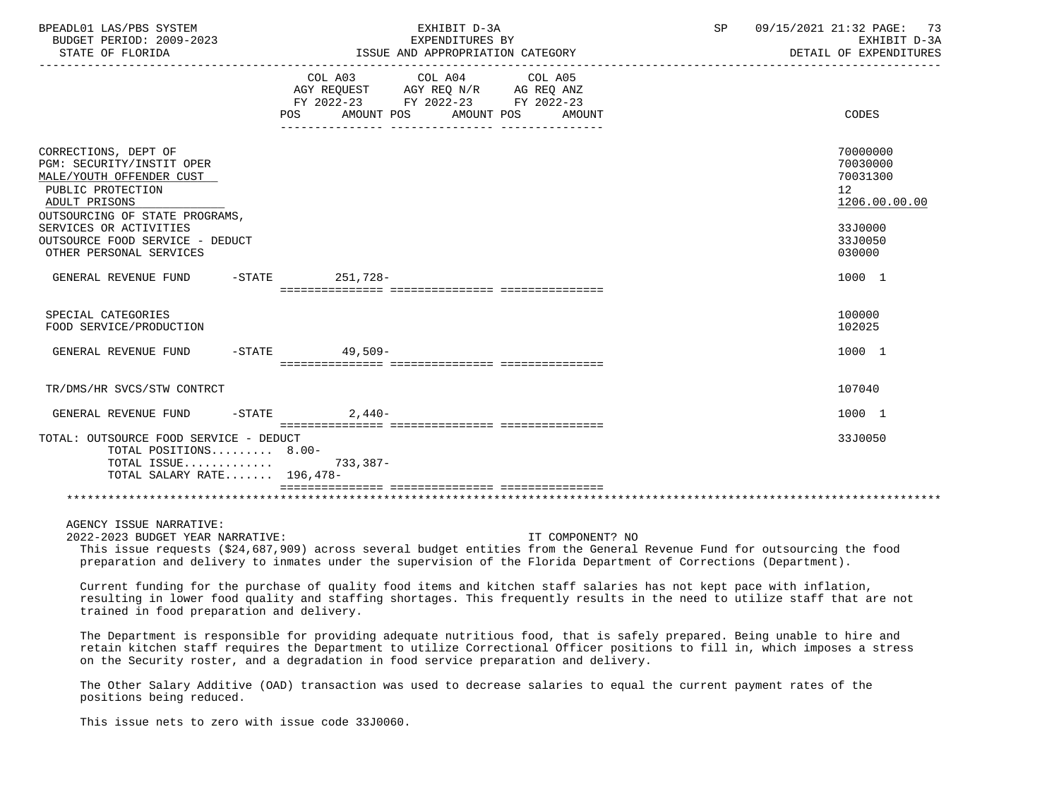| BPEADL01 LAS/PBS SYSTEM<br>BUDGET PERIOD: 2009-2023<br>STATE OF FLORIDA                                                                                                                                                                                                                                                                     |                                                                                | EXHIBIT D-3A<br>EXPENDITURES BY<br>ISSUE AND APPROPRIATION CATEGORY |                   | SP | 09/15/2021 21:32 PAGE:<br>73<br>EXHIBIT D-3A<br>DETAIL OF EXPENDITURES |
|---------------------------------------------------------------------------------------------------------------------------------------------------------------------------------------------------------------------------------------------------------------------------------------------------------------------------------------------|--------------------------------------------------------------------------------|---------------------------------------------------------------------|-------------------|----|------------------------------------------------------------------------|
|                                                                                                                                                                                                                                                                                                                                             | AGY REQUEST AGY REQ N/R AG REQ ANZ<br>FY 2022-23 FY 2022-23 FY 2022-23<br>POS. | COL A03 COL A04<br>AMOUNT POS AMOUNT POS                            | COL A05<br>AMOUNT |    | CODES                                                                  |
| CORRECTIONS, DEPT OF<br>PGM: SECURITY/INSTIT OPER<br>MALE/YOUTH OFFENDER CUST<br>PUBLIC PROTECTION<br>ADULT PRISONS<br>OUTSOURCING OF STATE PROGRAMS,                                                                                                                                                                                       |                                                                                |                                                                     |                   |    | 70000000<br>70030000<br>70031300<br>12<br>1206.00.00.00                |
| SERVICES OR ACTIVITIES<br>OUTSOURCE FOOD SERVICE - DEDUCT<br>OTHER PERSONAL SERVICES                                                                                                                                                                                                                                                        |                                                                                |                                                                     |                   |    | 33J0000<br>33J0050<br>030000                                           |
| GENERAL REVENUE FUND                                                                                                                                                                                                                                                                                                                        | $-$ STATE<br>251,728-                                                          |                                                                     |                   |    | 1000 1                                                                 |
| SPECIAL CATEGORIES<br>FOOD SERVICE/PRODUCTION                                                                                                                                                                                                                                                                                               |                                                                                |                                                                     |                   |    | 100000<br>102025                                                       |
| GENERAL REVENUE FUND<br>$-$ STATE                                                                                                                                                                                                                                                                                                           | 49,509-                                                                        |                                                                     |                   |    | 1000 1                                                                 |
| TR/DMS/HR SVCS/STW CONTRCT                                                                                                                                                                                                                                                                                                                  |                                                                                |                                                                     |                   |    | 107040                                                                 |
| $-STATE$<br>GENERAL REVENUE FUND                                                                                                                                                                                                                                                                                                            | $2,440-$                                                                       |                                                                     |                   |    | 1000 1                                                                 |
| TOTAL: OUTSOURCE FOOD SERVICE - DEDUCT<br>TOTAL POSITIONS 8.00-<br>TOTAL ISSUE 733,387-<br>TOTAL SALARY RATE 196,478-                                                                                                                                                                                                                       |                                                                                |                                                                     |                   |    | 33J0050                                                                |
|                                                                                                                                                                                                                                                                                                                                             |                                                                                |                                                                     |                   |    |                                                                        |
| AGENCY ISSUE NARRATIVE:<br>2022-2023 BUDGET YEAR NARRATIVE:<br>This issue requests (\$24,687,909) across several budget entities from the General Revenue Fund for outsourcing the food<br>preparation and delivery to inmates under the supervision of the Florida Department of Corrections (Department).                                 |                                                                                |                                                                     | IT COMPONENT? NO  |    |                                                                        |
| Current funding for the purchase of quality food items and kitchen staff salaries has not kept pace with inflation,<br>resulting in lower food quality and staffing shortages. This frequently results in the need to utilize staff that are not<br>trained in food preparation and delivery.                                               |                                                                                |                                                                     |                   |    |                                                                        |
| The Department is responsible for providing adequate nutritious food, that is safely prepared. Being unable to hire and<br>retain kitchen staff requires the Department to utilize Correctional Officer positions to fill in, which imposes a stress<br>on the Security roster, and a degradation in food service preparation and delivery. |                                                                                |                                                                     |                   |    |                                                                        |

 The Other Salary Additive (OAD) transaction was used to decrease salaries to equal the current payment rates of the positions being reduced.

This issue nets to zero with issue code 33J0060.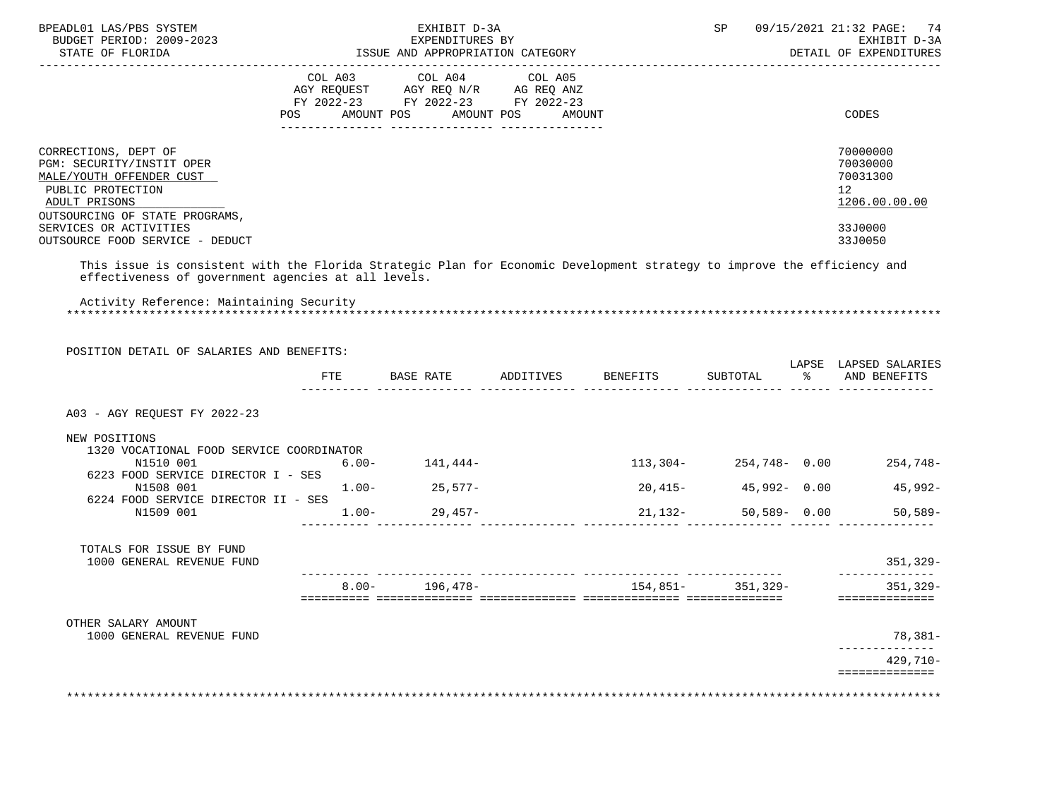| BPEADL01 LAS/PBS SYSTEM<br>BUDGET PERIOD: 2009-2023<br>STATE OF FLORIDA                                                                                                         |            | EXHIBIT D-3A                                                                                                               |           |                 | SP       |               | 09/15/2021 21:32 PAGE: 74<br>EXHIBIT D-3A<br>DETAIL OF EXPENDITURES  |
|---------------------------------------------------------------------------------------------------------------------------------------------------------------------------------|------------|----------------------------------------------------------------------------------------------------------------------------|-----------|-----------------|----------|---------------|----------------------------------------------------------------------|
|                                                                                                                                                                                 | POS        | COL A03 COL A04 COL A05<br>AGY REQUEST AGY REQ N/R AG REQ ANZ<br>FY 2022-23 FY 2022-23 FY 2022-23<br>AMOUNT POS AMOUNT POS |           | AMOUNT          |          |               | CODES                                                                |
| CORRECTIONS, DEPT OF<br>PGM: SECURITY/INSTIT OPER<br>MALE/YOUTH OFFENDER CUST<br>PUBLIC PROTECTION<br>ADULT PRISONS<br>OUTSOURCING OF STATE PROGRAMS,                           |            |                                                                                                                            |           |                 |          |               | 70000000<br>70030000<br>70031300<br>12 <sup>°</sup><br>1206.00.00.00 |
| SERVICES OR ACTIVITIES<br>OUTSOURCE FOOD SERVICE - DEDUCT                                                                                                                       |            |                                                                                                                            |           |                 |          |               | 33J0000<br>33J0050                                                   |
| This issue is consistent with the Florida Strategic Plan for Economic Development strategy to improve the efficiency and<br>effectiveness of government agencies at all levels. |            |                                                                                                                            |           |                 |          |               |                                                                      |
| Activity Reference: Maintaining Security                                                                                                                                        |            |                                                                                                                            |           |                 |          |               |                                                                      |
| POSITION DETAIL OF SALARIES AND BENEFITS:                                                                                                                                       |            |                                                                                                                            |           |                 |          |               | LAPSE LAPSED SALARIES                                                |
|                                                                                                                                                                                 | <b>FTE</b> | BASE RATE                                                                                                                  | ADDITIVES | <b>BENEFITS</b> | SUBTOTAL | $\frac{8}{6}$ | AND BENEFITS                                                         |
|                                                                                                                                                                                 |            |                                                                                                                            |           |                 |          |               |                                                                      |

A03 - AGY REQUEST FY 2022-23

### NEW POSITIONS

| 1320 VOCATIONAL FOOD SERVICE COORDINATOR<br>N1510 001 | $6.00 -$ | 141,444-  | $113,304-$ | 254.748- 0.00   | 254,748-   |
|-------------------------------------------------------|----------|-----------|------------|-----------------|------------|
| 6223 FOOD SERVICE DIRECTOR I - SES                    |          |           |            |                 |            |
| N1508 001                                             | 1.00-    | $25.577-$ | $20.415-$  | 45,992- 0.00    | $45.992 -$ |
| 6224 FOOD SERVICE DIRECTOR II - SES                   |          |           |            |                 |            |
| N1509 001                                             | 1.00-    | 29,457-   | 21,132-    | $50.589 - 0.00$ | $50,589-$  |

| TOTALS FOR ISSUE BY FUND<br>1000 GENERAL REVENUE FUND<br>351<br>$8.00 -$<br>$154.851-$<br>$351,329-$<br>$196.478-$<br>351 |  |  |           |
|---------------------------------------------------------------------------------------------------------------------------|--|--|-----------|
|                                                                                                                           |  |  | $.7329-$  |
|                                                                                                                           |  |  | $, 329 -$ |

OTHER SALARY AMOUNT

| 1000 GENERAL REVENUE FUND | $78,381-$ |
|---------------------------|-----------|
|                           |           |
|                           | 429,710-  |
|                           |           |
|                           |           |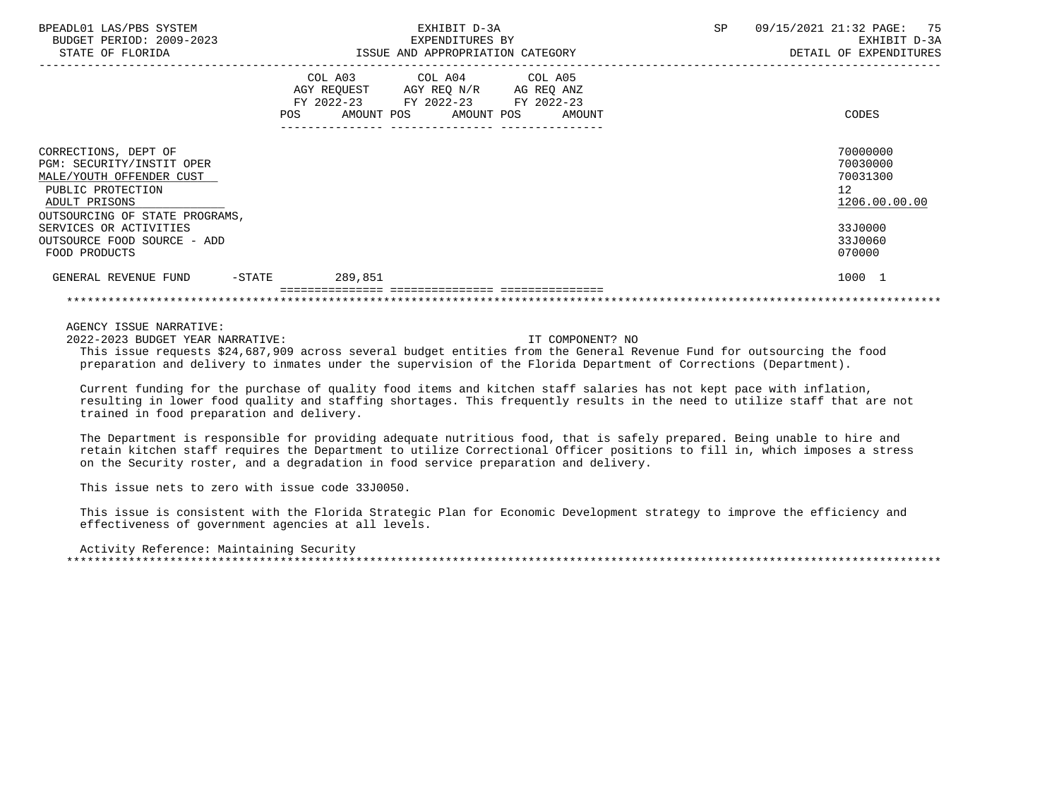| BPEADL01 LAS/PBS SYSTEM<br>BUDGET PERIOD: 2009-2023<br>STATE OF FLORIDA                                                                               | EXHIBIT D-3A<br>EXPENDITURES BY<br>ISSUE AND APPROPRIATION CATEGORY                                                                               | <b>SP</b><br>09/15/2021 21:32 PAGE: 75<br>EXHIBIT D-3A<br>DETAIL OF EXPENDITURES |
|-------------------------------------------------------------------------------------------------------------------------------------------------------|---------------------------------------------------------------------------------------------------------------------------------------------------|----------------------------------------------------------------------------------|
|                                                                                                                                                       | COL A03<br>COL A04 COL A05<br>AGY REQUEST AGY REQ N/R AG REQ ANZ<br>FY 2022-23 FY 2022-23 FY 2022-23<br>AMOUNT POS<br>AMOUNT POS<br>AMOUNT<br>POS | CODES                                                                            |
| CORRECTIONS, DEPT OF<br>PGM: SECURITY/INSTIT OPER<br>MALE/YOUTH OFFENDER CUST<br>PUBLIC PROTECTION<br>ADULT PRISONS<br>OUTSOURCING OF STATE PROGRAMS, |                                                                                                                                                   | 70000000<br>70030000<br>70031300<br>12 <sup>°</sup><br>1206.00.00.00             |
| SERVICES OR ACTIVITIES<br>OUTSOURCE FOOD SOURCE - ADD<br>FOOD PRODUCTS                                                                                |                                                                                                                                                   | 33J0000<br>33J0060<br>070000                                                     |
| GENERAL REVENUE FUND<br>$-$ STATE                                                                                                                     | 289,851                                                                                                                                           | 1000 1                                                                           |

2022-2023 BUDGET YEAR NARRATIVE: IT COMPONENT? NO

 This issue requests \$24,687,909 across several budget entities from the General Revenue Fund for outsourcing the food preparation and delivery to inmates under the supervision of the Florida Department of Corrections (Department).

 Current funding for the purchase of quality food items and kitchen staff salaries has not kept pace with inflation, resulting in lower food quality and staffing shortages. This frequently results in the need to utilize staff that are not trained in food preparation and delivery.

 The Department is responsible for providing adequate nutritious food, that is safely prepared. Being unable to hire and retain kitchen staff requires the Department to utilize Correctional Officer positions to fill in, which imposes a stress on the Security roster, and a degradation in food service preparation and delivery.

This issue nets to zero with issue code 33J0050.

 This issue is consistent with the Florida Strategic Plan for Economic Development strategy to improve the efficiency and effectiveness of government agencies at all levels.

 Activity Reference: Maintaining Security \*\*\*\*\*\*\*\*\*\*\*\*\*\*\*\*\*\*\*\*\*\*\*\*\*\*\*\*\*\*\*\*\*\*\*\*\*\*\*\*\*\*\*\*\*\*\*\*\*\*\*\*\*\*\*\*\*\*\*\*\*\*\*\*\*\*\*\*\*\*\*\*\*\*\*\*\*\*\*\*\*\*\*\*\*\*\*\*\*\*\*\*\*\*\*\*\*\*\*\*\*\*\*\*\*\*\*\*\*\*\*\*\*\*\*\*\*\*\*\*\*\*\*\*\*\*\*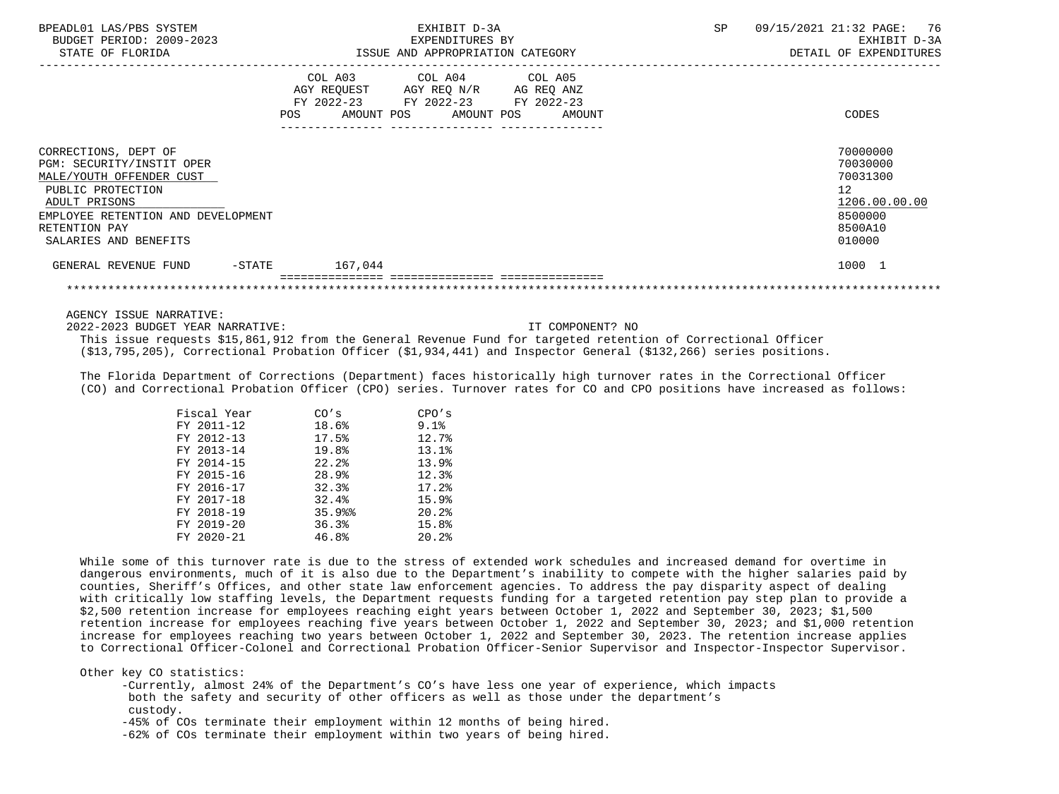| BPEADL01 LAS/PBS SYSTEM<br>BUDGET PERIOD: 2009-2023<br>STATE OF FLORIDA                                                                                                                             | EXHIBIT D-3A<br>EXPENDITURES BY<br>ISSUE AND APPROPRIATION CATEGORY                                                                         | 09/15/2021 21:32 PAGE: 76<br><b>SP</b><br>EXHIBIT D-3A<br>DETAIL OF EXPENDITURES                     |
|-----------------------------------------------------------------------------------------------------------------------------------------------------------------------------------------------------|---------------------------------------------------------------------------------------------------------------------------------------------|------------------------------------------------------------------------------------------------------|
|                                                                                                                                                                                                     | COL A03 COL A04 COL A05<br>AGY REQUEST AGY REQ N/R AG REQ ANZ<br>FY 2022-23 FY 2022-23 FY 2022-23<br>POS<br>AMOUNT POS AMOUNT POS<br>AMOUNT | CODES                                                                                                |
| CORRECTIONS, DEPT OF<br>PGM: SECURITY/INSTIT OPER<br>MALE/YOUTH OFFENDER CUST<br>PUBLIC PROTECTION<br>ADULT PRISONS<br>EMPLOYEE RETENTION AND DEVELOPMENT<br>RETENTION PAY<br>SALARIES AND BENEFITS |                                                                                                                                             | 70000000<br>70030000<br>70031300<br>12 <sup>°</sup><br>1206.00.00.00<br>8500000<br>8500A10<br>010000 |
| GENERAL REVENUE FUND<br>$-\mathtt{STATE}$                                                                                                                                                           | 167.044                                                                                                                                     | 1000 1                                                                                               |
|                                                                                                                                                                                                     | ---------------                                                                                                                             |                                                                                                      |

2022-2023 BUDGET YEAR NARRATIVE: IT COMPONENT? NO

 This issue requests \$15,861,912 from the General Revenue Fund for targeted retention of Correctional Officer (\$13,795,205), Correctional Probation Officer (\$1,934,441) and Inspector General (\$132,266) series positions.

 The Florida Department of Corrections (Department) faces historically high turnover rates in the Correctional Officer (CO) and Correctional Probation Officer (CPO) series. Turnover rates for CO and CPO positions have increased as follows:

| Fiscal Year | CO's  | CPO's     |
|-------------|-------|-----------|
| FY 2011-12  | 18.6% | $9.1$ $8$ |
| FY 2012-13  | 17.5% | 12.7%     |
| FY 2013-14  | 19.8% | 13.1%     |
| FY 2014-15  | 22.2% | 13.9%     |
| FY 2015-16  | 28.9% | 12.3%     |
| FY 2016-17  | 32.3% | 17.2%     |
| FY 2017-18  | 32.4% | 15.9%     |
| FY 2018-19  | 35.9% | 20.2%     |
| FY 2019-20  | 36.3% | 15.8%     |
| FY 2020-21  | 46.8% | 20.2%     |

 While some of this turnover rate is due to the stress of extended work schedules and increased demand for overtime in dangerous environments, much of it is also due to the Department's inability to compete with the higher salaries paid by counties, Sheriff's Offices, and other state law enforcement agencies. To address the pay disparity aspect of dealing with critically low staffing levels, the Department requests funding for a targeted retention pay step plan to provide a \$2,500 retention increase for employees reaching eight years between October 1, 2022 and September 30, 2023; \$1,500 retention increase for employees reaching five years between October 1, 2022 and September 30, 2023; and \$1,000 retention increase for employees reaching two years between October 1, 2022 and September 30, 2023. The retention increase applies to Correctional Officer-Colonel and Correctional Probation Officer-Senior Supervisor and Inspector-Inspector Supervisor.

Other key CO statistics:

 -Currently, almost 24% of the Department's CO's have less one year of experience, which impacts both the safety and security of other officers as well as those under the department's custody.

-45% of COs terminate their employment within 12 months of being hired.

-62% of COs terminate their employment within two years of being hired.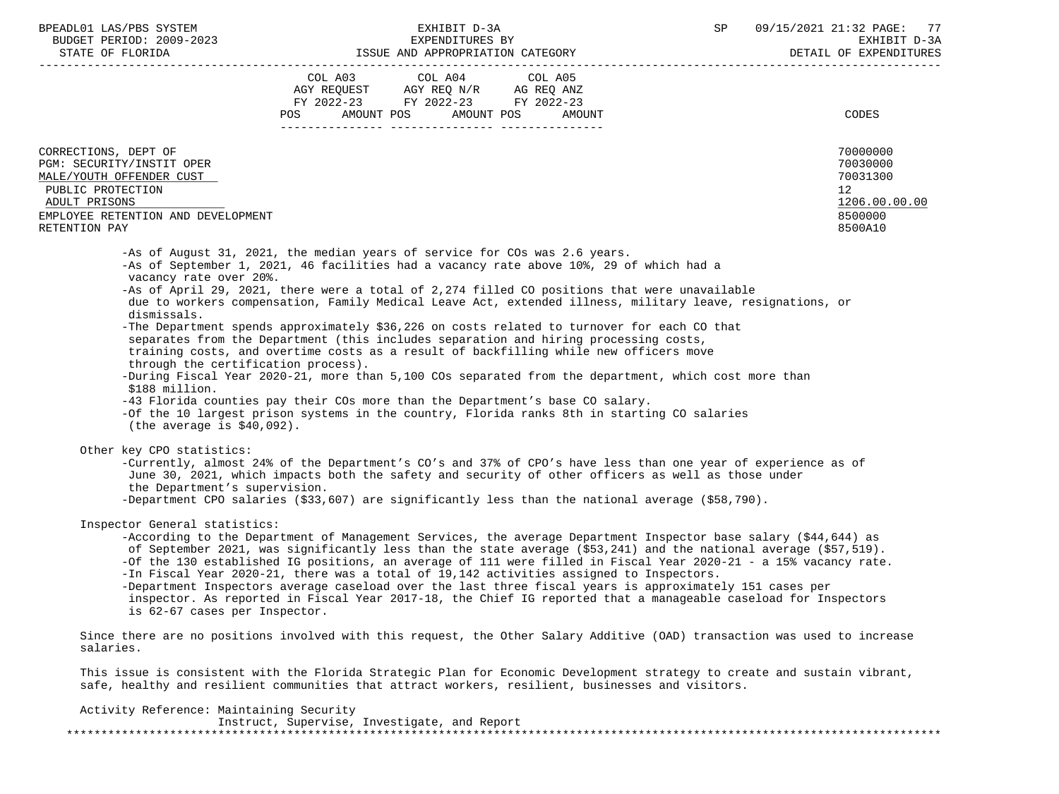| BPEADL01 LAS/PBS SYSTEM |                          |
|-------------------------|--------------------------|
|                         | BUDGET PERIOD: 2009-2023 |
|                         |                          |

|                                                                                                                                                                              | POS | COL A03 COL A04 COL A05<br>AGY REQUEST AGY REQ N/R AG REQ ANZ<br>FY 2022-23 FY 2022-23 FY 2022-23<br>AMOUNT POS AMOUNT POS AMOUNT |                                                                                                                                                                                                                                                                                                                                                                                                                                                                                                                                                                                                                                                                                              | CODES                                                                                      |
|------------------------------------------------------------------------------------------------------------------------------------------------------------------------------|-----|-----------------------------------------------------------------------------------------------------------------------------------|----------------------------------------------------------------------------------------------------------------------------------------------------------------------------------------------------------------------------------------------------------------------------------------------------------------------------------------------------------------------------------------------------------------------------------------------------------------------------------------------------------------------------------------------------------------------------------------------------------------------------------------------------------------------------------------------|--------------------------------------------------------------------------------------------|
| CORRECTIONS, DEPT OF<br>PGM: SECURITY/INSTIT OPER<br>MALE/YOUTH OFFENDER CUST<br>PUBLIC PROTECTION<br>ADULT PRISONS<br>EMPLOYEE RETENTION AND DEVELOPMENT<br>RETENTION PAY   |     |                                                                                                                                   |                                                                                                                                                                                                                                                                                                                                                                                                                                                                                                                                                                                                                                                                                              | 70000000<br>70030000<br>70031300<br>12 <sup>°</sup><br>1206.00.00.00<br>8500000<br>8500A10 |
| -As of August 31, 2021, the median years of service for COs was 2.6 years.<br>vacancy rate over 20%.<br>dismissals.<br>through the certification process).<br>\$188 million. |     |                                                                                                                                   | -As of September 1, 2021, 46 facilities had a vacancy rate above 10%, 29 of which had a<br>-As of April 29, 2021, there were a total of 2,274 filled CO positions that were unavailable<br>due to workers compensation, Family Medical Leave Act, extended illness, military leave, resignations, or<br>-The Department spends approximately \$36,226 on costs related to turnover for each CO that<br>separates from the Department (this includes separation and hiring processing costs,<br>training costs, and overtime costs as a result of backfilling while new officers move<br>-During Fiscal Year 2020-21, more than 5,100 COs separated from the department, which cost more than |                                                                                            |

-43 Florida counties pay their COs more than the Department's base CO salary.

 -Of the 10 largest prison systems in the country, Florida ranks 8th in starting CO salaries (the average is \$40,092).

Other key CPO statistics:

 -Currently, almost 24% of the Department's CO's and 37% of CPO's have less than one year of experience as of June 30, 2021, which impacts both the safety and security of other officers as well as those under the Department's supervision.

-Department CPO salaries (\$33,607) are significantly less than the national average (\$58,790).

### Inspector General statistics:

 -According to the Department of Management Services, the average Department Inspector base salary (\$44,644) as of September 2021, was significantly less than the state average (\$53,241) and the national average (\$57,519). -Of the 130 established IG positions, an average of 111 were filled in Fiscal Year 2020-21 - a 15% vacancy rate. -In Fiscal Year 2020-21, there was a total of 19,142 activities assigned to Inspectors. -Department Inspectors average caseload over the last three fiscal years is approximately 151 cases per inspector. As reported in Fiscal Year 2017-18, the Chief IG reported that a manageable caseload for Inspectors is 62-67 cases per Inspector.

 Since there are no positions involved with this request, the Other Salary Additive (OAD) transaction was used to increase salaries.

 This issue is consistent with the Florida Strategic Plan for Economic Development strategy to create and sustain vibrant, safe, healthy and resilient communities that attract workers, resilient, businesses and visitors.

Activity Reference: Maintaining Security

|  | Instruct, Supervise, Investigate, and Report |  |  |  |
|--|----------------------------------------------|--|--|--|
|  |                                              |  |  |  |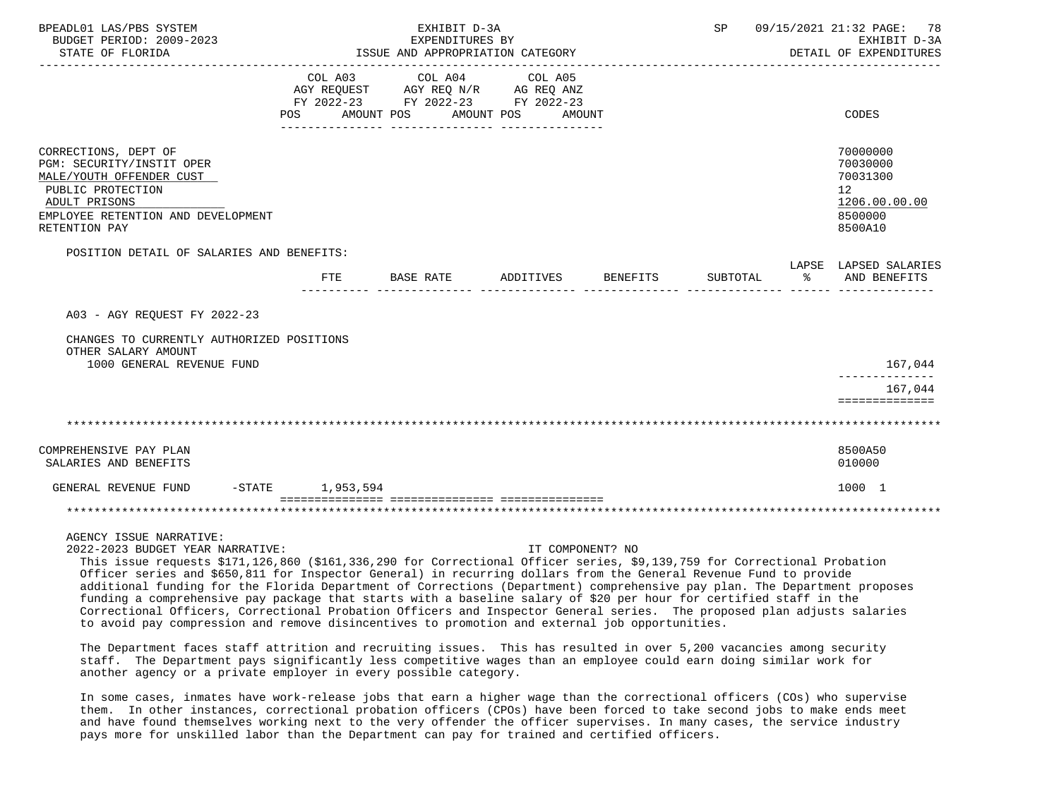| BPEADL01 LAS/PBS SYSTEM<br>BUDGET PERIOD: 2009-2023<br>STATE OF FLORIDA                                                                                                    |                    | EXHIBIT D-3A<br>EXPENDITURES BY<br>ISSUE AND APPROPRIATION CATEGORY                                                                                                                                                                                                                                                 |                    |          |               | SP 09/15/2021 21:32 PAGE: 78<br>EXHIBIT D-3A<br>DETAIL OF EXPENDITURES        |
|----------------------------------------------------------------------------------------------------------------------------------------------------------------------------|--------------------|---------------------------------------------------------------------------------------------------------------------------------------------------------------------------------------------------------------------------------------------------------------------------------------------------------------------|--------------------|----------|---------------|-------------------------------------------------------------------------------|
|                                                                                                                                                                            |                    | COL A03 COL A04 COL A05<br>AGY REQUEST AGY REQ N/R AG REQ ANZ<br>FY 2022-23 FY 2022-23 FY 2022-23<br>POS AMOUNT POS AMOUNT POS AMOUNT                                                                                                                                                                               |                    |          |               | CODES                                                                         |
| CORRECTIONS, DEPT OF<br>PGM: SECURITY/INSTIT OPER<br>MALE/YOUTH OFFENDER CUST<br>PUBLIC PROTECTION<br>ADULT PRISONS<br>EMPLOYEE RETENTION AND DEVELOPMENT<br>RETENTION PAY |                    |                                                                                                                                                                                                                                                                                                                     |                    |          |               | 70000000<br>70030000<br>70031300<br>12<br>1206.00.00.00<br>8500000<br>8500A10 |
| POSITION DETAIL OF SALARIES AND BENEFITS:                                                                                                                                  | FTE                | BASE RATE                                                                                                                                                                                                                                                                                                           | ADDITIVES BENEFITS | SUBTOTAL | $\sim$ $\sim$ | LAPSE LAPSED SALARIES<br>AND BENEFITS                                         |
| A03 - AGY REOUEST FY 2022-23                                                                                                                                               |                    |                                                                                                                                                                                                                                                                                                                     |                    |          |               |                                                                               |
| CHANGES TO CURRENTLY AUTHORIZED POSITIONS<br>OTHER SALARY AMOUNT<br>1000 GENERAL REVENUE FUND                                                                              |                    |                                                                                                                                                                                                                                                                                                                     |                    |          |               | 167,044                                                                       |
|                                                                                                                                                                            |                    |                                                                                                                                                                                                                                                                                                                     |                    |          |               | 167,044<br>==============                                                     |
|                                                                                                                                                                            |                    |                                                                                                                                                                                                                                                                                                                     |                    |          |               |                                                                               |
| COMPREHENSIVE PAY PLAN<br>SALARIES AND BENEFITS                                                                                                                            |                    |                                                                                                                                                                                                                                                                                                                     |                    |          |               | 8500A50<br>010000                                                             |
| GENERAL REVENUE FUND                                                                                                                                                       | $-STATE$ 1,953,594 |                                                                                                                                                                                                                                                                                                                     |                    |          |               | 1000 1                                                                        |
|                                                                                                                                                                            |                    |                                                                                                                                                                                                                                                                                                                     |                    |          |               |                                                                               |
| AGENCY ISSUE NARRATIVE:<br>2022-2023 BUDGET YEAR NARRATIVE:                                                                                                                |                    | $\frac{1}{2}$ $\frac{1}{2}$ $\frac{1}{2}$ $\frac{1}{2}$ $\frac{1}{2}$ $\frac{1}{2}$ $\frac{1}{2}$ $\frac{1}{2}$ $\frac{1}{2}$ $\frac{1}{2}$ $\frac{1}{2}$ $\frac{1}{2}$ $\frac{1}{2}$ $\frac{1}{2}$ $\frac{1}{2}$ $\frac{1}{2}$ $\frac{1}{2}$ $\frac{1}{2}$ $\frac{1}{2}$ $\frac{1}{2}$ $\frac{1}{2}$ $\frac{1}{2}$ | IT COMPONENT? NO   |          |               |                                                                               |

 This issue requests \$171,126,860 (\$161,336,290 for Correctional Officer series, \$9,139,759 for Correctional Probation Officer series and \$650,811 for Inspector General) in recurring dollars from the General Revenue Fund to provide additional funding for the Florida Department of Corrections (Department) comprehensive pay plan. The Department proposes funding a comprehensive pay package that starts with a baseline salary of \$20 per hour for certified staff in the Correctional Officers, Correctional Probation Officers and Inspector General series. The proposed plan adjusts salaries to avoid pay compression and remove disincentives to promotion and external job opportunities.

 The Department faces staff attrition and recruiting issues. This has resulted in over 5,200 vacancies among security staff. The Department pays significantly less competitive wages than an employee could earn doing similar work for another agency or a private employer in every possible category.

 In some cases, inmates have work-release jobs that earn a higher wage than the correctional officers (COs) who supervise them. In other instances, correctional probation officers (CPOs) have been forced to take second jobs to make ends meet and have found themselves working next to the very offender the officer supervises. In many cases, the service industry pays more for unskilled labor than the Department can pay for trained and certified officers.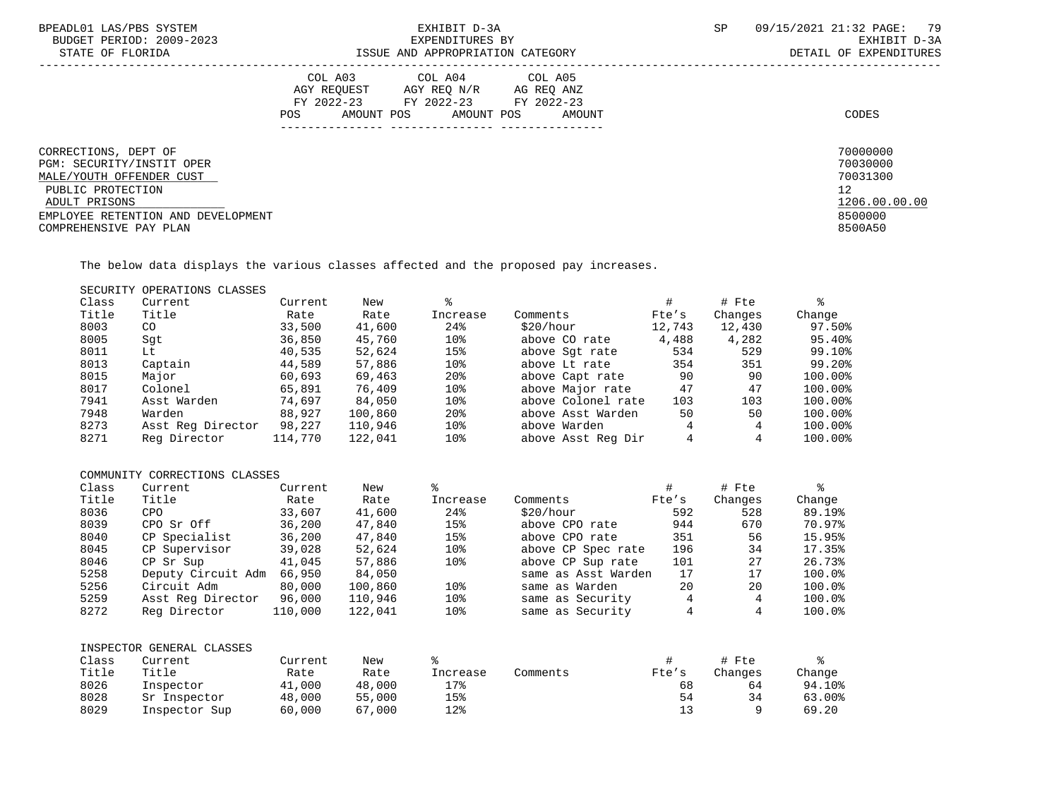| BPEADL01 LAS/PBS SYSTEM<br>BUDGET PERIOD: 2009-2023<br>STATE OF FLORIDA | EXHIBIT D-3A<br>EXPENDITURES BY<br>ISSUE AND APPROPRIATION CATEGORY                                                                  | SP     | 09/15/2021 21:32 PAGE: 79<br>EXHIBIT D-3A<br>DETAIL OF EXPENDITURES |
|-------------------------------------------------------------------------|--------------------------------------------------------------------------------------------------------------------------------------|--------|---------------------------------------------------------------------|
|                                                                         | COL A04 COL A05<br>COL A03<br>AGY REOUEST AGY REO N/R AG REO ANZ<br>FY 2022-23 FY 2022-23 FY 2022-23<br>POS<br>AMOUNT POS AMOUNT POS | AMOUNT | CODES                                                               |
| CORRECTIONS, DEPT OF<br>PGM: SECURITY/INSTIT OPER                       |                                                                                                                                      |        | 70000000<br>70030000                                                |
| MALE/YOUTH OFFENDER CUST                                                |                                                                                                                                      |        | 70031300                                                            |
| PUBLIC PROTECTION<br>ADULT PRISONS                                      |                                                                                                                                      |        | 12<br>1206.00.00.00                                                 |
| EMPLOYEE RETENTION AND DEVELOPMENT                                      |                                                                                                                                      |        | 8500000                                                             |
| COMPREHENSIVE PAY PLAN                                                  |                                                                                                                                      |        | 8500A50                                                             |

The below data displays the various classes affected and the proposed pay increases.

|  | SECURITY OPERATIONS CLASSES |  |
|--|-----------------------------|--|
|--|-----------------------------|--|

| Class | Current           | Current | New     |                 |                    |        | # Fte   |                      |
|-------|-------------------|---------|---------|-----------------|--------------------|--------|---------|----------------------|
| Title | Title             | Rate    | Rate    | Increase        | Comments           | Fte's  | Changes | Change               |
| 8003  | CO                | 33,500  | 41,600  | 24%             | \$20/hour          | 12,743 | 12,430  | 97.50%               |
| 8005  | Sqt               | 36,850  | 45,760  | 10%             | above CO rate      | 4,488  | 4,282   | 95.40%               |
| 8011  | Lt                | 40,535  | 52,624  | 15%             | above Sqt rate     | 534    | 529     | 99.10%               |
| 8013  | Captain           | 44,589  | 57,886  | 10 <sub>8</sub> | above Lt rate      | 354    | 351     | $99.20$ <sup>8</sup> |
| 8015  | Major             | 60,693  | 69,463  | 20 <sup>8</sup> | above Capt rate    | 90     | 90      | 100.00%              |
| 8017  | Colonel           | 65,891  | 76,409  | 10%             | above Major rate   | 47     | 47      | 100.00%              |
| 7941  | Asst Warden       | 74,697  | 84,050  | 10%             | above Colonel rate | 103    | 103     | 100.00%              |
| 7948  | Warden            | 88,927  | 100,860 | 20 <sup>8</sup> | above Asst Warden  | 50     | 50      | 100.00%              |
| 8273  | Asst Reg Director | 98,227  | 110,946 | 10%             | above Warden       | 4      | 4       | 100.00%              |
| 8271  | Reg Director      | 114,770 | 122,041 | 10 <sub>8</sub> | above Asst Reg Dir | 4      |         | 100.00%              |
|       |                   |         |         |                 |                    |        |         |                      |

# COMMUNITY CORRECTIONS CLASSES

| Class | Current            | Current | New     | °≈              |                     | #     | # Fte   | ⊱      |
|-------|--------------------|---------|---------|-----------------|---------------------|-------|---------|--------|
| Title | Title              | Rate    | Rate    | Increase        | Comments            | Fte's | Changes | Change |
| 8036  | CPO.               | 33,607  | 41,600  | $24\%$          | \$20/hour           | 592   | 528     | 89.19% |
| 8039  | CPO Sr Off         | 36,200  | 47,840  | 15%             | above CPO rate      | 944   | 670     | 70.97% |
| 8040  | CP Specialist      | 36,200  | 47,840  | 15%             | above CPO rate      | 351   | 56      | 15.95% |
| 8045  | CP Supervisor      | 39,028  | 52,624  | 10 <sub>8</sub> | above CP Spec rate  | 196   | 34      | 17.35% |
| 8046  | CP Sr Sup          | 41,045  | 57,886  | 10 <sub>8</sub> | above CP Sup rate   | 101   | 27      | 26.73% |
| 5258  | Deputy Circuit Adm | 66,950  | 84,050  |                 | same as Asst Warden | 17    | 17      | 100.0% |
| 5256  | Circuit Adm        | 80,000  | 100,860 | 10 <sup>8</sup> | same as Warden      | 20    | 20      | 100.0% |
| 5259  | Asst Reg Director  | 96,000  | 110,946 | 10 <sup>8</sup> | same as Security    | 4     |         | 100.0% |
| 8272  | Reg Director       | 110,000 | 122,041 | 10 <sub>8</sub> | same as Security    | 4     |         | 100.0% |

|       | INSPECTOR GENERAL CLASSES |         |        |          |          |       |         |        |
|-------|---------------------------|---------|--------|----------|----------|-------|---------|--------|
| Class | Current                   | Current | New    |          |          |       | # Fte   |        |
| Title | Title                     | Rate    | Rate   | Increase | Comments | Fte's | Changes | Change |
| 8026  | Inspector                 | 41,000  | 48,000 | 17%      |          | 68    | 64      | 94.10% |
| 8028  | Sr Inspector              | 48,000  | 55,000 | 15%      |          | 54    | 34      | 63.00% |
| 8029  | Inspector Sup             | 60,000  | 67,000 | 12%      |          |       |         | 69.20  |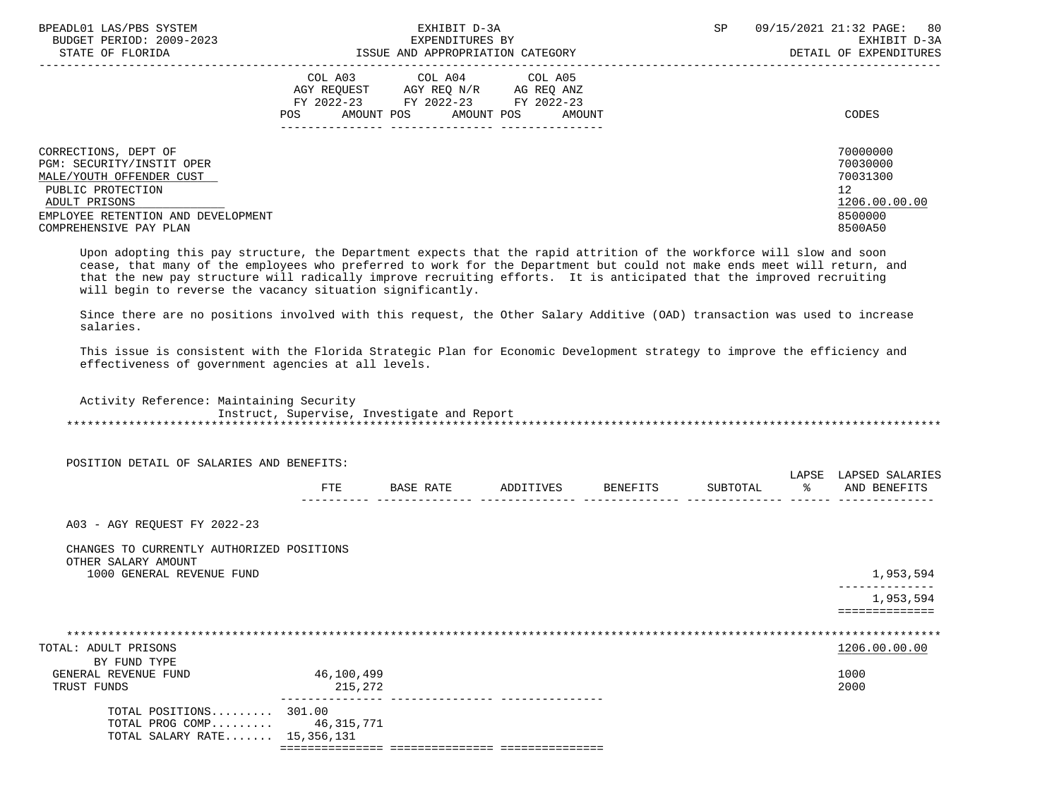| BPEADL01 LAS/PBS SYSTEM<br>BUDGET PERIOD: 2009-2023<br>STATE OF FLORIDA | EXHIBIT D-3A<br>EXPENDITURES BY<br>ISSUE AND APPROPRIATION CATEGORY                                                                                                           | 80<br>SP.<br>09/15/2021 21:32 PAGE:<br>EXHIBIT D-3A<br>DETAIL OF EXPENDITURES |
|-------------------------------------------------------------------------|-------------------------------------------------------------------------------------------------------------------------------------------------------------------------------|-------------------------------------------------------------------------------|
|                                                                         | COL A03<br>COL A04<br>COL A05<br>AGY REOUEST<br>AGY REO N/R AG REO ANZ<br>FY 2022-23 FY 2022-23<br>FY 2022-23<br>AMOUNT POS<br>POS<br>AMOUNT POS<br>AMOUNT<br>--------------- | CODES                                                                         |
| CORRECTIONS, DEPT OF<br>PGM: SECURITY/INSTIT OPER                       |                                                                                                                                                                               | 70000000<br>70030000                                                          |
| MALE/YOUTH OFFENDER CUST                                                |                                                                                                                                                                               | 70031300                                                                      |
| PUBLIC PROTECTION                                                       |                                                                                                                                                                               | 12                                                                            |
| ADULT PRISONS<br>EMPLOYEE RETENTION AND DEVELOPMENT                     |                                                                                                                                                                               | 1206.00.00.00<br>8500000                                                      |
| COMPREHENSIVE PAY PLAN                                                  |                                                                                                                                                                               | 8500A50                                                                       |
|                                                                         |                                                                                                                                                                               |                                                                               |

 Upon adopting this pay structure, the Department expects that the rapid attrition of the workforce will slow and soon cease, that many of the employees who preferred to work for the Department but could not make ends meet will return, and that the new pay structure will radically improve recruiting efforts. It is anticipated that the improved recruiting will begin to reverse the vacancy situation significantly.

 Since there are no positions involved with this request, the Other Salary Additive (OAD) transaction was used to increase salaries.

 This issue is consistent with the Florida Strategic Plan for Economic Development strategy to improve the efficiency and effectiveness of government agencies at all levels.

 Activity Reference: Maintaining Security Instruct, Supervise, Investigate and Report \*\*\*\*\*\*\*\*\*\*\*\*\*\*\*\*\*\*\*\*\*\*\*\*\*\*\*\*\*\*\*\*\*\*\*\*\*\*\*\*\*\*\*\*\*\*\*\*\*\*\*\*\*\*\*\*\*\*\*\*\*\*\*\*\*\*\*\*\*\*\*\*\*\*\*\*\*\*\*\*\*\*\*\*\*\*\*\*\*\*\*\*\*\*\*\*\*\*\*\*\*\*\*\*\*\*\*\*\*\*\*\*\*\*\*\*\*\*\*\*\*\*\*\*\*\*\*

POSITION DETAIL OF SALARIES AND BENEFITS:

|              |   |  | . |            |
|--------------|---|--|---|------------|
| 군모도<br>⊥ ⊥ ⊥ | ⊷ |  |   | <b>ANT</b> |
|              |   |  |   | . <u>.</u> |

A03 - AGY REQUEST FY 2022-23

## CHANGES TO CURRENTLY AUTHORIZED POSITIONS OTHER SALARY AMOUNT

1000 GENERAL REVENUE FUND 1,953,594

 -------------- 1,953,594

==============

| TOTAL: ADULT PRISONS         |            | 1206.00.00.00 |  |
|------------------------------|------------|---------------|--|
| BY FUND TYPE                 |            |               |  |
| GENERAL REVENUE FUND         | 46,100,499 | 1000          |  |
| TRUST FUNDS                  | 215,272    | 2000          |  |
| TOTAL POSITIONS 301.00       |            |               |  |
| TOTAL PROG COMP 46,315,771   |            |               |  |
| TOTAL SALARY RATE 15,356,131 |            |               |  |
|                              |            |               |  |
|                              |            |               |  |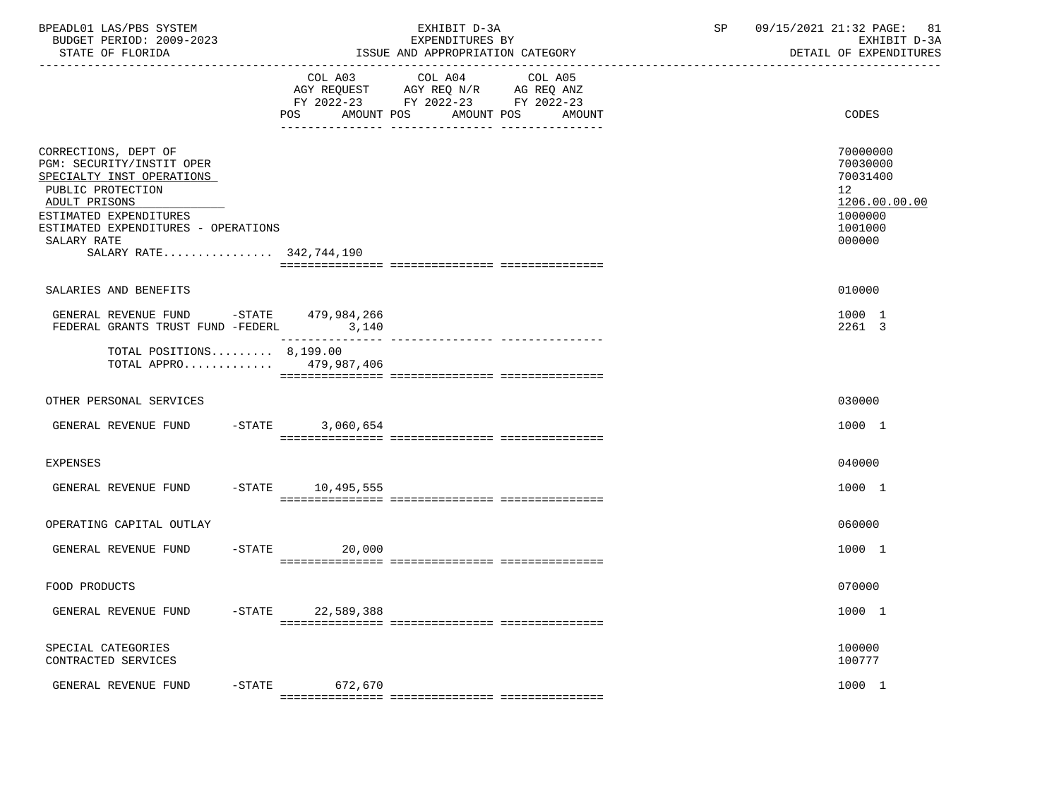| BPEADL01 LAS/PBS SYSTEM<br>BUDGET PERIOD: 2009-2023<br>STATE OF FLORIDA                                                  |                              | EXHIBIT D-3A<br>EXPENDITURES BY<br>ISSUE AND APPROPRIATION CATEGORY                                                  | 09/15/2021 21:32 PAGE: 81<br>SP<br>EXHIBIT D-3A<br>DETAIL OF EXPENDITURES |
|--------------------------------------------------------------------------------------------------------------------------|------------------------------|----------------------------------------------------------------------------------------------------------------------|---------------------------------------------------------------------------|
|                                                                                                                          | COL A03<br>POS<br>AMOUNT POS | COL A04<br>COL A05<br>AGY REQUEST AGY REQ N/R AG REQ ANZ<br>FY 2022-23 FY 2022-23 FY 2022-23<br>AMOUNT POS<br>AMOUNT | CODES                                                                     |
| CORRECTIONS, DEPT OF<br>PGM: SECURITY/INSTIT OPER<br>SPECIALTY INST OPERATIONS<br>PUBLIC PROTECTION                      |                              |                                                                                                                      | 70000000<br>70030000<br>70031400<br>12                                    |
| ADULT PRISONS<br>ESTIMATED EXPENDITURES<br>ESTIMATED EXPENDITURES - OPERATIONS<br>SALARY RATE<br>SALARY RATE 342,744,190 |                              |                                                                                                                      | 1206.00.00.00<br>1000000<br>1001000<br>000000                             |
|                                                                                                                          |                              |                                                                                                                      |                                                                           |
| SALARIES AND BENEFITS<br>GENERAL REVENUE FUND -STATE 479,984,266                                                         |                              |                                                                                                                      | 010000<br>1000 1                                                          |
| FEDERAL GRANTS TRUST FUND -FEDERL 3,140                                                                                  |                              |                                                                                                                      | 2261 3                                                                    |
| TOTAL POSITIONS $8,199.00$<br>TOTAL APPRO 479,987,406                                                                    |                              |                                                                                                                      |                                                                           |
| OTHER PERSONAL SERVICES                                                                                                  |                              |                                                                                                                      | 030000                                                                    |
| GENERAL REVENUE FUND -STATE 3,060,654                                                                                    |                              |                                                                                                                      | 1000 1                                                                    |
| EXPENSES                                                                                                                 |                              |                                                                                                                      | 040000                                                                    |
| GENERAL REVENUE FUND -STATE 10,495,555                                                                                   |                              |                                                                                                                      | 1000 1                                                                    |
| OPERATING CAPITAL OUTLAY                                                                                                 |                              |                                                                                                                      | 060000                                                                    |
| GENERAL REVENUE FUND                                                                                                     | $-$ STATE<br>20,000          |                                                                                                                      | 1000 1                                                                    |
| FOOD PRODUCTS                                                                                                            |                              |                                                                                                                      | 070000                                                                    |
| GENERAL REVENUE FUND<br>$-$ STATE                                                                                        | 22,589,388                   |                                                                                                                      | 1000 1                                                                    |
| SPECIAL CATEGORIES<br>CONTRACTED SERVICES                                                                                |                              |                                                                                                                      | 100000<br>100777                                                          |
| GENERAL REVENUE FUND<br>$-STATE$                                                                                         | 672,670                      |                                                                                                                      | 1000 1                                                                    |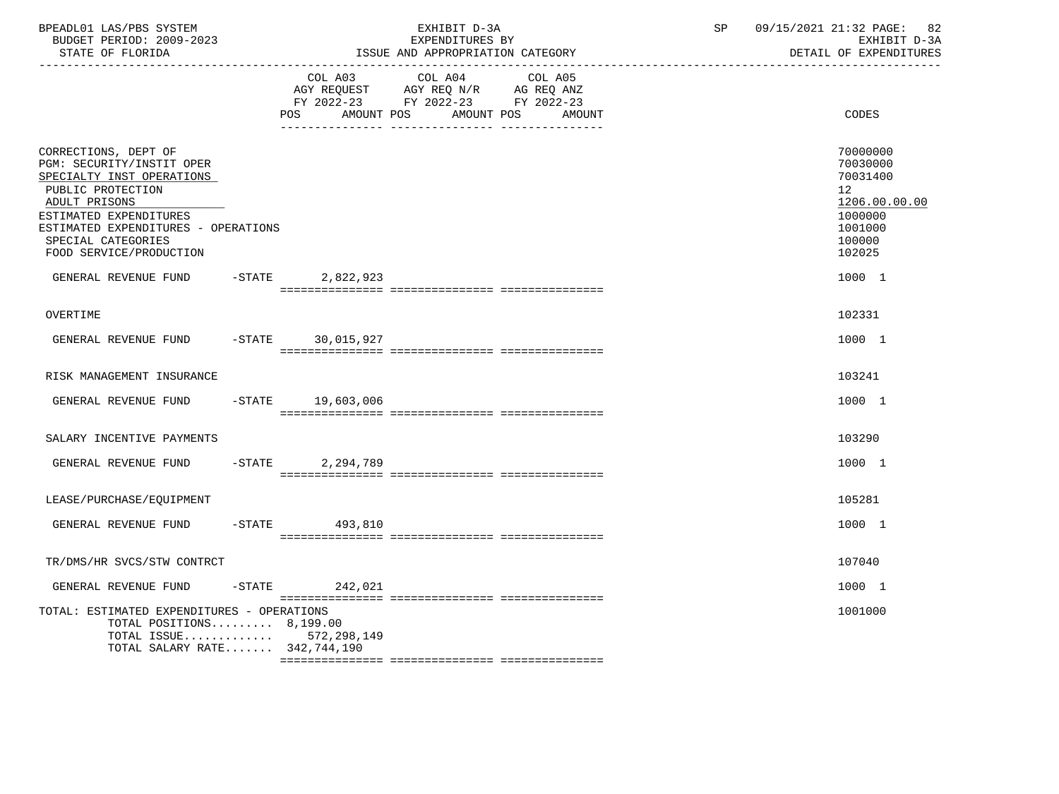| BPEADL01 LAS/PBS SYSTEM<br>BUDGET PERIOD: 2009-2023<br>STATE OF FLORIDA                                                                                                                                                                |           |                   | EXHIBIT D-3A<br>EXPENDITURES BY<br>ISSUE AND APPROPRIATION CATEGORY                                                          | SP | 09/15/2021 21:32 PAGE:<br>82<br>EXHIBIT D-3A<br>DETAIL OF EXPENDITURES                            |
|----------------------------------------------------------------------------------------------------------------------------------------------------------------------------------------------------------------------------------------|-----------|-------------------|------------------------------------------------------------------------------------------------------------------------------|----|---------------------------------------------------------------------------------------------------|
|                                                                                                                                                                                                                                        |           | POS<br>AMOUNT POS | COL A03 COL A04<br>COL A05<br>AGY REQUEST AGY REQ N/R AG REQ ANZ<br>FY 2022-23 FY 2022-23 FY 2022-23<br>AMOUNT POS<br>AMOUNT |    | CODES                                                                                             |
| CORRECTIONS, DEPT OF<br>PGM: SECURITY/INSTIT OPER<br>SPECIALTY INST OPERATIONS<br>PUBLIC PROTECTION<br>ADULT PRISONS<br>ESTIMATED EXPENDITURES<br>ESTIMATED EXPENDITURES - OPERATIONS<br>SPECIAL CATEGORIES<br>FOOD SERVICE/PRODUCTION |           |                   |                                                                                                                              |    | 70000000<br>70030000<br>70031400<br>12<br>1206.00.00.00<br>1000000<br>1001000<br>100000<br>102025 |
| GENERAL REVENUE FUND                                                                                                                                                                                                                   | $-$ STATE | 2,822,923         |                                                                                                                              |    | 1000 1                                                                                            |
| OVERTIME                                                                                                                                                                                                                               |           |                   |                                                                                                                              |    | 102331                                                                                            |
| GENERAL REVENUE FUND -STATE 30,015,927                                                                                                                                                                                                 |           |                   |                                                                                                                              |    | 1000 1                                                                                            |
| RISK MANAGEMENT INSURANCE                                                                                                                                                                                                              |           |                   |                                                                                                                              |    | 103241                                                                                            |
| GENERAL REVENUE FUND                                                                                                                                                                                                                   | $-$ STATE | 19,603,006        |                                                                                                                              |    | 1000 1                                                                                            |
| SALARY INCENTIVE PAYMENTS                                                                                                                                                                                                              |           |                   |                                                                                                                              |    | 103290                                                                                            |
| GENERAL REVENUE FUND                                                                                                                                                                                                                   |           | -STATE 2,294,789  |                                                                                                                              |    | 1000 1                                                                                            |
| LEASE/PURCHASE/EQUIPMENT                                                                                                                                                                                                               |           |                   |                                                                                                                              |    | 105281                                                                                            |
| GENERAL REVENUE FUND                                                                                                                                                                                                                   |           | $-STATE$ 493,810  |                                                                                                                              |    | 1000 1                                                                                            |
| TR/DMS/HR SVCS/STW CONTRCT                                                                                                                                                                                                             |           |                   |                                                                                                                              |    | 107040                                                                                            |
| GENERAL REVENUE FUND                                                                                                                                                                                                                   | $-$ STATE | 242,021           |                                                                                                                              |    | 1000 1                                                                                            |
| TOTAL: ESTIMATED EXPENDITURES - OPERATIONS<br>TOTAL POSITIONS $8,199.00$<br>TOTAL ISSUE $572,298,149$<br>TOTAL SALARY RATE 342,744,190                                                                                                 |           |                   |                                                                                                                              |    | 1001000                                                                                           |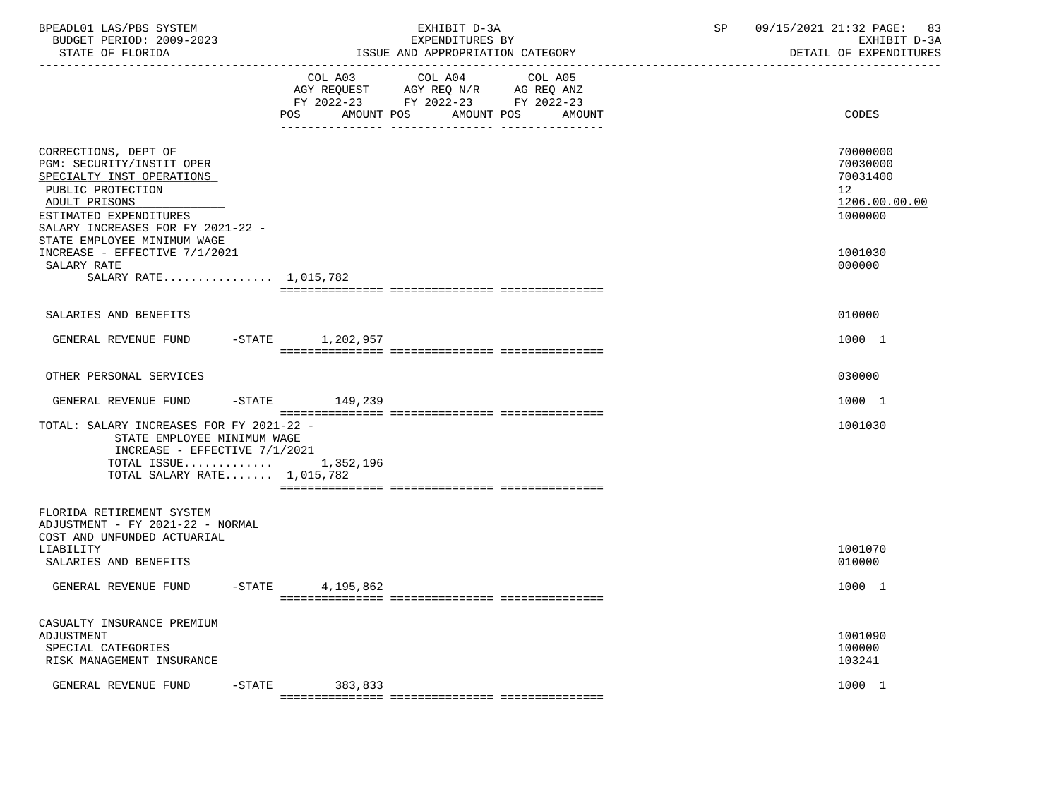| BPEADL01 LAS/PBS SYSTEM<br>BUDGET PERIOD: 2009-2023<br>STATE OF FLORIDA                                                                                                                                            |           |                  | EXHIBIT D-3A<br>EXPENDITURES BY<br>ISSUE AND APPROPRIATION CATEGORY                                                                  | SP | 09/15/2021 21:32 PAGE: 83<br>EXHIBIT D-3A<br>DETAIL OF EXPENDITURES |
|--------------------------------------------------------------------------------------------------------------------------------------------------------------------------------------------------------------------|-----------|------------------|--------------------------------------------------------------------------------------------------------------------------------------|----|---------------------------------------------------------------------|
|                                                                                                                                                                                                                    |           | POS              | COL A03 COL A04<br>COL A05<br>AGY REQUEST AGY REQ N/R AG REQ ANZ<br>FY 2022-23 FY 2022-23 FY 2022-23<br>AMOUNT POS AMOUNT POS AMOUNT |    | CODES                                                               |
| CORRECTIONS, DEPT OF<br>PGM: SECURITY/INSTIT OPER<br>SPECIALTY INST OPERATIONS<br>PUBLIC PROTECTION<br>ADULT PRISONS<br>ESTIMATED EXPENDITURES<br>SALARY INCREASES FOR FY 2021-22 -<br>STATE EMPLOYEE MINIMUM WAGE |           |                  |                                                                                                                                      |    | 70000000<br>70030000<br>70031400<br>12<br>1206.00.00.00<br>1000000  |
| INCREASE - EFFECTIVE 7/1/2021<br>SALARY RATE<br>SALARY RATE 1,015,782                                                                                                                                              |           |                  |                                                                                                                                      |    | 1001030<br>000000                                                   |
| SALARIES AND BENEFITS                                                                                                                                                                                              |           |                  |                                                                                                                                      |    | 010000                                                              |
| GENERAL REVENUE FUND                                                                                                                                                                                               |           | -STATE 1,202,957 |                                                                                                                                      |    | 1000 1                                                              |
| OTHER PERSONAL SERVICES                                                                                                                                                                                            |           |                  |                                                                                                                                      |    | 030000                                                              |
| GENERAL REVENUE FUND                                                                                                                                                                                               |           | -STATE 149,239   |                                                                                                                                      |    | 1000 1                                                              |
| TOTAL: SALARY INCREASES FOR FY 2021-22 -<br>STATE EMPLOYEE MINIMUM WAGE<br>INCREASE - EFFECTIVE 7/1/2021<br>TOTAL ISSUE $1,352,196$<br>TOTAL SALARY RATE $1,015,782$                                               |           |                  |                                                                                                                                      |    | 1001030                                                             |
| FLORIDA RETIREMENT SYSTEM<br>ADJUSTMENT - FY 2021-22 - NORMAL<br>COST AND UNFUNDED ACTUARIAL<br>LIABILITY                                                                                                          |           |                  |                                                                                                                                      |    | 1001070                                                             |
| SALARIES AND BENEFITS                                                                                                                                                                                              |           |                  |                                                                                                                                      |    | 010000                                                              |
| GENERAL REVENUE FUND -STATE 4.195.862                                                                                                                                                                              |           |                  |                                                                                                                                      |    | 1000 1                                                              |
| CASUALTY INSURANCE PREMIUM<br>ADJUSTMENT<br>SPECIAL CATEGORIES<br>RISK MANAGEMENT INSURANCE                                                                                                                        |           |                  |                                                                                                                                      |    | 1001090<br>100000<br>103241                                         |
| GENERAL REVENUE FUND                                                                                                                                                                                               | $-$ STATE | 383,833          |                                                                                                                                      |    | 1000 1                                                              |
|                                                                                                                                                                                                                    |           |                  |                                                                                                                                      |    |                                                                     |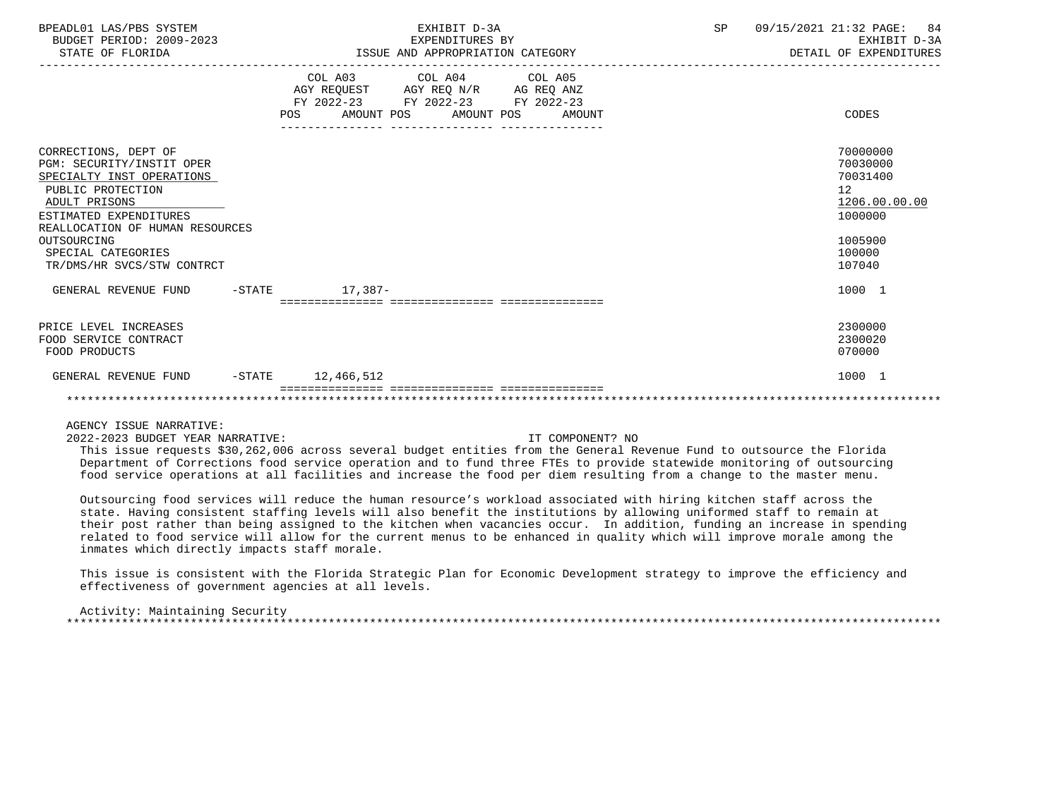| BPEADL01 LAS/PBS SYSTEM<br>BUDGET PERIOD: 2009-2023<br>STATE OF FLORIDA                                                                                                                                                                              | EXHIBIT D-3A<br>EXPENDITURES BY<br>ISSUE AND APPROPRIATION CATEGORY                                                               |        | SP | 09/15/2021 21:32 PAGE:<br>84<br>EXHIBIT D-3A<br>DETAIL OF EXPENDITURES                            |
|------------------------------------------------------------------------------------------------------------------------------------------------------------------------------------------------------------------------------------------------------|-----------------------------------------------------------------------------------------------------------------------------------|--------|----|---------------------------------------------------------------------------------------------------|
|                                                                                                                                                                                                                                                      | COL A03 COL A04 COL A05<br>AGY REQUEST AGY REQ N/R AG REQ ANZ<br>FY 2022-23 FY 2022-23 FY 2022-23<br>POS<br>AMOUNT POS AMOUNT POS | AMOUNT |    | CODES                                                                                             |
| CORRECTIONS, DEPT OF<br>PGM: SECURITY/INSTIT OPER<br>SPECIALTY INST OPERATIONS<br>PUBLIC PROTECTION<br>ADULT PRISONS<br>ESTIMATED EXPENDITURES<br>REALLOCATION OF HUMAN RESOURCES<br>OUTSOURCING<br>SPECIAL CATEGORIES<br>TR/DMS/HR SVCS/STW CONTRCT |                                                                                                                                   |        |    | 70000000<br>70030000<br>70031400<br>12<br>1206.00.00.00<br>1000000<br>1005900<br>100000<br>107040 |
| GENERAL REVENUE FUND<br>-STATE                                                                                                                                                                                                                       | $17,387-$                                                                                                                         |        |    | 1000 1                                                                                            |
| PRICE LEVEL INCREASES<br>FOOD SERVICE CONTRACT<br>FOOD PRODUCTS                                                                                                                                                                                      |                                                                                                                                   |        |    | 2300000<br>2300020<br>070000                                                                      |
| GENERAL REVENUE FUND<br>$-$ STATE                                                                                                                                                                                                                    | 12,466,512                                                                                                                        |        |    | 1000 1                                                                                            |
|                                                                                                                                                                                                                                                      |                                                                                                                                   |        |    |                                                                                                   |

2022-2023 BUDGET YEAR NARRATIVE: IT COMPONENT? NO

 This issue requests \$30,262,006 across several budget entities from the General Revenue Fund to outsource the Florida Department of Corrections food service operation and to fund three FTEs to provide statewide monitoring of outsourcing food service operations at all facilities and increase the food per diem resulting from a change to the master menu.

 Outsourcing food services will reduce the human resource's workload associated with hiring kitchen staff across the state. Having consistent staffing levels will also benefit the institutions by allowing uniformed staff to remain at their post rather than being assigned to the kitchen when vacancies occur. In addition, funding an increase in spending related to food service will allow for the current menus to be enhanced in quality which will improve morale among the inmates which directly impacts staff morale.

 This issue is consistent with the Florida Strategic Plan for Economic Development strategy to improve the efficiency and effectiveness of government agencies at all levels.

 Activity: Maintaining Security \*\*\*\*\*\*\*\*\*\*\*\*\*\*\*\*\*\*\*\*\*\*\*\*\*\*\*\*\*\*\*\*\*\*\*\*\*\*\*\*\*\*\*\*\*\*\*\*\*\*\*\*\*\*\*\*\*\*\*\*\*\*\*\*\*\*\*\*\*\*\*\*\*\*\*\*\*\*\*\*\*\*\*\*\*\*\*\*\*\*\*\*\*\*\*\*\*\*\*\*\*\*\*\*\*\*\*\*\*\*\*\*\*\*\*\*\*\*\*\*\*\*\*\*\*\*\*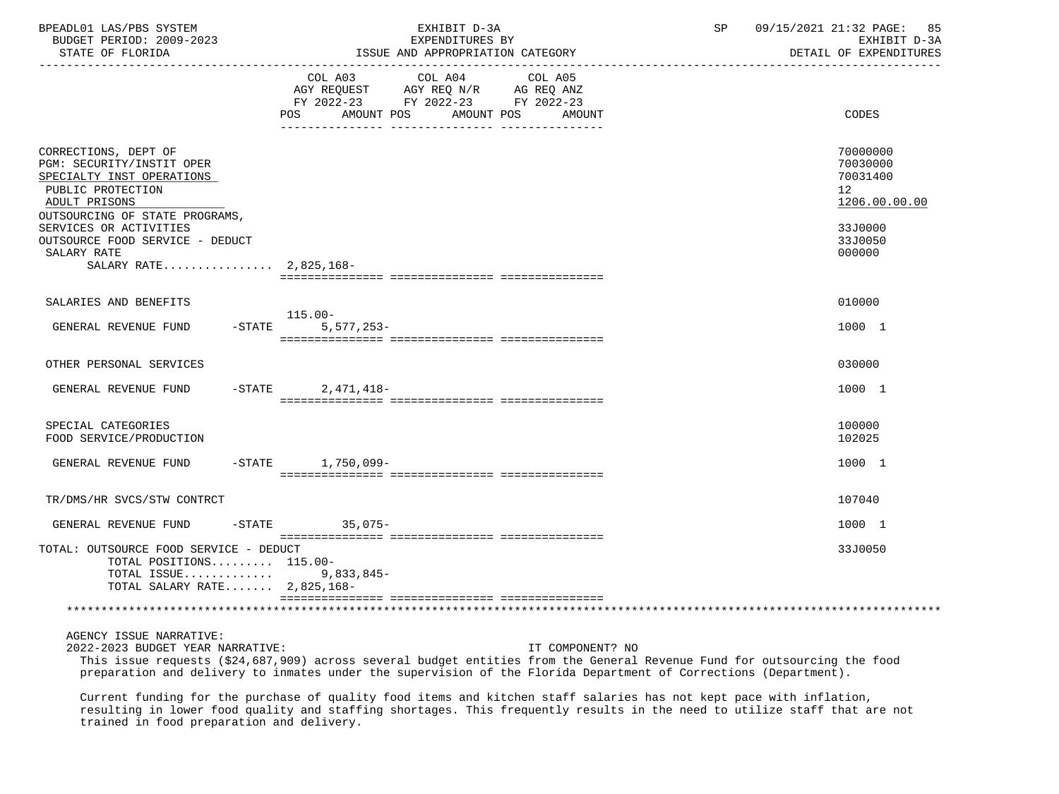| BPEADL01 LAS/PBS SYSTEM<br>BUDGET PERIOD: 2009-2023<br>STATE OF FLORIDA                                                                                                          | EXHIBIT D-3A<br>EXPENDITURES BY<br>ISSUE AND APPROPRIATION CATEGORY                                                                            | 09/15/2021 21:32 PAGE: 85<br>SP<br>EXHIBIT D-3A<br>DETAIL OF EXPENDITURES       |
|----------------------------------------------------------------------------------------------------------------------------------------------------------------------------------|------------------------------------------------------------------------------------------------------------------------------------------------|---------------------------------------------------------------------------------|
|                                                                                                                                                                                  | COL A03 COL A04 COL A05<br>AGY REQUEST AGY REQ N/R AG REQ ANZ<br>FY 2022-23 FY 2022-23 FY 2022-23<br>AMOUNT POS<br>AMOUNT POS<br>POS<br>AMOUNT | CODES                                                                           |
| CORRECTIONS, DEPT OF<br>PGM: SECURITY/INSTIT OPER<br>SPECIALTY INST OPERATIONS<br>PUBLIC PROTECTION<br>ADULT PRISONS<br>OUTSOURCING OF STATE PROGRAMS,<br>SERVICES OR ACTIVITIES |                                                                                                                                                | 70000000<br>70030000<br>70031400<br>12 <sup>°</sup><br>1206.00.00.00<br>33J0000 |
| OUTSOURCE FOOD SERVICE - DEDUCT<br>SALARY RATE<br>SALARY RATE 2,825,168-                                                                                                         |                                                                                                                                                | 33J0050<br>000000                                                               |
|                                                                                                                                                                                  |                                                                                                                                                |                                                                                 |
| SALARIES AND BENEFITS                                                                                                                                                            | $115.00 -$                                                                                                                                     | 010000                                                                          |
| GENERAL REVENUE FUND<br>$-$ STATE                                                                                                                                                | $5,577,253-$                                                                                                                                   | 1000 1                                                                          |
| OTHER PERSONAL SERVICES                                                                                                                                                          |                                                                                                                                                | 030000                                                                          |
| GENERAL REVENUE FUND                                                                                                                                                             | $-STATE$ 2.471.418-                                                                                                                            | 1000 1                                                                          |
| SPECIAL CATEGORIES<br>FOOD SERVICE/PRODUCTION                                                                                                                                    |                                                                                                                                                | 100000<br>102025                                                                |
| GENERAL REVENUE FUND                                                                                                                                                             | -STATE 1,750,099-                                                                                                                              | 1000 1                                                                          |
| TR/DMS/HR SVCS/STW CONTRCT                                                                                                                                                       |                                                                                                                                                | 107040                                                                          |
| GENERAL REVENUE FUND                                                                                                                                                             | $35.075-$<br>$-STATE$                                                                                                                          | 1000 1                                                                          |
| TOTAL: OUTSOURCE FOOD SERVICE - DEDUCT<br>TOTAL POSITIONS 115.00-<br>TOTAL ISSUE 9,833,845-<br>TOTAL SALARY RATE 2,825,168-                                                      |                                                                                                                                                | 33J0050                                                                         |
| *********************************                                                                                                                                                |                                                                                                                                                |                                                                                 |

2022-2023 BUDGET YEAR NARRATIVE: IT COMPONENT? NO

 This issue requests (\$24,687,909) across several budget entities from the General Revenue Fund for outsourcing the food preparation and delivery to inmates under the supervision of the Florida Department of Corrections (Department).

 Current funding for the purchase of quality food items and kitchen staff salaries has not kept pace with inflation, resulting in lower food quality and staffing shortages. This frequently results in the need to utilize staff that are not trained in food preparation and delivery.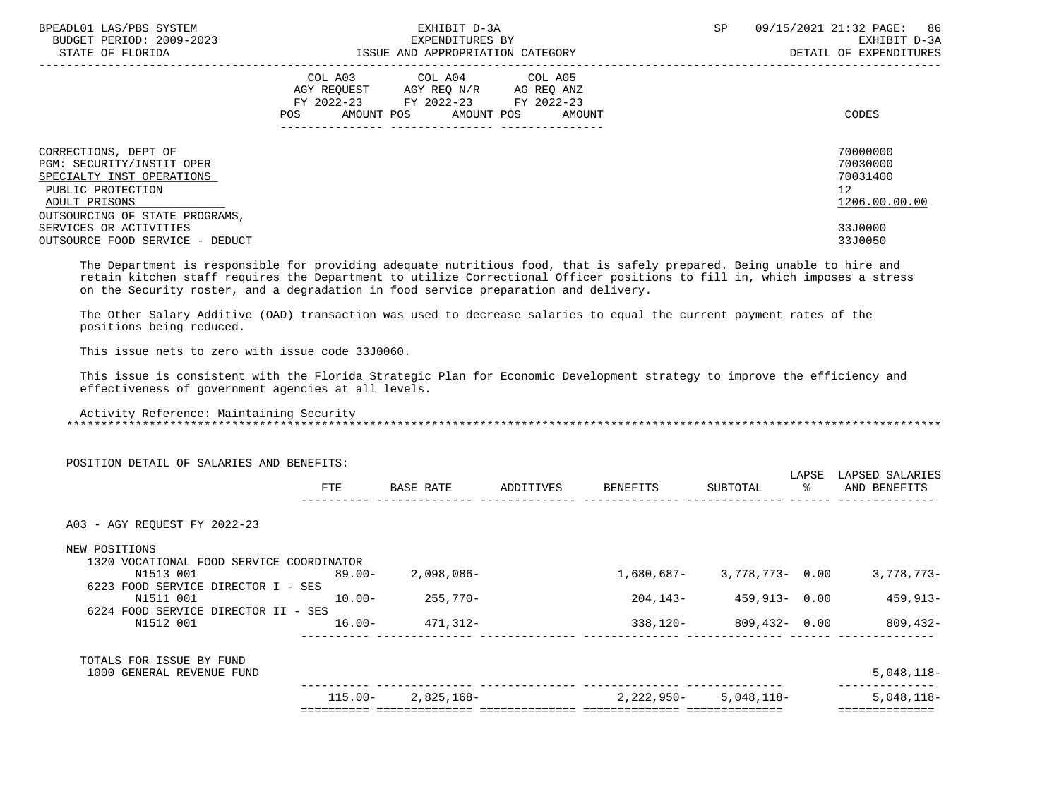| BPEADL01 LAS/PBS SYSTEM<br>BUDGET PERIOD: 2009-2023<br>STATE OF FLORIDA                                              | EXHIBIT D-3A<br>EXPENDITURES BY<br>ISSUE AND APPROPRIATION CATEGORY                                                                         | 09/15/2021 21:32 PAGE: 86<br><b>SP</b><br>EXHIBIT D-3A<br>DETAIL OF EXPENDITURES |
|----------------------------------------------------------------------------------------------------------------------|---------------------------------------------------------------------------------------------------------------------------------------------|----------------------------------------------------------------------------------|
|                                                                                                                      | COL A03 COL A04 COL A05<br>AGY REQUEST AGY REQ N/R AG REQ ANZ<br>FY 2022-23 FY 2022-23 FY 2022-23<br>AMOUNT POS AMOUNT POS<br>POS<br>AMOUNT | CODES                                                                            |
| CORRECTIONS, DEPT OF<br>PGM: SECURITY/INSTIT OPER<br>SPECIALTY INST OPERATIONS<br>PUBLIC PROTECTION<br>ADULT PRISONS |                                                                                                                                             | 70000000<br>70030000<br>70031400<br>12<br>1206.00.00.00                          |
| OUTSOURCING OF STATE PROGRAMS,<br>SERVICES OR ACTIVITIES<br>OUTSOURCE FOOD SERVICE - DEDUCT                          |                                                                                                                                             | 33J0000<br>33J0050                                                               |

 The Department is responsible for providing adequate nutritious food, that is safely prepared. Being unable to hire and retain kitchen staff requires the Department to utilize Correctional Officer positions to fill in, which imposes a stress on the Security roster, and a degradation in food service preparation and delivery.

 The Other Salary Additive (OAD) transaction was used to decrease salaries to equal the current payment rates of the positions being reduced.

This issue nets to zero with issue code 33J0060.

 This issue is consistent with the Florida Strategic Plan for Economic Development strategy to improve the efficiency and effectiveness of government agencies at all levels.

 Activity Reference: Maintaining Security \*\*\*\*\*\*\*\*\*\*\*\*\*\*\*\*\*\*\*\*\*\*\*\*\*\*\*\*\*\*\*\*\*\*\*\*\*\*\*\*\*\*\*\*\*\*\*\*\*\*\*\*\*\*\*\*\*\*\*\*\*\*\*\*\*\*\*\*\*\*\*\*\*\*\*\*\*\*\*\*\*\*\*\*\*\*\*\*\*\*\*\*\*\*\*\*\*\*\*\*\*\*\*\*\*\*\*\*\*\*\*\*\*\*\*\*\*\*\*\*\*\*\*\*\*\*\*

| POSITION DETAIL OF SALARIES AND BENEFITS:                                                   |            |            |           |            |                 |                        |                                 |
|---------------------------------------------------------------------------------------------|------------|------------|-----------|------------|-----------------|------------------------|---------------------------------|
|                                                                                             | FTE        | BASE RATE  | ADDITIVES | BENEFITS   | SUBTOTAL        | LAPSE<br>$\sim$ $\sim$ | LAPSED SALARIES<br>AND BENEFITS |
| A03 - AGY REOUEST FY 2022-23                                                                |            |            |           |            |                 |                        |                                 |
| NEW POSITIONS                                                                               |            |            |           |            |                 |                        |                                 |
| 1320 VOCATIONAL FOOD SERVICE COORDINATOR<br>N1513 001<br>6223 FOOD SERVICE DIRECTOR I - SES | 89.00-     | 2,098,086- |           | 1,680,687- | 3,778,773- 0.00 |                        | 3,778,773-                      |
| N1511 001<br>6224 FOOD SERVICE DIRECTOR II - SES                                            | $10.00 -$  | 255,770-   |           | 204,143-   | 459,913- 0.00   |                        | $459, 913 -$                    |
| N1512 001                                                                                   | $16.00 -$  | 471,312-   |           | 338,120-   | 809,432- 0.00   |                        | 809,432-                        |
| TOTALS FOR ISSUE BY FUND                                                                    |            |            |           |            |                 |                        |                                 |
| 1000 GENERAL REVENUE FUND                                                                   |            |            |           |            |                 |                        | $5,048,118-$                    |
|                                                                                             | $115.00 -$ | 2,825,168- |           | 2,222,950- | 5,048,118-      |                        | $5,048,118-$                    |
|                                                                                             |            |            |           |            |                 |                        |                                 |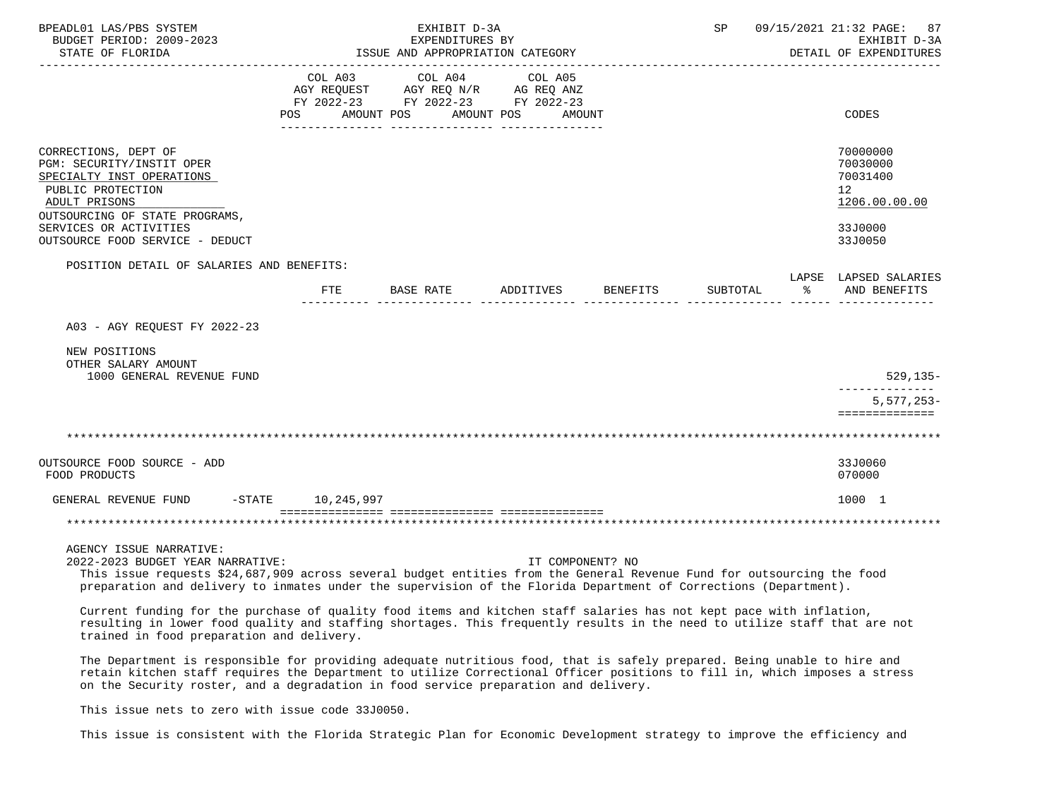| BPEADL01 LAS/PBS SYSTEM<br>BUDGET PERIOD: 2009-2023                                                                                                                                                                                                                                                       |                       | SP                    |                                                                                                 | 09/15/2021 21:32 PAGE:<br>87<br>EXHIBIT D-3A |          |          |                                                                                            |
|-----------------------------------------------------------------------------------------------------------------------------------------------------------------------------------------------------------------------------------------------------------------------------------------------------------|-----------------------|-----------------------|-------------------------------------------------------------------------------------------------|----------------------------------------------|----------|----------|--------------------------------------------------------------------------------------------|
| STATE OF FLORIDA                                                                                                                                                                                                                                                                                          |                       | EXPENDITURES BY       | ISSUE AND APPROPRIATION CATEGORY                                                                |                                              |          |          | DETAIL OF EXPENDITURES                                                                     |
|                                                                                                                                                                                                                                                                                                           | COL A03<br><b>POS</b> | COL A04<br>AMOUNT POS | COL A05<br>AGY REQUEST AGY REQ N/R AG REQ ANZ<br>FY 2022-23 FY 2022-23 FY 2022-23<br>AMOUNT POS | AMOUNT                                       |          |          | CODES                                                                                      |
| CORRECTIONS, DEPT OF<br>PGM: SECURITY/INSTIT OPER<br>SPECIALTY INST OPERATIONS<br>PUBLIC PROTECTION<br>ADULT PRISONS<br>OUTSOURCING OF STATE PROGRAMS,<br>SERVICES OR ACTIVITIES<br>OUTSOURCE FOOD SERVICE - DEDUCT                                                                                       |                       |                       |                                                                                                 |                                              |          |          | 70000000<br>70030000<br>70031400<br>12 <sup>°</sup><br>1206.00.00.00<br>33J0000<br>33J0050 |
| POSITION DETAIL OF SALARIES AND BENEFITS:                                                                                                                                                                                                                                                                 |                       |                       |                                                                                                 |                                              |          |          |                                                                                            |
|                                                                                                                                                                                                                                                                                                           | <b>FTE</b>            | BASE RATE             | ADDITIVES BENEFITS                                                                              |                                              | SUBTOTAL | $\sim$ 8 | LAPSE LAPSED SALARIES<br>AND BENEFITS                                                      |
| A03 - AGY REOUEST FY 2022-23<br>NEW POSITIONS                                                                                                                                                                                                                                                             |                       |                       |                                                                                                 |                                              |          |          |                                                                                            |
| OTHER SALARY AMOUNT<br>1000 GENERAL REVENUE FUND                                                                                                                                                                                                                                                          |                       |                       |                                                                                                 |                                              |          |          | $529, 135 -$                                                                               |
|                                                                                                                                                                                                                                                                                                           |                       |                       |                                                                                                 |                                              |          |          | -------------<br>$5,577,253-$<br>==============                                            |
|                                                                                                                                                                                                                                                                                                           |                       |                       |                                                                                                 |                                              |          |          |                                                                                            |
| OUTSOURCE FOOD SOURCE - ADD<br>FOOD PRODUCTS                                                                                                                                                                                                                                                              |                       |                       |                                                                                                 |                                              |          |          | 33J0060<br>070000                                                                          |
| GENERAL REVENUE FUND -STATE 10,245,997                                                                                                                                                                                                                                                                    |                       |                       |                                                                                                 |                                              |          |          | 1000 1                                                                                     |
|                                                                                                                                                                                                                                                                                                           |                       |                       |                                                                                                 |                                              |          |          |                                                                                            |
| AGENCY ISSUE NARRATIVE:<br>2022-2023 BUDGET YEAR NARRATIVE:<br>This issue requests \$24,687,909 across several budget entities from the General Revenue Fund for outsourcing the food<br>preparation and delivery to inmates under the supervision of the Florida Department of Corrections (Department). |                       |                       |                                                                                                 | IT COMPONENT? NO                             |          |          |                                                                                            |

 Current funding for the purchase of quality food items and kitchen staff salaries has not kept pace with inflation, resulting in lower food quality and staffing shortages. This frequently results in the need to utilize staff that are not trained in food preparation and delivery.

 The Department is responsible for providing adequate nutritious food, that is safely prepared. Being unable to hire and retain kitchen staff requires the Department to utilize Correctional Officer positions to fill in, which imposes a stress on the Security roster, and a degradation in food service preparation and delivery.

This issue nets to zero with issue code 33J0050.

This issue is consistent with the Florida Strategic Plan for Economic Development strategy to improve the efficiency and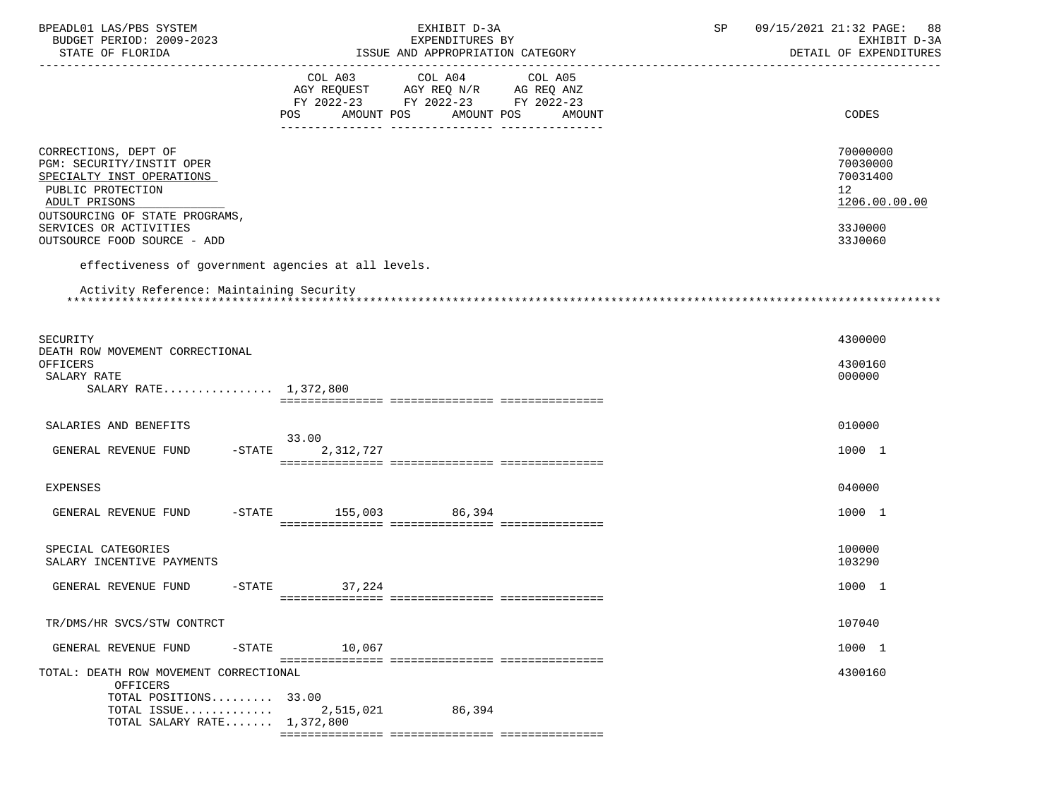| BPEADL01 LAS/PBS SYSTEM                                                                                                                                | EXHIBIT D-3A                                                                                         | 09/15/2021 21:32 PAGE:<br>SP<br>88                                   |
|--------------------------------------------------------------------------------------------------------------------------------------------------------|------------------------------------------------------------------------------------------------------|----------------------------------------------------------------------|
| BUDGET PERIOD: 2009-2023                                                                                                                               | EXPENDITURES BY<br>ISSUE AND APPROPRIATION CATEGORY                                                  | EXHIBIT D-3A<br>DETAIL OF EXPENDITURES                               |
| STATE OF FLORIDA                                                                                                                                       |                                                                                                      |                                                                      |
|                                                                                                                                                        | COL A03 COL A04<br>COL A05<br>AGY REQUEST AGY REQ N/R AG REQ ANZ<br>FY 2022-23 FY 2022-23 FY 2022-23 |                                                                      |
|                                                                                                                                                        | POS AMOUNT POS<br>AMOUNT POS AMOUNT                                                                  | CODES                                                                |
| CORRECTIONS, DEPT OF<br>PGM: SECURITY/INSTIT OPER<br>SPECIALTY INST OPERATIONS<br>PUBLIC PROTECTION<br>ADULT PRISONS<br>OUTSOURCING OF STATE PROGRAMS, |                                                                                                      | 70000000<br>70030000<br>70031400<br>12 <sup>°</sup><br>1206.00.00.00 |
| SERVICES OR ACTIVITIES<br>OUTSOURCE FOOD SOURCE - ADD                                                                                                  |                                                                                                      | 33J0000<br>33J0060                                                   |
| effectiveness of government agencies at all levels.                                                                                                    |                                                                                                      |                                                                      |
| Activity Reference: Maintaining Security                                                                                                               |                                                                                                      |                                                                      |
|                                                                                                                                                        |                                                                                                      |                                                                      |
| SECURITY                                                                                                                                               |                                                                                                      | 4300000                                                              |
| DEATH ROW MOVEMENT CORRECTIONAL<br>OFFICERS<br>SALARY RATE<br>SALARY RATE 1,372,800                                                                    |                                                                                                      | 4300160<br>000000                                                    |
|                                                                                                                                                        |                                                                                                      |                                                                      |
| SALARIES AND BENEFITS                                                                                                                                  | 33.00                                                                                                | 010000                                                               |
| GENERAL REVENUE FUND<br>$-$ STATE                                                                                                                      | 2,312,727                                                                                            | 1000 1                                                               |
| <b>EXPENSES</b>                                                                                                                                        |                                                                                                      | 040000                                                               |
| GENERAL REVENUE FUND                                                                                                                                   | -STATE 155,003 86,394                                                                                | 1000 1                                                               |
| SPECIAL CATEGORIES<br>SALARY INCENTIVE PAYMENTS                                                                                                        |                                                                                                      | 100000<br>103290                                                     |
| GENERAL REVENUE FUND                                                                                                                                   | $-STATE$ 37, 224                                                                                     | 1000 1                                                               |
|                                                                                                                                                        |                                                                                                      |                                                                      |
| TR/DMS/HR SVCS/STW CONTRCT                                                                                                                             |                                                                                                      | 107040                                                               |
| GENERAL REVENUE FUND<br>$-$ STATE                                                                                                                      | 10,067                                                                                               | 1000 1                                                               |
| TOTAL: DEATH ROW MOVEMENT CORRECTIONAL<br>OFFICERS<br>TOTAL POSITIONS 33.00                                                                            |                                                                                                      | 4300160                                                              |
| TOTAL ISSUE<br>TOTAL SALARY RATE 1,372,800                                                                                                             | 2,515,021<br>86,394                                                                                  |                                                                      |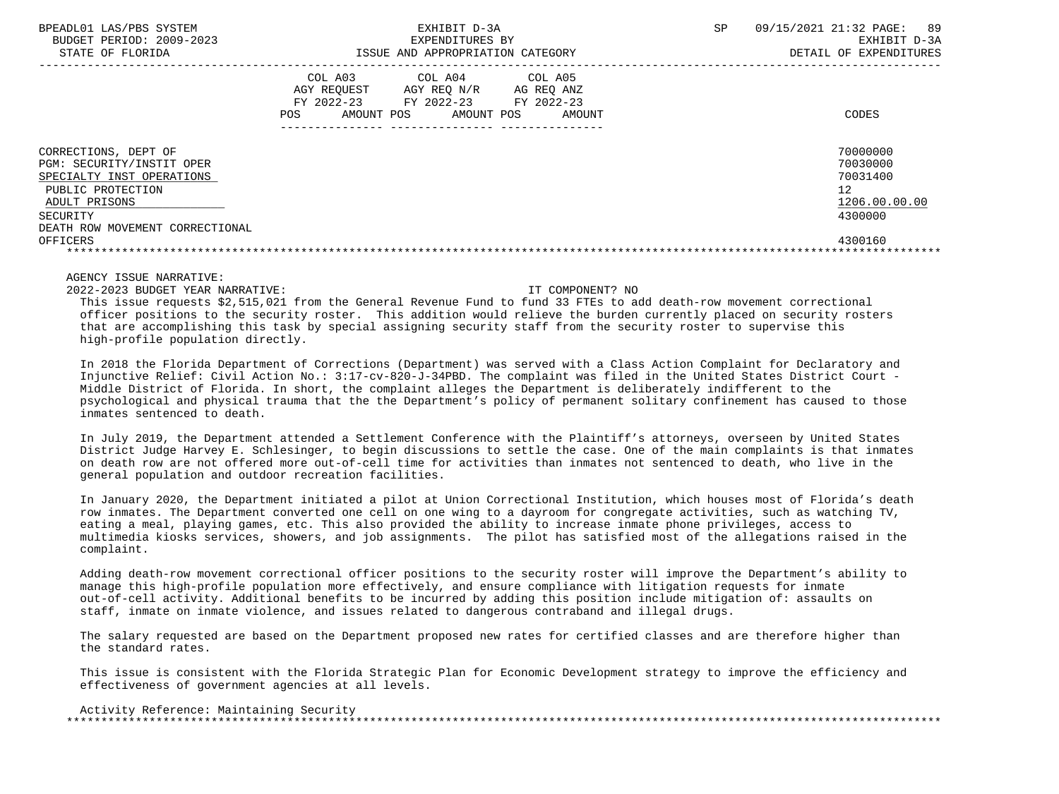|                                                                                                                                                                     | COL A03<br>AGY REOUEST<br>FY 2022-23<br>AMOUNT POS<br>POS | COL A04<br>AGY REO N/R<br>FY 2022-23<br>AMOUNT POS | COL A05<br>AG REO ANZ<br>FY 2022-23<br>AMOUNT | CODES                                                              |
|---------------------------------------------------------------------------------------------------------------------------------------------------------------------|-----------------------------------------------------------|----------------------------------------------------|-----------------------------------------------|--------------------------------------------------------------------|
|                                                                                                                                                                     |                                                           |                                                    |                                               |                                                                    |
| CORRECTIONS, DEPT OF<br>PGM: SECURITY/INSTIT OPER<br>SPECIALTY INST OPERATIONS<br>PUBLIC PROTECTION<br>ADULT PRISONS<br>SECURITY<br>DEATH ROW MOVEMENT CORRECTIONAL |                                                           |                                                    |                                               | 70000000<br>70030000<br>70031400<br>12<br>1206.00.00.00<br>4300000 |
| OFFICERS                                                                                                                                                            |                                                           |                                                    |                                               | 4300160                                                            |
|                                                                                                                                                                     |                                                           |                                                    |                                               |                                                                    |
|                                                                                                                                                                     |                                                           |                                                    |                                               |                                                                    |

2022-2023 BUDGET YEAR NARRATIVE: IT COMPONENT? NO

 This issue requests \$2,515,021 from the General Revenue Fund to fund 33 FTEs to add death-row movement correctional officer positions to the security roster. This addition would relieve the burden currently placed on security rosters that are accomplishing this task by special assigning security staff from the security roster to supervise this high-profile population directly.

 In 2018 the Florida Department of Corrections (Department) was served with a Class Action Complaint for Declaratory and Injunctive Relief: Civil Action No.: 3:17-cv-820-J-34PBD. The complaint was filed in the United States District Court - Middle District of Florida. In short, the complaint alleges the Department is deliberately indifferent to the psychological and physical trauma that the the Department's policy of permanent solitary confinement has caused to those .<br>inmates sentenced to death

 In July 2019, the Department attended a Settlement Conference with the Plaintiff's attorneys, overseen by United States District Judge Harvey E. Schlesinger, to begin discussions to settle the case. One of the main complaints is that inmates on death row are not offered more out-of-cell time for activities than inmates not sentenced to death, who live in the general population and outdoor recreation facilities.

 In January 2020, the Department initiated a pilot at Union Correctional Institution, which houses most of Florida's death row inmates. The Department converted one cell on one wing to a dayroom for congregate activities, such as watching TV, eating a meal, playing games, etc. This also provided the ability to increase inmate phone privileges, access to multimedia kiosks services, showers, and job assignments. The pilot has satisfied most of the allegations raised in the complaint.

 Adding death-row movement correctional officer positions to the security roster will improve the Department's ability to manage this high-profile population more effectively, and ensure compliance with litigation requests for inmate out-of-cell activity. Additional benefits to be incurred by adding this position include mitigation of: assaults on staff, inmate on inmate violence, and issues related to dangerous contraband and illegal drugs.

 The salary requested are based on the Department proposed new rates for certified classes and are therefore higher than the standard rates.

 This issue is consistent with the Florida Strategic Plan for Economic Development strategy to improve the efficiency and effectiveness of government agencies at all levels.

 Activity Reference: Maintaining Security \*\*\*\*\*\*\*\*\*\*\*\*\*\*\*\*\*\*\*\*\*\*\*\*\*\*\*\*\*\*\*\*\*\*\*\*\*\*\*\*\*\*\*\*\*\*\*\*\*\*\*\*\*\*\*\*\*\*\*\*\*\*\*\*\*\*\*\*\*\*\*\*\*\*\*\*\*\*\*\*\*\*\*\*\*\*\*\*\*\*\*\*\*\*\*\*\*\*\*\*\*\*\*\*\*\*\*\*\*\*\*\*\*\*\*\*\*\*\*\*\*\*\*\*\*\*\*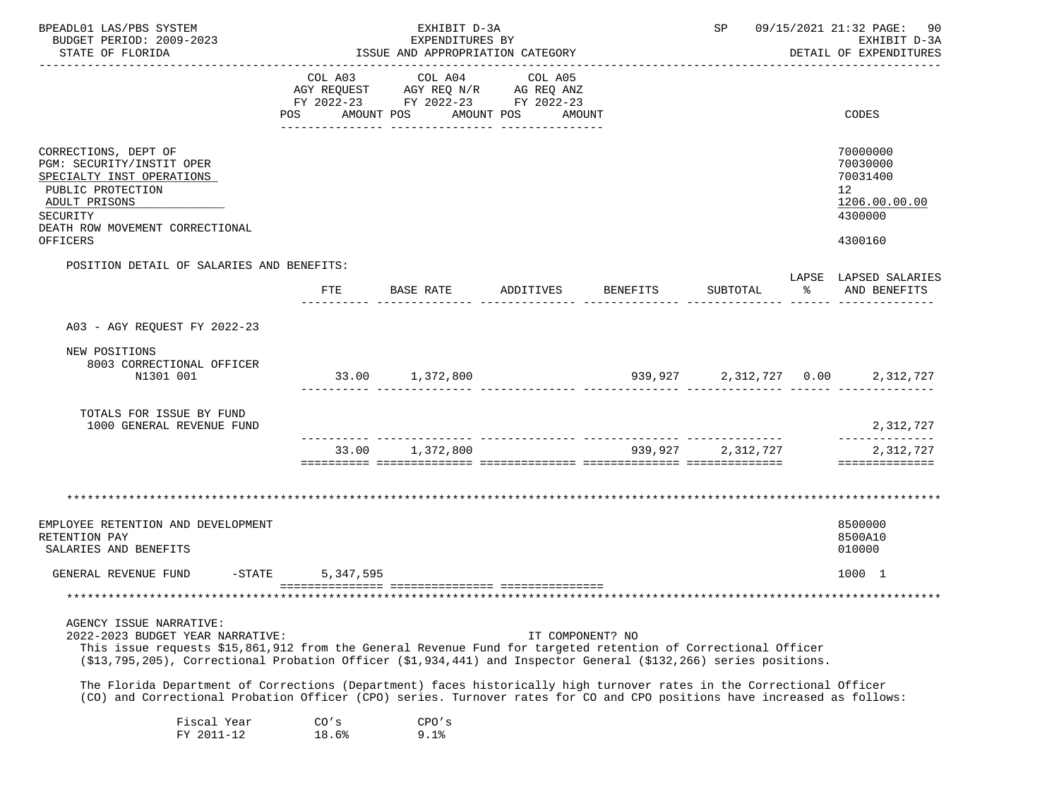| BPEADL01 LAS/PBS SYSTEM                                                                                                                                                                                                                           |                                  | EXHIBIT D-3A<br>EXPENDITURES BY               |                    |  | SP 09/15/2021 21:32 PAGE:<br>90     |                                                                                                     |                                        |  |
|---------------------------------------------------------------------------------------------------------------------------------------------------------------------------------------------------------------------------------------------------|----------------------------------|-----------------------------------------------|--------------------|--|-------------------------------------|-----------------------------------------------------------------------------------------------------|----------------------------------------|--|
| BUDGET PERIOD: 2009-2023<br>STATE OF FLORIDA                                                                                                                                                                                                      | ISSUE AND APPROPRIATION CATEGORY |                                               |                    |  |                                     |                                                                                                     | EXHIBIT D-3A<br>DETAIL OF EXPENDITURES |  |
|                                                                                                                                                                                                                                                   |                                  |                                               |                    |  |                                     |                                                                                                     |                                        |  |
|                                                                                                                                                                                                                                                   | COL A03                          | COL A04<br>AGY REQUEST AGY REQ N/R AG REQ ANZ | COL A05            |  |                                     |                                                                                                     |                                        |  |
|                                                                                                                                                                                                                                                   |                                  | FY 2022-23 FY 2022-23 FY 2022-23              |                    |  |                                     |                                                                                                     |                                        |  |
|                                                                                                                                                                                                                                                   | POS<br>AMOUNT POS                |                                               | AMOUNT POS AMOUNT  |  |                                     |                                                                                                     | CODES                                  |  |
|                                                                                                                                                                                                                                                   |                                  |                                               |                    |  |                                     |                                                                                                     |                                        |  |
| CORRECTIONS, DEPT OF                                                                                                                                                                                                                              |                                  |                                               |                    |  |                                     |                                                                                                     | 70000000                               |  |
| PGM: SECURITY/INSTIT OPER                                                                                                                                                                                                                         |                                  |                                               |                    |  |                                     |                                                                                                     | 70030000                               |  |
| SPECIALTY INST OPERATIONS                                                                                                                                                                                                                         |                                  |                                               |                    |  |                                     |                                                                                                     | 70031400                               |  |
| PUBLIC PROTECTION<br>ADULT PRISONS                                                                                                                                                                                                                |                                  |                                               |                    |  |                                     |                                                                                                     | 12 <sup>°</sup><br>1206.00.00.00       |  |
| SECURITY                                                                                                                                                                                                                                          |                                  |                                               |                    |  |                                     |                                                                                                     | 4300000                                |  |
| DEATH ROW MOVEMENT CORRECTIONAL                                                                                                                                                                                                                   |                                  |                                               |                    |  |                                     |                                                                                                     |                                        |  |
| OFFICERS                                                                                                                                                                                                                                          |                                  |                                               |                    |  |                                     |                                                                                                     | 4300160                                |  |
| POSITION DETAIL OF SALARIES AND BENEFITS:                                                                                                                                                                                                         |                                  |                                               |                    |  |                                     |                                                                                                     |                                        |  |
|                                                                                                                                                                                                                                                   | FTE                              | BASE RATE                                     | ADDITIVES BENEFITS |  | SUBTOTAL                            | ာ အောက် အောက် အောက် အောက် အောက် အောက် အောက် အောက် အောက် အောက် အောက် အောက် အောက် အောက် အောက် အောက် အ | LAPSE LAPSED SALARIES<br>AND BENEFITS  |  |
|                                                                                                                                                                                                                                                   |                                  |                                               |                    |  | ------- -------------- ------ ----- |                                                                                                     |                                        |  |
| A03 - AGY REQUEST FY 2022-23                                                                                                                                                                                                                      |                                  |                                               |                    |  |                                     |                                                                                                     |                                        |  |
| NEW POSITIONS                                                                                                                                                                                                                                     |                                  |                                               |                    |  |                                     |                                                                                                     |                                        |  |
| 8003 CORRECTIONAL OFFICER                                                                                                                                                                                                                         |                                  |                                               |                    |  |                                     |                                                                                                     |                                        |  |
| N1301 001                                                                                                                                                                                                                                         |                                  | 33.00 1,372,800                               |                    |  |                                     |                                                                                                     | 939,927 2,312,727 0.00 2,312,727       |  |
|                                                                                                                                                                                                                                                   |                                  |                                               |                    |  |                                     |                                                                                                     |                                        |  |
| TOTALS FOR ISSUE BY FUND<br>1000 GENERAL REVENUE FUND                                                                                                                                                                                             |                                  |                                               |                    |  |                                     |                                                                                                     | 2,312,727                              |  |
|                                                                                                                                                                                                                                                   |                                  | 33.00 1,372,800                               |                    |  | 939,927 2,312,727                   |                                                                                                     | --------------<br>2,312,727            |  |
|                                                                                                                                                                                                                                                   |                                  |                                               |                    |  |                                     |                                                                                                     | ==============                         |  |
|                                                                                                                                                                                                                                                   |                                  |                                               |                    |  |                                     |                                                                                                     |                                        |  |
|                                                                                                                                                                                                                                                   |                                  |                                               |                    |  |                                     |                                                                                                     |                                        |  |
| EMPLOYEE RETENTION AND DEVELOPMENT                                                                                                                                                                                                                |                                  |                                               |                    |  |                                     |                                                                                                     | 8500000                                |  |
| RETENTION PAY                                                                                                                                                                                                                                     |                                  |                                               |                    |  |                                     |                                                                                                     | 8500A10                                |  |
| SALARIES AND BENEFITS                                                                                                                                                                                                                             |                                  |                                               |                    |  |                                     |                                                                                                     | 010000                                 |  |
| GENERAL REVENUE FUND<br>$-$ STATE                                                                                                                                                                                                                 | 5,347,595                        |                                               |                    |  |                                     |                                                                                                     | 1000 1                                 |  |
|                                                                                                                                                                                                                                                   |                                  |                                               |                    |  |                                     |                                                                                                     |                                        |  |
| *******************************                                                                                                                                                                                                                   |                                  |                                               |                    |  |                                     |                                                                                                     |                                        |  |
| AGENCY ISSUE NARRATIVE:<br>2022-2023 BUDGET YEAR NARRATIVE:                                                                                                                                                                                       |                                  |                                               | IT COMPONENT? NO   |  |                                     |                                                                                                     |                                        |  |
| This issue requests \$15,861,912 from the General Revenue Fund for targeted retention of Correctional Officer                                                                                                                                     |                                  |                                               |                    |  |                                     |                                                                                                     |                                        |  |
| (\$13,795,205), Correctional Probation Officer (\$1,934,441) and Inspector General (\$132,266) series positions.                                                                                                                                  |                                  |                                               |                    |  |                                     |                                                                                                     |                                        |  |
| The Florida Department of Corrections (Department) faces historically high turnover rates in the Correctional Officer<br>(CO) and Correctional Probation Officer (CPO) series. Turnover rates for CO and CPO positions have increased as follows: |                                  |                                               |                    |  |                                     |                                                                                                     |                                        |  |
| Fiscal Year                                                                                                                                                                                                                                       | CO's                             | CPO's                                         |                    |  |                                     |                                                                                                     |                                        |  |
| FY 2011-12                                                                                                                                                                                                                                        | 18.6%                            | 9.1%                                          |                    |  |                                     |                                                                                                     |                                        |  |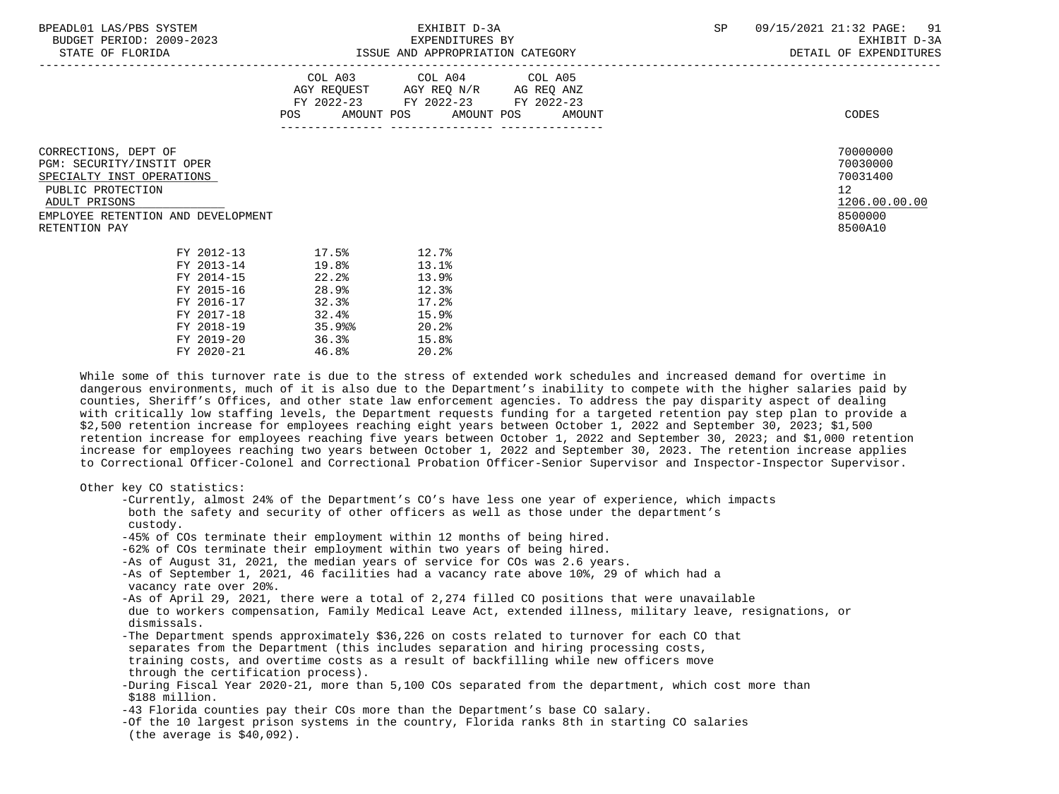| BPEADL01<br>AS/PBS:<br>SYSTEM<br>⊥AS / | ----------<br>____<br>EXHIBIT.<br>$\cdots$<br>د م ب | na<br>,/2021<br>$\mathtt{PAGE}$ :<br>- 4 1 ·<br>5.52.1 |                           |
|----------------------------------------|-----------------------------------------------------|--------------------------------------------------------|---------------------------|
| 2009-2023<br>BUDGET PERIOD:            | EXPENDITURES BY                                     | EXHIBIT                                                | $\sim$ $\sim$<br>$\cdots$ |

|                                                                                                                                                                             | COL A03<br>AGY REQUEST<br>FY 2022-23<br>AMOUNT POS<br>POS   | COL A04<br>AGY REQ N/R<br>FY 2022-23<br>AMOUNT POS          | COL A05<br>AG REQ ANZ<br>FY 2022-23<br>AMOUNT | CODES                                                                                      |
|-----------------------------------------------------------------------------------------------------------------------------------------------------------------------------|-------------------------------------------------------------|-------------------------------------------------------------|-----------------------------------------------|--------------------------------------------------------------------------------------------|
| CORRECTIONS, DEPT OF<br>PGM: SECURITY/INSTIT OPER<br>SPECIALTY INST OPERATIONS<br>PUBLIC PROTECTION<br>ADULT PRISONS<br>EMPLOYEE RETENTION AND DEVELOPMENT<br>RETENTION PAY |                                                             |                                                             |                                               | 70000000<br>70030000<br>70031400<br>12 <sup>°</sup><br>1206.00.00.00<br>8500000<br>8500A10 |
| FY 2012-13<br>FY 2013-14<br>FY 2014-15<br>FY 2015-16<br>FY 2016-17<br>FY 2017-18<br>FY 2018-19                                                                              | 17.5%<br>19.8%<br>22.2<br>28.9%<br>32.3%<br>32.4%<br>35.9%% | 12.7%<br>13.1%<br>13.9%<br>12.3%<br>17.2%<br>15.9%<br>20.2% |                                               |                                                                                            |

-----------------------------------------------------------------------------------------------------------------------------------

 While some of this turnover rate is due to the stress of extended work schedules and increased demand for overtime in dangerous environments, much of it is also due to the Department's inability to compete with the higher salaries paid by counties, Sheriff's Offices, and other state law enforcement agencies. To address the pay disparity aspect of dealing with critically low staffing levels, the Department requests funding for a targeted retention pay step plan to provide a \$2,500 retention increase for employees reaching eight years between October 1, 2022 and September 30, 2023; \$1,500 retention increase for employees reaching five years between October 1, 2022 and September 30, 2023; and \$1,000 retention increase for employees reaching two years between October 1, 2022 and September 30, 2023. The retention increase applies to Correctional Officer-Colonel and Correctional Probation Officer-Senior Supervisor and Inspector-Inspector Supervisor.

| Other key CO statistics:                                                                                                    |
|-----------------------------------------------------------------------------------------------------------------------------|
| -Currently, almost 24% of the Department's CO's have less one year of experience, which impacts                             |
| both the safety and security of other officers as well as those under the department's                                      |
| custody.                                                                                                                    |
| -45% of COs terminate their employment within 12 months of being hired.                                                     |
| -62% of COs terminate their employment within two years of being hired.                                                     |
| -As of August 31, 2021, the median years of service for COs was 2.6 years.                                                  |
| -As of September 1, 2021, 46 facilities had a vacancy rate above 10%, 29 of which had a<br>vacancy rate over 20%.           |
| -As of April 29, 2021, there were a total of 2,274 filled CO positions that were unavailable                                |
| due to workers compensation, Family Medical Leave Act, extended illness, military leave, resignations, or<br>dismissals.    |
| -The Department spends approximately \$36,226 on costs related to turnover for each CO that                                 |
| separates from the Department (this includes separation and hiring processing costs,                                        |
| training costs, and overtime costs as a result of backfilling while new officers move                                       |
| through the certification process).                                                                                         |
| -During Fiscal Year 2020-21, more than 5,100 COs separated from the department, which cost more than                        |
| \$188 million.                                                                                                              |
| -43 Florida counties pay their COs more than the Department's base CO salary.                                               |
| -Of the 10 largest prison systems in the country, Florida ranks 8th in starting CO salaries<br>(the average is $$40,092$ ). |
|                                                                                                                             |

FY 2018-19 35.9%% 20.2%<br>FY 2019-20 36.3% 15.8% FY 2019-20 36.3% 15.8%<br>FY 2020-21 46.8% 20.2%

 $FY 2020-21$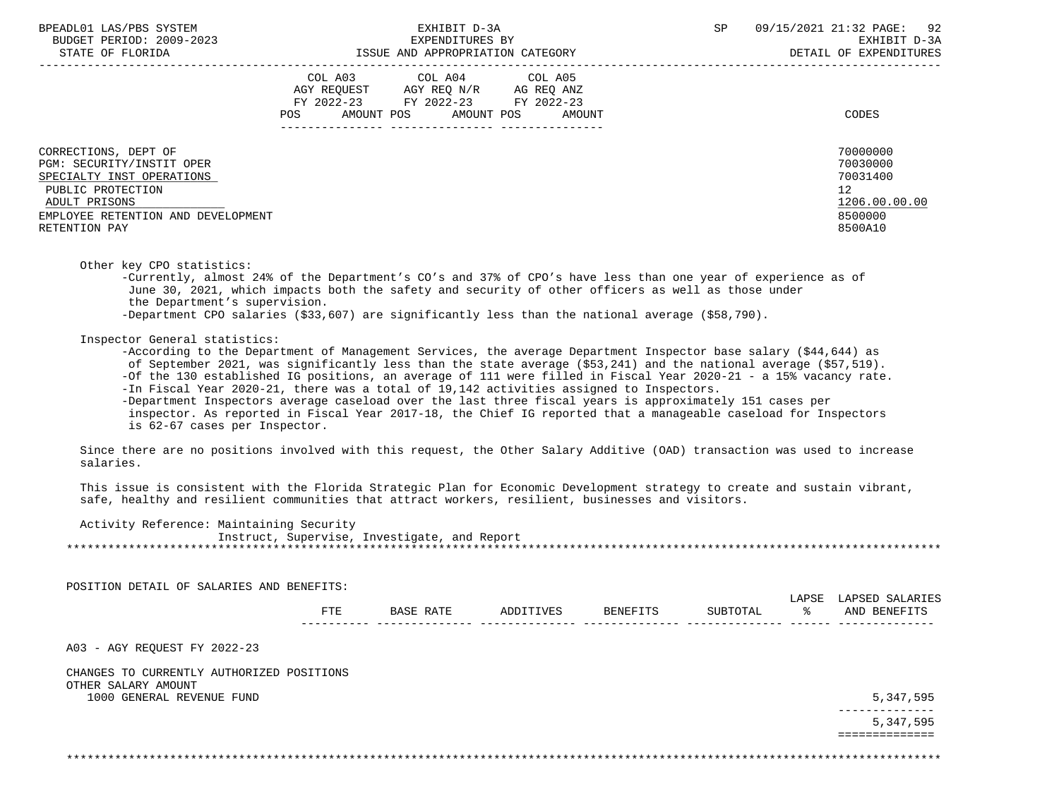|                                                                                                                                                                             | COL A03<br>AGY REQUEST<br>FY 2022-23<br>AMOUNT POS<br>POS | COL A04<br>AGY REQ N/R<br>FY 2022-23<br>AMOUNT POS | COL A05<br>AG REQ ANZ<br>FY 2022-23<br>AMOUNT | CODES                                                                         |
|-----------------------------------------------------------------------------------------------------------------------------------------------------------------------------|-----------------------------------------------------------|----------------------------------------------------|-----------------------------------------------|-------------------------------------------------------------------------------|
| CORRECTIONS, DEPT OF<br>PGM: SECURITY/INSTIT OPER<br>SPECIALTY INST OPERATIONS<br>PUBLIC PROTECTION<br>ADULT PRISONS<br>EMPLOYEE RETENTION AND DEVELOPMENT<br>RETENTION PAY |                                                           |                                                    |                                               | 70000000<br>70030000<br>70031400<br>12<br>1206.00.00.00<br>8500000<br>8500A10 |

Other key CPO statistics:

 -Currently, almost 24% of the Department's CO's and 37% of CPO's have less than one year of experience as of June 30, 2021, which impacts both the safety and security of other officers as well as those under the Department's supervision. -Department CPO salaries (\$33,607) are significantly less than the national average (\$58,790).

### Inspector General statistics:

 -According to the Department of Management Services, the average Department Inspector base salary (\$44,644) as of September 2021, was significantly less than the state average (\$53,241) and the national average (\$57,519). -Of the 130 established IG positions, an average of 111 were filled in Fiscal Year 2020-21 - a 15% vacancy rate. -In Fiscal Year 2020-21, there was a total of 19,142 activities assigned to Inspectors. -Department Inspectors average caseload over the last three fiscal years is approximately 151 cases per inspector. As reported in Fiscal Year 2017-18, the Chief IG reported that a manageable caseload for Inspectors is 62-67 cases per Inspector.

 Since there are no positions involved with this request, the Other Salary Additive (OAD) transaction was used to increase salaries.

 This issue is consistent with the Florida Strategic Plan for Economic Development strategy to create and sustain vibrant, safe, healthy and resilient communities that attract workers, resilient, businesses and visitors.

Activity Reference: Maintaining Security

 Instruct, Supervise, Investigate, and Report \*\*\*\*\*\*\*\*\*\*\*\*\*\*\*\*\*\*\*\*\*\*\*\*\*\*\*\*\*\*\*\*\*\*\*\*\*\*\*\*\*\*\*\*\*\*\*\*\*\*\*\*\*\*\*\*\*\*\*\*\*\*\*\*\*\*\*\*\*\*\*\*\*\*\*\*\*\*\*\*\*\*\*\*\*\*\*\*\*\*\*\*\*\*\*\*\*\*\*\*\*\*\*\*\*\*\*\*\*\*\*\*\*\*\*\*\*\*\*\*\*\*\*\*\*\*\*

POSITION DETAIL OF SALARIES AND BENEFITS:

|              |                               |         |                 | $\pi$ $\pi$ $\pi$<br>∠ > ⊾<br>⊥∟∆ | <b>ADSET</b><br>$\mathbf{A}$<br>. |
|--------------|-------------------------------|---------|-----------------|-----------------------------------|-----------------------------------|
| 모모모<br>7 I D | TVES:<br>nг<br>$\overline{ }$ | BENEFIT | <b>TUBTOTAL</b> |                                   | ANI<br><b>RENEE</b>               |
| $-  -$       |                               |         |                 |                                   | ___                               |

A03 - AGY REQUEST FY 2022-23

 CHANGES TO CURRENTLY AUTHORIZED POSITIONS OTHER SALARY AMOUNT 1000 GENERAL REVENUE FUND 5,347,595

 -------------- 5,347,595 ==============

\*\*\*\*\*\*\*\*\*\*\*\*\*\*\*\*\*\*\*\*\*\*\*\*\*\*\*\*\*\*\*\*\*\*\*\*\*\*\*\*\*\*\*\*\*\*\*\*\*\*\*\*\*\*\*\*\*\*\*\*\*\*\*\*\*\*\*\*\*\*\*\*\*\*\*\*\*\*\*\*\*\*\*\*\*\*\*\*\*\*\*\*\*\*\*\*\*\*\*\*\*\*\*\*\*\*\*\*\*\*\*\*\*\*\*\*\*\*\*\*\*\*\*\*\*\*\*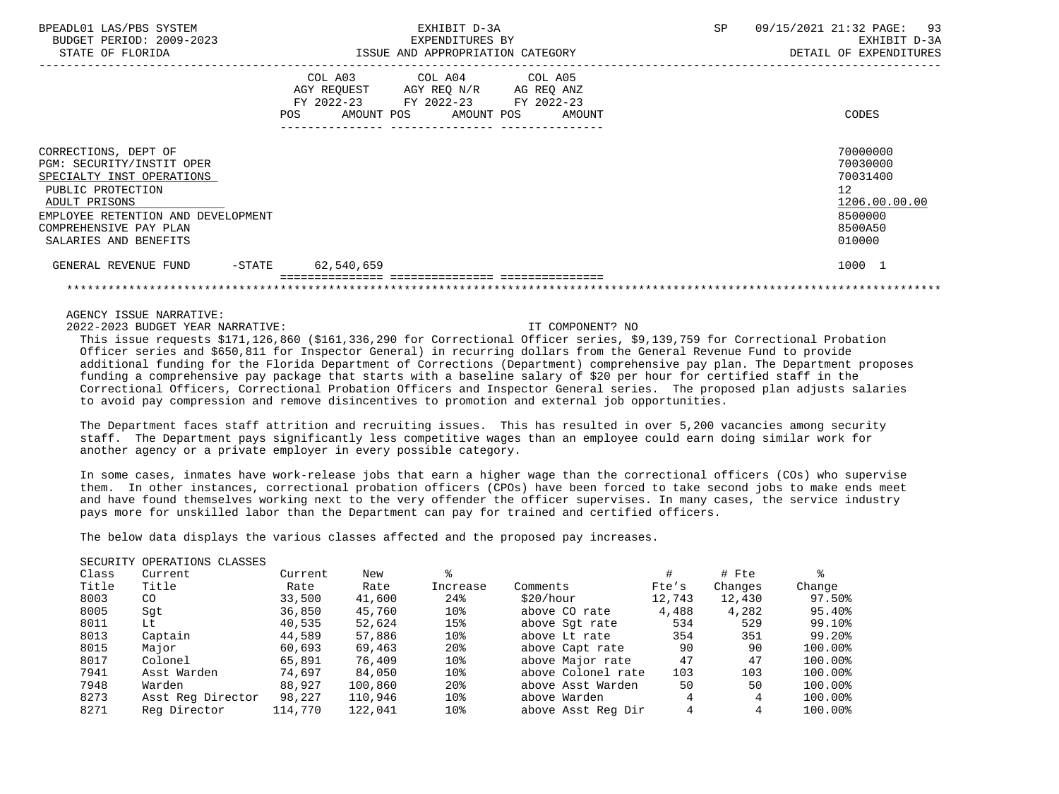| BPEADL01 LAS/PBS SYSTEM<br>BUDGET PERIOD: 2009-2023<br>STATE OF FLORIDA                                                                                                                                       | EXHIBIT D-3A<br>EXPENDITURES BY<br>ISSUE AND APPROPRIATION CATEGORY                                                                      | 09/15/2021 21:32 PAGE: 93<br>SP<br>EXHIBIT D-3A<br>DETAIL OF EXPENDITURES               |
|---------------------------------------------------------------------------------------------------------------------------------------------------------------------------------------------------------------|------------------------------------------------------------------------------------------------------------------------------------------|-----------------------------------------------------------------------------------------|
|                                                                                                                                                                                                               | COL A03 COL A04 COL A05<br>AGY REQUEST AGY REQ N/R AG REQ ANZ<br>FY 2022-23 FY 2022-23 FY 2022-23<br>POS<br>AMOUNT POS AMOUNT POS AMOUNT | CODES                                                                                   |
| CORRECTIONS, DEPT OF<br>PGM: SECURITY/INSTIT OPER<br>SPECIALTY INST OPERATIONS<br>PUBLIC PROTECTION<br>ADULT PRISONS<br>EMPLOYEE RETENTION AND DEVELOPMENT<br>COMPREHENSIVE PAY PLAN<br>SALARIES AND BENEFITS |                                                                                                                                          | 70000000<br>70030000<br>70031400<br>12<br>1206.00.00.00<br>8500000<br>8500A50<br>010000 |
| GENERAL REVENUE FUND                                                                                                                                                                                          | -STATE 62,540,659                                                                                                                        | 1000 1                                                                                  |
|                                                                                                                                                                                                               |                                                                                                                                          |                                                                                         |

2022-2023 BUDGET YEAR NARRATIVE: IT COMPONENT? NO

 This issue requests \$171,126,860 (\$161,336,290 for Correctional Officer series, \$9,139,759 for Correctional Probation Officer series and \$650,811 for Inspector General) in recurring dollars from the General Revenue Fund to provide additional funding for the Florida Department of Corrections (Department) comprehensive pay plan. The Department proposes funding a comprehensive pay package that starts with a baseline salary of \$20 per hour for certified staff in the Correctional Officers, Correctional Probation Officers and Inspector General series. The proposed plan adjusts salaries to avoid pay compression and remove disincentives to promotion and external job opportunities.

 The Department faces staff attrition and recruiting issues. This has resulted in over 5,200 vacancies among security staff. The Department pays significantly less competitive wages than an employee could earn doing similar work for another agency or a private employer in every possible category.

 In some cases, inmates have work-release jobs that earn a higher wage than the correctional officers (COs) who supervise them. In other instances, correctional probation officers (CPOs) have been forced to take second jobs to make ends meet and have found themselves working next to the very offender the officer supervises. In many cases, the service industry pays more for unskilled labor than the Department can pay for trained and certified officers.

The below data displays the various classes affected and the proposed pay increases.

### SECURITY OPERATIONS CLASSES

| Class | Current           | Current | New     |                 |                    |        | # Fte   |         |
|-------|-------------------|---------|---------|-----------------|--------------------|--------|---------|---------|
| Title | Title             | Rate    | Rate    | Increase        | Comments           | Fte's  | Changes | Change  |
| 8003  | CO <sub>.</sub>   | 33,500  | 41,600  | 24%             | \$20/hour          | 12,743 | 12,430  | 97.50%  |
| 8005  | Sqt               | 36,850  | 45,760  | 10%             | above CO rate      | 4,488  | 4,282   | 95.40%  |
| 8011  | Lt                | 40,535  | 52,624  | 15%             | above Sqt rate     | 534    | 529     | 99.10%  |
| 8013  | Captain           | 44,589  | 57,886  | 10%             | above Lt rate      | 354    | 351     | 99.20%  |
| 8015  | Major             | 60,693  | 69,463  | 20 <sup>8</sup> | above Capt rate    | 90     | 90      | 100.00% |
| 8017  | Colonel           | 65,891  | 76,409  | 10%             | above Major rate   | 47     | 47      | 100.00% |
| 7941  | Asst Warden       | 74,697  | 84,050  | 10%             | above Colonel rate | 103    | 103     | 100.00% |
| 7948  | Warden            | 88,927  | 100,860 | 20 <sup>8</sup> | above Asst Warden  | 50     | 50      | 100.00% |
| 8273  | Asst Req Director | 98,227  | 110,946 | 10%             | above Warden       |        |         | 100.00% |
| 8271  | Reg Director      | 114,770 | 122,041 | 10%             | above Asst Reg Dir | 4      |         | 100.00% |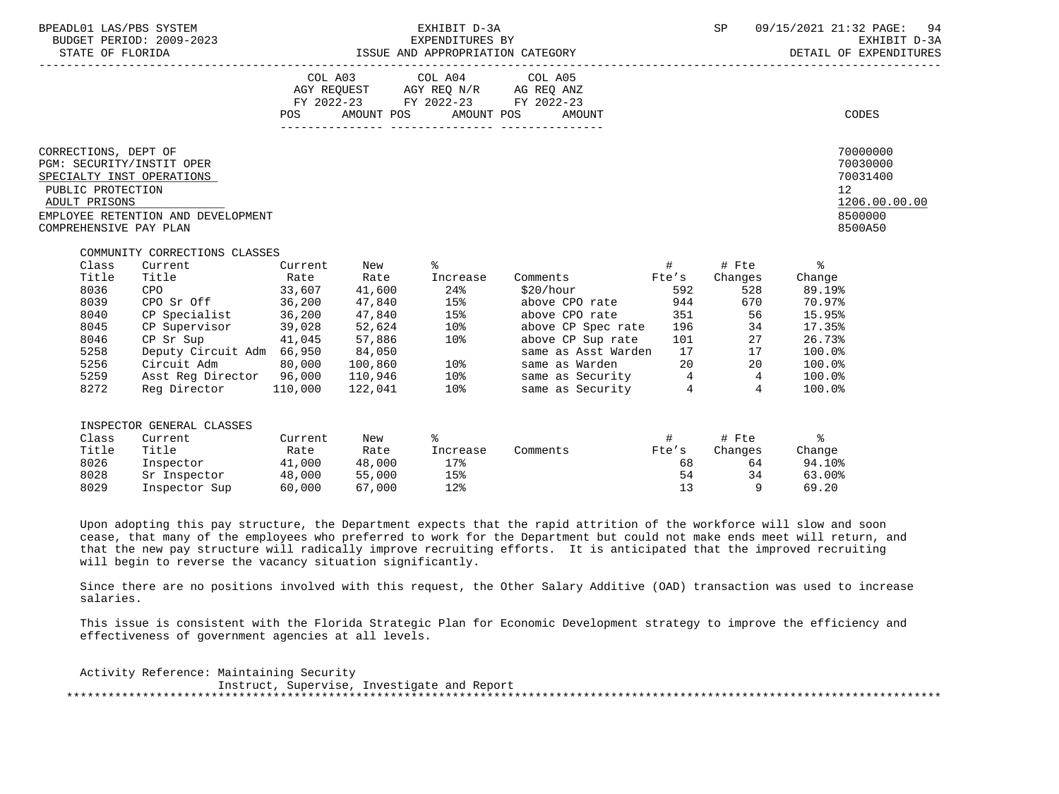| BPEADL01 LAS/PBS SYSTEM<br>BUDGET PERIOD: 2009-2023<br>STATE OF FLORIDA<br>---------------<br>EXPENDITURES BY FAIL DESCRIPT AND A EXPENDITURE SPARE OF FLORIDE THE STATE OF FLORIDA FEXHIBIT STATE OF FLORID<br>STATE OF FLORIDA ISSUE AND APPROPRIATION CATEGORY DETAIL OF EXPENDITURES AND APPROPRIATION CATEGORY |                                                                                                                                                                                                                                                          |                                      | EXHIBIT D-3A                                                                                                                   |                                                                                                                                                                                                                                       |                | SP                                                                                                                                                                                                                                                                                                                                               | 09/15/2021 21:32 PAGE:                                                                                         | 94<br>EXHIBIT D-3A<br>DETAIL OF EXPENDITURES                            |
|---------------------------------------------------------------------------------------------------------------------------------------------------------------------------------------------------------------------------------------------------------------------------------------------------------------------|----------------------------------------------------------------------------------------------------------------------------------------------------------------------------------------------------------------------------------------------------------|--------------------------------------|--------------------------------------------------------------------------------------------------------------------------------|---------------------------------------------------------------------------------------------------------------------------------------------------------------------------------------------------------------------------------------|----------------|--------------------------------------------------------------------------------------------------------------------------------------------------------------------------------------------------------------------------------------------------------------------------------------------------------------------------------------------------|----------------------------------------------------------------------------------------------------------------|-------------------------------------------------------------------------|
|                                                                                                                                                                                                                                                                                                                     |                                                                                                                                                                                                                                                          |                                      | COL A03 COL A04 COL A05<br>AGY REQUEST AGY REQ N/R AG REQ ANZ<br>FY 2022-23 FY 2022-23 FY 2022-23<br>POS AMOUNT POS AMOUNT POS | AMOUNT                                                                                                                                                                                                                                |                |                                                                                                                                                                                                                                                                                                                                                  |                                                                                                                | CODES                                                                   |
| CORRECTIONS, DEPT OF<br>PGM: SECURITY/INSTIT OPER<br>SPECIALTY INST OPERATIONS<br>PUBLIC PROTECTION<br>ADULT PRISONS<br>EMPLOYEE RETENTION AND DEVELOPMENT<br>COMPREHENSIVE PAY PLAN                                                                                                                                |                                                                                                                                                                                                                                                          |                                      |                                                                                                                                |                                                                                                                                                                                                                                       |                |                                                                                                                                                                                                                                                                                                                                                  | 12                                                                                                             | 70000000<br>70030000<br>70031400<br>1206.00.00.00<br>8500000<br>8500A50 |
| COMMUNITY CORRECTIONS CLASSES<br>Class<br>Title<br>8036<br>8039<br>8040<br>CP Specialist 36,200<br>8045<br>8046<br>CP Sr Sup 41,045<br>5258<br>5256<br>5259<br>8272                                                                                                                                                 | Current Current<br>Title Rate Rate<br>CPO 33,607 41,600<br>CPO Sr Off 36,200<br>$CP$ Supervisor 39,028<br>Deputy Circuit Adm 66,950 84,050<br>Circuit Adm 80,000 100,860 10%<br>Asst Reg Director 96,000 110,946 10%<br>Reg Director 110,000 122,041 10% | 47,840<br>47,840<br>52,624<br>57,886 | New $\approx$<br>Increase<br>24%<br>15%<br>15%<br>10%<br>10%                                                                   | Comments Fte's<br>\$20/hour 592<br>above CPO rate 944<br>above CPO rate 351 56<br>above CP Spec rate<br>above CP Sup rate 101 27<br>same as Asst Warden 17 17<br>same as Warden 20 20<br>same as Security 4 4<br>same as Security 4 4 |                | $\qquad \qquad \, +$ $\qquad \qquad \, +$ $\qquad \, +$ $\qquad \, +$ $\qquad \, +$ $\qquad \, +$ $\qquad \, +$ $\qquad \,  \qquad \,  \qquad \,  \qquad \,  \qquad \,  \qquad \,  \qquad \,  \qquad \,  \qquad \,  \qquad \,  \qquad \,  \qquad \,  \qquad \,  \qquad \,  \qquad \,  \qquad \,  \qquad \, -$<br>Changes<br>528<br>670<br>196 34 | Change<br>89.19%<br>70.97%<br>15.95%<br>17.35%<br>26.73%<br>100.0%<br>$100.0$ <sup>8</sup><br>100.0%<br>100.0% |                                                                         |
| INSPECTOR GENERAL CLASSES<br>Class<br>Current<br>Title<br>Title<br>8026<br>8028<br>8029                                                                                                                                                                                                                             | Current<br>Rate Rate<br>Inspector 41,000 48,000<br>Sr Inspector 48,000 55,000<br>Inspector Sup 60,000                                                                                                                                                    | New<br>67,000                        | ွေ<br>Increase<br>17%<br>15%<br>12%                                                                                            | Comments Fte's                                                                                                                                                                                                                        | 68<br>54<br>13 | Changes<br>34<br>$\overline{9}$                                                                                                                                                                                                                                                                                                                  | Change<br>64 94.10%<br>63.00%<br>69.20                                                                         |                                                                         |

 Upon adopting this pay structure, the Department expects that the rapid attrition of the workforce will slow and soon cease, that many of the employees who preferred to work for the Department but could not make ends meet will return, and that the new pay structure will radically improve recruiting efforts. It is anticipated that the improved recruiting will begin to reverse the vacancy situation significantly.

 Since there are no positions involved with this request, the Other Salary Additive (OAD) transaction was used to increase salaries.

 This issue is consistent with the Florida Strategic Plan for Economic Development strategy to improve the efficiency and effectiveness of government agencies at all levels.

 Activity Reference: Maintaining Security Instruct, Supervise, Investigate and Report \*\*\*\*\*\*\*\*\*\*\*\*\*\*\*\*\*\*\*\*\*\*\*\*\*\*\*\*\*\*\*\*\*\*\*\*\*\*\*\*\*\*\*\*\*\*\*\*\*\*\*\*\*\*\*\*\*\*\*\*\*\*\*\*\*\*\*\*\*\*\*\*\*\*\*\*\*\*\*\*\*\*\*\*\*\*\*\*\*\*\*\*\*\*\*\*\*\*\*\*\*\*\*\*\*\*\*\*\*\*\*\*\*\*\*\*\*\*\*\*\*\*\*\*\*\*\*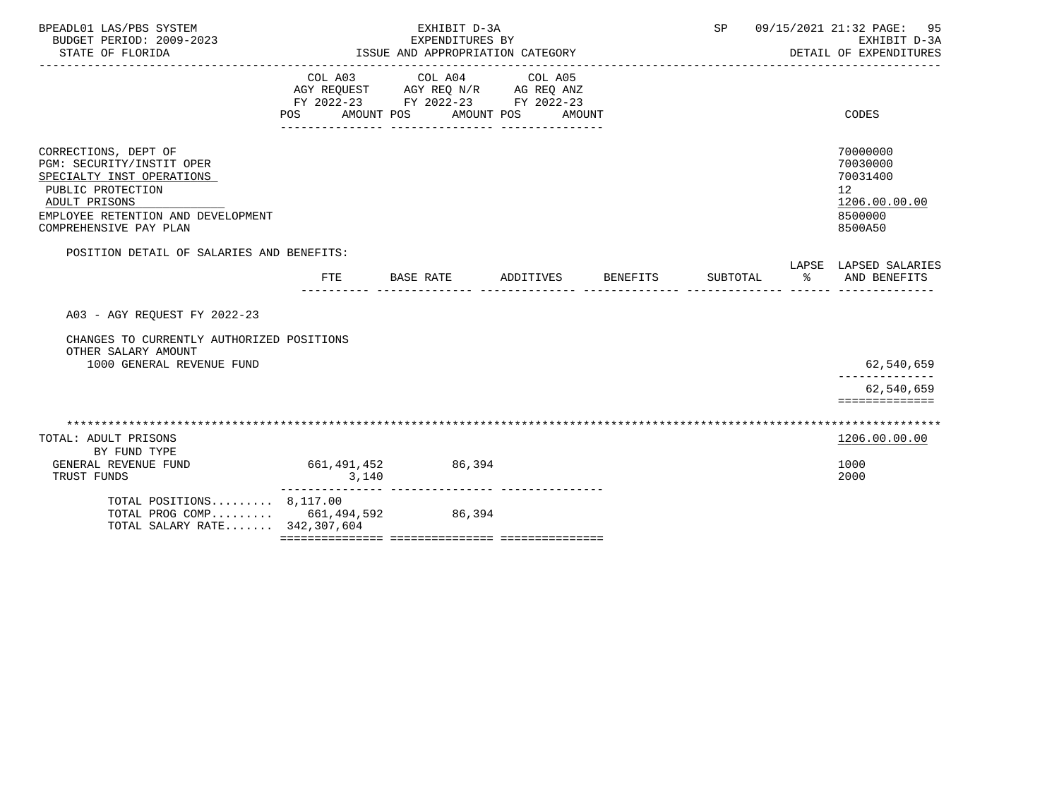| BPEADL01 LAS/PBS SYSTEM<br>BUDGET PERIOD: 2009-2023<br>STATE OF FLORIDA                                                                                                                     | EXHIBIT D-3A<br>EXPENDITURES BY<br>ISSUE AND APPROPRIATION CATEGORY |                                                                                   |                              | SP<br>09/15/2021 21:32 PAGE:<br>EXHIBIT D-3A<br>DETAIL OF EXPENDITURES |          |                                                                                            |
|---------------------------------------------------------------------------------------------------------------------------------------------------------------------------------------------|---------------------------------------------------------------------|-----------------------------------------------------------------------------------|------------------------------|------------------------------------------------------------------------|----------|--------------------------------------------------------------------------------------------|
|                                                                                                                                                                                             | COL A03<br>POS AMOUNT POS                                           | COL A04<br>AGY REQUEST AGY REQ N/R AG REQ ANZ<br>FY 2022-23 FY 2022-23 FY 2022-23 | COL A05<br>AMOUNT POS AMOUNT |                                                                        |          | <b>CODES</b>                                                                               |
| CORRECTIONS, DEPT OF<br><b>PGM: SECURITY/INSTIT OPER</b><br>SPECIALTY INST OPERATIONS<br>PUBLIC PROTECTION<br>ADULT PRISONS<br>EMPLOYEE RETENTION AND DEVELOPMENT<br>COMPREHENSIVE PAY PLAN |                                                                     |                                                                                   |                              |                                                                        |          | 70000000<br>70030000<br>70031400<br>12 <sup>°</sup><br>1206.00.00.00<br>8500000<br>8500A50 |
| POSITION DETAIL OF SALARIES AND BENEFITS:                                                                                                                                                   | <b>FTE</b>                                                          | <b>BASE RATE</b>                                                                  | ADDITIVES                    | <b>BENEFITS</b>                                                        | SUBTOTAL | LAPSE LAPSED SALARIES<br>ႜೢ<br>AND BENEFITS                                                |
| A03 - AGY REQUEST FY 2022-23                                                                                                                                                                |                                                                     |                                                                                   |                              |                                                                        |          |                                                                                            |
| CHANGES TO CURRENTLY AUTHORIZED POSITIONS<br>OTHER SALARY AMOUNT<br>1000 GENERAL REVENUE FUND                                                                                               |                                                                     |                                                                                   |                              |                                                                        |          | 62,540,659                                                                                 |
|                                                                                                                                                                                             |                                                                     |                                                                                   |                              |                                                                        |          | 62,540,659<br>==============                                                               |
| TOTAL: ADULT PRISONS<br>BY FUND TYPE                                                                                                                                                        |                                                                     |                                                                                   |                              |                                                                        |          | 1206.00.00.00                                                                              |
| GENERAL REVENUE FUND<br>TRUST FUNDS                                                                                                                                                         | 661,491,452<br>3,140                                                | 86,394                                                                            |                              |                                                                        |          | 1000<br>2000                                                                               |
| TOTAL POSITIONS $8,117.00$<br>TOTAL PROG COMP 661,494,592<br>TOTAL SALARY RATE 342,307,604                                                                                                  |                                                                     | 86,394                                                                            |                              |                                                                        |          |                                                                                            |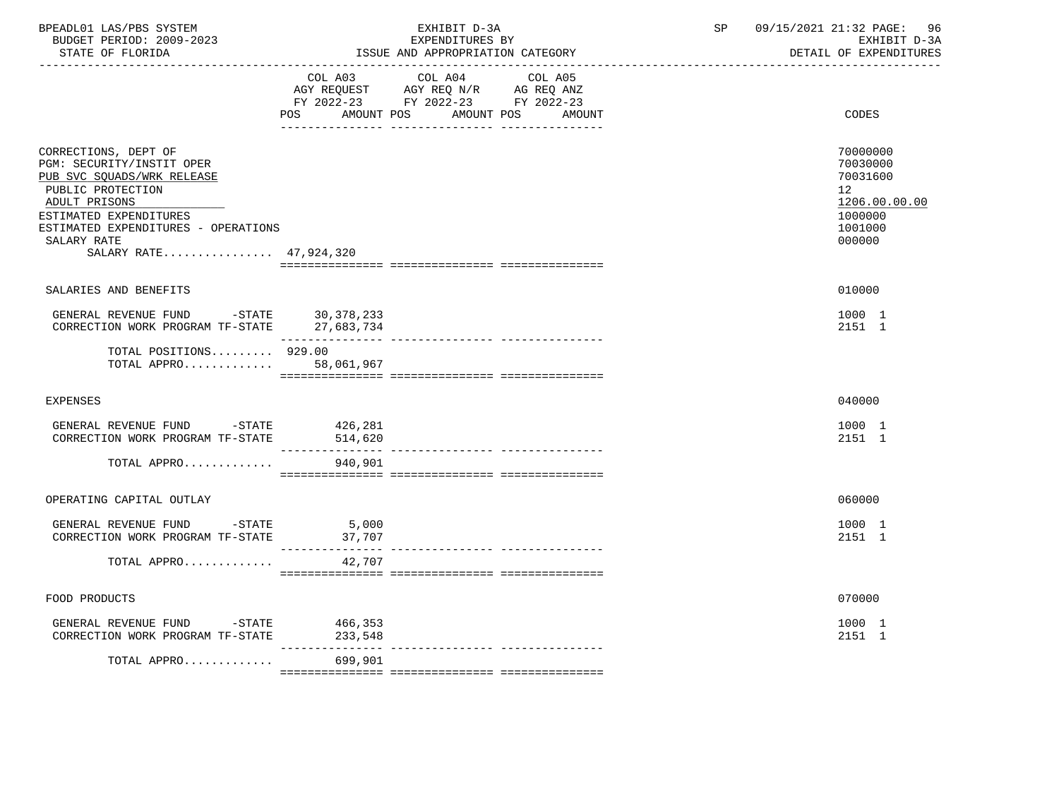| BPEADL01 LAS/PBS SYSTEM<br>BUDGET PERIOD: 2009-2023<br>STATE OF FLORIDA                                                                                                                                                         | EXHIBIT D-3A<br>EXPENDITURES BY<br>ISSUE AND APPROPRIATION CATEGORY |                                                                                                                                                                                                                                      |  | 09/15/2021 21:32 PAGE:<br>96<br>EXHIBIT D-3A<br>DETAIL OF EXPENDITURES                               |  |  |
|---------------------------------------------------------------------------------------------------------------------------------------------------------------------------------------------------------------------------------|---------------------------------------------------------------------|--------------------------------------------------------------------------------------------------------------------------------------------------------------------------------------------------------------------------------------|--|------------------------------------------------------------------------------------------------------|--|--|
|                                                                                                                                                                                                                                 | <b>POS</b>                                                          | COL A03 COL A04 COL A05<br>$\begin{tabular}{lllllll} AGY & \texttt{REQUEST} & \texttt{AGY REQ} & \texttt{N/R} & \texttt{AG REQ} & \texttt{ANZ} \end{tabular}$<br>FY 2022-23 FY 2022-23 FY 2022-23<br>AMOUNT POS AMOUNT POS<br>AMOUNT |  | CODES                                                                                                |  |  |
| CORRECTIONS, DEPT OF<br>PGM: SECURITY/INSTIT OPER<br>PUB SVC SQUADS/WRK RELEASE<br>PUBLIC PROTECTION<br>ADULT PRISONS<br>ESTIMATED EXPENDITURES<br>ESTIMATED EXPENDITURES - OPERATIONS<br>SALARY RATE<br>SALARY RATE 47,924,320 |                                                                     |                                                                                                                                                                                                                                      |  | 70000000<br>70030000<br>70031600<br>12 <sup>°</sup><br>1206.00.00.00<br>1000000<br>1001000<br>000000 |  |  |
| SALARIES AND BENEFITS                                                                                                                                                                                                           |                                                                     |                                                                                                                                                                                                                                      |  | 010000                                                                                               |  |  |
| GENERAL REVENUE FUND -STATE<br>CORRECTION WORK PROGRAM TF-STATE                                                                                                                                                                 | 30, 378, 233<br>27,683,734                                          |                                                                                                                                                                                                                                      |  | 1000 1<br>2151 1                                                                                     |  |  |
| TOTAL POSITIONS $929.00$<br>TOTAL APPRO                                                                                                                                                                                         | 58,061,967                                                          |                                                                                                                                                                                                                                      |  |                                                                                                      |  |  |
| <b>EXPENSES</b>                                                                                                                                                                                                                 |                                                                     |                                                                                                                                                                                                                                      |  | 040000                                                                                               |  |  |
| GENERAL REVENUE FUND -STATE<br>CORRECTION WORK PROGRAM TF-STATE                                                                                                                                                                 | 426,281<br>514,620                                                  |                                                                                                                                                                                                                                      |  | 1000 1<br>2151 1                                                                                     |  |  |
| TOTAL APPRO                                                                                                                                                                                                                     | 940,901                                                             |                                                                                                                                                                                                                                      |  |                                                                                                      |  |  |
| OPERATING CAPITAL OUTLAY                                                                                                                                                                                                        |                                                                     |                                                                                                                                                                                                                                      |  | 060000                                                                                               |  |  |
| GENERAL REVENUE FUND -STATE<br>CORRECTION WORK PROGRAM TF-STATE                                                                                                                                                                 | $\frac{5}{2}$ ,000<br>37,707                                        |                                                                                                                                                                                                                                      |  | 1000 1<br>2151 1                                                                                     |  |  |
| TOTAL APPRO                                                                                                                                                                                                                     | 42,707                                                              |                                                                                                                                                                                                                                      |  |                                                                                                      |  |  |
| FOOD PRODUCTS                                                                                                                                                                                                                   |                                                                     |                                                                                                                                                                                                                                      |  | 070000                                                                                               |  |  |
| GENERAL REVENUE FUND -STATE<br>CORRECTION WORK PROGRAM TF-STATE                                                                                                                                                                 | 466,353<br>233,548                                                  |                                                                                                                                                                                                                                      |  | 1000 1<br>2151 1                                                                                     |  |  |
| TOTAL APPRO                                                                                                                                                                                                                     | $- - - - - - - -$<br>699,901                                        |                                                                                                                                                                                                                                      |  |                                                                                                      |  |  |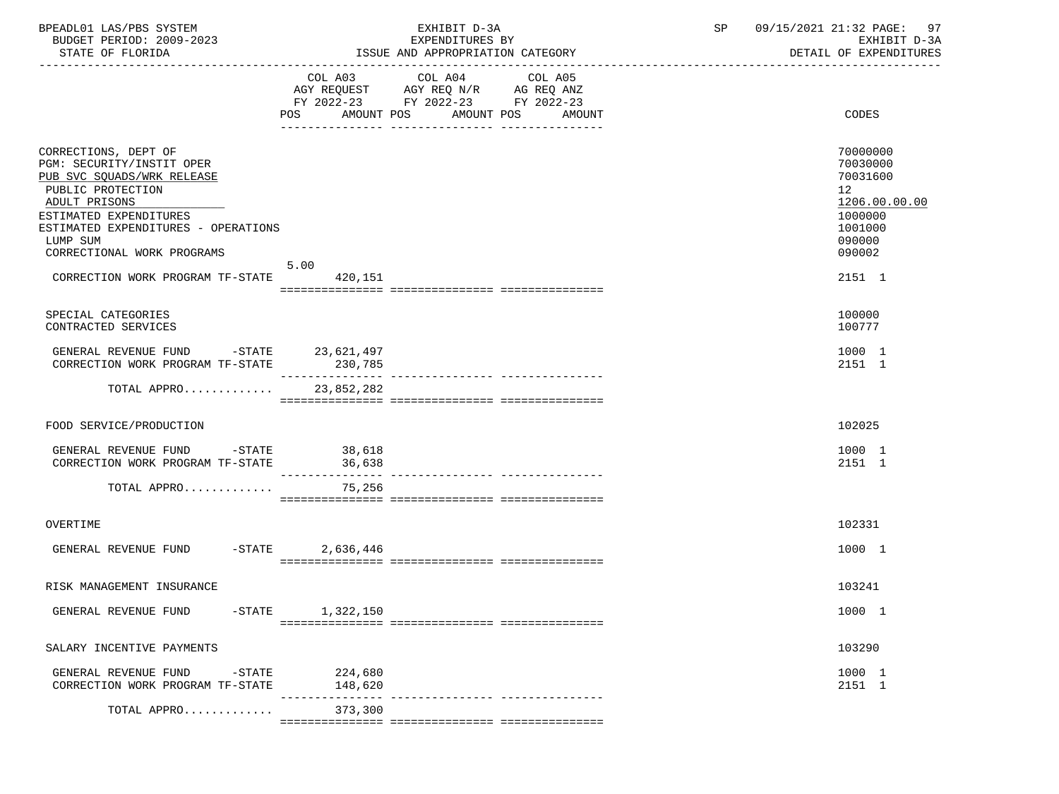| BPEADL01 LAS/PBS SYSTEM<br>BUDGET PERIOD: 2009-2023<br>STATE OF FLORIDA                                                                                                                                                                                              |                    | EXHIBIT D-3A<br>EXPENDITURES BY<br>ISSUE AND APPROPRIATION CATEGORY                                                                      | 09/15/2021 21:32 PAGE:<br>SP<br>97<br>EXHIBIT D-3A<br>DETAIL OF EXPENDITURES                                             |
|----------------------------------------------------------------------------------------------------------------------------------------------------------------------------------------------------------------------------------------------------------------------|--------------------|------------------------------------------------------------------------------------------------------------------------------------------|--------------------------------------------------------------------------------------------------------------------------|
|                                                                                                                                                                                                                                                                      |                    | COL A03 COL A04<br>COL A05<br>AGY REQUEST AGY REQ N/R AG REQ ANZ<br>FY 2022-23 FY 2022-23 FY 2022-23<br>POS AMOUNT POS AMOUNT POS AMOUNT | CODES                                                                                                                    |
| CORRECTIONS, DEPT OF<br>PGM: SECURITY/INSTIT OPER<br>PUB SVC SQUADS/WRK RELEASE<br>PUBLIC PROTECTION<br>ADULT PRISONS<br>ESTIMATED EXPENDITURES<br>ESTIMATED EXPENDITURES - OPERATIONS<br>LUMP SUM<br>CORRECTIONAL WORK PROGRAMS<br>CORRECTION WORK PROGRAM TF-STATE | 5.00<br>420,151    |                                                                                                                                          | 70000000<br>70030000<br>70031600<br>12 <sup>°</sup><br>1206.00.00.00<br>1000000<br>1001000<br>090000<br>090002<br>2151 1 |
| SPECIAL CATEGORIES<br>CONTRACTED SERVICES                                                                                                                                                                                                                            |                    |                                                                                                                                          | 100000<br>100777                                                                                                         |
| GENERAL REVENUE FUND -STATE 23,621,497<br>CORRECTION WORK PROGRAM TF-STATE                                                                                                                                                                                           | 230,785            |                                                                                                                                          | 1000 1<br>2151 1                                                                                                         |
| TOTAL APPRO 23,852,282                                                                                                                                                                                                                                               |                    |                                                                                                                                          |                                                                                                                          |
| FOOD SERVICE/PRODUCTION                                                                                                                                                                                                                                              |                    |                                                                                                                                          | 102025                                                                                                                   |
| GENERAL REVENUE FUND -STATE 38,618<br>CORRECTION WORK PROGRAM TF-STATE 36,638                                                                                                                                                                                        |                    |                                                                                                                                          | 1000 1<br>2151 1                                                                                                         |
| TOTAL APPRO                                                                                                                                                                                                                                                          | 75,256             |                                                                                                                                          |                                                                                                                          |
| OVERTIME                                                                                                                                                                                                                                                             |                    |                                                                                                                                          | 102331                                                                                                                   |
| GENERAL REVENUE FUND -STATE                                                                                                                                                                                                                                          | 2,636,446          |                                                                                                                                          | 1000 1                                                                                                                   |
| RISK MANAGEMENT INSURANCE                                                                                                                                                                                                                                            |                    |                                                                                                                                          | 103241                                                                                                                   |
| GENERAL REVENUE FUND<br>$-$ STATE                                                                                                                                                                                                                                    | 1,322,150          |                                                                                                                                          | 1000 1                                                                                                                   |
| SALARY INCENTIVE PAYMENTS                                                                                                                                                                                                                                            |                    |                                                                                                                                          | 103290                                                                                                                   |
| GENERAL REVENUE FUND<br>$-$ STATE<br>CORRECTION WORK PROGRAM TF-STATE                                                                                                                                                                                                | 224,680<br>148,620 | ---------------- ----------------                                                                                                        | 1000 1<br>2151 1                                                                                                         |
| TOTAL APPRO                                                                                                                                                                                                                                                          | 373,300            |                                                                                                                                          |                                                                                                                          |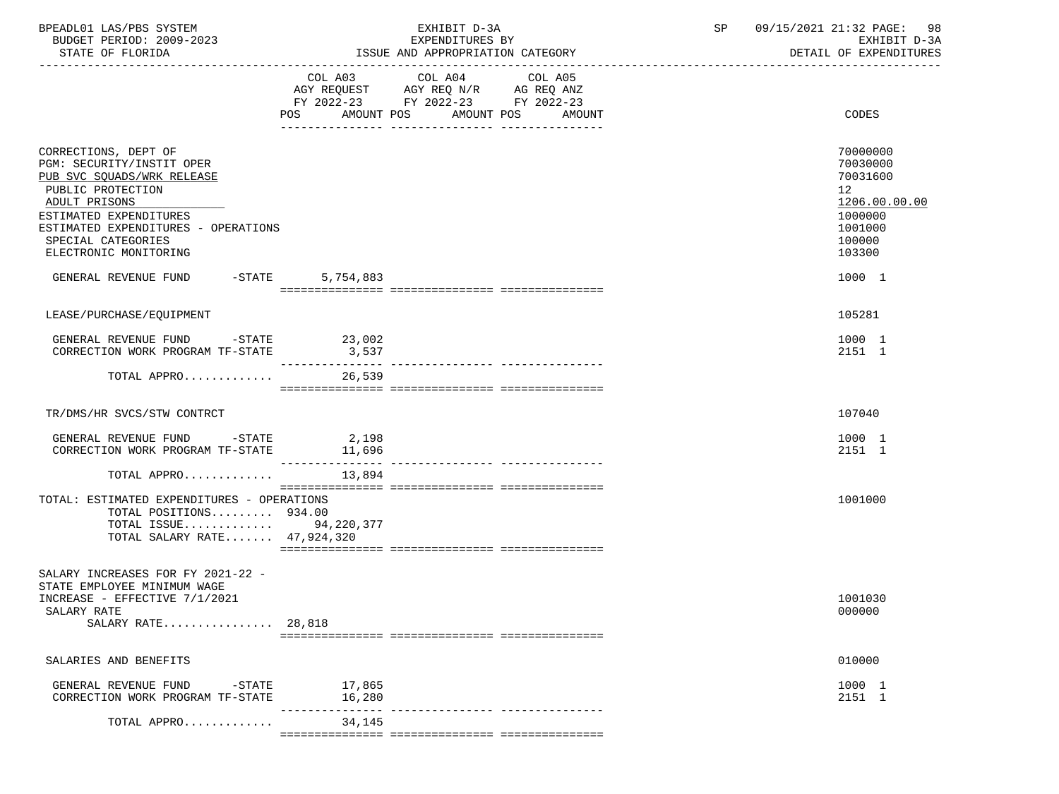| BPEADL01 LAS/PBS SYSTEM<br>BUDGET PERIOD: 2009-2023<br>STATE OF FLORIDA                                                                                                                                                                                                        |                                                                                                                | EXHIBIT D-3A<br>EXPENDITURES BY<br>ISSUE AND APPROPRIATION CATEGORY                                                                     | 09/15/2021 21:32 PAGE: 98<br>SP<br>EXHIBIT D-3A<br>DETAIL OF EXPENDITURES                                                |
|--------------------------------------------------------------------------------------------------------------------------------------------------------------------------------------------------------------------------------------------------------------------------------|----------------------------------------------------------------------------------------------------------------|-----------------------------------------------------------------------------------------------------------------------------------------|--------------------------------------------------------------------------------------------------------------------------|
|                                                                                                                                                                                                                                                                                | POS FOR THE POST OF THE STATE STATE STATE STATE STATE STATE STATE STATE STATE STATE STATE STATE STATE STATE ST | COL A03 COL A04<br>COL A05<br>AGY REQUEST AGY REQ N/R AG REQ ANZ<br>FY 2022-23 FY 2022-23 FY 2022-23<br>AMOUNT POS AMOUNT POS<br>AMOUNT | CODES                                                                                                                    |
| CORRECTIONS, DEPT OF<br>PGM: SECURITY/INSTIT OPER<br>PUB SVC SQUADS/WRK RELEASE<br>PUBLIC PROTECTION<br>ADULT PRISONS<br>ESTIMATED EXPENDITURES<br>ESTIMATED EXPENDITURES - OPERATIONS<br>SPECIAL CATEGORIES<br>ELECTRONIC MONITORING<br>GENERAL REVENUE FUND -STATE 5,754,883 |                                                                                                                |                                                                                                                                         | 70000000<br>70030000<br>70031600<br>12 <sup>°</sup><br>1206.00.00.00<br>1000000<br>1001000<br>100000<br>103300<br>1000 1 |
| LEASE/PURCHASE/EOUIPMENT                                                                                                                                                                                                                                                       |                                                                                                                |                                                                                                                                         | 105281                                                                                                                   |
| GENERAL REVENUE FUND -STATE 23,002<br>CORRECTION WORK PROGRAM TF-STATE                                                                                                                                                                                                         | 3,537                                                                                                          |                                                                                                                                         | 1000 1<br>2151 1                                                                                                         |
| TOTAL APPRO $\ldots \ldots \ldots$                                                                                                                                                                                                                                             |                                                                                                                |                                                                                                                                         |                                                                                                                          |
| TR/DMS/HR SVCS/STW CONTRCT                                                                                                                                                                                                                                                     |                                                                                                                |                                                                                                                                         | 107040                                                                                                                   |
| GENERAL REVENUE FUND -STATE 2,198<br>CORRECTION WORK PROGRAM TF-STATE 11,696                                                                                                                                                                                                   |                                                                                                                |                                                                                                                                         | 1000 1<br>2151 1                                                                                                         |
| TOTAL APPRO                                                                                                                                                                                                                                                                    | 13,894                                                                                                         |                                                                                                                                         |                                                                                                                          |
| TOTAL: ESTIMATED EXPENDITURES - OPERATIONS<br>TOTAL POSITIONS 934.00<br>TOTAL ISSUE 94,220,377<br>TOTAL SALARY RATE 47,924,320                                                                                                                                                 |                                                                                                                |                                                                                                                                         | 1001000                                                                                                                  |
| SALARY INCREASES FOR FY 2021-22 -<br>STATE EMPLOYEE MINIMUM WAGE<br>INCREASE - EFFECTIVE 7/1/2021<br>SALARY RATE<br>SALARY RATE 28,818                                                                                                                                         |                                                                                                                |                                                                                                                                         | 1001030<br>000000                                                                                                        |
| SALARIES AND BENEFITS                                                                                                                                                                                                                                                          |                                                                                                                |                                                                                                                                         | 010000                                                                                                                   |
| -STATE<br>GENERAL REVENUE FUND<br>CORRECTION WORK PROGRAM TF-STATE                                                                                                                                                                                                             | 17,865<br>16,280                                                                                               | ---------------- ----------------                                                                                                       | 1000 1<br>2151 1                                                                                                         |
| TOTAL APPRO                                                                                                                                                                                                                                                                    | 34,145                                                                                                         |                                                                                                                                         |                                                                                                                          |
|                                                                                                                                                                                                                                                                                |                                                                                                                |                                                                                                                                         |                                                                                                                          |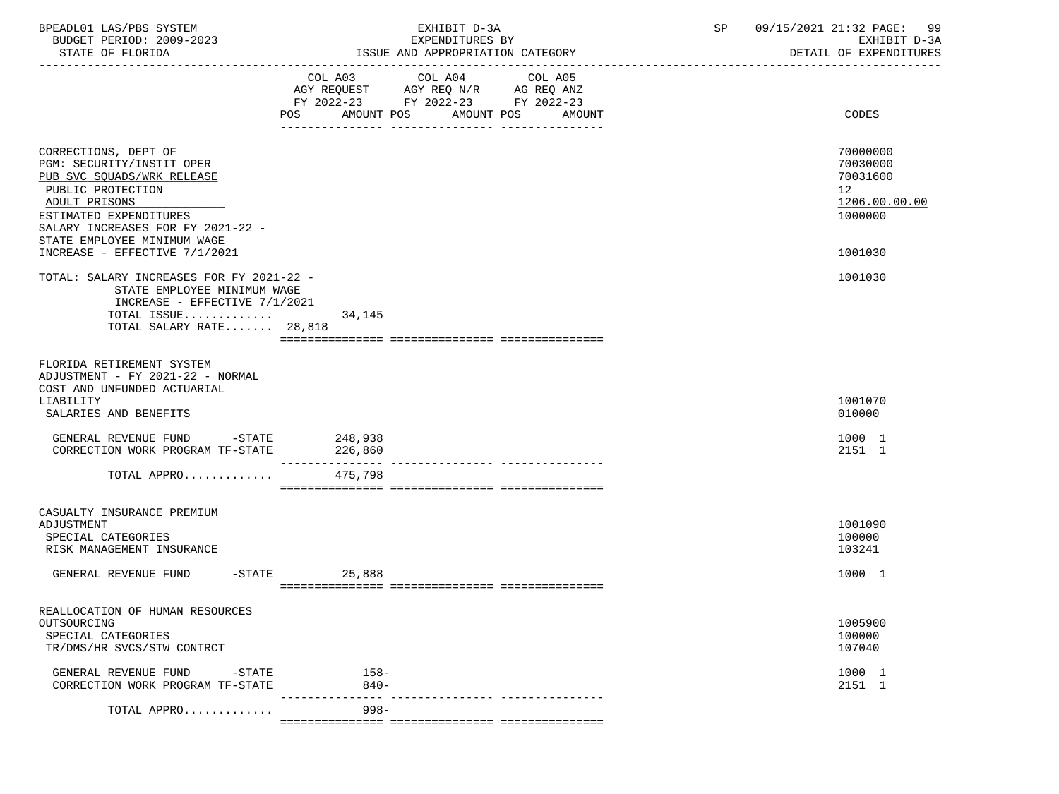| BPEADL01 LAS/PBS SYSTEM<br>BUDGET PERIOD: 2009-2023<br>STATE OF FLORIDA                                                                                                                                                                              |                    | EXHIBIT D-3A<br>EXPENDITURES BY<br>ISSUE AND APPROPRIATION CATEGORY                                                                  | 09/15/2021 21:32 PAGE: 99<br>SP<br>EXHIBIT D-3A<br>DETAIL OF EXPENDITURES     |  |  |
|------------------------------------------------------------------------------------------------------------------------------------------------------------------------------------------------------------------------------------------------------|--------------------|--------------------------------------------------------------------------------------------------------------------------------------|-------------------------------------------------------------------------------|--|--|
|                                                                                                                                                                                                                                                      | POS                | COL A03 COL A04 COL A05<br>AGY REQUEST AGY REQ N/R AG REQ ANZ<br>FY 2022-23 FY 2022-23 FY 2022-23<br>AMOUNT POS AMOUNT POS<br>AMOUNT | CODES                                                                         |  |  |
| CORRECTIONS, DEPT OF<br>PGM: SECURITY/INSTIT OPER<br>PUB SVC SQUADS/WRK RELEASE<br>PUBLIC PROTECTION<br>ADULT PRISONS<br>ESTIMATED EXPENDITURES<br>SALARY INCREASES FOR FY 2021-22 -<br>STATE EMPLOYEE MINIMUM WAGE<br>INCREASE - EFFECTIVE 7/1/2021 |                    |                                                                                                                                      | 70000000<br>70030000<br>70031600<br>12<br>1206.00.00.00<br>1000000<br>1001030 |  |  |
| TOTAL: SALARY INCREASES FOR FY 2021-22 -<br>STATE EMPLOYEE MINIMUM WAGE<br>INCREASE - EFFECTIVE $7/1/2021$<br>TOTAL ISSUE<br>TOTAL SALARY RATE 28,818                                                                                                | 34,145             |                                                                                                                                      | 1001030                                                                       |  |  |
| FLORIDA RETIREMENT SYSTEM<br>ADJUSTMENT - FY 2021-22 - NORMAL<br>COST AND UNFUNDED ACTUARIAL<br>LIABILITY<br>SALARIES AND BENEFITS                                                                                                                   |                    |                                                                                                                                      | 1001070<br>010000                                                             |  |  |
| GENERAL REVENUE FUND -STATE 248,938<br>CORRECTION WORK PROGRAM TF-STATE                                                                                                                                                                              | 226,860            |                                                                                                                                      | 1000 1<br>2151 1                                                              |  |  |
| TOTAL APPRO                                                                                                                                                                                                                                          | 475,798            |                                                                                                                                      |                                                                               |  |  |
| CASUALTY INSURANCE PREMIUM<br>ADJUSTMENT<br>SPECIAL CATEGORIES<br>RISK MANAGEMENT INSURANCE                                                                                                                                                          |                    |                                                                                                                                      | 1001090<br>100000<br>103241                                                   |  |  |
| GENERAL REVENUE FUND                                                                                                                                                                                                                                 | $-$ STATE 25,888   |                                                                                                                                      | 1000 1                                                                        |  |  |
| REALLOCATION OF HUMAN RESOURCES<br>OUTSOURCING<br>SPECIAL CATEGORIES<br>TR/DMS/HR SVCS/STW CONTRCT                                                                                                                                                   |                    |                                                                                                                                      | 1005900<br>100000<br>107040                                                   |  |  |
| GENERAL REVENUE FUND<br>$-$ STATE<br>CORRECTION WORK PROGRAM TF-STATE                                                                                                                                                                                | $158 -$<br>$840 -$ |                                                                                                                                      | 1000 1<br>2151 1                                                              |  |  |
| TOTAL APPRO                                                                                                                                                                                                                                          | $998 -$            |                                                                                                                                      |                                                                               |  |  |

=============== =============== ===============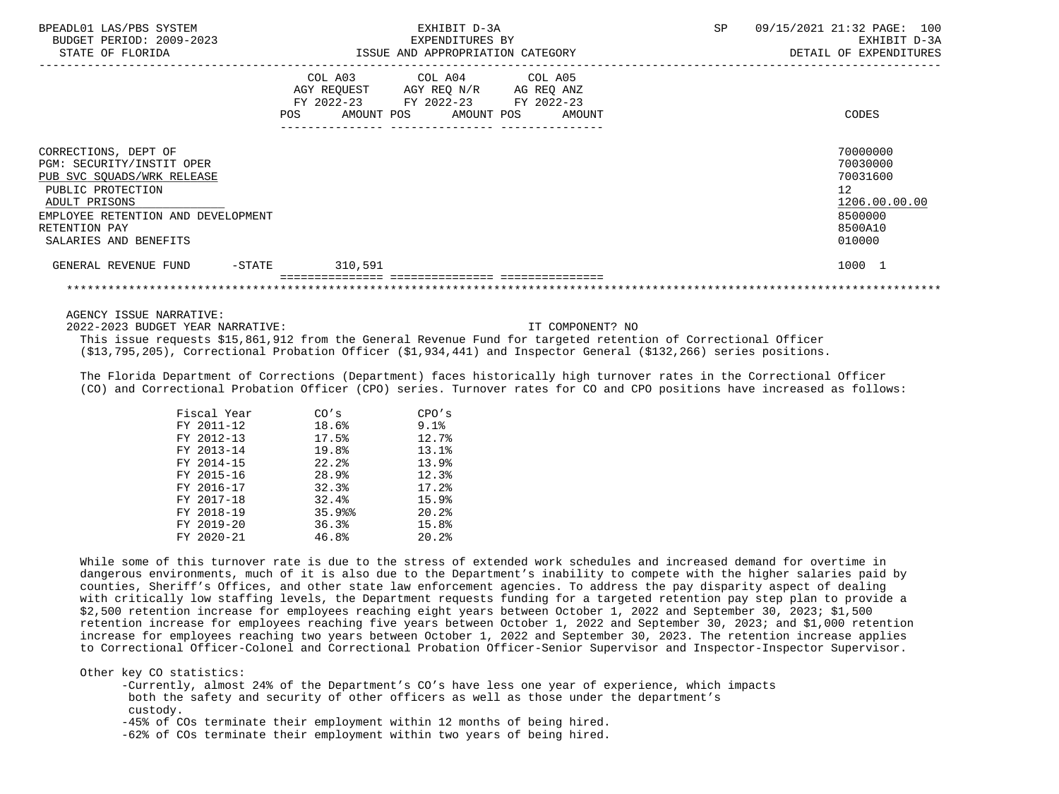| BPEADL01 LAS/PBS SYSTEM<br>BUDGET PERIOD: 2009-2023<br>STATE OF FLORIDA                                                                                                                               | EXHIBIT D-3A<br>EXPENDITURES BY<br>ISSUE AND APPROPRIATION CATEGORY                                                                             | 09/15/2021 21:32 PAGE: 100<br>SP<br>EXHIBIT D-3A<br>DETAIL OF EXPENDITURES                           |
|-------------------------------------------------------------------------------------------------------------------------------------------------------------------------------------------------------|-------------------------------------------------------------------------------------------------------------------------------------------------|------------------------------------------------------------------------------------------------------|
|                                                                                                                                                                                                       | COL A03 COL A04 COL A05<br>AGY REQUEST AGY REQ N/R AG REQ ANZ<br>FY 2022-23 FY 2022-23 FY 2022-23<br><b>POS</b><br>AMOUNT POS AMOUNT POS AMOUNT | CODES                                                                                                |
| CORRECTIONS, DEPT OF<br>PGM: SECURITY/INSTIT OPER<br>PUB SVC SQUADS/WRK RELEASE<br>PUBLIC PROTECTION<br>ADULT PRISONS<br>EMPLOYEE RETENTION AND DEVELOPMENT<br>RETENTION PAY<br>SALARIES AND BENEFITS |                                                                                                                                                 | 70000000<br>70030000<br>70031600<br>12 <sup>7</sup><br>1206.00.00.00<br>8500000<br>8500A10<br>010000 |
| GENERAL REVENUE FUND<br>$-$ STATE                                                                                                                                                                     | 310,591                                                                                                                                         | 1000 1                                                                                               |
|                                                                                                                                                                                                       |                                                                                                                                                 |                                                                                                      |

2022-2023 BUDGET YEAR NARRATIVE: IT COMPONENT? NO

 This issue requests \$15,861,912 from the General Revenue Fund for targeted retention of Correctional Officer (\$13,795,205), Correctional Probation Officer (\$1,934,441) and Inspector General (\$132,266) series positions.

 The Florida Department of Corrections (Department) faces historically high turnover rates in the Correctional Officer (CO) and Correctional Probation Officer (CPO) series. Turnover rates for CO and CPO positions have increased as follows:

| Fiscal Year | CO's  | CPO's     |
|-------------|-------|-----------|
| FY 2011-12  | 18.6% | $9.1$ $8$ |
| FY 2012-13  | 17.5% | 12.7%     |
| FY 2013-14  | 19.8% | 13.1%     |
| FY 2014-15  | 22.2% | 13.9%     |
| FY 2015-16  | 28.9% | 12.3%     |
| FY 2016-17  | 32.3% | 17.2%     |
| FY 2017-18  | 32.4% | 15.9%     |
| FY 2018-19  | 35.9% | 20.2%     |
| FY 2019-20  | 36.3% | 15.8%     |
| FY 2020-21  | 46.8% | 20.2%     |

 While some of this turnover rate is due to the stress of extended work schedules and increased demand for overtime in dangerous environments, much of it is also due to the Department's inability to compete with the higher salaries paid by counties, Sheriff's Offices, and other state law enforcement agencies. To address the pay disparity aspect of dealing with critically low staffing levels, the Department requests funding for a targeted retention pay step plan to provide a \$2,500 retention increase for employees reaching eight years between October 1, 2022 and September 30, 2023; \$1,500 retention increase for employees reaching five years between October 1, 2022 and September 30, 2023; and \$1,000 retention increase for employees reaching two years between October 1, 2022 and September 30, 2023. The retention increase applies to Correctional Officer-Colonel and Correctional Probation Officer-Senior Supervisor and Inspector-Inspector Supervisor.

Other key CO statistics:

 -Currently, almost 24% of the Department's CO's have less one year of experience, which impacts both the safety and security of other officers as well as those under the department's custody.

-45% of COs terminate their employment within 12 months of being hired.

-62% of COs terminate their employment within two years of being hired.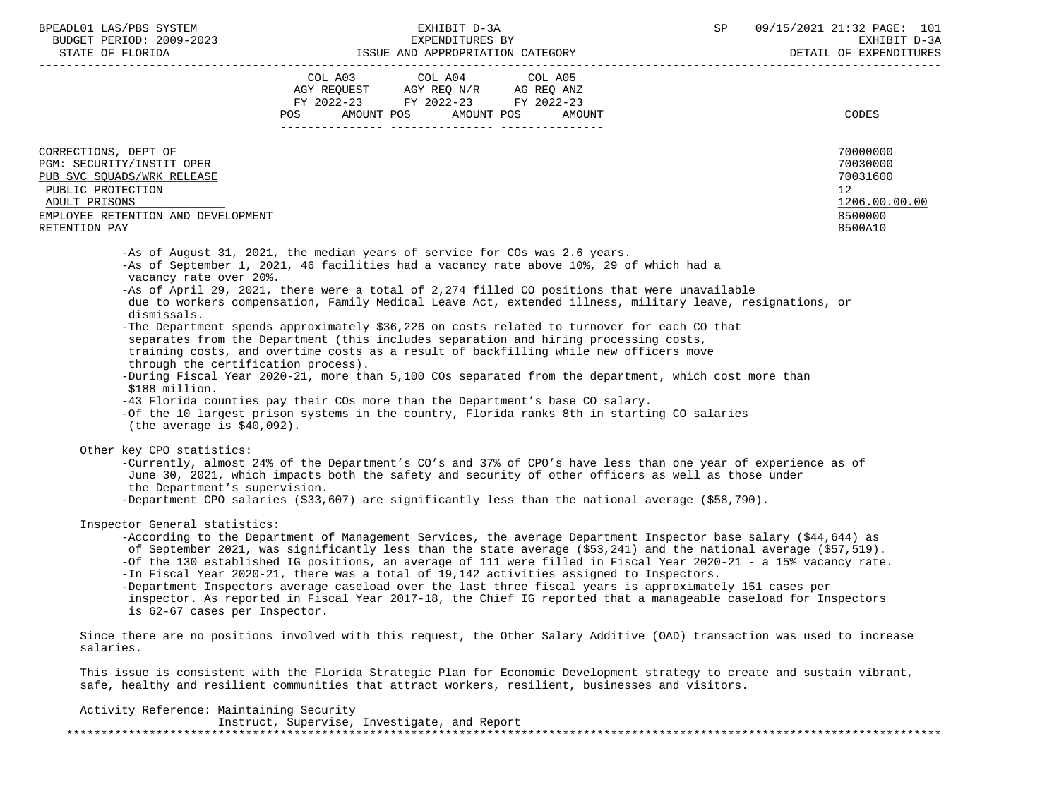| BPEADL01 LAS/PBS SYSTEM |                          |
|-------------------------|--------------------------|
|                         | BUDGET PERIOD: 2009-2023 |
|                         |                          |

|                                                                                                   | COL A03           | COL A04                            | COL A05                     |                                                                                                                                                                                                                           |                          |
|---------------------------------------------------------------------------------------------------|-------------------|------------------------------------|-----------------------------|---------------------------------------------------------------------------------------------------------------------------------------------------------------------------------------------------------------------------|--------------------------|
|                                                                                                   |                   | AGY REQUEST AGY REQ N/R AG REQ ANZ |                             |                                                                                                                                                                                                                           |                          |
|                                                                                                   |                   | FY 2022-23 FY 2022-23 FY 2022-23   |                             |                                                                                                                                                                                                                           |                          |
|                                                                                                   | AMOUNT POS<br>POS |                                    | AMOUNT POS<br><b>AMOUNT</b> |                                                                                                                                                                                                                           | <b>CODES</b>             |
|                                                                                                   |                   |                                    |                             |                                                                                                                                                                                                                           |                          |
| CORRECTIONS, DEPT OF                                                                              |                   |                                    |                             |                                                                                                                                                                                                                           | 70000000                 |
| PGM: SECURITY/INSTIT OPER                                                                         |                   |                                    |                             |                                                                                                                                                                                                                           | 70030000                 |
| PUB SVC SQUADS/WRK RELEASE                                                                        |                   |                                    |                             |                                                                                                                                                                                                                           | 70031600                 |
| PUBLIC PROTECTION                                                                                 |                   |                                    |                             |                                                                                                                                                                                                                           | 12                       |
| ADULT PRISONS<br>EMPLOYEE RETENTION AND DEVELOPMENT                                               |                   |                                    |                             |                                                                                                                                                                                                                           | 1206.00.00.00<br>8500000 |
| RETENTION PAY                                                                                     |                   |                                    |                             |                                                                                                                                                                                                                           | 8500A10                  |
|                                                                                                   |                   |                                    |                             |                                                                                                                                                                                                                           |                          |
| -As of August 31, 2021, the median years of service for COs was 2.6 years.                        |                   |                                    |                             |                                                                                                                                                                                                                           |                          |
| -As of September 1, 2021, 46 facilities had a vacancy rate above 10%, 29 of which had a           |                   |                                    |                             |                                                                                                                                                                                                                           |                          |
| vacancy rate over 20%.                                                                            |                   |                                    |                             | -As of April 29, 2021, there were a total of 2,274 filled CO positions that were unavailable                                                                                                                              |                          |
|                                                                                                   |                   |                                    |                             | due to workers compensation, Family Medical Leave Act, extended illness, military leave, resignations, or                                                                                                                 |                          |
| dismissals.                                                                                       |                   |                                    |                             |                                                                                                                                                                                                                           |                          |
| -The Department spends approximately \$36,226 on costs related to turnover for each CO that       |                   |                                    |                             |                                                                                                                                                                                                                           |                          |
| separates from the Department (this includes separation and hiring processing costs,              |                   |                                    |                             |                                                                                                                                                                                                                           |                          |
| training costs, and overtime costs as a result of backfilling while new officers move             |                   |                                    |                             |                                                                                                                                                                                                                           |                          |
| through the certification process).                                                               |                   |                                    |                             | -During Fiscal Year 2020-21, more than 5,100 COs separated from the department, which cost more than                                                                                                                      |                          |
| \$188 million.                                                                                    |                   |                                    |                             |                                                                                                                                                                                                                           |                          |
| -43 Florida counties pay their COs more than the Department's base CO salary.                     |                   |                                    |                             |                                                                                                                                                                                                                           |                          |
| -Of the 10 largest prison systems in the country, Florida ranks 8th in starting CO salaries       |                   |                                    |                             |                                                                                                                                                                                                                           |                          |
| (the average is $$40,092$ ).                                                                      |                   |                                    |                             |                                                                                                                                                                                                                           |                          |
| Other key CPO statistics:                                                                         |                   |                                    |                             |                                                                                                                                                                                                                           |                          |
|                                                                                                   |                   |                                    |                             | -Currently, almost 24% of the Department's CO's and 37% of CPO's have less than one year of experience as of                                                                                                              |                          |
|                                                                                                   |                   |                                    |                             | June 30, 2021, which impacts both the safety and security of other officers as well as those under                                                                                                                        |                          |
| the Department's supervision.                                                                     |                   |                                    |                             |                                                                                                                                                                                                                           |                          |
|                                                                                                   |                   |                                    |                             | -Department CPO salaries $(533,607)$ are significantly less than the national average $(558,790)$ .                                                                                                                       |                          |
| Inspector General statistics:                                                                     |                   |                                    |                             |                                                                                                                                                                                                                           |                          |
|                                                                                                   |                   |                                    |                             | -According to the Department of Management Services, the average Department Inspector base salary (\$44,644) as                                                                                                           |                          |
|                                                                                                   |                   |                                    |                             | of September 2021, was significantly less than the state average (\$53,241) and the national average (\$57,519).                                                                                                          |                          |
|                                                                                                   |                   |                                    |                             | -Of the 130 established IG positions, an average of 111 were filled in Fiscal Year 2020-21 - a 15% vacancy rate.                                                                                                          |                          |
| -In Fiscal Year 2020-21, there was a total of 19,142 activities assigned to Inspectors.           |                   |                                    |                             |                                                                                                                                                                                                                           |                          |
|                                                                                                   |                   |                                    |                             | -Department Inspectors average caseload over the last three fiscal years is approximately 151 cases per<br>inspector. As reported in Fiscal Year 2017-18, the Chief IG reported that a manageable caseload for Inspectors |                          |
| is 62-67 cases per Inspector.                                                                     |                   |                                    |                             |                                                                                                                                                                                                                           |                          |
|                                                                                                   |                   |                                    |                             |                                                                                                                                                                                                                           |                          |
|                                                                                                   |                   |                                    |                             | Since there are no positions involved with this request, the Other Salary Additive (OAD) transaction was used to increase                                                                                                 |                          |
| salaries.                                                                                         |                   |                                    |                             |                                                                                                                                                                                                                           |                          |
|                                                                                                   |                   |                                    |                             | This issue is consistent with the Florida Strategic Plan for Economic Development strategy to create and sustain vibrant,                                                                                                 |                          |
| safe, healthy and resilient communities that attract workers, resilient, businesses and visitors. |                   |                                    |                             |                                                                                                                                                                                                                           |                          |
|                                                                                                   |                   |                                    |                             |                                                                                                                                                                                                                           |                          |

Activity Reference: Maintaining Security

 Instruct, Supervise, Investigate, and Report \*\*\*\*\*\*\*\*\*\*\*\*\*\*\*\*\*\*\*\*\*\*\*\*\*\*\*\*\*\*\*\*\*\*\*\*\*\*\*\*\*\*\*\*\*\*\*\*\*\*\*\*\*\*\*\*\*\*\*\*\*\*\*\*\*\*\*\*\*\*\*\*\*\*\*\*\*\*\*\*\*\*\*\*\*\*\*\*\*\*\*\*\*\*\*\*\*\*\*\*\*\*\*\*\*\*\*\*\*\*\*\*\*\*\*\*\*\*\*\*\*\*\*\*\*\*\*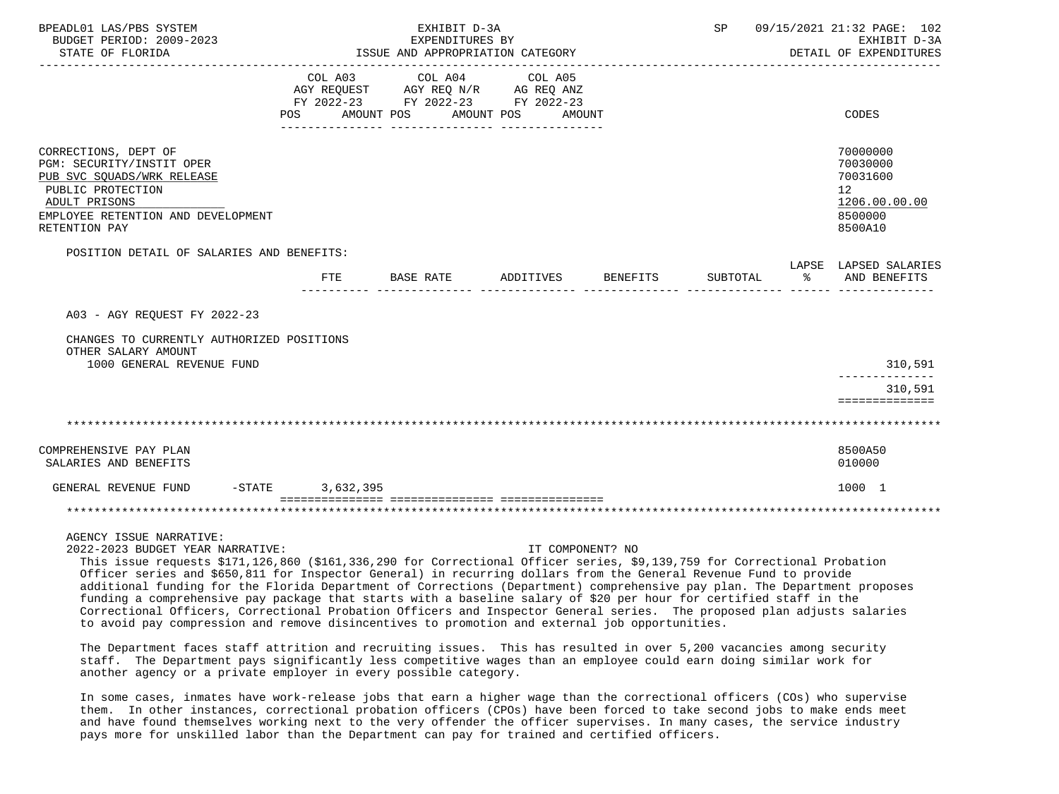| BPEADL01 LAS/PBS SYSTEM<br>BUDGET PERIOD: 2009-2023<br>STATE OF FLORIDA                                                                                                                 |                    | EXHIBIT D-3A<br>EXPENDITURES BY<br>ISSUE AND APPROPRIATION CATEGORY |                                                                                           |                  |          |               | SP 09/15/2021 21:32 PAGE: 102<br>EXHIBIT D-3A<br>DETAIL OF EXPENDITURES                    |
|-----------------------------------------------------------------------------------------------------------------------------------------------------------------------------------------|--------------------|---------------------------------------------------------------------|-------------------------------------------------------------------------------------------|------------------|----------|---------------|--------------------------------------------------------------------------------------------|
|                                                                                                                                                                                         | COL A03            | POS AMOUNT POS AMOUNT POS                                           | COL A04 COL A05<br>AGY REQUEST AGY REQ N/R AG REQ ANZ<br>FY 2022-23 FY 2022-23 FY 2022-23 | AMOUNT           |          |               | <b>CODES</b>                                                                               |
| CORRECTIONS, DEPT OF<br>PGM: SECURITY/INSTIT OPER<br>PUB SVC SQUADS/WRK RELEASE<br>PUBLIC PROTECTION<br>ADULT PRISONS<br>EMPLOYEE RETENTION AND DEVELOPMENT<br>RETENTION PAY            |                    |                                                                     |                                                                                           |                  |          |               | 70000000<br>70030000<br>70031600<br>12 <sup>°</sup><br>1206.00.00.00<br>8500000<br>8500A10 |
| POSITION DETAIL OF SALARIES AND BENEFITS:                                                                                                                                               |                    |                                                                     |                                                                                           |                  |          |               | LAPSE LAPSED SALARIES                                                                      |
|                                                                                                                                                                                         | FTE                | BASE RATE                                                           | ADDITIVES BENEFITS                                                                        |                  | SUBTOTAL | $\sim$ $\sim$ | AND BENEFITS                                                                               |
| A03 - AGY REQUEST FY 2022-23                                                                                                                                                            |                    |                                                                     |                                                                                           |                  |          |               |                                                                                            |
| CHANGES TO CURRENTLY AUTHORIZED POSITIONS<br>OTHER SALARY AMOUNT                                                                                                                        |                    |                                                                     |                                                                                           |                  |          |               |                                                                                            |
| 1000 GENERAL REVENUE FUND                                                                                                                                                               |                    |                                                                     |                                                                                           |                  |          |               | 310,591                                                                                    |
|                                                                                                                                                                                         |                    |                                                                     |                                                                                           |                  |          |               | 310,591<br>==============                                                                  |
|                                                                                                                                                                                         |                    |                                                                     |                                                                                           |                  |          |               |                                                                                            |
| COMPREHENSIVE PAY PLAN<br>SALARIES AND BENEFITS                                                                                                                                         |                    |                                                                     |                                                                                           |                  |          |               | 8500A50<br>010000                                                                          |
| GENERAL REVENUE FUND                                                                                                                                                                    | $-STATE$ 3.632.395 |                                                                     |                                                                                           |                  |          |               | 1000 1                                                                                     |
|                                                                                                                                                                                         |                    | _____________________________________                               |                                                                                           |                  |          |               |                                                                                            |
| AGENCY ISSUE NARRATIVE:<br>2022-2023 BUDGET YEAR NARRATIVE:<br>This issue requests \$171,126,860 (\$161,336,290 for Correctional Officer series, \$9,139,759 for Correctional Probation |                    |                                                                     |                                                                                           | IT COMPONENT? NO |          |               |                                                                                            |

 This issue requests \$171,126,860 (\$161,336,290 for Correctional Officer series, \$9,139,759 for Correctional Probation Officer series and \$650,811 for Inspector General) in recurring dollars from the General Revenue Fund to provide additional funding for the Florida Department of Corrections (Department) comprehensive pay plan. The Department proposes funding a comprehensive pay package that starts with a baseline salary of \$20 per hour for certified staff in the Correctional Officers, Correctional Probation Officers and Inspector General series. The proposed plan adjusts salaries to avoid pay compression and remove disincentives to promotion and external job opportunities.

 The Department faces staff attrition and recruiting issues. This has resulted in over 5,200 vacancies among security staff. The Department pays significantly less competitive wages than an employee could earn doing similar work for another agency or a private employer in every possible category.

 In some cases, inmates have work-release jobs that earn a higher wage than the correctional officers (COs) who supervise them. In other instances, correctional probation officers (CPOs) have been forced to take second jobs to make ends meet and have found themselves working next to the very offender the officer supervises. In many cases, the service industry pays more for unskilled labor than the Department can pay for trained and certified officers.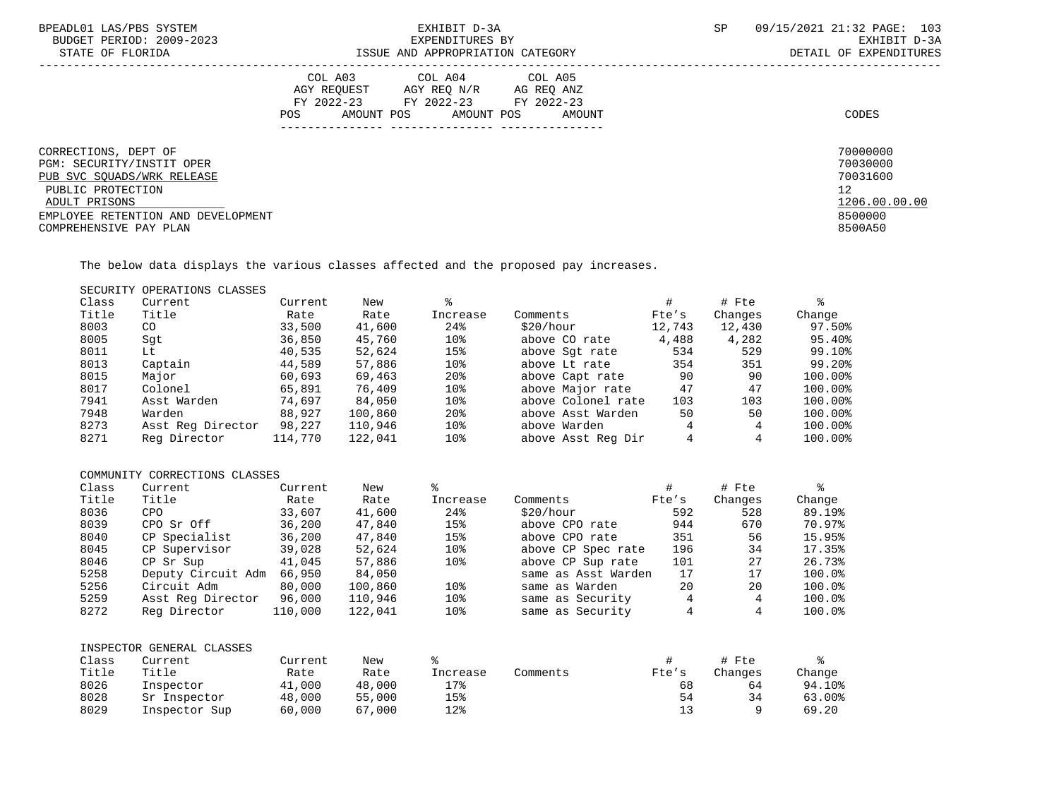| BPEADL01 LAS/PBS SYSTEM<br>BUDGET PERIOD: 2009-2023<br>STATE OF FLORIDA                                                                                                               | EXHIBIT D-3A<br>EXPENDITURES BY<br>ISSUE AND APPROPRIATION CATEGORY                                                                               | SP | 09/15/2021 21:32 PAGE: 103<br>EXHIBIT D-3A<br>DETAIL OF EXPENDITURES          |
|---------------------------------------------------------------------------------------------------------------------------------------------------------------------------------------|---------------------------------------------------------------------------------------------------------------------------------------------------|----|-------------------------------------------------------------------------------|
|                                                                                                                                                                                       | COL A03 COL A04 COL A05<br>AGY REOUEST<br>AGY REO N/R AG REO ANZ<br>FY 2022-23 FY 2022-23 FY 2022-23<br>AMOUNT POS<br>AMOUNT POS<br>POS<br>AMOUNT |    | CODES                                                                         |
| CORRECTIONS, DEPT OF<br>PGM: SECURITY/INSTIT OPER<br>PUB SVC SQUADS/WRK RELEASE<br>PUBLIC PROTECTION<br>ADULT PRISONS<br>EMPLOYEE RETENTION AND DEVELOPMENT<br>COMPREHENSIVE PAY PLAN |                                                                                                                                                   |    | 70000000<br>70030000<br>70031600<br>12<br>1206.00.00.00<br>8500000<br>8500A50 |

The below data displays the various classes affected and the proposed pay increases.

## SECURITY OPERATIONS CLASSES

| Class | Current           | Current | New     |                 |                    |        | # Fte   |         |
|-------|-------------------|---------|---------|-----------------|--------------------|--------|---------|---------|
| Title | Title             | Rate    | Rate    | Increase        | Comments           | Fte's  | Changes | Change  |
| 8003  | CO <sub>.</sub>   | 33,500  | 41,600  | 24%             | \$20/hour          | 12,743 | 12,430  | 97.50%  |
| 8005  | Sqt               | 36,850  | 45,760  | 10%             | above CO rate      | 4,488  | 4,282   | 95.40%  |
| 8011  | Lt                | 40,535  | 52,624  | 15%             | above Sqt rate     | 534    | 529     | 99.10%  |
| 8013  | Captain           | 44,589  | 57,886  | 10%             | above Lt rate      | 354    | 351     | 99.20%  |
| 8015  | Major             | 60,693  | 69,463  | 20 <sup>8</sup> | above Capt rate    | 90     | 90      | 100.00% |
| 8017  | Colonel           | 65,891  | 76,409  | 10%             | above Major rate   | 47     | 47      | 100.00% |
| 7941  | Asst Warden       | 74,697  | 84,050  | 10%             | above Colonel rate | 103    | 103     | 100.00% |
| 7948  | Warden            | 88,927  | 100,860 | 20 <sup>8</sup> | above Asst Warden  | 50     | 50      | 100.00% |
| 8273  | Asst Req Director | 98,227  | 110,946 | 10 <sub>8</sub> | above Warden       | 4      |         | 100.00% |
| 8271  | Reg Director      | 114,770 | 122,041 | 10%             | above Asst Reg Dir | 4      |         | 100.00% |
|       |                   |         |         |                 |                    |        |         |         |

### COMMUNITY CORRECTIONS CLASSES

| Class | Current            | Current | New     |                 |                     | #     | # Fte   |        |
|-------|--------------------|---------|---------|-----------------|---------------------|-------|---------|--------|
| Title | Title              | Rate    | Rate    | Increase        | Comments            | Fte's | Changes | Change |
| 8036  | <b>CPO</b>         | 33,607  | 41,600  | 24%             | \$20/hour           | 592   | 528     | 89.19% |
| 8039  | CPO Sr Off         | 36,200  | 47,840  | 15%             | above CPO rate      | 944   | 670     | 70.97% |
| 8040  | CP Specialist      | 36,200  | 47,840  | 15%             | above CPO rate      | 351   | 56      | 15.95% |
| 8045  | CP Supervisor      | 39,028  | 52,624  | 10 <sub>8</sub> | above CP Spec rate  | 196   | 34      | 17.35% |
| 8046  | CP Sr Sup          | 41,045  | 57,886  | 10 <sub>8</sub> | above CP Sup rate   | 101   | 27      | 26.73% |
| 5258  | Deputy Circuit Adm | 66,950  | 84,050  |                 | same as Asst Warden | 17    | 17      | 100.0% |
| 5256  | Circuit Adm        | 80,000  | 100,860 | 10%             | same as Warden      | 20    | 20      | 100.0% |
| 5259  | Asst Req Director  | 96,000  | 110,946 | 10%             | same as Security    | 4     | 4       | 100.0% |
| 8272  | Reg Director       | 110,000 | 122,041 | 10%             | same as Security    |       |         | 100.0% |

|       | INSPECTOR GENERAL CLASSES |         |        |          |          |       |         |        |
|-------|---------------------------|---------|--------|----------|----------|-------|---------|--------|
| Class | Current                   | Current | New    |          |          |       | # Fte   |        |
| Title | Title                     | Rate    | Rate   | Increase | Comments | Fte's | Changes | Chanqe |
| 8026  | Inspector                 | 41,000  | 48,000 | 17%      |          | 68    | 64      | 94.10% |
| 8028  | Sr Inspector              | 48,000  | 55,000 | 15%      |          | 54    | 34      | 63.00% |
| 8029  | Inspector Sup             | 60,000  | 67,000 | 12%      |          |       |         | 69.20  |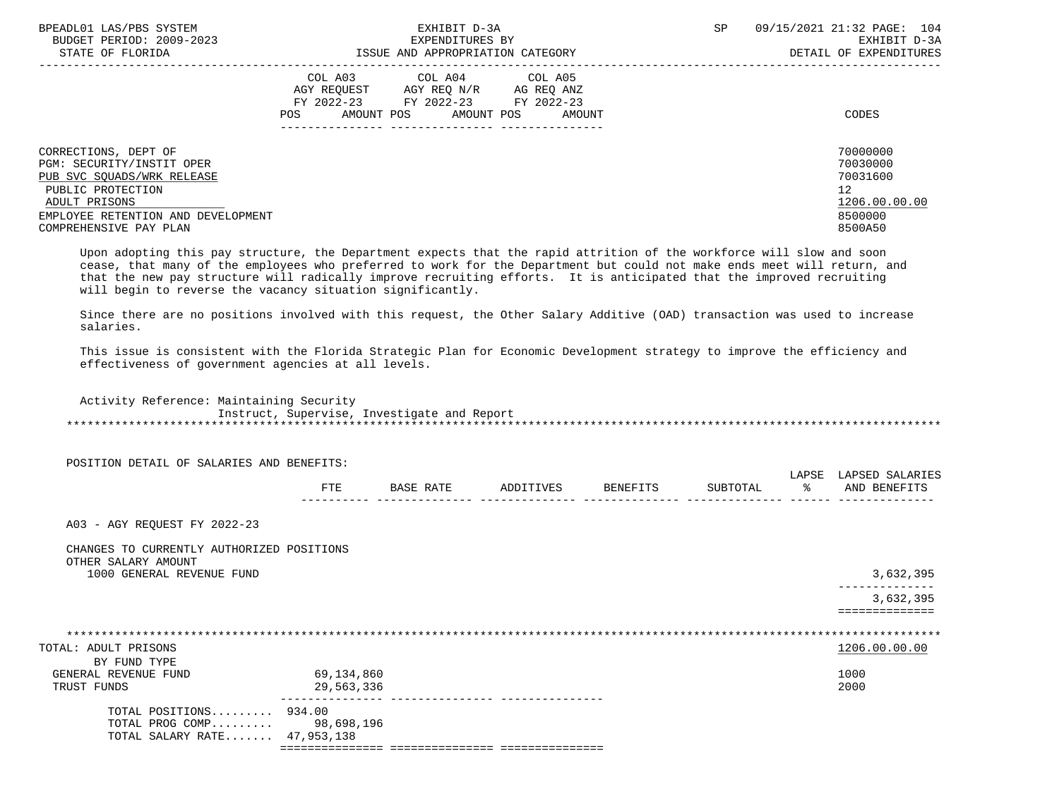| BPEADL01 LAS/PBS SYSTEM<br>BUDGET PERIOD: 2009-2023<br>STATE OF FLORIDA                            | EXHIBIT D-3A<br>EXPENDITURES BY<br>ISSUE AND APPROPRIATION CATEGORY                                                                                                           | 09/15/2021 21:32 PAGE: 104<br>SP.<br>EXHIBIT D-3A<br>DETAIL OF EXPENDITURES |
|----------------------------------------------------------------------------------------------------|-------------------------------------------------------------------------------------------------------------------------------------------------------------------------------|-----------------------------------------------------------------------------|
|                                                                                                    | COL A03<br>COL A04<br>COL A05<br>AGY REOUEST<br>AGY REO N/R AG REO ANZ<br>FY 2022-23 FY 2022-23<br>FY 2022-23<br>AMOUNT POS<br>AMOUNT POS<br>POS<br>AMOUNT<br>--------------- | CODES                                                                       |
| CORRECTIONS, DEPT OF                                                                               |                                                                                                                                                                               | 70000000<br>70030000                                                        |
| PGM: SECURITY/INSTIT OPER<br>PUB SVC SOUADS/WRK RELEASE                                            |                                                                                                                                                                               | 70031600                                                                    |
| PUBLIC PROTECTION<br>ADULT PRISONS<br>EMPLOYEE RETENTION AND DEVELOPMENT<br>COMPREHENSIVE PAY PLAN |                                                                                                                                                                               | 12<br>1206.00.00.00<br>8500000<br>8500A50                                   |

 Upon adopting this pay structure, the Department expects that the rapid attrition of the workforce will slow and soon cease, that many of the employees who preferred to work for the Department but could not make ends meet will return, and that the new pay structure will radically improve recruiting efforts. It is anticipated that the improved recruiting will begin to reverse the vacancy situation significantly.

 Since there are no positions involved with this request, the Other Salary Additive (OAD) transaction was used to increase salaries.

 This issue is consistent with the Florida Strategic Plan for Economic Development strategy to improve the efficiency and effectiveness of government agencies at all levels.

 Activity Reference: Maintaining Security Instruct, Supervise, Investigate and Report \*\*\*\*\*\*\*\*\*\*\*\*\*\*\*\*\*\*\*\*\*\*\*\*\*\*\*\*\*\*\*\*\*\*\*\*\*\*\*\*\*\*\*\*\*\*\*\*\*\*\*\*\*\*\*\*\*\*\*\*\*\*\*\*\*\*\*\*\*\*\*\*\*\*\*\*\*\*\*\*\*\*\*\*\*\*\*\*\*\*\*\*\*\*\*\*\*\*\*\*\*\*\*\*\*\*\*\*\*\*\*\*\*\*\*\*\*\*\*\*\*\*\*\*\*\*\*

POSITION DETAIL OF SALARIES AND BENEFITS:

|              |   |  | . |            |
|--------------|---|--|---|------------|
| 군모도<br>⊥ ⊥ ⊥ | ⊷ |  |   | <b>ANT</b> |
|              |   |  |   | . <u>.</u> |

A03 - AGY REQUEST FY 2022-23

## CHANGES TO CURRENTLY AUTHORIZED POSITIONS OTHER SALARY AMOUNT

 1000 GENERAL REVENUE FUND 3,632,395 -------------- 3,632,395

==============

| TOTAL: ADULT PRISONS         |            | 1206.00.00.00                    |  |
|------------------------------|------------|----------------------------------|--|
| BY FUND TYPE                 |            |                                  |  |
| GENERAL REVENUE FUND         | 69,134,860 | 1000                             |  |
| TRUST FUNDS                  | 29,563,336 | 2000                             |  |
| TOTAL POSITIONS $934.00$     |            |                                  |  |
| TOTAL PROG COMP 98,698,196   |            |                                  |  |
| TOTAL SALARY RATE 47,953,138 |            |                                  |  |
|                              |            | . ================ ============= |  |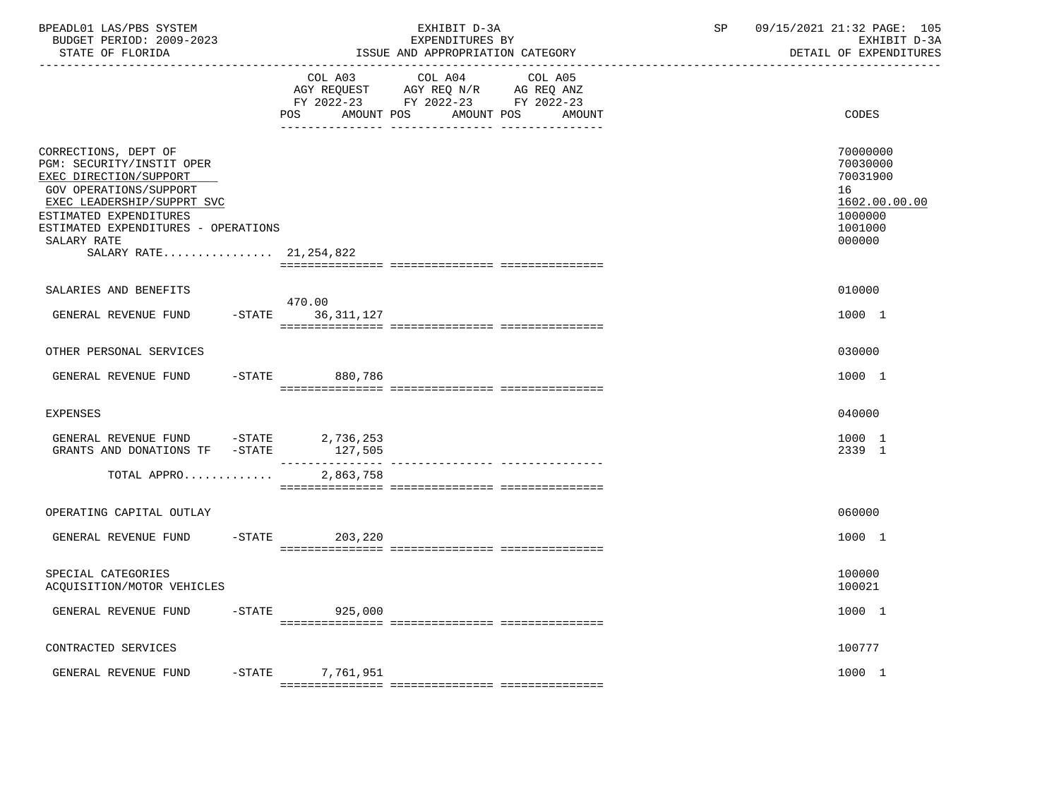| BPEADL01 LAS/PBS SYSTEM<br>BUDGET PERIOD: 2009-2023<br>STATE OF FLORIDA                                                                                                                                                                         |                             | EXHIBIT D-3A<br>EXPENDITURES BY<br>ISSUE AND APPROPRIATION CATEGORY                                                                  | SP | 09/15/2021 21:32 PAGE: 105<br>EXHIBIT D-3A<br>DETAIL OF EXPENDITURES                    |
|-------------------------------------------------------------------------------------------------------------------------------------------------------------------------------------------------------------------------------------------------|-----------------------------|--------------------------------------------------------------------------------------------------------------------------------------|----|-----------------------------------------------------------------------------------------|
|                                                                                                                                                                                                                                                 | POS                         | COL A03 COL A04 COL A05<br>AGY REQUEST AGY REQ N/R AG REQ ANZ<br>FY 2022-23 FY 2022-23 FY 2022-23<br>AMOUNT POS AMOUNT POS<br>AMOUNT |    | CODES                                                                                   |
| CORRECTIONS, DEPT OF<br>PGM: SECURITY/INSTIT OPER<br>EXEC DIRECTION/SUPPORT<br>GOV OPERATIONS/SUPPORT<br>EXEC LEADERSHIP/SUPPRT SVC<br>ESTIMATED EXPENDITURES<br>ESTIMATED EXPENDITURES - OPERATIONS<br>SALARY RATE<br>SALARY RATE 21, 254, 822 |                             |                                                                                                                                      |    | 70000000<br>70030000<br>70031900<br>16<br>1602.00.00.00<br>1000000<br>1001000<br>000000 |
| SALARIES AND BENEFITS                                                                                                                                                                                                                           |                             |                                                                                                                                      |    | 010000                                                                                  |
| GENERAL REVENUE FUND                                                                                                                                                                                                                            | 470.00<br>-STATE 36,311,127 |                                                                                                                                      |    | 1000 1                                                                                  |
| OTHER PERSONAL SERVICES                                                                                                                                                                                                                         |                             |                                                                                                                                      |    | 030000                                                                                  |
| GENERAL REVENUE FUND                                                                                                                                                                                                                            | -STATE 880,786              |                                                                                                                                      |    | 1000 1                                                                                  |
| <b>EXPENSES</b>                                                                                                                                                                                                                                 |                             |                                                                                                                                      |    | 040000                                                                                  |
| GENERAL REVENUE FUND -STATE 2,736,253                                                                                                                                                                                                           |                             |                                                                                                                                      |    | 1000 1<br>2339 1                                                                        |
| TOTAL APPRO                                                                                                                                                                                                                                     | 2,863,758                   |                                                                                                                                      |    |                                                                                         |
| OPERATING CAPITAL OUTLAY                                                                                                                                                                                                                        |                             |                                                                                                                                      |    | 060000                                                                                  |
| GENERAL REVENUE FUND                                                                                                                                                                                                                            | $-$ STATE<br>203,220        |                                                                                                                                      |    | 1000 1                                                                                  |
| SPECIAL CATEGORIES<br>ACQUISITION/MOTOR VEHICLES                                                                                                                                                                                                |                             |                                                                                                                                      |    | 100000<br>100021                                                                        |
| GENERAL REVENUE FUND                                                                                                                                                                                                                            | -STATE 925,000              |                                                                                                                                      |    | 1000 1                                                                                  |
| CONTRACTED SERVICES                                                                                                                                                                                                                             |                             |                                                                                                                                      |    | 100777                                                                                  |
| GENERAL REVENUE FUND                                                                                                                                                                                                                            | -STATE 7,761,951            |                                                                                                                                      |    | 1000 1                                                                                  |
|                                                                                                                                                                                                                                                 |                             |                                                                                                                                      |    |                                                                                         |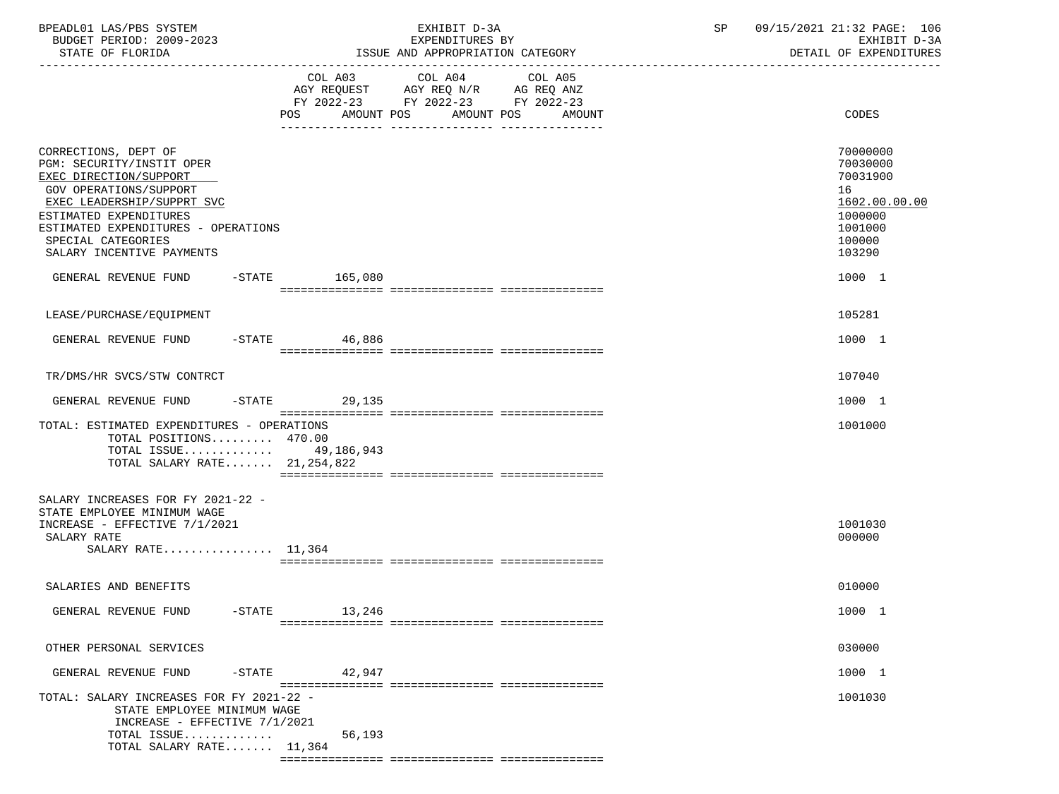| BPEADL01 LAS/PBS SYSTEM<br>BUDGET PERIOD: 2009-2023<br>STATE OF FLORIDA                                                                                                                                                                                 |                              | EXHIBIT D-3A<br>EXPENDITURES BY<br>ISSUE AND APPROPRIATION CATEGORY                                                  | SP | 09/15/2021 21:32 PAGE: 106<br>EXHIBIT D-3A<br>DETAIL OF EXPENDITURES                              |
|---------------------------------------------------------------------------------------------------------------------------------------------------------------------------------------------------------------------------------------------------------|------------------------------|----------------------------------------------------------------------------------------------------------------------|----|---------------------------------------------------------------------------------------------------|
|                                                                                                                                                                                                                                                         | COL A03<br>AMOUNT POS<br>POS | COL A04<br>COL A05<br>AGY REQUEST AGY REQ N/R AG REQ ANZ<br>FY 2022-23 FY 2022-23 FY 2022-23<br>AMOUNT POS<br>AMOUNT |    | CODES                                                                                             |
| CORRECTIONS, DEPT OF<br>PGM: SECURITY/INSTIT OPER<br>EXEC DIRECTION/SUPPORT<br>GOV OPERATIONS/SUPPORT<br>EXEC LEADERSHIP/SUPPRT SVC<br>ESTIMATED EXPENDITURES<br>ESTIMATED EXPENDITURES - OPERATIONS<br>SPECIAL CATEGORIES<br>SALARY INCENTIVE PAYMENTS |                              |                                                                                                                      |    | 70000000<br>70030000<br>70031900<br>16<br>1602.00.00.00<br>1000000<br>1001000<br>100000<br>103290 |
| GENERAL REVENUE FUND -STATE 165,080                                                                                                                                                                                                                     |                              |                                                                                                                      |    | 1000 1                                                                                            |
| LEASE/PURCHASE/EQUIPMENT                                                                                                                                                                                                                                |                              |                                                                                                                      |    | 105281                                                                                            |
| GENERAL REVENUE FUND                                                                                                                                                                                                                                    | $-$ STATE 46,886             |                                                                                                                      |    | 1000 1                                                                                            |
| TR/DMS/HR SVCS/STW CONTRCT                                                                                                                                                                                                                              |                              |                                                                                                                      |    | 107040                                                                                            |
| GENERAL REVENUE FUND                                                                                                                                                                                                                                    | -STATE 29,135                |                                                                                                                      |    | 1000 1                                                                                            |
| TOTAL: ESTIMATED EXPENDITURES - OPERATIONS<br>TOTAL POSITIONS 470.00<br>TOTAL ISSUE 49,186,943<br>TOTAL SALARY RATE 21, 254, 822                                                                                                                        |                              |                                                                                                                      |    | 1001000                                                                                           |
| SALARY INCREASES FOR FY 2021-22 -<br>STATE EMPLOYEE MINIMUM WAGE<br>INCREASE - EFFECTIVE 7/1/2021<br>SALARY RATE<br>SALARY RATE $11,364$                                                                                                                |                              |                                                                                                                      |    | 1001030<br>000000                                                                                 |
| SALARIES AND BENEFITS                                                                                                                                                                                                                                   |                              |                                                                                                                      |    | 010000                                                                                            |
| GENERAL REVENUE FUND                                                                                                                                                                                                                                    | $-$ STATE 13, 246            |                                                                                                                      |    | 1000 1                                                                                            |
| OTHER PERSONAL SERVICES                                                                                                                                                                                                                                 |                              |                                                                                                                      |    | 030000                                                                                            |
| GENERAL REVENUE FUND<br>$-$ STATE                                                                                                                                                                                                                       | 42,947                       |                                                                                                                      |    | 1000 1                                                                                            |
| TOTAL: SALARY INCREASES FOR FY 2021-22 -<br>STATE EMPLOYEE MINIMUM WAGE<br>INCREASE - EFFECTIVE 7/1/2021<br>TOTAL ISSUE<br>TOTAL SALARY RATE $11,364$                                                                                                   | 56,193                       |                                                                                                                      |    | 1001030                                                                                           |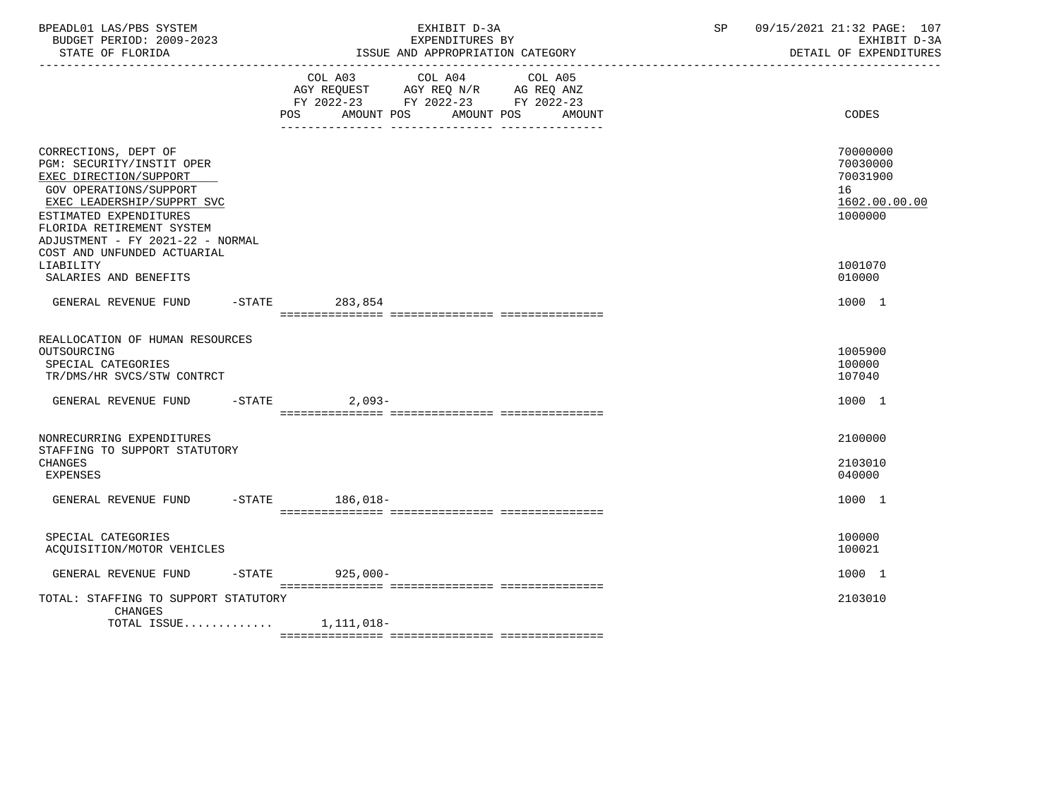| BPEADL01 LAS/PBS SYSTEM<br>BUDGET PERIOD: 2009-2023<br>STATE OF FLORIDA                                                                                                                                                                                       | EXHIBIT D-3A<br>EXPENDITURES BY<br>ISSUE AND APPROPRIATION CATEGORY                                                                            | 09/15/2021 21:32 PAGE: 107<br>SP<br>EXHIBIT D-3A<br>DETAIL OF EXPENDITURES    |
|---------------------------------------------------------------------------------------------------------------------------------------------------------------------------------------------------------------------------------------------------------------|------------------------------------------------------------------------------------------------------------------------------------------------|-------------------------------------------------------------------------------|
|                                                                                                                                                                                                                                                               | COL A03 COL A04 COL A05<br>AGY REQUEST AGY REQ N/R AG REQ ANZ<br>FY 2022-23 FY 2022-23 FY 2022-23<br>AMOUNT POS<br>AMOUNT POS<br>POS<br>AMOUNT | <b>CODES</b>                                                                  |
| CORRECTIONS, DEPT OF<br>PGM: SECURITY/INSTIT OPER<br>EXEC DIRECTION/SUPPORT<br>GOV OPERATIONS/SUPPORT<br>EXEC LEADERSHIP/SUPPRT SVC<br>ESTIMATED EXPENDITURES<br>FLORIDA RETIREMENT SYSTEM<br>ADJUSTMENT - FY 2021-22 - NORMAL<br>COST AND UNFUNDED ACTUARIAL |                                                                                                                                                | 70000000<br>70030000<br>70031900<br>16<br>1602.00.00.00<br>1000000<br>1001070 |
| LIABILITY<br>SALARIES AND BENEFITS<br>GENERAL REVENUE FUND                                                                                                                                                                                                    | -STATE 283,854                                                                                                                                 | 010000<br>1000 1                                                              |
| REALLOCATION OF HUMAN RESOURCES<br>OUTSOURCING<br>SPECIAL CATEGORIES<br>TR/DMS/HR SVCS/STW CONTRCT                                                                                                                                                            |                                                                                                                                                | 1005900<br>100000<br>107040                                                   |
| GENERAL REVENUE FUND -STATE 2,093-                                                                                                                                                                                                                            |                                                                                                                                                | 1000 1                                                                        |
| NONRECURRING EXPENDITURES<br>STAFFING TO SUPPORT STATUTORY<br><b>CHANGES</b><br><b>EXPENSES</b><br>GENERAL REVENUE FUND -STATE 186,018-                                                                                                                       |                                                                                                                                                | 2100000<br>2103010<br>040000<br>1000 1                                        |
| SPECIAL CATEGORIES<br>ACQUISITION/MOTOR VEHICLES                                                                                                                                                                                                              |                                                                                                                                                | 100000<br>100021                                                              |
| GENERAL REVENUE FUND -STATE 925,000-                                                                                                                                                                                                                          |                                                                                                                                                | 1000 1                                                                        |
| TOTAL: STAFFING TO SUPPORT STATUTORY<br><b>CHANGES</b><br>TOTAL ISSUE $1,111,018-$                                                                                                                                                                            |                                                                                                                                                | 2103010                                                                       |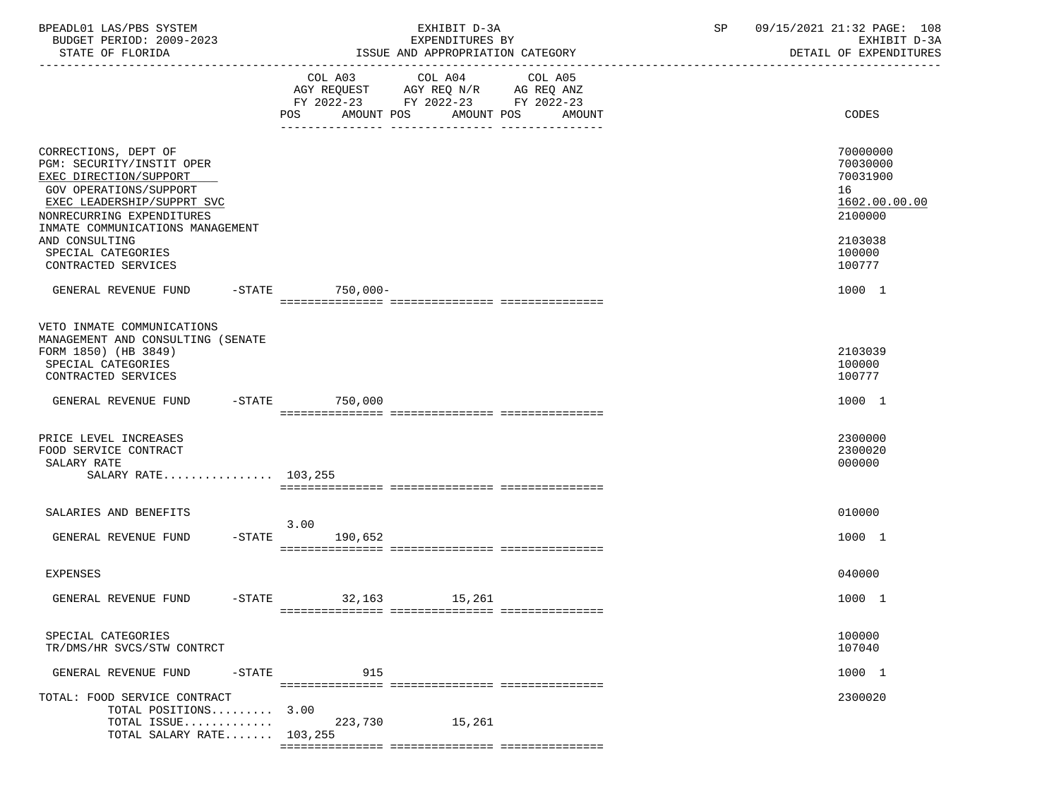| BPEADL01 LAS/PBS SYSTEM<br>EXHIBIT D-3A<br>BUDGET PERIOD: 2009-2023<br>EXPENDITURES BY                                                                                                                                 |                                                                                                                               | 09/15/2021 21:32 PAGE: 108<br>SP<br>EXHIBIT D-3A                              |
|------------------------------------------------------------------------------------------------------------------------------------------------------------------------------------------------------------------------|-------------------------------------------------------------------------------------------------------------------------------|-------------------------------------------------------------------------------|
| STATE OF FLORIDA                                                                                                                                                                                                       | ISSUE AND APPROPRIATION CATEGORY                                                                                              | DETAIL OF EXPENDITURES                                                        |
|                                                                                                                                                                                                                        | COL A03 COL A04<br>AGY REQUEST AGY REQ N/R AG REQ ANZ<br>FY 2022-23 FY 2022-23 FY 2022-23<br>POS AMOUNT POS AMOUNT POS AMOUNT | COL A05<br>CODES                                                              |
| CORRECTIONS, DEPT OF<br>PGM: SECURITY/INSTIT OPER<br>EXEC DIRECTION/SUPPORT<br>GOV OPERATIONS/SUPPORT<br>EXEC LEADERSHIP/SUPPRT SVC<br>NONRECURRING EXPENDITURES<br>INMATE COMMUNICATIONS MANAGEMENT<br>AND CONSULTING |                                                                                                                               | 70000000<br>70030000<br>70031900<br>16<br>1602.00.00.00<br>2100000<br>2103038 |
| SPECIAL CATEGORIES<br>CONTRACTED SERVICES                                                                                                                                                                              |                                                                                                                               | 100000<br>100777                                                              |
| GENERAL REVENUE FUND -STATE 750,000-                                                                                                                                                                                   |                                                                                                                               | 1000 1                                                                        |
| VETO INMATE COMMUNICATIONS<br>MANAGEMENT AND CONSULTING (SENATE<br>FORM 1850) (HB 3849)<br>SPECIAL CATEGORIES<br>CONTRACTED SERVICES                                                                                   |                                                                                                                               | 2103039<br>100000<br>100777                                                   |
| GENERAL REVENUE FUND -STATE 750,000                                                                                                                                                                                    |                                                                                                                               | 1000 1                                                                        |
| PRICE LEVEL INCREASES<br>FOOD SERVICE CONTRACT<br>SALARY RATE<br>SALARY RATE 103,255                                                                                                                                   |                                                                                                                               | 2300000<br>2300020<br>000000                                                  |
| SALARIES AND BENEFITS                                                                                                                                                                                                  | 3.00                                                                                                                          | 010000                                                                        |
| GENERAL REVENUE FUND -STATE                                                                                                                                                                                            | 190,652                                                                                                                       | 1000 1                                                                        |
| <b>EXPENSES</b>                                                                                                                                                                                                        |                                                                                                                               | 040000                                                                        |
| GENERAL REVENUE FUND<br>$-STATE$                                                                                                                                                                                       | 32,163<br>15,261                                                                                                              | 1000 1                                                                        |
| SPECIAL CATEGORIES<br>TR/DMS/HR SVCS/STW CONTRCT                                                                                                                                                                       |                                                                                                                               | 100000<br>107040                                                              |
| GENERAL REVENUE FUND<br>$-$ STATE                                                                                                                                                                                      | 915                                                                                                                           | 1000 1                                                                        |
| TOTAL: FOOD SERVICE CONTRACT<br>TOTAL POSITIONS<br>TOTAL ISSUE<br>TOTAL SALARY RATE 103,255                                                                                                                            | 3.00<br>223,730<br>15,261                                                                                                     | 2300020                                                                       |
|                                                                                                                                                                                                                        |                                                                                                                               |                                                                               |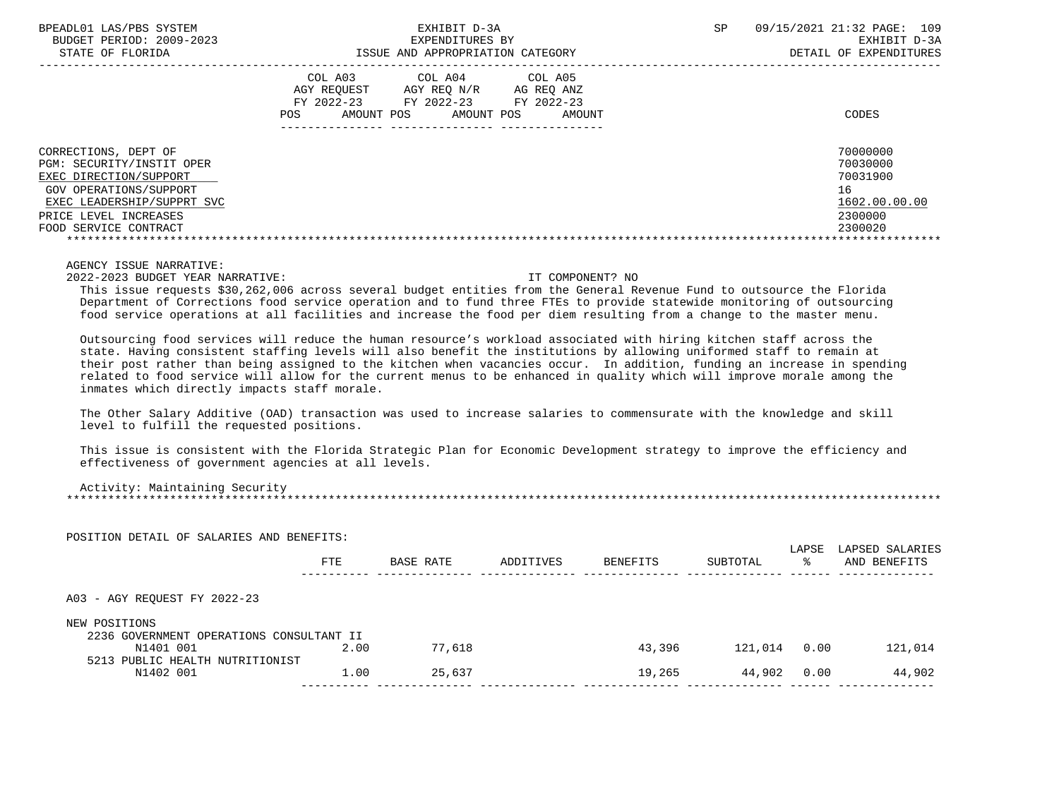STATE OF FLORIDA **ISSUE AND APPROPRIATION CATEGORY** 

 BPEADL01 LAS/PBS SYSTEM EXHIBIT D-3A SP 09/15/2021 21:32 PAGE: 109 BUDGET PERIOD: 2009-2023 EXPENDITURES BY EXHIBIT D-3A

|                                                                                                                                                                                       | COL A03<br>AGY REOUEST<br>FY 2022-23<br>AMOUNT POS<br>POS. | COL A04<br>AGY REO N/R<br>FY 2022-23<br>AMOUNT POS | COL A05<br>AG REQ ANZ<br>FY 2022-23<br>AMOUNT | CODES                                                                         |
|---------------------------------------------------------------------------------------------------------------------------------------------------------------------------------------|------------------------------------------------------------|----------------------------------------------------|-----------------------------------------------|-------------------------------------------------------------------------------|
| CORRECTIONS, DEPT OF<br>PGM: SECURITY/INSTIT OPER<br>EXEC DIRECTION/SUPPORT<br>GOV OPERATIONS/SUPPORT<br>EXEC LEADERSHIP/SUPPRT SVC<br>PRICE LEVEL INCREASES<br>FOOD SERVICE CONTRACT |                                                            |                                                    |                                               | 70000000<br>70030000<br>70031900<br>16<br>1602.00.00.00<br>2300000<br>2300020 |

AGENCY ISSUE NARRATIVE:

2022-2023 BUDGET YEAR NARRATIVE: IT COMPONENT? NO

 This issue requests \$30,262,006 across several budget entities from the General Revenue Fund to outsource the Florida Department of Corrections food service operation and to fund three FTEs to provide statewide monitoring of outsourcing food service operations at all facilities and increase the food per diem resulting from a change to the master menu.

 Outsourcing food services will reduce the human resource's workload associated with hiring kitchen staff across the state. Having consistent staffing levels will also benefit the institutions by allowing uniformed staff to remain at their post rather than being assigned to the kitchen when vacancies occur. In addition, funding an increase in spending related to food service will allow for the current menus to be enhanced in quality which will improve morale among the inmates which directly impacts staff morale.

 The Other Salary Additive (OAD) transaction was used to increase salaries to commensurate with the knowledge and skill level to fulfill the requested positions.

 This issue is consistent with the Florida Strategic Plan for Economic Development strategy to improve the efficiency and effectiveness of government agencies at all levels.

Activity: Maintaining Security

\*\*\*\*\*\*\*\*\*\*\*\*\*\*\*\*\*\*\*\*\*\*\*\*\*\*\*\*\*\*\*\*\*\*\*\*\*\*\*\*\*\*\*\*\*\*\*\*\*\*\*\*\*\*\*\*\*\*\*\*\*\*\*\*\*\*\*\*\*\*\*\*\*\*\*\*\*\*\*\*\*\*\*\*\*\*\*\*\*\*\*\*\*\*\*\*\*\*\*\*\*\*\*\*\*\*\*\*\*\*\*\*\*\*\*\*\*\*\*\*\*\*\*\*\*\*\*

POSITION DETAIL OF SALARIES AND BENEFITS:

|                                                           | <b>FTE</b> | BASE RATE | ADDITIVES | BENEFITS | SUBTOTAL | LAPSE<br>°≈ | LAPSED SALARIES<br>AND BENEFITS |
|-----------------------------------------------------------|------------|-----------|-----------|----------|----------|-------------|---------------------------------|
| A03 - AGY REQUEST FY 2022-23                              |            |           |           |          |          |             |                                 |
| NEW POSITIONS<br>2236 GOVERNMENT OPERATIONS CONSULTANT II |            |           |           |          |          |             |                                 |
| N1401 001                                                 | 2.00       | 77,618    |           | 43,396   | 121,014  | 0.00        | 121,014                         |
| 5213 PUBLIC HEALTH NUTRITIONIST<br>N1402 001              | 1.00       | 25,637    |           | 19,265   | 44,902   | 0.00        | 44,902                          |
|                                                           |            |           |           |          |          |             |                                 |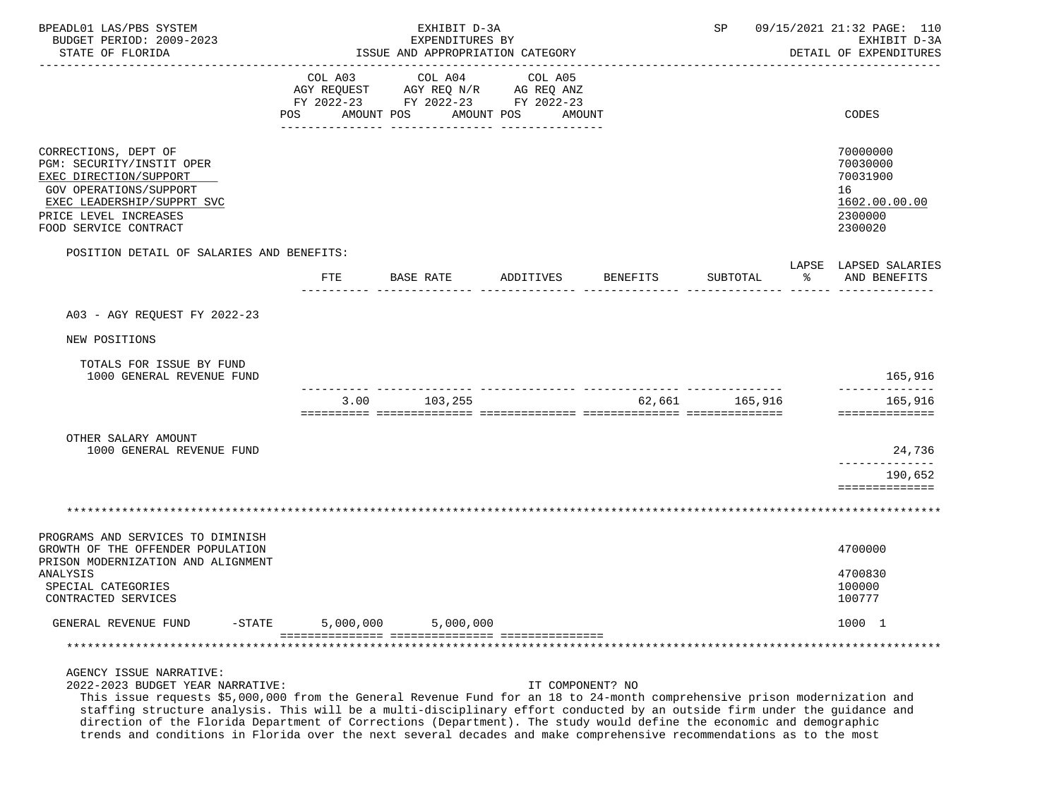| BPEADL01 LAS/PBS SYSTEM<br>BUDGET PERIOD: 2009-2023<br>STATE OF FLORIDA                                                                                                               | EXHIBIT D-3A<br>EXPENDITURES BY<br>ISSUE AND APPROPRIATION CATEGORY |                                                                                                                                                                                                                             |                       | SP               |                | 09/15/2021 21:32 PAGE: 110<br>EXHIBIT D-3A<br>DETAIL OF EXPENDITURES |                                                                               |
|---------------------------------------------------------------------------------------------------------------------------------------------------------------------------------------|---------------------------------------------------------------------|-----------------------------------------------------------------------------------------------------------------------------------------------------------------------------------------------------------------------------|-----------------------|------------------|----------------|----------------------------------------------------------------------|-------------------------------------------------------------------------------|
|                                                                                                                                                                                       | COL A03<br>POS                                                      | COL A04<br>$\begin{tabular}{lllllll} \bf AGY & \bf REQUEST & \bf AGY & \bf REQ & \tt N/R & \tt AG & \tt REQ & \tt ANZ \\ \bf FY & \tt 2022-23 & \tt FY & \tt 2022-23 & \tt FY & \tt 2022-23 \\ \end{tabular}$<br>AMOUNT POS | COL A05<br>AMOUNT POS | AMOUNT           |                |                                                                      | CODES                                                                         |
| CORRECTIONS, DEPT OF<br>PGM: SECURITY/INSTIT OPER<br>EXEC DIRECTION/SUPPORT<br>GOV OPERATIONS/SUPPORT<br>EXEC LEADERSHIP/SUPPRT SVC<br>PRICE LEVEL INCREASES<br>FOOD SERVICE CONTRACT |                                                                     |                                                                                                                                                                                                                             |                       |                  |                |                                                                      | 70000000<br>70030000<br>70031900<br>16<br>1602.00.00.00<br>2300000<br>2300020 |
| POSITION DETAIL OF SALARIES AND BENEFITS:                                                                                                                                             |                                                                     |                                                                                                                                                                                                                             |                       |                  |                |                                                                      | LAPSE LAPSED SALARIES                                                         |
|                                                                                                                                                                                       | FTE                                                                 | BASE RATE ADDITIVES                                                                                                                                                                                                         |                       | <b>BENEFITS</b>  | SUBTOTAL       | $\sim$ $\sim$                                                        | AND BENEFITS                                                                  |
| A03 - AGY REQUEST FY 2022-23                                                                                                                                                          |                                                                     |                                                                                                                                                                                                                             |                       |                  |                |                                                                      |                                                                               |
| NEW POSITIONS                                                                                                                                                                         |                                                                     |                                                                                                                                                                                                                             |                       |                  |                |                                                                      |                                                                               |
| TOTALS FOR ISSUE BY FUND<br>1000 GENERAL REVENUE FUND                                                                                                                                 |                                                                     |                                                                                                                                                                                                                             |                       |                  |                |                                                                      | 165,916                                                                       |
|                                                                                                                                                                                       | 3.00                                                                | 103,255                                                                                                                                                                                                                     |                       |                  | 62,661 165,916 |                                                                      | 165,916<br>==============                                                     |
| OTHER SALARY AMOUNT<br>1000 GENERAL REVENUE FUND                                                                                                                                      |                                                                     |                                                                                                                                                                                                                             |                       |                  |                |                                                                      | 24,736                                                                        |
|                                                                                                                                                                                       |                                                                     |                                                                                                                                                                                                                             |                       |                  |                |                                                                      | -------------<br>190,652                                                      |
|                                                                                                                                                                                       |                                                                     |                                                                                                                                                                                                                             |                       |                  |                |                                                                      | ==============                                                                |
|                                                                                                                                                                                       |                                                                     |                                                                                                                                                                                                                             |                       |                  |                |                                                                      |                                                                               |
| PROGRAMS AND SERVICES TO DIMINISH<br>GROWTH OF THE OFFENDER POPULATION                                                                                                                |                                                                     |                                                                                                                                                                                                                             |                       |                  |                |                                                                      | 4700000                                                                       |
| PRISON MODERNIZATION AND ALIGNMENT<br>ANALYSIS<br>SPECIAL CATEGORIES<br>CONTRACTED SERVICES                                                                                           |                                                                     |                                                                                                                                                                                                                             |                       |                  |                |                                                                      | 4700830<br>100000<br>100777                                                   |
| GENERAL REVENUE FUND<br>$-$ STATE                                                                                                                                                     | 5,000,000                                                           | 5,000,000                                                                                                                                                                                                                   |                       |                  |                |                                                                      | 1000 1                                                                        |
|                                                                                                                                                                                       |                                                                     |                                                                                                                                                                                                                             |                       |                  |                |                                                                      |                                                                               |
| AGENCY ISSUE NARRATIVE:<br>2022-2023 BUDGET YEAR NARRATIVE:                                                                                                                           |                                                                     |                                                                                                                                                                                                                             |                       | IT COMPONENT? NO |                |                                                                      |                                                                               |

 This issue requests \$5,000,000 from the General Revenue Fund for an 18 to 24-month comprehensive prison modernization and staffing structure analysis. This will be a multi-disciplinary effort conducted by an outside firm under the guidance and direction of the Florida Department of Corrections (Department). The study would define the economic and demographic trends and conditions in Florida over the next several decades and make comprehensive recommendations as to the most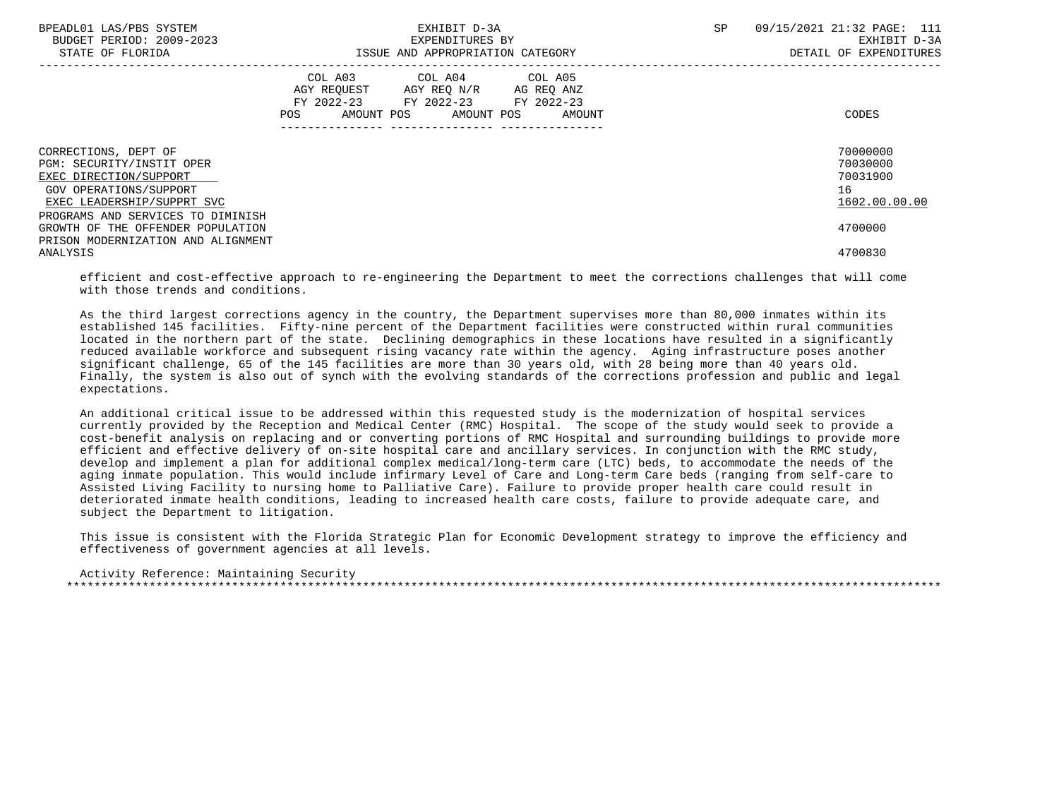| BPEADL01 LAS/PBS SYSTEM<br>BUDGET PERIOD: 2009-2023<br>STATE OF FLORIDA                                                             | EXHIBIT D-3A<br>EXPENDITURES BY<br>ISSUE AND APPROPRIATION CATEGORY                                                                         | 09/15/2021 21:32 PAGE: 111<br>SP.<br>EXHIBIT D-3A<br>DETAIL OF EXPENDITURES |
|-------------------------------------------------------------------------------------------------------------------------------------|---------------------------------------------------------------------------------------------------------------------------------------------|-----------------------------------------------------------------------------|
|                                                                                                                                     | COL A03 COL A04 COL A05<br>AGY REQUEST AGY REQ N/R AG REQ ANZ<br>FY 2022-23 FY 2022-23 FY 2022-23<br>AMOUNT POS AMOUNT POS<br>POS<br>AMOUNT | CODES                                                                       |
| CORRECTIONS, DEPT OF<br>PGM: SECURITY/INSTIT OPER<br>EXEC DIRECTION/SUPPORT<br>GOV OPERATIONS/SUPPORT<br>EXEC LEADERSHIP/SUPPRT SVC |                                                                                                                                             | 70000000<br>70030000<br>70031900<br>16<br>1602.00.00.00                     |
| PROGRAMS AND SERVICES TO DIMINISH<br>GROWTH OF THE OFFENDER POPULATION<br>PRISON MODERNIZATION AND ALIGNMENT<br>ANALYSIS            |                                                                                                                                             | 4700000<br>4700830                                                          |

 efficient and cost-effective approach to re-engineering the Department to meet the corrections challenges that will come with those trends and conditions.

 As the third largest corrections agency in the country, the Department supervises more than 80,000 inmates within its established 145 facilities. Fifty-nine percent of the Department facilities were constructed within rural communities located in the northern part of the state. Declining demographics in these locations have resulted in a significantly reduced available workforce and subsequent rising vacancy rate within the agency. Aging infrastructure poses another significant challenge, 65 of the 145 facilities are more than 30 years old, with 28 being more than 40 years old. Finally, the system is also out of synch with the evolving standards of the corrections profession and public and legal expectations.

 An additional critical issue to be addressed within this requested study is the modernization of hospital services currently provided by the Reception and Medical Center (RMC) Hospital. The scope of the study would seek to provide a cost-benefit analysis on replacing and or converting portions of RMC Hospital and surrounding buildings to provide more efficient and effective delivery of on-site hospital care and ancillary services. In conjunction with the RMC study, develop and implement a plan for additional complex medical/long-term care (LTC) beds, to accommodate the needs of the aging inmate population. This would include infirmary Level of Care and Long-term Care beds (ranging from self-care to Assisted Living Facility to nursing home to Palliative Care). Failure to provide proper health care could result in deteriorated inmate health conditions, leading to increased health care costs, failure to provide adequate care, and subject the Department to litigation.

 This issue is consistent with the Florida Strategic Plan for Economic Development strategy to improve the efficiency and effectiveness of government agencies at all levels.

 Activity Reference: Maintaining Security \*\*\*\*\*\*\*\*\*\*\*\*\*\*\*\*\*\*\*\*\*\*\*\*\*\*\*\*\*\*\*\*\*\*\*\*\*\*\*\*\*\*\*\*\*\*\*\*\*\*\*\*\*\*\*\*\*\*\*\*\*\*\*\*\*\*\*\*\*\*\*\*\*\*\*\*\*\*\*\*\*\*\*\*\*\*\*\*\*\*\*\*\*\*\*\*\*\*\*\*\*\*\*\*\*\*\*\*\*\*\*\*\*\*\*\*\*\*\*\*\*\*\*\*\*\*\*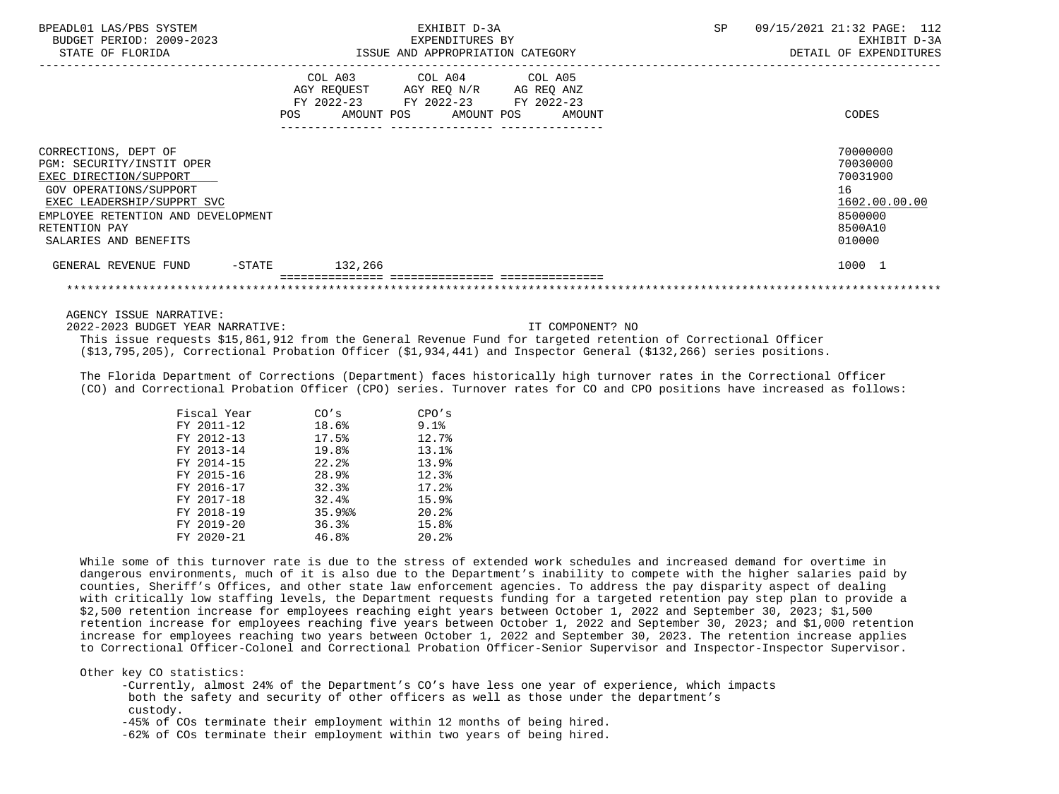| BPEADL01 LAS/PBS SYSTEM<br>BUDGET PERIOD: 2009-2023<br>STATE OF FLORIDA                                                                                                                                             | EXHIBIT D-3A<br>EXPENDITURES BY<br>ISSUE AND APPROPRIATION CATEGORY                               |                              | <b>SP</b> | 09/15/2021 21:32 PAGE: 112<br>EXHIBIT D-3A<br>DETAIL OF EXPENDITURES                    |
|---------------------------------------------------------------------------------------------------------------------------------------------------------------------------------------------------------------------|---------------------------------------------------------------------------------------------------|------------------------------|-----------|-----------------------------------------------------------------------------------------|
|                                                                                                                                                                                                                     | COL A03 COL A04 COL A05<br>AGY REQUEST AGY REQ N/R AG REQ ANZ<br>FY 2022-23 FY 2022-23 FY 2022-23 | AMOUNT POS AMOUNT POS AMOUNT |           | CODES                                                                                   |
| CORRECTIONS, DEPT OF<br>PGM: SECURITY/INSTIT OPER<br>EXEC DIRECTION/SUPPORT<br>GOV OPERATIONS/SUPPORT<br>EXEC LEADERSHIP/SUPPRT SVC<br>EMPLOYEE RETENTION AND DEVELOPMENT<br>RETENTION PAY<br>SALARIES AND BENEFITS |                                                                                                   |                              |           | 70000000<br>70030000<br>70031900<br>16<br>1602.00.00.00<br>8500000<br>8500A10<br>010000 |
| GENERAL REVENUE FUND<br>$-$ STATE                                                                                                                                                                                   | 132,266                                                                                           |                              |           | 1000 1                                                                                  |
|                                                                                                                                                                                                                     |                                                                                                   |                              |           |                                                                                         |

2022-2023 BUDGET YEAR NARRATIVE: IT COMPONENT? NO

 This issue requests \$15,861,912 from the General Revenue Fund for targeted retention of Correctional Officer (\$13,795,205), Correctional Probation Officer (\$1,934,441) and Inspector General (\$132,266) series positions.

 The Florida Department of Corrections (Department) faces historically high turnover rates in the Correctional Officer (CO) and Correctional Probation Officer (CPO) series. Turnover rates for CO and CPO positions have increased as follows:

| Fiscal Year | CO's  | CPO's     |
|-------------|-------|-----------|
| FY 2011-12  | 18.6% | $9.1$ $8$ |
| FY 2012-13  | 17.5% | 12.7%     |
| FY 2013-14  | 19.8% | 13.1%     |
| FY 2014-15  | 22.2% | 13.9%     |
| FY 2015-16  | 28.9% | 12.3%     |
| FY 2016-17  | 32.3% | 17.2%     |
| FY 2017-18  | 32.4% | 15.9%     |
| FY 2018-19  | 35.9% | 20.2%     |
| FY 2019-20  | 36.3% | 15.8%     |
| FY 2020-21  | 46.8% | 20.2%     |

 While some of this turnover rate is due to the stress of extended work schedules and increased demand for overtime in dangerous environments, much of it is also due to the Department's inability to compete with the higher salaries paid by counties, Sheriff's Offices, and other state law enforcement agencies. To address the pay disparity aspect of dealing with critically low staffing levels, the Department requests funding for a targeted retention pay step plan to provide a \$2,500 retention increase for employees reaching eight years between October 1, 2022 and September 30, 2023; \$1,500 retention increase for employees reaching five years between October 1, 2022 and September 30, 2023; and \$1,000 retention increase for employees reaching two years between October 1, 2022 and September 30, 2023. The retention increase applies to Correctional Officer-Colonel and Correctional Probation Officer-Senior Supervisor and Inspector-Inspector Supervisor.

Other key CO statistics:

 -Currently, almost 24% of the Department's CO's have less one year of experience, which impacts both the safety and security of other officers as well as those under the department's custody.

-45% of COs terminate their employment within 12 months of being hired.

-62% of COs terminate their employment within two years of being hired.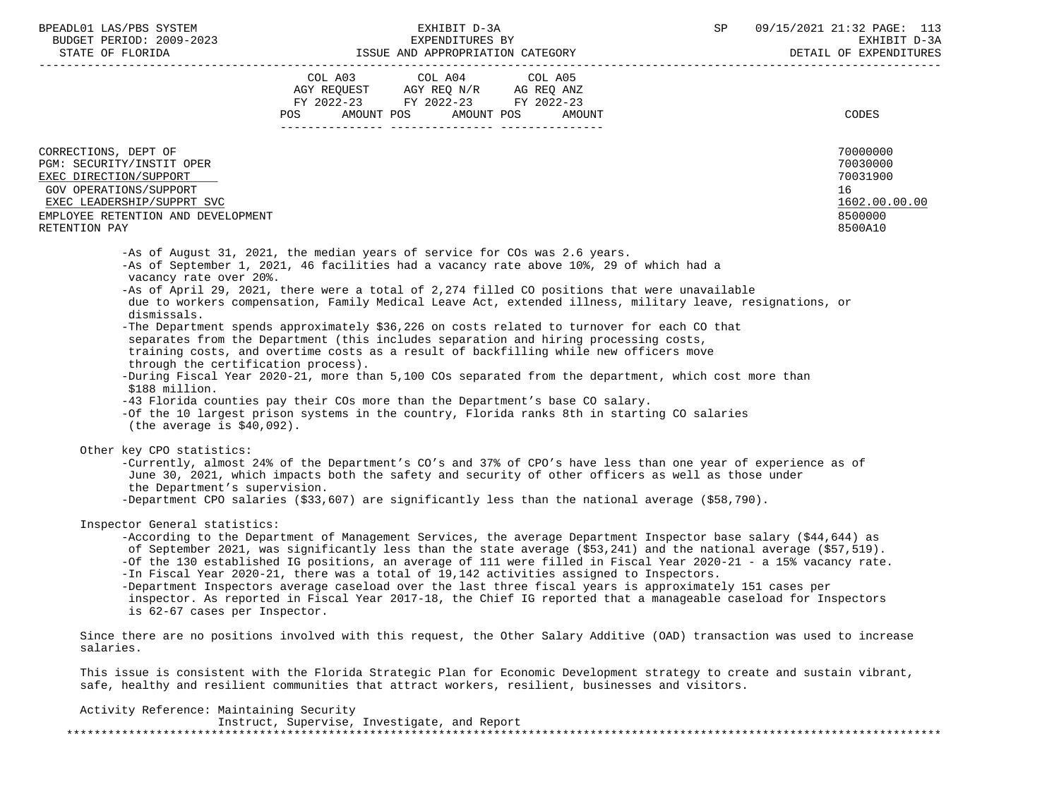| BPEADL01 LAS/PBS SYSTEM |                          |
|-------------------------|--------------------------|
|                         | BUDGET PERIOD: 2009-2023 |
|                         |                          |

|                                                                                                                                                                                                                                                                                                                                                                                                                                                                                                                                                                                                                                                                                                                                                                                                                                                                                                                                                                                 |                                  | LOOUL AND APPROPRIATION CAILGORI                                                          |         |                                                                                                                                                                                                                                                                                                                                                         |
|---------------------------------------------------------------------------------------------------------------------------------------------------------------------------------------------------------------------------------------------------------------------------------------------------------------------------------------------------------------------------------------------------------------------------------------------------------------------------------------------------------------------------------------------------------------------------------------------------------------------------------------------------------------------------------------------------------------------------------------------------------------------------------------------------------------------------------------------------------------------------------------------------------------------------------------------------------------------------------|----------------------------------|-------------------------------------------------------------------------------------------|---------|---------------------------------------------------------------------------------------------------------------------------------------------------------------------------------------------------------------------------------------------------------------------------------------------------------------------------------------------------------|
|                                                                                                                                                                                                                                                                                                                                                                                                                                                                                                                                                                                                                                                                                                                                                                                                                                                                                                                                                                                 | POS AMOUNT POS AMOUNT POS AMOUNT | COL A03 COL A04<br>AGY REQUEST AGY REQ N/R AG REQ ANZ<br>FY 2022-23 FY 2022-23 FY 2022-23 | COL A05 | <b>CODES</b>                                                                                                                                                                                                                                                                                                                                            |
| CORRECTIONS, DEPT OF<br>PGM: SECURITY/INSTIT OPER<br>EXEC DIRECTION/SUPPORT<br>GOV OPERATIONS/SUPPORT<br>EXEC LEADERSHIP/SUPPRT SVC<br>EMPLOYEE RETENTION AND DEVELOPMENT<br>RETENTION PAY                                                                                                                                                                                                                                                                                                                                                                                                                                                                                                                                                                                                                                                                                                                                                                                      |                                  |                                                                                           |         | 70000000<br>70030000<br>70031900<br>16<br>1602.00.00.00<br>8500000<br>8500A10                                                                                                                                                                                                                                                                           |
| -As of August 31, 2021, the median years of service for COs was 2.6 years.<br>-As of September 1, 2021, 46 facilities had a vacancy rate above 10%, 29 of which had a<br>vacancy rate over 20%.<br>-As of April 29, 2021, there were a total of 2,274 filled CO positions that were unavailable<br>dismissals.<br>-The Department spends approximately \$36,226 on costs related to turnover for each CO that<br>separates from the Department (this includes separation and hiring processing costs,<br>training costs, and overtime costs as a result of backfilling while new officers move<br>through the certification process).<br>-During Fiscal Year 2020-21, more than 5,100 COs separated from the department, which cost more than<br>\$188 million.<br>-43 Florida counties pay their COs more than the Department's base CO salary.<br>-Of the 10 largest prison systems in the country, Florida ranks 8th in starting CO salaries<br>(the average is $$40,092$ ). |                                  |                                                                                           |         | due to workers compensation, Family Medical Leave Act, extended illness, military leave, resignations, or                                                                                                                                                                                                                                               |
| Other key CPO statistics:<br>June 30, 2021, which impacts both the safety and security of other officers as well as those under<br>the Department's supervision.<br>-Department CPO salaries $(533,607)$ are significantly less than the national average $(558,790)$ .                                                                                                                                                                                                                                                                                                                                                                                                                                                                                                                                                                                                                                                                                                         |                                  |                                                                                           |         | -Currently, almost 24% of the Department's CO's and 37% of CPO's have less than one year of experience as of                                                                                                                                                                                                                                            |
| Inspector General statistics:<br>-In Fiscal Year 2020-21, there was a total of 19,142 activities assigned to Inspectors.<br>-Department Inspectors average caseload over the last three fiscal years is approximately 151 cases per<br>inspector. As reported in Fiscal Year 2017-18, the Chief IG reported that a manageable caseload for Inspectors                                                                                                                                                                                                                                                                                                                                                                                                                                                                                                                                                                                                                           |                                  |                                                                                           |         | -According to the Department of Management Services, the average Department Inspector base salary (\$44,644) as<br>of September 2021, was significantly less than the state average (\$53,241) and the national average (\$57,519).<br>-Of the 130 established IG positions, an average of 111 were filled in Fiscal Year 2020-21 - a 15% vacancy rate. |
| is 62-67 cases per Inspector.                                                                                                                                                                                                                                                                                                                                                                                                                                                                                                                                                                                                                                                                                                                                                                                                                                                                                                                                                   |                                  |                                                                                           |         |                                                                                                                                                                                                                                                                                                                                                         |

Activity Reference: Maintaining Security

|  | Instruct, Supervise, Investigate, and Report |  |  |  |
|--|----------------------------------------------|--|--|--|
|  |                                              |  |  |  |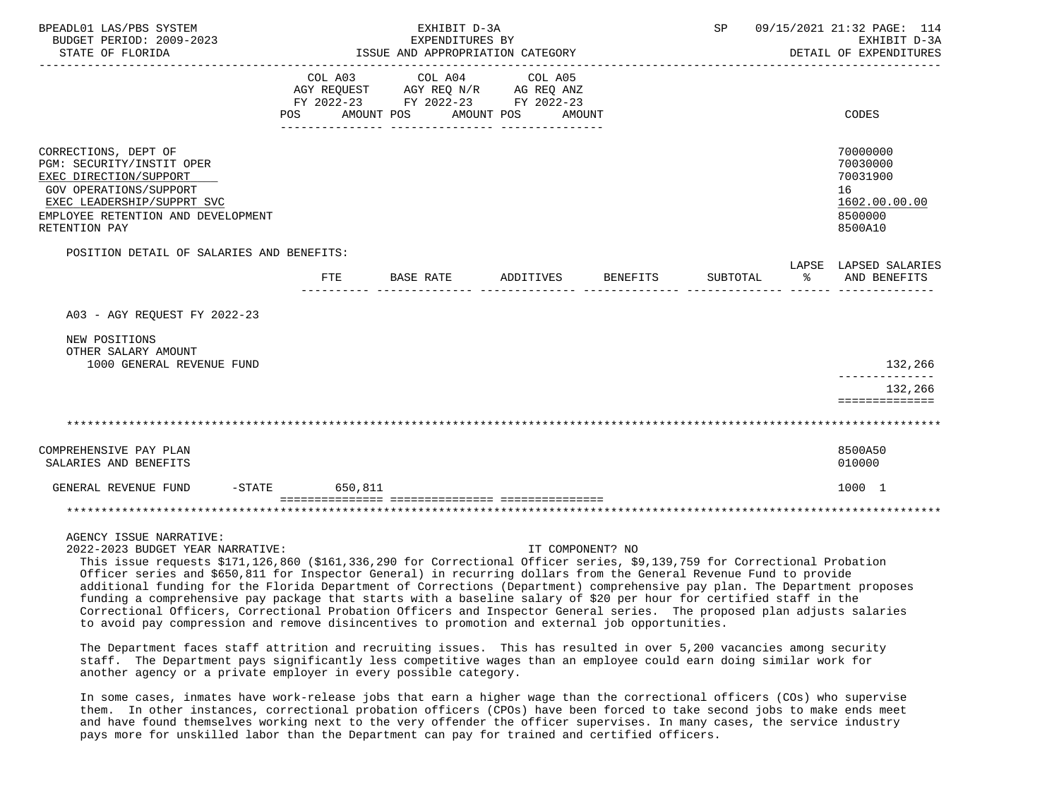| BPEADL01 LAS/PBS SYSTEM<br>BUDGET PERIOD: 2009-2023<br>STATE OF FLORIDA                                                                                                                    |                   | EXHIBIT D-3A<br>EXPENDITURES BY<br>ISSUE AND APPROPRIATION CATEGORY                                             |                  |          |          | SP 09/15/2021 21:32 PAGE: 114<br>EXHIBIT D-3A<br>DETAIL OF EXPENDITURES       |
|--------------------------------------------------------------------------------------------------------------------------------------------------------------------------------------------|-------------------|-----------------------------------------------------------------------------------------------------------------|------------------|----------|----------|-------------------------------------------------------------------------------|
|                                                                                                                                                                                            | POS<br>AMOUNT POS | COL A03 COL A04 COL A05<br>AGY REQUEST AGY REQ N/R AG REQ ANZ<br>FY 2022-23 FY 2022-23 FY 2022-23<br>AMOUNT POS | AMOUNT           |          |          | CODES                                                                         |
| CORRECTIONS, DEPT OF<br>PGM: SECURITY/INSTIT OPER<br>EXEC DIRECTION/SUPPORT<br>GOV OPERATIONS/SUPPORT<br>EXEC LEADERSHIP/SUPPRT SVC<br>EMPLOYEE RETENTION AND DEVELOPMENT<br>RETENTION PAY |                   |                                                                                                                 |                  |          |          | 70000000<br>70030000<br>70031900<br>16<br>1602.00.00.00<br>8500000<br>8500A10 |
| POSITION DETAIL OF SALARIES AND BENEFITS:                                                                                                                                                  |                   |                                                                                                                 |                  |          |          | LAPSE LAPSED SALARIES                                                         |
|                                                                                                                                                                                            | FTE               | <b>BASE RATE</b>                                                                                                | ADDITIVES        | BENEFITS | SUBTOTAL | ႜೢ<br>AND BENEFITS                                                            |
| A03 - AGY REOUEST FY 2022-23                                                                                                                                                               |                   |                                                                                                                 |                  |          |          |                                                                               |
| NEW POSITIONS<br>OTHER SALARY AMOUNT<br>1000 GENERAL REVENUE FUND                                                                                                                          |                   |                                                                                                                 |                  |          |          | 132,266                                                                       |
|                                                                                                                                                                                            |                   |                                                                                                                 |                  |          |          | 132,266                                                                       |
|                                                                                                                                                                                            |                   |                                                                                                                 |                  |          |          | ==============                                                                |
|                                                                                                                                                                                            |                   |                                                                                                                 |                  |          |          |                                                                               |
| COMPREHENSIVE PAY PLAN<br>SALARIES AND BENEFITS                                                                                                                                            |                   |                                                                                                                 |                  |          |          | 8500A50<br>010000                                                             |
| GENERAL REVENUE FUND                                                                                                                                                                       | -STATE 650,811    |                                                                                                                 |                  |          |          | 1000 1                                                                        |
|                                                                                                                                                                                            |                   |                                                                                                                 |                  |          |          |                                                                               |
| AGENCY ISSUE NARRATIVE:<br>2022-2023 BUDGET YEAR NARRATIVE:                                                                                                                                |                   |                                                                                                                 | IT COMPONENT? NO |          |          |                                                                               |

 This issue requests \$171,126,860 (\$161,336,290 for Correctional Officer series, \$9,139,759 for Correctional Probation Officer series and \$650,811 for Inspector General) in recurring dollars from the General Revenue Fund to provide additional funding for the Florida Department of Corrections (Department) comprehensive pay plan. The Department proposes funding a comprehensive pay package that starts with a baseline salary of \$20 per hour for certified staff in the Correctional Officers, Correctional Probation Officers and Inspector General series. The proposed plan adjusts salaries to avoid pay compression and remove disincentives to promotion and external job opportunities.

 The Department faces staff attrition and recruiting issues. This has resulted in over 5,200 vacancies among security staff. The Department pays significantly less competitive wages than an employee could earn doing similar work for another agency or a private employer in every possible category.

 In some cases, inmates have work-release jobs that earn a higher wage than the correctional officers (COs) who supervise them. In other instances, correctional probation officers (CPOs) have been forced to take second jobs to make ends meet and have found themselves working next to the very offender the officer supervises. In many cases, the service industry pays more for unskilled labor than the Department can pay for trained and certified officers.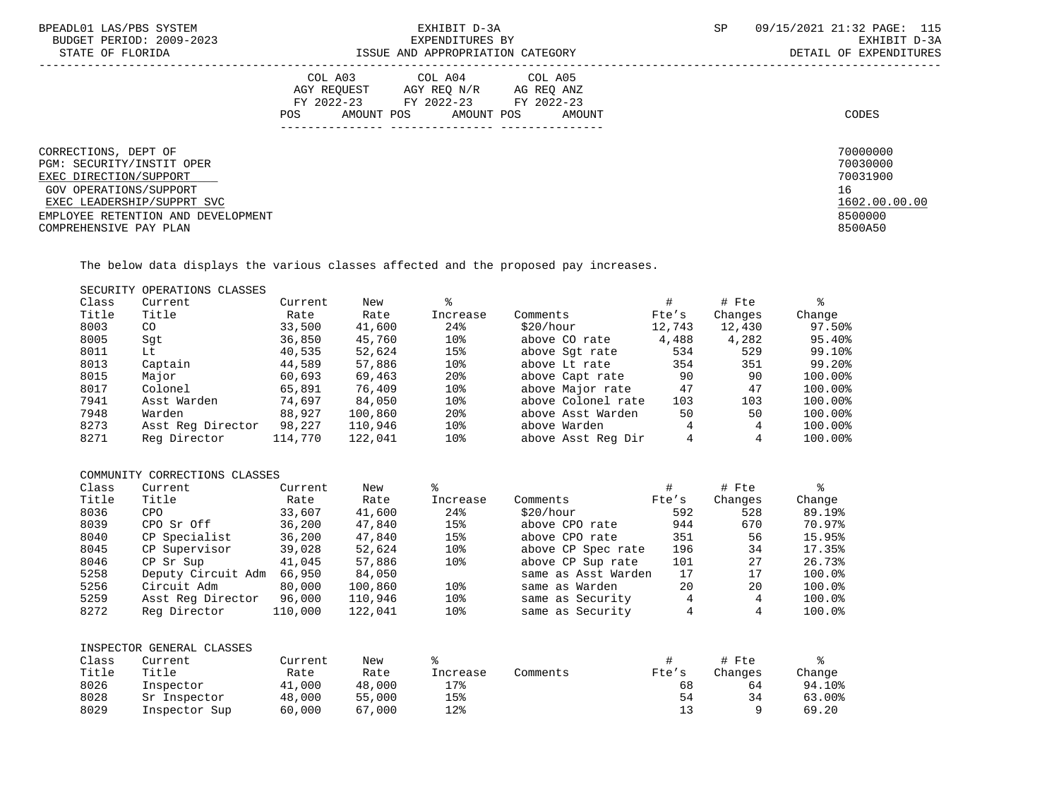| BPEADL01 LAS/PBS SYSTEM<br>BUDGET PERIOD: 2009-2023<br>STATE OF FLORIDA                                              | EXHIBIT D-3A<br>EXPENDITURES BY<br>ISSUE AND APPROPRIATION CATEGORY                                                                                  | 09/15/2021 21:32 PAGE: 115<br>SP<br>EXHIBIT D-3A<br>DETAIL OF EXPENDITURES |
|----------------------------------------------------------------------------------------------------------------------|------------------------------------------------------------------------------------------------------------------------------------------------------|----------------------------------------------------------------------------|
|                                                                                                                      | COL A04 COL A05<br>COL A03<br>AGY REOUEST<br>AGY REO N/R AG REO ANZ<br>FY 2022-23 FY 2022-23 FY 2022-23<br>AMOUNT POS<br>AMOUNT POS<br>POS<br>AMOUNT | CODES                                                                      |
| CORRECTIONS, DEPT OF                                                                                                 |                                                                                                                                                      | 70000000                                                                   |
| PGM: SECURITY/INSTIT OPER<br>EXEC DIRECTION/SUPPORT                                                                  |                                                                                                                                                      | 70030000<br>70031900                                                       |
| GOV OPERATIONS/SUPPORT<br>EXEC LEADERSHIP/SUPPRT SVC<br>EMPLOYEE RETENTION AND DEVELOPMENT<br>COMPREHENSIVE PAY PLAN |                                                                                                                                                      | 16<br>1602.00.00.00<br>8500000<br>8500A50                                  |

The below data displays the various classes affected and the proposed pay increases.

SECURITY OPERATIONS CLASSES

| Class | Current           | Current | New     |                 |                    |        | # Fte   |                      |
|-------|-------------------|---------|---------|-----------------|--------------------|--------|---------|----------------------|
| Title | Title             | Rate    | Rate    | Increase        | Comments           | Fte's  | Changes | Change               |
| 8003  | CO                | 33,500  | 41,600  | 24%             | \$20/hour          | 12,743 | 12,430  | 97.50%               |
| 8005  | Sqt               | 36,850  | 45,760  | 10 <sup>8</sup> | above CO rate      | 4,488  | 4,282   | 95.40%               |
| 8011  | Lt                | 40,535  | 52,624  | 15%             | above Sqt rate     | 534    | 529     | 99.10%               |
| 8013  | Captain           | 44,589  | 57,886  | 10 <sub>8</sub> | above Lt rate      | 354    | 351     | $99.20$ <sup>8</sup> |
| 8015  | Major             | 60,693  | 69,463  | 20 <sup>8</sup> | above Capt rate    | 90     | 90      | 100.00%              |
| 8017  | Colonel           | 65,891  | 76,409  | 10 <sup>8</sup> | above Major rate   | 47     | 47      | 100.00%              |
| 7941  | Asst Warden       | 74,697  | 84,050  | 10%             | above Colonel rate | 103    | 103     | 100.00%              |
| 7948  | Warden            | 88,927  | 100,860 | 20 <sup>8</sup> | above Asst Warden  | 50     | 50      | 100.00%              |
| 8273  | Asst Reg Director | 98,227  | 110,946 | 10 <sup>8</sup> | above Warden       | 4      | 4       | 100.00%              |
| 8271  | Reg Director      | 114,770 | 122,041 | 10 <sub>8</sub> | above Asst Reg Dir | 4      |         | 100.00%              |
|       |                   |         |         |                 |                    |        |         |                      |

# COMMUNITY CORRECTIONS CLASSES

| Class | Current            | Current | New     | ⊱               |                     |       | # Fte   | ⊱      |
|-------|--------------------|---------|---------|-----------------|---------------------|-------|---------|--------|
| Title | Title              | Rate    | Rate    | Increase        | Comments            | Fte's | Changes | Change |
| 8036  | <b>CPO</b>         | 33,607  | 41,600  | 24%             | \$20/hour           | 592   | 528     | 89.19% |
| 8039  | CPO Sr Off         | 36,200  | 47,840  | 15%             | above CPO rate      | 944   | 670     | 70.97% |
| 8040  | CP Specialist      | 36,200  | 47,840  | 15%             | above CPO rate      | 351   | 56      | 15.95% |
| 8045  | CP Supervisor      | 39,028  | 52,624  | 10 <sub>8</sub> | above CP Spec rate  | 196   | 34      | 17.35% |
| 8046  | CP Sr Sup          | 41,045  | 57,886  | 10 <sub>8</sub> | above CP Sup rate   | 101   | 27      | 26.73% |
| 5258  | Deputy Circuit Adm | 66,950  | 84,050  |                 | same as Asst Warden | 17    | 17      | 100.0% |
| 5256  | Circuit Adm        | 80,000  | 100,860 | 10 <sub>8</sub> | same as Warden      | 20    | 20      | 100.0% |
| 5259  | Asst Reg Director  | 96,000  | 110,946 | 10 <sub>8</sub> | same as Security    | 4     | 4       | 100.0% |
| 8272  | Reg Director       | 110,000 | 122,041 | 10 <sub>8</sub> | same as Security    |       |         | 100.0% |

|       | INSPECTOR GENERAL CLASSES |         |        |          |          |       |         |        |
|-------|---------------------------|---------|--------|----------|----------|-------|---------|--------|
| Class | Current                   | Current | New    |          |          |       | # Fte   |        |
| Title | Title                     | Rate    | Rate   | Increase | Comments | Fte's | Changes | Change |
| 8026  | Inspector                 | 41,000  | 48,000 | 17%      |          | 68    | 64      | 94.10% |
| 8028  | Sr Inspector              | 48,000  | 55,000 | 15%      |          | 54    | 34      | 63.00% |
| 8029  | Inspector Sup             | 60,000  | 67,000 | 12%      |          |       |         | 69.20  |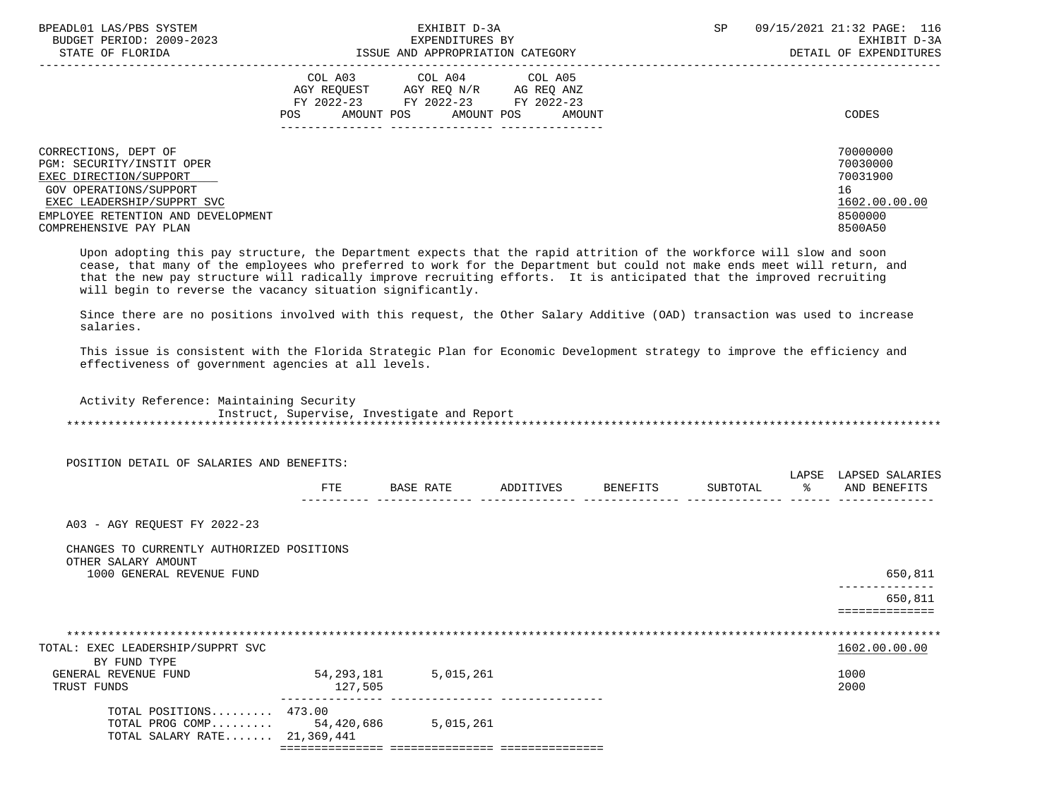| BPEADL01 LAS/PBS SYSTEM<br>BUDGET PERIOD: 2009-2023<br>STATE OF FLORIDA                                              | EXHIBIT D-3A<br>EXPENDITURES BY<br>ISSUE AND APPROPRIATION CATEGORY                                                                                                           | 09/15/2021 21:32 PAGE: 116<br>SP.<br>EXHIBIT D-3A<br>DETAIL OF EXPENDITURES |
|----------------------------------------------------------------------------------------------------------------------|-------------------------------------------------------------------------------------------------------------------------------------------------------------------------------|-----------------------------------------------------------------------------|
|                                                                                                                      | COL A03<br>COL A04<br>COL A05<br>AGY REOUEST<br>AGY REO N/R AG REO ANZ<br>FY 2022-23 FY 2022-23<br>FY 2022-23<br>AMOUNT POS<br>POS<br>AMOUNT POS<br>AMOUNT<br>--------------- | CODES                                                                       |
| CORRECTIONS, DEPT OF                                                                                                 |                                                                                                                                                                               | 70000000                                                                    |
| PGM: SECURITY/INSTIT OPER<br>EXEC DIRECTION/SUPPORT                                                                  |                                                                                                                                                                               | 70030000<br>70031900                                                        |
| GOV OPERATIONS/SUPPORT<br>EXEC LEADERSHIP/SUPPRT SVC<br>EMPLOYEE RETENTION AND DEVELOPMENT<br>COMPREHENSIVE PAY PLAN |                                                                                                                                                                               | 16<br>1602.00.00.00<br>8500000<br>8500A50                                   |

 Upon adopting this pay structure, the Department expects that the rapid attrition of the workforce will slow and soon cease, that many of the employees who preferred to work for the Department but could not make ends meet will return, and that the new pay structure will radically improve recruiting efforts. It is anticipated that the improved recruiting will begin to reverse the vacancy situation significantly.

 Since there are no positions involved with this request, the Other Salary Additive (OAD) transaction was used to increase salaries.

 This issue is consistent with the Florida Strategic Plan for Economic Development strategy to improve the efficiency and effectiveness of government agencies at all levels.

 Activity Reference: Maintaining Security Instruct, Supervise, Investigate and Report \*\*\*\*\*\*\*\*\*\*\*\*\*\*\*\*\*\*\*\*\*\*\*\*\*\*\*\*\*\*\*\*\*\*\*\*\*\*\*\*\*\*\*\*\*\*\*\*\*\*\*\*\*\*\*\*\*\*\*\*\*\*\*\*\*\*\*\*\*\*\*\*\*\*\*\*\*\*\*\*\*\*\*\*\*\*\*\*\*\*\*\*\*\*\*\*\*\*\*\*\*\*\*\*\*\*\*\*\*\*\*\*\*\*\*\*\*\*\*\*\*\*\*\*\*\*\*

POSITION DETAIL OF SALARIES AND BENEFITS:

|            |   |  | . |            |
|------------|---|--|---|------------|
| 군모도<br>ட⊥ட | ⊷ |  |   | <b>ANT</b> |
|            |   |  |   | . <u>.</u> |

A03 - AGY REQUEST FY 2022-23

### CHANGES TO CURRENTLY AUTHORIZED POSITIONS OTHER SALARY AMOUNT

1000 GENERAL REVENUE FUND 650,811

 -------------- 650,811

==============

| TOTAL: EXEC LEADERSHIP/SUPPRT SVC |            |           | 1602.00.00.00 |
|-----------------------------------|------------|-----------|---------------|
| BY FUND TYPE                      |            |           |               |
| GENERAL REVENUE FUND              | 54,293,181 | 5,015,261 | 1000          |
| TRUST FUNDS                       | 127,505    |           | 2000          |
| TOTAL POSITIONS 473.00            |            |           |               |
| TOTAL PROG COMP                   | 54,420,686 | 5,015,261 |               |
| TOTAL SALARY RATE 21,369,441      |            |           |               |
|                                   |            |           |               |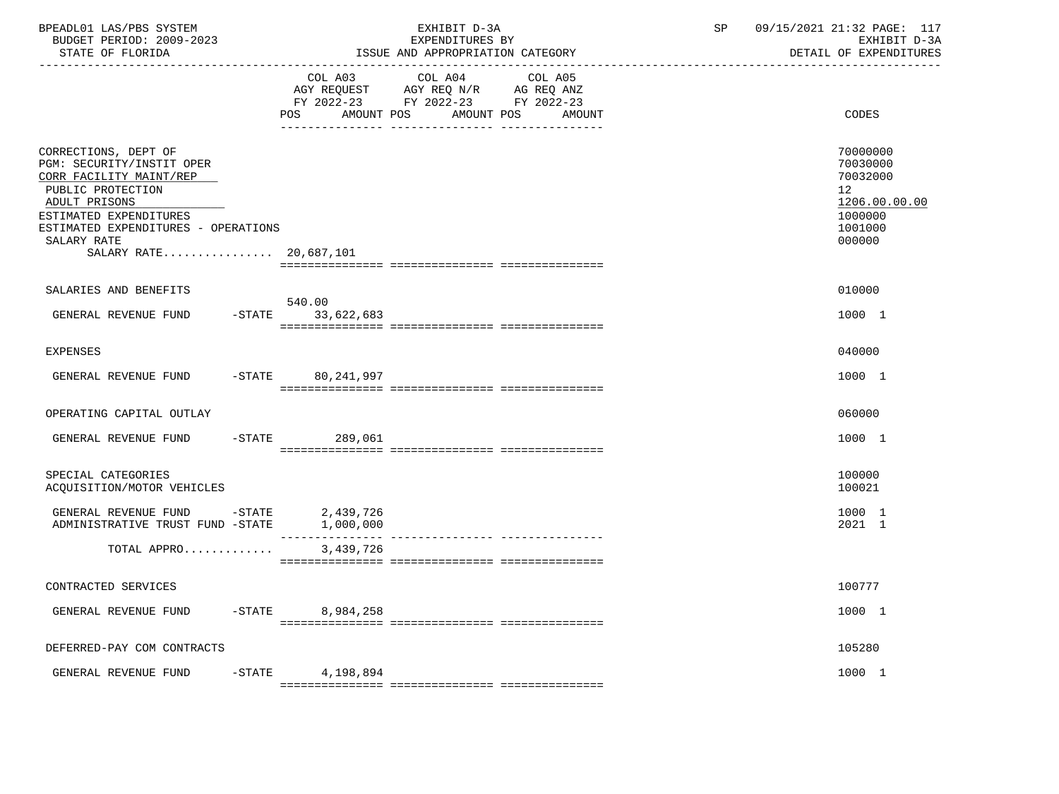| BPEADL01 LAS/PBS SYSTEM<br>BUDGET PERIOD: 2009-2023<br>STATE OF FLORIDA                                                                                                                                                      | EXHIBIT D-3A<br>EXPENDITURES BY<br>ISSUE AND APPROPRIATION CATEGORY                                                                      | 09/15/2021 21:32 PAGE: 117<br>SP<br>EXHIBIT D-3A<br>DETAIL OF EXPENDITURES              |
|------------------------------------------------------------------------------------------------------------------------------------------------------------------------------------------------------------------------------|------------------------------------------------------------------------------------------------------------------------------------------|-----------------------------------------------------------------------------------------|
|                                                                                                                                                                                                                              | COL A03 COL A04 COL A05<br>AGY REQUEST AGY REQ N/R AG REQ ANZ<br>FY 2022-23 FY 2022-23 FY 2022-23<br>POS<br>AMOUNT POS AMOUNT POS AMOUNT | CODES                                                                                   |
| CORRECTIONS, DEPT OF<br>PGM: SECURITY/INSTIT OPER<br>CORR FACILITY MAINT/REP<br>PUBLIC PROTECTION<br>ADULT PRISONS<br>ESTIMATED EXPENDITURES<br>ESTIMATED EXPENDITURES - OPERATIONS<br>SALARY RATE<br>SALARY RATE 20,687,101 |                                                                                                                                          | 70000000<br>70030000<br>70032000<br>12<br>1206.00.00.00<br>1000000<br>1001000<br>000000 |
| SALARIES AND BENEFITS                                                                                                                                                                                                        |                                                                                                                                          | 010000                                                                                  |
| GENERAL REVENUE FUND -STATE 33,622,683                                                                                                                                                                                       | 540.00                                                                                                                                   | 1000 1                                                                                  |
| <b>EXPENSES</b>                                                                                                                                                                                                              |                                                                                                                                          | 040000                                                                                  |
| GENERAL REVENUE FUND                                                                                                                                                                                                         | -STATE 80,241,997                                                                                                                        | 1000 1                                                                                  |
| OPERATING CAPITAL OUTLAY                                                                                                                                                                                                     |                                                                                                                                          | 060000                                                                                  |
| GENERAL REVENUE FUND                                                                                                                                                                                                         | $-STATE$ 289,061                                                                                                                         | 1000 1                                                                                  |
| SPECIAL CATEGORIES<br>ACQUISITION/MOTOR VEHICLES                                                                                                                                                                             |                                                                                                                                          | 100000<br>100021                                                                        |
| GENERAL REVENUE FUND -STATE 2,439,726<br>ADMINISTRATIVE TRUST FUND -STATE 1,000,000                                                                                                                                          |                                                                                                                                          | 1000 1<br>2021 1                                                                        |
| TOTAL APPRO                                                                                                                                                                                                                  | 3,439,726                                                                                                                                |                                                                                         |
| CONTRACTED SERVICES                                                                                                                                                                                                          |                                                                                                                                          | 100777                                                                                  |
| GENERAL REVENUE FUND                                                                                                                                                                                                         | -STATE 8,984,258                                                                                                                         | 1000 1                                                                                  |
| DEFERRED-PAY COM CONTRACTS                                                                                                                                                                                                   |                                                                                                                                          | 105280                                                                                  |
| GENERAL REVENUE FUND                                                                                                                                                                                                         | $-$ STATE 4, 198, 894                                                                                                                    | 1000 1                                                                                  |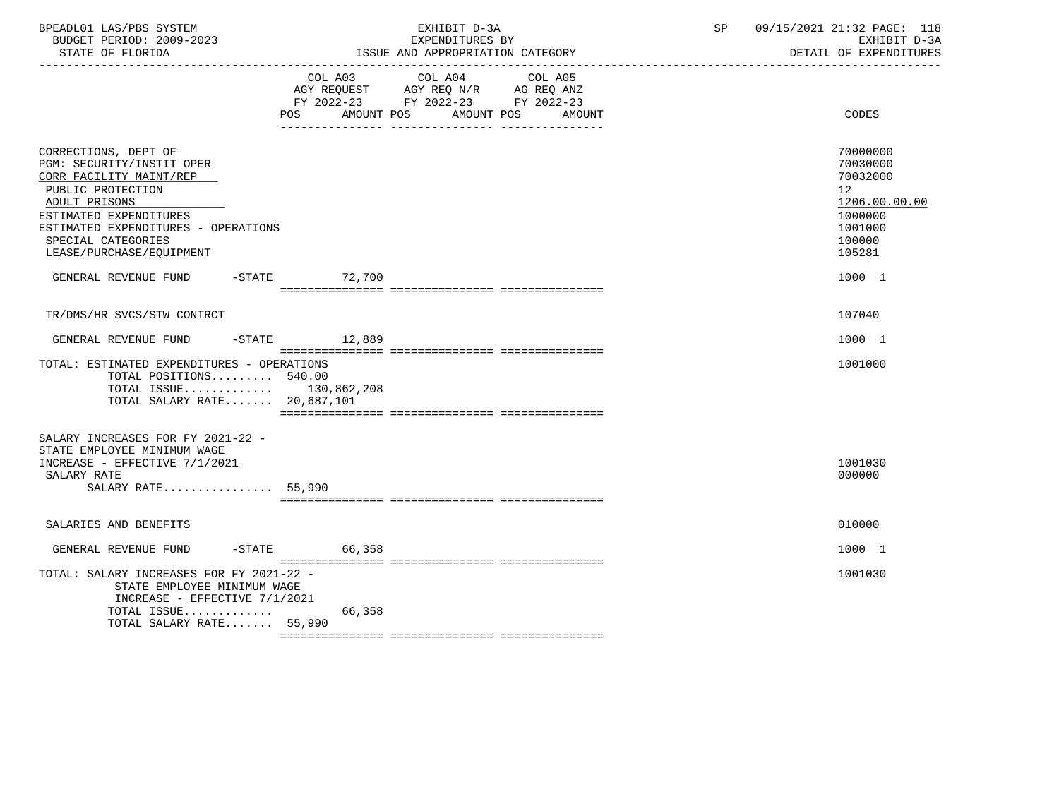| BPEADL01 LAS/PBS SYSTEM<br>BUDGET PERIOD: 2009-2023<br>STATE OF FLORIDA                                                                                                                                                               | EXHIBIT D-3A<br>EXPENDITURES BY<br>ISSUE AND APPROPRIATION CATEGORY                                                                                                                                                                                                        | 09/15/2021 21:32 PAGE: 118<br>SP<br>EXHIBIT D-3A<br>DETAIL OF EXPENDITURES                        |
|---------------------------------------------------------------------------------------------------------------------------------------------------------------------------------------------------------------------------------------|----------------------------------------------------------------------------------------------------------------------------------------------------------------------------------------------------------------------------------------------------------------------------|---------------------------------------------------------------------------------------------------|
|                                                                                                                                                                                                                                       | COL A03<br>COL A04<br>COL A05<br>$\begin{tabular}{lllllll} AGY & \texttt{REQUEST} & \texttt{AGY} & \texttt{REG} & \texttt{N/R} & \texttt{AG} & \texttt{REG} & \texttt{ANZ} \end{tabular}$<br>FY 2022-23 FY 2022-23 FY 2022-23<br>AMOUNT POS<br>AMOUNT POS<br>POS<br>AMOUNT | CODES                                                                                             |
| CORRECTIONS, DEPT OF<br>PGM: SECURITY/INSTIT OPER<br>CORR FACILITY MAINT/REP<br>PUBLIC PROTECTION<br>ADULT PRISONS<br>ESTIMATED EXPENDITURES<br>ESTIMATED EXPENDITURES - OPERATIONS<br>SPECIAL CATEGORIES<br>LEASE/PURCHASE/EQUIPMENT |                                                                                                                                                                                                                                                                            | 70000000<br>70030000<br>70032000<br>12<br>1206.00.00.00<br>1000000<br>1001000<br>100000<br>105281 |
| GENERAL REVENUE FUND -STATE 72,700                                                                                                                                                                                                    |                                                                                                                                                                                                                                                                            | 1000 1                                                                                            |
| TR/DMS/HR SVCS/STW CONTRCT                                                                                                                                                                                                            |                                                                                                                                                                                                                                                                            | 107040                                                                                            |
| GENERAL REVENUE FUND                                                                                                                                                                                                                  | $-STATE$ 12,889                                                                                                                                                                                                                                                            | 1000 1                                                                                            |
| TOTAL: ESTIMATED EXPENDITURES - OPERATIONS<br>TOTAL POSITIONS 540.00<br>TOTAL ISSUE 130,862,208<br>TOTAL SALARY RATE 20,687,101                                                                                                       |                                                                                                                                                                                                                                                                            | 1001000                                                                                           |
| SALARY INCREASES FOR FY 2021-22 -<br>STATE EMPLOYEE MINIMUM WAGE<br>INCREASE - EFFECTIVE 7/1/2021<br>SALARY RATE<br>SALARY RATE 55,990                                                                                                |                                                                                                                                                                                                                                                                            | 1001030<br>000000                                                                                 |
| SALARIES AND BENEFITS                                                                                                                                                                                                                 |                                                                                                                                                                                                                                                                            | 010000                                                                                            |
| $-STATE$<br>GENERAL REVENUE FUND                                                                                                                                                                                                      | 66,358                                                                                                                                                                                                                                                                     | 1000 1                                                                                            |
| TOTAL: SALARY INCREASES FOR FY 2021-22 -<br>STATE EMPLOYEE MINIMUM WAGE<br>INCREASE - EFFECTIVE 7/1/2021<br>TOTAL ISSUE<br>TOTAL SALARY RATE 55,990                                                                                   | 66,358                                                                                                                                                                                                                                                                     | 1001030                                                                                           |
|                                                                                                                                                                                                                                       |                                                                                                                                                                                                                                                                            |                                                                                                   |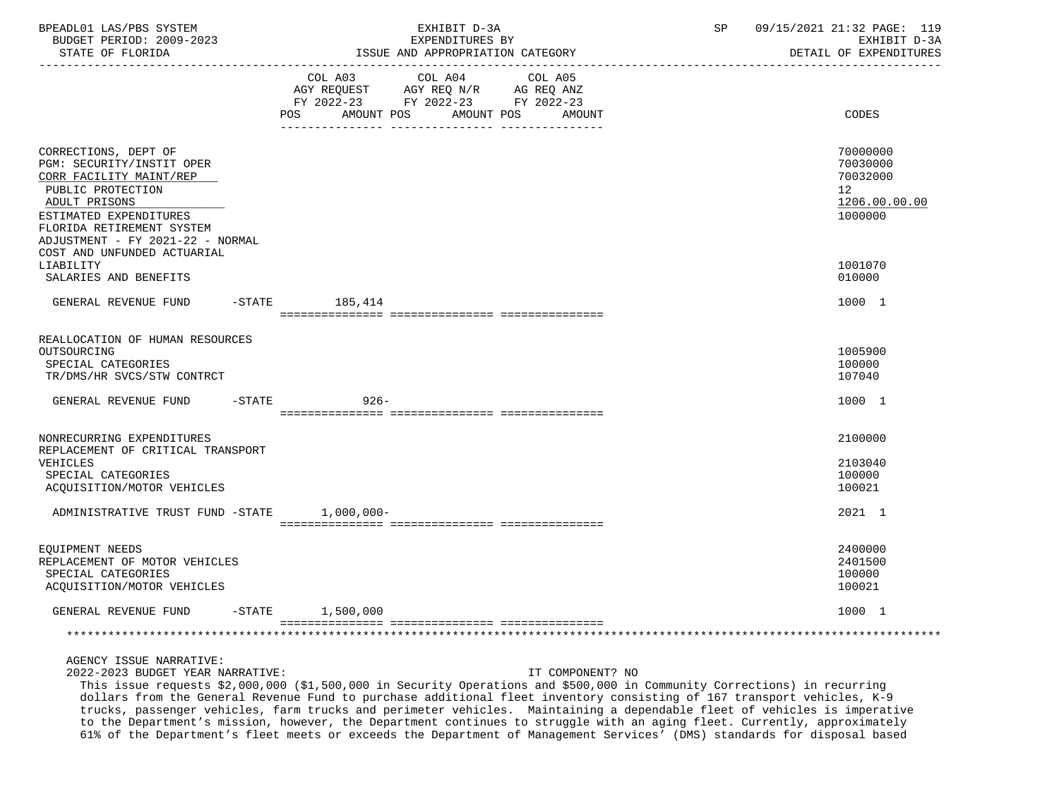| BPEADL01 LAS/PBS SYSTEM<br>BUDGET PERIOD: 2009-2023<br>STATE OF FLORIDA                                                                                                                                       | EXHIBIT D-3A<br>EXPENDITURES BY<br>ISSUE AND APPROPRIATION CATEGORY                                                                                      | 09/15/2021 21:32 PAGE: 119<br>SP<br>EXHIBIT D-3A<br>DETAIL OF EXPENDITURES      |
|---------------------------------------------------------------------------------------------------------------------------------------------------------------------------------------------------------------|----------------------------------------------------------------------------------------------------------------------------------------------------------|---------------------------------------------------------------------------------|
|                                                                                                                                                                                                               | COL A03<br>COL A04<br>COL A05<br>AGY REQUEST<br>AGY REQ N/R AG REQ ANZ<br>FY 2022-23 FY 2022-23 FY 2022-23<br>POS.<br>AMOUNT POS<br>AMOUNT POS<br>AMOUNT | CODES                                                                           |
| CORRECTIONS, DEPT OF<br>PGM: SECURITY/INSTIT OPER<br>CORR FACILITY MAINT/REP<br>PUBLIC PROTECTION<br>ADULT PRISONS<br>ESTIMATED EXPENDITURES<br>FLORIDA RETIREMENT SYSTEM<br>ADJUSTMENT - FY 2021-22 - NORMAL |                                                                                                                                                          | 70000000<br>70030000<br>70032000<br>12 <sup>°</sup><br>1206.00.00.00<br>1000000 |
| COST AND UNFUNDED ACTUARIAL<br>LIABILITY<br>SALARIES AND BENEFITS                                                                                                                                             |                                                                                                                                                          | 1001070<br>010000                                                               |
| GENERAL REVENUE FUND                                                                                                                                                                                          | $-STATE$<br>185,414                                                                                                                                      | 1000 1                                                                          |
| REALLOCATION OF HUMAN RESOURCES<br>OUTSOURCING<br>SPECIAL CATEGORIES<br>TR/DMS/HR SVCS/STW CONTRCT                                                                                                            |                                                                                                                                                          | 1005900<br>100000<br>107040                                                     |
| GENERAL REVENUE FUND<br>$-$ STATE                                                                                                                                                                             | $926 -$                                                                                                                                                  | 1000 1                                                                          |
| NONRECURRING EXPENDITURES<br>REPLACEMENT OF CRITICAL TRANSPORT<br>VEHICLES<br>SPECIAL CATEGORIES<br>ACQUISITION/MOTOR VEHICLES                                                                                |                                                                                                                                                          | 2100000<br>2103040<br>100000<br>100021                                          |
| ADMINISTRATIVE TRUST FUND -STATE                                                                                                                                                                              | $1,000,000-$                                                                                                                                             | 2021 1                                                                          |
| EQUIPMENT NEEDS<br>REPLACEMENT OF MOTOR VEHICLES<br>SPECIAL CATEGORIES<br>ACQUISITION/MOTOR VEHICLES                                                                                                          |                                                                                                                                                          | 2400000<br>2401500<br>100000<br>100021                                          |
| GENERAL REVENUE FUND<br>$-STATE$                                                                                                                                                                              | 1,500,000                                                                                                                                                | 1000 1                                                                          |
|                                                                                                                                                                                                               |                                                                                                                                                          |                                                                                 |
| AGENCY ISSUE NARRATIVE:                                                                                                                                                                                       |                                                                                                                                                          |                                                                                 |

2022-2023 BUDGET YEAR NARRATIVE: IT COMPONENT? NO

 This issue requests \$2,000,000 (\$1,500,000 in Security Operations and \$500,000 in Community Corrections) in recurring dollars from the General Revenue Fund to purchase additional fleet inventory consisting of 167 transport vehicles, K-9 trucks, passenger vehicles, farm trucks and perimeter vehicles. Maintaining a dependable fleet of vehicles is imperative to the Department's mission, however, the Department continues to struggle with an aging fleet. Currently, approximately 61% of the Department's fleet meets or exceeds the Department of Management Services' (DMS) standards for disposal based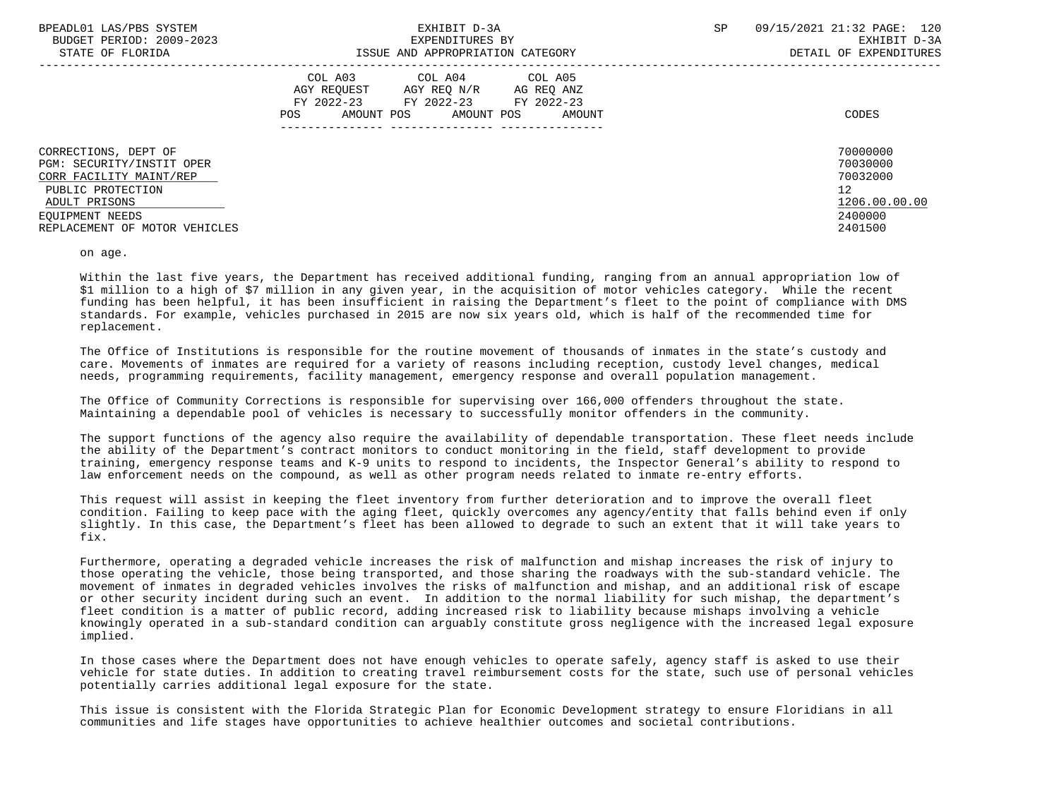| BPEADL01 LAS/PBS SYSTEM<br>BUDGET PERIOD: 2009-2023<br>STATE OF FLORIDA                                                                                                | EXHIBIT D-3A<br>EXPENDITURES BY<br>ISSUE AND APPROPRIATION CATEGORY                                                                         | 09/15/2021 21:32 PAGE: 120<br>SP.<br>EXHIBIT D-3A<br>DETAIL OF EXPENDITURES   |
|------------------------------------------------------------------------------------------------------------------------------------------------------------------------|---------------------------------------------------------------------------------------------------------------------------------------------|-------------------------------------------------------------------------------|
|                                                                                                                                                                        | COL A03 COL A04 COL A05<br>AGY REQUEST AGY REQ N/R AG REQ ANZ<br>FY 2022-23 FY 2022-23 FY 2022-23<br>AMOUNT POS AMOUNT POS<br>POS<br>AMOUNT | CODES                                                                         |
| CORRECTIONS, DEPT OF<br>PGM: SECURITY/INSTIT OPER<br>CORR FACILITY MAINT/REP<br>PUBLIC PROTECTION<br>ADULT PRISONS<br>EOUIPMENT NEEDS<br>REPLACEMENT OF MOTOR VEHICLES |                                                                                                                                             | 70000000<br>70030000<br>70032000<br>12<br>1206.00.00.00<br>2400000<br>2401500 |

on age.

 Within the last five years, the Department has received additional funding, ranging from an annual appropriation low of \$1 million to a high of \$7 million in any given year, in the acquisition of motor vehicles category. While the recent funding has been helpful, it has been insufficient in raising the Department's fleet to the point of compliance with DMS standards. For example, vehicles purchased in 2015 are now six years old, which is half of the recommended time for replacement.

 The Office of Institutions is responsible for the routine movement of thousands of inmates in the state's custody and care. Movements of inmates are required for a variety of reasons including reception, custody level changes, medical needs, programming requirements, facility management, emergency response and overall population management.

 The Office of Community Corrections is responsible for supervising over 166,000 offenders throughout the state. Maintaining a dependable pool of vehicles is necessary to successfully monitor offenders in the community.

 The support functions of the agency also require the availability of dependable transportation. These fleet needs include the ability of the Department's contract monitors to conduct monitoring in the field, staff development to provide training, emergency response teams and K-9 units to respond to incidents, the Inspector General's ability to respond to law enforcement needs on the compound, as well as other program needs related to inmate re-entry efforts.

 This request will assist in keeping the fleet inventory from further deterioration and to improve the overall fleet condition. Failing to keep pace with the aging fleet, quickly overcomes any agency/entity that falls behind even if only slightly. In this case, the Department's fleet has been allowed to degrade to such an extent that it will take years to fix.

 Furthermore, operating a degraded vehicle increases the risk of malfunction and mishap increases the risk of injury to those operating the vehicle, those being transported, and those sharing the roadways with the sub-standard vehicle. The movement of inmates in degraded vehicles involves the risks of malfunction and mishap, and an additional risk of escape or other security incident during such an event. In addition to the normal liability for such mishap, the department's fleet condition is a matter of public record, adding increased risk to liability because mishaps involving a vehicle knowingly operated in a sub-standard condition can arguably constitute gross negligence with the increased legal exposure implied.

 In those cases where the Department does not have enough vehicles to operate safely, agency staff is asked to use their vehicle for state duties. In addition to creating travel reimbursement costs for the state, such use of personal vehicles potentially carries additional legal exposure for the state.

 This issue is consistent with the Florida Strategic Plan for Economic Development strategy to ensure Floridians in all communities and life stages have opportunities to achieve healthier outcomes and societal contributions.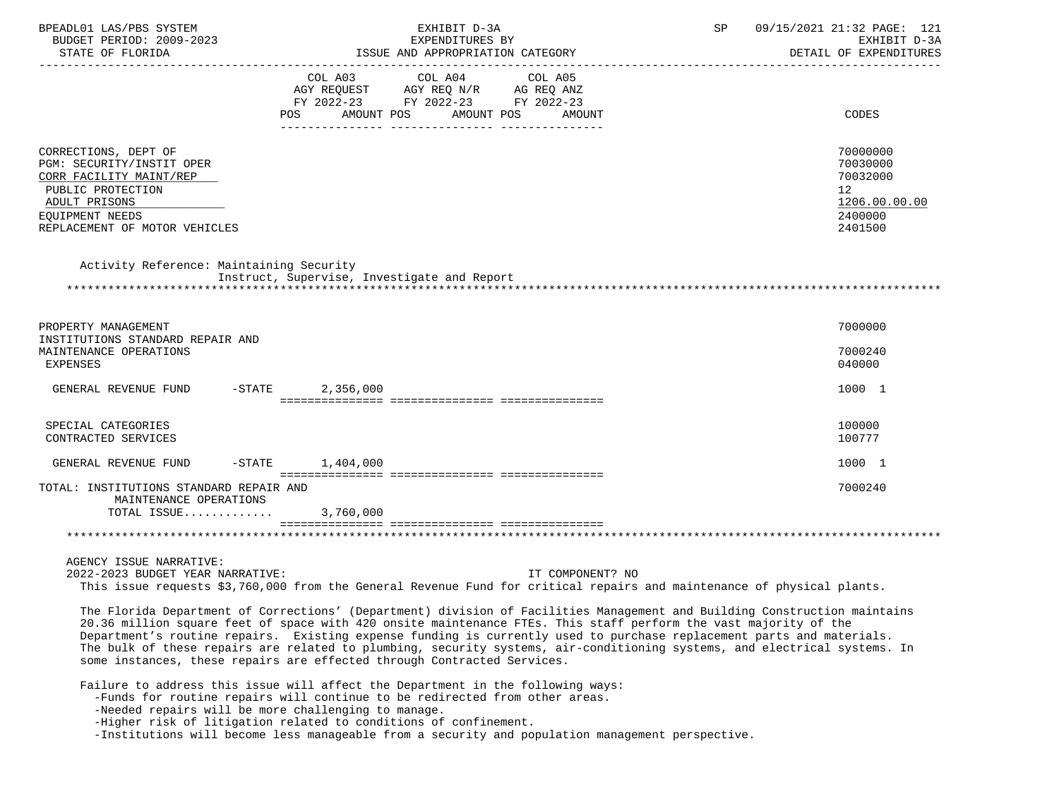| BPEADL01 LAS/PBS SYSTEM<br>BUDGET PERIOD: 2009-2023<br>STATE OF FLORIDA                                                                                                                                                                                                                                                                                                                                                                                                                                                                                                        |                                                                                                                                                                                                     | EXHIBIT D-3A<br>EXPENDITURES BY<br>ISSUE AND APPROPRIATION CATEGORY |                   | SP | 09/15/2021 21:32 PAGE: 121<br>EXHIBIT D-3A<br>DETAIL OF EXPENDITURES          |
|--------------------------------------------------------------------------------------------------------------------------------------------------------------------------------------------------------------------------------------------------------------------------------------------------------------------------------------------------------------------------------------------------------------------------------------------------------------------------------------------------------------------------------------------------------------------------------|-----------------------------------------------------------------------------------------------------------------------------------------------------------------------------------------------------|---------------------------------------------------------------------|-------------------|----|-------------------------------------------------------------------------------|
|                                                                                                                                                                                                                                                                                                                                                                                                                                                                                                                                                                                | COL A03<br>AGY REQUEST AGY REQ N/R AG REQ ANZ<br>FY 2022-23 FY 2022-23 FY 2022-23<br>POS FOR THE POST OF THE POST OF THE POST OF THE POST OF THE POST OF THE POST OF THE POST OF THE POST OF THE PO | COL A04<br>AMOUNT POS AMOUNT POS                                    | COL A05<br>AMOUNT |    | CODES                                                                         |
| CORRECTIONS, DEPT OF<br>PGM: SECURITY/INSTIT OPER<br>CORR FACILITY MAINT/REP<br>PUBLIC PROTECTION<br>ADULT PRISONS<br>EOUIPMENT NEEDS<br>REPLACEMENT OF MOTOR VEHICLES                                                                                                                                                                                                                                                                                                                                                                                                         |                                                                                                                                                                                                     |                                                                     |                   |    | 70000000<br>70030000<br>70032000<br>12<br>1206.00.00.00<br>2400000<br>2401500 |
| Activity Reference: Maintaining Security                                                                                                                                                                                                                                                                                                                                                                                                                                                                                                                                       | Instruct, Supervise, Investigate and Report                                                                                                                                                         |                                                                     |                   |    |                                                                               |
| PROPERTY MANAGEMENT                                                                                                                                                                                                                                                                                                                                                                                                                                                                                                                                                            |                                                                                                                                                                                                     |                                                                     |                   |    | 7000000                                                                       |
| INSTITUTIONS STANDARD REPAIR AND<br>MAINTENANCE OPERATIONS<br>EXPENSES                                                                                                                                                                                                                                                                                                                                                                                                                                                                                                         |                                                                                                                                                                                                     |                                                                     |                   |    | 7000240<br>040000                                                             |
| GENERAL REVENUE FUND                                                                                                                                                                                                                                                                                                                                                                                                                                                                                                                                                           | $-STATE$<br>2,356,000                                                                                                                                                                               |                                                                     |                   |    | 1000 1                                                                        |
| SPECIAL CATEGORIES<br>CONTRACTED SERVICES                                                                                                                                                                                                                                                                                                                                                                                                                                                                                                                                      |                                                                                                                                                                                                     |                                                                     |                   |    | 100000<br>100777                                                              |
| GENERAL REVENUE FUND                                                                                                                                                                                                                                                                                                                                                                                                                                                                                                                                                           | $-$ STATE $1, 404, 000$                                                                                                                                                                             |                                                                     |                   |    | 1000 1                                                                        |
| TOTAL: INSTITUTIONS STANDARD REPAIR AND<br>MAINTENANCE OPERATIONS<br>TOTAL ISSUE                                                                                                                                                                                                                                                                                                                                                                                                                                                                                               | 3,760,000                                                                                                                                                                                           |                                                                     |                   |    | 7000240                                                                       |
|                                                                                                                                                                                                                                                                                                                                                                                                                                                                                                                                                                                |                                                                                                                                                                                                     |                                                                     |                   |    |                                                                               |
| AGENCY ISSUE NARRATIVE:<br>2022-2023 BUDGET YEAR NARRATIVE:<br>This issue requests \$3,760,000 from the General Revenue Fund for critical repairs and maintenance of physical plants.                                                                                                                                                                                                                                                                                                                                                                                          |                                                                                                                                                                                                     |                                                                     | IT COMPONENT? NO  |    |                                                                               |
| The Florida Department of Corrections' (Department) division of Facilities Management and Building Construction maintains<br>20.36 million square feet of space with 420 onsite maintenance FTEs. This staff perform the vast majority of the<br>Department's routine repairs. Existing expense funding is currently used to purchase replacement parts and materials.<br>The bulk of these repairs are related to plumbing, security systems, air-conditioning systems, and electrical systems. In<br>some instances, these repairs are effected through Contracted Services. |                                                                                                                                                                                                     |                                                                     |                   |    |                                                                               |
| Failure to address this issue will affect the Department in the following ways:<br>-Funds for routine repairs will continue to be redirected from other areas.<br>-Needed repairs will be more challenging to manage.<br>-Higher risk of litigation related to conditions of confinement.<br>-Institutions will become less manageable from a security and population management perspective.                                                                                                                                                                                  |                                                                                                                                                                                                     |                                                                     |                   |    |                                                                               |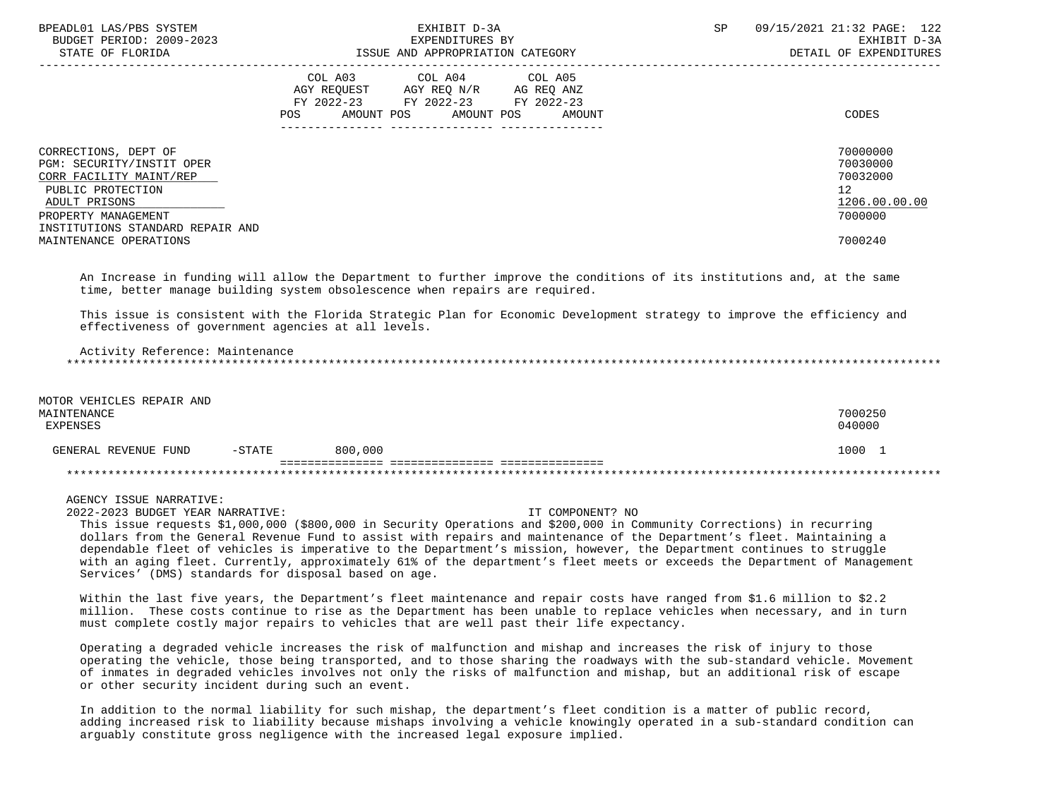| BPEADL01 LAS/PBS SYSTEM<br>BUDGET PERIOD: 2009-2023<br>STATE OF FLORIDA                                                                                                       | EXHIBIT D-3A<br>EXPENDITURES BY<br>ISSUE AND APPROPRIATION CATEGORY                                                                         | 09/15/2021 21:32 PAGE: 122<br><b>SP</b><br>EXHIBIT D-3A<br>DETAIL OF EXPENDITURES |
|-------------------------------------------------------------------------------------------------------------------------------------------------------------------------------|---------------------------------------------------------------------------------------------------------------------------------------------|-----------------------------------------------------------------------------------|
|                                                                                                                                                                               | COL A03<br>COL A04 COL A05<br>AGY REQUEST AGY REQ N/R AG REQ ANZ<br>FY 2022-23 FY 2022-23 FY 2022-23<br>POS<br>AMOUNT POS AMOUNT POS AMOUNT | CODES                                                                             |
| CORRECTIONS, DEPT OF<br>PGM: SECURITY/INSTIT OPER<br>CORR FACILITY MAINT/REP<br>PUBLIC PROTECTION<br>ADULT PRISONS<br>PROPERTY MANAGEMENT<br>INSTITUTIONS STANDARD REPAIR AND |                                                                                                                                             | 70000000<br>70030000<br>70032000<br>12 <sup>°</sup><br>1206.00.00.00<br>7000000   |
| MAINTENANCE OPERATIONS                                                                                                                                                        |                                                                                                                                             | 7000240                                                                           |

 An Increase in funding will allow the Department to further improve the conditions of its institutions and, at the same time, better manage building system obsolescence when repairs are required.

 This issue is consistent with the Florida Strategic Plan for Economic Development strategy to improve the efficiency and effectiveness of government agencies at all levels.

 Activity Reference: Maintenance \*\*\*\*\*\*\*\*\*\*\*\*\*\*\*\*\*\*\*\*\*\*\*\*\*\*\*\*\*\*\*\*\*\*\*\*\*\*\*\*\*\*\*\*\*\*\*\*\*\*\*\*\*\*\*\*\*\*\*\*\*\*\*\*\*\*\*\*\*\*\*\*\*\*\*\*\*\*\*\*\*\*\*\*\*\*\*\*\*\*\*\*\*\*\*\*\*\*\*\*\*\*\*\*\*\*\*\*\*\*\*\*\*\*\*\*\*\*\*\*\*\*\*\*\*\*\*

| MOTOR VEHICLES REPAIR AND        |         |         |
|----------------------------------|---------|---------|
| MAINTENANCE                      |         | 7000250 |
| EXPENSES                         |         | 040000  |
|                                  |         |         |
| $-STATE$<br>GENERAL REVENUE FUND | 800,000 | 1000    |
|                                  |         |         |
|                                  |         |         |

AGENCY ISSUE NARRATIVE:

2022-2023 BUDGET YEAR NARRATIVE: IT COMPONENT? NO

 This issue requests \$1,000,000 (\$800,000 in Security Operations and \$200,000 in Community Corrections) in recurring dollars from the General Revenue Fund to assist with repairs and maintenance of the Department's fleet. Maintaining a dependable fleet of vehicles is imperative to the Department's mission, however, the Department continues to struggle with an aging fleet. Currently, approximately 61% of the department's fleet meets or exceeds the Department of Management Services' (DMS) standards for disposal based on age.

 Within the last five years, the Department's fleet maintenance and repair costs have ranged from \$1.6 million to \$2.2 million. These costs continue to rise as the Department has been unable to replace vehicles when necessary, and in turn must complete costly major repairs to vehicles that are well past their life expectancy.

 Operating a degraded vehicle increases the risk of malfunction and mishap and increases the risk of injury to those operating the vehicle, those being transported, and to those sharing the roadways with the sub-standard vehicle. Movement of inmates in degraded vehicles involves not only the risks of malfunction and mishap, but an additional risk of escape or other security incident during such an event.

 In addition to the normal liability for such mishap, the department's fleet condition is a matter of public record, adding increased risk to liability because mishaps involving a vehicle knowingly operated in a sub-standard condition can arguably constitute gross negligence with the increased legal exposure implied.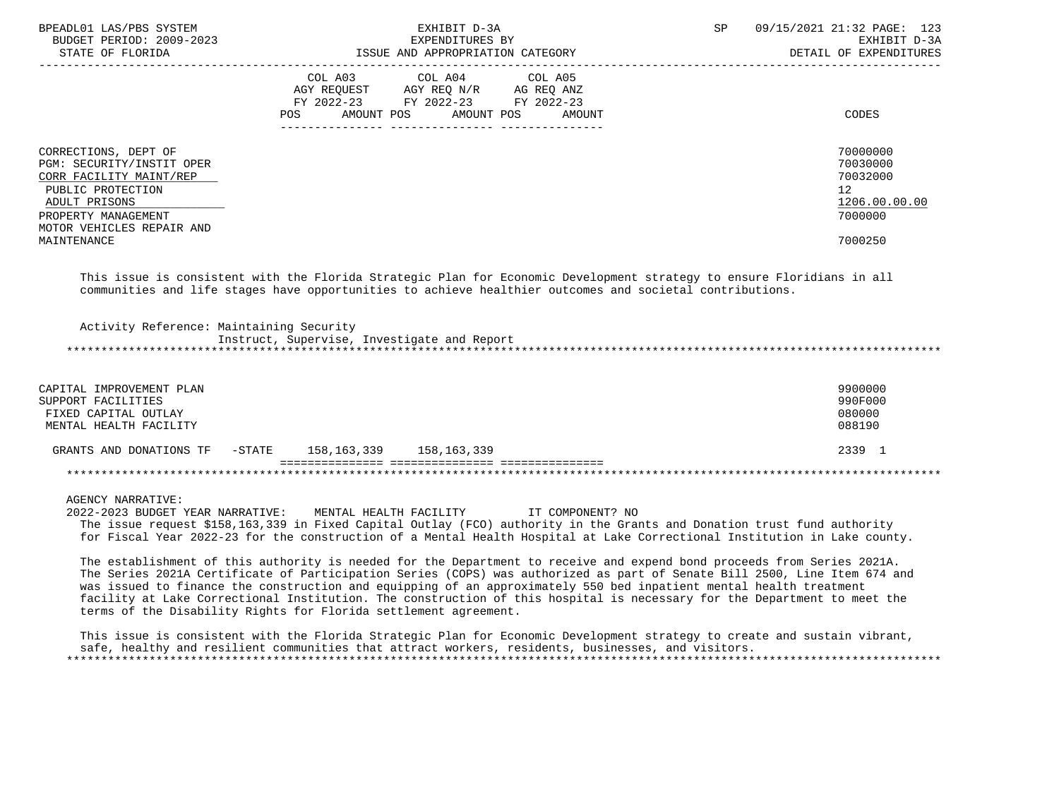| BPEADL01 LAS/PBS SYSTEM<br>BUDGET PERIOD: 2009-2023<br>STATE OF FLORIDA                                                                                                | EXHIBIT D-3A<br>EXPENDITURES BY<br>ISSUE AND APPROPRIATION CATEGORY                                                                      | 09/15/2021 21:32 PAGE: 123<br>SP.<br>EXHIBIT D-3A<br>DETAIL OF EXPENDITURES     |
|------------------------------------------------------------------------------------------------------------------------------------------------------------------------|------------------------------------------------------------------------------------------------------------------------------------------|---------------------------------------------------------------------------------|
|                                                                                                                                                                        | COL A03<br>COL A04 COL A05<br>AGY REQUEST AGY REQ N/R AG REQ ANZ<br>FY 2022-23 FY 2022-23 FY 2022-23<br>POS AMOUNT POS AMOUNT POS AMOUNT | CODES                                                                           |
| CORRECTIONS, DEPT OF<br>PGM: SECURITY/INSTIT OPER<br>CORR FACILITY MAINT/REP<br>PUBLIC PROTECTION<br>ADULT PRISONS<br>PROPERTY MANAGEMENT<br>MOTOR VEHICLES REPAIR AND |                                                                                                                                          | 70000000<br>70030000<br>70032000<br>12 <sup>°</sup><br>1206.00.00.00<br>7000000 |
| MAINTENANCE                                                                                                                                                            |                                                                                                                                          | 7000250                                                                         |

 This issue is consistent with the Florida Strategic Plan for Economic Development strategy to ensure Floridians in all communities and life stages have opportunities to achieve healthier outcomes and societal contributions.

 Activity Reference: Maintaining Security Instruct, Supervise, Investigate and Report \*\*\*\*\*\*\*\*\*\*\*\*\*\*\*\*\*\*\*\*\*\*\*\*\*\*\*\*\*\*\*\*\*\*\*\*\*\*\*\*\*\*\*\*\*\*\*\*\*\*\*\*\*\*\*\*\*\*\*\*\*\*\*\*\*\*\*\*\*\*\*\*\*\*\*\*\*\*\*\*\*\*\*\*\*\*\*\*\*\*\*\*\*\*\*\*\*\*\*\*\*\*\*\*\*\*\*\*\*\*\*\*\*\*\*\*\*\*\*\*\*\*\*\*\*\*\*

| CAPITAL IMPROVEMENT PLAN<br>SUPPORT FACILITIES<br>FIXED CAPITAL OUTLAY<br>MENTAL HEALTH FACILITY |           |             |             | 9900000<br>990F000<br>080000<br>088190 |
|--------------------------------------------------------------------------------------------------|-----------|-------------|-------------|----------------------------------------|
| GRANTS AND DONATIONS TF                                                                          | $-$ STATE | 158,163,339 | 158,163,339 | 2339 1                                 |
|                                                                                                  |           |             |             |                                        |

### AGENCY NARRATIVE:

 2022-2023 BUDGET YEAR NARRATIVE: MENTAL HEALTH FACILITY IT COMPONENT? NO The issue request \$158,163,339 in Fixed Capital Outlay (FCO) authority in the Grants and Donation trust fund authority for Fiscal Year 2022-23 for the construction of a Mental Health Hospital at Lake Correctional Institution in Lake county.

 The establishment of this authority is needed for the Department to receive and expend bond proceeds from Series 2021A. The Series 2021A Certificate of Participation Series (COPS) was authorized as part of Senate Bill 2500, Line Item 674 and was issued to finance the construction and equipping of an approximately 550 bed inpatient mental health treatment facility at Lake Correctional Institution. The construction of this hospital is necessary for the Department to meet the terms of the Disability Rights for Florida settlement agreement.

 This issue is consistent with the Florida Strategic Plan for Economic Development strategy to create and sustain vibrant, safe, healthy and resilient communities that attract workers, residents, businesses, and visitors. \*\*\*\*\*\*\*\*\*\*\*\*\*\*\*\*\*\*\*\*\*\*\*\*\*\*\*\*\*\*\*\*\*\*\*\*\*\*\*\*\*\*\*\*\*\*\*\*\*\*\*\*\*\*\*\*\*\*\*\*\*\*\*\*\*\*\*\*\*\*\*\*\*\*\*\*\*\*\*\*\*\*\*\*\*\*\*\*\*\*\*\*\*\*\*\*\*\*\*\*\*\*\*\*\*\*\*\*\*\*\*\*\*\*\*\*\*\*\*\*\*\*\*\*\*\*\*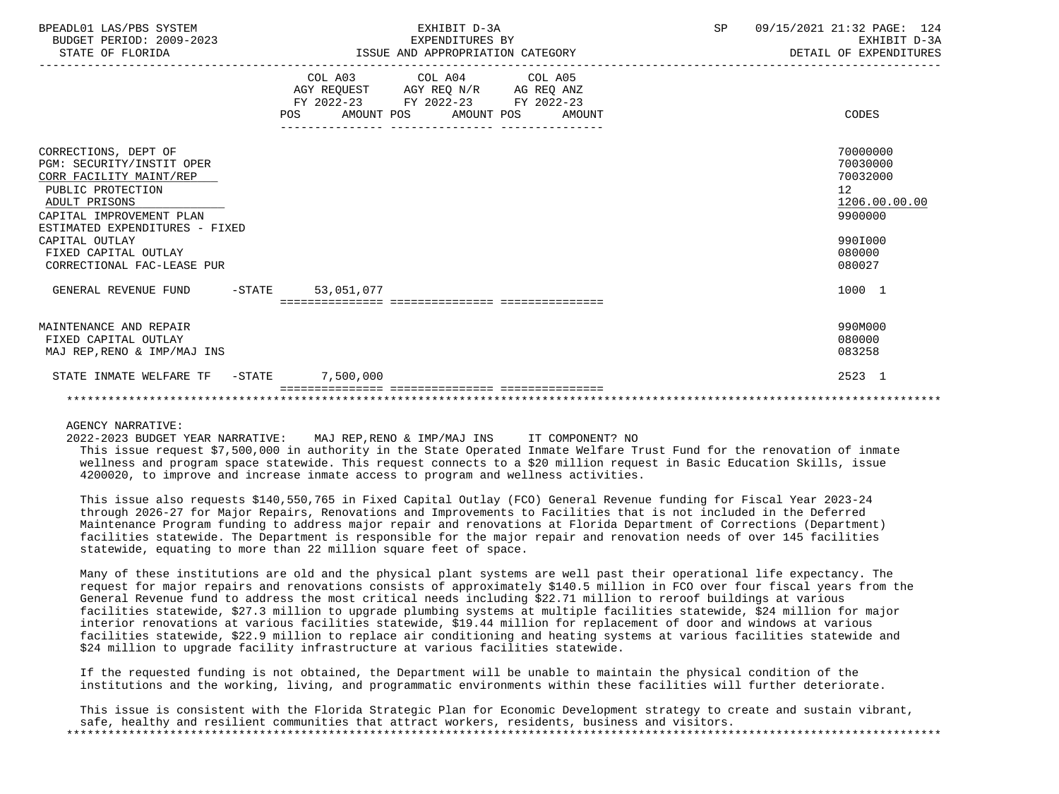| BPEADL01 LAS/PBS SYSTEM<br>BUDGET PERIOD: 2009-2023<br>STATE OF FLORIDA | EXHIBIT D-3A<br>EXPENDITURES BY<br>ISSUE AND APPROPRIATION CATEGORY                                                                         | 09/15/2021 21:32 PAGE: 124<br>SP<br>EXHIBIT D-3A<br>DETAIL OF EXPENDITURES |
|-------------------------------------------------------------------------|---------------------------------------------------------------------------------------------------------------------------------------------|----------------------------------------------------------------------------|
|                                                                         | COL A03 COL A04 COL A05<br>AGY REQUEST AGY REQ N/R AG REQ ANZ<br>FY 2022-23 FY 2022-23 FY 2022-23<br>AMOUNT POS AMOUNT POS<br>POS<br>AMOUNT | CODES                                                                      |
| CORRECTIONS, DEPT OF                                                    |                                                                                                                                             | 70000000                                                                   |
| PGM: SECURITY/INSTIT OPER                                               |                                                                                                                                             | 70030000                                                                   |
| CORR FACILITY MAINT/REP                                                 |                                                                                                                                             | 70032000                                                                   |
| PUBLIC PROTECTION<br>ADULT PRISONS                                      |                                                                                                                                             | 12<br>1206.00.00.00                                                        |
| CAPITAL IMPROVEMENT PLAN                                                |                                                                                                                                             | 9900000                                                                    |
| ESTIMATED EXPENDITURES - FIXED                                          |                                                                                                                                             |                                                                            |
| CAPITAL OUTLAY                                                          |                                                                                                                                             | 990I000                                                                    |
| FIXED CAPITAL OUTLAY                                                    |                                                                                                                                             | 080000                                                                     |
| CORRECTIONAL FAC-LEASE PUR                                              |                                                                                                                                             | 080027                                                                     |
| GENERAL REVENUE FUND<br>$-$ STATE                                       | 53,051,077                                                                                                                                  | 1000 1                                                                     |
|                                                                         |                                                                                                                                             |                                                                            |
| MAINTENANCE AND REPAIR                                                  |                                                                                                                                             | 990M000                                                                    |
| FIXED CAPITAL OUTLAY                                                    |                                                                                                                                             | 080000                                                                     |
| MAJ REP, RENO & IMP/MAJ INS                                             |                                                                                                                                             | 083258                                                                     |
| STATE INMATE WELFARE TF - STATE                                         | 7,500,000                                                                                                                                   | 2523 1                                                                     |
|                                                                         |                                                                                                                                             |                                                                            |

AGENCY NARRATIVE:

2022-2023 BUDGET YEAR NARRATIVE: MAJ REP,RENO & IMP/MAJ INS IT COMPONENT? NO

 This issue request \$7,500,000 in authority in the State Operated Inmate Welfare Trust Fund for the renovation of inmate wellness and program space statewide. This request connects to a \$20 million request in Basic Education Skills, issue 4200020, to improve and increase inmate access to program and wellness activities.

 This issue also requests \$140,550,765 in Fixed Capital Outlay (FCO) General Revenue funding for Fiscal Year 2023-24 through 2026-27 for Major Repairs, Renovations and Improvements to Facilities that is not included in the Deferred Maintenance Program funding to address major repair and renovations at Florida Department of Corrections (Department) facilities statewide. The Department is responsible for the major repair and renovation needs of over 145 facilities statewide, equating to more than 22 million square feet of space.

 Many of these institutions are old and the physical plant systems are well past their operational life expectancy. The request for major repairs and renovations consists of approximately \$140.5 million in FCO over four fiscal years from the General Revenue fund to address the most critical needs including \$22.71 million to reroof buildings at various facilities statewide, \$27.3 million to upgrade plumbing systems at multiple facilities statewide, \$24 million for major interior renovations at various facilities statewide, \$19.44 million for replacement of door and windows at various facilities statewide, \$22.9 million to replace air conditioning and heating systems at various facilities statewide and \$24 million to upgrade facility infrastructure at various facilities statewide.

 If the requested funding is not obtained, the Department will be unable to maintain the physical condition of the institutions and the working, living, and programmatic environments within these facilities will further deteriorate.

 This issue is consistent with the Florida Strategic Plan for Economic Development strategy to create and sustain vibrant, safe, healthy and resilient communities that attract workers, residents, business and visitors. \*\*\*\*\*\*\*\*\*\*\*\*\*\*\*\*\*\*\*\*\*\*\*\*\*\*\*\*\*\*\*\*\*\*\*\*\*\*\*\*\*\*\*\*\*\*\*\*\*\*\*\*\*\*\*\*\*\*\*\*\*\*\*\*\*\*\*\*\*\*\*\*\*\*\*\*\*\*\*\*\*\*\*\*\*\*\*\*\*\*\*\*\*\*\*\*\*\*\*\*\*\*\*\*\*\*\*\*\*\*\*\*\*\*\*\*\*\*\*\*\*\*\*\*\*\*\*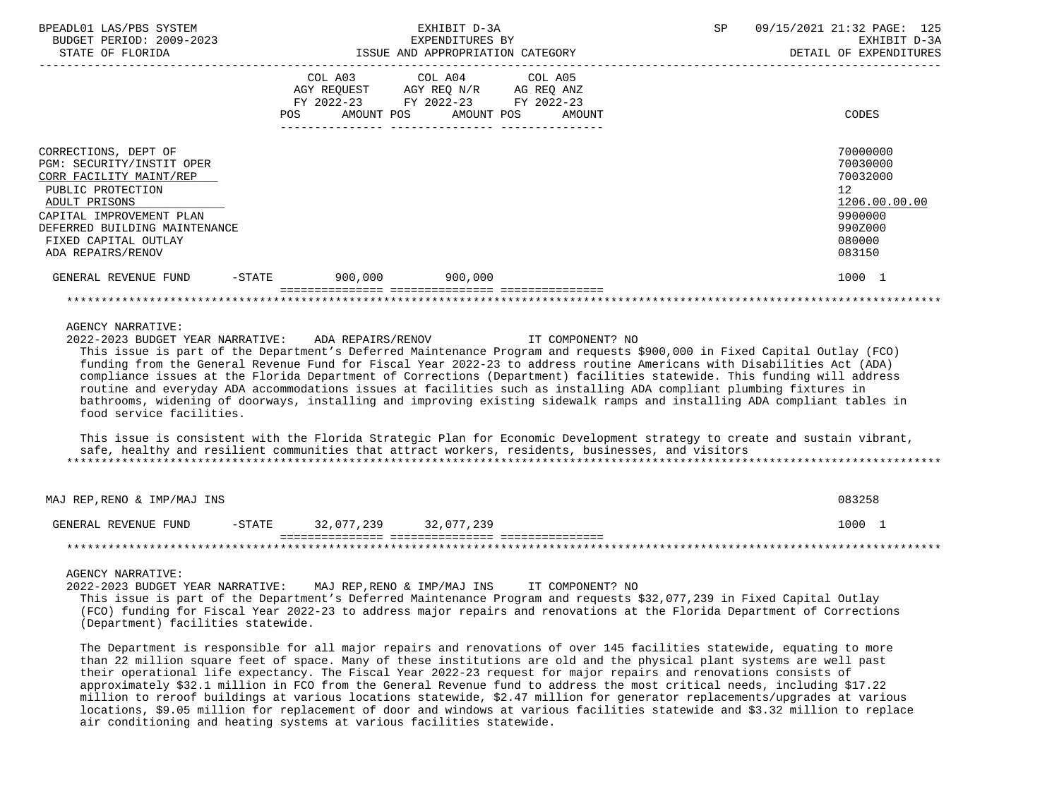| BPEADL01 LAS/PBS SYSTEM<br>EXHIBIT D-3A<br>BUDGET PERIOD: 2009-2023<br>EXPENDITURES BY<br>ISSUE AND APPROPRIATION CATEGORY<br>STATE OF FLORIDA                                                                               |        |                                                                                                                                                                                                                           |                       | SP                                                                                                                                                                                                                                          | 09/15/2021 21:32 PAGE: 125<br>EXHIBIT D-3A<br>DETAIL OF EXPENDITURES |                                                                                                                                                                                                                                                                                                                                                                                                                                                                                                                                                                                                                                        |  |
|------------------------------------------------------------------------------------------------------------------------------------------------------------------------------------------------------------------------------|--------|---------------------------------------------------------------------------------------------------------------------------------------------------------------------------------------------------------------------------|-----------------------|---------------------------------------------------------------------------------------------------------------------------------------------------------------------------------------------------------------------------------------------|----------------------------------------------------------------------|----------------------------------------------------------------------------------------------------------------------------------------------------------------------------------------------------------------------------------------------------------------------------------------------------------------------------------------------------------------------------------------------------------------------------------------------------------------------------------------------------------------------------------------------------------------------------------------------------------------------------------------|--|
| . <u>_ _ _ _ _ _ _ _ _ _ _ _ _ _ _</u> _                                                                                                                                                                                     | POS    | COL A03<br>$\begin{tabular}{lllllll} AGY & \texttt{REQUEST} & & \texttt{AGY} & \texttt{REG} & \texttt{N/R} & & \texttt{AG} & \texttt{REQ} & \texttt{ANZ} \end{tabular}$<br>FY 2022-23 FY 2022-23 FY 2022-23<br>AMOUNT POS | COL A04<br>AMOUNT POS | COL A05<br>AMOUNT                                                                                                                                                                                                                           |                                                                      | CODES                                                                                                                                                                                                                                                                                                                                                                                                                                                                                                                                                                                                                                  |  |
| CORRECTIONS, DEPT OF<br>PGM: SECURITY/INSTIT OPER<br>CORR FACILITY MAINT/REP<br>PUBLIC PROTECTION<br>ADULT PRISONS<br>CAPITAL IMPROVEMENT PLAN<br>DEFERRED BUILDING MAINTENANCE<br>FIXED CAPITAL OUTLAY<br>ADA REPAIRS/RENOV |        |                                                                                                                                                                                                                           |                       |                                                                                                                                                                                                                                             |                                                                      | 70000000<br>70030000<br>70032000<br>12 <sup>°</sup><br>1206.00.00.00<br>9900000<br>990Z000<br>080000<br>083150                                                                                                                                                                                                                                                                                                                                                                                                                                                                                                                         |  |
| GENERAL REVENUE FUND                                                                                                                                                                                                         | -STATE | 900,000                                                                                                                                                                                                                   | 900,000               |                                                                                                                                                                                                                                             |                                                                      | 1000 1                                                                                                                                                                                                                                                                                                                                                                                                                                                                                                                                                                                                                                 |  |
|                                                                                                                                                                                                                              |        |                                                                                                                                                                                                                           |                       |                                                                                                                                                                                                                                             |                                                                      |                                                                                                                                                                                                                                                                                                                                                                                                                                                                                                                                                                                                                                        |  |
| 2022-2023 BUDGET YEAR NARRATIVE:<br>food service facilities.                                                                                                                                                                 |        | ADA REPAIRS/RENOV                                                                                                                                                                                                         |                       | IT COMPONENT? NO<br>routine and everyday ADA accommodations issues at facilities such as installing ADA compliant plumbing fixtures in<br>safe, healthy and resilient communities that attract workers, residents, businesses, and visitors |                                                                      | This issue is part of the Department's Deferred Maintenance Program and requests \$900,000 in Fixed Capital Outlay (FCO)<br>funding from the General Revenue Fund for Fiscal Year 2022-23 to address routine Americans with Disabilities Act (ADA)<br>compliance issues at the Florida Department of Corrections (Department) facilities statewide. This funding will address<br>bathrooms, widening of doorways, installing and improving existing sidewalk ramps and installing ADA compliant tables in<br>This issue is consistent with the Florida Strategic Plan for Economic Development strategy to create and sustain vibrant, |  |
| MAJ REP, RENO & IMP/MAJ INS                                                                                                                                                                                                  |        |                                                                                                                                                                                                                           |                       |                                                                                                                                                                                                                                             |                                                                      | 083258                                                                                                                                                                                                                                                                                                                                                                                                                                                                                                                                                                                                                                 |  |
| GENERAL REVENUE FUND                                                                                                                                                                                                         |        | -STATE 32,077,239 32,077,239                                                                                                                                                                                              |                       |                                                                                                                                                                                                                                             |                                                                      | 1000 1                                                                                                                                                                                                                                                                                                                                                                                                                                                                                                                                                                                                                                 |  |
|                                                                                                                                                                                                                              |        |                                                                                                                                                                                                                           |                       |                                                                                                                                                                                                                                             |                                                                      |                                                                                                                                                                                                                                                                                                                                                                                                                                                                                                                                                                                                                                        |  |
| AGENCY NARRATIVE:<br>2022-2023 BUDGET YEAR NARRATIVE:<br>(Department) facilities statewide.                                                                                                                                  |        |                                                                                                                                                                                                                           |                       | MAJ REP, RENO & IMP/MAJ INS IT COMPONENT? NO<br>This issue is part of the Department's Deferred Maintenance Program and requests \$32,077,239 in Fixed Capital Outlay                                                                       |                                                                      | (FCO) funding for Fiscal Year 2022-23 to address major repairs and renovations at the Florida Department of Corrections                                                                                                                                                                                                                                                                                                                                                                                                                                                                                                                |  |
|                                                                                                                                                                                                                              |        |                                                                                                                                                                                                                           |                       |                                                                                                                                                                                                                                             |                                                                      | The Department is responsible for all major repairs and renovations of over 145 facilities statewide, equating to more<br>than 22 million general fact of grass. Many of those institutions are ald and the physical plant gustoms are usll post                                                                                                                                                                                                                                                                                                                                                                                       |  |

 than 22 million square feet of space. Many of these institutions are old and the physical plant systems are well past their operational life expectancy. The Fiscal Year 2022-23 request for major repairs and renovations consists of approximately \$32.1 million in FCO from the General Revenue fund to address the most critical needs, including \$17.22 million to reroof buildings at various locations statewide, \$2.47 million for generator replacements/upgrades at various locations, \$9.05 million for replacement of door and windows at various facilities statewide and \$3.32 million to replace air conditioning and heating systems at various facilities statewide.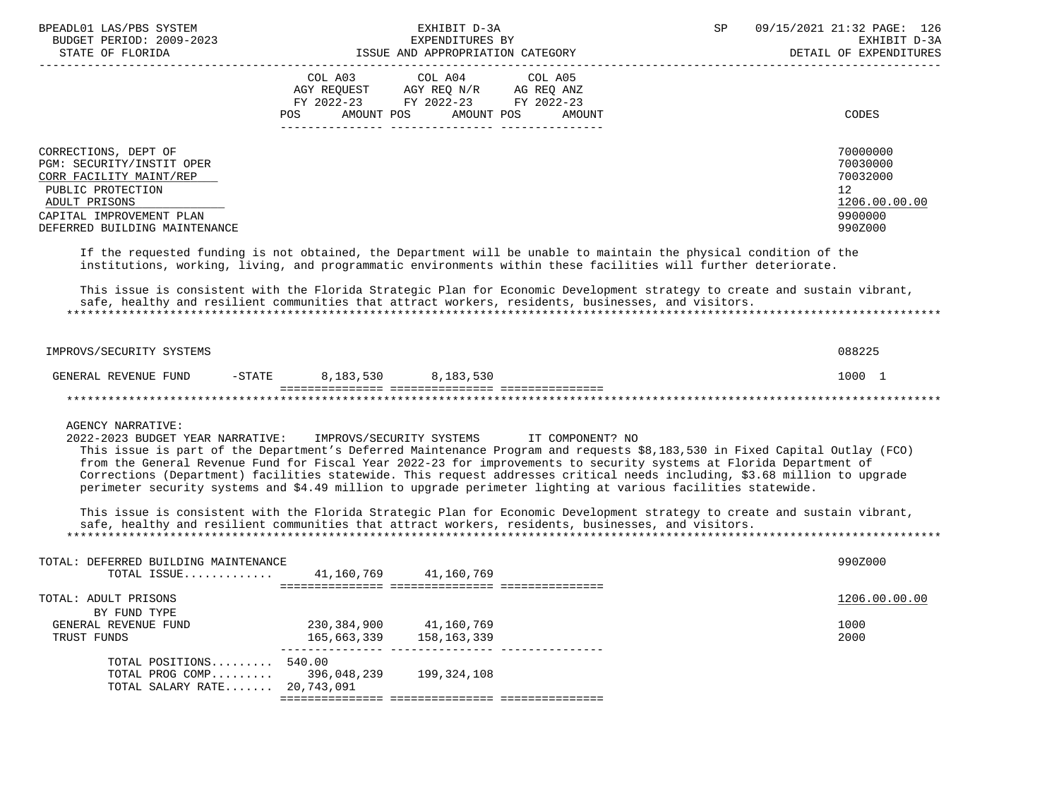| BPEADL01 LAS/PBS SYSTEM<br>BUDGET PERIOD: 2009-2023<br>STATE OF FLORIDA                                                                                                                                                                                                                                                                                                                                                                                                                                                                                                                                                                                                                                                                                                                           |                                                                                                                                | EXHIBIT D-3A<br>EXPENDITURES BY | ISSUE AND APPROPRIATION CATEGORY          | SP | 09/15/2021 21:32 PAGE: 126<br>EXHIBIT D-3A<br>DETAIL OF EXPENDITURES          |
|---------------------------------------------------------------------------------------------------------------------------------------------------------------------------------------------------------------------------------------------------------------------------------------------------------------------------------------------------------------------------------------------------------------------------------------------------------------------------------------------------------------------------------------------------------------------------------------------------------------------------------------------------------------------------------------------------------------------------------------------------------------------------------------------------|--------------------------------------------------------------------------------------------------------------------------------|---------------------------------|-------------------------------------------|----|-------------------------------------------------------------------------------|
|                                                                                                                                                                                                                                                                                                                                                                                                                                                                                                                                                                                                                                                                                                                                                                                                   | COL A03 COL A04 COL A05<br>AGY REQUEST AGY REQ N/R AG REQ ANZ<br>FY 2022-23 FY 2022-23 FY 2022-23<br>POS AMOUNT POS AMOUNT POS |                                 | AMOUNT                                    |    | CODES                                                                         |
| CORRECTIONS, DEPT OF<br>PGM: SECURITY/INSTIT OPER<br>CORR FACILITY MAINT/REP<br>PUBLIC PROTECTION<br>ADULT PRISONS<br>CAPITAL IMPROVEMENT PLAN<br>DEFERRED BUILDING MAINTENANCE                                                                                                                                                                                                                                                                                                                                                                                                                                                                                                                                                                                                                   |                                                                                                                                |                                 |                                           |    | 70000000<br>70030000<br>70032000<br>12<br>1206.00.00.00<br>9900000<br>990Z000 |
| If the requested funding is not obtained, the Department will be unable to maintain the physical condition of the<br>institutions, working, living, and programmatic environments within these facilities will further deteriorate.                                                                                                                                                                                                                                                                                                                                                                                                                                                                                                                                                               |                                                                                                                                |                                 |                                           |    |                                                                               |
| This issue is consistent with the Florida Strategic Plan for Economic Development strategy to create and sustain vibrant,<br>safe, healthy and resilient communities that attract workers, residents, businesses, and visitors.                                                                                                                                                                                                                                                                                                                                                                                                                                                                                                                                                                   |                                                                                                                                |                                 |                                           |    |                                                                               |
| IMPROVS/SECURITY SYSTEMS                                                                                                                                                                                                                                                                                                                                                                                                                                                                                                                                                                                                                                                                                                                                                                          |                                                                                                                                |                                 |                                           |    | 088225                                                                        |
| GENERAL REVENUE FUND -STATE 8,183,530 8,183,530                                                                                                                                                                                                                                                                                                                                                                                                                                                                                                                                                                                                                                                                                                                                                   |                                                                                                                                |                                 |                                           |    | 1000 1                                                                        |
|                                                                                                                                                                                                                                                                                                                                                                                                                                                                                                                                                                                                                                                                                                                                                                                                   |                                                                                                                                |                                 |                                           |    |                                                                               |
| <b>AGENCY NARRATIVE:</b><br>2022-2023 BUDGET YEAR NARRATIVE:<br>This issue is part of the Department's Deferred Maintenance Program and requests \$8,183,530 in Fixed Capital Outlay (FCO)<br>from the General Revenue Fund for Fiscal Year 2022-23 for improvements to security systems at Florida Department of<br>Corrections (Department) facilities statewide. This request addresses critical needs including, \$3.68 million to upgrade<br>perimeter security systems and \$4.49 million to upgrade perimeter lighting at various facilities statewide.<br>This issue is consistent with the Florida Strategic Plan for Economic Development strategy to create and sustain vibrant,<br>safe, healthy and resilient communities that attract workers, residents, businesses, and visitors. |                                                                                                                                |                                 | IMPROVS/SECURITY SYSTEMS TT COMPONENT? NO |    |                                                                               |
| TOTAL: DEFERRED BUILDING MAINTENANCE                                                                                                                                                                                                                                                                                                                                                                                                                                                                                                                                                                                                                                                                                                                                                              |                                                                                                                                |                                 |                                           |    | 990Z000                                                                       |
| TOTAL ISSUE 41,160,769 41,160,769                                                                                                                                                                                                                                                                                                                                                                                                                                                                                                                                                                                                                                                                                                                                                                 |                                                                                                                                |                                 |                                           |    |                                                                               |
| TOTAL: ADULT PRISONS<br>BY FUND TYPE<br>GENERAL REVENUE FUND<br>TRUST FUNDS                                                                                                                                                                                                                                                                                                                                                                                                                                                                                                                                                                                                                                                                                                                       | 230, 384, 900 41, 160, 769<br>165,663,339                                                                                      | 158,163,339                     |                                           |    | 1206.00.00.00<br>1000<br>2000                                                 |
| TOTAL POSITIONS 540.00<br>TOTAL PROG COMP<br>TOTAL SALARY RATE 20,743,091                                                                                                                                                                                                                                                                                                                                                                                                                                                                                                                                                                                                                                                                                                                         | --------------- -------<br>396,048,239                                                                                         | 199,324,108                     |                                           |    |                                                                               |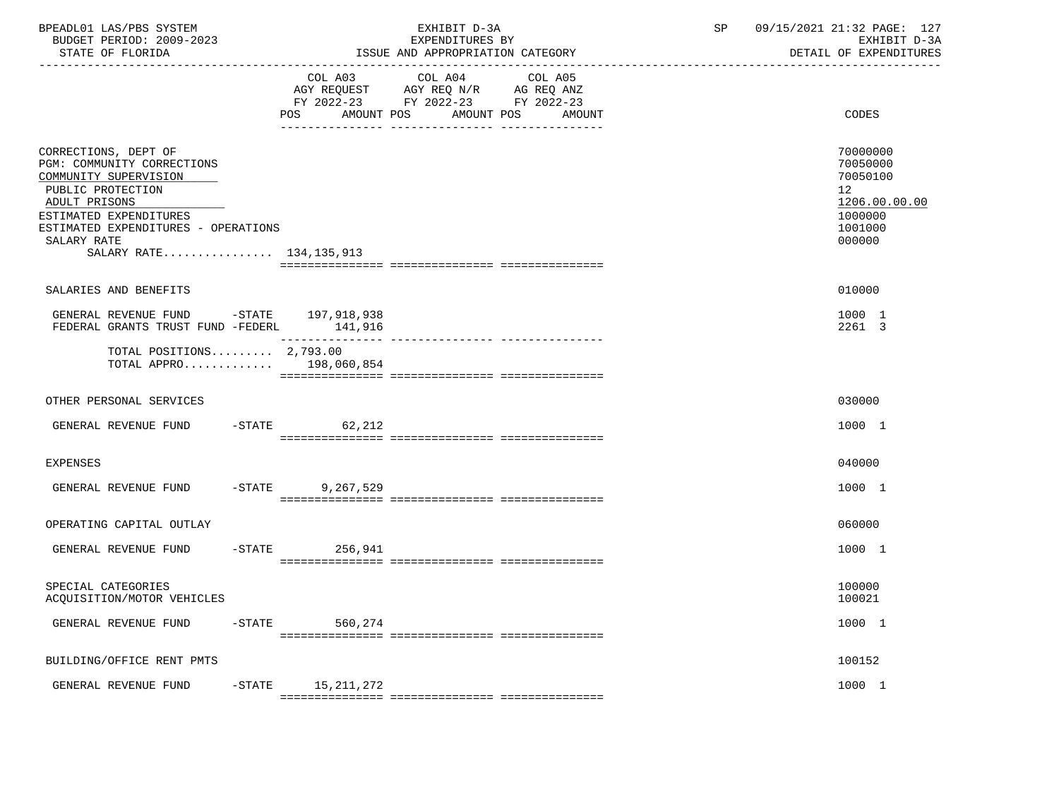| BPEADL01 LAS/PBS SYSTEM<br>BUDGET PERIOD: 2009-2023<br>STATE OF FLORIDA                                                                                                                                                      |                        | EXHIBIT D-3A<br>EXPENDITURES BY<br>ISSUE AND APPROPRIATION CATEGORY                                                                | 09/15/2021 21:32 PAGE: 127<br>SP<br>EXHIBIT D-3A<br>DETAIL OF EXPENDITURES                           |
|------------------------------------------------------------------------------------------------------------------------------------------------------------------------------------------------------------------------------|------------------------|------------------------------------------------------------------------------------------------------------------------------------|------------------------------------------------------------------------------------------------------|
|                                                                                                                                                                                                                              | COL A03<br>POS         | COL A04<br>COL A05<br>AGY REQUEST AGY REQ N/R AG REQ ANZ<br>FY 2022-23 FY 2022-23 FY 2022-23<br>AMOUNT POS<br>AMOUNT POS<br>AMOUNT | CODES                                                                                                |
| CORRECTIONS, DEPT OF<br>PGM: COMMUNITY CORRECTIONS<br>COMMUNITY SUPERVISION<br>PUBLIC PROTECTION<br>ADULT PRISONS<br>ESTIMATED EXPENDITURES<br>ESTIMATED EXPENDITURES - OPERATIONS<br>SALARY RATE<br>SALARY RATE 134,135,913 |                        |                                                                                                                                    | 70000000<br>70050000<br>70050100<br>12 <sub>2</sub><br>1206.00.00.00<br>1000000<br>1001000<br>000000 |
|                                                                                                                                                                                                                              |                        |                                                                                                                                    |                                                                                                      |
| SALARIES AND BENEFITS<br>GENERAL REVENUE FUND -STATE 197,918,938<br>FEDERAL GRANTS TRUST FUND -FEDERL 141,916                                                                                                                |                        |                                                                                                                                    | 010000<br>1000 1<br>2261 3                                                                           |
| TOTAL POSITIONS $2,793.00$<br>TOTAL APPRO 198,060,854                                                                                                                                                                        |                        |                                                                                                                                    |                                                                                                      |
| OTHER PERSONAL SERVICES                                                                                                                                                                                                      |                        |                                                                                                                                    | 030000                                                                                               |
| GENERAL REVENUE FUND -STATE                                                                                                                                                                                                  | 62,212                 |                                                                                                                                    | 1000 1                                                                                               |
| <b>EXPENSES</b>                                                                                                                                                                                                              |                        |                                                                                                                                    | 040000                                                                                               |
| GENERAL REVENUE FUND                                                                                                                                                                                                         | $-$ STATE<br>9,267,529 |                                                                                                                                    | 1000 1                                                                                               |
| OPERATING CAPITAL OUTLAY                                                                                                                                                                                                     |                        |                                                                                                                                    | 060000                                                                                               |
| GENERAL REVENUE FUND                                                                                                                                                                                                         | $-$ STATE 256,941      |                                                                                                                                    | 1000 1                                                                                               |
| SPECIAL CATEGORIES<br>ACQUISITION/MOTOR VEHICLES                                                                                                                                                                             |                        |                                                                                                                                    | 100000<br>100021                                                                                     |
| GENERAL REVENUE FUND<br>$-$ STATE                                                                                                                                                                                            | 560,274                |                                                                                                                                    | 1000 1                                                                                               |
| BUILDING/OFFICE RENT PMTS                                                                                                                                                                                                    |                        |                                                                                                                                    | 100152                                                                                               |
| GENERAL REVENUE FUND<br>$-$ STATE                                                                                                                                                                                            | 15, 211, 272           |                                                                                                                                    | 1000 1                                                                                               |
|                                                                                                                                                                                                                              |                        |                                                                                                                                    |                                                                                                      |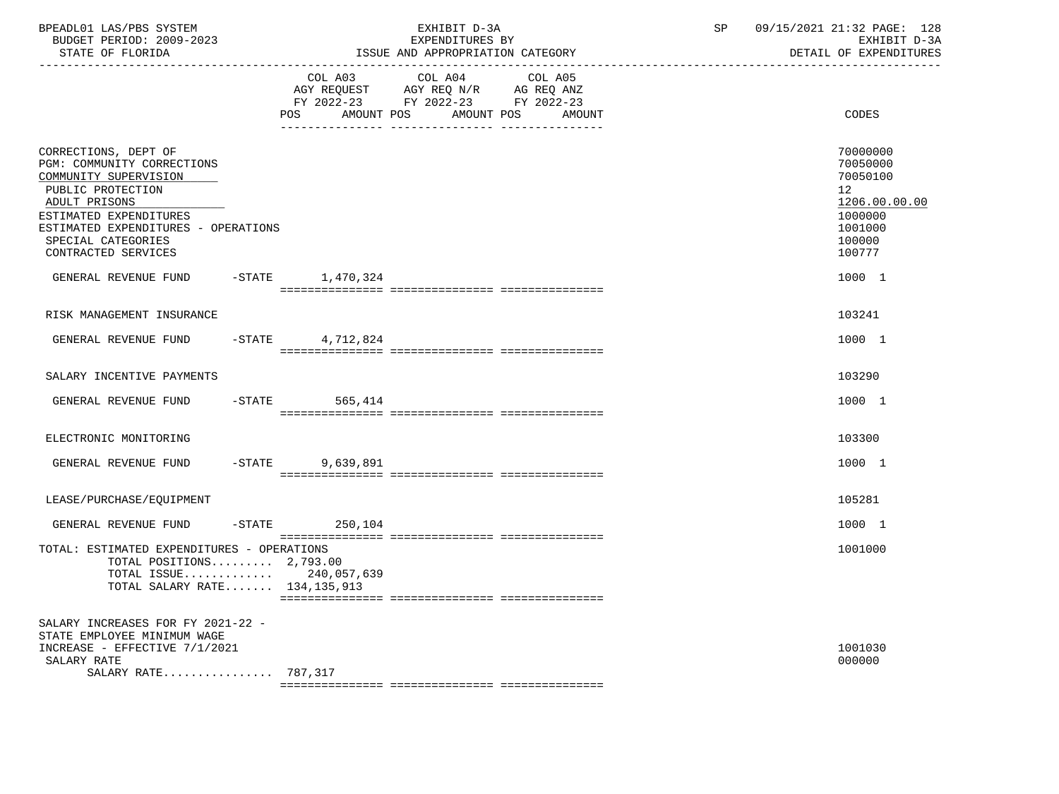| BPEADL01 LAS/PBS SYSTEM<br>BUDGET PERIOD: 2009-2023<br>STATE OF FLORIDA                                                                                                                                                         |          |                       | EXHIBIT D-3A<br>EXPENDITURES BY<br>ISSUE AND APPROPRIATION CATEGORY                                               | SP      | 09/15/2021 21:32 PAGE: 128<br>EXHIBIT D-3A<br>DETAIL OF EXPENDITURES |  |                                                                                                   |
|---------------------------------------------------------------------------------------------------------------------------------------------------------------------------------------------------------------------------------|----------|-----------------------|-------------------------------------------------------------------------------------------------------------------|---------|----------------------------------------------------------------------|--|---------------------------------------------------------------------------------------------------|
|                                                                                                                                                                                                                                 |          | COL A03<br>POS        | COL A04<br>AGY REQUEST AGY REQ N/R AG REQ ANZ<br>FY 2022-23 FY 2022-23 FY 2022-23<br>AMOUNT POS AMOUNT POS AMOUNT | COL A05 |                                                                      |  | CODES                                                                                             |
| CORRECTIONS, DEPT OF<br>PGM: COMMUNITY CORRECTIONS<br>COMMUNITY SUPERVISION<br>PUBLIC PROTECTION<br>ADULT PRISONS<br>ESTIMATED EXPENDITURES<br>ESTIMATED EXPENDITURES - OPERATIONS<br>SPECIAL CATEGORIES<br>CONTRACTED SERVICES |          |                       |                                                                                                                   |         |                                                                      |  | 70000000<br>70050000<br>70050100<br>12<br>1206.00.00.00<br>1000000<br>1001000<br>100000<br>100777 |
| GENERAL REVENUE FUND -STATE 1,470,324                                                                                                                                                                                           |          |                       |                                                                                                                   |         |                                                                      |  | 1000 1                                                                                            |
| RISK MANAGEMENT INSURANCE                                                                                                                                                                                                       |          |                       |                                                                                                                   |         |                                                                      |  | 103241                                                                                            |
| GENERAL REVENUE FUND                                                                                                                                                                                                            |          | $-$ STATE 4, 712, 824 |                                                                                                                   |         |                                                                      |  | 1000 1                                                                                            |
| SALARY INCENTIVE PAYMENTS                                                                                                                                                                                                       |          |                       |                                                                                                                   |         |                                                                      |  | 103290                                                                                            |
| GENERAL REVENUE FUND                                                                                                                                                                                                            |          | $-$ STATE<br>565,414  |                                                                                                                   |         |                                                                      |  | 1000 1                                                                                            |
| ELECTRONIC MONITORING                                                                                                                                                                                                           |          |                       |                                                                                                                   |         |                                                                      |  | 103300                                                                                            |
| GENERAL REVENUE FUND                                                                                                                                                                                                            | $-STATE$ | 9,639,891             |                                                                                                                   |         |                                                                      |  | 1000 1                                                                                            |
| LEASE/PURCHASE/EQUIPMENT                                                                                                                                                                                                        |          |                       |                                                                                                                   |         |                                                                      |  | 105281                                                                                            |
| GENERAL REVENUE FUND                                                                                                                                                                                                            |          | $-STATE$ 250,104      |                                                                                                                   |         |                                                                      |  | 1000 1                                                                                            |
| TOTAL: ESTIMATED EXPENDITURES - OPERATIONS<br>TOTAL POSITIONS $2,793.00$<br>TOTAL ISSUE 240,057,639<br>TOTAL SALARY RATE 134,135,913                                                                                            |          |                       |                                                                                                                   |         |                                                                      |  | 1001000                                                                                           |
| SALARY INCREASES FOR FY 2021-22 -<br>STATE EMPLOYEE MINIMUM WAGE<br>INCREASE - EFFECTIVE 7/1/2021<br>SALARY RATE<br>SALARY RATE 787,317                                                                                         |          |                       |                                                                                                                   |         |                                                                      |  | 1001030<br>000000                                                                                 |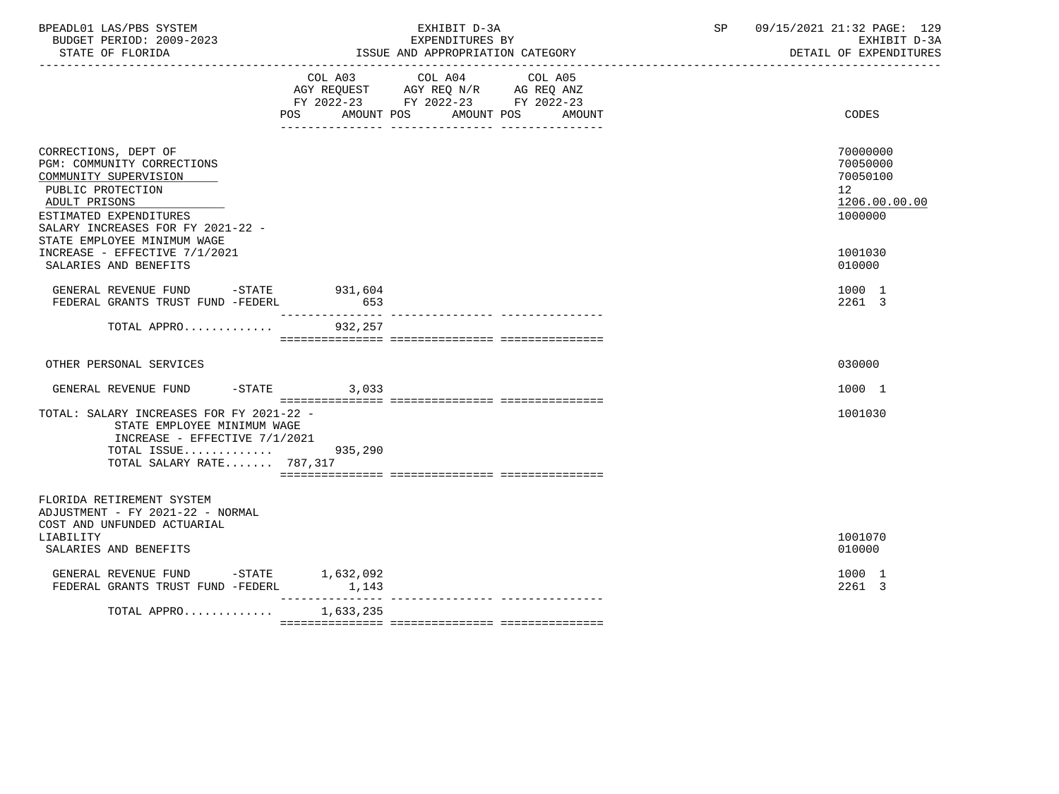| BPEADL01 LAS/PBS SYSTEM<br>BUDGET PERIOD: 2009-2023<br>STATE OF FLORIDA                                                                                                                                         |                | EXHIBIT D-3A<br>EXPENDITURES BY<br>ISSUE AND APPROPRIATION CATEGORY                                                                         | SP | 09/15/2021 21:32 PAGE: 129<br>EXHIBIT D-3A<br>DETAIL OF EXPENDITURES |
|-----------------------------------------------------------------------------------------------------------------------------------------------------------------------------------------------------------------|----------------|---------------------------------------------------------------------------------------------------------------------------------------------|----|----------------------------------------------------------------------|
|                                                                                                                                                                                                                 |                | COL A03 COL A04<br>COL A05<br>AGY REQUEST AGY REQ N/R AG REQ ANZ<br>FY 2022-23 FY 2022-23 FY 2022-23<br>POS AMOUNT POS AMOUNT POS<br>AMOUNT |    | CODES                                                                |
| CORRECTIONS, DEPT OF<br>PGM: COMMUNITY CORRECTIONS<br>COMMUNITY SUPERVISION<br>PUBLIC PROTECTION<br>ADULT PRISONS<br>ESTIMATED EXPENDITURES<br>SALARY INCREASES FOR FY 2021-22 -<br>STATE EMPLOYEE MINIMUM WAGE |                |                                                                                                                                             |    | 70000000<br>70050000<br>70050100<br>12<br>1206.00.00.00<br>1000000   |
| INCREASE - EFFECTIVE 7/1/2021<br>SALARIES AND BENEFITS                                                                                                                                                          |                |                                                                                                                                             |    | 1001030<br>010000                                                    |
| GENERAL REVENUE FUND -STATE 931,604<br>FEDERAL GRANTS TRUST FUND -FEDERL                                                                                                                                        | 653            |                                                                                                                                             |    | 1000 1<br>2261 3                                                     |
| TOTAL APPRO                                                                                                                                                                                                     | 932,257        |                                                                                                                                             |    |                                                                      |
| OTHER PERSONAL SERVICES                                                                                                                                                                                         |                |                                                                                                                                             |    | 030000                                                               |
| GENERAL REVENUE FUND                                                                                                                                                                                            | $-STATE$ 3,033 |                                                                                                                                             |    | 1000 1                                                               |
| TOTAL: SALARY INCREASES FOR FY 2021-22 -<br>STATE EMPLOYEE MINIMUM WAGE<br>INCREASE - EFFECTIVE 7/1/2021<br>TOTAL ISSUE 935,290<br>TOTAL SALARY RATE 787,317                                                    |                |                                                                                                                                             |    | 1001030                                                              |
| FLORIDA RETIREMENT SYSTEM<br>ADJUSTMENT - FY 2021-22 - NORMAL<br>COST AND UNFUNDED ACTUARIAL<br>LIABILITY                                                                                                       |                |                                                                                                                                             |    | 1001070                                                              |
| SALARIES AND BENEFITS                                                                                                                                                                                           |                |                                                                                                                                             |    | 010000                                                               |
| GENERAL REVENUE FUND -STATE $1,632,092$<br>FEDERAL GRANTS TRUST FUND -FEDERL $1,143$                                                                                                                            |                |                                                                                                                                             |    | 1000 1<br>2261 3                                                     |
| TOTAL APPRO 1,633,235                                                                                                                                                                                           |                |                                                                                                                                             |    |                                                                      |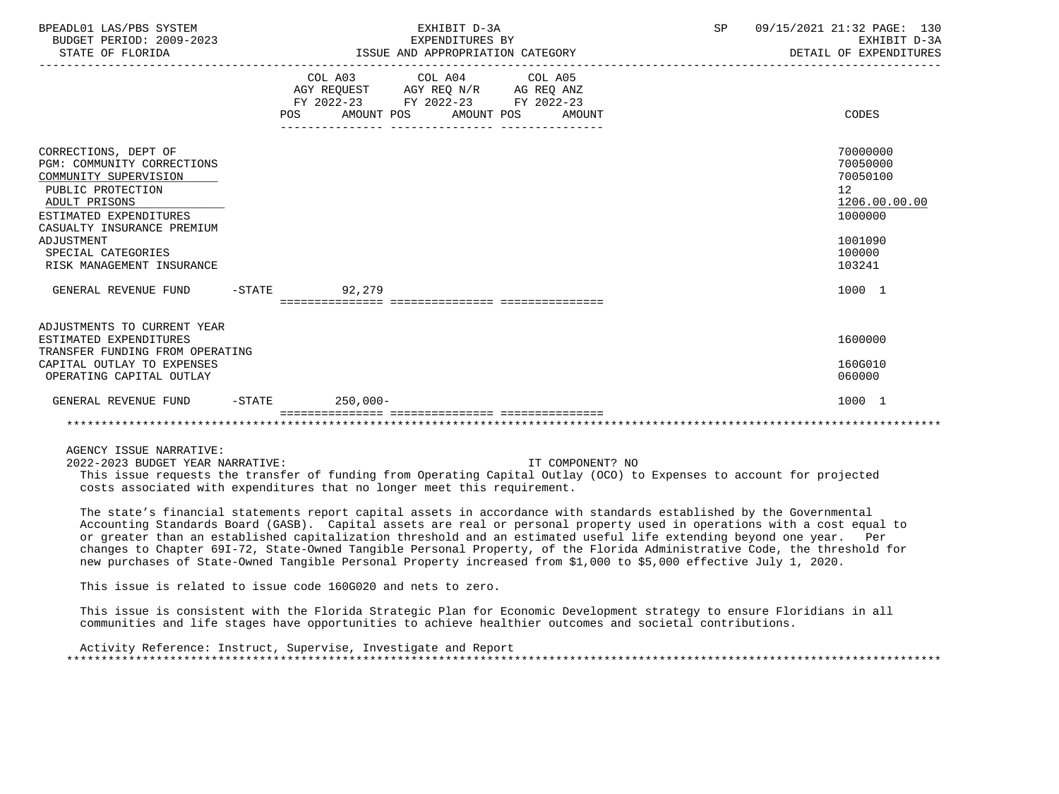| BPEADL01 LAS/PBS SYSTEM<br>BUDGET PERIOD: 2009-2023<br>STATE OF FLORIDA                                                                                                                                                                    | EXHIBIT D-3A<br>EXPENDITURES BY<br>ISSUE AND APPROPRIATION CATEGORY |                                                                                                            |                         |  | SP | 09/15/2021 21:32 PAGE: 130<br>EXHIBIT D-3A<br>DETAIL OF EXPENDITURES |                                                                                                   |
|--------------------------------------------------------------------------------------------------------------------------------------------------------------------------------------------------------------------------------------------|---------------------------------------------------------------------|------------------------------------------------------------------------------------------------------------|-------------------------|--|----|----------------------------------------------------------------------|---------------------------------------------------------------------------------------------------|
|                                                                                                                                                                                                                                            |                                                                     | AGY REQUEST AGY REQ N/R AG REQ ANZ<br>FY 2022-23 FY 2022-23 FY 2022-23<br>POS AMOUNT POS AMOUNT POS AMOUNT | COL A03 COL A04 COL A05 |  |    |                                                                      | CODES                                                                                             |
| CORRECTIONS, DEPT OF<br>PGM: COMMUNITY CORRECTIONS<br>COMMUNITY SUPERVISION<br>PUBLIC PROTECTION<br>ADULT PRISONS<br>ESTIMATED EXPENDITURES<br>CASUALTY INSURANCE PREMIUM<br>ADJUSTMENT<br>SPECIAL CATEGORIES<br>RISK MANAGEMENT INSURANCE |                                                                     |                                                                                                            |                         |  |    |                                                                      | 70000000<br>70050000<br>70050100<br>12<br>1206.00.00.00<br>1000000<br>1001090<br>100000<br>103241 |
| GENERAL REVENUE FUND -STATE 92,279                                                                                                                                                                                                         |                                                                     |                                                                                                            |                         |  |    |                                                                      | 1000 1                                                                                            |
| ADJUSTMENTS TO CURRENT YEAR<br>ESTIMATED EXPENDITURES<br>TRANSFER FUNDING FROM OPERATING<br>CAPITAL OUTLAY TO EXPENSES<br>OPERATING CAPITAL OUTLAY                                                                                         |                                                                     |                                                                                                            |                         |  |    |                                                                      | 1600000<br>160G010<br>060000                                                                      |
| GENERAL REVENUE FUND -STATE 250,000-                                                                                                                                                                                                       |                                                                     |                                                                                                            |                         |  |    |                                                                      | 1000 1                                                                                            |
|                                                                                                                                                                                                                                            |                                                                     |                                                                                                            |                         |  |    |                                                                      |                                                                                                   |

2022-2023 BUDGET YEAR NARRATIVE: IT COMPONENT? NO

 This issue requests the transfer of funding from Operating Capital Outlay (OCO) to Expenses to account for projected costs associated with expenditures that no longer meet this requirement.

 The state's financial statements report capital assets in accordance with standards established by the Governmental Accounting Standards Board (GASB). Capital assets are real or personal property used in operations with a cost equal to or greater than an established capitalization threshold and an estimated useful life extending beyond one year. Per changes to Chapter 69I-72, State-Owned Tangible Personal Property, of the Florida Administrative Code, the threshold for new purchases of State-Owned Tangible Personal Property increased from \$1,000 to \$5,000 effective July 1, 2020.

This issue is related to issue code 160G020 and nets to zero.

 This issue is consistent with the Florida Strategic Plan for Economic Development strategy to ensure Floridians in all communities and life stages have opportunities to achieve healthier outcomes and societal contributions.

 Activity Reference: Instruct, Supervise, Investigate and Report \*\*\*\*\*\*\*\*\*\*\*\*\*\*\*\*\*\*\*\*\*\*\*\*\*\*\*\*\*\*\*\*\*\*\*\*\*\*\*\*\*\*\*\*\*\*\*\*\*\*\*\*\*\*\*\*\*\*\*\*\*\*\*\*\*\*\*\*\*\*\*\*\*\*\*\*\*\*\*\*\*\*\*\*\*\*\*\*\*\*\*\*\*\*\*\*\*\*\*\*\*\*\*\*\*\*\*\*\*\*\*\*\*\*\*\*\*\*\*\*\*\*\*\*\*\*\*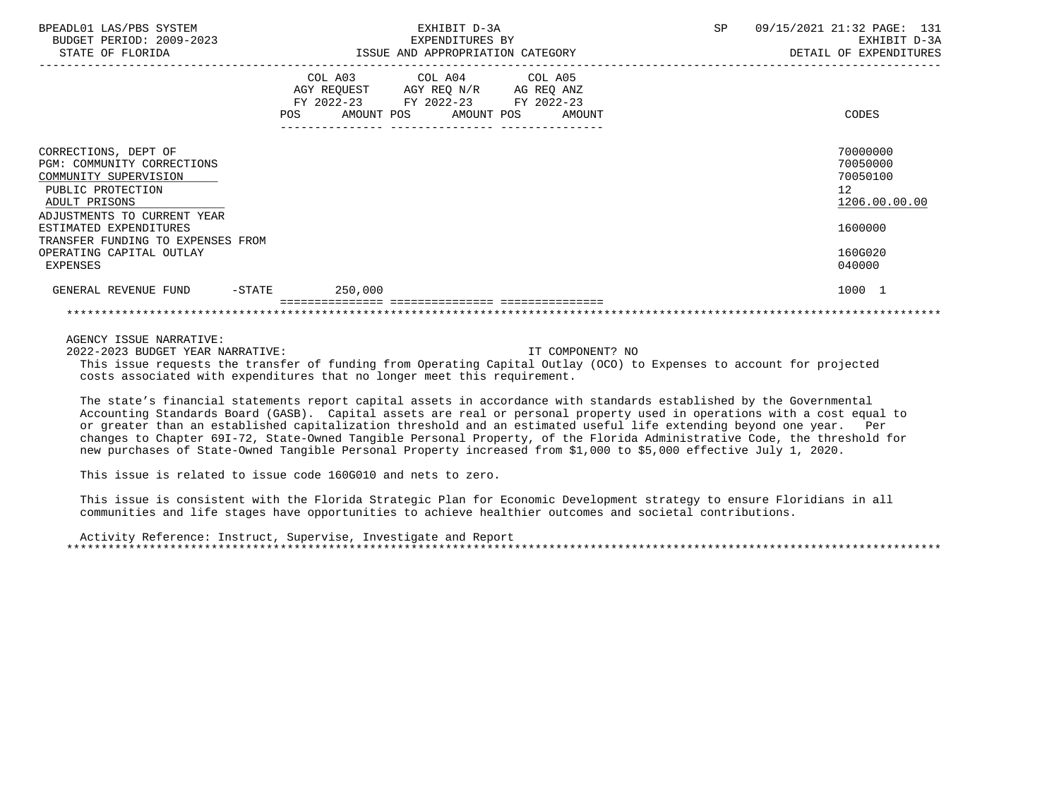| BPEADL01 LAS/PBS SYSTEM<br>BUDGET PERIOD: 2009-2023<br>STATE OF FLORIDA                                                                          |                   |         | EXHIBIT D-3A<br>EXPENDITURES BY<br>ISSUE AND APPROPRIATION CATEGORY                                                                   |  | SP. | 09/15/2021 21:32 PAGE: 131<br>EXHIBIT D-3A<br>DETAIL OF EXPENDITURES |
|--------------------------------------------------------------------------------------------------------------------------------------------------|-------------------|---------|---------------------------------------------------------------------------------------------------------------------------------------|--|-----|----------------------------------------------------------------------|
|                                                                                                                                                  |                   |         | COL A03 COL A04 COL A05<br>AGY REQUEST AGY REQ N/R AG REQ ANZ<br>FY 2022-23 FY 2022-23 FY 2022-23<br>POS AMOUNT POS AMOUNT POS AMOUNT |  |     | CODES                                                                |
| CORRECTIONS, DEPT OF<br>PGM: COMMUNITY CORRECTIONS<br>COMMUNITY SUPERVISION<br>PUBLIC PROTECTION<br>ADULT PRISONS<br>ADJUSTMENTS TO CURRENT YEAR |                   |         |                                                                                                                                       |  |     | 70000000<br>70050000<br>70050100<br>12 <sup>°</sup><br>1206.00.00.00 |
| ESTIMATED EXPENDITURES<br>TRANSFER FUNDING TO EXPENSES FROM                                                                                      |                   |         |                                                                                                                                       |  |     | 1600000                                                              |
| OPERATING CAPITAL OUTLAY<br>EXPENSES                                                                                                             |                   |         |                                                                                                                                       |  |     | 160G020<br>040000                                                    |
| GENERAL REVENUE FUND                                                                                                                             | $-\mathtt{STATE}$ | 250,000 |                                                                                                                                       |  |     | 1000 1                                                               |
|                                                                                                                                                  |                   |         |                                                                                                                                       |  |     |                                                                      |

2022-2023 BUDGET YEAR NARRATIVE: IT COMPONENT? NO

 This issue requests the transfer of funding from Operating Capital Outlay (OCO) to Expenses to account for projected costs associated with expenditures that no longer meet this requirement.

 The state's financial statements report capital assets in accordance with standards established by the Governmental Accounting Standards Board (GASB). Capital assets are real or personal property used in operations with a cost equal to or greater than an established capitalization threshold and an estimated useful life extending beyond one year. Per changes to Chapter 69I-72, State-Owned Tangible Personal Property, of the Florida Administrative Code, the threshold for new purchases of State-Owned Tangible Personal Property increased from \$1,000 to \$5,000 effective July 1, 2020.

This issue is related to issue code 160G010 and nets to zero.

 This issue is consistent with the Florida Strategic Plan for Economic Development strategy to ensure Floridians in all communities and life stages have opportunities to achieve healthier outcomes and societal contributions.

 Activity Reference: Instruct, Supervise, Investigate and Report \*\*\*\*\*\*\*\*\*\*\*\*\*\*\*\*\*\*\*\*\*\*\*\*\*\*\*\*\*\*\*\*\*\*\*\*\*\*\*\*\*\*\*\*\*\*\*\*\*\*\*\*\*\*\*\*\*\*\*\*\*\*\*\*\*\*\*\*\*\*\*\*\*\*\*\*\*\*\*\*\*\*\*\*\*\*\*\*\*\*\*\*\*\*\*\*\*\*\*\*\*\*\*\*\*\*\*\*\*\*\*\*\*\*\*\*\*\*\*\*\*\*\*\*\*\*\*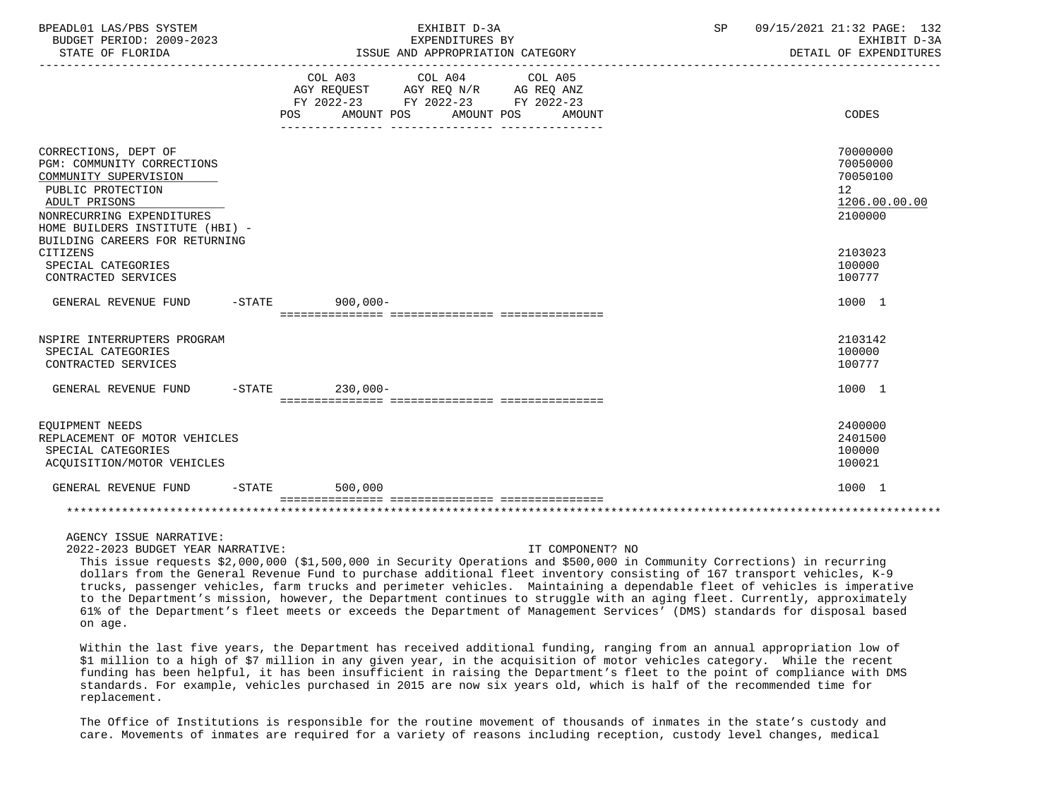| BPEADL01 LAS/PBS SYSTEM<br>BUDGET PERIOD: 2009-2023<br>STATE OF FLORIDA                                                                                                                                             |                     | EXHIBIT D-3A<br>EXPENDITURES BY<br>ISSUE AND APPROPRIATION CATEGORY                                                                  | SP | 09/15/2021 21:32 PAGE: 132<br>EXHIBIT D-3A<br>DETAIL OF EXPENDITURES            |
|---------------------------------------------------------------------------------------------------------------------------------------------------------------------------------------------------------------------|---------------------|--------------------------------------------------------------------------------------------------------------------------------------|----|---------------------------------------------------------------------------------|
|                                                                                                                                                                                                                     | POS                 | COL A03 COL A04 COL A05<br>AGY REQUEST AGY REQ N/R AG REQ ANZ<br>FY 2022-23 FY 2022-23 FY 2022-23<br>AMOUNT POS AMOUNT POS<br>AMOUNT |    | CODES                                                                           |
| CORRECTIONS, DEPT OF<br>PGM: COMMUNITY CORRECTIONS<br>COMMUNITY SUPERVISION<br>PUBLIC PROTECTION<br>ADULT PRISONS<br>NONRECURRING EXPENDITURES<br>HOME BUILDERS INSTITUTE (HBI) -<br>BUILDING CAREERS FOR RETURNING |                     |                                                                                                                                      |    | 70000000<br>70050000<br>70050100<br>12 <sup>°</sup><br>1206.00.00.00<br>2100000 |
| CITIZENS<br>SPECIAL CATEGORIES<br>CONTRACTED SERVICES                                                                                                                                                               |                     |                                                                                                                                      |    | 2103023<br>100000<br>100777                                                     |
| GENERAL REVENUE FUND -STATE 900,000-                                                                                                                                                                                |                     |                                                                                                                                      |    | 1000 1                                                                          |
| NSPIRE INTERRUPTERS PROGRAM<br>SPECIAL CATEGORIES<br>CONTRACTED SERVICES                                                                                                                                            |                     |                                                                                                                                      |    | 2103142<br>100000<br>100777                                                     |
| GENERAL REVENUE FUND -STATE                                                                                                                                                                                         | $230,000-$          |                                                                                                                                      |    | 1000 1                                                                          |
| EOUIPMENT NEEDS<br>REPLACEMENT OF MOTOR VEHICLES<br>SPECIAL CATEGORIES<br>ACQUISITION/MOTOR VEHICLES                                                                                                                |                     |                                                                                                                                      |    | 2400000<br>2401500<br>100000<br>100021                                          |
| GENERAL REVENUE FUND                                                                                                                                                                                                | $-STATE$<br>500,000 |                                                                                                                                      |    | 1000 1                                                                          |
|                                                                                                                                                                                                                     |                     |                                                                                                                                      |    |                                                                                 |

2022-2023 BUDGET YEAR NARRATIVE: IT COMPONENT? NO

 This issue requests \$2,000,000 (\$1,500,000 in Security Operations and \$500,000 in Community Corrections) in recurring dollars from the General Revenue Fund to purchase additional fleet inventory consisting of 167 transport vehicles, K-9 trucks, passenger vehicles, farm trucks and perimeter vehicles. Maintaining a dependable fleet of vehicles is imperative to the Department's mission, however, the Department continues to struggle with an aging fleet. Currently, approximately 61% of the Department's fleet meets or exceeds the Department of Management Services' (DMS) standards for disposal based on age.

 Within the last five years, the Department has received additional funding, ranging from an annual appropriation low of \$1 million to a high of \$7 million in any given year, in the acquisition of motor vehicles category. While the recent funding has been helpful, it has been insufficient in raising the Department's fleet to the point of compliance with DMS standards. For example, vehicles purchased in 2015 are now six years old, which is half of the recommended time for replacement.

 The Office of Institutions is responsible for the routine movement of thousands of inmates in the state's custody and care. Movements of inmates are required for a variety of reasons including reception, custody level changes, medical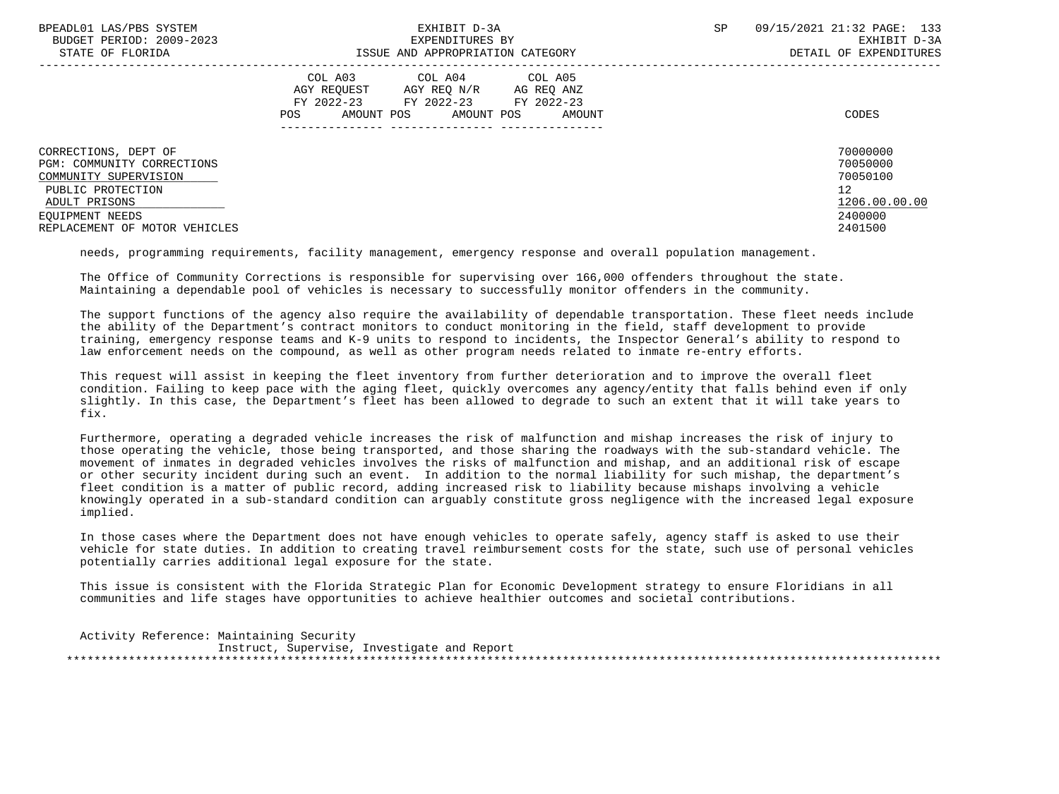| BPEADL01 LAS/PBS SYSTEM       | EXHIBIT D-3A                           | 09/15/2021 21:32 PAGE: 133<br><b>SP</b> |
|-------------------------------|----------------------------------------|-----------------------------------------|
| BUDGET PERIOD: 2009-2023      | EXPENDITURES BY                        | EXHIBIT D-3A                            |
| STATE OF FLORIDA              | ISSUE AND APPROPRIATION CATEGORY       | DETAIL OF EXPENDITURES                  |
|                               | COL A03 COL A04 COL A05                |                                         |
|                               | AGY REOUEST<br>AGY REO N/R AG REO ANZ  |                                         |
|                               | FY 2022-23 FY 2022-23 FY 2022-23       |                                         |
|                               | AMOUNT POS AMOUNT POS<br>POS<br>AMOUNT | CODES                                   |
|                               |                                        |                                         |
| CORRECTIONS, DEPT OF          |                                        | 70000000                                |
| PGM: COMMUNITY CORRECTIONS    |                                        | 70050000                                |
| COMMUNITY SUPERVISION         |                                        | 70050100                                |
| PUBLIC PROTECTION             |                                        | $12 \overline{ }$                       |
| ADULT PRISONS                 |                                        | 1206.00.00.00                           |
| EOUIPMENT NEEDS               |                                        | 2400000                                 |
| REPLACEMENT OF MOTOR VEHICLES |                                        | 2401500                                 |
|                               |                                        |                                         |

needs, programming requirements, facility management, emergency response and overall population management.

 The Office of Community Corrections is responsible for supervising over 166,000 offenders throughout the state. Maintaining a dependable pool of vehicles is necessary to successfully monitor offenders in the community.

 The support functions of the agency also require the availability of dependable transportation. These fleet needs include the ability of the Department's contract monitors to conduct monitoring in the field, staff development to provide training, emergency response teams and K-9 units to respond to incidents, the Inspector General's ability to respond to law enforcement needs on the compound, as well as other program needs related to inmate re-entry efforts.

 This request will assist in keeping the fleet inventory from further deterioration and to improve the overall fleet condition. Failing to keep pace with the aging fleet, quickly overcomes any agency/entity that falls behind even if only slightly. In this case, the Department's fleet has been allowed to degrade to such an extent that it will take years to fix.

 Furthermore, operating a degraded vehicle increases the risk of malfunction and mishap increases the risk of injury to those operating the vehicle, those being transported, and those sharing the roadways with the sub-standard vehicle. The movement of inmates in degraded vehicles involves the risks of malfunction and mishap, and an additional risk of escape or other security incident during such an event. In addition to the normal liability for such mishap, the department's fleet condition is a matter of public record, adding increased risk to liability because mishaps involving a vehicle knowingly operated in a sub-standard condition can arguably constitute gross negligence with the increased legal exposure implied.

 In those cases where the Department does not have enough vehicles to operate safely, agency staff is asked to use their vehicle for state duties. In addition to creating travel reimbursement costs for the state, such use of personal vehicles potentially carries additional legal exposure for the state.

 This issue is consistent with the Florida Strategic Plan for Economic Development strategy to ensure Floridians in all communities and life stages have opportunities to achieve healthier outcomes and societal contributions.

 Activity Reference: Maintaining Security Instruct, Supervise, Investigate and Report \*\*\*\*\*\*\*\*\*\*\*\*\*\*\*\*\*\*\*\*\*\*\*\*\*\*\*\*\*\*\*\*\*\*\*\*\*\*\*\*\*\*\*\*\*\*\*\*\*\*\*\*\*\*\*\*\*\*\*\*\*\*\*\*\*\*\*\*\*\*\*\*\*\*\*\*\*\*\*\*\*\*\*\*\*\*\*\*\*\*\*\*\*\*\*\*\*\*\*\*\*\*\*\*\*\*\*\*\*\*\*\*\*\*\*\*\*\*\*\*\*\*\*\*\*\*\*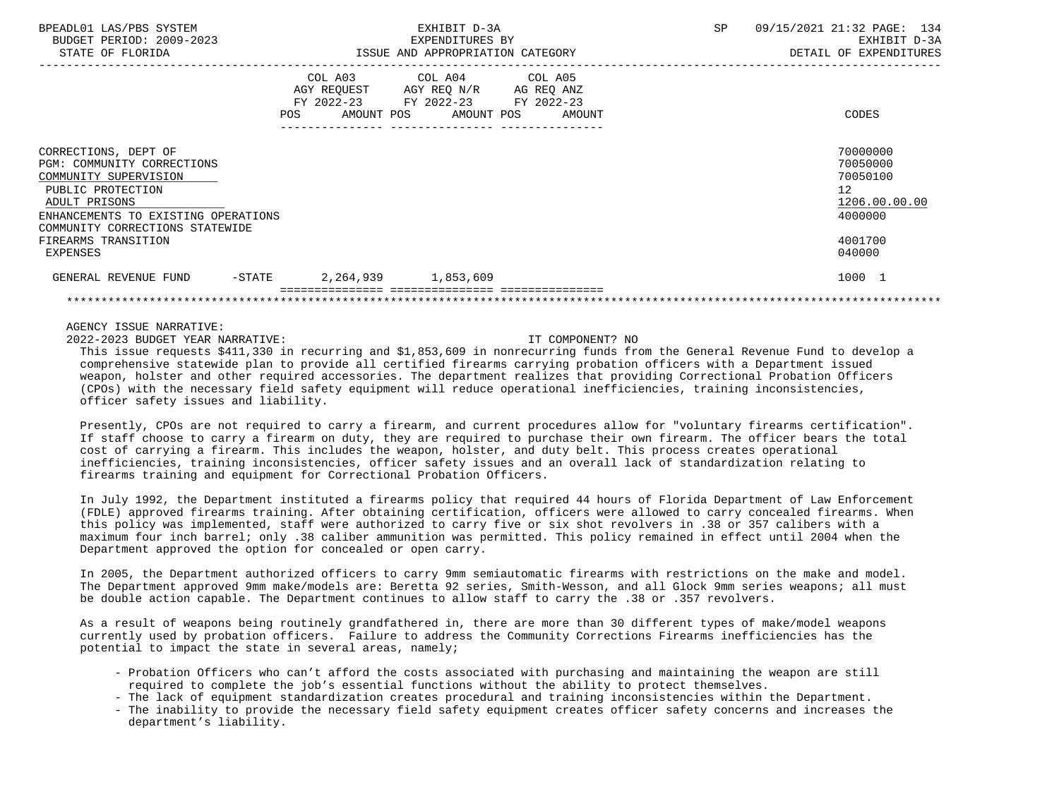| BPEADL01 LAS/PBS SYSTEM<br>BUDGET PERIOD: 2009-2023<br>STATE OF FLORIDA                                                                                                                     |                              | EXHIBIT D-3A<br>EXPENDITURES BY<br>ISSUE AND APPROPRIATION CATEGORY                                               | 09/15/2021 21:32 PAGE: 134<br>SP<br>EXHIBIT D-3A<br>DETAIL OF EXPENDITURES |
|---------------------------------------------------------------------------------------------------------------------------------------------------------------------------------------------|------------------------------|-------------------------------------------------------------------------------------------------------------------|----------------------------------------------------------------------------|
|                                                                                                                                                                                             | COL A03<br>AMOUNT POS<br>POS | COL A04 COL A05<br>AGY REQUEST AGY REQ N/R AG REQ ANZ<br>FY 2022-23 FY 2022-23 FY 2022-23<br>AMOUNT POS<br>AMOUNT | CODES                                                                      |
| CORRECTIONS, DEPT OF<br>PGM: COMMUNITY CORRECTIONS<br>COMMUNITY SUPERVISION<br>PUBLIC PROTECTION<br>ADULT PRISONS<br>ENHANCEMENTS TO EXISTING OPERATIONS<br>COMMUNITY CORRECTIONS STATEWIDE |                              |                                                                                                                   | 70000000<br>70050000<br>70050100<br>12<br>1206.00.00.00<br>4000000         |
| FIREARMS TRANSITION<br>EXPENSES                                                                                                                                                             |                              |                                                                                                                   | 4001700<br>040000                                                          |
| GENERAL REVENUE FUND<br>$-$ STATE                                                                                                                                                           | 2,264,939                    | 1,853,609                                                                                                         | 1000 1                                                                     |

2022-2023 BUDGET YEAR NARRATIVE: IT COMPONENT? NO

 This issue requests \$411,330 in recurring and \$1,853,609 in nonrecurring funds from the General Revenue Fund to develop a comprehensive statewide plan to provide all certified firearms carrying probation officers with a Department issued weapon, holster and other required accessories. The department realizes that providing Correctional Probation Officers (CPOs) with the necessary field safety equipment will reduce operational inefficiencies, training inconsistencies, officer safety issues and liability.

 Presently, CPOs are not required to carry a firearm, and current procedures allow for "voluntary firearms certification". If staff choose to carry a firearm on duty, they are required to purchase their own firearm. The officer bears the total cost of carrying a firearm. This includes the weapon, holster, and duty belt. This process creates operational inefficiencies, training inconsistencies, officer safety issues and an overall lack of standardization relating to firearms training and equipment for Correctional Probation Officers.

 In July 1992, the Department instituted a firearms policy that required 44 hours of Florida Department of Law Enforcement (FDLE) approved firearms training. After obtaining certification, officers were allowed to carry concealed firearms. When this policy was implemented, staff were authorized to carry five or six shot revolvers in .38 or 357 calibers with a maximum four inch barrel; only .38 caliber ammunition was permitted. This policy remained in effect until 2004 when the Department approved the option for concealed or open carry.

 In 2005, the Department authorized officers to carry 9mm semiautomatic firearms with restrictions on the make and model. The Department approved 9mm make/models are: Beretta 92 series, Smith-Wesson, and all Glock 9mm series weapons; all must be double action capable. The Department continues to allow staff to carry the .38 or .357 revolvers.

 As a result of weapons being routinely grandfathered in, there are more than 30 different types of make/model weapons currently used by probation officers. Failure to address the Community Corrections Firearms inefficiencies has the potential to impact the state in several areas, namely;

- Probation Officers who can't afford the costs associated with purchasing and maintaining the weapon are still required to complete the job's essential functions without the ability to protect themselves.
- The lack of equipment standardization creates procedural and training inconsistencies within the Department.
- The inability to provide the necessary field safety equipment creates officer safety concerns and increases the department's liability.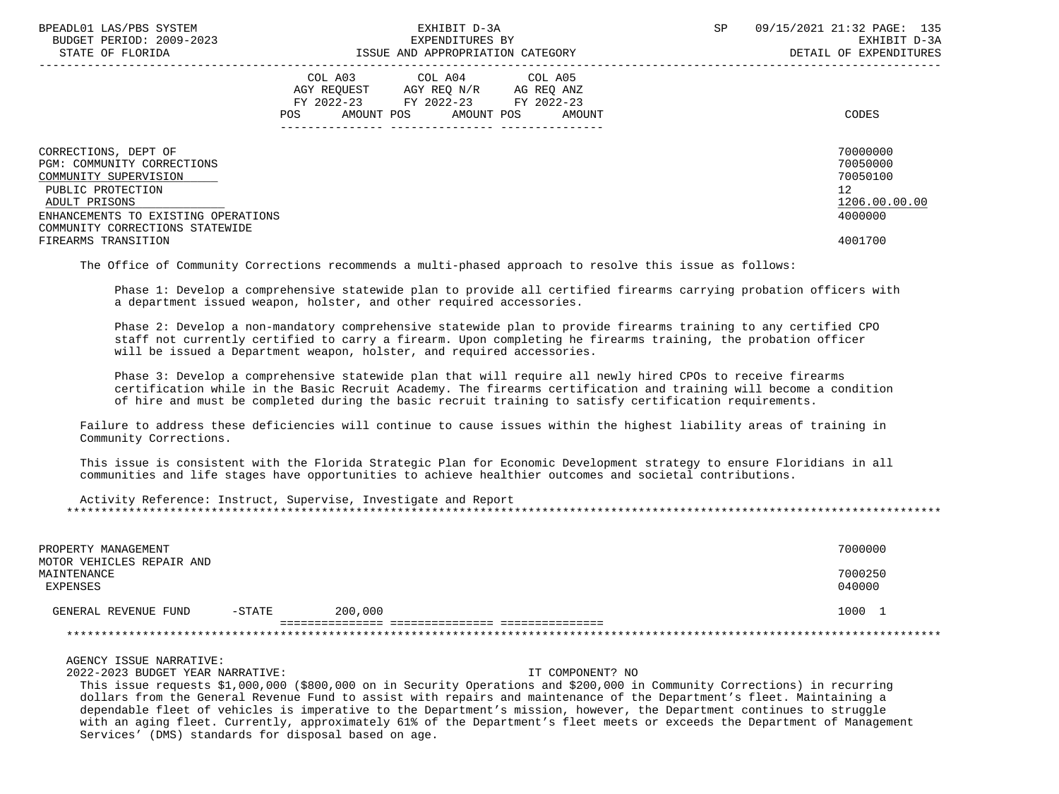| BPEADL01 LAS/PBS SYSTEM<br>BUDGET PERIOD: 2009-2023<br>STATE OF FLORIDA |                                                                                                                                   | EXHIBIT D-3A<br>EXPENDITURES BY<br>ISSUE AND APPROPRIATION CATEGORY | SP | 09/15/2021 21:32 PAGE: 135<br>EXHIBIT D-3A<br>DETAIL OF EXPENDITURES |  |
|-------------------------------------------------------------------------|-----------------------------------------------------------------------------------------------------------------------------------|---------------------------------------------------------------------|----|----------------------------------------------------------------------|--|
|                                                                         | COL A03 COL A04 COL A05<br>AGY REQUEST AGY REQ N/R AG REQ ANZ<br>FY 2022-23 FY 2022-23 FY 2022-23<br>AMOUNT POS AMOUNT POS<br>POS | AMOUNT                                                              |    | CODES                                                                |  |
| CORRECTIONS, DEPT OF<br>PGM: COMMUNITY CORRECTIONS                      |                                                                                                                                   |                                                                     |    | 70000000<br>70050000                                                 |  |
| COMMUNITY SUPERVISION                                                   |                                                                                                                                   |                                                                     |    | 70050100                                                             |  |
| PUBLIC PROTECTION                                                       |                                                                                                                                   |                                                                     |    | 12 <sup>°</sup>                                                      |  |
| ADULT PRISONS                                                           |                                                                                                                                   |                                                                     |    | 1206.00.00.00                                                        |  |
| ENHANCEMENTS TO EXISTING OPERATIONS                                     |                                                                                                                                   |                                                                     |    | 4000000                                                              |  |
| COMMUNITY CORRECTIONS STATEWIDE                                         |                                                                                                                                   |                                                                     |    |                                                                      |  |
| FIREARMS TRANSITION                                                     |                                                                                                                                   |                                                                     |    | 4001700                                                              |  |

The Office of Community Corrections recommends a multi-phased approach to resolve this issue as follows:

 Phase 1: Develop a comprehensive statewide plan to provide all certified firearms carrying probation officers with a department issued weapon, holster, and other required accessories.

 Phase 2: Develop a non-mandatory comprehensive statewide plan to provide firearms training to any certified CPO staff not currently certified to carry a firearm. Upon completing he firearms training, the probation officer will be issued a Department weapon, holster, and required accessories.

 Phase 3: Develop a comprehensive statewide plan that will require all newly hired CPOs to receive firearms certification while in the Basic Recruit Academy. The firearms certification and training will become a condition of hire and must be completed during the basic recruit training to satisfy certification requirements.

 Failure to address these deficiencies will continue to cause issues within the highest liability areas of training in Community Corrections.

 This issue is consistent with the Florida Strategic Plan for Economic Development strategy to ensure Floridians in all communities and life stages have opportunities to achieve healthier outcomes and societal contributions.

 Activity Reference: Instruct, Supervise, Investigate and Report \*\*\*\*\*\*\*\*\*\*\*\*\*\*\*\*\*\*\*\*\*\*\*\*\*\*\*\*\*\*\*\*\*\*\*\*\*\*\*\*\*\*\*\*\*\*\*\*\*\*\*\*\*\*\*\*\*\*\*\*\*\*\*\*\*\*\*\*\*\*\*\*\*\*\*\*\*\*\*\*\*\*\*\*\*\*\*\*\*\*\*\*\*\*\*\*\*\*\*\*\*\*\*\*\*\*\*\*\*\*\*\*\*\*\*\*\*\*\*\*\*\*\*\*\*\*\*

| PROPERTY MANAGEMENT                                  |           |         | 7000000           |
|------------------------------------------------------|-----------|---------|-------------------|
| MOTOR VEHICLES REPAIR AND<br>MAINTENANCE<br>EXPENSES |           |         | 7000250<br>040000 |
| GENERAL REVENUE FUND                                 | $-$ STATE | 200,000 | 1000              |
|                                                      |           |         |                   |

AGENCY ISSUE NARRATIVE:

2022-2023 BUDGET YEAR NARRATIVE: IT COMPONENT? NO

 This issue requests \$1,000,000 (\$800,000 on in Security Operations and \$200,000 in Community Corrections) in recurring dollars from the General Revenue Fund to assist with repairs and maintenance of the Department's fleet. Maintaining a dependable fleet of vehicles is imperative to the Department's mission, however, the Department continues to struggle with an aging fleet. Currently, approximately 61% of the Department's fleet meets or exceeds the Department of Management Services' (DMS) standards for disposal based on age.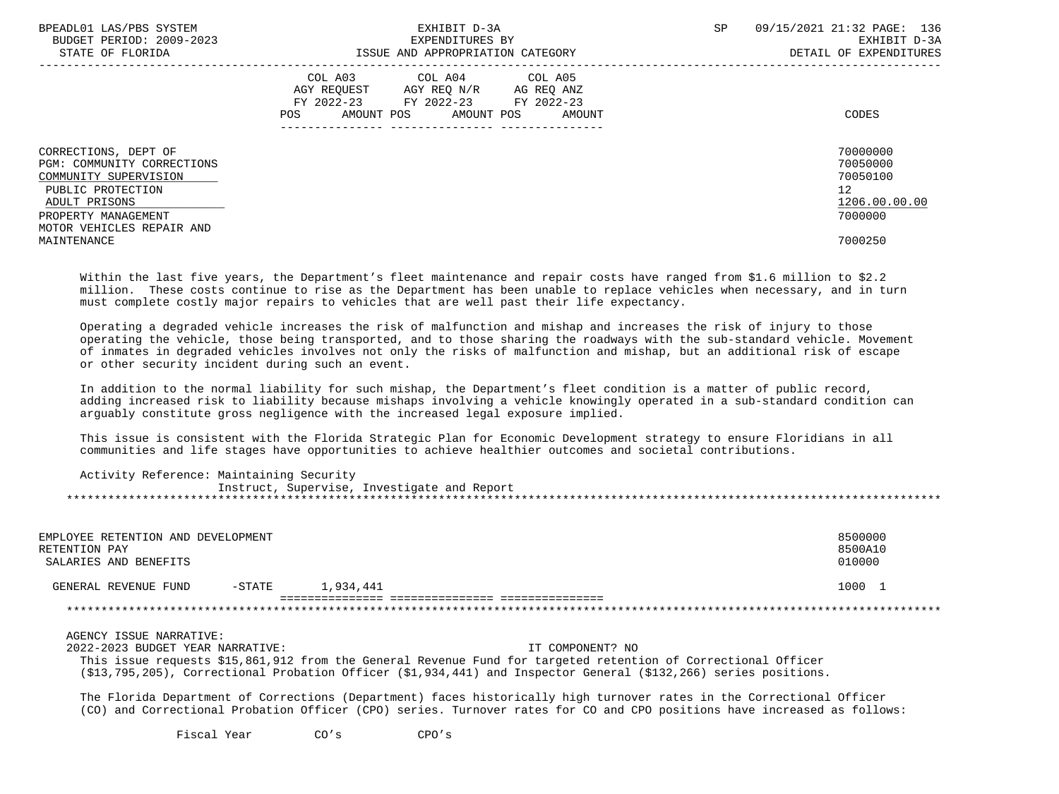| BPEADL01 LAS/PBS SYSTEM<br>BUDGET PERIOD: 2009-2023<br>STATE OF FLORIDA                                                                                               | EXHIBIT D-3A<br>EXPENDITURES BY<br>ISSUE AND APPROPRIATION CATEGORY                                                                            | <b>SP</b> | 09/15/2021 21:32 PAGE: 136<br>EXHIBIT D-3A<br>DETAIL OF EXPENDITURES            |
|-----------------------------------------------------------------------------------------------------------------------------------------------------------------------|------------------------------------------------------------------------------------------------------------------------------------------------|-----------|---------------------------------------------------------------------------------|
|                                                                                                                                                                       | COL A03<br>COL A04 COL A05<br>AGY REOUEST AGY REO N/R<br>AG REQ ANZ<br>FY 2022-23 FY 2022-23 FY 2022-23<br>AMOUNT POS AMOUNT POS AMOUNT<br>POS |           | CODES                                                                           |
| CORRECTIONS, DEPT OF<br>PGM: COMMUNITY CORRECTIONS<br>COMMUNITY SUPERVISION<br>PUBLIC PROTECTION<br>ADULT PRISONS<br>PROPERTY MANAGEMENT<br>MOTOR VEHICLES REPAIR AND |                                                                                                                                                |           | 70000000<br>70050000<br>70050100<br>12 <sup>°</sup><br>1206.00.00.00<br>7000000 |
| MAINTENANCE                                                                                                                                                           |                                                                                                                                                |           | 7000250                                                                         |

 Within the last five years, the Department's fleet maintenance and repair costs have ranged from \$1.6 million to \$2.2 million. These costs continue to rise as the Department has been unable to replace vehicles when necessary, and in turn must complete costly major repairs to vehicles that are well past their life expectancy.

 Operating a degraded vehicle increases the risk of malfunction and mishap and increases the risk of injury to those operating the vehicle, those being transported, and to those sharing the roadways with the sub-standard vehicle. Movement of inmates in degraded vehicles involves not only the risks of malfunction and mishap, but an additional risk of escape or other security incident during such an event.

 In addition to the normal liability for such mishap, the Department's fleet condition is a matter of public record, adding increased risk to liability because mishaps involving a vehicle knowingly operated in a sub-standard condition can arguably constitute gross negligence with the increased legal exposure implied.

 This issue is consistent with the Florida Strategic Plan for Economic Development strategy to ensure Floridians in all communities and life stages have opportunities to achieve healthier outcomes and societal contributions.

| Activity Reference: Maintaining Security |                                             |
|------------------------------------------|---------------------------------------------|
|                                          | Instruct, Supervise, Investigate and Report |
|                                          |                                             |

| RETENTION PAY | EMPLOYEE RETENTION AND DEVELOPMENT<br>SALARIES AND BENEFITS |          |           | 8500000<br>8500A10<br>010000 |  |
|---------------|-------------------------------------------------------------|----------|-----------|------------------------------|--|
|               | GENERAL REVENUE FUND                                        | $-STATE$ | 1,934,441 | 1000                         |  |
|               |                                                             |          |           |                              |  |

### AGENCY ISSUE NARRATIVE:

 2022-2023 BUDGET YEAR NARRATIVE: IT COMPONENT? NO This issue requests \$15,861,912 from the General Revenue Fund for targeted retention of Correctional Officer (\$13,795,205), Correctional Probation Officer (\$1,934,441) and Inspector General (\$132,266) series positions.

 The Florida Department of Corrections (Department) faces historically high turnover rates in the Correctional Officer (CO) and Correctional Probation Officer (CPO) series. Turnover rates for CO and CPO positions have increased as follows:

Fiscal Year CO's CPO's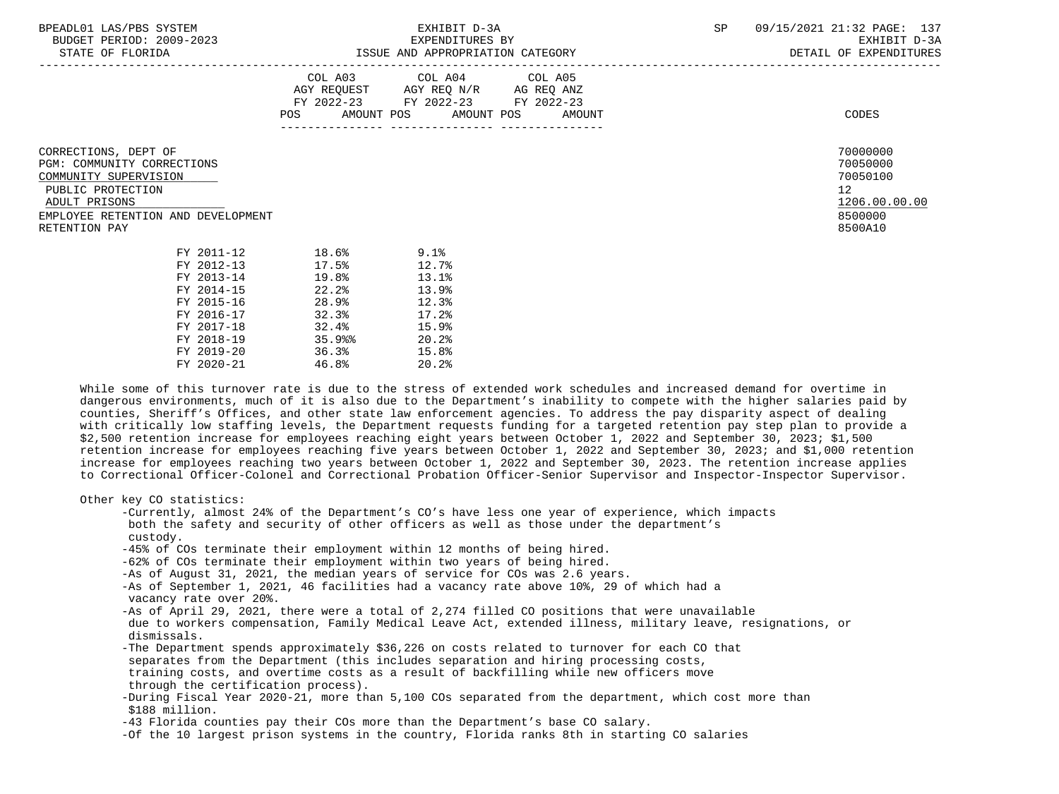| BPEADL01 LAS/PBS SYSTEM |                          |
|-------------------------|--------------------------|
|                         | BUDGET PERIOD: 2009-2023 |

STATE OF FLORIDA **ISSUE AND APPROPRIATION CATEGORY STATE OF FLORIDA CATEGORY DETAIL OF EXPENDITURES** 

|     | COL A03     | COL A04     | COL A05    |       |
|-----|-------------|-------------|------------|-------|
|     | AGY REOUEST | AGY REO N/R | AG REO ANZ |       |
|     | FY 2022-23  | FY 2022-23  | FY 2022-23 |       |
| POS | AMOUNT POS  | AMOUNT POS  | AMOUNT     | CODES |
|     |             |             |            |       |

CORRECTIONS, DEPT OF 70000000<br>PGM: COMMINITY CORRECTIONS PGM: COMMUNITY CORRECTIONS 70050000 COMMUNITY SUPERVISION

# EMPLOYEE RETENTION AND DEVELOPMENT 8500000 RETENTION PAY 8500A10

| FY 2011-12 | 18.6% | $9.1$ <sup>8</sup> |
|------------|-------|--------------------|
| FY 2012-13 | 17.5% | 12.7%              |
| FY 2013-14 | 19.8% | 13.1%              |
| FY 2014-15 | 22.2% | 13.9%              |
| FY 2015-16 | 28.9% | 12.3%              |
| FY 2016-17 | 32.3% | 17.2%              |
| FY 2017-18 | 32.4% | 15.9%              |
| FY 2018-19 | 35.9% | 20.2%              |
| FY 2019-20 | 36.3% | 15.8%              |
| FY 2020-21 | 46.8% | 20.2%              |
|            |       |                    |

PUBLIC PROTECTION 12<br>ADULT PRISONS 1206.00.00.00 PUBLIC PRISONS ADULT PRISONS 1206.00.00.00 and the set of the set of the set of the set of the set of the set of the set of the set of the set of the set of the set of the set of the set of the set of the set of the set of the set of the

 While some of this turnover rate is due to the stress of extended work schedules and increased demand for overtime in dangerous environments, much of it is also due to the Department's inability to compete with the higher salaries paid by counties, Sheriff's Offices, and other state law enforcement agencies. To address the pay disparity aspect of dealing with critically low staffing levels, the Department requests funding for a targeted retention pay step plan to provide a \$2,500 retention increase for employees reaching eight years between October 1, 2022 and September 30, 2023; \$1,500 retention increase for employees reaching five years between October 1, 2022 and September 30, 2023; and \$1,000 retention increase for employees reaching two years between October 1, 2022 and September 30, 2023. The retention increase applies to Correctional Officer-Colonel and Correctional Probation Officer-Senior Supervisor and Inspector-Inspector Supervisor.

Other key CO statistics:

 -Currently, almost 24% of the Department's CO's have less one year of experience, which impacts both the safety and security of other officers as well as those under the department's custody.

- -45% of COs terminate their employment within 12 months of being hired.
- -62% of COs terminate their employment within two years of being hired.
- -As of August 31, 2021, the median years of service for COs was 2.6 years.
- -As of September 1, 2021, 46 facilities had a vacancy rate above 10%, 29 of which had a vacancy rate over 20%.

-As of April 29, 2021, there were a total of 2,274 filled CO positions that were unavailable due to workers compensation, Family Medical Leave Act, extended illness, military leave, resignations, or dismissals.

- -The Department spends approximately \$36,226 on costs related to turnover for each CO that separates from the Department (this includes separation and hiring processing costs, training costs, and overtime costs as a result of backfilling while new officers move through the certification process).
- -During Fiscal Year 2020-21, more than 5,100 COs separated from the department, which cost more than \$188 million.
- -43 Florida counties pay their COs more than the Department's base CO salary.
- -Of the 10 largest prison systems in the country, Florida ranks 8th in starting CO salaries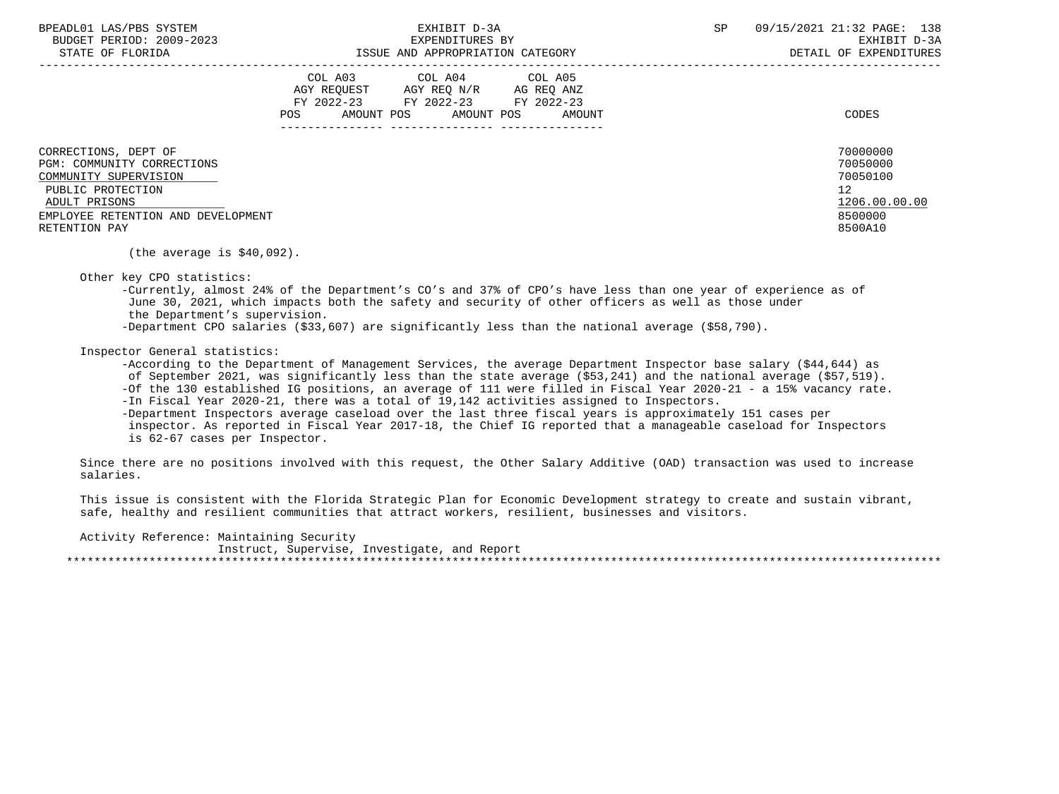BPEADL01 LAS/PBS SYSTEM SALL SALL STATES TO A SP 09/15/2021 21:32 PAGE: 138 BUDGET PERIOD: 2009-2023 EXPENDITURES BY EXHIBIT D-3A STATE OF FLORIDA GALL SOLUTION ISSUE AND APPROPRIATION CATEGORY CONTROL CONTROLLER STATE OF EXPENDITURES

|                                                                                                                   | COL A03<br>AGY REQUEST<br>FY 2022-23<br>AMOUNT POS<br>POS | COL A04<br>AGY REQ N/R<br>FY 2022-23<br>AMOUNT POS | COL A05<br>AG REQ ANZ<br>FY 2022-23<br>AMOUNT | CODES                                                   |
|-------------------------------------------------------------------------------------------------------------------|-----------------------------------------------------------|----------------------------------------------------|-----------------------------------------------|---------------------------------------------------------|
| CORRECTIONS, DEPT OF<br>PGM: COMMUNITY CORRECTIONS<br>COMMUNITY SUPERVISION<br>PUBLIC PROTECTION<br>ADULT PRISONS |                                                           |                                                    |                                               | 70000000<br>70050000<br>70050100<br>12<br>1206.00.00.00 |
| EMPLOYEE RETENTION AND DEVELOPMENT<br>RETENTION PAY                                                               |                                                           |                                                    |                                               | 8500000<br>8500A10                                      |

(the average is \$40,092).

Other key CPO statistics:

 -Currently, almost 24% of the Department's CO's and 37% of CPO's have less than one year of experience as of June 30, 2021, which impacts both the safety and security of other officers as well as those under the Department's supervision. -Department CPO salaries (\$33,607) are significantly less than the national average (\$58,790).

Inspector General statistics:

 -According to the Department of Management Services, the average Department Inspector base salary (\$44,644) as of September 2021, was significantly less than the state average (\$53,241) and the national average (\$57,519). -Of the 130 established IG positions, an average of 111 were filled in Fiscal Year 2020-21 - a 15% vacancy rate. -In Fiscal Year 2020-21, there was a total of 19,142 activities assigned to Inspectors.

 -Department Inspectors average caseload over the last three fiscal years is approximately 151 cases per inspector. As reported in Fiscal Year 2017-18, the Chief IG reported that a manageable caseload for Inspectors is 62-67 cases per Inspector.

 Since there are no positions involved with this request, the Other Salary Additive (OAD) transaction was used to increase salaries.

 This issue is consistent with the Florida Strategic Plan for Economic Development strategy to create and sustain vibrant, safe, healthy and resilient communities that attract workers, resilient, businesses and visitors.

Activity Reference: Maintaining Security

 Instruct, Supervise, Investigate, and Report \*\*\*\*\*\*\*\*\*\*\*\*\*\*\*\*\*\*\*\*\*\*\*\*\*\*\*\*\*\*\*\*\*\*\*\*\*\*\*\*\*\*\*\*\*\*\*\*\*\*\*\*\*\*\*\*\*\*\*\*\*\*\*\*\*\*\*\*\*\*\*\*\*\*\*\*\*\*\*\*\*\*\*\*\*\*\*\*\*\*\*\*\*\*\*\*\*\*\*\*\*\*\*\*\*\*\*\*\*\*\*\*\*\*\*\*\*\*\*\*\*\*\*\*\*\*\*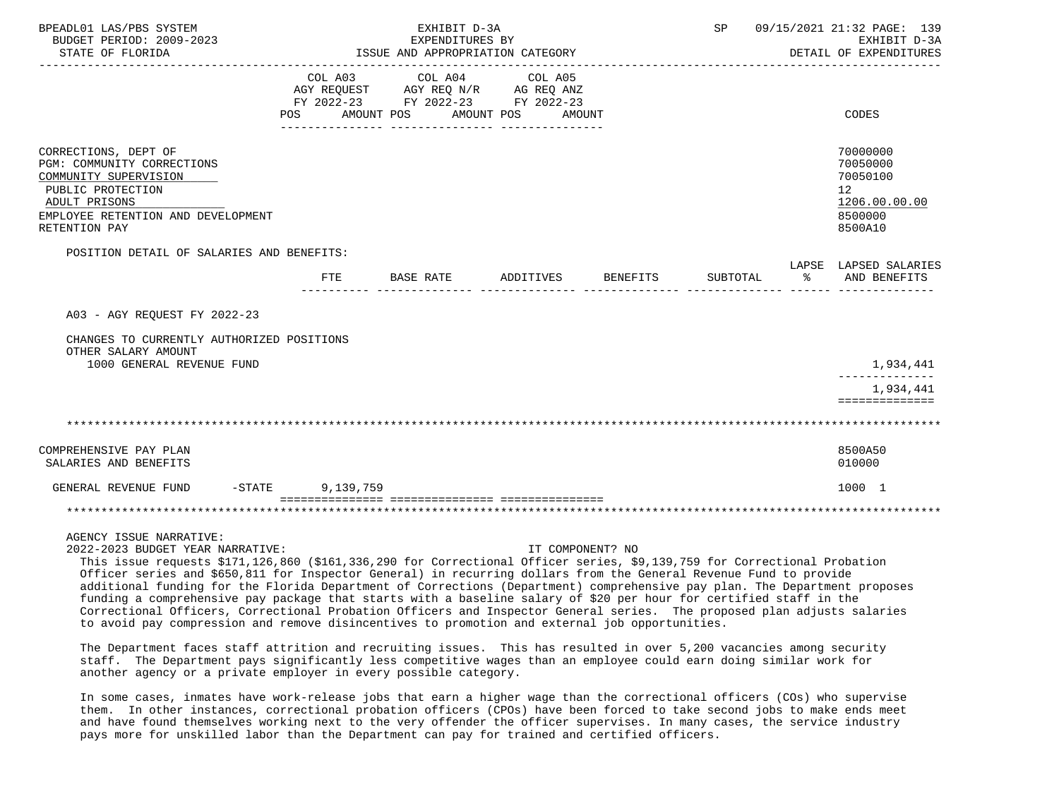| BPEADL01 LAS/PBS SYSTEM<br>BUDGET PERIOD: 2009-2023<br>STATE OF FLORIDA                                                                                                  | EXHIBIT D-3A<br>EXPENDITURES BY<br>ISSUE AND APPROPRIATION CATEGORY |                                                                                                                                                                                                                                                                                                                     |                  |          |          |               | SP 09/15/2021 21:32 PAGE: 139<br>EXHIBIT D-3A<br>DETAIL OF EXPENDITURES       |
|--------------------------------------------------------------------------------------------------------------------------------------------------------------------------|---------------------------------------------------------------------|---------------------------------------------------------------------------------------------------------------------------------------------------------------------------------------------------------------------------------------------------------------------------------------------------------------------|------------------|----------|----------|---------------|-------------------------------------------------------------------------------|
|                                                                                                                                                                          | COL A03                                                             | COL A04 COL A05<br>AGY REQUEST AGY REQ N/R AG REQ ANZ<br>FY 2022-23 FY 2022-23 FY 2022-23<br>POS AMOUNT POS AMOUNT POS AMOUNT                                                                                                                                                                                       | ---------------  |          |          |               | <b>CODES</b>                                                                  |
| CORRECTIONS, DEPT OF<br>PGM: COMMUNITY CORRECTIONS<br>COMMUNITY SUPERVISION<br>PUBLIC PROTECTION<br>ADULT PRISONS<br>EMPLOYEE RETENTION AND DEVELOPMENT<br>RETENTION PAY |                                                                     |                                                                                                                                                                                                                                                                                                                     |                  |          |          |               | 70000000<br>70050000<br>70050100<br>12<br>1206.00.00.00<br>8500000<br>8500A10 |
| POSITION DETAIL OF SALARIES AND BENEFITS:                                                                                                                                | FTE                                                                 | BASE RATE                                                                                                                                                                                                                                                                                                           | ADDITIVES        | BENEFITS | SUBTOTAL | $\sim$ $\sim$ | LAPSE LAPSED SALARIES<br>AND BENEFITS                                         |
| A03 - AGY REQUEST FY 2022-23                                                                                                                                             |                                                                     |                                                                                                                                                                                                                                                                                                                     |                  |          |          |               |                                                                               |
| CHANGES TO CURRENTLY AUTHORIZED POSITIONS<br>OTHER SALARY AMOUNT<br>1000 GENERAL REVENUE FUND                                                                            |                                                                     |                                                                                                                                                                                                                                                                                                                     |                  |          |          |               | 1,934,441                                                                     |
|                                                                                                                                                                          |                                                                     |                                                                                                                                                                                                                                                                                                                     |                  |          |          |               | 1,934,441<br>==============                                                   |
|                                                                                                                                                                          |                                                                     |                                                                                                                                                                                                                                                                                                                     |                  |          |          |               |                                                                               |
| COMPREHENSIVE PAY PLAN<br>SALARIES AND BENEFITS                                                                                                                          |                                                                     |                                                                                                                                                                                                                                                                                                                     |                  |          |          |               | 8500A50<br>010000                                                             |
| $-STATE$<br>GENERAL REVENUE FUND                                                                                                                                         | 9,139,759                                                           |                                                                                                                                                                                                                                                                                                                     |                  |          |          |               | 1000 1                                                                        |
|                                                                                                                                                                          |                                                                     |                                                                                                                                                                                                                                                                                                                     |                  |          |          |               |                                                                               |
| AGENCY ISSUE NARRATIVE:<br>2022-2023 BUDGET YEAR NARRATIVE:                                                                                                              |                                                                     | $\frac{1}{2}$ $\frac{1}{2}$ $\frac{1}{2}$ $\frac{1}{2}$ $\frac{1}{2}$ $\frac{1}{2}$ $\frac{1}{2}$ $\frac{1}{2}$ $\frac{1}{2}$ $\frac{1}{2}$ $\frac{1}{2}$ $\frac{1}{2}$ $\frac{1}{2}$ $\frac{1}{2}$ $\frac{1}{2}$ $\frac{1}{2}$ $\frac{1}{2}$ $\frac{1}{2}$ $\frac{1}{2}$ $\frac{1}{2}$ $\frac{1}{2}$ $\frac{1}{2}$ | IT COMPONENT? NO |          |          |               |                                                                               |

 This issue requests \$171,126,860 (\$161,336,290 for Correctional Officer series, \$9,139,759 for Correctional Probation Officer series and \$650,811 for Inspector General) in recurring dollars from the General Revenue Fund to provide additional funding for the Florida Department of Corrections (Department) comprehensive pay plan. The Department proposes funding a comprehensive pay package that starts with a baseline salary of \$20 per hour for certified staff in the Correctional Officers, Correctional Probation Officers and Inspector General series. The proposed plan adjusts salaries to avoid pay compression and remove disincentives to promotion and external job opportunities.

 The Department faces staff attrition and recruiting issues. This has resulted in over 5,200 vacancies among security staff. The Department pays significantly less competitive wages than an employee could earn doing similar work for another agency or a private employer in every possible category.

 In some cases, inmates have work-release jobs that earn a higher wage than the correctional officers (COs) who supervise them. In other instances, correctional probation officers (CPOs) have been forced to take second jobs to make ends meet and have found themselves working next to the very offender the officer supervises. In many cases, the service industry pays more for unskilled labor than the Department can pay for trained and certified officers.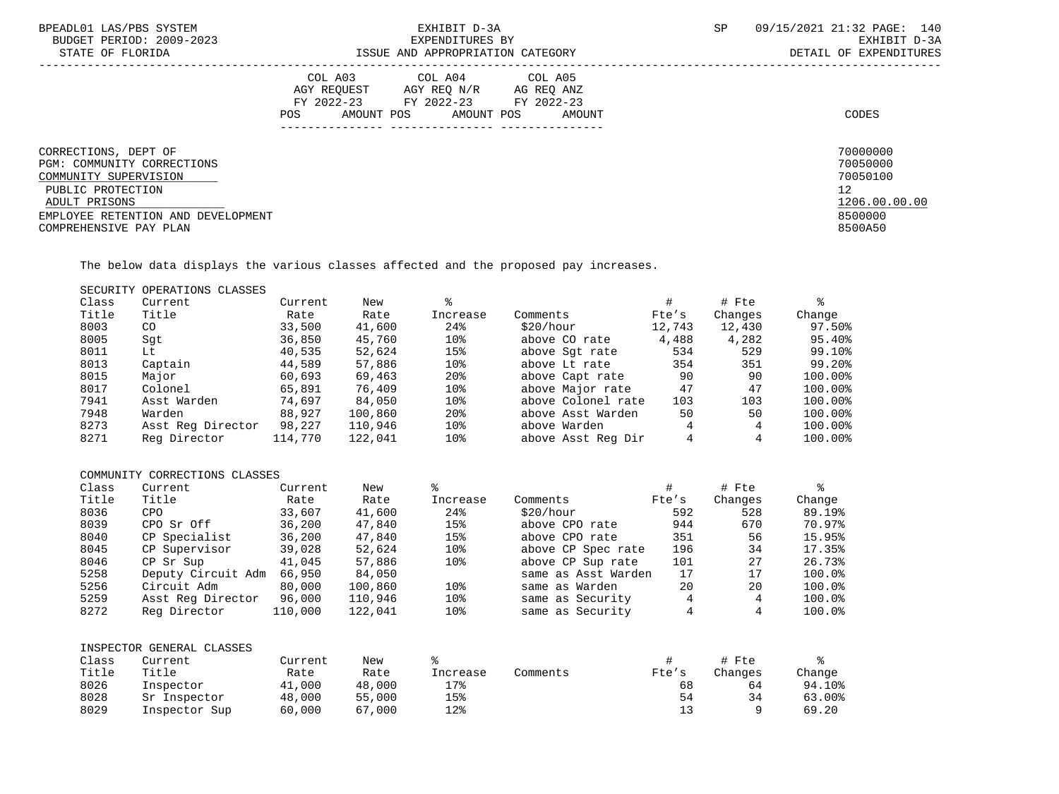| BPEADL01 LAS/PBS SYSTEM<br>BUDGET PERIOD: 2009-2023<br>STATE OF FLORIDA                                                                                                           | EXHIBIT D-3A<br>EXPENDITURES BY<br>ISSUE AND APPROPRIATION CATEGORY                                                                                              | SP | 09/15/2021 21:32 PAGE: 140<br>EXHIBIT D-3A<br>DETAIL OF EXPENDITURES                       |
|-----------------------------------------------------------------------------------------------------------------------------------------------------------------------------------|------------------------------------------------------------------------------------------------------------------------------------------------------------------|----|--------------------------------------------------------------------------------------------|
|                                                                                                                                                                                   | COL A03<br>COL A04<br>COL A05<br>AGY REQUEST<br>AGY REQ N/R<br>AG REQ ANZ<br>FY 2022-23<br>FY 2022-23<br>FY 2022-23<br>AMOUNT POS<br>AMOUNT POS<br>POS<br>AMOUNT |    | CODES                                                                                      |
| CORRECTIONS, DEPT OF<br>PGM: COMMUNITY CORRECTIONS<br>COMMUNITY SUPERVISION<br>PUBLIC PROTECTION<br>ADULT PRISONS<br>EMPLOYEE RETENTION AND DEVELOPMENT<br>COMPREHENSIVE PAY PLAN |                                                                                                                                                                  |    | 70000000<br>70050000<br>70050100<br>12 <sup>°</sup><br>1206.00.00.00<br>8500000<br>8500A50 |

The below data displays the various classes affected and the proposed pay increases.

# SECURITY OPERATIONS CLASSES

| Class | Current           | Current | New     |                 |                    |        | # Fte   |                      |
|-------|-------------------|---------|---------|-----------------|--------------------|--------|---------|----------------------|
| Title | Title             | Rate    | Rate    | Increase        | Comments           | Fte's  | Changes | Change               |
| 8003  | CO <sub>.</sub>   | 33,500  | 41,600  | 24%             | \$20/hour          | 12,743 | 12,430  | 97.50%               |
| 8005  | Sqt               | 36,850  | 45,760  | 10 <sup>8</sup> | above CO rate      | 4,488  | 4,282   | 95.40%               |
| 8011  | Lt                | 40,535  | 52,624  | 15%             | above Sqt rate     | 534    | 529     | 99.10%               |
| 8013  | Captain           | 44,589  | 57,886  | 10 <sub>8</sub> | above Lt rate      | 354    | 351     | $99.20$ <sup>8</sup> |
| 8015  | Major             | 60,693  | 69,463  | 20 <sup>8</sup> | above Capt rate    | 90     | 90      | 100.00%              |
| 8017  | Colonel           | 65,891  | 76,409  | 10%             | above Major rate   | 47     | 47      | 100.00%              |
| 7941  | Asst Warden       | 74,697  | 84,050  | 10%             | above Colonel rate | 103    | 103     | 100.00%              |
| 7948  | Warden            | 88,927  | 100,860 | 20 <sup>8</sup> | above Asst Warden  | 50     | 50      | 100.00%              |
| 8273  | Asst Req Director | 98,227  | 110,946 | 10%             | above Warden       | 4      |         | 100.00%              |
| 8271  | Reg Director      | 114,770 | 122,041 | 10 <sub>8</sub> | above Asst Reg Dir | 4      |         | 100.00%              |

# COMMUNITY CORRECTIONS CLASSES

| Class | Current            | Current | New     |                 |                     | #     | # Fte   | °      |
|-------|--------------------|---------|---------|-----------------|---------------------|-------|---------|--------|
| Title | Title              | Rate    | Rate    | Increase        | Comments            | Fte's | Changes | Change |
| 8036  | <b>CPO</b>         | 33,607  | 41,600  | 24%             | \$20/hour           | 592   | 528     | 89.19% |
| 8039  | CPO Sr Off         | 36,200  | 47,840  | 15%             | above CPO rate      | 944   | 670     | 70.97% |
| 8040  | CP Specialist      | 36,200  | 47,840  | 15%             | above CPO rate      | 351   | 56      | 15.95% |
| 8045  | CP Supervisor      | 39,028  | 52,624  | 10 <sup>8</sup> | above CP Spec rate  | 196   | 34      | 17.35% |
| 8046  | CP Sr Sup          | 41,045  | 57,886  | 10 <sup>8</sup> | above CP Sup rate   | 101   | 27      | 26.73% |
| 5258  | Deputy Circuit Adm | 66,950  | 84,050  |                 | same as Asst Warden | 17    | 17      | 100.0% |
| 5256  | Circuit Adm        | 80,000  | 100,860 | 10 <sub>8</sub> | same as Warden      | 20    | 20      | 100.0% |
| 5259  | Asst Reg Director  | 96,000  | 110,946 | 10 <sup>8</sup> | same as Security    | 4     | 4       | 100.0% |
| 8272  | Reg Director       | 110,000 | 122,041 | 10%             | same as Security    |       | 4       | 100.0% |

|       | INSPECTOR GENERAL CLASSES |         |        |          |          |       |         |        |
|-------|---------------------------|---------|--------|----------|----------|-------|---------|--------|
| Class | Current                   | Current | New    |          |          |       | # Fte   |        |
| Title | Title                     | Rate    | Rate   | Increase | Comments | Fte's | Changes | Chanqe |
| 8026  | Inspector                 | 41,000  | 48,000 | 17%      |          | 68    | 64      | 94.10% |
| 8028  | Sr Inspector              | 48,000  | 55,000 | 15%      |          | 54    | 34      | 63.00% |
| 8029  | Inspector Sup             | 60,000  | 67,000 | 12%      |          |       |         | 69.20  |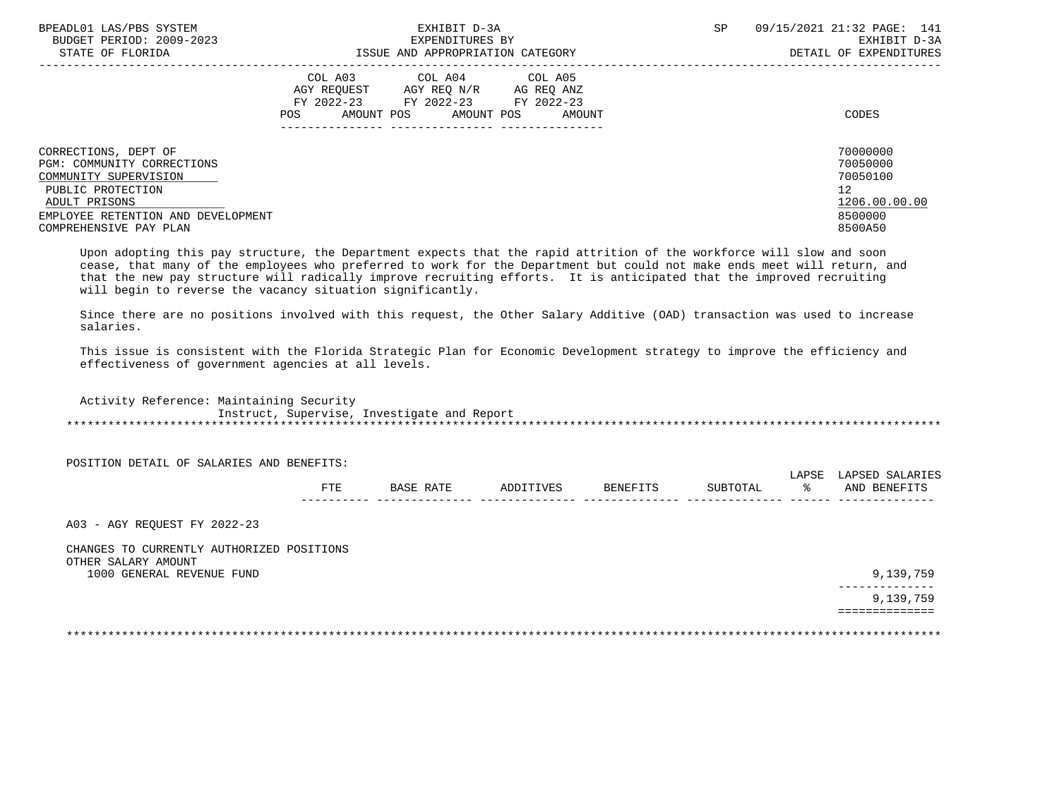| BPEADL01 LAS/PBS SYSTEM            | EXHIBIT D-3A                              | SP<br>09/15/2021 21:32 PAGE: 141 |
|------------------------------------|-------------------------------------------|----------------------------------|
| BUDGET PERIOD: 2009-2023           | EXPENDITURES BY                           | EXHIBIT D-3A                     |
| STATE OF FLORIDA                   | ISSUE AND APPROPRIATION CATEGORY          | DETAIL OF EXPENDITURES           |
|                                    | COL A03 COL A04 COL A05                   |                                  |
|                                    | AGY REO N/R<br>AGY REOUEST<br>AG REO ANZ  |                                  |
|                                    | FY 2022-23 FY 2022-23<br>FY 2022-23       |                                  |
|                                    | AMOUNT POS<br>AMOUNT POS<br>AMOUNT<br>POS | CODES                            |
|                                    |                                           |                                  |
|                                    |                                           |                                  |
| CORRECTIONS, DEPT OF               |                                           | 70000000                         |
| PGM: COMMUNITY CORRECTIONS         |                                           | 70050000                         |
| COMMUNITY SUPERVISION              |                                           | 70050100                         |
| PUBLIC PROTECTION                  |                                           | 12                               |
| ADULT PRISONS                      |                                           | 1206.00.00.00                    |
| EMPLOYEE RETENTION AND DEVELOPMENT |                                           | 8500000                          |
| COMPREHENSIVE PAY PLAN             |                                           | 8500A50                          |
|                                    |                                           |                                  |

 Upon adopting this pay structure, the Department expects that the rapid attrition of the workforce will slow and soon cease, that many of the employees who preferred to work for the Department but could not make ends meet will return, and that the new pay structure will radically improve recruiting efforts. It is anticipated that the improved recruiting will begin to reverse the vacancy situation significantly.

 Since there are no positions involved with this request, the Other Salary Additive (OAD) transaction was used to increase salaries.

 This issue is consistent with the Florida Strategic Plan for Economic Development strategy to improve the efficiency and effectiveness of government agencies at all levels.

 Activity Reference: Maintaining Security Instruct, Supervise, Investigate and Report \*\*\*\*\*\*\*\*\*\*\*\*\*\*\*\*\*\*\*\*\*\*\*\*\*\*\*\*\*\*\*\*\*\*\*\*\*\*\*\*\*\*\*\*\*\*\*\*\*\*\*\*\*\*\*\*\*\*\*\*\*\*\*\*\*\*\*\*\*\*\*\*\*\*\*\*\*\*\*\*\*\*\*\*\*\*\*\*\*\*\*\*\*\*\*\*\*\*\*\*\*\*\*\*\*\*\*\*\*\*\*\*\*\*\*\*\*\*\*\*\*\*\*\*\*\*\*

POSITION DETAIL OF SALARIES AND BENEFITS:

|            |   |  | . |            |
|------------|---|--|---|------------|
| 군모도<br>ட⊥ட | ⊷ |  |   | <b>ANT</b> |
|            |   |  |   | . <u>.</u> |

A03 - AGY REQUEST FY 2022-23

 CHANGES TO CURRENTLY AUTHORIZED POSITIONS OTHER SALARY AMOUNT 1000 GENERAL REVENUE FUND 9,139,759

 -------------- 9,139,759 ==============

\*\*\*\*\*\*\*\*\*\*\*\*\*\*\*\*\*\*\*\*\*\*\*\*\*\*\*\*\*\*\*\*\*\*\*\*\*\*\*\*\*\*\*\*\*\*\*\*\*\*\*\*\*\*\*\*\*\*\*\*\*\*\*\*\*\*\*\*\*\*\*\*\*\*\*\*\*\*\*\*\*\*\*\*\*\*\*\*\*\*\*\*\*\*\*\*\*\*\*\*\*\*\*\*\*\*\*\*\*\*\*\*\*\*\*\*\*\*\*\*\*\*\*\*\*\*\*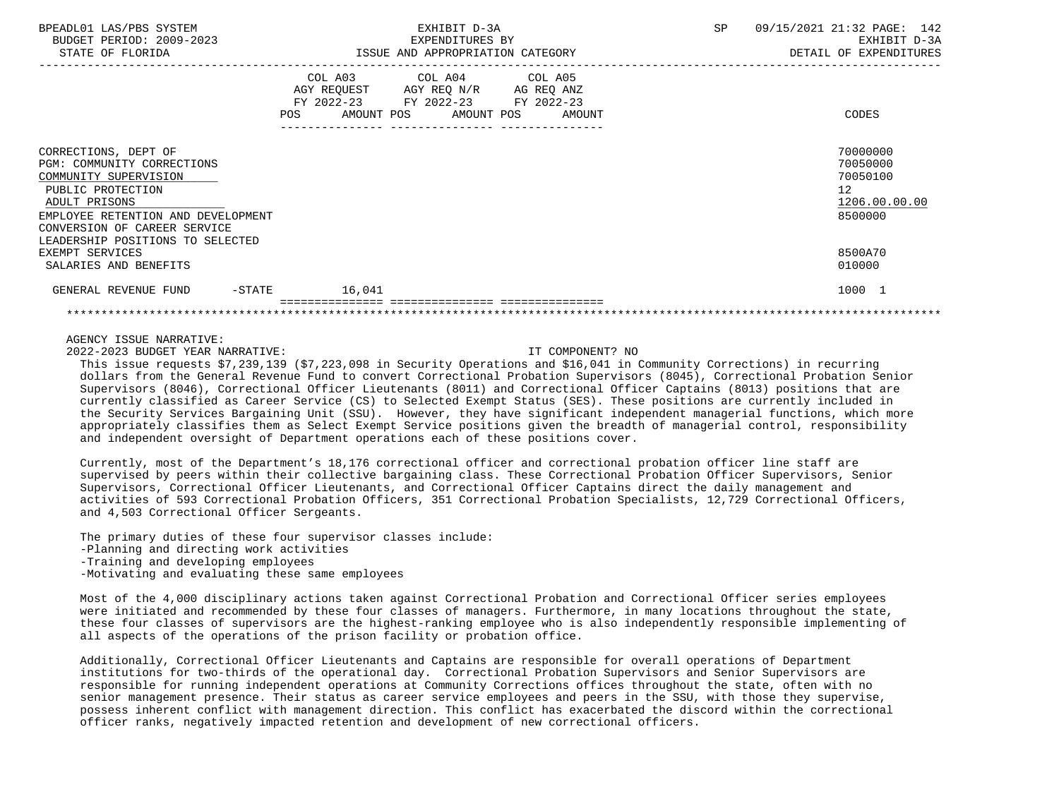| BPEADL01 LAS/PBS SYSTEM<br>BUDGET PERIOD: 2009-2023<br>STATE OF FLORIDA                                                                                                                                                     | EXHIBIT D-3A<br>EXPENDITURES BY<br>ISSUE AND APPROPRIATION CATEGORY                                                               |        | SP<br>09/15/2021 21:32 PAGE: 142<br>EXHIBIT D-3A<br>DETAIL OF EXPENDITURES |                                                                    |  |
|-----------------------------------------------------------------------------------------------------------------------------------------------------------------------------------------------------------------------------|-----------------------------------------------------------------------------------------------------------------------------------|--------|----------------------------------------------------------------------------|--------------------------------------------------------------------|--|
|                                                                                                                                                                                                                             | COL A03 COL A04 COL A05<br>AGY REQUEST AGY REQ N/R AG REQ ANZ<br>FY 2022-23 FY 2022-23 FY 2022-23<br>POS<br>AMOUNT POS AMOUNT POS | AMOUNT |                                                                            | CODES                                                              |  |
| CORRECTIONS, DEPT OF<br>PGM: COMMUNITY CORRECTIONS<br>COMMUNITY SUPERVISION<br>PUBLIC PROTECTION<br>ADULT PRISONS<br>EMPLOYEE RETENTION AND DEVELOPMENT<br>CONVERSION OF CAREER SERVICE<br>LEADERSHIP POSITIONS TO SELECTED |                                                                                                                                   |        |                                                                            | 70000000<br>70050000<br>70050100<br>12<br>1206.00.00.00<br>8500000 |  |
| EXEMPT SERVICES<br>SALARIES AND BENEFITS                                                                                                                                                                                    |                                                                                                                                   |        |                                                                            | 8500A70<br>010000                                                  |  |
| GENERAL REVENUE FUND<br>-STATE                                                                                                                                                                                              | 16,041                                                                                                                            |        |                                                                            | 1000 1                                                             |  |
|                                                                                                                                                                                                                             |                                                                                                                                   |        |                                                                            |                                                                    |  |

2022-2023 BUDGET YEAR NARRATIVE: IT COMPONENT? NO

 This issue requests \$7,239,139 (\$7,223,098 in Security Operations and \$16,041 in Community Corrections) in recurring dollars from the General Revenue Fund to convert Correctional Probation Supervisors (8045), Correctional Probation Senior Supervisors (8046), Correctional Officer Lieutenants (8011) and Correctional Officer Captains (8013) positions that are currently classified as Career Service (CS) to Selected Exempt Status (SES). These positions are currently included in the Security Services Bargaining Unit (SSU). However, they have significant independent managerial functions, which more appropriately classifies them as Select Exempt Service positions given the breadth of managerial control, responsibility and independent oversight of Department operations each of these positions cover.

 Currently, most of the Department's 18,176 correctional officer and correctional probation officer line staff are supervised by peers within their collective bargaining class. These Correctional Probation Officer Supervisors, Senior Supervisors, Correctional Officer Lieutenants, and Correctional Officer Captains direct the daily management and activities of 593 Correctional Probation Officers, 351 Correctional Probation Specialists, 12,729 Correctional Officers, and 4,503 Correctional Officer Sergeants.

 The primary duties of these four supervisor classes include: -Planning and directing work activities -Training and developing employees -Motivating and evaluating these same employees

 Most of the 4,000 disciplinary actions taken against Correctional Probation and Correctional Officer series employees were initiated and recommended by these four classes of managers. Furthermore, in many locations throughout the state, these four classes of supervisors are the highest-ranking employee who is also independently responsible implementing of all aspects of the operations of the prison facility or probation office.

 Additionally, Correctional Officer Lieutenants and Captains are responsible for overall operations of Department institutions for two-thirds of the operational day. Correctional Probation Supervisors and Senior Supervisors are responsible for running independent operations at Community Corrections offices throughout the state, often with no senior management presence. Their status as career service employees and peers in the SSU, with those they supervise, possess inherent conflict with management direction. This conflict has exacerbated the discord within the correctional officer ranks, negatively impacted retention and development of new correctional officers.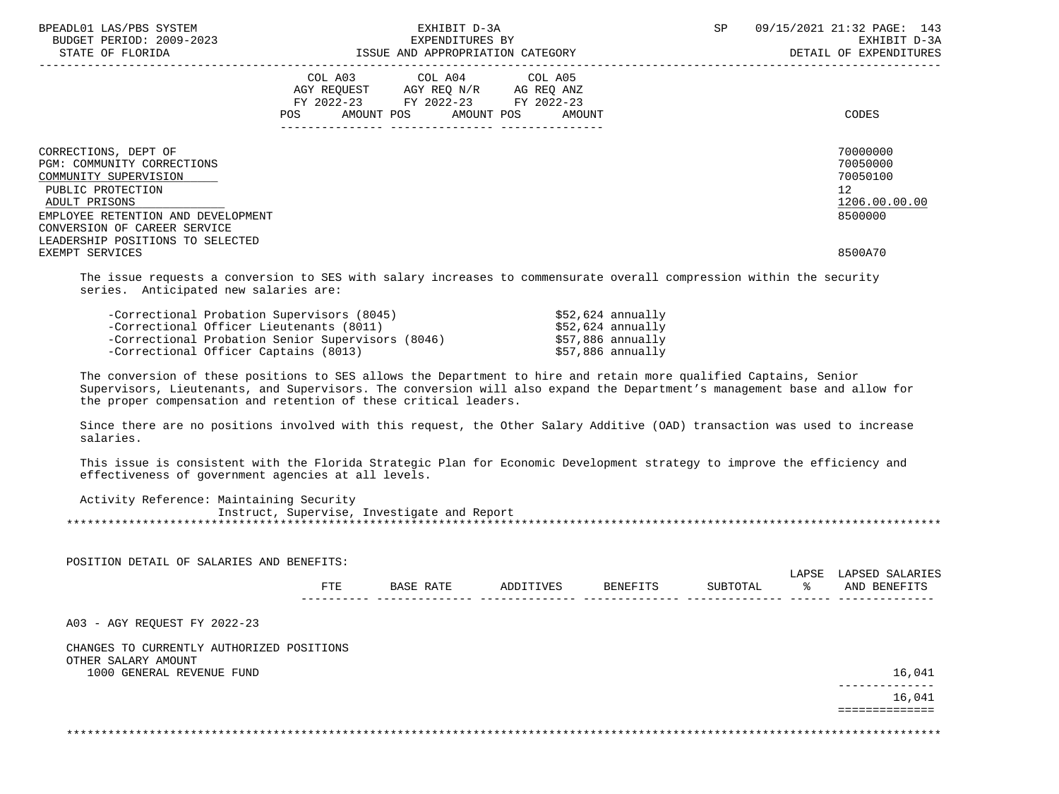| BPEADL01 LAS/PBS SYSTEM<br>BUDGET PERIOD: 2009-2023<br>STATE OF FLORIDA                                                                                                                                                                        | EXHIBIT D-3A<br>EXPENDITURES BY                                                                                                       | ISSUE AND APPROPRIATION CATEGORY | SP | 09/15/2021 21:32 PAGE: 143<br>EXHIBIT D-3A<br>DETAIL OF EXPENDITURES                       |
|------------------------------------------------------------------------------------------------------------------------------------------------------------------------------------------------------------------------------------------------|---------------------------------------------------------------------------------------------------------------------------------------|----------------------------------|----|--------------------------------------------------------------------------------------------|
|                                                                                                                                                                                                                                                | COL A03 COL A04 COL A05<br>AGY REOUEST AGY REO N/R AG REO ANZ<br>FY 2022-23 FY 2022-23 FY 2022-23<br>POS AMOUNT POS AMOUNT POS AMOUNT |                                  |    | <b>CODES</b>                                                                               |
| CORRECTIONS, DEPT OF<br>PGM: COMMUNITY CORRECTIONS<br>COMMUNITY SUPERVISION<br>PUBLIC PROTECTION<br>ADULT PRISONS<br>EMPLOYEE RETENTION AND DEVELOPMENT<br>CONVERSION OF CAREER SERVICE<br>LEADERSHIP POSITIONS TO SELECTED<br>EXEMPT SERVICES |                                                                                                                                       |                                  |    | 70000000<br>70050000<br>70050100<br>12 <sup>°</sup><br>1206.00.00.00<br>8500000<br>8500A70 |
|                                                                                                                                                                                                                                                |                                                                                                                                       |                                  |    |                                                                                            |

 The issue requests a conversion to SES with salary increases to commensurate overall compression within the security series. Anticipated new salaries are:

| -Correctional Probation Supervisors (8045)        | \$52,624 annually |
|---------------------------------------------------|-------------------|
| -Correctional Officer Lieutenants (8011)          | \$52,624 annually |
| -Correctional Probation Senior Supervisors (8046) | \$57,886 annually |
| -Correctional Officer Captains (8013)             | \$57,886 annually |

 The conversion of these positions to SES allows the Department to hire and retain more qualified Captains, Senior Supervisors, Lieutenants, and Supervisors. The conversion will also expand the Department's management base and allow for the proper compensation and retention of these critical leaders.

 Since there are no positions involved with this request, the Other Salary Additive (OAD) transaction was used to increase salaries.

 This issue is consistent with the Florida Strategic Plan for Economic Development strategy to improve the efficiency and effectiveness of government agencies at all levels.

 Activity Reference: Maintaining Security Instruct, Supervise, Investigate and Report \*\*\*\*\*\*\*\*\*\*\*\*\*\*\*\*\*\*\*\*\*\*\*\*\*\*\*\*\*\*\*\*\*\*\*\*\*\*\*\*\*\*\*\*\*\*\*\*\*\*\*\*\*\*\*\*\*\*\*\*\*\*\*\*\*\*\*\*\*\*\*\*\*\*\*\*\*\*\*\*\*\*\*\*\*\*\*\*\*\*\*\*\*\*\*\*\*\*\*\*\*\*\*\*\*\*\*\*\*\*\*\*\*\*\*\*\*\*\*\*\*\*\*\*\*\*\*

|  | POSITION DETAIL OF SALARIES AND BENEFITS: |           |           |          |          |       |                 |
|--|-------------------------------------------|-----------|-----------|----------|----------|-------|-----------------|
|  |                                           |           |           |          |          | LAPSE | LAPSED SALARIES |
|  | <b>FTE</b>                                | BASE RATE | ADDITIVES | BENEFITS | SUBTOTAL | °≈    | AND BENEFITS    |
|  |                                           |           |           |          |          |       |                 |
|  |                                           |           |           |          |          |       |                 |

A03 - AGY REQUEST FY 2022-23

| CHANGES TO CURRENTLY AUTHORIZED POSITIONS |      |
|-------------------------------------------|------|
| OTHER SALARY AMOUNT                       |      |
| 1000 GENERAL REVENUE FUND                 | ,041 |

 -------------- 16,041 ==============

\*\*\*\*\*\*\*\*\*\*\*\*\*\*\*\*\*\*\*\*\*\*\*\*\*\*\*\*\*\*\*\*\*\*\*\*\*\*\*\*\*\*\*\*\*\*\*\*\*\*\*\*\*\*\*\*\*\*\*\*\*\*\*\*\*\*\*\*\*\*\*\*\*\*\*\*\*\*\*\*\*\*\*\*\*\*\*\*\*\*\*\*\*\*\*\*\*\*\*\*\*\*\*\*\*\*\*\*\*\*\*\*\*\*\*\*\*\*\*\*\*\*\*\*\*\*\*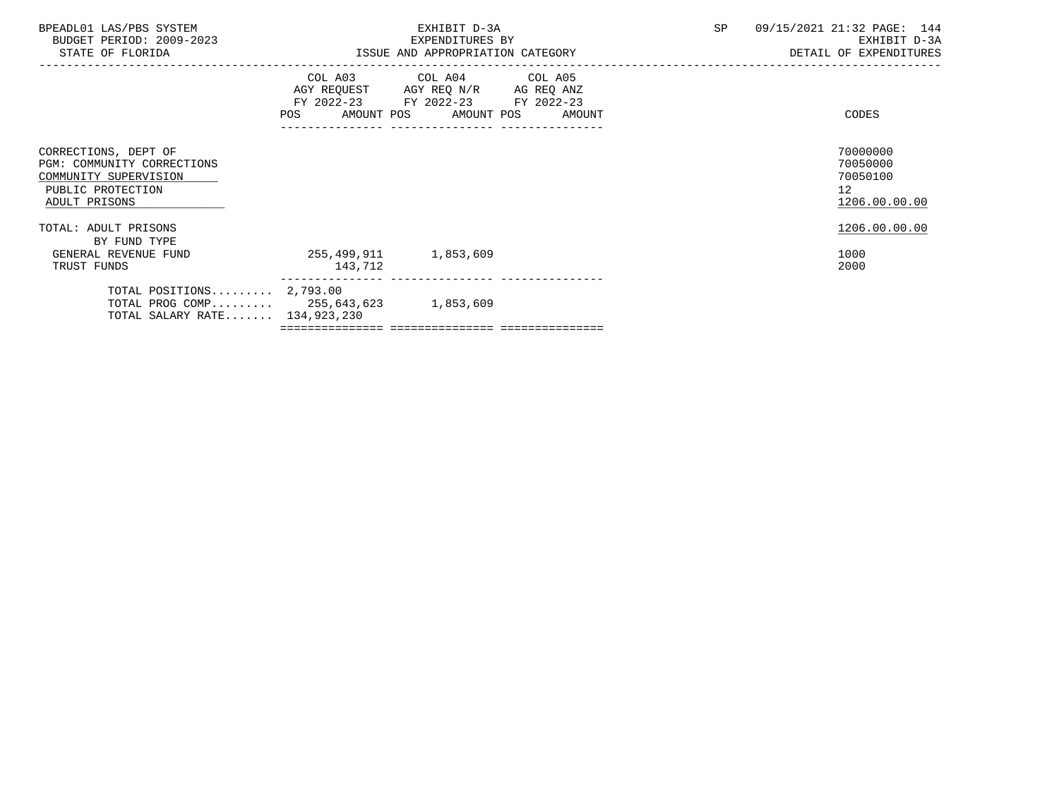| BPEADL01 LAS/PBS SYSTEM<br>BUDGET PERIOD: 2009-2023<br>STATE OF FLORIDA                                           |                                                                                                                | EXHIBIT D-3A<br>EXPENDITURES BY<br>ISSUE AND APPROPRIATION CATEGORY                                                        |        | SP | 09/15/2021 21:32 PAGE: 144<br>EXHIBIT D-3A<br>DETAIL OF EXPENDITURES |
|-------------------------------------------------------------------------------------------------------------------|----------------------------------------------------------------------------------------------------------------|----------------------------------------------------------------------------------------------------------------------------|--------|----|----------------------------------------------------------------------|
|                                                                                                                   | POS FOR THE POST OF THE STATE STATE STATE STATE STATE STATE STATE STATE STATE STATE STATE STATE STATE STATE ST | COL A03 COL A04 COL A05<br>AGY REQUEST AGY REQ N/R AG REQ ANZ<br>FY 2022-23 FY 2022-23 FY 2022-23<br>AMOUNT POS AMOUNT POS | AMOUNT |    | CODES                                                                |
| CORRECTIONS, DEPT OF<br>PGM: COMMUNITY CORRECTIONS<br>COMMUNITY SUPERVISION<br>PUBLIC PROTECTION<br>ADULT PRISONS |                                                                                                                |                                                                                                                            |        |    | 70000000<br>70050000<br>70050100<br>12<br>1206.00.00.00              |
| TOTAL: ADULT PRISONS<br>BY FUND TYPE<br>GENERAL REVENUE FUND<br>TRUST FUNDS                                       | 255,499,911 1,853,609<br>143,712                                                                               |                                                                                                                            |        |    | 1206.00.00.00<br>1000<br>2000                                        |
| TOTAL POSITIONS $2,793.00$<br>TOTAL PROG COMP 255,643,623 1,853,609<br>TOTAL SALARY RATE 134,923,230              |                                                                                                                |                                                                                                                            |        |    |                                                                      |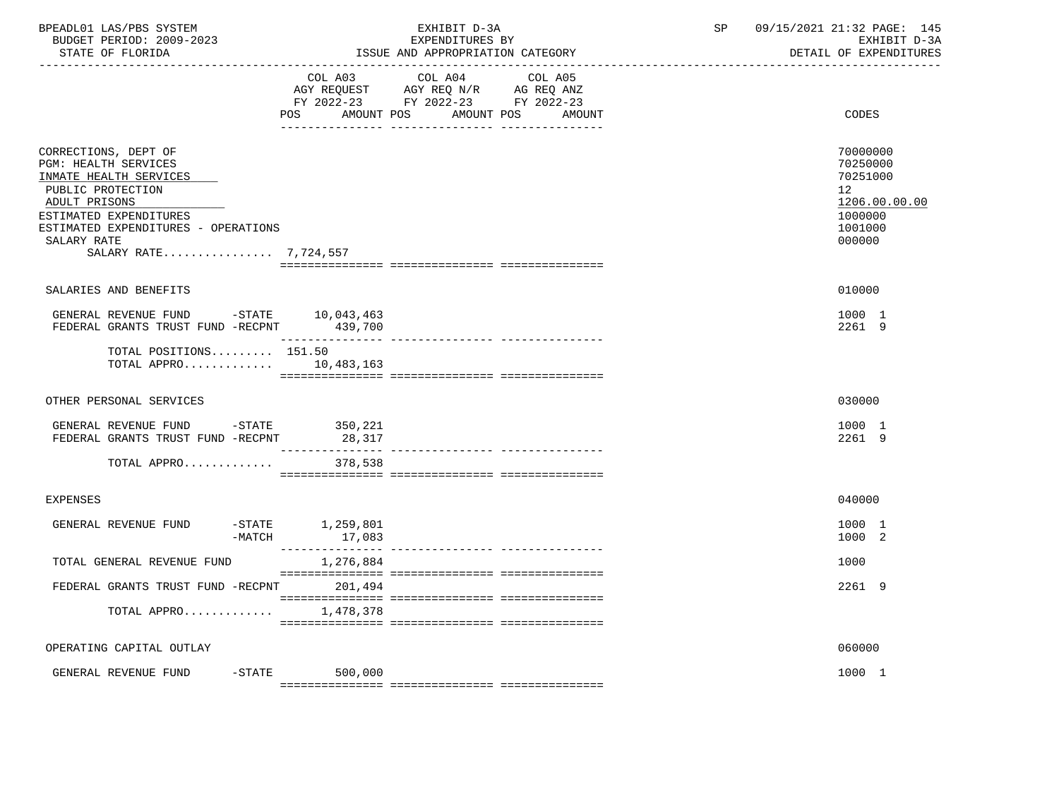| BPEADL01 LAS/PBS SYSTEM<br>BUDGET PERIOD: 2009-2023<br>STATE OF FLORIDA                                                                                                                                                      |                                | EXHIBIT D-3A<br>EXPENDITURES BY<br>ISSUE AND APPROPRIATION CATEGORY                                                       | SP | 09/15/2021 21:32 PAGE: 145<br>EXHIBIT D-3A<br>DETAIL OF EXPENDITURES                    |
|------------------------------------------------------------------------------------------------------------------------------------------------------------------------------------------------------------------------------|--------------------------------|---------------------------------------------------------------------------------------------------------------------------|----|-----------------------------------------------------------------------------------------|
|                                                                                                                                                                                                                              | POS<br>AMOUNT POS              | COL A03 COL A04 COL A05<br>AGY REQUEST AGY REQ N/R AG REQ ANZ<br>FY 2022-23 FY 2022-23 FY 2022-23<br>AMOUNT POS<br>AMOUNT |    | CODES                                                                                   |
| CORRECTIONS, DEPT OF<br><b>PGM: HEALTH SERVICES</b><br>INMATE HEALTH SERVICES<br>PUBLIC PROTECTION<br>ADULT PRISONS<br>ESTIMATED EXPENDITURES<br>ESTIMATED EXPENDITURES - OPERATIONS<br>SALARY RATE<br>SALARY RATE 7,724,557 |                                |                                                                                                                           |    | 70000000<br>70250000<br>70251000<br>12<br>1206.00.00.00<br>1000000<br>1001000<br>000000 |
| SALARIES AND BENEFITS                                                                                                                                                                                                        |                                |                                                                                                                           |    | 010000                                                                                  |
| GENERAL REVENUE FUND -STATE 10,043,463<br>FEDERAL GRANTS TRUST FUND -RECPNT 439,700                                                                                                                                          |                                |                                                                                                                           |    | 1000 1<br>2261 9                                                                        |
| TOTAL POSITIONS $151.50$<br>TOTAL APPRO 10,483,163                                                                                                                                                                           |                                |                                                                                                                           |    |                                                                                         |
| OTHER PERSONAL SERVICES                                                                                                                                                                                                      |                                |                                                                                                                           |    | 030000                                                                                  |
| GENERAL REVENUE FUND -STATE 350,221<br>FEDERAL GRANTS TRUST FUND -RECPNT                                                                                                                                                     | 28,317                         |                                                                                                                           |    | 1000 1<br>2261 9                                                                        |
| TOTAL APPRO                                                                                                                                                                                                                  | 378,538                        |                                                                                                                           |    |                                                                                         |
| <b>EXPENSES</b>                                                                                                                                                                                                              |                                |                                                                                                                           |    | 040000                                                                                  |
| GENERAL REVENUE FUND<br>$-MATCH$                                                                                                                                                                                             | $-STATE$ 1, 259, 801<br>17,083 |                                                                                                                           |    | 1000 1<br>1000 2                                                                        |
| TOTAL GENERAL REVENUE FUND                                                                                                                                                                                                   | 1,276,884                      |                                                                                                                           |    | 1000                                                                                    |
| FEDERAL GRANTS TRUST FUND -RECPNT                                                                                                                                                                                            | 201,494                        |                                                                                                                           |    | 2261 9                                                                                  |
| TOTAL APPRO                                                                                                                                                                                                                  | 1,478,378                      |                                                                                                                           |    |                                                                                         |
| OPERATING CAPITAL OUTLAY                                                                                                                                                                                                     |                                |                                                                                                                           |    | 060000                                                                                  |
| GENERAL REVENUE FUND<br>$-$ STATE                                                                                                                                                                                            | 500,000                        |                                                                                                                           |    | 1000 1                                                                                  |
|                                                                                                                                                                                                                              |                                |                                                                                                                           |    |                                                                                         |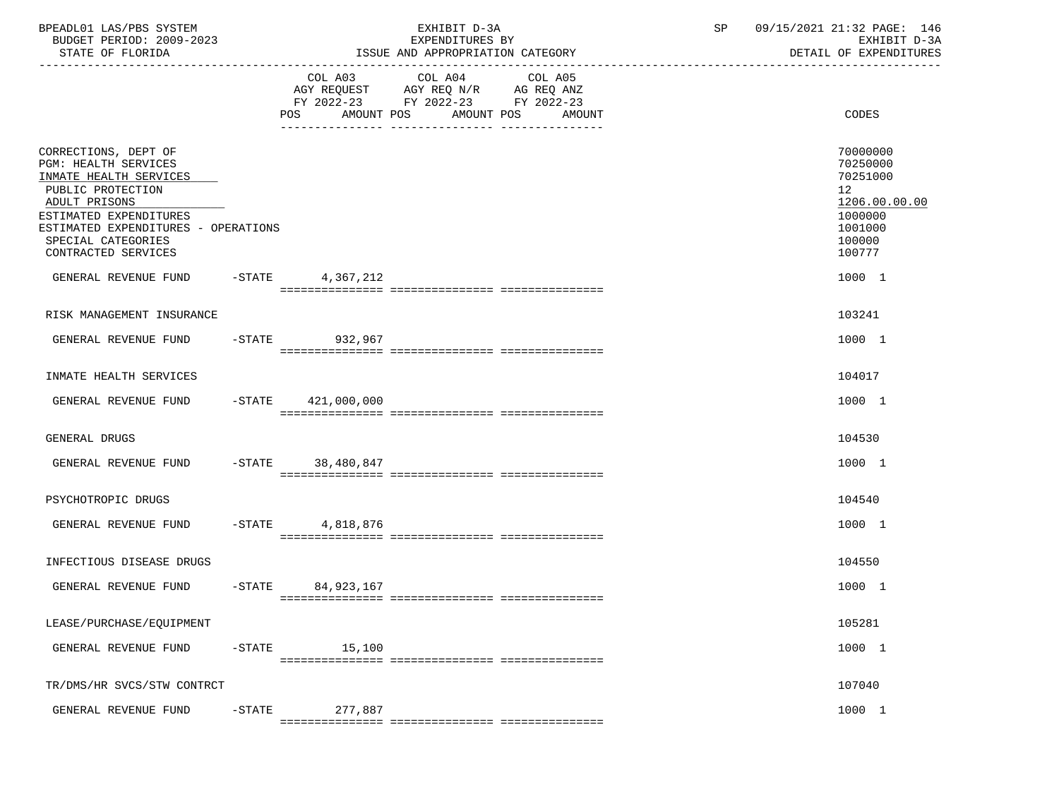| BPEADL01 LAS/PBS SYSTEM<br>BUDGET PERIOD: 2009-2023<br>STATE OF FLORIDA                                                                                                                                                           |           |                      | EXHIBIT D-3A<br>EXPENDITURES BY<br>ISSUE AND APPROPRIATION CATEGORY                       |                                             | SP | 09/15/2021 21:32 PAGE: 146<br>EXHIBIT D-3A<br>DETAIL OF EXPENDITURES                                           |
|-----------------------------------------------------------------------------------------------------------------------------------------------------------------------------------------------------------------------------------|-----------|----------------------|-------------------------------------------------------------------------------------------|---------------------------------------------|----|----------------------------------------------------------------------------------------------------------------|
|                                                                                                                                                                                                                                   |           |                      | COL A03 COL A04<br>AGY REQUEST AGY REQ N/R AG REQ ANZ<br>FY 2022-23 FY 2022-23 FY 2022-23 | COL A05<br>POS AMOUNT POS AMOUNT POS AMOUNT |    | CODES                                                                                                          |
| CORRECTIONS, DEPT OF<br><b>PGM: HEALTH SERVICES</b><br>INMATE HEALTH SERVICES<br>PUBLIC PROTECTION<br>ADULT PRISONS<br>ESTIMATED EXPENDITURES<br>ESTIMATED EXPENDITURES - OPERATIONS<br>SPECIAL CATEGORIES<br>CONTRACTED SERVICES |           |                      |                                                                                           |                                             |    | 70000000<br>70250000<br>70251000<br>12 <sup>°</sup><br>1206.00.00.00<br>1000000<br>1001000<br>100000<br>100777 |
| GENERAL REVENUE FUND -STATE 4,367,212                                                                                                                                                                                             |           |                      |                                                                                           |                                             |    | 1000 1                                                                                                         |
| RISK MANAGEMENT INSURANCE                                                                                                                                                                                                         |           |                      |                                                                                           |                                             |    | 103241                                                                                                         |
| GENERAL REVENUE FUND                                                                                                                                                                                                              |           | -STATE 932,967       |                                                                                           |                                             |    | 1000 1                                                                                                         |
| INMATE HEALTH SERVICES                                                                                                                                                                                                            |           |                      |                                                                                           |                                             |    | 104017                                                                                                         |
| GENERAL REVENUE FUND                                                                                                                                                                                                              |           | $-STATE$ 421,000,000 |                                                                                           |                                             |    | 1000 1                                                                                                         |
| GENERAL DRUGS                                                                                                                                                                                                                     |           |                      |                                                                                           |                                             |    | 104530                                                                                                         |
| GENERAL REVENUE FUND                                                                                                                                                                                                              |           | -STATE 38,480,847    |                                                                                           |                                             |    | 1000 1                                                                                                         |
| PSYCHOTROPIC DRUGS                                                                                                                                                                                                                |           |                      |                                                                                           |                                             |    | 104540                                                                                                         |
| GENERAL REVENUE FUND                                                                                                                                                                                                              |           | $-$ STATE 4,818,876  |                                                                                           |                                             |    | 1000 1                                                                                                         |
| INFECTIOUS DISEASE DRUGS                                                                                                                                                                                                          |           |                      |                                                                                           |                                             |    | 104550                                                                                                         |
| GENERAL REVENUE FUND -STATE 84,923,167                                                                                                                                                                                            |           |                      |                                                                                           |                                             |    | 1000 1                                                                                                         |
| LEASE/PURCHASE/EOUIPMENT                                                                                                                                                                                                          |           |                      |                                                                                           |                                             |    | 105281                                                                                                         |
| GENERAL REVENUE FUND                                                                                                                                                                                                              | $-STATE$  | 15,100               |                                                                                           |                                             |    | 1000 1                                                                                                         |
| TR/DMS/HR SVCS/STW CONTRCT                                                                                                                                                                                                        |           |                      |                                                                                           |                                             |    | 107040                                                                                                         |
| GENERAL REVENUE FUND                                                                                                                                                                                                              | $-$ STATE | 277,887              |                                                                                           |                                             |    | 1000 1                                                                                                         |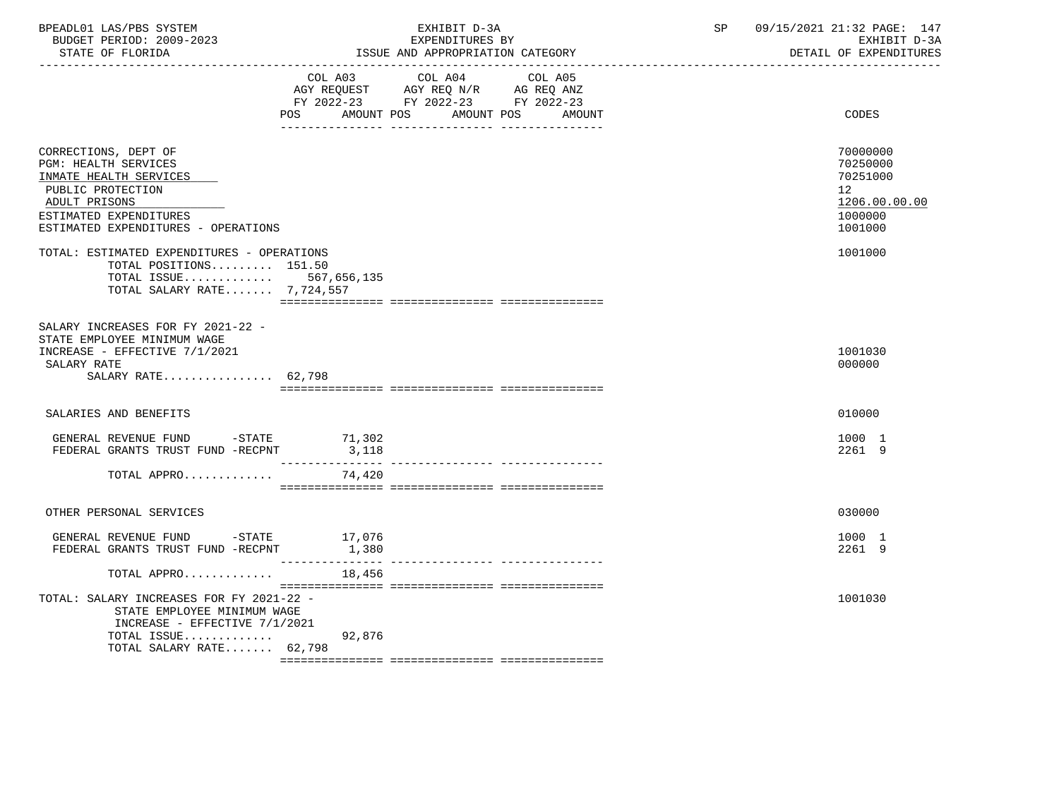| BPEADL01 LAS/PBS SYSTEM<br>BUDGET PERIOD: 2009-2023<br>STATE OF FLORIDA                                                                                                              | EXHIBIT D-3A<br>EXPENDITURES BY<br>ISSUE AND APPROPRIATION CATEGORY                                                                            | 09/15/2021 21:32 PAGE: 147<br>SP<br>EXHIBIT D-3A<br>DETAIL OF EXPENDITURES                 |
|--------------------------------------------------------------------------------------------------------------------------------------------------------------------------------------|------------------------------------------------------------------------------------------------------------------------------------------------|--------------------------------------------------------------------------------------------|
|                                                                                                                                                                                      | COL A03 COL A04 COL A05<br>AGY REQUEST AGY REQ N/R AG REQ ANZ<br>FY 2022-23 FY 2022-23 FY 2022-23<br>AMOUNT POS<br>AMOUNT POS<br>POS<br>AMOUNT | CODES                                                                                      |
| CORRECTIONS, DEPT OF<br><b>PGM: HEALTH SERVICES</b><br>INMATE HEALTH SERVICES<br>PUBLIC PROTECTION<br>ADULT PRISONS<br>ESTIMATED EXPENDITURES<br>ESTIMATED EXPENDITURES - OPERATIONS |                                                                                                                                                | 70000000<br>70250000<br>70251000<br>12 <sup>°</sup><br>1206.00.00.00<br>1000000<br>1001000 |
| TOTAL: ESTIMATED EXPENDITURES - OPERATIONS<br>TOTAL POSITIONS 151.50<br>TOTAL ISSUE 567,656,135<br>TOTAL SALARY RATE 7,724,557                                                       |                                                                                                                                                | 1001000                                                                                    |
| SALARY INCREASES FOR FY 2021-22 -<br>STATE EMPLOYEE MINIMUM WAGE<br>INCREASE - EFFECTIVE 7/1/2021<br>SALARY RATE<br>SALARY RATE 62,798                                               |                                                                                                                                                | 1001030<br>000000                                                                          |
| SALARIES AND BENEFITS                                                                                                                                                                |                                                                                                                                                | 010000                                                                                     |
| GENERAL REVENUE FUND $-$ STATE 71,302<br>FEDERAL GRANTS TRUST FUND -RECPNT                                                                                                           | 3,118                                                                                                                                          | 1000 1<br>2261 9                                                                           |
| TOTAL APPRO                                                                                                                                                                          | 74,420                                                                                                                                         |                                                                                            |
| OTHER PERSONAL SERVICES                                                                                                                                                              |                                                                                                                                                | 030000                                                                                     |
| GENERAL REVENUE FUND -STATE 17,076<br>FEDERAL GRANTS TRUST FUND -RECPNT                                                                                                              | 1,380                                                                                                                                          | 1000 1<br>2261 9                                                                           |
| TOTAL APPRO                                                                                                                                                                          | 18,456                                                                                                                                         |                                                                                            |
| TOTAL: SALARY INCREASES FOR FY 2021-22 -<br>STATE EMPLOYEE MINIMUM WAGE<br>INCREASE - EFFECTIVE $7/1/2021$                                                                           |                                                                                                                                                | 1001030                                                                                    |
| TOTAL ISSUE<br>TOTAL SALARY RATE 62,798                                                                                                                                              | 92,876                                                                                                                                         |                                                                                            |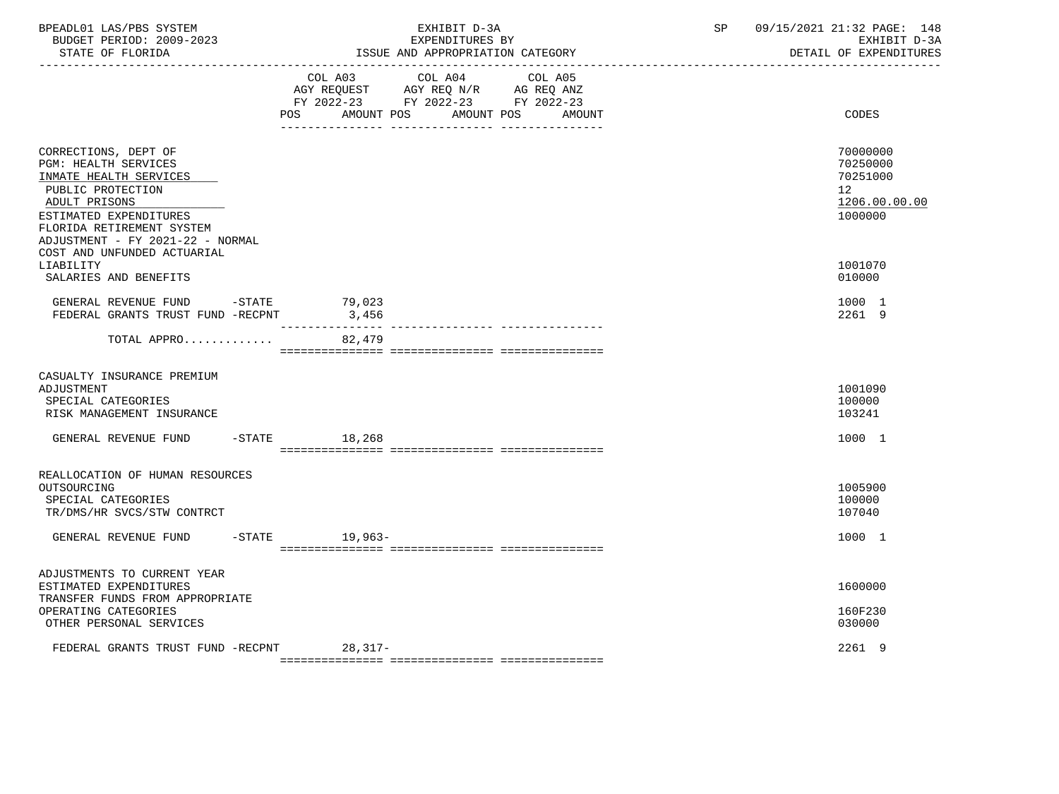| BPEADL01 LAS/PBS SYSTEM<br>BUDGET PERIOD: 2009-2023<br>STATE OF FLORIDA                                                                                                                                        | EXHIBIT D-3A<br>EXPENDITURES BY<br>ISSUE AND APPROPRIATION CATEGORY                                                           |                                  |  | 09/15/2021 21:32 PAGE: 148<br>SP and the set of the set of the set of the set of the set of the set of the set of the set of the set of the set of the set of the set of the set of the set of the set of the set of the set of the set of the set of the se<br>EXHIBIT D-3A<br>DETAIL OF EXPENDITURES |
|----------------------------------------------------------------------------------------------------------------------------------------------------------------------------------------------------------------|-------------------------------------------------------------------------------------------------------------------------------|----------------------------------|--|--------------------------------------------------------------------------------------------------------------------------------------------------------------------------------------------------------------------------------------------------------------------------------------------------------|
|                                                                                                                                                                                                                | COL A03 COL A04 COL A05<br>AGY REQUEST AGY REQ N/R AG REQ ANZ<br>FY 2022-23 FY 2022-23 FY 2022-23<br>AMOUNT POS<br><b>POS</b> | AMOUNT POS<br>AMOUNT             |  | CODES                                                                                                                                                                                                                                                                                                  |
| CORRECTIONS, DEPT OF<br><b>PGM: HEALTH SERVICES</b><br>INMATE HEALTH SERVICES<br>PUBLIC PROTECTION<br>ADULT PRISONS<br>ESTIMATED EXPENDITURES<br>FLORIDA RETIREMENT SYSTEM<br>ADJUSTMENT - FY 2021-22 - NORMAL |                                                                                                                               |                                  |  | 70000000<br>70250000<br>70251000<br>12<br>1206.00.00.00<br>1000000                                                                                                                                                                                                                                     |
| COST AND UNFUNDED ACTUARIAL<br>LIABILITY<br>SALARIES AND BENEFITS                                                                                                                                              |                                                                                                                               |                                  |  | 1001070<br>010000                                                                                                                                                                                                                                                                                      |
| GENERAL REVENUE FUND -STATE 79,023<br>FEDERAL GRANTS TRUST FUND -RECPNT                                                                                                                                        | 3,456                                                                                                                         | --------------- ---------------- |  | 1000 1<br>2261 9                                                                                                                                                                                                                                                                                       |
| TOTAL APPRO                                                                                                                                                                                                    | 82,479                                                                                                                        |                                  |  |                                                                                                                                                                                                                                                                                                        |
| CASUALTY INSURANCE PREMIUM<br>ADJUSTMENT<br>SPECIAL CATEGORIES<br>RISK MANAGEMENT INSURANCE                                                                                                                    |                                                                                                                               |                                  |  | 1001090<br>100000<br>103241                                                                                                                                                                                                                                                                            |
| GENERAL REVENUE FUND                                                                                                                                                                                           | $-STATE$ 18,268                                                                                                               |                                  |  | 1000 1                                                                                                                                                                                                                                                                                                 |
| REALLOCATION OF HUMAN RESOURCES<br>OUTSOURCING<br>SPECIAL CATEGORIES<br>TR/DMS/HR SVCS/STW CONTRCT                                                                                                             |                                                                                                                               |                                  |  | 1005900<br>100000<br>107040                                                                                                                                                                                                                                                                            |
| GENERAL REVENUE FUND                                                                                                                                                                                           | -STATE 19,963-                                                                                                                |                                  |  | 1000 1                                                                                                                                                                                                                                                                                                 |
| ADJUSTMENTS TO CURRENT YEAR<br>ESTIMATED EXPENDITURES<br>TRANSFER FUNDS FROM APPROPRIATE<br>OPERATING CATEGORIES<br>OTHER PERSONAL SERVICES                                                                    |                                                                                                                               |                                  |  | 1600000<br>160F230<br>030000                                                                                                                                                                                                                                                                           |
| FEDERAL GRANTS TRUST FUND -RECPNT                                                                                                                                                                              | $28,317-$                                                                                                                     |                                  |  | 2261 9                                                                                                                                                                                                                                                                                                 |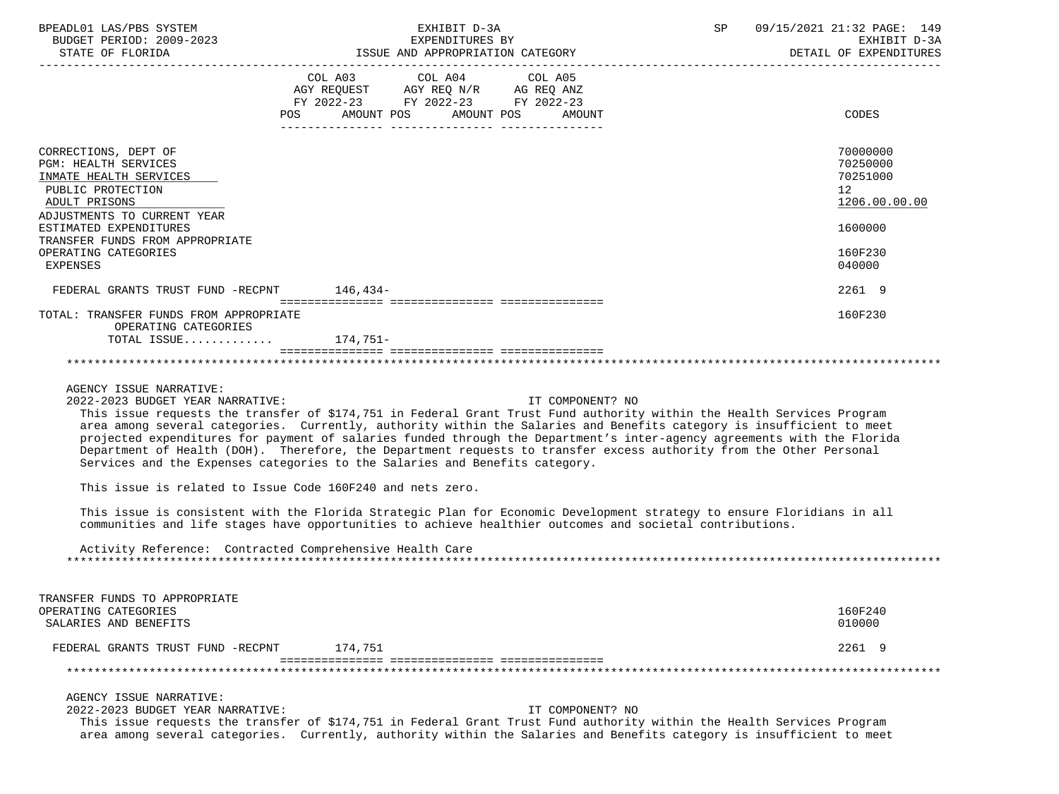| BPEADL01 LAS/PBS SYSTEM<br>BUDGET PERIOD: 2009-2023                                                                                                                   | EXHIBIT D-3A<br>EXPENDITURES BY                                                                                                                                                                                                                                                                                                                                                                                                                                                                                                                                                                      | 09/15/2021 21:32 PAGE: 149<br>SP<br>EXHIBIT D-3A                                |
|-----------------------------------------------------------------------------------------------------------------------------------------------------------------------|------------------------------------------------------------------------------------------------------------------------------------------------------------------------------------------------------------------------------------------------------------------------------------------------------------------------------------------------------------------------------------------------------------------------------------------------------------------------------------------------------------------------------------------------------------------------------------------------------|---------------------------------------------------------------------------------|
| STATE OF FLORIDA                                                                                                                                                      | ISSUE AND APPROPRIATION CATEGORY                                                                                                                                                                                                                                                                                                                                                                                                                                                                                                                                                                     | DETAIL OF EXPENDITURES                                                          |
|                                                                                                                                                                       | COL A03<br>COL A04<br>COL A05<br>AGY REQUEST AGY REQ N/R AG REQ ANZ<br>FY 2022-23 FY 2022-23 FY 2022-23<br>POS AMOUNT POS AMOUNT POS<br>AMOUNT                                                                                                                                                                                                                                                                                                                                                                                                                                                       | CODES                                                                           |
| CORRECTIONS, DEPT OF<br>PGM: HEALTH SERVICES<br>INMATE HEALTH SERVICES<br>PUBLIC PROTECTION<br>ADULT PRISONS<br>ADJUSTMENTS TO CURRENT YEAR<br>ESTIMATED EXPENDITURES |                                                                                                                                                                                                                                                                                                                                                                                                                                                                                                                                                                                                      | 70000000<br>70250000<br>70251000<br>12 <sup>°</sup><br>1206.00.00.00<br>1600000 |
| TRANSFER FUNDS FROM APPROPRIATE<br>OPERATING CATEGORIES<br>EXPENSES                                                                                                   |                                                                                                                                                                                                                                                                                                                                                                                                                                                                                                                                                                                                      | 160F230<br>040000                                                               |
| FEDERAL GRANTS TRUST FUND -RECPNT 146,434-                                                                                                                            |                                                                                                                                                                                                                                                                                                                                                                                                                                                                                                                                                                                                      | 2261 9                                                                          |
| TOTAL: TRANSFER FUNDS FROM APPROPRIATE<br>OPERATING CATEGORIES                                                                                                        |                                                                                                                                                                                                                                                                                                                                                                                                                                                                                                                                                                                                      | 160F230                                                                         |
| TOTAL ISSUE $174,751-$                                                                                                                                                |                                                                                                                                                                                                                                                                                                                                                                                                                                                                                                                                                                                                      |                                                                                 |
| AGENCY ISSUE NARRATIVE:<br>2022-2023 BUDGET YEAR NARRATIVE:                                                                                                           | IT COMPONENT? NO<br>This issue requests the transfer of \$174,751 in Federal Grant Trust Fund authority within the Health Services Program<br>area among several categories. Currently, authority within the Salaries and Benefits category is insufficient to meet<br>projected expenditures for payment of salaries funded through the Department's inter-agency agreements with the Florida<br>Department of Health (DOH). Therefore, the Department requests to transfer excess authority from the Other Personal<br>Services and the Expenses categories to the Salaries and Benefits category. |                                                                                 |
|                                                                                                                                                                       | This issue is related to Issue Code 160F240 and nets zero.                                                                                                                                                                                                                                                                                                                                                                                                                                                                                                                                           |                                                                                 |
|                                                                                                                                                                       | This issue is consistent with the Florida Strategic Plan for Economic Development strategy to ensure Floridians in all<br>communities and life stages have opportunities to achieve healthier outcomes and societal contributions.                                                                                                                                                                                                                                                                                                                                                                   |                                                                                 |
|                                                                                                                                                                       | Activity Reference: Contracted Comprehensive Health Care                                                                                                                                                                                                                                                                                                                                                                                                                                                                                                                                             |                                                                                 |
| TRANSFER FUNDS TO APPROPRIATE<br>OPERATING CATEGORIES<br>SALARIES AND BENEFITS                                                                                        |                                                                                                                                                                                                                                                                                                                                                                                                                                                                                                                                                                                                      | 160F240<br>010000                                                               |
| FEDERAL GRANTS TRUST FUND -RECPNT                                                                                                                                     | 174,751                                                                                                                                                                                                                                                                                                                                                                                                                                                                                                                                                                                              | 2261 9                                                                          |
|                                                                                                                                                                       |                                                                                                                                                                                                                                                                                                                                                                                                                                                                                                                                                                                                      |                                                                                 |
| AGENCY ISSUE NARRATIVE:<br>2022-2023 BUDGET YEAR NARRATIVE:                                                                                                           | IT COMPONENT? NO<br>This issue requests the transfer of \$174,751 in Federal Grant Trust Fund authority within the Health Services Program<br>area among several categories. Currently, authority within the Salaries and Benefits category is insufficient to meet                                                                                                                                                                                                                                                                                                                                  |                                                                                 |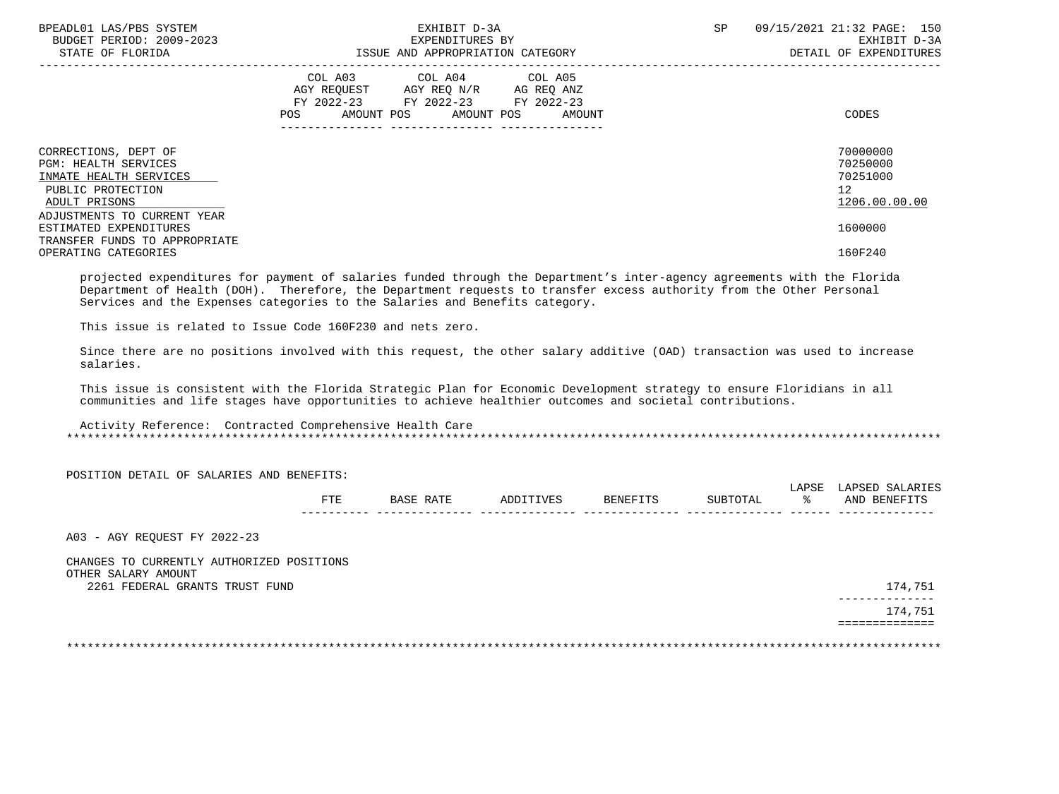| BPEADL01 LAS/PBS SYSTEM<br>BUDGET PERIOD: 2009-2023<br>STATE OF FLORIDA                                             | EXHIBIT D-3A<br>EXPENDITURES BY<br>ISSUE AND APPROPRIATION CATEGORY                                                                                                                                                                                 | SP<br>09/15/2021 21:32 PAGE: 150<br>EXHIBIT D-3A<br>DETAIL OF EXPENDITURES |
|---------------------------------------------------------------------------------------------------------------------|-----------------------------------------------------------------------------------------------------------------------------------------------------------------------------------------------------------------------------------------------------|----------------------------------------------------------------------------|
|                                                                                                                     | COL A03 COL A04 COL A05<br>AGY REQUEST AGY REQ N/R AG REQ ANZ<br>FY 2022-23 FY 2022-23 FY 2022-23<br>AMOUNT POS AMOUNT POS AMOUNT<br>POS FOR THE POST OF THE STATE STATE STATE STATE STATE STATE STATE STATE STATE STATE STATE STATE STATE STATE ST | CODES                                                                      |
| CORRECTIONS, DEPT OF<br><b>PGM: HEALTH SERVICES</b><br>INMATE HEALTH SERVICES<br>PUBLIC PROTECTION<br>ADULT PRISONS |                                                                                                                                                                                                                                                     | 70000000<br>70250000<br>70251000<br>12<br>1206.00.00.00                    |
| ADJUSTMENTS TO CURRENT YEAR<br>ESTIMATED EXPENDITURES<br>TRANSFER FUNDS TO APPROPRIATE<br>OPERATING CATEGORIES      |                                                                                                                                                                                                                                                     | 1600000<br>160F240                                                         |

 projected expenditures for payment of salaries funded through the Department's inter-agency agreements with the Florida Department of Health (DOH). Therefore, the Department requests to transfer excess authority from the Other Personal Services and the Expenses categories to the Salaries and Benefits category.

This issue is related to Issue Code 160F230 and nets zero.

 Since there are no positions involved with this request, the other salary additive (OAD) transaction was used to increase salaries.

 This issue is consistent with the Florida Strategic Plan for Economic Development strategy to ensure Floridians in all communities and life stages have opportunities to achieve healthier outcomes and societal contributions.

 Activity Reference: Contracted Comprehensive Health Care \*\*\*\*\*\*\*\*\*\*\*\*\*\*\*\*\*\*\*\*\*\*\*\*\*\*\*\*\*\*\*\*\*\*\*\*\*\*\*\*\*\*\*\*\*\*\*\*\*\*\*\*\*\*\*\*\*\*\*\*\*\*\*\*\*\*\*\*\*\*\*\*\*\*\*\*\*\*\*\*\*\*\*\*\*\*\*\*\*\*\*\*\*\*\*\*\*\*\*\*\*\*\*\*\*\*\*\*\*\*\*\*\*\*\*\*\*\*\*\*\*\*\*\*\*\*\*

POSITION DETAIL OF SALARIES AND BENEFITS:

|               |                      |                   |          |                                              | $\overline{2}$<br><u>_</u><br>ىد عس | LAPSET<br>$^{\circ}$ aria. |
|---------------|----------------------|-------------------|----------|----------------------------------------------|-------------------------------------|----------------------------|
| 모모모<br>ند د د | חחת<br>- 77<br>ᅛᅎᆠᆠᄔ | TVF<br>$\sqrt{2}$ | RENEFTTS | $T$ $\cap$ $T$ $\Lambda$<br>דפזז<br><b>.</b> |                                     | AND<br><b>BENEF</b>        |
| ___           |                      |                   |          |                                              |                                     | ----                       |

A03 - AGY REQUEST FY 2022-23

 CHANGES TO CURRENTLY AUTHORIZED POSITIONS OTHER SALARY AMOUNT 2261 FEDERAL GRANTS TRUST FUND 174,751

 -------------- 174,751 ==============

\*\*\*\*\*\*\*\*\*\*\*\*\*\*\*\*\*\*\*\*\*\*\*\*\*\*\*\*\*\*\*\*\*\*\*\*\*\*\*\*\*\*\*\*\*\*\*\*\*\*\*\*\*\*\*\*\*\*\*\*\*\*\*\*\*\*\*\*\*\*\*\*\*\*\*\*\*\*\*\*\*\*\*\*\*\*\*\*\*\*\*\*\*\*\*\*\*\*\*\*\*\*\*\*\*\*\*\*\*\*\*\*\*\*\*\*\*\*\*\*\*\*\*\*\*\*\*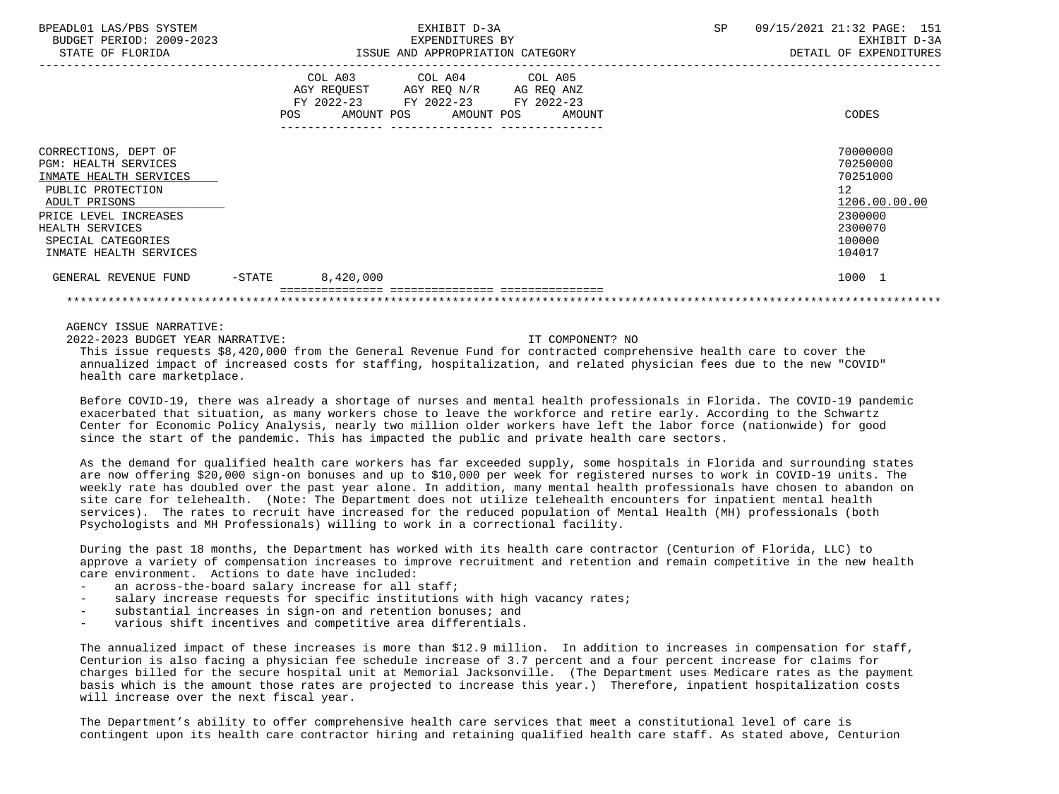| BPEADL01 LAS/PBS SYSTEM<br>BUDGET PERIOD: 2009-2023<br>STATE OF FLORIDA                                                                                                                                         |                   |                       | EXHIBIT D-3A<br>EXPENDITURES BY<br>ISSUE AND APPROPRIATION CATEGORY                                     |  | 09/15/2021 21:32 PAGE: 151<br>EXHIBIT D-3A<br>DETAIL OF EXPENDITURES |  |                                                                                                   |
|-----------------------------------------------------------------------------------------------------------------------------------------------------------------------------------------------------------------|-------------------|-----------------------|---------------------------------------------------------------------------------------------------------|--|----------------------------------------------------------------------|--|---------------------------------------------------------------------------------------------------|
|                                                                                                                                                                                                                 | POS               | COL A03<br>AMOUNT POS | COL A04 COL A05<br>AGY REQUEST AGY REQ N/R AG REQ ANZ<br>FY 2022-23 FY 2022-23 FY 2022-23<br>AMOUNT POS |  | AMOUNT                                                               |  | CODES                                                                                             |
| CORRECTIONS, DEPT OF<br><b>PGM: HEALTH SERVICES</b><br>INMATE HEALTH SERVICES<br>PUBLIC PROTECTION<br>ADULT PRISONS<br>PRICE LEVEL INCREASES<br>HEALTH SERVICES<br>SPECIAL CATEGORIES<br>INMATE HEALTH SERVICES |                   |                       |                                                                                                         |  |                                                                      |  | 70000000<br>70250000<br>70251000<br>12<br>1206.00.00.00<br>2300000<br>2300070<br>100000<br>104017 |
| GENERAL REVENUE FUND                                                                                                                                                                                            | $-\mathtt{STATE}$ | 8,420,000             |                                                                                                         |  |                                                                      |  | 1000 1                                                                                            |
|                                                                                                                                                                                                                 |                   |                       |                                                                                                         |  |                                                                      |  |                                                                                                   |

AGENCY ISSUE NARRATIVE:

2022-2023 BUDGET YEAR NARRATIVE: IT COMPONENT? NO

 This issue requests \$8,420,000 from the General Revenue Fund for contracted comprehensive health care to cover the annualized impact of increased costs for staffing, hospitalization, and related physician fees due to the new "COVID" health care marketplace.

 Before COVID-19, there was already a shortage of nurses and mental health professionals in Florida. The COVID-19 pandemic exacerbated that situation, as many workers chose to leave the workforce and retire early. According to the Schwartz Center for Economic Policy Analysis, nearly two million older workers have left the labor force (nationwide) for good since the start of the pandemic. This has impacted the public and private health care sectors.

 As the demand for qualified health care workers has far exceeded supply, some hospitals in Florida and surrounding states are now offering \$20,000 sign-on bonuses and up to \$10,000 per week for registered nurses to work in COVID-19 units. The weekly rate has doubled over the past year alone. In addition, many mental health professionals have chosen to abandon on site care for telehealth. (Note: The Department does not utilize telehealth encounters for inpatient mental health services). The rates to recruit have increased for the reduced population of Mental Health (MH) professionals (both Psychologists and MH Professionals) willing to work in a correctional facility.

 During the past 18 months, the Department has worked with its health care contractor (Centurion of Florida, LLC) to approve a variety of compensation increases to improve recruitment and retention and remain competitive in the new health care environment. Actions to date have included:

- an across-the-board salary increase for all staff;
- salary increase requests for specific institutions with high vacancy rates;
- substantial increases in sign-on and retention bonuses; and
- various shift incentives and competitive area differentials.

 The annualized impact of these increases is more than \$12.9 million. In addition to increases in compensation for staff, Centurion is also facing a physician fee schedule increase of 3.7 percent and a four percent increase for claims for charges billed for the secure hospital unit at Memorial Jacksonville. (The Department uses Medicare rates as the payment basis which is the amount those rates are projected to increase this year.) Therefore, inpatient hospitalization costs will increase over the next fiscal year.

 The Department's ability to offer comprehensive health care services that meet a constitutional level of care is contingent upon its health care contractor hiring and retaining qualified health care staff. As stated above, Centurion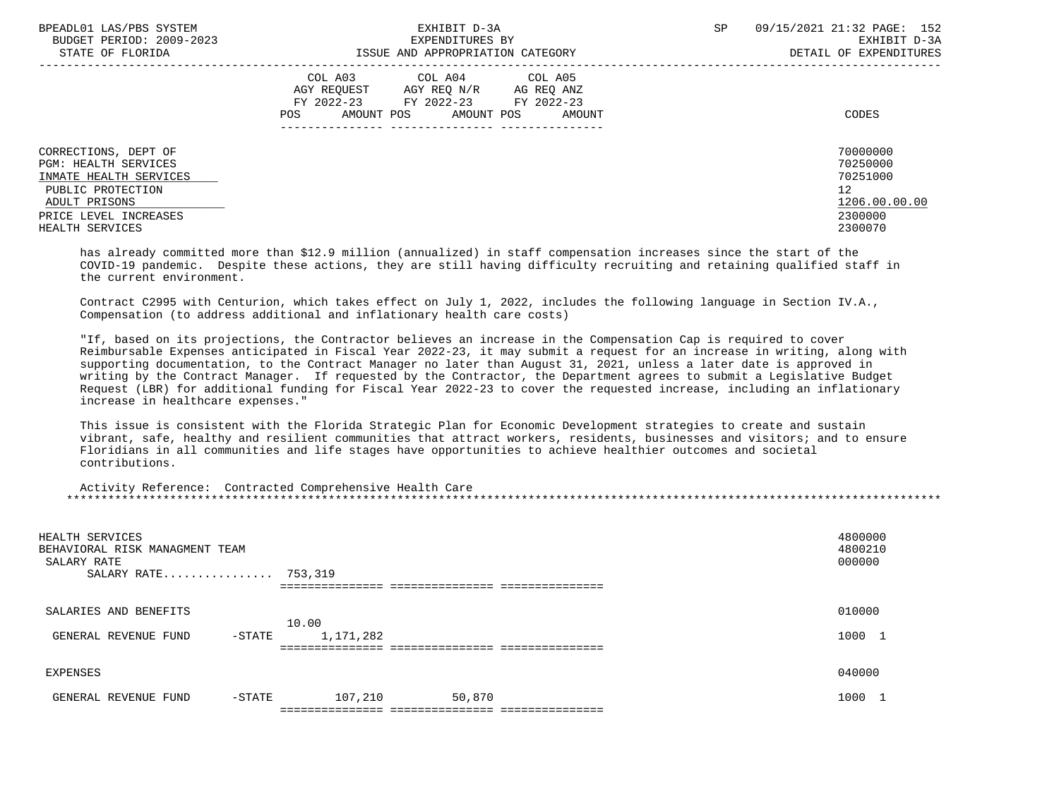| BPEADL01 LAS/PBS SYSTEM<br>BUDGET PERIOD: 2009-2023                                                                                                             | EXHIBIT D-3A<br>EXPENDITURES BY                                                                                                                      | 09/15/2021 21:32 PAGE: 152<br>SP<br>EXHIBIT D-3A                                           |
|-----------------------------------------------------------------------------------------------------------------------------------------------------------------|------------------------------------------------------------------------------------------------------------------------------------------------------|--------------------------------------------------------------------------------------------|
| STATE OF FLORIDA                                                                                                                                                | ISSUE AND APPROPRIATION CATEGORY                                                                                                                     | DETAIL OF EXPENDITURES                                                                     |
|                                                                                                                                                                 | COL A03 COL A04 COL A05<br>AGY REOUEST<br>AGY REO N/R<br>AG REQ ANZ<br>FY 2022-23 FY 2022-23<br>FY 2022-23<br>AMOUNT POS AMOUNT POS<br>AMOUNT<br>POS | CODES                                                                                      |
| CORRECTIONS, DEPT OF<br><b>PGM: HEALTH SERVICES</b><br>INMATE HEALTH SERVICES<br>PUBLIC PROTECTION<br>ADULT PRISONS<br>PRICE LEVEL INCREASES<br>HEALTH SERVICES |                                                                                                                                                      | 70000000<br>70250000<br>70251000<br>12 <sup>°</sup><br>1206.00.00.00<br>2300000<br>2300070 |

 has already committed more than \$12.9 million (annualized) in staff compensation increases since the start of the COVID-19 pandemic. Despite these actions, they are still having difficulty recruiting and retaining qualified staff in the current environment.

 Contract C2995 with Centurion, which takes effect on July 1, 2022, includes the following language in Section IV.A., Compensation (to address additional and inflationary health care costs)

 "If, based on its projections, the Contractor believes an increase in the Compensation Cap is required to cover Reimbursable Expenses anticipated in Fiscal Year 2022-23, it may submit a request for an increase in writing, along with supporting documentation, to the Contract Manager no later than August 31, 2021, unless a later date is approved in writing by the Contract Manager. If requested by the Contractor, the Department agrees to submit a Legislative Budget Request (LBR) for additional funding for Fiscal Year 2022-23 to cover the requested increase, including an inflationary increase in healthcare expenses."

 This issue is consistent with the Florida Strategic Plan for Economic Development strategies to create and sustain vibrant, safe, healthy and resilient communities that attract workers, residents, businesses and visitors; and to ensure Floridians in all communities and life stages have opportunities to achieve healthier outcomes and societal contributions.

| Activity Reference: Contracted Comprehensive Health Care |
|----------------------------------------------------------|
|                                                          |

| HEALTH SERVICES<br>BEHAVIORAL RISK MANAGMENT TEAM<br>SALARY RATE<br>SALARY RATE 753,319 |           |           |        |  | 4800000<br>4800210<br>000000 |
|-----------------------------------------------------------------------------------------|-----------|-----------|--------|--|------------------------------|
| SALARIES AND BENEFITS                                                                   |           | 10.00     |        |  | 010000                       |
| GENERAL REVENUE FUND                                                                    | -STATE    | 1,171,282 |        |  | 1000<br>- 1                  |
|                                                                                         |           |           |        |  |                              |
| EXPENSES                                                                                |           |           |        |  | 040000                       |
| GENERAL REVENUE FUND                                                                    | $-$ STATE | 107,210   | 50,870 |  | 1000 1                       |
|                                                                                         |           |           |        |  |                              |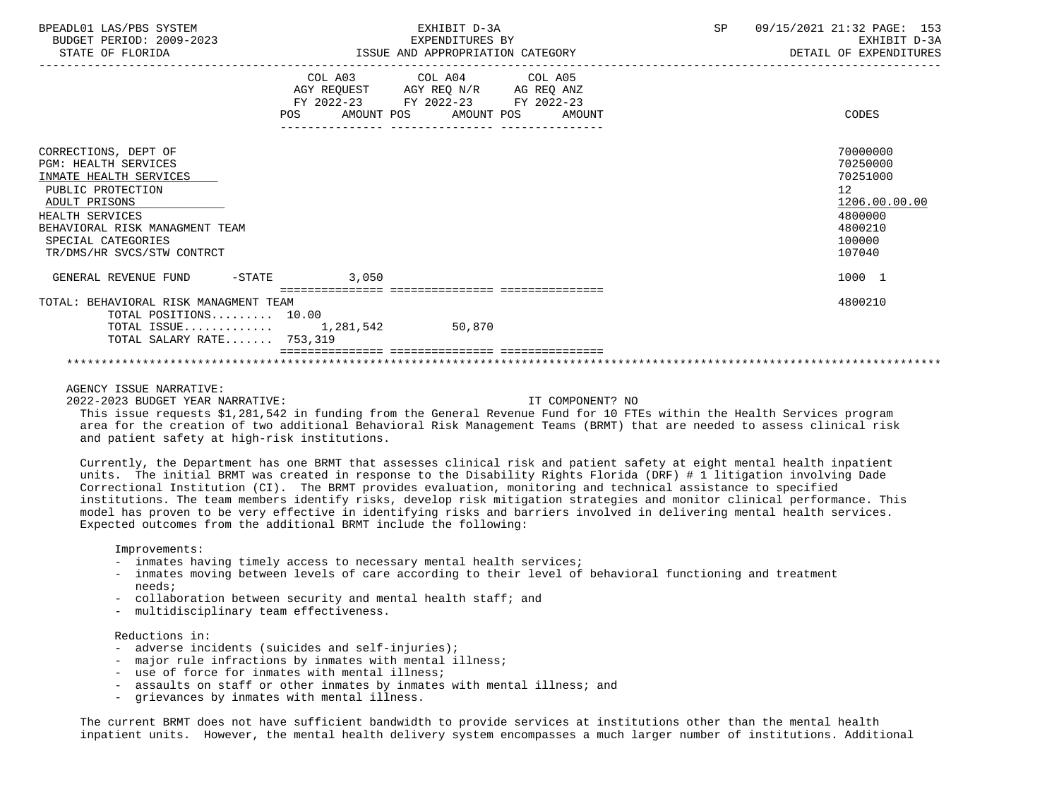| BPEADL01 LAS/PBS SYSTEM<br>BUDGET PERIOD: 2009-2023<br>STATE OF FLORIDA                                                                                                                                                      |       | EXHIBIT D-3A<br>EXPENDITURES BY<br>ISSUE AND APPROPRIATION CATEGORY                                                               | SP | 09/15/2021 21:32 PAGE: 153<br>EXHIBIT D-3A<br>DETAIL OF EXPENDITURES                              |
|------------------------------------------------------------------------------------------------------------------------------------------------------------------------------------------------------------------------------|-------|-----------------------------------------------------------------------------------------------------------------------------------|----|---------------------------------------------------------------------------------------------------|
|                                                                                                                                                                                                                              | POS   | COL A03 COL A04 COL A05<br>AGY REQUEST AGY REQ N/R AG REQ ANZ<br>FY 2022-23 FY 2022-23 FY 2022-23<br>AMOUNT POS AMOUNT POS AMOUNT |    | CODES                                                                                             |
| CORRECTIONS, DEPT OF<br><b>PGM: HEALTH SERVICES</b><br>INMATE HEALTH SERVICES<br>PUBLIC PROTECTION<br>ADULT PRISONS<br>HEALTH SERVICES<br>BEHAVIORAL RISK MANAGMENT TEAM<br>SPECIAL CATEGORIES<br>TR/DMS/HR SVCS/STW CONTRCT |       |                                                                                                                                   |    | 70000000<br>70250000<br>70251000<br>12<br>1206.00.00.00<br>4800000<br>4800210<br>100000<br>107040 |
| GENERAL REVENUE FUND -STATE                                                                                                                                                                                                  | 3,050 |                                                                                                                                   |    | 1000 1                                                                                            |
| TOTAL: BEHAVIORAL RISK MANAGMENT TEAM<br>TOTAL POSITIONS 10.00<br>TOTAL ISSUE $1,281,542$<br>TOTAL SALARY RATE 753,319                                                                                                       |       | 50,870                                                                                                                            |    | 4800210                                                                                           |
|                                                                                                                                                                                                                              |       |                                                                                                                                   |    |                                                                                                   |

## AGENCY ISSUE NARRATIVE:

2022-2023 BUDGET YEAR NARRATIVE: IT COMPONENT? NO

 This issue requests \$1,281,542 in funding from the General Revenue Fund for 10 FTEs within the Health Services program area for the creation of two additional Behavioral Risk Management Teams (BRMT) that are needed to assess clinical risk and patient safety at high-risk institutions.

 Currently, the Department has one BRMT that assesses clinical risk and patient safety at eight mental health inpatient units. The initial BRMT was created in response to the Disability Rights Florida (DRF) # 1 litigation involving Dade Correctional Institution (CI). The BRMT provides evaluation, monitoring and technical assistance to specified institutions. The team members identify risks, develop risk mitigation strategies and monitor clinical performance. This model has proven to be very effective in identifying risks and barriers involved in delivering mental health services. Expected outcomes from the additional BRMT include the following:

Improvements:

- inmates having timely access to necessary mental health services;
- inmates moving between levels of care according to their level of behavioral functioning and treatment needs;
- collaboration between security and mental health staff; and
- multidisciplinary team effectiveness.

## Reductions in:

- adverse incidents (suicides and self-injuries);
- major rule infractions by inmates with mental illness;
- use of force for inmates with mental illness;
- assaults on staff or other inmates by inmates with mental illness; and
- grievances by inmates with mental illness.

 The current BRMT does not have sufficient bandwidth to provide services at institutions other than the mental health inpatient units. However, the mental health delivery system encompasses a much larger number of institutions. Additional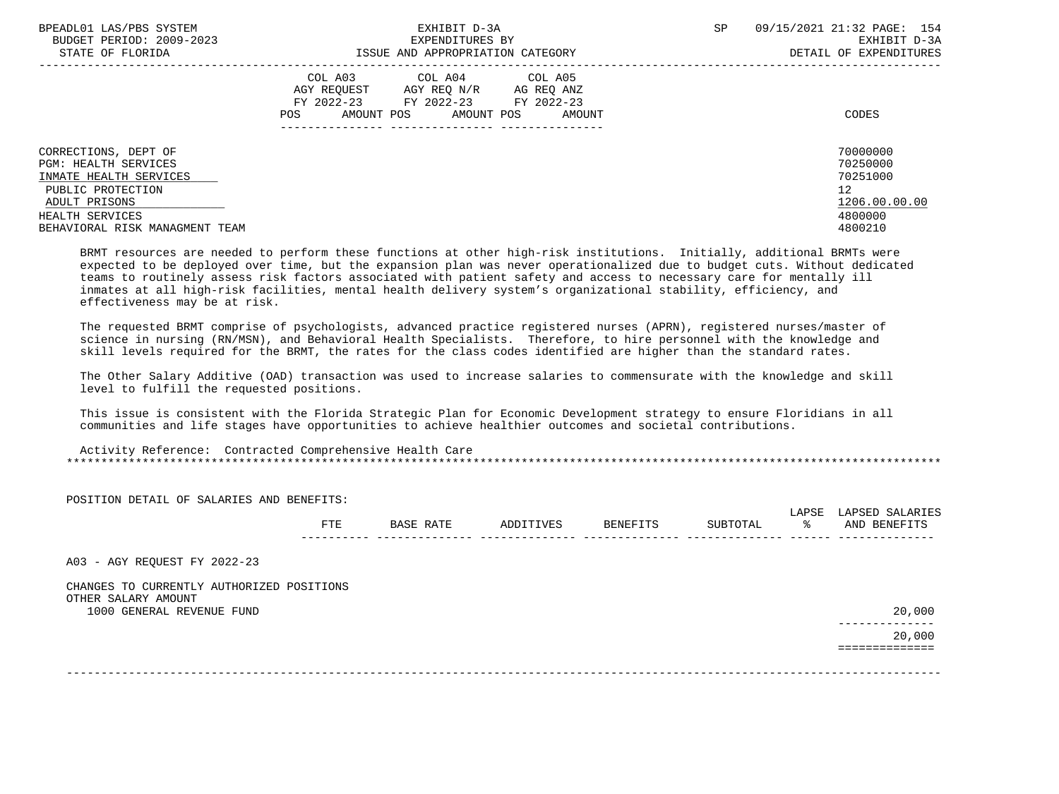| BPEADL01 LAS/PBS SYSTEM<br>BUDGET PERIOD: 2009-2023 | EXHIBIT D-3A<br>EXPENDITURES BY                                                                                                                      | SP | 09/15/2021 21:32 PAGE: 154<br>EXHIBIT D-3A |
|-----------------------------------------------------|------------------------------------------------------------------------------------------------------------------------------------------------------|----|--------------------------------------------|
| STATE OF FLORIDA                                    | ISSUE AND APPROPRIATION CATEGORY                                                                                                                     |    | DETAIL OF EXPENDITURES                     |
|                                                     | COL A03 COL A04 COL A05<br>AGY REOUEST<br>AGY REO N/R<br>AG REO ANZ<br>FY 2022-23 FY 2022-23<br>FY 2022-23<br>AMOUNT POS AMOUNT POS<br>POS<br>AMOUNT |    | CODES                                      |
| CORRECTIONS, DEPT OF                                |                                                                                                                                                      |    | 70000000                                   |
| <b>PGM: HEALTH SERVICES</b>                         |                                                                                                                                                      |    | 70250000                                   |
| INMATE HEALTH SERVICES                              |                                                                                                                                                      |    | 70251000                                   |
| PUBLIC PROTECTION                                   |                                                                                                                                                      |    | 12                                         |
| ADULT PRISONS                                       |                                                                                                                                                      |    | 1206.00.00.00                              |
| HEALTH SERVICES                                     |                                                                                                                                                      |    | 4800000                                    |
| BEHAVIORAL RISK MANAGMENT TEAM                      |                                                                                                                                                      |    | 4800210                                    |

 BRMT resources are needed to perform these functions at other high-risk institutions. Initially, additional BRMTs were expected to be deployed over time, but the expansion plan was never operationalized due to budget cuts. Without dedicated teams to routinely assess risk factors associated with patient safety and access to necessary care for mentally ill inmates at all high-risk facilities, mental health delivery system's organizational stability, efficiency, and effectiveness may be at risk.

 The requested BRMT comprise of psychologists, advanced practice registered nurses (APRN), registered nurses/master of science in nursing (RN/MSN), and Behavioral Health Specialists. Therefore, to hire personnel with the knowledge and skill levels required for the BRMT, the rates for the class codes identified are higher than the standard rates.

 The Other Salary Additive (OAD) transaction was used to increase salaries to commensurate with the knowledge and skill level to fulfill the requested positions.

 This issue is consistent with the Florida Strategic Plan for Economic Development strategy to ensure Floridians in all communities and life stages have opportunities to achieve healthier outcomes and societal contributions.

 Activity Reference: Contracted Comprehensive Health Care \*\*\*\*\*\*\*\*\*\*\*\*\*\*\*\*\*\*\*\*\*\*\*\*\*\*\*\*\*\*\*\*\*\*\*\*\*\*\*\*\*\*\*\*\*\*\*\*\*\*\*\*\*\*\*\*\*\*\*\*\*\*\*\*\*\*\*\*\*\*\*\*\*\*\*\*\*\*\*\*\*\*\*\*\*\*\*\*\*\*\*\*\*\*\*\*\*\*\*\*\*\*\*\*\*\*\*\*\*\*\*\*\*\*\*\*\*\*\*\*\*\*\*\*\*\*\*

| BASE RATE | ADDITIVES | BENEFITS | SUBTOTAL | LAPSE<br>ႜၟ | LAPSED SALARIES<br>AND BENEFITS |
|-----------|-----------|----------|----------|-------------|---------------------------------|
|           |           |          |          |             |                                 |
|           |           |          |          |             |                                 |
|           |           |          |          |             |                                 |
|           |           |          |          |             | 20,000                          |
|           |           |          |          |             | 20,000                          |
|           |           |          |          |             |                                 |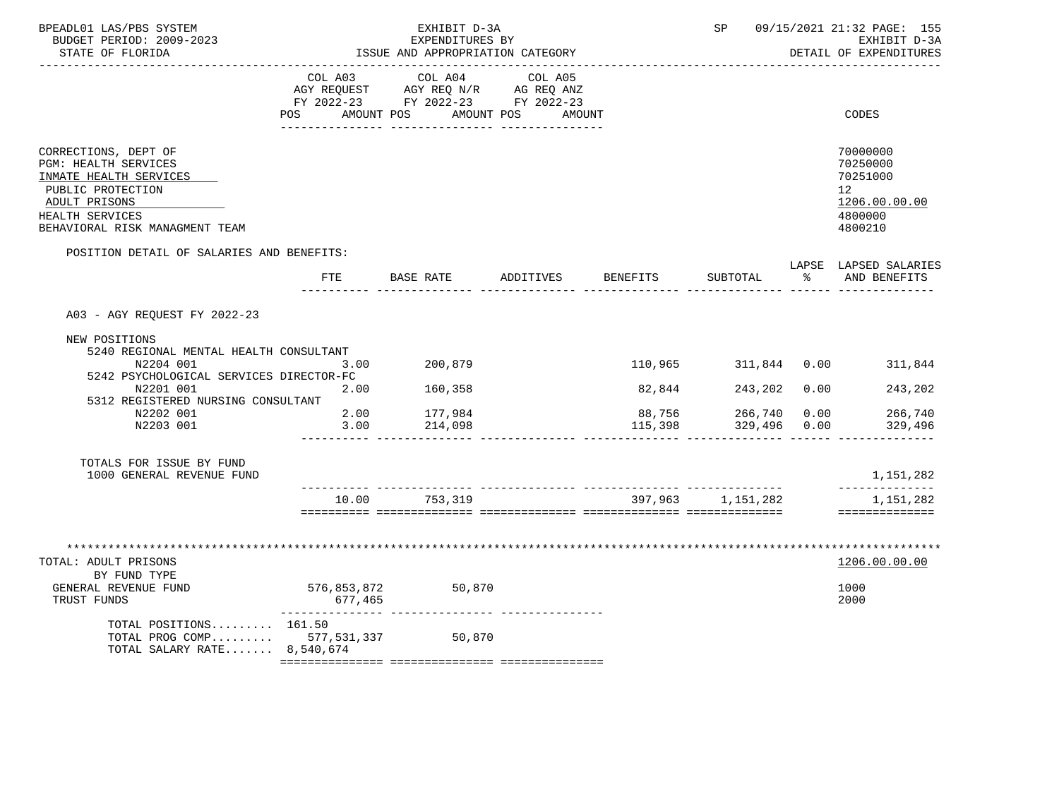| BPEADL01 LAS/PBS SYSTEM<br>BUDGET PERIOD: 2009-2023<br>STATE OF FLORIDA                                                                                                                                                      | EXHIBIT D-3A<br>EXPENDITURES BY<br>ISSUE AND APPROPRIATION CATEGORY |                                                                                                    |                                 | SP<br>09/15/2021 21:32 PAGE: 155<br>EXHIBIT D-3A<br>DETAIL OF EXPENDITURES |                                                                      |               |                                                                                            |
|------------------------------------------------------------------------------------------------------------------------------------------------------------------------------------------------------------------------------|---------------------------------------------------------------------|----------------------------------------------------------------------------------------------------|---------------------------------|----------------------------------------------------------------------------|----------------------------------------------------------------------|---------------|--------------------------------------------------------------------------------------------|
|                                                                                                                                                                                                                              | COL A03<br>AMOUNT POS<br>POS                                        | COL A04<br>AGY REQUEST AGY REQ N/R AG REQ ANZ<br>FY 2022-23 FY 2022-23 FY 2022-23<br>_____________ | COL A05<br>AMOUNT POS<br>AMOUNT |                                                                            |                                                                      |               | CODES                                                                                      |
| CORRECTIONS, DEPT OF<br><b>PGM: HEALTH SERVICES</b><br>INMATE HEALTH SERVICES<br>PUBLIC PROTECTION<br>ADULT PRISONS<br>HEALTH SERVICES<br>BEHAVIORAL RISK MANAGMENT TEAM                                                     |                                                                     |                                                                                                    |                                 |                                                                            |                                                                      |               | 70000000<br>70250000<br>70251000<br>12 <sup>°</sup><br>1206.00.00.00<br>4800000<br>4800210 |
| POSITION DETAIL OF SALARIES AND BENEFITS:                                                                                                                                                                                    | ETE                                                                 | BASE RATE                                                                                          | ADDITIVES                       | <b>BENEFITS</b>                                                            | SUBTOTAL                                                             | $\sim$ $\sim$ | LAPSE LAPSED SALARIES<br>AND BENEFITS                                                      |
| A03 - AGY REQUEST FY 2022-23<br>NEW POSITIONS<br>5240 REGIONAL MENTAL HEALTH CONSULTANT<br>N2204 001<br>5242 PSYCHOLOGICAL SERVICES DIRECTOR-FC<br>N2201 001<br>5312 REGISTERED NURSING CONSULTANT<br>N2202 001<br>N2203 001 | 3.00<br>2.00<br>2.00<br>3.00                                        | 200,879<br>160,358<br>177,984<br>214,098                                                           |                                 | 82,844<br>88,756<br>115,398                                                | 110,965 311,844 0.00<br>243,202 0.00<br>266,740 0.00<br>329,496 0.00 |               | 311,844<br>243,202<br>266,740<br>329,496                                                   |
| TOTALS FOR ISSUE BY FUND<br>1000 GENERAL REVENUE FUND                                                                                                                                                                        |                                                                     |                                                                                                    |                                 |                                                                            |                                                                      |               | 1,151,282<br>--------------                                                                |
|                                                                                                                                                                                                                              | 10.00                                                               | 753,319                                                                                            |                                 |                                                                            | 397,963 1,151,282                                                    |               | 1,151,282<br>==============                                                                |
| TOTAL: ADULT PRISONS<br>BY FUND TYPE<br>GENERAL REVENUE FUND<br>TRUST FUNDS<br>TOTAL POSITIONS 161.50<br>TOTAL PROG COMP 577,531,337<br>TOTAL SALARY RATE $8,540,674$                                                        | 576,853,872<br>677,465                                              | 50,870<br>50,870                                                                                   |                                 |                                                                            |                                                                      |               | 1206.00.00.00<br>1000<br>2000                                                              |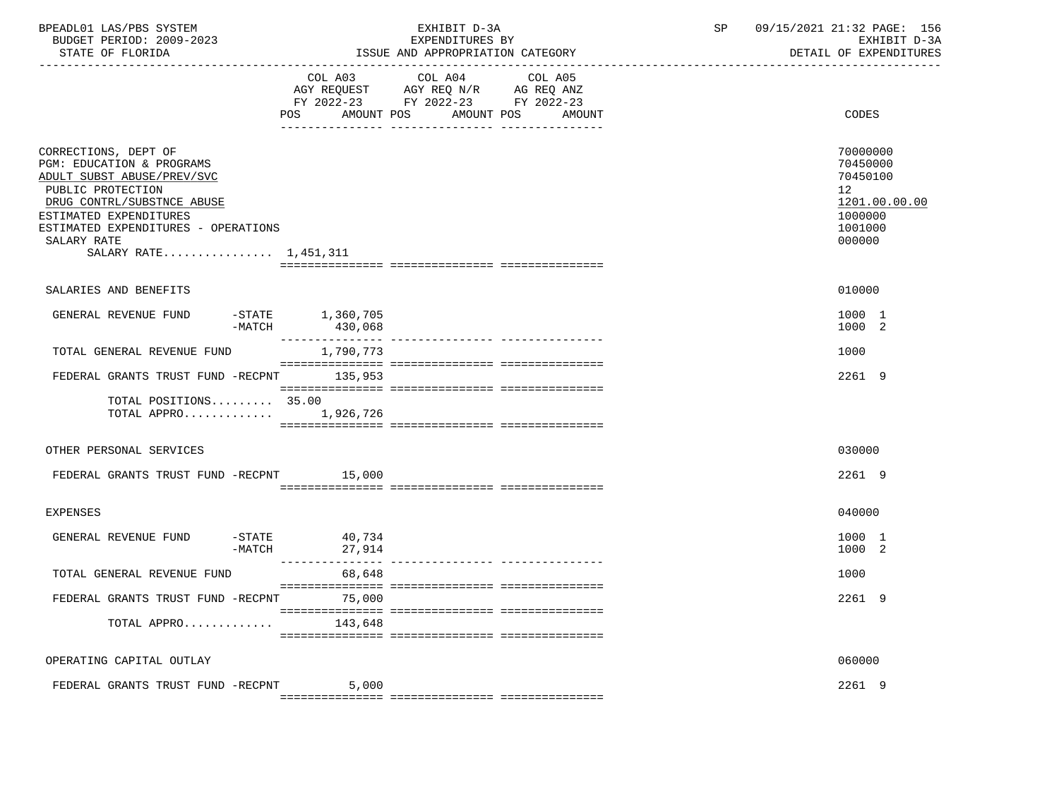| BPEADL01 LAS/PBS SYSTEM<br>BUDGET PERIOD: 2009-2023<br>STATE OF FLORIDA                                                                                                                                                                     |                                              | EXHIBIT D-3A<br>EXPENDITURES BY<br>ISSUE AND APPROPRIATION CATEGORY                                                                     | SP | 09/15/2021 21:32 PAGE: 156<br>EXHIBIT D-3A<br>DETAIL OF EXPENDITURES                    |
|---------------------------------------------------------------------------------------------------------------------------------------------------------------------------------------------------------------------------------------------|----------------------------------------------|-----------------------------------------------------------------------------------------------------------------------------------------|----|-----------------------------------------------------------------------------------------|
|                                                                                                                                                                                                                                             | POS                                          | COL A03 COL A04<br>COL A05<br>AGY REQUEST AGY REQ N/R AG REQ ANZ<br>FY 2022-23 FY 2022-23 FY 2022-23<br>AMOUNT POS AMOUNT POS<br>AMOUNT |    | CODES                                                                                   |
| CORRECTIONS, DEPT OF<br>PGM: EDUCATION & PROGRAMS<br>ADULT SUBST ABUSE/PREV/SVC<br>PUBLIC PROTECTION<br>DRUG CONTRL/SUBSTNCE ABUSE<br>ESTIMATED EXPENDITURES<br>ESTIMATED EXPENDITURES - OPERATIONS<br>SALARY RATE<br>SALARY RATE 1,451,311 |                                              |                                                                                                                                         |    | 70000000<br>70450000<br>70450100<br>12<br>1201.00.00.00<br>1000000<br>1001000<br>000000 |
| SALARIES AND BENEFITS                                                                                                                                                                                                                       |                                              |                                                                                                                                         |    | 010000                                                                                  |
| GENERAL REVENUE FUND                                                                                                                                                                                                                        | $-$ STATE $1,360,705$<br>$-MATCH$<br>430,068 |                                                                                                                                         |    | 1000 1<br>1000 2                                                                        |
| TOTAL GENERAL REVENUE FUND                                                                                                                                                                                                                  | 1,790,773                                    |                                                                                                                                         |    | 1000                                                                                    |
| FEDERAL GRANTS TRUST FUND -RECPNT 135,953                                                                                                                                                                                                   |                                              |                                                                                                                                         |    | 2261 9                                                                                  |
| TOTAL POSITIONS 35.00                                                                                                                                                                                                                       | TOTAL APPRO 1,926,726                        |                                                                                                                                         |    |                                                                                         |
| OTHER PERSONAL SERVICES                                                                                                                                                                                                                     |                                              |                                                                                                                                         |    | 030000                                                                                  |
| FEDERAL GRANTS TRUST FUND -RECPNT 15,000                                                                                                                                                                                                    |                                              |                                                                                                                                         |    | 2261 9                                                                                  |
| <b>EXPENSES</b>                                                                                                                                                                                                                             |                                              |                                                                                                                                         |    | 040000                                                                                  |
| GENERAL REVENUE FUND                                                                                                                                                                                                                        | $-$ STATE<br>40,734<br>$-MATCH$<br>27,914    |                                                                                                                                         |    | 1000 1<br>1000 2                                                                        |
| TOTAL GENERAL REVENUE FUND                                                                                                                                                                                                                  | 68,648                                       |                                                                                                                                         |    | 1000                                                                                    |
| FEDERAL GRANTS TRUST FUND -RECPNT                                                                                                                                                                                                           | 75,000                                       |                                                                                                                                         |    | 2261 9                                                                                  |
| TOTAL APPRO                                                                                                                                                                                                                                 | 143,648                                      |                                                                                                                                         |    |                                                                                         |
| OPERATING CAPITAL OUTLAY                                                                                                                                                                                                                    |                                              |                                                                                                                                         |    | 060000                                                                                  |
| FEDERAL GRANTS TRUST FUND -RECPNT                                                                                                                                                                                                           | 5,000                                        |                                                                                                                                         |    | 2261 9                                                                                  |
|                                                                                                                                                                                                                                             |                                              |                                                                                                                                         |    |                                                                                         |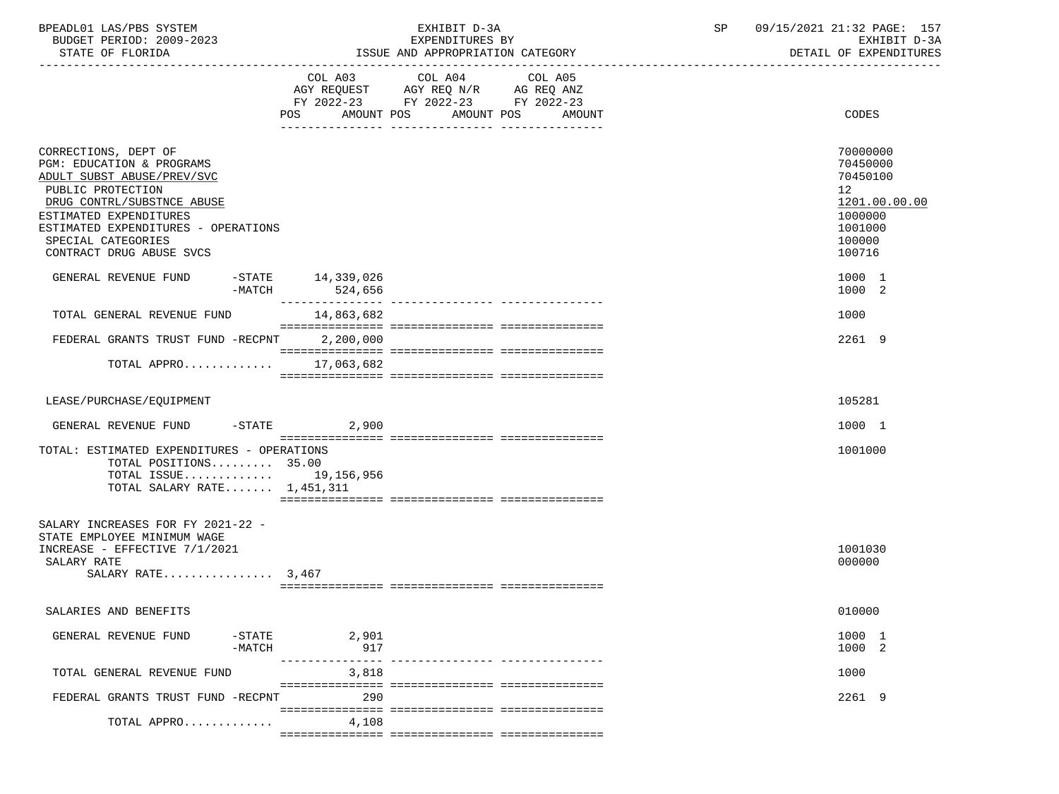| BPEADL01 LAS/PBS SYSTEM  | EXHIBIT D-3A                     | 09/15/2021 21:32 PAGE: 1 |
|--------------------------|----------------------------------|--------------------------|
| BUDGET PERIOD: 2009-2023 | EXPENDITURES BY                  | EXHIBIT D-3A             |
| STATE OF FLORIDA         | ISSUE AND APPROPRIATION CATEGORY | DETAIL OF EXPENDITURES   |

|                                                                                                                                                                                                                                                       | COL A03 COL A04 COL A05<br>AGY REQUEST AGY REQ N/R AG REQ ANZ<br>FY 2022-23 FY 2022-23 FY 2022-23<br>POS<br>AMOUNT POS |                                  | AMOUNT POS | AMOUNT | CODES                                                                                                          |
|-------------------------------------------------------------------------------------------------------------------------------------------------------------------------------------------------------------------------------------------------------|------------------------------------------------------------------------------------------------------------------------|----------------------------------|------------|--------|----------------------------------------------------------------------------------------------------------------|
| CORRECTIONS, DEPT OF<br>PGM: EDUCATION & PROGRAMS<br>ADULT SUBST ABUSE/PREV/SVC<br>PUBLIC PROTECTION<br>DRUG CONTRL/SUBSTNCE ABUSE<br>ESTIMATED EXPENDITURES<br>ESTIMATED EXPENDITURES - OPERATIONS<br>SPECIAL CATEGORIES<br>CONTRACT DRUG ABUSE SVCS |                                                                                                                        |                                  |            |        | 70000000<br>70450000<br>70450100<br>12 <sup>°</sup><br>1201.00.00.00<br>1000000<br>1001000<br>100000<br>100716 |
| GENERAL REVENUE FUND<br>-MATCH                                                                                                                                                                                                                        | $-$ STATE $14, 339, 026$<br>524,656                                                                                    |                                  |            |        | 1000 1<br>1000 2                                                                                               |
| TOTAL GENERAL REVENUE FUND                                                                                                                                                                                                                            | 14,863,682                                                                                                             |                                  |            |        | 1000                                                                                                           |
| FEDERAL GRANTS TRUST FUND -RECPNT 2,200,000                                                                                                                                                                                                           |                                                                                                                        |                                  |            |        | 2261 9                                                                                                         |
| TOTAL APPRO 17,063,682                                                                                                                                                                                                                                |                                                                                                                        |                                  |            |        |                                                                                                                |
|                                                                                                                                                                                                                                                       |                                                                                                                        |                                  |            |        |                                                                                                                |
| LEASE/PURCHASE/EOUIPMENT                                                                                                                                                                                                                              |                                                                                                                        |                                  |            |        | 105281                                                                                                         |
| GENERAL REVENUE FUND<br>-STATE                                                                                                                                                                                                                        | 2,900                                                                                                                  |                                  |            |        | 1000 1                                                                                                         |
| TOTAL: ESTIMATED EXPENDITURES - OPERATIONS<br>TOTAL POSITIONS 35.00<br>TOTAL ISSUE 19,156,956<br>TOTAL SALARY RATE $1,451,311$                                                                                                                        |                                                                                                                        |                                  |            |        | 1001000                                                                                                        |
| SALARY INCREASES FOR FY 2021-22 -<br>STATE EMPLOYEE MINIMUM WAGE<br>INCREASE - EFFECTIVE 7/1/2021<br>SALARY RATE<br>SALARY RATE $3,467$                                                                                                               |                                                                                                                        |                                  |            |        | 1001030<br>000000                                                                                              |
| SALARIES AND BENEFITS                                                                                                                                                                                                                                 |                                                                                                                        |                                  |            |        | 010000                                                                                                         |
| GENERAL REVENUE FUND<br>$-$ STATE<br>$-MATCH$                                                                                                                                                                                                         | 2,901<br>917<br>---------------                                                                                        | ________________________________ |            |        | 1000 1<br>1000 2                                                                                               |
| TOTAL GENERAL REVENUE FUND                                                                                                                                                                                                                            | 3,818                                                                                                                  |                                  |            |        | 1000                                                                                                           |
| FEDERAL GRANTS TRUST FUND -RECPNT                                                                                                                                                                                                                     | 290                                                                                                                    |                                  |            |        | 2261 9                                                                                                         |
| TOTAL APPRO                                                                                                                                                                                                                                           | 4,108                                                                                                                  |                                  |            |        |                                                                                                                |

=============== =============== ===============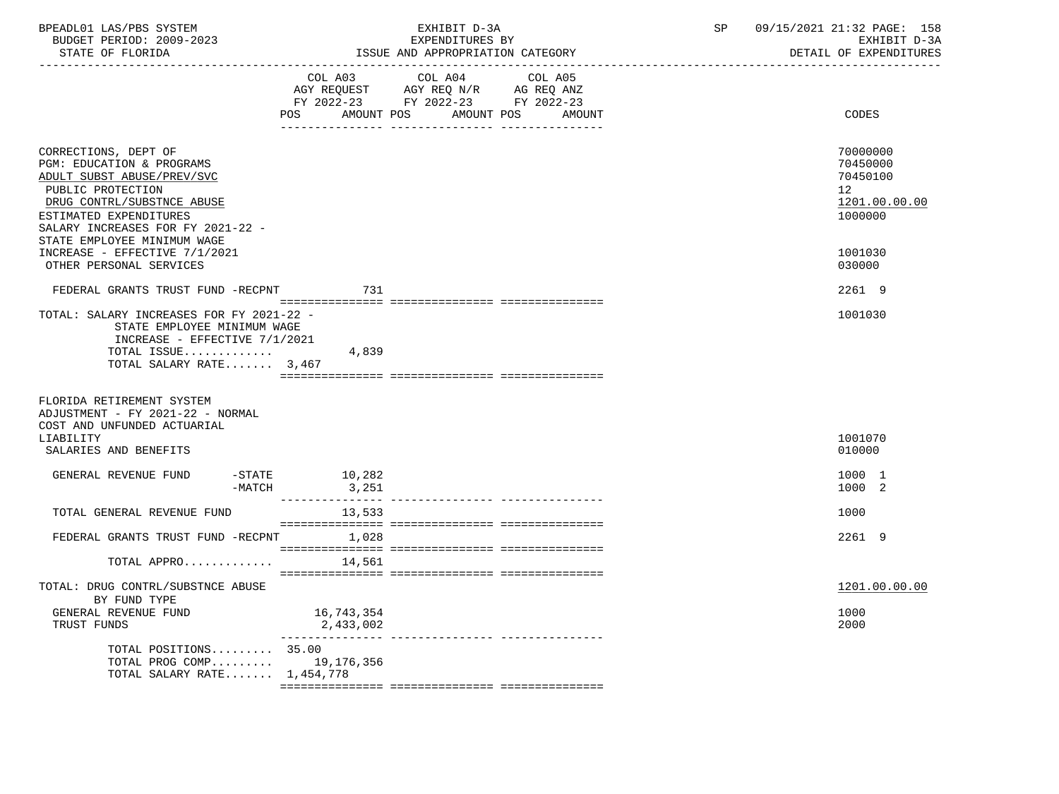| BPEADL01 LAS/PBS SYSTEM<br>BUDGET PERIOD: 2009-2023<br>STATE OF FLORIDA                                                                                                                                                                                           |                         | EXHIBIT D-3A<br>EXPENDITURES BY<br>ISSUE AND APPROPRIATION CATEGORY                                                                  | SP | 09/15/2021 21:32 PAGE: 158<br>EXHIBIT D-3A<br>DETAIL OF EXPENDITURES                       |
|-------------------------------------------------------------------------------------------------------------------------------------------------------------------------------------------------------------------------------------------------------------------|-------------------------|--------------------------------------------------------------------------------------------------------------------------------------|----|--------------------------------------------------------------------------------------------|
|                                                                                                                                                                                                                                                                   | POS                     | COL A03 COL A04 COL A05<br>AGY REQUEST AGY REQ N/R AG REQ ANZ<br>FY 2022-23 FY 2022-23 FY 2022-23<br>AMOUNT POS AMOUNT POS<br>AMOUNT |    | CODES                                                                                      |
| CORRECTIONS, DEPT OF<br>PGM: EDUCATION & PROGRAMS<br>ADULT SUBST ABUSE/PREV/SVC<br>PUBLIC PROTECTION<br>DRUG CONTRL/SUBSTNCE ABUSE<br>ESTIMATED EXPENDITURES<br>SALARY INCREASES FOR FY 2021-22 -<br>STATE EMPLOYEE MINIMUM WAGE<br>INCREASE - EFFECTIVE 7/1/2021 |                         |                                                                                                                                      |    | 70000000<br>70450000<br>70450100<br>12 <sub>1</sub><br>1201.00.00.00<br>1000000<br>1001030 |
| OTHER PERSONAL SERVICES                                                                                                                                                                                                                                           |                         |                                                                                                                                      |    | 030000                                                                                     |
| FEDERAL GRANTS TRUST FUND -RECPNT                                                                                                                                                                                                                                 | 731                     |                                                                                                                                      |    | 2261 9                                                                                     |
| TOTAL: SALARY INCREASES FOR FY 2021-22 -<br>STATE EMPLOYEE MINIMUM WAGE<br>INCREASE - EFFECTIVE $7/1/2021$<br>TOTAL ISSUE<br>TOTAL SALARY RATE 3.467<br>FLORIDA RETIREMENT SYSTEM<br>ADJUSTMENT - FY 2021-22 - NORMAL                                             | 4,839                   |                                                                                                                                      |    | 1001030                                                                                    |
| COST AND UNFUNDED ACTUARIAL<br>LIABILITY<br>SALARIES AND BENEFITS                                                                                                                                                                                                 |                         |                                                                                                                                      |    | 1001070<br>010000                                                                          |
| GENERAL REVENUE FUND<br>-STATE<br>$-MATCH$                                                                                                                                                                                                                        | 10,282<br>3,251         |                                                                                                                                      |    | 1000 1<br>1000 2                                                                           |
| TOTAL GENERAL REVENUE FUND                                                                                                                                                                                                                                        | 13,533                  |                                                                                                                                      |    | 1000                                                                                       |
| FEDERAL GRANTS TRUST FUND -RECPNT                                                                                                                                                                                                                                 | 1,028                   |                                                                                                                                      |    | 2261 9                                                                                     |
| TOTAL APPRO                                                                                                                                                                                                                                                       | 14,561                  |                                                                                                                                      |    |                                                                                            |
| TOTAL: DRUG CONTRL/SUBSTNCE ABUSE<br>BY FUND TYPE<br>GENERAL REVENUE FUND<br>TRUST FUNDS                                                                                                                                                                          | 16,743,354<br>2,433,002 |                                                                                                                                      |    | 1201.00.00.00<br>1000<br>2000                                                              |
| TOTAL POSITIONS 35.00<br>TOTAL PROG COMP<br>TOTAL SALARY RATE $1,454,778$                                                                                                                                                                                         | 19,176,356              |                                                                                                                                      |    |                                                                                            |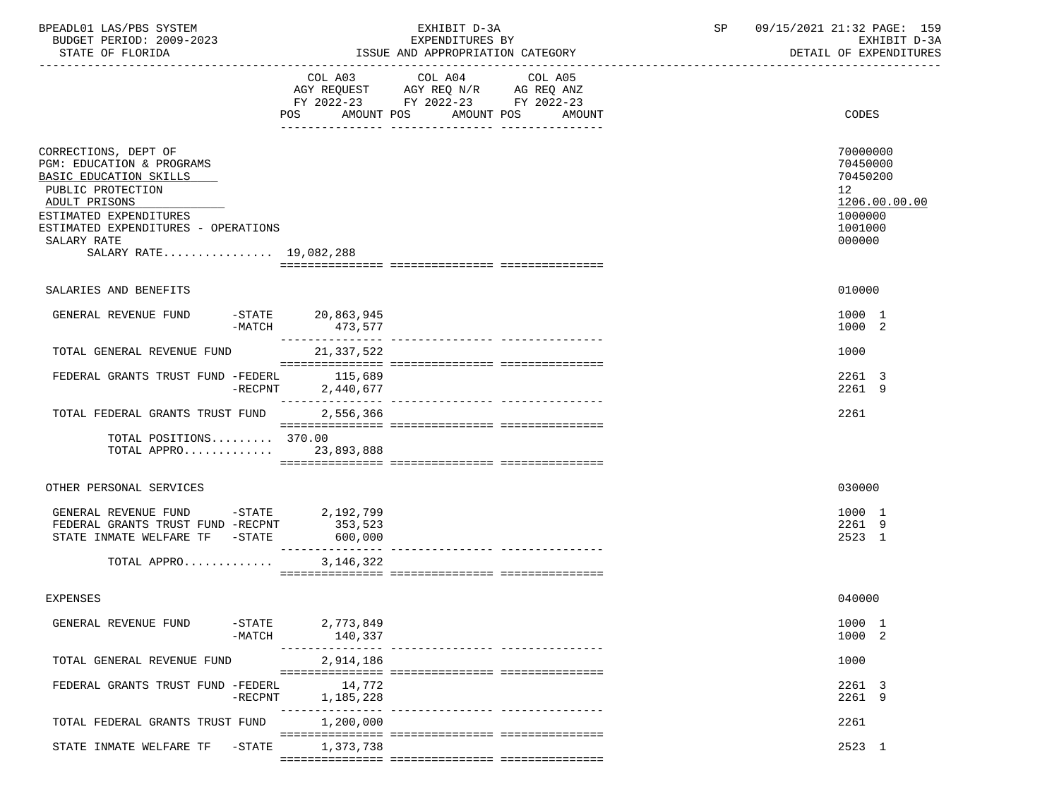| BPEADL01 LAS/PBS SYSTEM<br>BUDGET PERIOD: 2009-2023                                                                                                                                                                         |                                | EXHIBIT D-3A                                                                                                                 | SP | 09/15/2021 21:32 PAGE: 159                                                                           |
|-----------------------------------------------------------------------------------------------------------------------------------------------------------------------------------------------------------------------------|--------------------------------|------------------------------------------------------------------------------------------------------------------------------|----|------------------------------------------------------------------------------------------------------|
| STATE OF FLORIDA                                                                                                                                                                                                            |                                | EXPENDITURES BY<br>ISSUE AND APPROPRIATION CATEGORY                                                                          |    | EXHIBIT D-3A<br>DETAIL OF EXPENDITURES                                                               |
|                                                                                                                                                                                                                             | COL A03<br>POS                 | COL A04<br>COL A05<br>AGY REQUEST AGY REQ N/R AG REQ ANZ<br>FY 2022-23 FY 2022-23 FY 2022-23<br>AMOUNT POS AMOUNT POS AMOUNT |    | CODES                                                                                                |
| CORRECTIONS, DEPT OF<br>PGM: EDUCATION & PROGRAMS<br>BASIC EDUCATION SKILLS<br>PUBLIC PROTECTION<br>ADULT PRISONS<br>ESTIMATED EXPENDITURES<br>ESTIMATED EXPENDITURES - OPERATIONS<br>SALARY RATE<br>SALARY RATE 19,082,288 |                                |                                                                                                                              |    | 70000000<br>70450000<br>70450200<br>12 <sup>°</sup><br>1206.00.00.00<br>1000000<br>1001000<br>000000 |
| SALARIES AND BENEFITS                                                                                                                                                                                                       |                                |                                                                                                                              |    | 010000                                                                                               |
| GENERAL REVENUE FUND<br>-MATCH                                                                                                                                                                                              | $-STATE$ 20,863,945<br>473,577 |                                                                                                                              |    | 1000 1<br>1000 2                                                                                     |
| TOTAL GENERAL REVENUE FUND                                                                                                                                                                                                  | 21,337,522                     |                                                                                                                              |    | 1000                                                                                                 |
| FEDERAL GRANTS TRUST FUND -FEDERL 115,689<br>-RECPNT                                                                                                                                                                        | 2,440,677                      |                                                                                                                              |    | 2261 3<br>2261 9                                                                                     |
| TOTAL FEDERAL GRANTS TRUST FUND                                                                                                                                                                                             | 2,556,366                      |                                                                                                                              |    | 2261                                                                                                 |
| TOTAL POSITIONS 370.00<br>TOTAL APPRO 23,893,888                                                                                                                                                                            |                                |                                                                                                                              |    |                                                                                                      |
| OTHER PERSONAL SERVICES                                                                                                                                                                                                     |                                |                                                                                                                              |    | 030000                                                                                               |
| GENERAL REVENUE FUND -STATE 2,192,799<br>FEDERAL GRANTS TRUST FUND -RECPNT<br>STATE INMATE WELFARE TF - STATE                                                                                                               | 353,523<br>600,000             |                                                                                                                              |    | 1000 1<br>2261 9<br>2523 1                                                                           |
| TOTAL APPRO                                                                                                                                                                                                                 | 3,146,322                      |                                                                                                                              |    |                                                                                                      |
| EXPENSES                                                                                                                                                                                                                    |                                |                                                                                                                              |    | 040000                                                                                               |
| $-$ STATE<br>GENERAL REVENUE FUND<br>$-MATCH$                                                                                                                                                                               | 2,773,849<br>140,337           |                                                                                                                              |    | 1000 1<br>1000 2                                                                                     |
| TOTAL GENERAL REVENUE FUND                                                                                                                                                                                                  | 2,914,186                      |                                                                                                                              |    | 1000                                                                                                 |
| FEDERAL GRANTS TRUST FUND -FEDERL<br>-RECPNT                                                                                                                                                                                | 14,772<br>1,185,228            |                                                                                                                              |    | 2261 3<br>2261 9                                                                                     |
| TOTAL FEDERAL GRANTS TRUST FUND                                                                                                                                                                                             | 1,200,000                      |                                                                                                                              |    | 2261                                                                                                 |
| $-$ STATE<br>STATE INMATE WELFARE TF                                                                                                                                                                                        | 1,373,738                      |                                                                                                                              |    | 2523 1                                                                                               |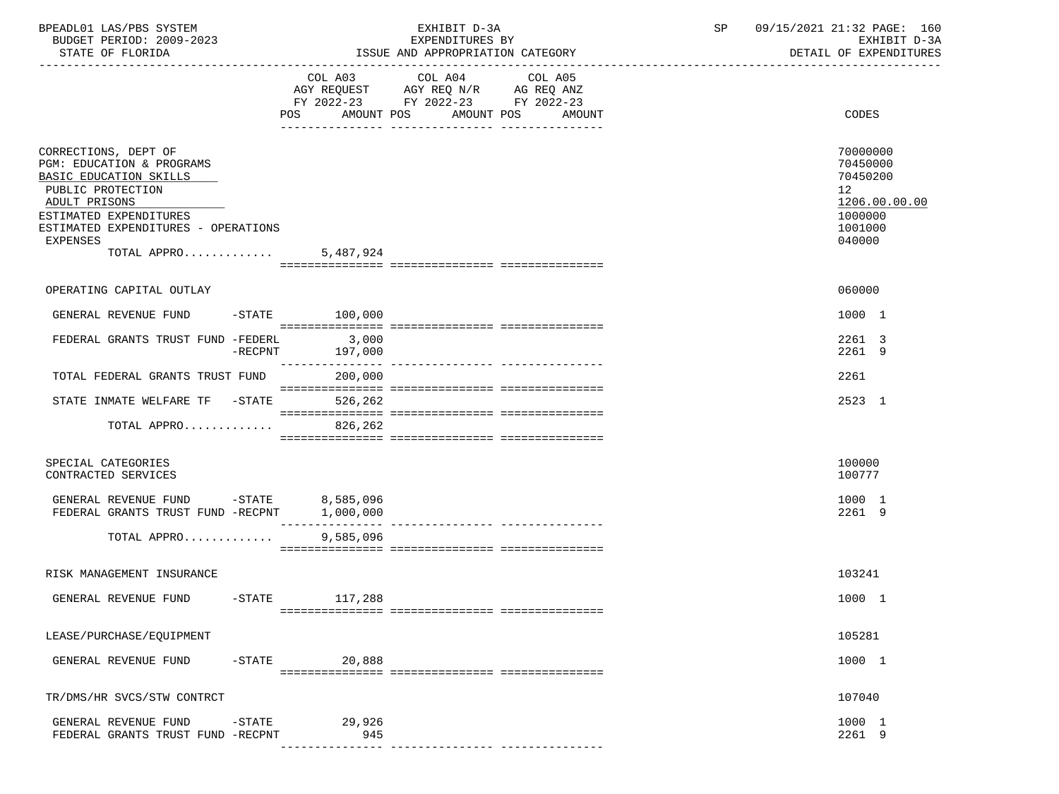| BPEADL01 LAS/PBS SYSTEM<br>BUDGET PERIOD: 2009-2023                                                                                                                                                                     |                                  | EXHIBIT D-3A<br>EXPENDITURES BY                                                           | SP      | 09/15/2021 21:32 PAGE: 160<br>EXHIBIT D-3A |                                                                                                      |
|-------------------------------------------------------------------------------------------------------------------------------------------------------------------------------------------------------------------------|----------------------------------|-------------------------------------------------------------------------------------------|---------|--------------------------------------------|------------------------------------------------------------------------------------------------------|
| STATE OF FLORIDA                                                                                                                                                                                                        |                                  | ISSUE AND APPROPRIATION CATEGORY                                                          |         |                                            | DETAIL OF EXPENDITURES                                                                               |
|                                                                                                                                                                                                                         | POS AMOUNT POS AMOUNT POS AMOUNT | COL A03 COL A04<br>AGY REQUEST AGY REQ N/R AG REQ ANZ<br>FY 2022-23 FY 2022-23 FY 2022-23 | COL A05 |                                            | CODES                                                                                                |
| CORRECTIONS, DEPT OF<br>PGM: EDUCATION & PROGRAMS<br>BASIC EDUCATION SKILLS<br>PUBLIC PROTECTION<br>ADULT PRISONS<br>ESTIMATED EXPENDITURES<br>ESTIMATED EXPENDITURES - OPERATIONS<br>EXPENSES<br>TOTAL APPRO 5,487,924 |                                  |                                                                                           |         |                                            | 70000000<br>70450000<br>70450200<br>12 <sup>°</sup><br>1206.00.00.00<br>1000000<br>1001000<br>040000 |
|                                                                                                                                                                                                                         |                                  |                                                                                           |         |                                            |                                                                                                      |
| OPERATING CAPITAL OUTLAY                                                                                                                                                                                                |                                  |                                                                                           |         |                                            | 060000                                                                                               |
| GENERAL REVENUE FUND -STATE 100,000                                                                                                                                                                                     |                                  |                                                                                           |         |                                            | 1000 1                                                                                               |
| FEDERAL GRANTS TRUST FUND -FEDERL 3,000<br>$-{\rm RECPNT}$                                                                                                                                                              | 197,000                          |                                                                                           |         |                                            | 2261 3<br>2261 9                                                                                     |
| TOTAL FEDERAL GRANTS TRUST FUND 200,000                                                                                                                                                                                 |                                  |                                                                                           |         |                                            | 2261                                                                                                 |
| STATE INMATE WELFARE TF - STATE                                                                                                                                                                                         | 526,262                          |                                                                                           |         |                                            | 2523 1                                                                                               |
| TOTAL APPRO                                                                                                                                                                                                             | 826,262                          |                                                                                           |         |                                            |                                                                                                      |
| SPECIAL CATEGORIES<br>CONTRACTED SERVICES                                                                                                                                                                               |                                  |                                                                                           |         |                                            | 100000<br>100777                                                                                     |
| GENERAL REVENUE FUND $-$ STATE 8,585,096<br>FEDERAL GRANTS TRUST FUND -RECPNT 1,000,000                                                                                                                                 |                                  |                                                                                           |         |                                            | 1000 1<br>2261 9                                                                                     |
| TOTAL APPRO                                                                                                                                                                                                             | 9,585,096                        |                                                                                           |         |                                            |                                                                                                      |
|                                                                                                                                                                                                                         |                                  |                                                                                           |         |                                            |                                                                                                      |
| RISK MANAGEMENT INSURANCE                                                                                                                                                                                               |                                  |                                                                                           |         |                                            | 103241                                                                                               |
| GENERAL REVENUE FUND<br>$-STATE$                                                                                                                                                                                        | 117,288                          |                                                                                           |         |                                            | 1000 1                                                                                               |
| LEASE/PURCHASE/EQUIPMENT                                                                                                                                                                                                |                                  |                                                                                           |         |                                            | 105281                                                                                               |
| GENERAL REVENUE FUND<br>$-$ STATE                                                                                                                                                                                       | 20,888                           |                                                                                           |         |                                            | 1000 1                                                                                               |
| TR/DMS/HR SVCS/STW CONTRCT                                                                                                                                                                                              |                                  |                                                                                           |         |                                            | 107040                                                                                               |
| GENERAL REVENUE FUND<br>$-$ STATE<br>FEDERAL GRANTS TRUST FUND -RECPNT                                                                                                                                                  | 29,926<br>945                    |                                                                                           |         |                                            | 1000 1<br>2261 9                                                                                     |
|                                                                                                                                                                                                                         |                                  |                                                                                           |         |                                            |                                                                                                      |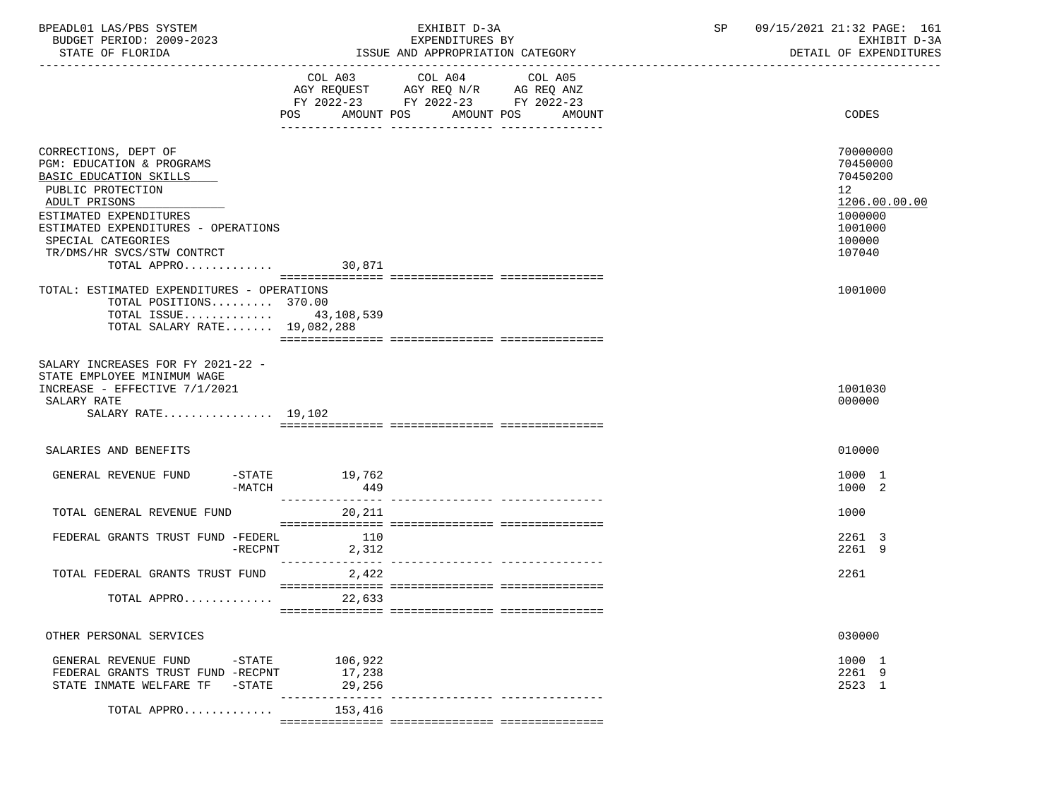| BPEADL01 LAS/PBS SYSTEM |                          |
|-------------------------|--------------------------|
|                         | BUDGET PERIOD: 2009-2023 |

|                                                                                                                                                                                                                                                                | COL A03<br>AGY REQUEST AGY REQ N/R AG REQ ANZ<br>FY 2022-23 FY 2022-23 FY 2022-23<br>AMOUNT POS<br><b>POS</b>                                                                                                                                                                                                                                                                                                                                                            | COL A04 | COL A05<br>AMOUNT POS AMOUNT | CODES                                                                                                          |
|----------------------------------------------------------------------------------------------------------------------------------------------------------------------------------------------------------------------------------------------------------------|--------------------------------------------------------------------------------------------------------------------------------------------------------------------------------------------------------------------------------------------------------------------------------------------------------------------------------------------------------------------------------------------------------------------------------------------------------------------------|---------|------------------------------|----------------------------------------------------------------------------------------------------------------|
| CORRECTIONS, DEPT OF<br>PGM: EDUCATION & PROGRAMS<br>BASIC EDUCATION SKILLS<br>PUBLIC PROTECTION<br>ADULT PRISONS<br>ESTIMATED EXPENDITURES<br>ESTIMATED EXPENDITURES - OPERATIONS<br>SPECIAL CATEGORIES<br>TR/DMS/HR SVCS/STW CONTRCT<br>TOTAL APPRO $30,871$ |                                                                                                                                                                                                                                                                                                                                                                                                                                                                          |         |                              | 70000000<br>70450000<br>70450200<br>12 <sup>°</sup><br>1206.00.00.00<br>1000000<br>1001000<br>100000<br>107040 |
| TOTAL: ESTIMATED EXPENDITURES - OPERATIONS<br>TOTAL POSITIONS 370.00<br>TOTAL ISSUE 43, 108, 539<br>TOTAL SALARY RATE 19,082,288                                                                                                                               |                                                                                                                                                                                                                                                                                                                                                                                                                                                                          |         |                              | 1001000                                                                                                        |
| SALARY INCREASES FOR FY 2021-22 -<br>STATE EMPLOYEE MINIMUM WAGE<br>INCREASE - EFFECTIVE 7/1/2021<br>SALARY RATE<br>SALARY RATE 19,102                                                                                                                         |                                                                                                                                                                                                                                                                                                                                                                                                                                                                          |         |                              | 1001030<br>000000                                                                                              |
| SALARIES AND BENEFITS                                                                                                                                                                                                                                          |                                                                                                                                                                                                                                                                                                                                                                                                                                                                          |         |                              | 010000                                                                                                         |
| GENERAL REVENUE FUND<br>-MATCH                                                                                                                                                                                                                                 | $-STATE$ 19,762<br>449<br>________________                                                                                                                                                                                                                                                                                                                                                                                                                               |         |                              | 1000 1<br>1000 2                                                                                               |
| TOTAL GENERAL REVENUE FUND                                                                                                                                                                                                                                     | 20,211                                                                                                                                                                                                                                                                                                                                                                                                                                                                   |         |                              | 1000                                                                                                           |
| FEDERAL GRANTS TRUST FUND -FEDERL<br>-RECPNT                                                                                                                                                                                                                   | 110<br>2,312                                                                                                                                                                                                                                                                                                                                                                                                                                                             |         |                              | 2261 3<br>2261 9                                                                                               |
| TOTAL FEDERAL GRANTS TRUST FUND                                                                                                                                                                                                                                | 2,422<br>$\begin{minipage}{0.03\textwidth} \begin{tabular}{l} \textbf{0.04\textwidth} \textbf{0.04\textwidth} \textbf{0.04\textwidth} \textbf{0.04\textwidth} \textbf{0.04\textwidth} \textbf{0.04\textwidth} \textbf{0.04\textwidth} \textbf{0.04\textwidth} \textbf{0.04\textwidth} \textbf{0.04\textwidth} \textbf{0.04\textwidth} \textbf{0.04\textwidth} \textbf{0.04\textwidth} \textbf{0.04\textwidth} \textbf{0.04\textwidth} \textbf{0.04\textwidth} \textbf{0$ |         |                              | 2261                                                                                                           |
| TOTAL APPRO                                                                                                                                                                                                                                                    | 22,633                                                                                                                                                                                                                                                                                                                                                                                                                                                                   |         |                              |                                                                                                                |
| OTHER PERSONAL SERVICES                                                                                                                                                                                                                                        |                                                                                                                                                                                                                                                                                                                                                                                                                                                                          |         |                              | 030000                                                                                                         |
| GENERAL REVENUE FUND -STATE<br>FEDERAL GRANTS TRUST FUND -RECPNT<br>STATE INMATE WELFARE TF - STATE                                                                                                                                                            | 106,922<br>17,238<br>29,256                                                                                                                                                                                                                                                                                                                                                                                                                                              |         |                              | 1000 1<br>2261 9<br>2523 1                                                                                     |
| TOTAL APPRO                                                                                                                                                                                                                                                    | ---------------- ----------------<br>153,416                                                                                                                                                                                                                                                                                                                                                                                                                             |         |                              |                                                                                                                |

ISSUE AND APPROPRIATION CATEGORY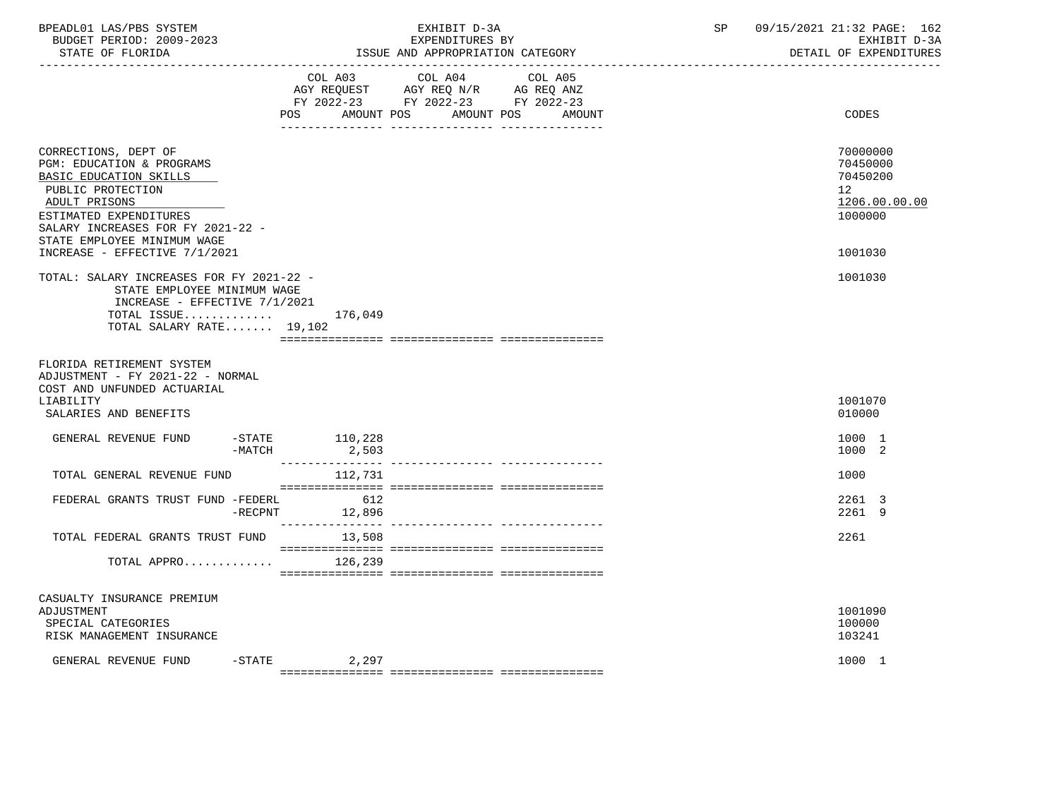| BPEADL01 LAS/PBS SYSTEM<br>BUDGET PERIOD: 2009-2023<br>STATE OF FLORIDA                                                                                                                                                                          |            |                           | EXHIBIT D-3A<br>EXPENDITURES BY<br>ISSUE AND APPROPRIATION CATEGORY                                                        |        | SP | 09/15/2021 21:32 PAGE: 162<br>EXHIBIT D-3A<br>DETAIL OF EXPENDITURES          |
|--------------------------------------------------------------------------------------------------------------------------------------------------------------------------------------------------------------------------------------------------|------------|---------------------------|----------------------------------------------------------------------------------------------------------------------------|--------|----|-------------------------------------------------------------------------------|
|                                                                                                                                                                                                                                                  | <b>POS</b> |                           | COL A03 COL A04 COL A05<br>AGY REQUEST AGY REQ N/R AG REQ ANZ<br>FY 2022-23 FY 2022-23 FY 2022-23<br>AMOUNT POS AMOUNT POS | AMOUNT |    | CODES                                                                         |
| CORRECTIONS, DEPT OF<br>PGM: EDUCATION & PROGRAMS<br>BASIC EDUCATION SKILLS<br>PUBLIC PROTECTION<br>ADULT PRISONS<br>ESTIMATED EXPENDITURES<br>SALARY INCREASES FOR FY 2021-22 -<br>STATE EMPLOYEE MINIMUM WAGE<br>INCREASE - EFFECTIVE 7/1/2021 |            |                           |                                                                                                                            |        |    | 70000000<br>70450000<br>70450200<br>12<br>1206.00.00.00<br>1000000<br>1001030 |
| TOTAL: SALARY INCREASES FOR FY 2021-22 -<br>STATE EMPLOYEE MINIMUM WAGE<br>INCREASE - EFFECTIVE 7/1/2021<br>TOTAL ISSUE<br>TOTAL SALARY RATE 19,102                                                                                              |            | 176,049                   |                                                                                                                            |        |    | 1001030                                                                       |
| FLORIDA RETIREMENT SYSTEM<br>ADJUSTMENT - FY 2021-22 - NORMAL<br>COST AND UNFUNDED ACTUARIAL<br>LIABILITY<br>SALARIES AND BENEFITS                                                                                                               |            |                           |                                                                                                                            |        |    | 1001070<br>010000                                                             |
| GENERAL REVENUE FUND                                                                                                                                                                                                                             | $-MATCH$   | $-STATE$ 110,228<br>2,503 |                                                                                                                            |        |    | 1000 1<br>1000 2                                                              |
| TOTAL GENERAL REVENUE FUND                                                                                                                                                                                                                       |            | 112,731                   |                                                                                                                            |        |    | 1000                                                                          |
| FEDERAL GRANTS TRUST FUND -FEDERL                                                                                                                                                                                                                | $-RECPNT$  | 612<br>12,896             |                                                                                                                            |        |    | 2261 3<br>2261 9                                                              |
| TOTAL FEDERAL GRANTS TRUST FUND                                                                                                                                                                                                                  |            | 13,508                    |                                                                                                                            |        |    | 2261                                                                          |
| TOTAL APPRO                                                                                                                                                                                                                                      |            | 126,239                   |                                                                                                                            |        |    |                                                                               |
| CASUALTY INSURANCE PREMIUM<br>ADJUSTMENT<br>SPECIAL CATEGORIES<br>RISK MANAGEMENT INSURANCE                                                                                                                                                      |            |                           |                                                                                                                            |        |    | 1001090<br>100000<br>103241                                                   |
| GENERAL REVENUE FUND -STATE                                                                                                                                                                                                                      |            | 2,297                     |                                                                                                                            |        |    | 1000 1                                                                        |

=============== =============== ===============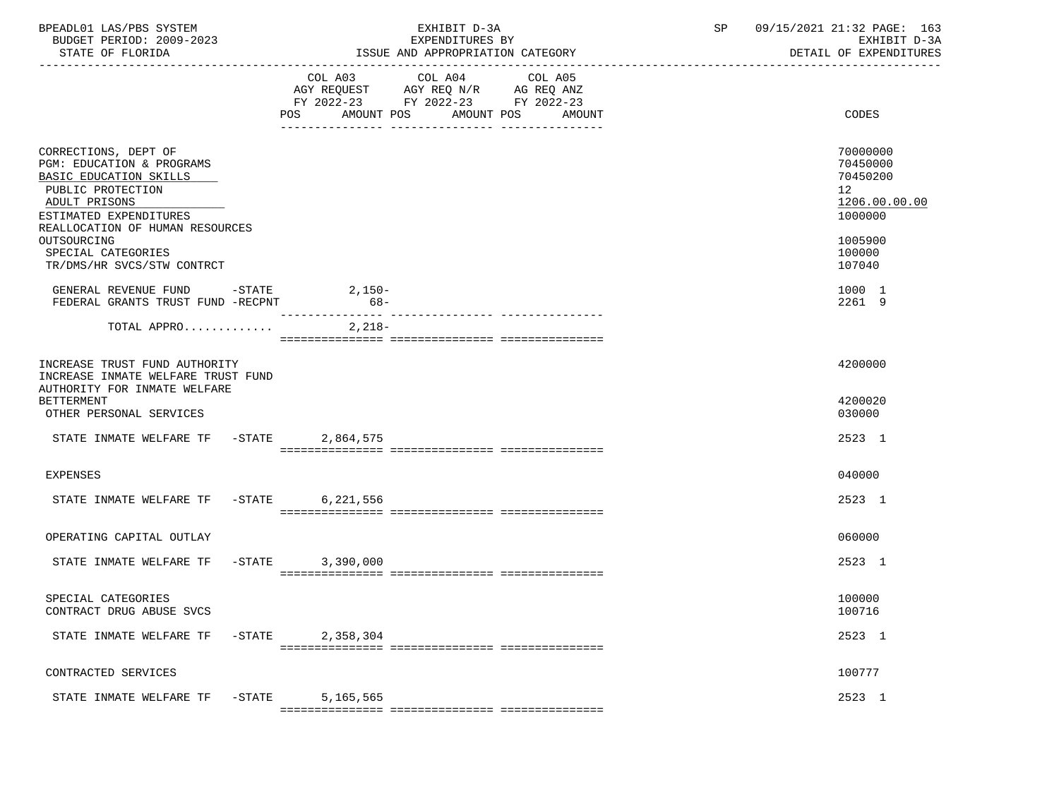| BPEADL01 LAS/PBS SYSTEM<br>BUDGET PERIOD: 2009-2023<br>STATE OF FLORIDA                                                                                                                                             |           |           | EXHIBIT D-3A<br>EXPENDITURES BY<br>ISSUE AND APPROPRIATION CATEGORY                                                           | SP 09/15/2021 21:32 PAGE: 163<br>EXHIBIT D-3A<br>DETAIL OF EXPENDITURES                                         |
|---------------------------------------------------------------------------------------------------------------------------------------------------------------------------------------------------------------------|-----------|-----------|-------------------------------------------------------------------------------------------------------------------------------|-----------------------------------------------------------------------------------------------------------------|
|                                                                                                                                                                                                                     |           | COL A03   | COL A04 COL A05<br>AGY REQUEST AGY REQ N/R AG REQ ANZ<br>FY 2022-23 FY 2022-23 FY 2022-23<br>POS AMOUNT POS AMOUNT POS AMOUNT | CODES                                                                                                           |
| CORRECTIONS, DEPT OF<br>PGM: EDUCATION & PROGRAMS<br>BASIC EDUCATION SKILLS<br>PUBLIC PROTECTION<br>ADULT PRISONS<br>ESTIMATED EXPENDITURES<br>REALLOCATION OF HUMAN RESOURCES<br>OUTSOURCING<br>SPECIAL CATEGORIES |           |           |                                                                                                                               | 70000000<br>70450000<br>70450200<br>12 <sup>12</sup><br>1206.00.00.00<br>1000000<br>1005900<br>100000<br>107040 |
| TR/DMS/HR SVCS/STW CONTRCT<br>GENERAL REVENUE FUND -STATE 2,150-<br>FEDERAL GRANTS TRUST FUND -RECPNT                                                                                                               |           | $68-$     |                                                                                                                               | 1000 1<br>2261 9                                                                                                |
| TOTAL APPRO                                                                                                                                                                                                         |           | $2,218-$  |                                                                                                                               |                                                                                                                 |
| INCREASE TRUST FUND AUTHORITY<br>INCREASE INMATE WELFARE TRUST FUND<br>AUTHORITY FOR INMATE WELFARE<br><b>BETTERMENT</b><br>OTHER PERSONAL SERVICES                                                                 |           |           |                                                                                                                               | 4200000<br>4200020<br>030000                                                                                    |
| STATE INMATE WELFARE TF -STATE 2,864,575                                                                                                                                                                            |           |           |                                                                                                                               | 2523 1                                                                                                          |
| EXPENSES                                                                                                                                                                                                            |           |           |                                                                                                                               | 040000                                                                                                          |
| STATE INMATE WELFARE TF -STATE 6,221,556                                                                                                                                                                            |           |           |                                                                                                                               | 2523 1                                                                                                          |
| OPERATING CAPITAL OUTLAY                                                                                                                                                                                            |           |           |                                                                                                                               | 060000                                                                                                          |
| STATE INMATE WELFARE TF -STATE 3,390,000                                                                                                                                                                            |           |           |                                                                                                                               | 2523 1                                                                                                          |
| SPECIAL CATEGORIES<br>CONTRACT DRUG ABUSE SVCS                                                                                                                                                                      |           |           |                                                                                                                               | 100000<br>100716                                                                                                |
| STATE INMATE WELFARE TF                                                                                                                                                                                             | $-$ STATE | 2,358,304 |                                                                                                                               | 2523 1                                                                                                          |
| CONTRACTED SERVICES                                                                                                                                                                                                 |           |           |                                                                                                                               | 100777                                                                                                          |
| STATE INMATE WELFARE TF                                                                                                                                                                                             | $-$ STATE | 5,165,565 |                                                                                                                               | 2523 1                                                                                                          |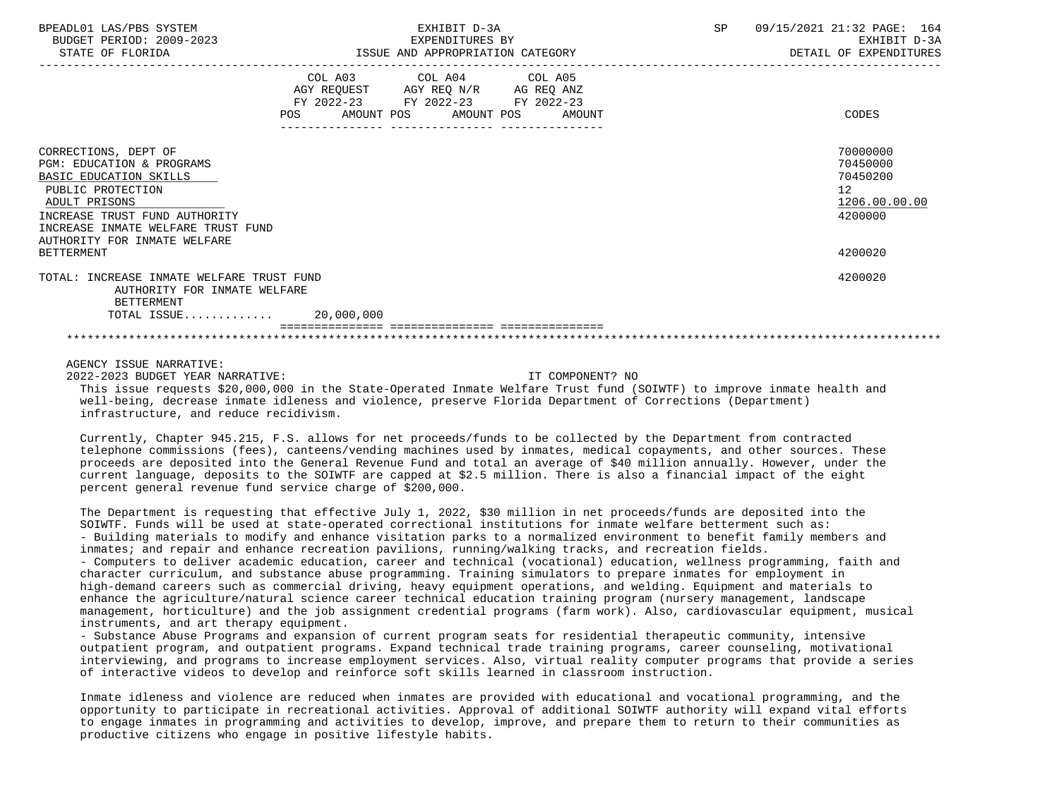| BPEADL01 LAS/PBS SYSTEM<br>BUDGET PERIOD: 2009-2023<br>STATE OF FLORIDA                                                                                                                                                  | ISSUE AND APPROPRIATION CATEGORY                                                                                                        | EXHIBIT D-3A<br>EXPENDITURES BY | SP<br>09/15/2021 21:32 PAGE: 164<br>EXHIBIT D-3A<br>DETAIL OF EXPENDITURES |                                                                                  |
|--------------------------------------------------------------------------------------------------------------------------------------------------------------------------------------------------------------------------|-----------------------------------------------------------------------------------------------------------------------------------------|---------------------------------|----------------------------------------------------------------------------|----------------------------------------------------------------------------------|
|                                                                                                                                                                                                                          | COL A03 COL A04 COL A05<br>AGY REQUEST AGY REQ $N/R$ AG REQ ANZ<br>FY 2022-23 FY 2022-23 FY 2022-23<br>POS AMOUNT POS AMOUNT POS AMOUNT |                                 |                                                                            | CODES                                                                            |
| CORRECTIONS, DEPT OF<br>PGM: EDUCATION & PROGRAMS<br>BASIC EDUCATION SKILLS<br>PUBLIC PROTECTION<br>ADULT PRISONS<br>INCREASE TRUST FUND AUTHORITY<br>INCREASE INMATE WELFARE TRUST FUND<br>AUTHORITY FOR INMATE WELFARE |                                                                                                                                         |                                 |                                                                            | 70000000<br>70450000<br>70450200<br>12 <sup>12</sup><br>1206.00.00.00<br>4200000 |
| <b>BETTERMENT</b>                                                                                                                                                                                                        |                                                                                                                                         |                                 |                                                                            | 4200020                                                                          |
| TOTAL: INCREASE INMATE WELFARE TRUST FUND<br>AUTHORITY FOR INMATE WELFARE<br>BETTERMENT                                                                                                                                  |                                                                                                                                         |                                 |                                                                            | 4200020                                                                          |
| TOTAL ISSUE 20,000,000                                                                                                                                                                                                   |                                                                                                                                         |                                 |                                                                            |                                                                                  |
|                                                                                                                                                                                                                          |                                                                                                                                         |                                 |                                                                            |                                                                                  |

## AGENCY ISSUE NARRATIVE:

2022-2023 BUDGET YEAR NARRATIVE: IT COMPONENT? NO

 This issue requests \$20,000,000 in the State-Operated Inmate Welfare Trust fund (SOIWTF) to improve inmate health and well-being, decrease inmate idleness and violence, preserve Florida Department of Corrections (Department) infrastructure, and reduce recidivism.

 Currently, Chapter 945.215, F.S. allows for net proceeds/funds to be collected by the Department from contracted telephone commissions (fees), canteens/vending machines used by inmates, medical copayments, and other sources. These proceeds are deposited into the General Revenue Fund and total an average of \$40 million annually. However, under the current language, deposits to the SOIWTF are capped at \$2.5 million. There is also a financial impact of the eight percent general revenue fund service charge of \$200,000.

 The Department is requesting that effective July 1, 2022, \$30 million in net proceeds/funds are deposited into the SOIWTF. Funds will be used at state-operated correctional institutions for inmate welfare betterment such as: - Building materials to modify and enhance visitation parks to a normalized environment to benefit family members and inmates; and repair and enhance recreation pavilions, running/walking tracks, and recreation fields. - Computers to deliver academic education, career and technical (vocational) education, wellness programming, faith and character curriculum, and substance abuse programming. Training simulators to prepare inmates for employment in high-demand careers such as commercial driving, heavy equipment operations, and welding. Equipment and materials to enhance the agriculture/natural science career technical education training program (nursery management, landscape management, horticulture) and the job assignment credential programs (farm work). Also, cardiovascular equipment, musical instruments, and art therapy equipment.

 - Substance Abuse Programs and expansion of current program seats for residential therapeutic community, intensive outpatient program, and outpatient programs. Expand technical trade training programs, career counseling, motivational interviewing, and programs to increase employment services. Also, virtual reality computer programs that provide a series of interactive videos to develop and reinforce soft skills learned in classroom instruction.

 Inmate idleness and violence are reduced when inmates are provided with educational and vocational programming, and the opportunity to participate in recreational activities. Approval of additional SOIWTF authority will expand vital efforts to engage inmates in programming and activities to develop, improve, and prepare them to return to their communities as productive citizens who engage in positive lifestyle habits.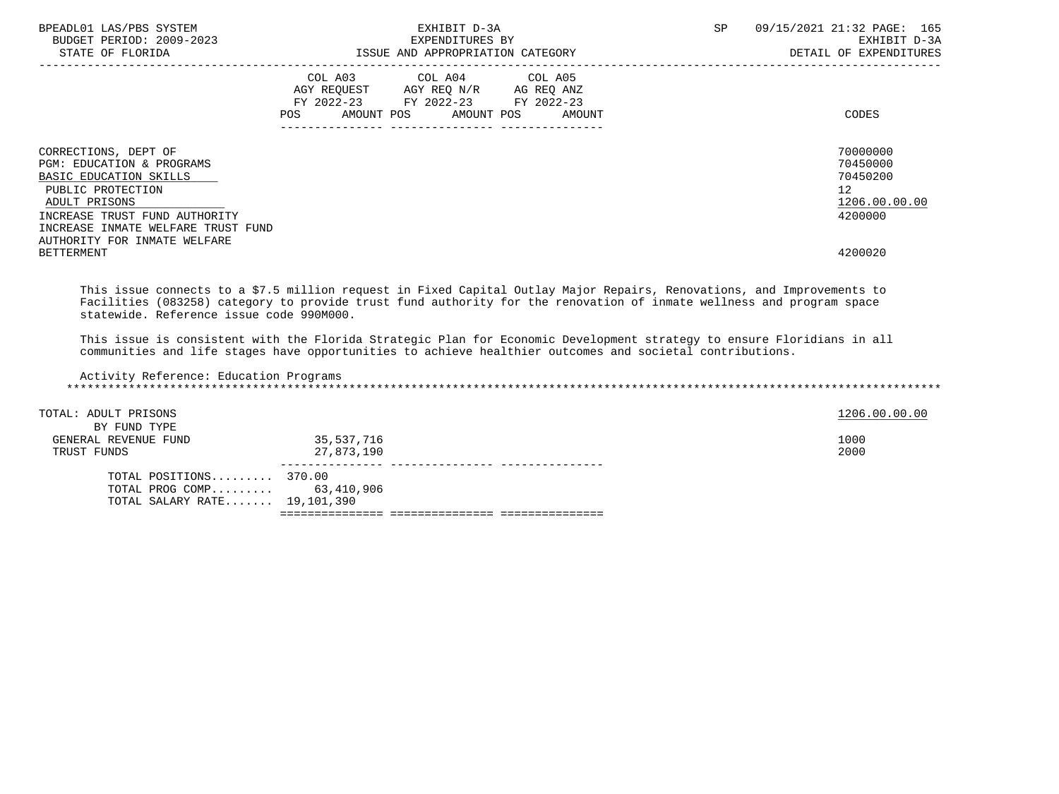| BPEADL01 LAS/PBS SYSTEM<br>BUDGET PERIOD: 2009-2023<br>STATE OF FLORIDA                                                                                                                                                                       | EXHIBIT D-3A<br>EXPENDITURES BY<br>ISSUE AND APPROPRIATION CATEGORY                                                                                                                                                                                 | 09/15/2021 21:32 PAGE: 165<br>SP<br>EXHIBIT D-3A<br>DETAIL OF EXPENDITURES                 |
|-----------------------------------------------------------------------------------------------------------------------------------------------------------------------------------------------------------------------------------------------|-----------------------------------------------------------------------------------------------------------------------------------------------------------------------------------------------------------------------------------------------------|--------------------------------------------------------------------------------------------|
|                                                                                                                                                                                                                                               | COL A03 COL A04 COL A05<br>AGY REQUEST AGY REQ N/R AG REQ ANZ<br>FY 2022-23 FY 2022-23 FY 2022-23<br>AMOUNT POS AMOUNT POS AMOUNT<br>POS FOR THE POST OF THE STATE STATE STATE STATE STATE STATE STATE STATE STATE STATE STATE STATE STATE STATE ST | CODES                                                                                      |
| CORRECTIONS, DEPT OF<br>PGM: EDUCATION & PROGRAMS<br>BASIC EDUCATION SKILLS<br>PUBLIC PROTECTION<br>ADULT PRISONS<br>INCREASE TRUST FUND AUTHORITY<br>INCREASE INMATE WELFARE TRUST FUND<br>AUTHORITY FOR INMATE WELFARE<br><b>BETTERMENT</b> |                                                                                                                                                                                                                                                     | 70000000<br>70450000<br>70450200<br>12 <sup>7</sup><br>1206.00.00.00<br>4200000<br>4200020 |

 This issue connects to a \$7.5 million request in Fixed Capital Outlay Major Repairs, Renovations, and Improvements to Facilities (083258) category to provide trust fund authority for the renovation of inmate wellness and program space statewide. Reference issue code 990M000.

 This issue is consistent with the Florida Strategic Plan for Economic Development strategy to ensure Floridians in all communities and life stages have opportunities to achieve healthier outcomes and societal contributions.

| Activity Reference: Education Programs |            |               |
|----------------------------------------|------------|---------------|
| TOTAL: ADULT PRISONS                   |            | 1206.00.00.00 |
| BY FUND TYPE                           |            |               |
| GENERAL REVENUE FUND                   | 35,537,716 | 1000          |
| TRUST FUNDS                            | 27,873,190 | 2000          |
|                                        |            |               |
| TOTAL POSITIONS 370.00                 |            |               |
| TOTAL PROG COMP                        | 63,410,906 |               |
| TOTAL SALARY RATE 19,101,390           |            |               |
|                                        |            |               |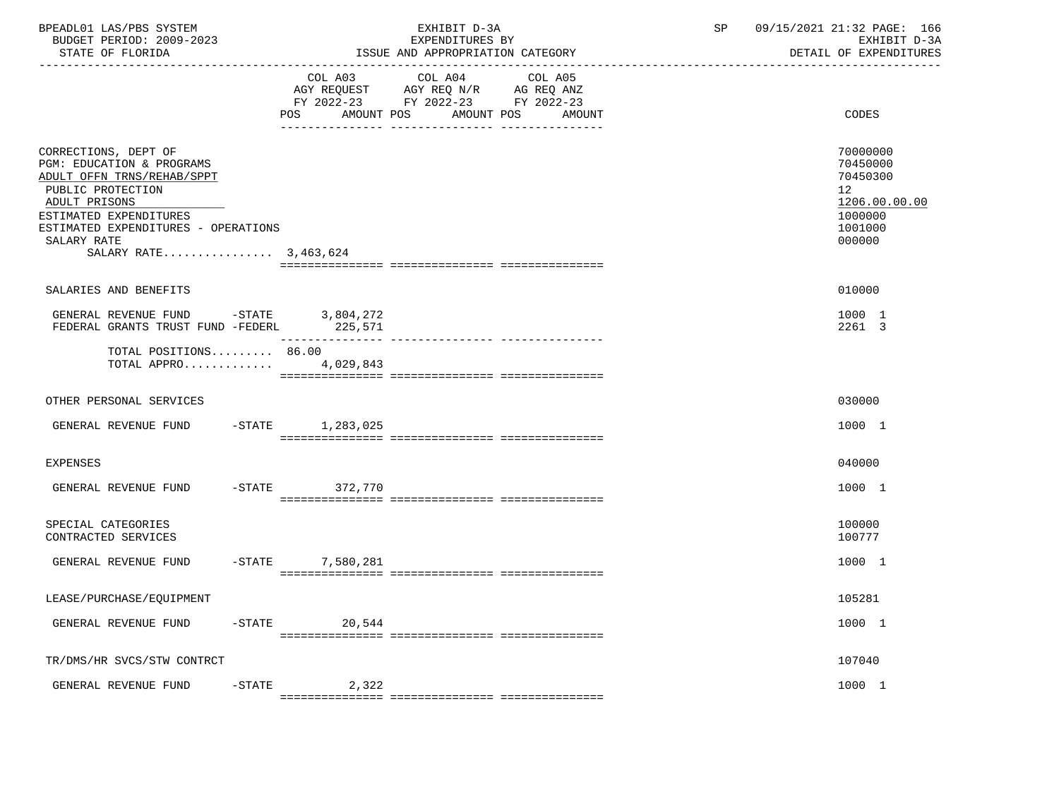| BPEADL01 LAS/PBS SYSTEM<br>BUDGET PERIOD: 2009-2023<br>STATE OF FLORIDA                                                                                                                                                                   |                        | EXHIBIT D-3A<br>EXPENDITURES BY<br>ISSUE AND APPROPRIATION CATEGORY                                                       | 09/15/2021 21:32 PAGE: 166<br>SP<br>EXHIBIT D-3A<br>DETAIL OF EXPENDITURES                           |  |
|-------------------------------------------------------------------------------------------------------------------------------------------------------------------------------------------------------------------------------------------|------------------------|---------------------------------------------------------------------------------------------------------------------------|------------------------------------------------------------------------------------------------------|--|
|                                                                                                                                                                                                                                           | POS<br>AMOUNT POS      | COL A03 COL A04 COL A05<br>AGY REQUEST AGY REQ N/R AG REQ ANZ<br>FY 2022-23 FY 2022-23 FY 2022-23<br>AMOUNT POS<br>AMOUNT | CODES                                                                                                |  |
| CORRECTIONS, DEPT OF<br><b>PGM: EDUCATION &amp; PROGRAMS</b><br>ADULT OFFN TRNS/REHAB/SPPT<br>PUBLIC PROTECTION<br>ADULT PRISONS<br>ESTIMATED EXPENDITURES<br>ESTIMATED EXPENDITURES - OPERATIONS<br>SALARY RATE<br>SALARY RATE 3,463,624 |                        |                                                                                                                           | 70000000<br>70450000<br>70450300<br>12 <sub>2</sub><br>1206.00.00.00<br>1000000<br>1001000<br>000000 |  |
| SALARIES AND BENEFITS                                                                                                                                                                                                                     |                        |                                                                                                                           | 010000                                                                                               |  |
| GENERAL REVENUE FUND -STATE 3,804,272<br>FEDERAL GRANTS TRUST FUND -FEDERL 225,571                                                                                                                                                        |                        |                                                                                                                           | 1000 1<br>2261 3                                                                                     |  |
| TOTAL POSITIONS 86.00<br>TOTAL APPRO                                                                                                                                                                                                      | 4,029,843              |                                                                                                                           |                                                                                                      |  |
| OTHER PERSONAL SERVICES                                                                                                                                                                                                                   |                        |                                                                                                                           | 030000                                                                                               |  |
| GENERAL REVENUE FUND -STATE 1,283,025                                                                                                                                                                                                     |                        |                                                                                                                           | 1000 1                                                                                               |  |
| EXPENSES                                                                                                                                                                                                                                  |                        |                                                                                                                           | 040000                                                                                               |  |
| GENERAL REVENUE FUND                                                                                                                                                                                                                      | -STATE 372,770         |                                                                                                                           | 1000 1                                                                                               |  |
| SPECIAL CATEGORIES<br>CONTRACTED SERVICES                                                                                                                                                                                                 |                        |                                                                                                                           | 100000<br>100777                                                                                     |  |
| GENERAL REVENUE FUND                                                                                                                                                                                                                      | $-$ STATE<br>7,580,281 |                                                                                                                           | 1000 1                                                                                               |  |
| LEASE/PURCHASE/EQUIPMENT                                                                                                                                                                                                                  |                        |                                                                                                                           | 105281                                                                                               |  |
| GENERAL REVENUE FUND<br>$-$ STATE                                                                                                                                                                                                         | 20,544                 |                                                                                                                           | 1000 1                                                                                               |  |
| TR/DMS/HR SVCS/STW CONTRCT                                                                                                                                                                                                                |                        |                                                                                                                           | 107040                                                                                               |  |
| GENERAL REVENUE FUND<br>$-$ STATE                                                                                                                                                                                                         | 2,322                  |                                                                                                                           | 1000 1                                                                                               |  |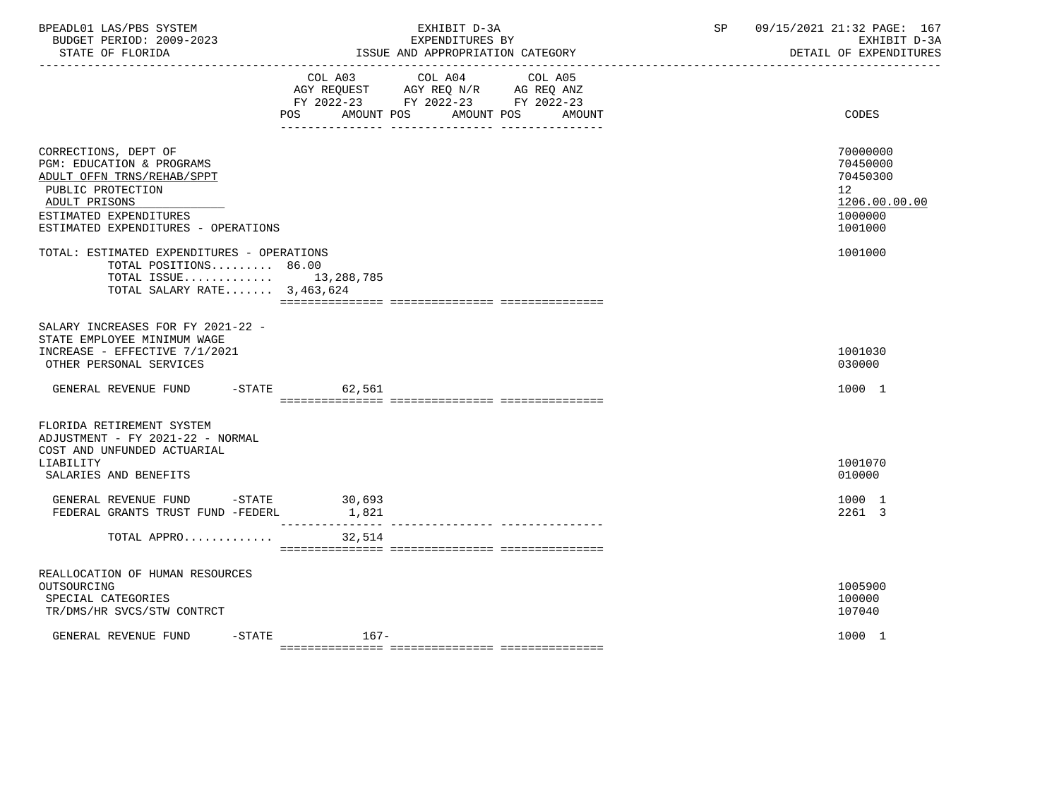| BPEADL01 LAS/PBS SYSTEM<br>BUDGET PERIOD: 2009-2023<br>STATE OF FLORIDA                                                                                                                |                 | EXHIBIT D-3A<br>EXPENDITURES BY<br>ISSUE AND APPROPRIATION CATEGORY                                                   | 09/15/2021 21:32 PAGE: 167<br>SP<br>EXHIBIT D-3A<br>DETAIL OF EXPENDITURES    |
|----------------------------------------------------------------------------------------------------------------------------------------------------------------------------------------|-----------------|-----------------------------------------------------------------------------------------------------------------------|-------------------------------------------------------------------------------|
|                                                                                                                                                                                        | COL A03 COL A04 | COL A05<br>AGY REQUEST AGY REQ N/R AG REQ ANZ<br>FY 2022-23 FY 2022-23 FY 2022-23<br>POS AMOUNT POS AMOUNT POS AMOUNT | CODES                                                                         |
| CORRECTIONS, DEPT OF<br>PGM: EDUCATION & PROGRAMS<br>ADULT OFFN TRNS/REHAB/SPPT<br>PUBLIC PROTECTION<br>ADULT PRISONS<br>ESTIMATED EXPENDITURES<br>ESTIMATED EXPENDITURES - OPERATIONS |                 |                                                                                                                       | 70000000<br>70450000<br>70450300<br>12<br>1206.00.00.00<br>1000000<br>1001000 |
| TOTAL: ESTIMATED EXPENDITURES - OPERATIONS<br>TOTAL POSITIONS 86.00<br>TOTAL ISSUE 13,288,785<br>TOTAL SALARY RATE $3,463,624$                                                         |                 |                                                                                                                       | 1001000                                                                       |
| SALARY INCREASES FOR FY 2021-22 -<br>STATE EMPLOYEE MINIMUM WAGE<br>INCREASE - EFFECTIVE 7/1/2021<br>OTHER PERSONAL SERVICES<br>GENERAL REVENUE FUND -STATE 62,561                     |                 |                                                                                                                       | 1001030<br>030000<br>1000 1                                                   |
| FLORIDA RETIREMENT SYSTEM<br>ADJUSTMENT - FY 2021-22 - NORMAL<br>COST AND UNFUNDED ACTUARIAL<br>LIABILITY<br>SALARIES AND BENEFITS                                                     |                 |                                                                                                                       | 1001070<br>010000                                                             |
| GENERAL REVENUE FUND -STATE 30,693<br>FEDERAL GRANTS TRUST FUND -FEDERL                                                                                                                | 1,821           |                                                                                                                       | 1000 1<br>2261 3                                                              |
| TOTAL APPRO 32,514                                                                                                                                                                     |                 |                                                                                                                       |                                                                               |
| REALLOCATION OF HUMAN RESOURCES<br>OUTSOURCING<br>SPECIAL CATEGORIES<br>TR/DMS/HR SVCS/STW CONTRCT                                                                                     |                 |                                                                                                                       | 1005900<br>100000<br>107040                                                   |
| $-$ STATE<br>GENERAL REVENUE FUND                                                                                                                                                      | $167-$          |                                                                                                                       | 1000 1                                                                        |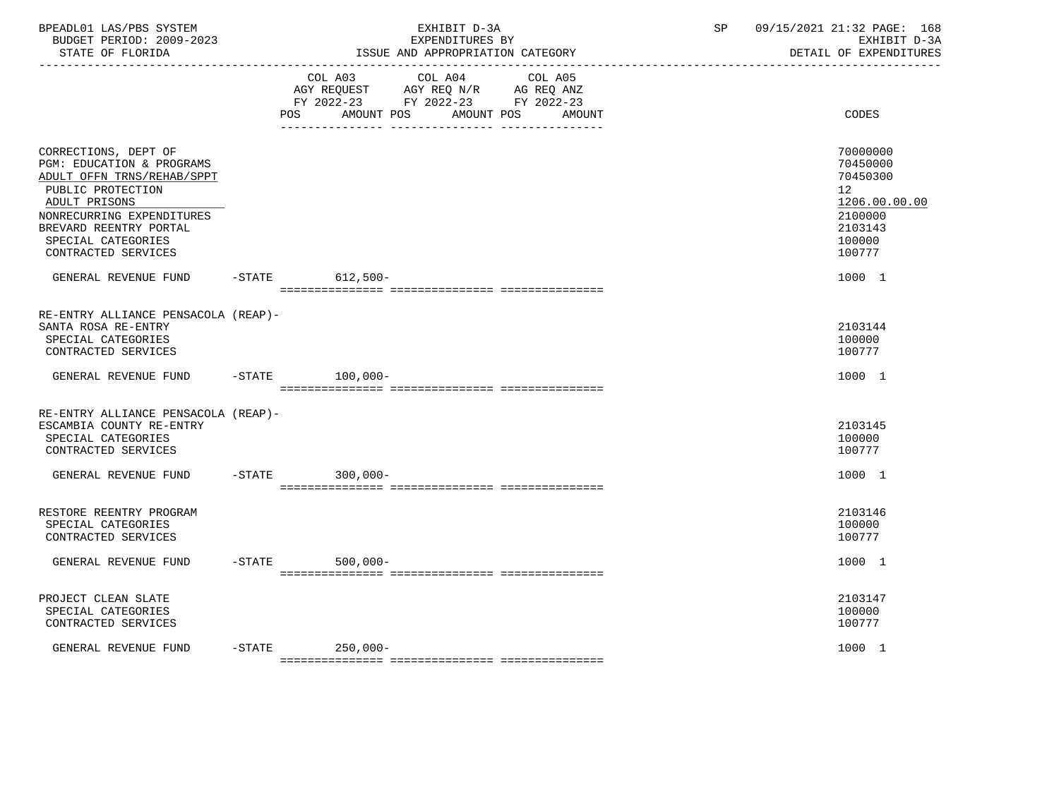| BPEADL01 LAS/PBS SYSTEM<br>BUDGET PERIOD: 2009-2023<br>STATE OF FLORIDA<br>-------------------                                                                                                                            |           | EXHIBIT D-3A<br>EXPENDITURES BY<br>ISSUE AND APPROPRIATION CATEGORY                                                                         | SP | 09/15/2021 21:32 PAGE: 168<br>EXHIBIT D-3A<br>DETAIL OF EXPENDITURES                              |
|---------------------------------------------------------------------------------------------------------------------------------------------------------------------------------------------------------------------------|-----------|---------------------------------------------------------------------------------------------------------------------------------------------|----|---------------------------------------------------------------------------------------------------|
|                                                                                                                                                                                                                           |           | COL A03<br>COL A04<br>COL A05<br>AGY REQUEST AGY REQ N/R AG REQ ANZ<br>FY 2022-23 FY 2022-23 FY 2022-23<br>POS AMOUNT POS AMOUNT POS AMOUNT |    | CODES                                                                                             |
| CORRECTIONS, DEPT OF<br>PGM: EDUCATION & PROGRAMS<br>ADULT OFFN TRNS/REHAB/SPPT<br>PUBLIC PROTECTION<br>ADULT PRISONS<br>NONRECURRING EXPENDITURES<br>BREVARD REENTRY PORTAL<br>SPECIAL CATEGORIES<br>CONTRACTED SERVICES |           |                                                                                                                                             |    | 70000000<br>70450000<br>70450300<br>12<br>1206.00.00.00<br>2100000<br>2103143<br>100000<br>100777 |
| GENERAL REVENUE FUND                                                                                                                                                                                                      | $-$ STATE | $612,500-$                                                                                                                                  |    | 1000 1                                                                                            |
| RE-ENTRY ALLIANCE PENSACOLA (REAP)-<br>SANTA ROSA RE-ENTRY<br>SPECIAL CATEGORIES<br>CONTRACTED SERVICES                                                                                                                   |           |                                                                                                                                             |    | 2103144<br>100000<br>100777                                                                       |
| GENERAL REVENUE FUND                                                                                                                                                                                                      | $-$ STATE | $100,000-$                                                                                                                                  |    | 1000 1                                                                                            |
| RE-ENTRY ALLIANCE PENSACOLA (REAP)-<br>ESCAMBIA COUNTY RE-ENTRY<br>SPECIAL CATEGORIES<br>CONTRACTED SERVICES                                                                                                              |           |                                                                                                                                             |    | 2103145<br>100000<br>100777                                                                       |
| GENERAL REVENUE FUND                                                                                                                                                                                                      |           | -STATE 300,000-                                                                                                                             |    | 1000 1                                                                                            |
| RESTORE REENTRY PROGRAM<br>SPECIAL CATEGORIES<br>CONTRACTED SERVICES                                                                                                                                                      |           |                                                                                                                                             |    | 2103146<br>100000<br>100777                                                                       |
| GENERAL REVENUE FUND                                                                                                                                                                                                      | $-STATE$  | $500,000 -$                                                                                                                                 |    | 1000 1                                                                                            |
| PROJECT CLEAN SLATE<br>SPECIAL CATEGORIES<br>CONTRACTED SERVICES                                                                                                                                                          |           |                                                                                                                                             |    | 2103147<br>100000<br>100777                                                                       |
| GENERAL REVENUE FUND                                                                                                                                                                                                      |           | -STATE 250,000-                                                                                                                             |    | 1000 1                                                                                            |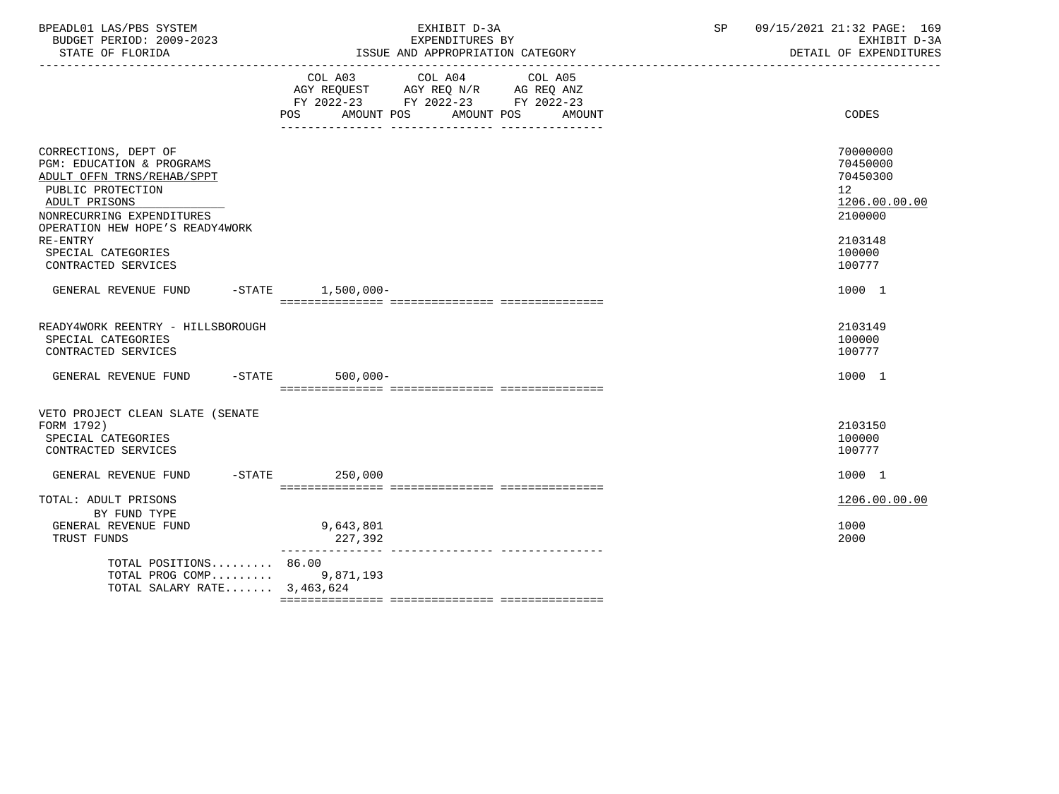| BPEADL01 LAS/PBS SYSTEM<br>BUDGET PERIOD: 2009-2023<br>STATE OF FLORIDA                                                                                                                                                                                   | EXHIBIT D-3A<br>EXPENDITURES BY<br>ISSUE AND APPROPRIATION CATEGORY                                                                      | 09/15/2021 21:32 PAGE: 169<br>SP<br>EXHIBIT D-3A<br>DETAIL OF EXPENDITURES                                     |
|-----------------------------------------------------------------------------------------------------------------------------------------------------------------------------------------------------------------------------------------------------------|------------------------------------------------------------------------------------------------------------------------------------------|----------------------------------------------------------------------------------------------------------------|
|                                                                                                                                                                                                                                                           | COL A03 COL A04<br>COL A05<br>AGY REQUEST AGY REQ N/R AG REQ ANZ<br>FY 2022-23 FY 2022-23 FY 2022-23<br>POS AMOUNT POS AMOUNT POS AMOUNT | CODES                                                                                                          |
| CORRECTIONS, DEPT OF<br><b>PGM: EDUCATION &amp; PROGRAMS</b><br>ADULT OFFN TRNS/REHAB/SPPT<br>PUBLIC PROTECTION<br>ADULT PRISONS<br>NONRECURRING EXPENDITURES<br>OPERATION HEW HOPE'S READY4WORK<br>RE-ENTRY<br>SPECIAL CATEGORIES<br>CONTRACTED SERVICES |                                                                                                                                          | 70000000<br>70450000<br>70450300<br>12 <sup>°</sup><br>1206.00.00.00<br>2100000<br>2103148<br>100000<br>100777 |
| GENERAL REVENUE FUND -STATE 1,500,000-                                                                                                                                                                                                                    |                                                                                                                                          | 1000 1                                                                                                         |
| READY4WORK REENTRY - HILLSBOROUGH<br>SPECIAL CATEGORIES<br>CONTRACTED SERVICES                                                                                                                                                                            |                                                                                                                                          | 2103149<br>100000<br>100777                                                                                    |
| GENERAL REVENUE FUND -STATE 500,000-                                                                                                                                                                                                                      |                                                                                                                                          | 1000 1                                                                                                         |
| VETO PROJECT CLEAN SLATE (SENATE<br>FORM 1792)<br>SPECIAL CATEGORIES<br>CONTRACTED SERVICES<br>GENERAL REVENUE FUND -STATE 250,000                                                                                                                        |                                                                                                                                          | 2103150<br>100000<br>100777<br>1000 1                                                                          |
| TOTAL: ADULT PRISONS                                                                                                                                                                                                                                      |                                                                                                                                          | 1206.00.00.00                                                                                                  |
| BY FUND TYPE<br>GENERAL REVENUE FUND<br>TRUST FUNDS                                                                                                                                                                                                       | 9,643,801<br>227,392                                                                                                                     | 1000<br>2000                                                                                                   |
| TOTAL POSITIONS 86.00<br>TOTAL PROG COMP 9,871,193<br>TOTAL SALARY RATE 3,463,624                                                                                                                                                                         |                                                                                                                                          |                                                                                                                |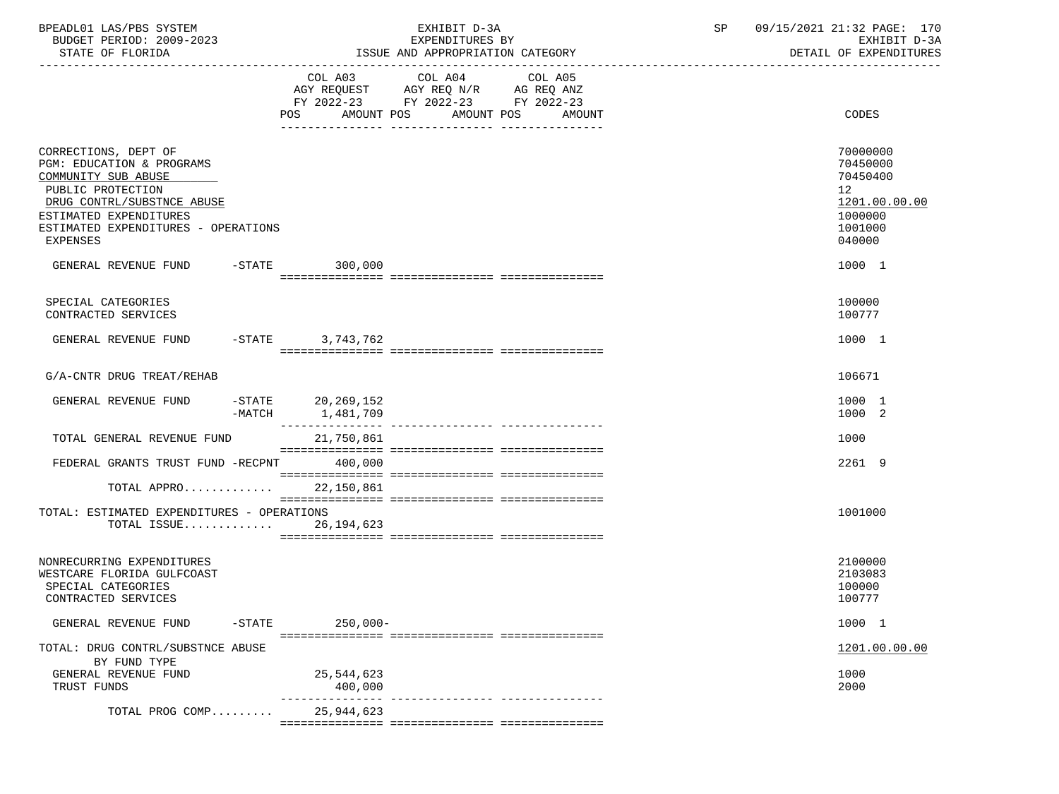| BPEADL01 LAS/PBS SYSTEM<br>BUDGET PERIOD: 2009-2023<br>STATE OF FLORIDA<br>-------------------                                                                                                                  |        |                                   | EXHIBIT D-3A<br>EXPENDITURES BY<br>ISSUE AND APPROPRIATION CATEGORY                                                                          | SP | 09/15/2021 21:32 PAGE: 170<br>EXHIBIT D-3A<br>DETAIL OF EXPENDITURES                                 |
|-----------------------------------------------------------------------------------------------------------------------------------------------------------------------------------------------------------------|--------|-----------------------------------|----------------------------------------------------------------------------------------------------------------------------------------------|----|------------------------------------------------------------------------------------------------------|
|                                                                                                                                                                                                                 |        | POS.<br>AMOUNT POS                | COL A03 COL A04 COL A05<br>AGY REQUEST AGY REQ N/R AG REQ ANZ<br>FY 2022-23 FY 2022-23 FY 2022-23<br>AMOUNT POS<br>AMOUNT<br>--------------- |    | CODES                                                                                                |
| CORRECTIONS, DEPT OF<br>PGM: EDUCATION & PROGRAMS<br>COMMUNITY SUB ABUSE<br>PUBLIC PROTECTION<br>DRUG CONTRL/SUBSTNCE ABUSE<br>ESTIMATED EXPENDITURES<br>ESTIMATED EXPENDITURES - OPERATIONS<br><b>EXPENSES</b> |        |                                   |                                                                                                                                              |    | 70000000<br>70450000<br>70450400<br>12 <sup>°</sup><br>1201.00.00.00<br>1000000<br>1001000<br>040000 |
| GENERAL REVENUE FUND -STATE 300,000                                                                                                                                                                             |        |                                   |                                                                                                                                              |    | 1000 1                                                                                               |
| SPECIAL CATEGORIES<br>CONTRACTED SERVICES                                                                                                                                                                       |        |                                   |                                                                                                                                              |    | 100000<br>100777                                                                                     |
| GENERAL REVENUE FUND -STATE 3,743,762                                                                                                                                                                           |        |                                   |                                                                                                                                              |    | 1000 1                                                                                               |
| G/A-CNTR DRUG TREAT/REHAB                                                                                                                                                                                       |        |                                   |                                                                                                                                              |    | 106671                                                                                               |
| GENERAL REVENUE FUND                                                                                                                                                                                            | -MATCH | $-$ STATE 20,269,152<br>1,481,709 |                                                                                                                                              |    | 1000 1<br>1000 2                                                                                     |
| TOTAL GENERAL REVENUE FUND                                                                                                                                                                                      |        | 21,750,861                        |                                                                                                                                              |    | 1000                                                                                                 |
| FEDERAL GRANTS TRUST FUND -RECPNT 400,000                                                                                                                                                                       |        |                                   |                                                                                                                                              |    | 2261 9                                                                                               |
| TOTAL APPRO 22,150,861                                                                                                                                                                                          |        |                                   |                                                                                                                                              |    |                                                                                                      |
| TOTAL: ESTIMATED EXPENDITURES - OPERATIONS<br>TOTAL ISSUE 26,194,623                                                                                                                                            |        |                                   |                                                                                                                                              |    | 1001000                                                                                              |
| NONRECURRING EXPENDITURES<br>WESTCARE FLORIDA GULFCOAST<br>SPECIAL CATEGORIES<br>CONTRACTED SERVICES                                                                                                            |        |                                   |                                                                                                                                              |    | 2100000<br>2103083<br>100000<br>100777                                                               |
| GENERAL REVENUE FUND                                                                                                                                                                                            |        | $-$ STATE<br>$250,000 -$          |                                                                                                                                              |    | 1000 1                                                                                               |
| TOTAL: DRUG CONTRL/SUBSTNCE ABUSE<br>BY FUND TYPE                                                                                                                                                               |        |                                   |                                                                                                                                              |    | 1201.00.00.00                                                                                        |
| GENERAL REVENUE FUND<br>TRUST FUNDS                                                                                                                                                                             |        | 25,544,623<br>400,000             |                                                                                                                                              |    | 1000<br>2000                                                                                         |
| TOTAL PROG COMP                                                                                                                                                                                                 |        | 25,944,623                        |                                                                                                                                              |    |                                                                                                      |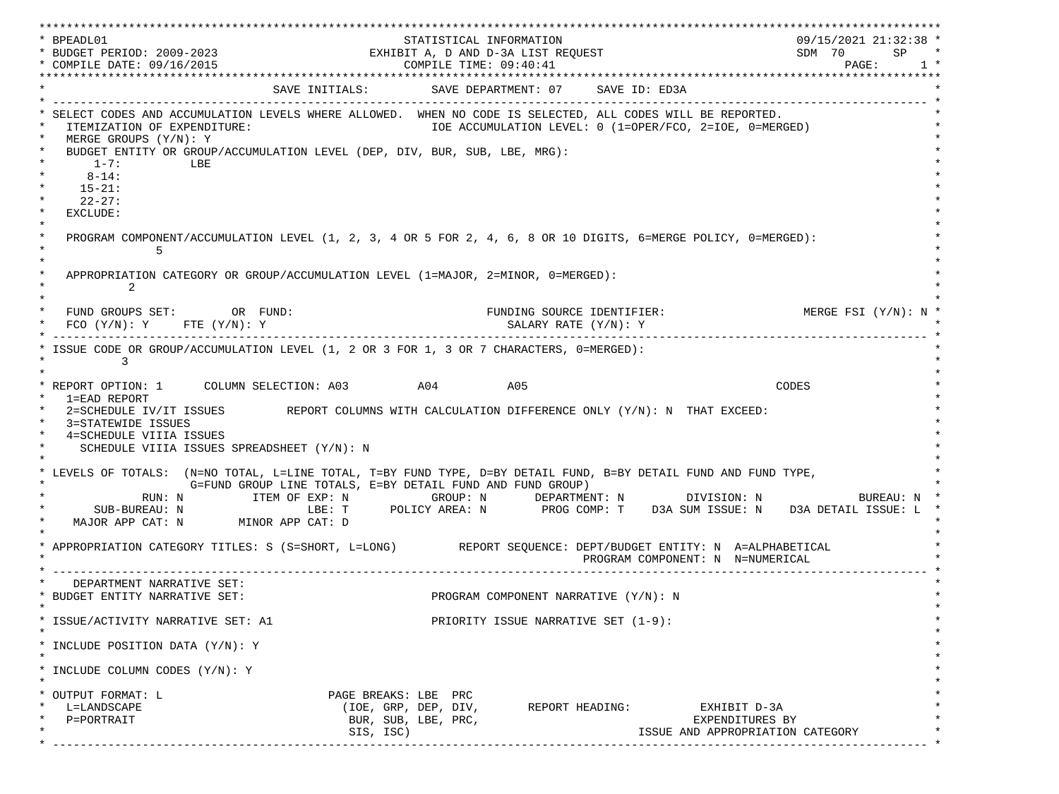\*\*\*\*\*\*\*\*\*\*\*\*\*\*\*\*\*\*\*\*\*\*\*\*\*\*\*\*\*\*\*\*\*\*\*\*\*\*\*\*\*\*\*\*\*\*\*\*\*\*\*\*\*\*\*\*\*\*\*\*\*\*\*\*\*\*\*\*\*\*\*\*\*\*\*\*\*\*\*\*\*\*\*\*\*\*\*\*\*\*\*\*\*\*\*\*\*\*\*\*\*\*\*\*\*\*\*\*\*\*\*\*\*\*\*\*\*\*\*\*\*\*\*\*\*\*\*\*\*\*\* \* BPEADL01 STATISTICAL INFORMATION 09/15/2021 21:32:38 \* \* BUDGET PERIOD: 2009-2023 EXHIBIT A, D AND D-3A LIST REQUEST SDM 70 SP \* \* COMPILE DATE: 09/16/2015 2010 2020 2020 COMPILE TIME: 09:40:41 \*\*\*\*\*\*\*\*\*\*\*\*\*\*\*\*\*\*\*\*\*\*\*\*\*\*\*\*\*\*\*\*\*\*\*\*\*\*\*\*\*\*\*\*\*\*\*\*\*\*\*\*\*\*\*\*\*\*\*\*\*\*\*\*\*\*\*\*\*\*\*\*\*\*\*\*\*\*\*\*\*\*\*\*\*\*\*\*\*\*\*\*\*\*\*\*\*\*\*\*\*\*\*\*\*\*\*\*\*\*\*\*\*\*\*\*\*\*\*\*\*\*\*\*\*\*\*\*\*\*\* SAVE INITIALS: SAVE DEPARTMENT: 07 SAVE ID: ED3A \* ------------------------------------------------------------------------------------------------------------------------------- \* SELECT CODES AND ACCUMULATION LEVELS WHERE ALLOWED. WHEN NO CODE IS SELECTED, ALL CODES WILL BE REPORTED. ITEMIZATION OF EXPENDITURE:  $\overline{10E}$  accumulation level: 0 (1=OPER/FCO, 2=IOE, 0=MERGED) MERGE GROUPS (Y/N): Y BUDGET ENTITY OR GROUP/ACCUMULATION LEVEL (DEP, DIV, BUR, SUB, LBE, MRG):  $*$  1-7: LBE  $*$  $*$  8-14:  $*$  $*$  15-21:  $*$  $*$  22-27: \* \* EXCLUDE: \*  $\star$   $\star$  \* PROGRAM COMPONENT/ACCUMULATION LEVEL (1, 2, 3, 4 OR 5 FOR 2, 4, 6, 8 OR 10 DIGITS, 6=MERGE POLICY, 0=MERGED): \*  $\star$  5  $\star$  $\star$   $\star$ APPROPRIATION CATEGORY OR GROUP/ACCUMULATION LEVEL (1=MAJOR, 2=MINOR, 0=MERGED):  $\star$  2  $\star$  $\star$   $\star$ FUND GROUPS SET: OR FUND: THE SOURCE IDENTIFIER: MERGE FSI (Y/N): N  $FCO (Y/N): Y$  FTE  $(Y/N): Y$  SALARY RATE  $(Y/N): Y$  \* ------------------------------------------------------------------------------------------------------------------------------- \* ISSUE CODE OR GROUP/ACCUMULATION LEVEL (1, 2 OR 3 FOR 1, 3 OR 7 CHARACTERS, 0=MERGED):  $\star$  3  $\star$  $\star$   $\star$  \* REPORT OPTION: 1 COLUMN SELECTION: A03 A04 A05 CODES \* \* 1=EAD REPORT \* 2=SCHEDULE IV/IT ISSUES REPORT COLUMNS WITH CALCULATION DIFFERENCE ONLY (Y/N): N THAT EXCEED: 3=STATEWIDE ISSUES 4=SCHEDULE VIIIA ISSUES SCHEDULE VIIIA ISSUES SPREADSHEET (Y/N): N \* \* \* LEVELS OF TOTALS: (N=NO TOTAL, L=LINE TOTAL, T=BY FUND TYPE, D=BY DETAIL FUND, B=BY DETAIL FUND AND FUND TYPE, \* G=FUND GROUP LINE TOTALS, E=BY DETAIL FUND AND FUND GROUP) \* RUN: N ITEM OF EXP: N GROUP: N DEPARTMENT: N DIVISION: N BUREAU: N \* \* SUB-BUREAU: N LBE: T POLICY AREA: N PROG COMP: T D3A SUM ISSUE: N D3A DETAIL ISSUE: L \* MAJOR APP CAT: N MINOR APP CAT: D \* \* APPROPRIATION CATEGORY TITLES: S (S=SHORT, L=LONG) REPORT SEQUENCE: DEPT/BUDGET ENTITY: N A=ALPHABETICAL PROGRAM COMPONENT: N N=NUMERICAL \* ------------------------------------------------------------------------------------------------------------------------------- \* DEPARTMENT NARRATIVE SET:<br>BUDGET ENTITY NARRATIVE SET: PROGRAM COMPONENT NARRATIVE (Y/N): N \* \* \* ISSUE/ACTIVITY NARRATIVE SET: A1 PRIORITY ISSUE NARRATIVE SET (1-9): \*  $\star$   $\star$  \* INCLUDE POSITION DATA (Y/N): Y \* \* \* INCLUDE COLUMN CODES  $(Y/N): Y$  \* \* \* OUTPUT FORMAT: L PAGE BREAKS: LBE PRC \* \* L=LANDSCAPE (IOE, GRP, DEP, DIV, REPORT HEADING: EXHIBIT D-3A \* \* P=PORTRAIT BUR, SUB, LBE, PRC, EXPENDITURES BY \* SIS, ISC) ISSUE AND APPROPRIATION CATEGORY \* ------------------------------------------------------------------------------------------------------------------------------- \*